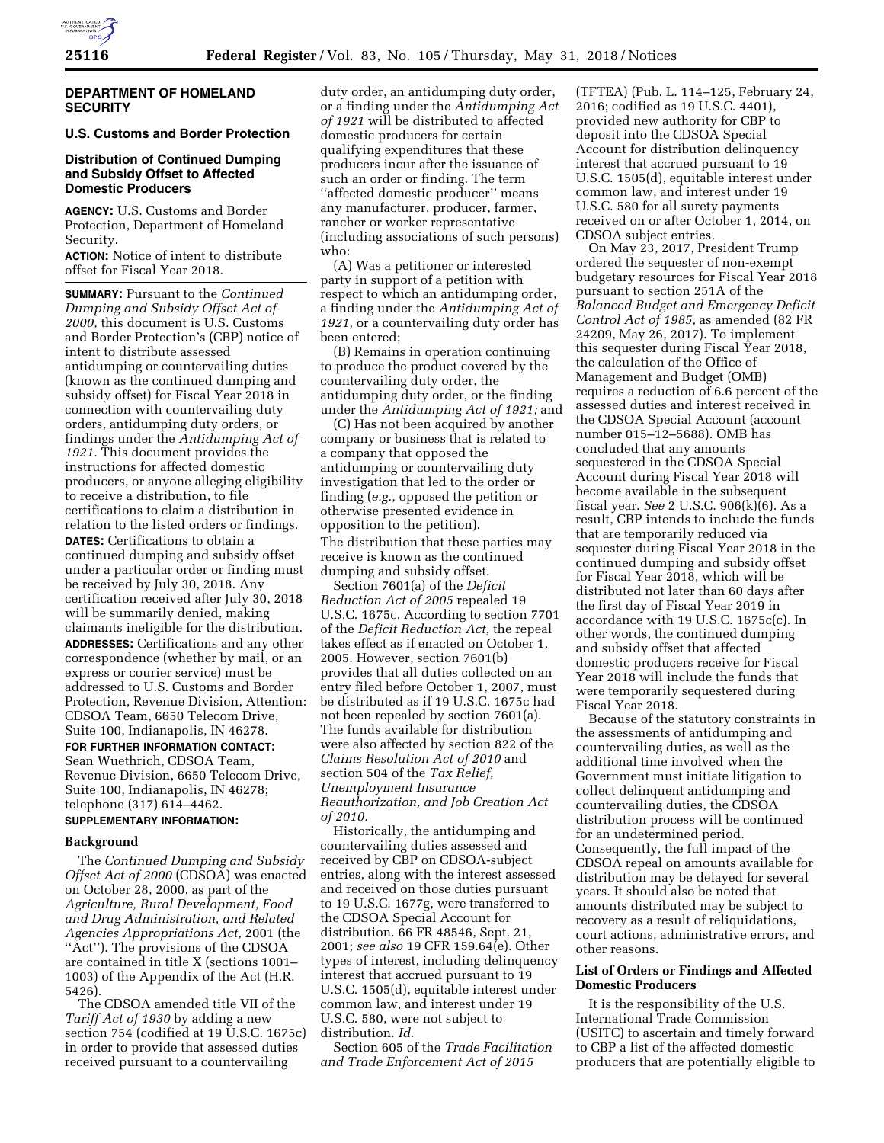

### **DEPARTMENT OF HOMELAND SECURITY**

# **U.S. Customs and Border Protection**

# **Distribution of Continued Dumping and Subsidy Offset to Affected Domestic Producers**

**AGENCY:** U.S. Customs and Border Protection, Department of Homeland Security.

**ACTION:** Notice of intent to distribute offset for Fiscal Year 2018.

**SUMMARY:** Pursuant to the *Continued Dumping and Subsidy Offset Act of 2000,* this document is U.S. Customs and Border Protection's (CBP) notice of intent to distribute assessed antidumping or countervailing duties (known as the continued dumping and subsidy offset) for Fiscal Year 2018 in connection with countervailing duty orders, antidumping duty orders, or findings under the *Antidumping Act of 1921.* This document provides the instructions for affected domestic producers, or anyone alleging eligibility to receive a distribution, to file certifications to claim a distribution in relation to the listed orders or findings. **DATES:** Certifications to obtain a continued dumping and subsidy offset under a particular order or finding must be received by July 30, 2018. Any certification received after July 30, 2018 will be summarily denied, making claimants ineligible for the distribution. **ADDRESSES:** Certifications and any other correspondence (whether by mail, or an express or courier service) must be addressed to U.S. Customs and Border Protection, Revenue Division, Attention: CDSOA Team, 6650 Telecom Drive, Suite 100, Indianapolis, IN 46278.

**FOR FURTHER INFORMATION CONTACT:**  Sean Wuethrich, CDSOA Team, Revenue Division, 6650 Telecom Drive, Suite 100, Indianapolis, IN 46278; telephone (317) 614–4462.

### **SUPPLEMENTARY INFORMATION:**

# **Background**

The *Continued Dumping and Subsidy Offset Act of 2000* (CDSOA) was enacted on October 28, 2000, as part of the *Agriculture, Rural Development, Food and Drug Administration, and Related Agencies Appropriations Act,* 2001 (the "Act"). The provisions of the CDSOA are contained in title X (sections 1001– 1003) of the Appendix of the Act (H.R. 5426).

The CDSOA amended title VII of the *Tariff Act of 1930* by adding a new section 754 (codified at 19 U.S.C. 1675c) in order to provide that assessed duties received pursuant to a countervailing

duty order, an antidumping duty order, or a finding under the *Antidumping Act of 1921* will be distributed to affected domestic producers for certain qualifying expenditures that these producers incur after the issuance of such an order or finding. The term ''affected domestic producer'' means any manufacturer, producer, farmer, rancher or worker representative (including associations of such persons) who:

(A) Was a petitioner or interested party in support of a petition with respect to which an antidumping order, a finding under the *Antidumping Act of 1921,* or a countervailing duty order has been entered;

(B) Remains in operation continuing to produce the product covered by the countervailing duty order, the antidumping duty order, or the finding under the *Antidumping Act of 1921;* and

(C) Has not been acquired by another company or business that is related to a company that opposed the antidumping or countervailing duty investigation that led to the order or finding (*e.g.,* opposed the petition or otherwise presented evidence in opposition to the petition). The distribution that these parties may receive is known as the continued dumping and subsidy offset.

Section 7601(a) of the *Deficit Reduction Act of 2005* repealed 19 U.S.C. 1675c. According to section 7701 of the *Deficit Reduction Act,* the repeal takes effect as if enacted on October 1, 2005. However, section 7601(b) provides that all duties collected on an entry filed before October 1, 2007, must be distributed as if 19 U.S.C. 1675c had not been repealed by section 7601(a). The funds available for distribution were also affected by section 822 of the *Claims Resolution Act of 2010* and section 504 of the *Tax Relief, Unemployment Insurance Reauthorization, and Job Creation Act of 2010.* 

Historically, the antidumping and countervailing duties assessed and received by CBP on CDSOA-subject entries, along with the interest assessed and received on those duties pursuant to 19 U.S.C. 1677g, were transferred to the CDSOA Special Account for distribution. 66 FR 48546, Sept. 21, 2001; *see also* 19 CFR 159.64(e). Other types of interest, including delinquency interest that accrued pursuant to 19 U.S.C. 1505(d), equitable interest under common law, and interest under 19 U.S.C. 580, were not subject to distribution. *Id.* 

Section 605 of the *Trade Facilitation and Trade Enforcement Act of 2015* 

(TFTEA) (Pub. L. 114–125, February 24, 2016; codified as 19 U.S.C. 4401), provided new authority for CBP to deposit into the CDSOA Special Account for distribution delinquency interest that accrued pursuant to 19 U.S.C. 1505(d), equitable interest under common law, and interest under 19 U.S.C. 580 for all surety payments received on or after October 1, 2014, on CDSOA subject entries.

On May 23, 2017, President Trump ordered the sequester of non-exempt budgetary resources for Fiscal Year 2018 pursuant to section 251A of the *Balanced Budget and Emergency Deficit Control Act of 1985,* as amended (82 FR 24209, May 26, 2017). To implement this sequester during Fiscal Year 2018, the calculation of the Office of Management and Budget (OMB) requires a reduction of 6.6 percent of the assessed duties and interest received in the CDSOA Special Account (account number 015–12–5688). OMB has concluded that any amounts sequestered in the CDSOA Special Account during Fiscal Year 2018 will become available in the subsequent fiscal year. *See* 2 U.S.C. 906(k)(6). As a result, CBP intends to include the funds that are temporarily reduced via sequester during Fiscal Year 2018 in the continued dumping and subsidy offset for Fiscal Year 2018, which will be distributed not later than 60 days after the first day of Fiscal Year 2019 in accordance with 19 U.S.C. 1675c(c). In other words, the continued dumping and subsidy offset that affected domestic producers receive for Fiscal Year 2018 will include the funds that were temporarily sequestered during Fiscal Year 2018.

Because of the statutory constraints in the assessments of antidumping and countervailing duties, as well as the additional time involved when the Government must initiate litigation to collect delinquent antidumping and countervailing duties, the CDSOA distribution process will be continued for an undetermined period. Consequently, the full impact of the CDSOA repeal on amounts available for distribution may be delayed for several years. It should also be noted that amounts distributed may be subject to recovery as a result of reliquidations, court actions, administrative errors, and other reasons.

### **List of Orders or Findings and Affected Domestic Producers**

It is the responsibility of the U.S. International Trade Commission (USITC) to ascertain and timely forward to CBP a list of the affected domestic producers that are potentially eligible to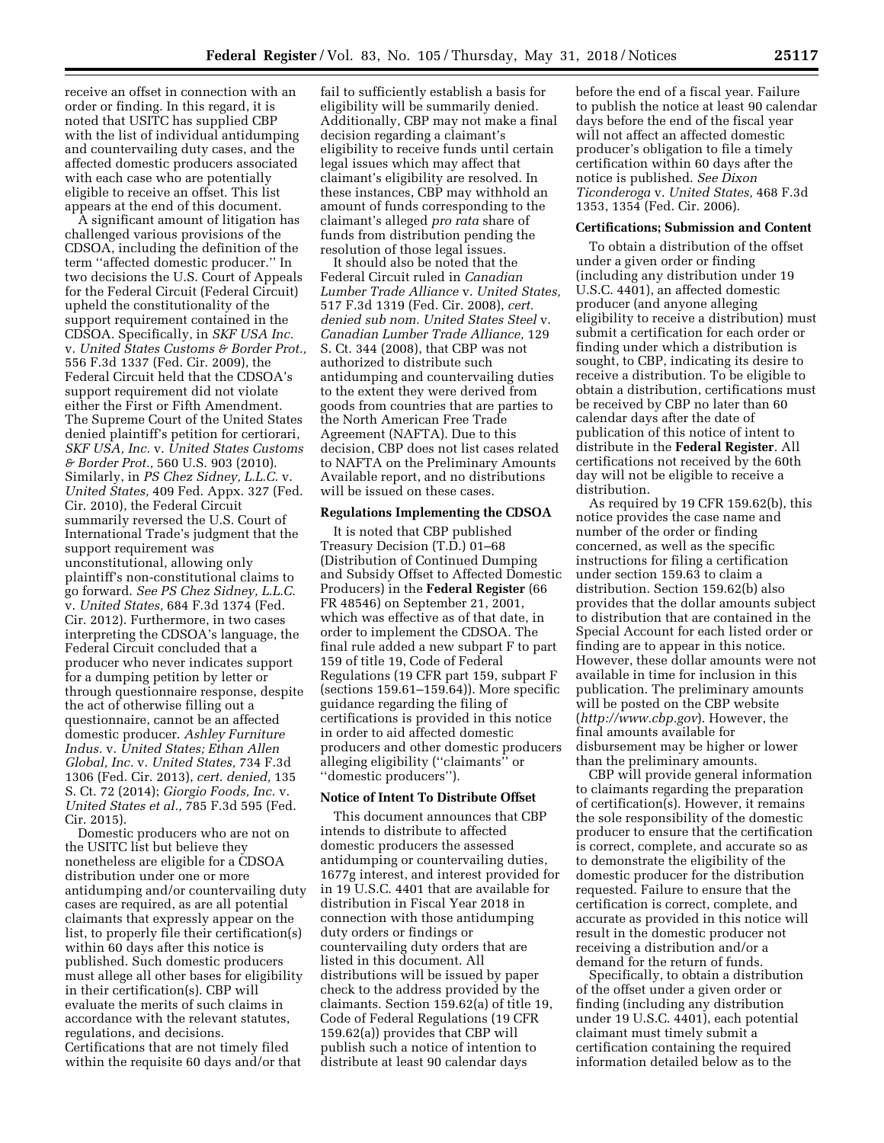receive an offset in connection with an order or finding. In this regard, it is noted that USITC has supplied CBP with the list of individual antidumping and countervailing duty cases, and the affected domestic producers associated with each case who are potentially eligible to receive an offset. This list appears at the end of this document.

A significant amount of litigation has challenged various provisions of the CDSOA, including the definition of the term ''affected domestic producer.'' In two decisions the U.S. Court of Appeals for the Federal Circuit (Federal Circuit) upheld the constitutionality of the support requirement contained in the CDSOA. Specifically, in *SKF USA Inc.*  v. *United States Customs & Border Prot.,*  556 F.3d 1337 (Fed. Cir. 2009), the Federal Circuit held that the CDSOA's support requirement did not violate either the First or Fifth Amendment. The Supreme Court of the United States denied plaintiff's petition for certiorari, *SKF USA, Inc.* v. *United States Customs & Border Prot.,* 560 U.S. 903 (2010). Similarly, in *PS Chez Sidney, L.L.C.* v. *United States,* 409 Fed. Appx. 327 (Fed. Cir. 2010), the Federal Circuit summarily reversed the U.S. Court of International Trade's judgment that the support requirement was unconstitutional, allowing only plaintiff's non-constitutional claims to go forward. *See PS Chez Sidney, L.L.C.*  v. *United States,* 684 F.3d 1374 (Fed. Cir. 2012). Furthermore, in two cases interpreting the CDSOA's language, the Federal Circuit concluded that a producer who never indicates support for a dumping petition by letter or through questionnaire response, despite the act of otherwise filling out a questionnaire, cannot be an affected domestic producer. *Ashley Furniture Indus.* v. *United States; Ethan Allen Global, Inc.* v. *United States,* 734 F.3d 1306 (Fed. Cir. 2013), *cert. denied,* 135 S. Ct. 72 (2014); *Giorgio Foods, Inc.* v. *United States et al.,* 785 F.3d 595 (Fed. Cir. 2015).

Domestic producers who are not on the USITC list but believe they nonetheless are eligible for a CDSOA distribution under one or more antidumping and/or countervailing duty cases are required, as are all potential claimants that expressly appear on the list, to properly file their certification(s) within 60 days after this notice is published. Such domestic producers must allege all other bases for eligibility in their certification(s). CBP will evaluate the merits of such claims in accordance with the relevant statutes, regulations, and decisions. Certifications that are not timely filed within the requisite 60 days and/or that

fail to sufficiently establish a basis for eligibility will be summarily denied. Additionally, CBP may not make a final decision regarding a claimant's eligibility to receive funds until certain legal issues which may affect that claimant's eligibility are resolved. In these instances, CBP may withhold an amount of funds corresponding to the claimant's alleged *pro rata* share of funds from distribution pending the resolution of those legal issues.

It should also be noted that the Federal Circuit ruled in *Canadian Lumber Trade Alliance* v. *United States,*  517 F.3d 1319 (Fed. Cir. 2008), *cert. denied sub nom. United States Steel* v. *Canadian Lumber Trade Alliance,* 129 S. Ct. 344 (2008), that CBP was not authorized to distribute such antidumping and countervailing duties to the extent they were derived from goods from countries that are parties to the North American Free Trade Agreement (NAFTA). Due to this decision, CBP does not list cases related to NAFTA on the Preliminary Amounts Available report, and no distributions will be issued on these cases.

### **Regulations Implementing the CDSOA**

It is noted that CBP published Treasury Decision (T.D.) 01–68 (Distribution of Continued Dumping and Subsidy Offset to Affected Domestic Producers) in the **Federal Register** (66 FR 48546) on September 21, 2001, which was effective as of that date, in order to implement the CDSOA. The final rule added a new subpart F to part 159 of title 19, Code of Federal Regulations (19 CFR part 159, subpart F (sections 159.61–159.64)). More specific guidance regarding the filing of certifications is provided in this notice in order to aid affected domestic producers and other domestic producers alleging eligibility (''claimants'' or ''domestic producers'').

### **Notice of Intent To Distribute Offset**

This document announces that CBP intends to distribute to affected domestic producers the assessed antidumping or countervailing duties, 1677g interest, and interest provided for in 19 U.S.C. 4401 that are available for distribution in Fiscal Year 2018 in connection with those antidumping duty orders or findings or countervailing duty orders that are listed in this document. All distributions will be issued by paper check to the address provided by the claimants. Section 159.62(a) of title 19, Code of Federal Regulations (19 CFR 159.62(a)) provides that CBP will publish such a notice of intention to distribute at least 90 calendar days

before the end of a fiscal year. Failure to publish the notice at least 90 calendar days before the end of the fiscal year will not affect an affected domestic producer's obligation to file a timely certification within 60 days after the notice is published. *See Dixon Ticonderoga* v. *United States,* 468 F.3d 1353, 1354 (Fed. Cir. 2006).

#### **Certifications; Submission and Content**

To obtain a distribution of the offset under a given order or finding (including any distribution under 19 U.S.C. 4401), an affected domestic producer (and anyone alleging eligibility to receive a distribution) must submit a certification for each order or finding under which a distribution is sought, to CBP, indicating its desire to receive a distribution. To be eligible to obtain a distribution, certifications must be received by CBP no later than 60 calendar days after the date of publication of this notice of intent to distribute in the **Federal Register**. All certifications not received by the 60th day will not be eligible to receive a distribution.

As required by 19 CFR 159.62(b), this notice provides the case name and number of the order or finding concerned, as well as the specific instructions for filing a certification under section 159.63 to claim a distribution. Section 159.62(b) also provides that the dollar amounts subject to distribution that are contained in the Special Account for each listed order or finding are to appear in this notice. However, these dollar amounts were not available in time for inclusion in this publication. The preliminary amounts will be posted on the CBP website (*<http://www.cbp.gov>*). However, the final amounts available for disbursement may be higher or lower than the preliminary amounts.

CBP will provide general information to claimants regarding the preparation of certification(s). However, it remains the sole responsibility of the domestic producer to ensure that the certification is correct, complete, and accurate so as to demonstrate the eligibility of the domestic producer for the distribution requested. Failure to ensure that the certification is correct, complete, and accurate as provided in this notice will result in the domestic producer not receiving a distribution and/or a demand for the return of funds.

Specifically, to obtain a distribution of the offset under a given order or finding (including any distribution under 19 U.S.C. 4401), each potential claimant must timely submit a certification containing the required information detailed below as to the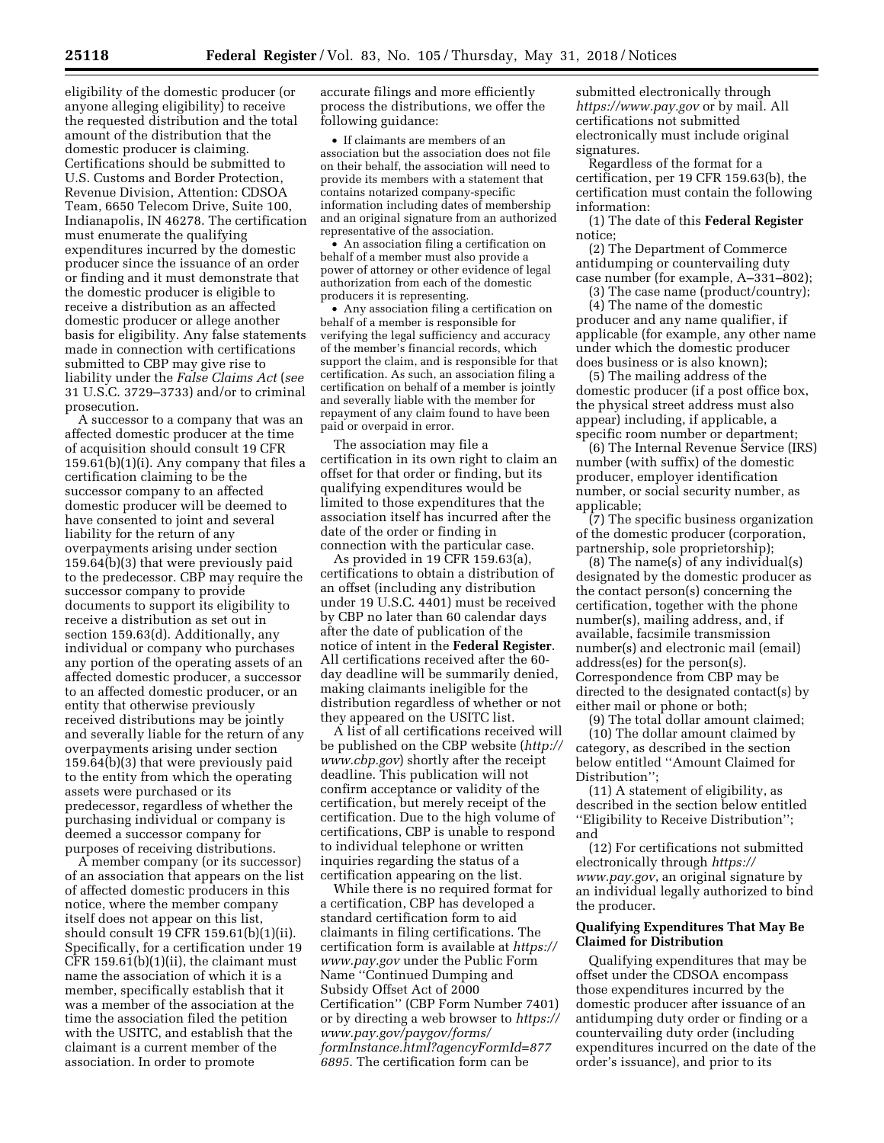eligibility of the domestic producer (or anyone alleging eligibility) to receive the requested distribution and the total amount of the distribution that the domestic producer is claiming. Certifications should be submitted to U.S. Customs and Border Protection, Revenue Division, Attention: CDSOA Team, 6650 Telecom Drive, Suite 100, Indianapolis, IN 46278. The certification must enumerate the qualifying expenditures incurred by the domestic producer since the issuance of an order or finding and it must demonstrate that the domestic producer is eligible to receive a distribution as an affected domestic producer or allege another basis for eligibility. Any false statements made in connection with certifications submitted to CBP may give rise to liability under the *False Claims Act* (*see*  31 U.S.C. 3729–3733) and/or to criminal prosecution.

A successor to a company that was an affected domestic producer at the time of acquisition should consult 19 CFR 159.61(b)(1)(i). Any company that files a certification claiming to be the successor company to an affected domestic producer will be deemed to have consented to joint and several liability for the return of any overpayments arising under section 159.64(b)(3) that were previously paid to the predecessor. CBP may require the successor company to provide documents to support its eligibility to receive a distribution as set out in section 159.63(d). Additionally, any individual or company who purchases any portion of the operating assets of an affected domestic producer, a successor to an affected domestic producer, or an entity that otherwise previously received distributions may be jointly and severally liable for the return of any overpayments arising under section 159.64(b)(3) that were previously paid to the entity from which the operating assets were purchased or its predecessor, regardless of whether the purchasing individual or company is deemed a successor company for purposes of receiving distributions.

A member company (or its successor) of an association that appears on the list of affected domestic producers in this notice, where the member company itself does not appear on this list, should consult 19 CFR 159.61(b)(1)(ii). Specifically, for a certification under 19 CFR 159.61(b)(1)(ii), the claimant must name the association of which it is a member, specifically establish that it was a member of the association at the time the association filed the petition with the USITC, and establish that the claimant is a current member of the association. In order to promote

accurate filings and more efficiently process the distributions, we offer the following guidance:

• If claimants are members of an association but the association does not file on their behalf, the association will need to provide its members with a statement that contains notarized company-specific information including dates of membership and an original signature from an authorized representative of the association.

• An association filing a certification on behalf of a member must also provide a power of attorney or other evidence of legal authorization from each of the domestic producers it is representing.

• Any association filing a certification on behalf of a member is responsible for verifying the legal sufficiency and accuracy of the member's financial records, which support the claim, and is responsible for that certification. As such, an association filing a certification on behalf of a member is jointly and severally liable with the member for repayment of any claim found to have been paid or overpaid in error.

The association may file a certification in its own right to claim an offset for that order or finding, but its qualifying expenditures would be limited to those expenditures that the association itself has incurred after the date of the order or finding in connection with the particular case.

As provided in 19 CFR 159.63(a), certifications to obtain a distribution of an offset (including any distribution under 19 U.S.C. 4401) must be received by CBP no later than 60 calendar days after the date of publication of the notice of intent in the **Federal Register**. All certifications received after the 60 day deadline will be summarily denied, making claimants ineligible for the distribution regardless of whether or not they appeared on the USITC list.

A list of all certifications received will be published on the CBP website (*[http://](http://www.cbp.gov)  [www.cbp.gov](http://www.cbp.gov)*) shortly after the receipt deadline. This publication will not confirm acceptance or validity of the certification, but merely receipt of the certification. Due to the high volume of certifications, CBP is unable to respond to individual telephone or written inquiries regarding the status of a certification appearing on the list.

While there is no required format for a certification, CBP has developed a standard certification form to aid claimants in filing certifications. The certification form is available at *[https://](https://www.pay.gov)  [www.pay.gov](https://www.pay.gov)* under the Public Form Name ''Continued Dumping and Subsidy Offset Act of 2000 Certification'' (CBP Form Number 7401) or by directing a web browser to *[https://](https://www.pay.gov/paygov/forms/formInstance.html?agencyFormId=8776895)  [www.pay.gov/paygov/forms/](https://www.pay.gov/paygov/forms/formInstance.html?agencyFormId=8776895) [formInstance.html?agencyFormId=877](https://www.pay.gov/paygov/forms/formInstance.html?agencyFormId=8776895) [6895](https://www.pay.gov/paygov/forms/formInstance.html?agencyFormId=8776895)*. The certification form can be

submitted electronically through *<https://www.pay.gov>* or by mail. All certifications not submitted electronically must include original signatures.

Regardless of the format for a certification, per 19 CFR 159.63(b), the certification must contain the following information:

(1) The date of this **Federal Register**  notice;

(2) The Department of Commerce antidumping or countervailing duty case number (for example, A–331–802);

(3) The case name (product/country);

(4) The name of the domestic producer and any name qualifier, if applicable (for example, any other name under which the domestic producer does business or is also known);

(5) The mailing address of the domestic producer (if a post office box, the physical street address must also appear) including, if applicable, a specific room number or department;

(6) The Internal Revenue Service (IRS) number (with suffix) of the domestic producer, employer identification number, or social security number, as applicable;

(7) The specific business organization of the domestic producer (corporation, partnership, sole proprietorship);

(8) The name(s) of any individual(s) designated by the domestic producer as the contact person(s) concerning the certification, together with the phone number(s), mailing address, and, if available, facsimile transmission number(s) and electronic mail (email) address(es) for the person(s). Correspondence from CBP may be directed to the designated contact(s) by either mail or phone or both;

(9) The total dollar amount claimed; (10) The dollar amount claimed by category, as described in the section below entitled ''Amount Claimed for Distribution'';

(11) A statement of eligibility, as described in the section below entitled ''Eligibility to Receive Distribution''; and

(12) For certifications not submitted electronically through *[https://](https://www.pay.gov) [www.pay.gov](https://www.pay.gov)*, an original signature by an individual legally authorized to bind the producer.

## **Qualifying Expenditures That May Be Claimed for Distribution**

Qualifying expenditures that may be offset under the CDSOA encompass those expenditures incurred by the domestic producer after issuance of an antidumping duty order or finding or a countervailing duty order (including expenditures incurred on the date of the order's issuance), and prior to its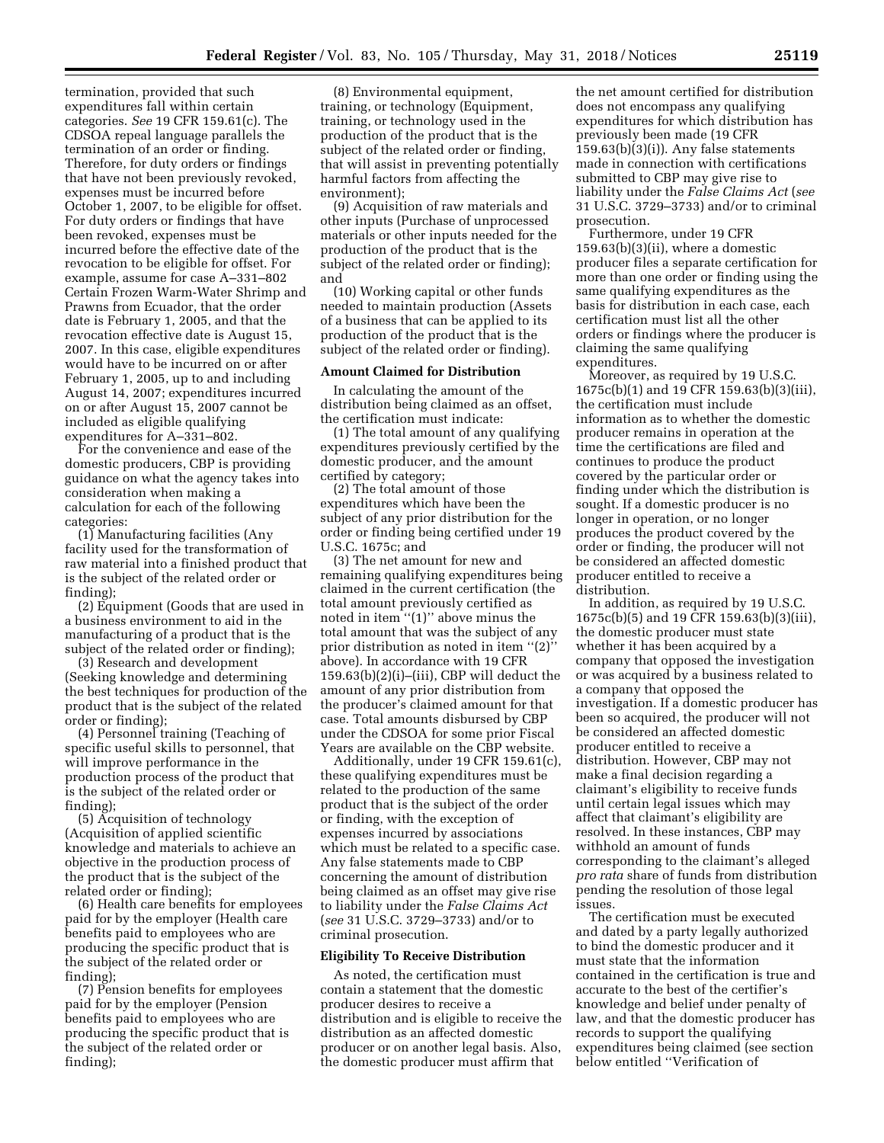termination, provided that such expenditures fall within certain categories. *See* 19 CFR 159.61(c). The CDSOA repeal language parallels the termination of an order or finding. Therefore, for duty orders or findings that have not been previously revoked, expenses must be incurred before October 1, 2007, to be eligible for offset. For duty orders or findings that have been revoked, expenses must be incurred before the effective date of the revocation to be eligible for offset. For example, assume for case A–331–802 Certain Frozen Warm-Water Shrimp and Prawns from Ecuador, that the order date is February 1, 2005, and that the revocation effective date is August 15, 2007. In this case, eligible expenditures would have to be incurred on or after February 1, 2005, up to and including August 14, 2007; expenditures incurred on or after August 15, 2007 cannot be included as eligible qualifying expenditures for A–331–802.

For the convenience and ease of the domestic producers, CBP is providing guidance on what the agency takes into consideration when making a calculation for each of the following categories:

(1) Manufacturing facilities (Any facility used for the transformation of raw material into a finished product that is the subject of the related order or finding);

(2) Equipment (Goods that are used in a business environment to aid in the manufacturing of a product that is the subject of the related order or finding);

(3) Research and development (Seeking knowledge and determining the best techniques for production of the product that is the subject of the related order or finding);

(4) Personnel training (Teaching of specific useful skills to personnel, that will improve performance in the production process of the product that is the subject of the related order or finding);

(5) Acquisition of technology (Acquisition of applied scientific knowledge and materials to achieve an objective in the production process of the product that is the subject of the related order or finding);

(6) Health care benefits for employees paid for by the employer (Health care benefits paid to employees who are producing the specific product that is the subject of the related order or finding);

(7) Pension benefits for employees paid for by the employer (Pension benefits paid to employees who are producing the specific product that is the subject of the related order or finding);

(8) Environmental equipment, training, or technology (Equipment, training, or technology used in the production of the product that is the subject of the related order or finding, that will assist in preventing potentially harmful factors from affecting the environment);

(9) Acquisition of raw materials and other inputs (Purchase of unprocessed materials or other inputs needed for the production of the product that is the subject of the related order or finding); and

(10) Working capital or other funds needed to maintain production (Assets of a business that can be applied to its production of the product that is the subject of the related order or finding).

### **Amount Claimed for Distribution**

In calculating the amount of the distribution being claimed as an offset, the certification must indicate:

(1) The total amount of any qualifying expenditures previously certified by the domestic producer, and the amount certified by category;

(2) The total amount of those expenditures which have been the subject of any prior distribution for the order or finding being certified under 19 U.S.C. 1675c; and

(3) The net amount for new and remaining qualifying expenditures being claimed in the current certification (the total amount previously certified as noted in item ''(1)'' above minus the total amount that was the subject of any prior distribution as noted in item ''(2)'' above). In accordance with 19 CFR  $159.63(b)(2)(i)$ –(iii), CBP will deduct the amount of any prior distribution from the producer's claimed amount for that case. Total amounts disbursed by CBP under the CDSOA for some prior Fiscal Years are available on the CBP website.

Additionally, under 19 CFR 159.61(c), these qualifying expenditures must be related to the production of the same product that is the subject of the order or finding, with the exception of expenses incurred by associations which must be related to a specific case. Any false statements made to CBP concerning the amount of distribution being claimed as an offset may give rise to liability under the *False Claims Act*  (*see* 31 U.S.C. 3729–3733) and/or to criminal prosecution.

### **Eligibility To Receive Distribution**

As noted, the certification must contain a statement that the domestic producer desires to receive a distribution and is eligible to receive the distribution as an affected domestic producer or on another legal basis. Also, the domestic producer must affirm that

the net amount certified for distribution does not encompass any qualifying expenditures for which distribution has previously been made (19 CFR 159.63(b)(3)(i)). Any false statements made in connection with certifications submitted to CBP may give rise to liability under the *False Claims Act* (*see*  31 U.S.C. 3729–3733) and/or to criminal prosecution.

Furthermore, under 19 CFR 159.63(b)(3)(ii), where a domestic producer files a separate certification for more than one order or finding using the same qualifying expenditures as the basis for distribution in each case, each certification must list all the other orders or findings where the producer is claiming the same qualifying expenditures.

Moreover, as required by 19 U.S.C. 1675c(b)(1) and 19 CFR 159.63(b)(3)(iii), the certification must include information as to whether the domestic producer remains in operation at the time the certifications are filed and continues to produce the product covered by the particular order or finding under which the distribution is sought. If a domestic producer is no longer in operation, or no longer produces the product covered by the order or finding, the producer will not be considered an affected domestic producer entitled to receive a distribution.

In addition, as required by 19 U.S.C. 1675c(b)(5) and 19 CFR 159.63(b)(3)(iii), the domestic producer must state whether it has been acquired by a company that opposed the investigation or was acquired by a business related to a company that opposed the investigation. If a domestic producer has been so acquired, the producer will not be considered an affected domestic producer entitled to receive a distribution. However, CBP may not make a final decision regarding a claimant's eligibility to receive funds until certain legal issues which may affect that claimant's eligibility are resolved. In these instances, CBP may withhold an amount of funds corresponding to the claimant's alleged *pro rata* share of funds from distribution pending the resolution of those legal issues.

The certification must be executed and dated by a party legally authorized to bind the domestic producer and it must state that the information contained in the certification is true and accurate to the best of the certifier's knowledge and belief under penalty of law, and that the domestic producer has records to support the qualifying expenditures being claimed (see section below entitled ''Verification of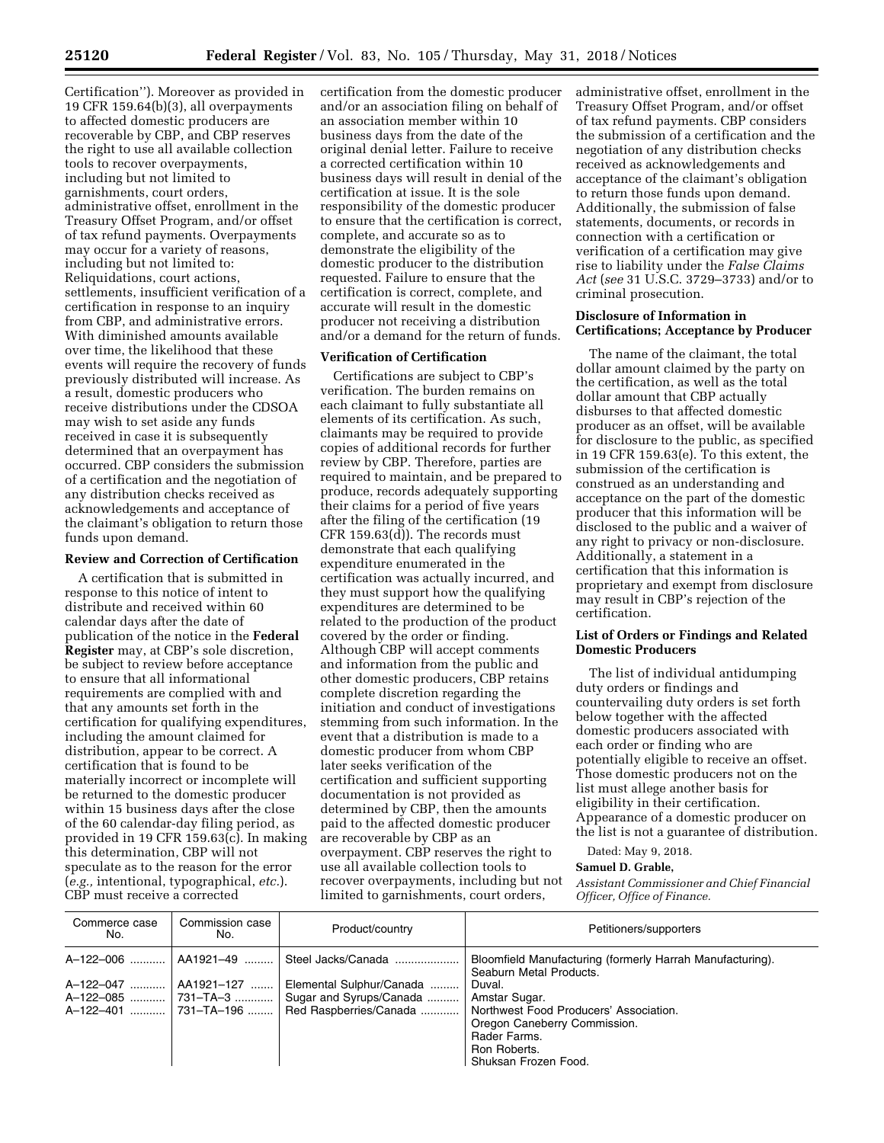Certification''). Moreover as provided in 19 CFR 159.64(b)(3), all overpayments to affected domestic producers are recoverable by CBP, and CBP reserves the right to use all available collection tools to recover overpayments, including but not limited to garnishments, court orders, administrative offset, enrollment in the Treasury Offset Program, and/or offset of tax refund payments. Overpayments may occur for a variety of reasons, including but not limited to: Reliquidations, court actions, settlements, insufficient verification of a certification in response to an inquiry from CBP, and administrative errors. With diminished amounts available over time, the likelihood that these events will require the recovery of funds previously distributed will increase. As a result, domestic producers who receive distributions under the CDSOA may wish to set aside any funds received in case it is subsequently determined that an overpayment has occurred. CBP considers the submission of a certification and the negotiation of any distribution checks received as acknowledgements and acceptance of the claimant's obligation to return those funds upon demand.

## **Review and Correction of Certification**

A certification that is submitted in response to this notice of intent to distribute and received within 60 calendar days after the date of publication of the notice in the **Federal Register** may, at CBP's sole discretion, be subject to review before acceptance to ensure that all informational requirements are complied with and that any amounts set forth in the certification for qualifying expenditures, including the amount claimed for distribution, appear to be correct. A certification that is found to be materially incorrect or incomplete will be returned to the domestic producer within 15 business days after the close of the 60 calendar-day filing period, as provided in 19 CFR 159.63(c). In making this determination, CBP will not speculate as to the reason for the error (*e.g.,* intentional, typographical, *etc.*). CBP must receive a corrected

certification from the domestic producer and/or an association filing on behalf of an association member within 10 business days from the date of the original denial letter. Failure to receive a corrected certification within 10 business days will result in denial of the certification at issue. It is the sole responsibility of the domestic producer to ensure that the certification is correct, complete, and accurate so as to demonstrate the eligibility of the domestic producer to the distribution requested. Failure to ensure that the certification is correct, complete, and accurate will result in the domestic producer not receiving a distribution and/or a demand for the return of funds.

#### **Verification of Certification**

Certifications are subject to CBP's verification. The burden remains on each claimant to fully substantiate all elements of its certification. As such, claimants may be required to provide copies of additional records for further review by CBP. Therefore, parties are required to maintain, and be prepared to produce, records adequately supporting their claims for a period of five years after the filing of the certification (19 CFR 159.63(d)). The records must demonstrate that each qualifying expenditure enumerated in the certification was actually incurred, and they must support how the qualifying expenditures are determined to be related to the production of the product covered by the order or finding. Although CBP will accept comments and information from the public and other domestic producers, CBP retains complete discretion regarding the initiation and conduct of investigations stemming from such information. In the event that a distribution is made to a domestic producer from whom CBP later seeks verification of the certification and sufficient supporting documentation is not provided as determined by CBP, then the amounts paid to the affected domestic producer are recoverable by CBP as an overpayment. CBP reserves the right to use all available collection tools to recover overpayments, including but not limited to garnishments, court orders,

administrative offset, enrollment in the Treasury Offset Program, and/or offset of tax refund payments. CBP considers the submission of a certification and the negotiation of any distribution checks received as acknowledgements and acceptance of the claimant's obligation to return those funds upon demand. Additionally, the submission of false statements, documents, or records in connection with a certification or verification of a certification may give rise to liability under the *False Claims Act* (*see* 31 U.S.C. 3729–3733) and/or to criminal prosecution.

# **Disclosure of Information in Certifications; Acceptance by Producer**

The name of the claimant, the total dollar amount claimed by the party on the certification, as well as the total dollar amount that CBP actually disburses to that affected domestic producer as an offset, will be available for disclosure to the public, as specified in 19 CFR 159.63(e). To this extent, the submission of the certification is construed as an understanding and acceptance on the part of the domestic producer that this information will be disclosed to the public and a waiver of any right to privacy or non-disclosure. Additionally, a statement in a certification that this information is proprietary and exempt from disclosure may result in CBP's rejection of the certification.

## **List of Orders or Findings and Related Domestic Producers**

The list of individual antidumping duty orders or findings and countervailing duty orders is set forth below together with the affected domestic producers associated with each order or finding who are potentially eligible to receive an offset. Those domestic producers not on the list must allege another basis for eligibility in their certification. Appearance of a domestic producer on the list is not a guarantee of distribution.

Dated: May 9, 2018.

#### **Samuel D. Grable,**

*Assistant Commissioner and Chief Financial Officer, Office of Finance.* 

| Commerce case<br>No.                                         | Commission case<br>No. | Product/country                                                                                                          | Petitioners/supporters                                                                                                                                                                                                                            |
|--------------------------------------------------------------|------------------------|--------------------------------------------------------------------------------------------------------------------------|---------------------------------------------------------------------------------------------------------------------------------------------------------------------------------------------------------------------------------------------------|
| A-122-006    AA1921-49<br>A-122-047<br>A-122-401  731-TA-196 | AA1921–127             | Steel Jacks/Canada<br>Elemental Sulphur/Canada<br>A-122-085  731-TA-3  Sugar and Syrups/Canada<br>Red Raspberries/Canada | Bloomfield Manufacturing (formerly Harrah Manufacturing).<br>Seaburn Metal Products.<br>Duval.<br>Amstar Sugar.<br>Northwest Food Producers' Association.<br>Oregon Caneberry Commission.<br>Rader Farms.<br>Ron Roberts.<br>Shuksan Frozen Food. |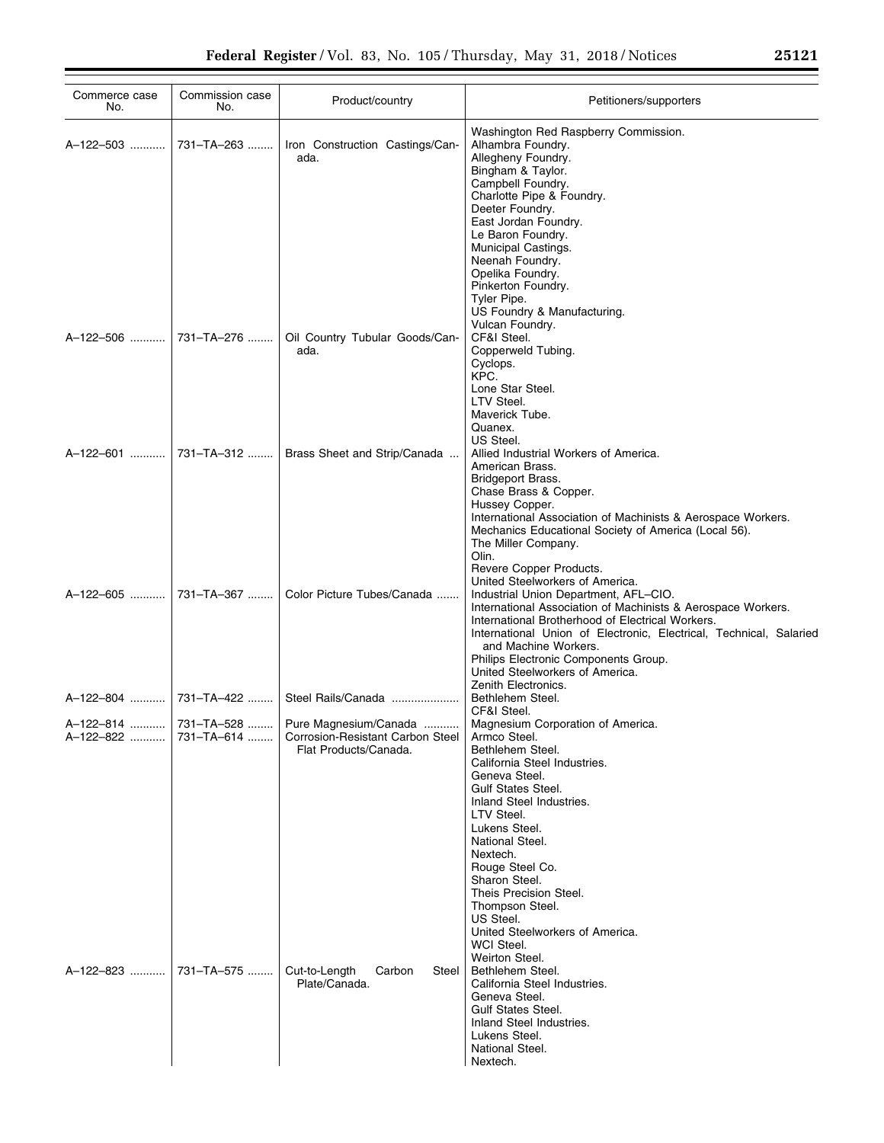| Commerce case<br>No.  | Commission case<br>No. | Product/country                                                                                           | Petitioners/supporters                                                                                                                                                                                                                                                                                                                                                                                  |
|-----------------------|------------------------|-----------------------------------------------------------------------------------------------------------|---------------------------------------------------------------------------------------------------------------------------------------------------------------------------------------------------------------------------------------------------------------------------------------------------------------------------------------------------------------------------------------------------------|
| A-122-503             | 731-TA-263             | Iron Construction Castings/Can-<br>ada.                                                                   | Washington Red Raspberry Commission.<br>Alhambra Foundry.<br>Allegheny Foundry.<br>Bingham & Taylor.<br>Campbell Foundry.<br>Charlotte Pipe & Foundry.<br>Deeter Foundry.<br>East Jordan Foundry.<br>Le Baron Foundry.<br>Municipal Castings.<br>Neenah Foundry.<br>Opelika Foundry.<br>Pinkerton Foundry.<br>Tyler Pipe.<br>US Foundry & Manufacturing.                                                |
|                       | A-122-506  731-TA-276  | Oil Country Tubular Goods/Can-<br>ada.                                                                    | Vulcan Foundry.<br>CF&I Steel.<br>Copperweld Tubing.<br>Cyclops.<br>KPC.<br>Lone Star Steel.<br>LTV Steel.<br>Maverick Tube.<br>Quanex.<br>US Steel.                                                                                                                                                                                                                                                    |
|                       |                        | A-122-601    731-TA-312    Brass Sheet and Strip/Canada                                                   | Allied Industrial Workers of America.<br>American Brass.<br>Bridgeport Brass.<br>Chase Brass & Copper.<br>Hussey Copper.<br>International Association of Machinists & Aerospace Workers.<br>Mechanics Educational Society of America (Local 56).<br>The Miller Company.<br>Olin.<br>Revere Copper Products.                                                                                             |
|                       | A-122-605  731-TA-367  | Color Picture Tubes/Canada                                                                                | United Steelworkers of America.<br>Industrial Union Department, AFL-CIO.<br>International Association of Machinists & Aerospace Workers.<br>International Brotherhood of Electrical Workers.<br>International Union of Electronic, Electrical, Technical, Salaried<br>and Machine Workers.<br>Philips Electronic Components Group.<br>United Steelworkers of America.<br>Zenith Electronics.            |
| A-122-804  731-TA-422 |                        | Steel Rails/Canada                                                                                        | Bethlehem Steel.<br>CF&I Steel.                                                                                                                                                                                                                                                                                                                                                                         |
| A-122-822             | 731–TA–614             | A-122-814  731-TA-528  Pure Magnesium/Canada<br>Corrosion-Resistant Carbon Steel<br>Flat Products/Canada. | Magnesium Corporation of America.<br>Armco Steel.<br>Bethlehem Steel.<br>California Steel Industries.<br>Geneva Steel.<br>Gulf States Steel.<br>Inland Steel Industries.<br>LTV Steel.<br>Lukens Steel.<br>National Steel.<br>Nextech.<br>Rouge Steel Co.<br>Sharon Steel.<br>Theis Precision Steel.<br>Thompson Steel.<br>US Steel.<br>United Steelworkers of America.<br>WCI Steel.<br>Weirton Steel. |
| A-122-823             | 731-TA-575             | Cut-to-Length<br>Steel<br>Carbon<br>Plate/Canada.                                                         | Bethlehem Steel.<br>California Steel Industries.<br>Geneva Steel.<br><b>Gulf States Steel.</b><br>Inland Steel Industries.<br>Lukens Steel.<br>National Steel.<br>Nextech.                                                                                                                                                                                                                              |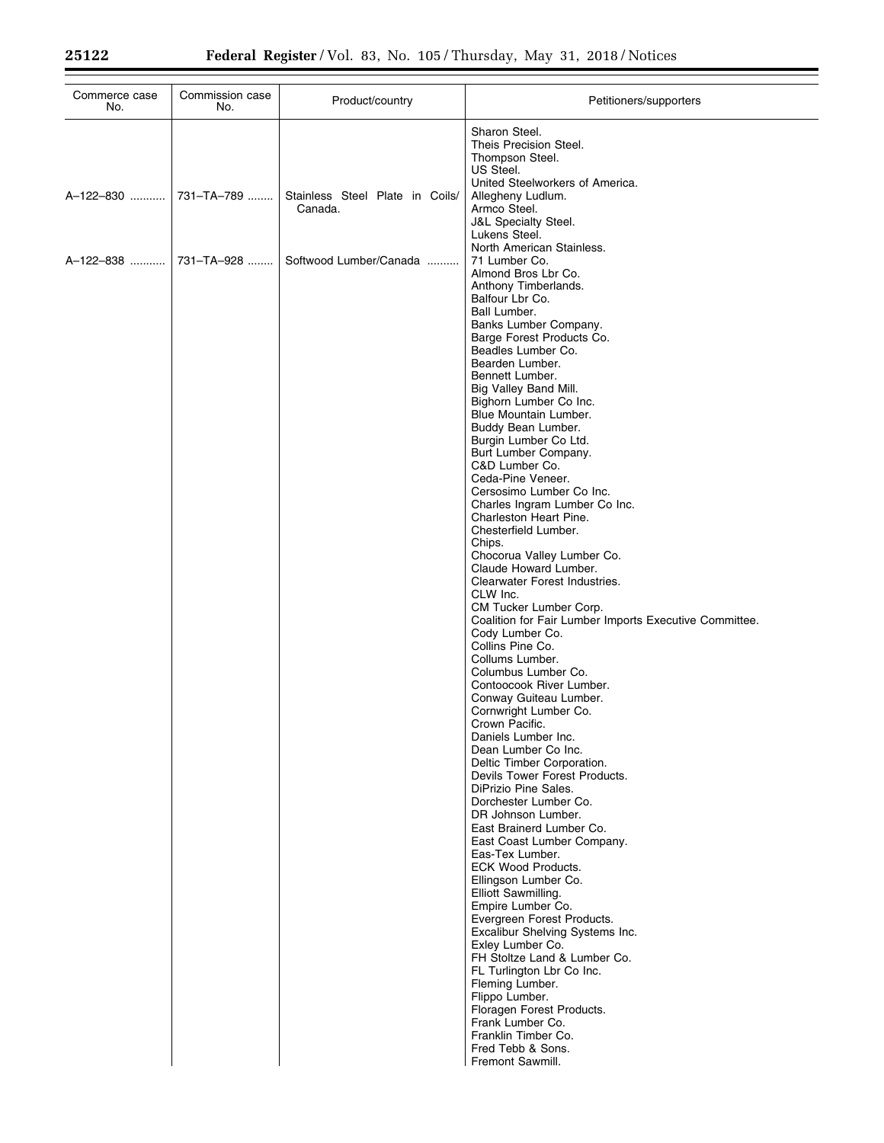| Commerce case<br>No. | Commission case<br>No. | Product/country                 | Petitioners/supporters                                                                                                                                                                                                                                                                                                                                                                                                                                                                                                                                                                                                                                                                                                                                                                                                                                                                                                                                                                                                                                                                                                                                                                                                                                                                                                                                                                                                                                                                                                                                                                   |
|----------------------|------------------------|---------------------------------|------------------------------------------------------------------------------------------------------------------------------------------------------------------------------------------------------------------------------------------------------------------------------------------------------------------------------------------------------------------------------------------------------------------------------------------------------------------------------------------------------------------------------------------------------------------------------------------------------------------------------------------------------------------------------------------------------------------------------------------------------------------------------------------------------------------------------------------------------------------------------------------------------------------------------------------------------------------------------------------------------------------------------------------------------------------------------------------------------------------------------------------------------------------------------------------------------------------------------------------------------------------------------------------------------------------------------------------------------------------------------------------------------------------------------------------------------------------------------------------------------------------------------------------------------------------------------------------|
| A-122-830            | 731-TA-789             | Stainless Steel Plate in Coils/ | Sharon Steel.<br>Theis Precision Steel.<br>Thompson Steel.<br>US Steel.<br>United Steelworkers of America.<br>Allegheny Ludlum.                                                                                                                                                                                                                                                                                                                                                                                                                                                                                                                                                                                                                                                                                                                                                                                                                                                                                                                                                                                                                                                                                                                                                                                                                                                                                                                                                                                                                                                          |
|                      |                        | Canada.                         | Armco Steel.<br>J&L Specialty Steel.<br>Lukens Steel.<br>North American Stainless.                                                                                                                                                                                                                                                                                                                                                                                                                                                                                                                                                                                                                                                                                                                                                                                                                                                                                                                                                                                                                                                                                                                                                                                                                                                                                                                                                                                                                                                                                                       |
| A-122-838            | 731-TA-928             | Softwood Lumber/Canada          | 71 Lumber Co.<br>Almond Bros Lbr Co.<br>Anthony Timberlands.<br>Balfour Lbr Co.<br>Ball Lumber.<br>Banks Lumber Company.<br>Barge Forest Products Co.<br>Beadles Lumber Co.<br>Bearden Lumber.<br>Bennett Lumber.<br>Big Valley Band Mill.<br>Bighorn Lumber Co Inc.<br>Blue Mountain Lumber.<br>Buddy Bean Lumber.<br>Burgin Lumber Co Ltd.<br>Burt Lumber Company.<br>C&D Lumber Co.<br>Ceda-Pine Veneer.<br>Cersosimo Lumber Co Inc.<br>Charles Ingram Lumber Co Inc.<br>Charleston Heart Pine.<br>Chesterfield Lumber.<br>Chips.<br>Chocorua Valley Lumber Co.<br>Claude Howard Lumber.<br>Clearwater Forest Industries.<br>CLW Inc.<br>CM Tucker Lumber Corp.<br>Coalition for Fair Lumber Imports Executive Committee.<br>Cody Lumber Co.<br>Collins Pine Co.<br>Collums Lumber.<br>Columbus Lumber Co.<br>Contoocook River Lumber.<br>Conway Guiteau Lumber.<br>Cornwright Lumber Co.<br>Crown Pacific.<br>Daniels Lumber Inc.<br>Dean Lumber Co Inc.<br>Deltic Timber Corporation.<br>Devils Tower Forest Products.<br>DiPrizio Pine Sales.<br>Dorchester Lumber Co.<br>DR Johnson Lumber.<br>East Brainerd Lumber Co.<br>East Coast Lumber Company.<br>Eas-Tex Lumber.<br><b>ECK Wood Products.</b><br>Ellingson Lumber Co.<br>Elliott Sawmilling.<br>Empire Lumber Co.<br>Evergreen Forest Products.<br>Excalibur Shelving Systems Inc.<br>Exley Lumber Co.<br>FH Stoltze Land & Lumber Co.<br>FL Turlington Lbr Co Inc.<br>Fleming Lumber.<br>Flippo Lumber.<br>Floragen Forest Products.<br>Frank Lumber Co.<br>Franklin Timber Co.<br>Fred Tebb & Sons.<br>Fremont Sawmill. |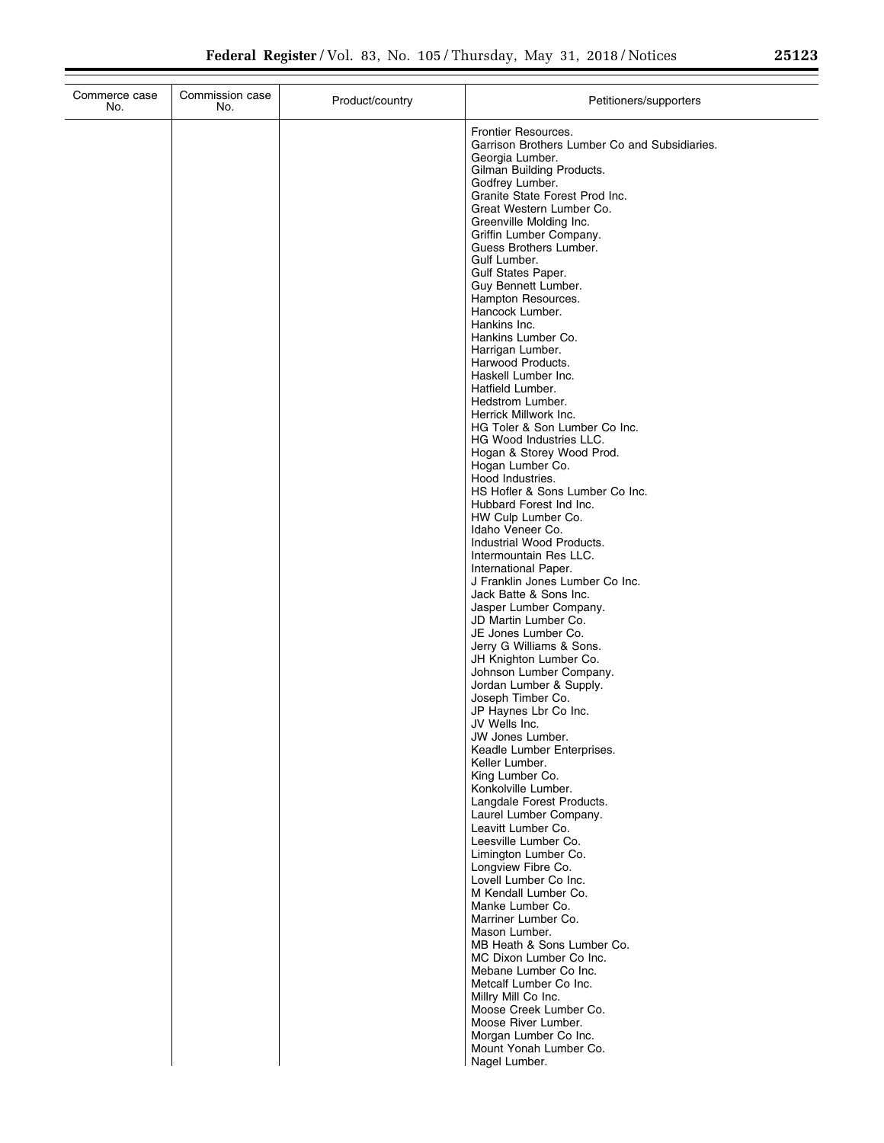| Frontier Resources.<br>Garrison Brothers Lumber Co and Subsidiaries.<br>Georgia Lumber.<br>Gilman Building Products.<br>Godfrey Lumber.<br>Granite State Forest Prod Inc.<br>Great Western Lumber Co.<br>Greenville Molding Inc.<br>Griffin Lumber Company.<br>Guess Brothers Lumber.<br>Gulf Lumber.<br>Gulf States Paper.<br>Guy Bennett Lumber.<br>Hampton Resources.<br>Hancock Lumber.<br>Hankins Inc.<br>Hankins Lumber Co.<br>Harrigan Lumber.<br>Harwood Products.<br>Haskell Lumber Inc.<br>Hatfield Lumber.<br>Hedstrom Lumber.<br>Herrick Millwork Inc.<br>HG Toler & Son Lumber Co Inc.<br>HG Wood Industries LLC.<br>Hogan & Storey Wood Prod.<br>Hogan Lumber Co.<br>Hood Industries.<br>HS Hofler & Sons Lumber Co Inc.<br>Hubbard Forest Ind Inc.<br>HW Culp Lumber Co.<br>Idaho Veneer Co.<br>Industrial Wood Products.<br>Intermountain Res LLC.<br>International Paper.<br>J Franklin Jones Lumber Co Inc.<br>Jack Batte & Sons Inc.<br>Jasper Lumber Company.<br>JD Martin Lumber Co.<br>JE Jones Lumber Co.<br>Jerry G Williams & Sons.<br>JH Knighton Lumber Co.<br>Johnson Lumber Company.<br>Jordan Lumber & Supply.<br>Joseph Timber Co.<br>JP Haynes Lbr Co Inc.<br>JV Wells Inc.<br>JW Jones Lumber.<br>Keadle Lumber Enterprises.<br>Keller Lumber.<br>King Lumber Co.<br>Konkolville Lumber.<br>Langdale Forest Products.<br>Laurel Lumber Company.<br>Leavitt Lumber Co.<br>Leesville Lumber Co.<br>Limington Lumber Co.<br>Longview Fibre Co.<br>Lovell Lumber Co Inc.<br>M Kendall Lumber Co.<br>Manke Lumber Co.<br>Marriner Lumber Co.<br>Mason Lumber.<br>MB Heath & Sons Lumber Co.<br>MC Dixon Lumber Co Inc.<br>Mebane Lumber Co Inc.<br>Metcalf Lumber Co Inc.<br>Millry Mill Co Inc.<br>Moose Creek Lumber Co.<br>Moose River Lumber.<br>Morgan Lumber Co Inc.<br>Mount Yonah Lumber Co.<br>Nagel Lumber. | Commerce case<br>No. | Commission case<br>No. | Product/country | Petitioners/supporters |
|---------------------------------------------------------------------------------------------------------------------------------------------------------------------------------------------------------------------------------------------------------------------------------------------------------------------------------------------------------------------------------------------------------------------------------------------------------------------------------------------------------------------------------------------------------------------------------------------------------------------------------------------------------------------------------------------------------------------------------------------------------------------------------------------------------------------------------------------------------------------------------------------------------------------------------------------------------------------------------------------------------------------------------------------------------------------------------------------------------------------------------------------------------------------------------------------------------------------------------------------------------------------------------------------------------------------------------------------------------------------------------------------------------------------------------------------------------------------------------------------------------------------------------------------------------------------------------------------------------------------------------------------------------------------------------------------------------------------------------------------------------------------------------------------------------------------------------------------------|----------------------|------------------------|-----------------|------------------------|
|                                                                                                                                                                                                                                                                                                                                                                                                                                                                                                                                                                                                                                                                                                                                                                                                                                                                                                                                                                                                                                                                                                                                                                                                                                                                                                                                                                                                                                                                                                                                                                                                                                                                                                                                                                                                                                                   |                      |                        |                 |                        |
|                                                                                                                                                                                                                                                                                                                                                                                                                                                                                                                                                                                                                                                                                                                                                                                                                                                                                                                                                                                                                                                                                                                                                                                                                                                                                                                                                                                                                                                                                                                                                                                                                                                                                                                                                                                                                                                   |                      |                        |                 |                        |
|                                                                                                                                                                                                                                                                                                                                                                                                                                                                                                                                                                                                                                                                                                                                                                                                                                                                                                                                                                                                                                                                                                                                                                                                                                                                                                                                                                                                                                                                                                                                                                                                                                                                                                                                                                                                                                                   |                      |                        |                 |                        |
|                                                                                                                                                                                                                                                                                                                                                                                                                                                                                                                                                                                                                                                                                                                                                                                                                                                                                                                                                                                                                                                                                                                                                                                                                                                                                                                                                                                                                                                                                                                                                                                                                                                                                                                                                                                                                                                   |                      |                        |                 |                        |
|                                                                                                                                                                                                                                                                                                                                                                                                                                                                                                                                                                                                                                                                                                                                                                                                                                                                                                                                                                                                                                                                                                                                                                                                                                                                                                                                                                                                                                                                                                                                                                                                                                                                                                                                                                                                                                                   |                      |                        |                 |                        |
|                                                                                                                                                                                                                                                                                                                                                                                                                                                                                                                                                                                                                                                                                                                                                                                                                                                                                                                                                                                                                                                                                                                                                                                                                                                                                                                                                                                                                                                                                                                                                                                                                                                                                                                                                                                                                                                   |                      |                        |                 |                        |
|                                                                                                                                                                                                                                                                                                                                                                                                                                                                                                                                                                                                                                                                                                                                                                                                                                                                                                                                                                                                                                                                                                                                                                                                                                                                                                                                                                                                                                                                                                                                                                                                                                                                                                                                                                                                                                                   |                      |                        |                 |                        |
|                                                                                                                                                                                                                                                                                                                                                                                                                                                                                                                                                                                                                                                                                                                                                                                                                                                                                                                                                                                                                                                                                                                                                                                                                                                                                                                                                                                                                                                                                                                                                                                                                                                                                                                                                                                                                                                   |                      |                        |                 |                        |
|                                                                                                                                                                                                                                                                                                                                                                                                                                                                                                                                                                                                                                                                                                                                                                                                                                                                                                                                                                                                                                                                                                                                                                                                                                                                                                                                                                                                                                                                                                                                                                                                                                                                                                                                                                                                                                                   |                      |                        |                 |                        |
|                                                                                                                                                                                                                                                                                                                                                                                                                                                                                                                                                                                                                                                                                                                                                                                                                                                                                                                                                                                                                                                                                                                                                                                                                                                                                                                                                                                                                                                                                                                                                                                                                                                                                                                                                                                                                                                   |                      |                        |                 |                        |
|                                                                                                                                                                                                                                                                                                                                                                                                                                                                                                                                                                                                                                                                                                                                                                                                                                                                                                                                                                                                                                                                                                                                                                                                                                                                                                                                                                                                                                                                                                                                                                                                                                                                                                                                                                                                                                                   |                      |                        |                 |                        |
|                                                                                                                                                                                                                                                                                                                                                                                                                                                                                                                                                                                                                                                                                                                                                                                                                                                                                                                                                                                                                                                                                                                                                                                                                                                                                                                                                                                                                                                                                                                                                                                                                                                                                                                                                                                                                                                   |                      |                        |                 |                        |
|                                                                                                                                                                                                                                                                                                                                                                                                                                                                                                                                                                                                                                                                                                                                                                                                                                                                                                                                                                                                                                                                                                                                                                                                                                                                                                                                                                                                                                                                                                                                                                                                                                                                                                                                                                                                                                                   |                      |                        |                 |                        |
|                                                                                                                                                                                                                                                                                                                                                                                                                                                                                                                                                                                                                                                                                                                                                                                                                                                                                                                                                                                                                                                                                                                                                                                                                                                                                                                                                                                                                                                                                                                                                                                                                                                                                                                                                                                                                                                   |                      |                        |                 |                        |
|                                                                                                                                                                                                                                                                                                                                                                                                                                                                                                                                                                                                                                                                                                                                                                                                                                                                                                                                                                                                                                                                                                                                                                                                                                                                                                                                                                                                                                                                                                                                                                                                                                                                                                                                                                                                                                                   |                      |                        |                 |                        |
|                                                                                                                                                                                                                                                                                                                                                                                                                                                                                                                                                                                                                                                                                                                                                                                                                                                                                                                                                                                                                                                                                                                                                                                                                                                                                                                                                                                                                                                                                                                                                                                                                                                                                                                                                                                                                                                   |                      |                        |                 |                        |
|                                                                                                                                                                                                                                                                                                                                                                                                                                                                                                                                                                                                                                                                                                                                                                                                                                                                                                                                                                                                                                                                                                                                                                                                                                                                                                                                                                                                                                                                                                                                                                                                                                                                                                                                                                                                                                                   |                      |                        |                 |                        |
|                                                                                                                                                                                                                                                                                                                                                                                                                                                                                                                                                                                                                                                                                                                                                                                                                                                                                                                                                                                                                                                                                                                                                                                                                                                                                                                                                                                                                                                                                                                                                                                                                                                                                                                                                                                                                                                   |                      |                        |                 |                        |
|                                                                                                                                                                                                                                                                                                                                                                                                                                                                                                                                                                                                                                                                                                                                                                                                                                                                                                                                                                                                                                                                                                                                                                                                                                                                                                                                                                                                                                                                                                                                                                                                                                                                                                                                                                                                                                                   |                      |                        |                 |                        |
|                                                                                                                                                                                                                                                                                                                                                                                                                                                                                                                                                                                                                                                                                                                                                                                                                                                                                                                                                                                                                                                                                                                                                                                                                                                                                                                                                                                                                                                                                                                                                                                                                                                                                                                                                                                                                                                   |                      |                        |                 |                        |
|                                                                                                                                                                                                                                                                                                                                                                                                                                                                                                                                                                                                                                                                                                                                                                                                                                                                                                                                                                                                                                                                                                                                                                                                                                                                                                                                                                                                                                                                                                                                                                                                                                                                                                                                                                                                                                                   |                      |                        |                 |                        |
|                                                                                                                                                                                                                                                                                                                                                                                                                                                                                                                                                                                                                                                                                                                                                                                                                                                                                                                                                                                                                                                                                                                                                                                                                                                                                                                                                                                                                                                                                                                                                                                                                                                                                                                                                                                                                                                   |                      |                        |                 |                        |
|                                                                                                                                                                                                                                                                                                                                                                                                                                                                                                                                                                                                                                                                                                                                                                                                                                                                                                                                                                                                                                                                                                                                                                                                                                                                                                                                                                                                                                                                                                                                                                                                                                                                                                                                                                                                                                                   |                      |                        |                 |                        |
|                                                                                                                                                                                                                                                                                                                                                                                                                                                                                                                                                                                                                                                                                                                                                                                                                                                                                                                                                                                                                                                                                                                                                                                                                                                                                                                                                                                                                                                                                                                                                                                                                                                                                                                                                                                                                                                   |                      |                        |                 |                        |
|                                                                                                                                                                                                                                                                                                                                                                                                                                                                                                                                                                                                                                                                                                                                                                                                                                                                                                                                                                                                                                                                                                                                                                                                                                                                                                                                                                                                                                                                                                                                                                                                                                                                                                                                                                                                                                                   |                      |                        |                 |                        |
|                                                                                                                                                                                                                                                                                                                                                                                                                                                                                                                                                                                                                                                                                                                                                                                                                                                                                                                                                                                                                                                                                                                                                                                                                                                                                                                                                                                                                                                                                                                                                                                                                                                                                                                                                                                                                                                   |                      |                        |                 |                        |
|                                                                                                                                                                                                                                                                                                                                                                                                                                                                                                                                                                                                                                                                                                                                                                                                                                                                                                                                                                                                                                                                                                                                                                                                                                                                                                                                                                                                                                                                                                                                                                                                                                                                                                                                                                                                                                                   |                      |                        |                 |                        |
|                                                                                                                                                                                                                                                                                                                                                                                                                                                                                                                                                                                                                                                                                                                                                                                                                                                                                                                                                                                                                                                                                                                                                                                                                                                                                                                                                                                                                                                                                                                                                                                                                                                                                                                                                                                                                                                   |                      |                        |                 |                        |
|                                                                                                                                                                                                                                                                                                                                                                                                                                                                                                                                                                                                                                                                                                                                                                                                                                                                                                                                                                                                                                                                                                                                                                                                                                                                                                                                                                                                                                                                                                                                                                                                                                                                                                                                                                                                                                                   |                      |                        |                 |                        |
|                                                                                                                                                                                                                                                                                                                                                                                                                                                                                                                                                                                                                                                                                                                                                                                                                                                                                                                                                                                                                                                                                                                                                                                                                                                                                                                                                                                                                                                                                                                                                                                                                                                                                                                                                                                                                                                   |                      |                        |                 |                        |
|                                                                                                                                                                                                                                                                                                                                                                                                                                                                                                                                                                                                                                                                                                                                                                                                                                                                                                                                                                                                                                                                                                                                                                                                                                                                                                                                                                                                                                                                                                                                                                                                                                                                                                                                                                                                                                                   |                      |                        |                 |                        |
|                                                                                                                                                                                                                                                                                                                                                                                                                                                                                                                                                                                                                                                                                                                                                                                                                                                                                                                                                                                                                                                                                                                                                                                                                                                                                                                                                                                                                                                                                                                                                                                                                                                                                                                                                                                                                                                   |                      |                        |                 |                        |
|                                                                                                                                                                                                                                                                                                                                                                                                                                                                                                                                                                                                                                                                                                                                                                                                                                                                                                                                                                                                                                                                                                                                                                                                                                                                                                                                                                                                                                                                                                                                                                                                                                                                                                                                                                                                                                                   |                      |                        |                 |                        |
|                                                                                                                                                                                                                                                                                                                                                                                                                                                                                                                                                                                                                                                                                                                                                                                                                                                                                                                                                                                                                                                                                                                                                                                                                                                                                                                                                                                                                                                                                                                                                                                                                                                                                                                                                                                                                                                   |                      |                        |                 |                        |
|                                                                                                                                                                                                                                                                                                                                                                                                                                                                                                                                                                                                                                                                                                                                                                                                                                                                                                                                                                                                                                                                                                                                                                                                                                                                                                                                                                                                                                                                                                                                                                                                                                                                                                                                                                                                                                                   |                      |                        |                 |                        |
|                                                                                                                                                                                                                                                                                                                                                                                                                                                                                                                                                                                                                                                                                                                                                                                                                                                                                                                                                                                                                                                                                                                                                                                                                                                                                                                                                                                                                                                                                                                                                                                                                                                                                                                                                                                                                                                   |                      |                        |                 |                        |
|                                                                                                                                                                                                                                                                                                                                                                                                                                                                                                                                                                                                                                                                                                                                                                                                                                                                                                                                                                                                                                                                                                                                                                                                                                                                                                                                                                                                                                                                                                                                                                                                                                                                                                                                                                                                                                                   |                      |                        |                 |                        |
|                                                                                                                                                                                                                                                                                                                                                                                                                                                                                                                                                                                                                                                                                                                                                                                                                                                                                                                                                                                                                                                                                                                                                                                                                                                                                                                                                                                                                                                                                                                                                                                                                                                                                                                                                                                                                                                   |                      |                        |                 |                        |
|                                                                                                                                                                                                                                                                                                                                                                                                                                                                                                                                                                                                                                                                                                                                                                                                                                                                                                                                                                                                                                                                                                                                                                                                                                                                                                                                                                                                                                                                                                                                                                                                                                                                                                                                                                                                                                                   |                      |                        |                 |                        |
|                                                                                                                                                                                                                                                                                                                                                                                                                                                                                                                                                                                                                                                                                                                                                                                                                                                                                                                                                                                                                                                                                                                                                                                                                                                                                                                                                                                                                                                                                                                                                                                                                                                                                                                                                                                                                                                   |                      |                        |                 |                        |
|                                                                                                                                                                                                                                                                                                                                                                                                                                                                                                                                                                                                                                                                                                                                                                                                                                                                                                                                                                                                                                                                                                                                                                                                                                                                                                                                                                                                                                                                                                                                                                                                                                                                                                                                                                                                                                                   |                      |                        |                 |                        |
|                                                                                                                                                                                                                                                                                                                                                                                                                                                                                                                                                                                                                                                                                                                                                                                                                                                                                                                                                                                                                                                                                                                                                                                                                                                                                                                                                                                                                                                                                                                                                                                                                                                                                                                                                                                                                                                   |                      |                        |                 |                        |
|                                                                                                                                                                                                                                                                                                                                                                                                                                                                                                                                                                                                                                                                                                                                                                                                                                                                                                                                                                                                                                                                                                                                                                                                                                                                                                                                                                                                                                                                                                                                                                                                                                                                                                                                                                                                                                                   |                      |                        |                 |                        |
|                                                                                                                                                                                                                                                                                                                                                                                                                                                                                                                                                                                                                                                                                                                                                                                                                                                                                                                                                                                                                                                                                                                                                                                                                                                                                                                                                                                                                                                                                                                                                                                                                                                                                                                                                                                                                                                   |                      |                        |                 |                        |
|                                                                                                                                                                                                                                                                                                                                                                                                                                                                                                                                                                                                                                                                                                                                                                                                                                                                                                                                                                                                                                                                                                                                                                                                                                                                                                                                                                                                                                                                                                                                                                                                                                                                                                                                                                                                                                                   |                      |                        |                 |                        |
|                                                                                                                                                                                                                                                                                                                                                                                                                                                                                                                                                                                                                                                                                                                                                                                                                                                                                                                                                                                                                                                                                                                                                                                                                                                                                                                                                                                                                                                                                                                                                                                                                                                                                                                                                                                                                                                   |                      |                        |                 |                        |
|                                                                                                                                                                                                                                                                                                                                                                                                                                                                                                                                                                                                                                                                                                                                                                                                                                                                                                                                                                                                                                                                                                                                                                                                                                                                                                                                                                                                                                                                                                                                                                                                                                                                                                                                                                                                                                                   |                      |                        |                 |                        |
|                                                                                                                                                                                                                                                                                                                                                                                                                                                                                                                                                                                                                                                                                                                                                                                                                                                                                                                                                                                                                                                                                                                                                                                                                                                                                                                                                                                                                                                                                                                                                                                                                                                                                                                                                                                                                                                   |                      |                        |                 |                        |
|                                                                                                                                                                                                                                                                                                                                                                                                                                                                                                                                                                                                                                                                                                                                                                                                                                                                                                                                                                                                                                                                                                                                                                                                                                                                                                                                                                                                                                                                                                                                                                                                                                                                                                                                                                                                                                                   |                      |                        |                 |                        |
|                                                                                                                                                                                                                                                                                                                                                                                                                                                                                                                                                                                                                                                                                                                                                                                                                                                                                                                                                                                                                                                                                                                                                                                                                                                                                                                                                                                                                                                                                                                                                                                                                                                                                                                                                                                                                                                   |                      |                        |                 |                        |
|                                                                                                                                                                                                                                                                                                                                                                                                                                                                                                                                                                                                                                                                                                                                                                                                                                                                                                                                                                                                                                                                                                                                                                                                                                                                                                                                                                                                                                                                                                                                                                                                                                                                                                                                                                                                                                                   |                      |                        |                 |                        |
|                                                                                                                                                                                                                                                                                                                                                                                                                                                                                                                                                                                                                                                                                                                                                                                                                                                                                                                                                                                                                                                                                                                                                                                                                                                                                                                                                                                                                                                                                                                                                                                                                                                                                                                                                                                                                                                   |                      |                        |                 |                        |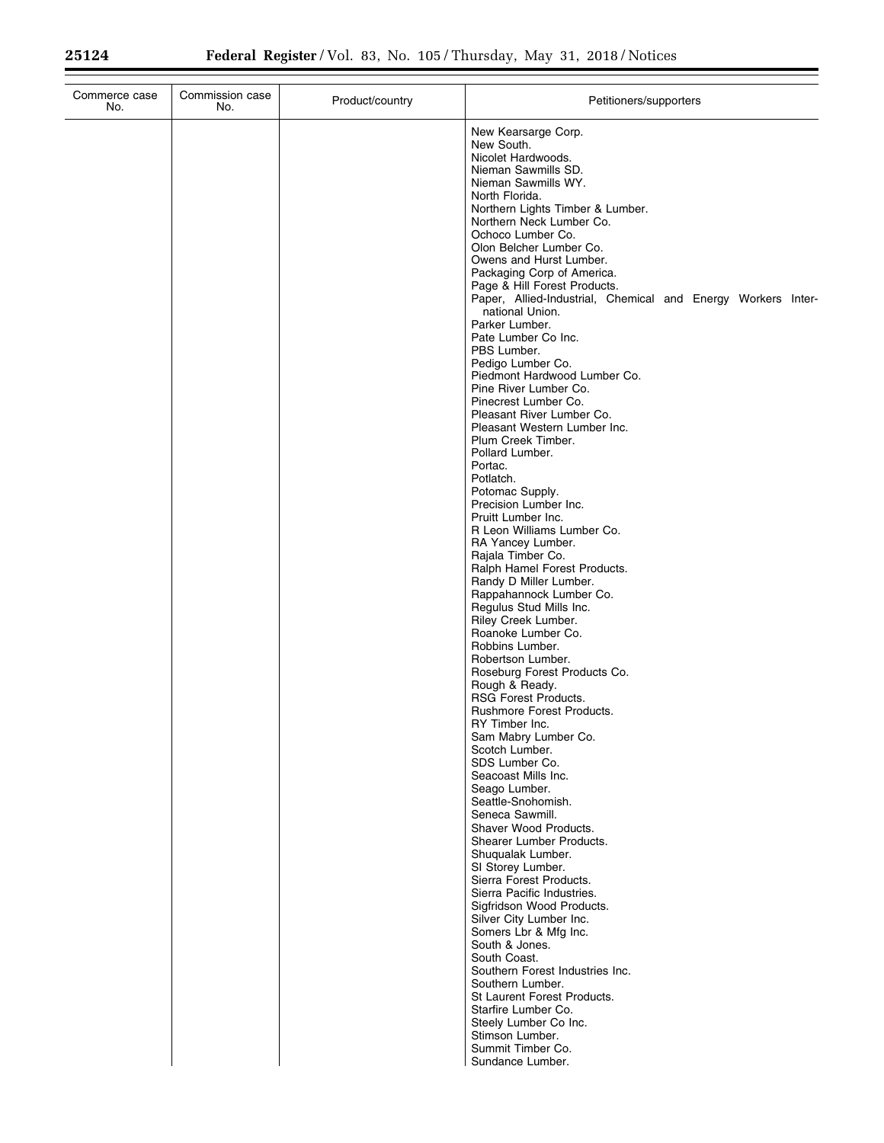| Commerce case<br>No. | Commission case<br>No. | Product/country | Petitioners/supporters                                                                                                                                                                                                                                                                                                                                                                                                                                                                                                                                                                                                                                                                                                                                                                                                                                                                                                                                                                                                                                                                                                                                                                                                                                                                                                                                                                                                       |
|----------------------|------------------------|-----------------|------------------------------------------------------------------------------------------------------------------------------------------------------------------------------------------------------------------------------------------------------------------------------------------------------------------------------------------------------------------------------------------------------------------------------------------------------------------------------------------------------------------------------------------------------------------------------------------------------------------------------------------------------------------------------------------------------------------------------------------------------------------------------------------------------------------------------------------------------------------------------------------------------------------------------------------------------------------------------------------------------------------------------------------------------------------------------------------------------------------------------------------------------------------------------------------------------------------------------------------------------------------------------------------------------------------------------------------------------------------------------------------------------------------------------|
|                      |                        |                 | New Kearsarge Corp.<br>New South.<br>Nicolet Hardwoods.<br>Nieman Sawmills SD.<br>Nieman Sawmills WY.<br>North Florida.<br>Northern Lights Timber & Lumber.<br>Northern Neck Lumber Co.<br>Ochoco Lumber Co.<br>Olon Belcher Lumber Co.<br>Owens and Hurst Lumber.<br>Packaging Corp of America.<br>Page & Hill Forest Products.<br>Paper, Allied-Industrial, Chemical and Energy Workers Inter-<br>national Union.<br>Parker Lumber.<br>Pate Lumber Co Inc.<br>PBS Lumber.<br>Pedigo Lumber Co.<br>Piedmont Hardwood Lumber Co.<br>Pine River Lumber Co.<br>Pinecrest Lumber Co.<br>Pleasant River Lumber Co.<br>Pleasant Western Lumber Inc.<br>Plum Creek Timber.<br>Pollard Lumber.<br>Portac.<br>Potlatch.<br>Potomac Supply.<br>Precision Lumber Inc.<br>Pruitt Lumber Inc.<br>R Leon Williams Lumber Co.<br>RA Yancey Lumber.<br>Rajala Timber Co.<br>Ralph Hamel Forest Products.<br>Randy D Miller Lumber.<br>Rappahannock Lumber Co.<br>Regulus Stud Mills Inc.<br>Riley Creek Lumber.<br>Roanoke Lumber Co.<br>Robbins Lumber.<br>Robertson Lumber.<br>Roseburg Forest Products Co.<br>Rough & Ready.<br><b>RSG Forest Products.</b><br><b>Rushmore Forest Products.</b><br>RY Timber Inc.<br>Sam Mabry Lumber Co.<br>Scotch Lumber.<br>SDS Lumber Co.<br>Seacoast Mills Inc.<br>Seago Lumber.<br>Seattle-Snohomish.<br>Seneca Sawmill.<br>Shaver Wood Products.<br>Shearer Lumber Products.<br>Shuqualak Lumber. |
|                      |                        |                 | SI Storey Lumber.<br>Sierra Forest Products.<br>Sierra Pacific Industries.<br>Sigfridson Wood Products.<br>Silver City Lumber Inc.<br>Somers Lbr & Mfg Inc.                                                                                                                                                                                                                                                                                                                                                                                                                                                                                                                                                                                                                                                                                                                                                                                                                                                                                                                                                                                                                                                                                                                                                                                                                                                                  |
|                      |                        |                 | South & Jones.<br>South Coast.<br>Southern Forest Industries Inc.<br>Southern Lumber.<br>St Laurent Forest Products.<br>Starfire Lumber Co.<br>Steely Lumber Co Inc.<br>Stimson Lumber.<br>Summit Timber Co.<br>Sundance Lumber.                                                                                                                                                                                                                                                                                                                                                                                                                                                                                                                                                                                                                                                                                                                                                                                                                                                                                                                                                                                                                                                                                                                                                                                             |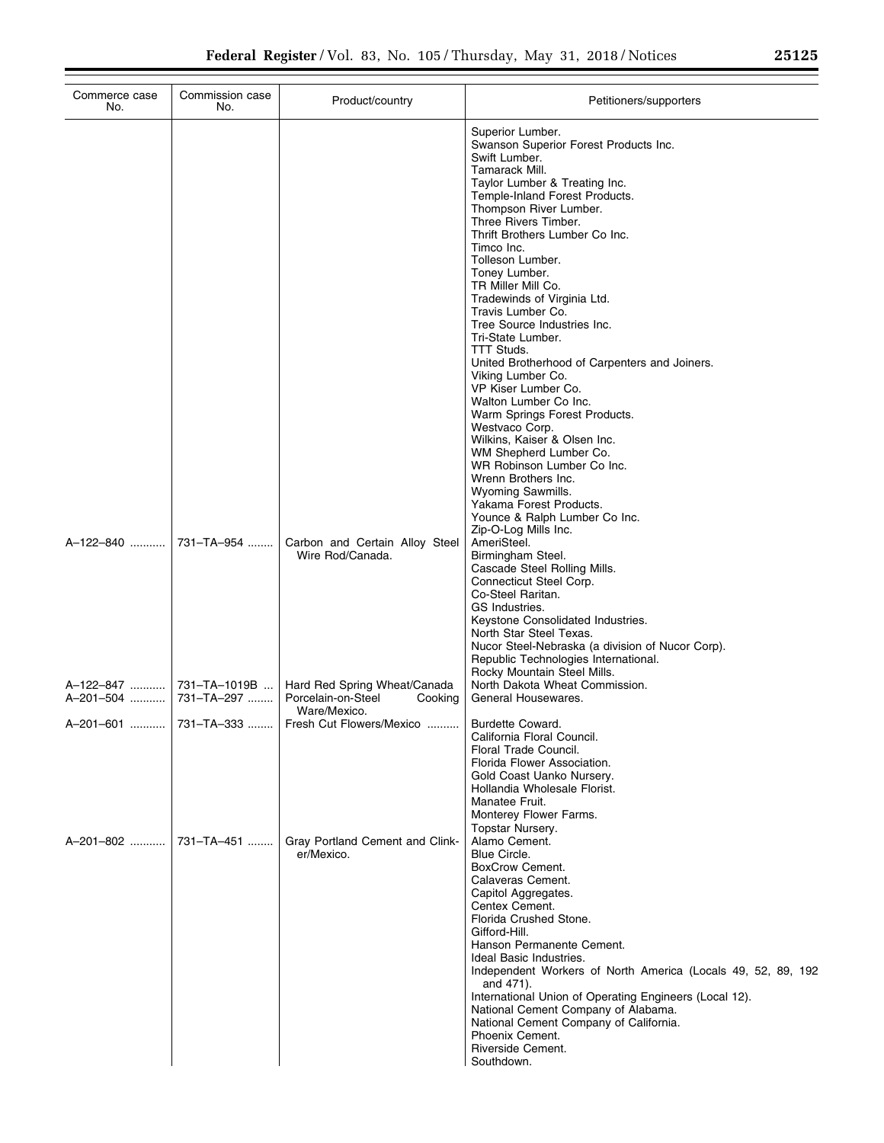| Commerce case<br>No.                             | Commission case<br>No. | Product/country                                                               | Petitioners/supporters                                                                                                                                                                                                                                                                                                                                                                                                                                                                                                                                                                                                                                                                                                                                                                                                                                     |
|--------------------------------------------------|------------------------|-------------------------------------------------------------------------------|------------------------------------------------------------------------------------------------------------------------------------------------------------------------------------------------------------------------------------------------------------------------------------------------------------------------------------------------------------------------------------------------------------------------------------------------------------------------------------------------------------------------------------------------------------------------------------------------------------------------------------------------------------------------------------------------------------------------------------------------------------------------------------------------------------------------------------------------------------|
|                                                  |                        |                                                                               | Superior Lumber.<br>Swanson Superior Forest Products Inc.<br>Swift Lumber.<br>Tamarack Mill.<br>Taylor Lumber & Treating Inc.<br>Temple-Inland Forest Products.<br>Thompson River Lumber.<br>Three Rivers Timber.<br>Thrift Brothers Lumber Co Inc.<br>Timco Inc.<br>Tolleson Lumber.<br>Toney Lumber.<br>TR Miller Mill Co.<br>Tradewinds of Virginia Ltd.<br>Travis Lumber Co.<br>Tree Source Industries Inc.<br>Tri-State Lumber.<br><b>TTT Studs.</b><br>United Brotherhood of Carpenters and Joiners.<br>Viking Lumber Co.<br>VP Kiser Lumber Co.<br>Walton Lumber Co Inc.<br>Warm Springs Forest Products.<br>Westvaco Corp.<br>Wilkins, Kaiser & Olsen Inc.<br>WM Shepherd Lumber Co.<br>WR Robinson Lumber Co Inc.<br>Wrenn Brothers Inc.<br>Wyoming Sawmills.<br>Yakama Forest Products.<br>Younce & Ralph Lumber Co Inc.<br>Zip-O-Log Mills Inc. |
| A-122-840  731-TA-954                            |                        | Carbon and Certain Alloy Steel<br>Wire Rod/Canada.                            | AmeriSteel.<br>Birmingham Steel.<br>Cascade Steel Rolling Mills.<br>Connecticut Steel Corp.<br>Co-Steel Raritan.<br>GS Industries.<br>Keystone Consolidated Industries.<br>North Star Steel Texas.<br>Nucor Steel-Nebraska (a division of Nucor Corp).<br>Republic Technologies International.<br>Rocky Mountain Steel Mills.                                                                                                                                                                                                                                                                                                                                                                                                                                                                                                                              |
| A-122-847  731-TA-1019B<br>A-201-504  731-TA-297 |                        | Hard Red Spring Wheat/Canada<br>Porcelain-on-Steel<br>Cooking<br>Ware/Mexico. | North Dakota Wheat Commission.<br>General Housewares.                                                                                                                                                                                                                                                                                                                                                                                                                                                                                                                                                                                                                                                                                                                                                                                                      |
|                                                  |                        | Fresh Cut Flowers/Mexico                                                      | <b>Burdette Coward.</b><br>California Floral Council.<br>Floral Trade Council.<br>Florida Flower Association.<br>Gold Coast Uanko Nursery.<br>Hollandia Wholesale Florist.<br>Manatee Fruit.<br>Monterey Flower Farms.                                                                                                                                                                                                                                                                                                                                                                                                                                                                                                                                                                                                                                     |
| A-201-802  731-TA-451                            |                        | Gray Portland Cement and Clink-<br>er/Mexico.                                 | Topstar Nursery.<br>Alamo Cement.<br>Blue Circle.<br>BoxCrow Cement.<br>Calaveras Cement.<br>Capitol Aggregates.<br>Centex Cement.<br>Florida Crushed Stone.<br>Gifford-Hill.<br>Hanson Permanente Cement.<br>Ideal Basic Industries.<br>Independent Workers of North America (Locals 49, 52, 89, 192<br>and 471).<br>International Union of Operating Engineers (Local 12).<br>National Cement Company of Alabama.<br>National Cement Company of California.<br>Phoenix Cement.<br>Riverside Cement.<br>Southdown.                                                                                                                                                                                                                                                                                                                                        |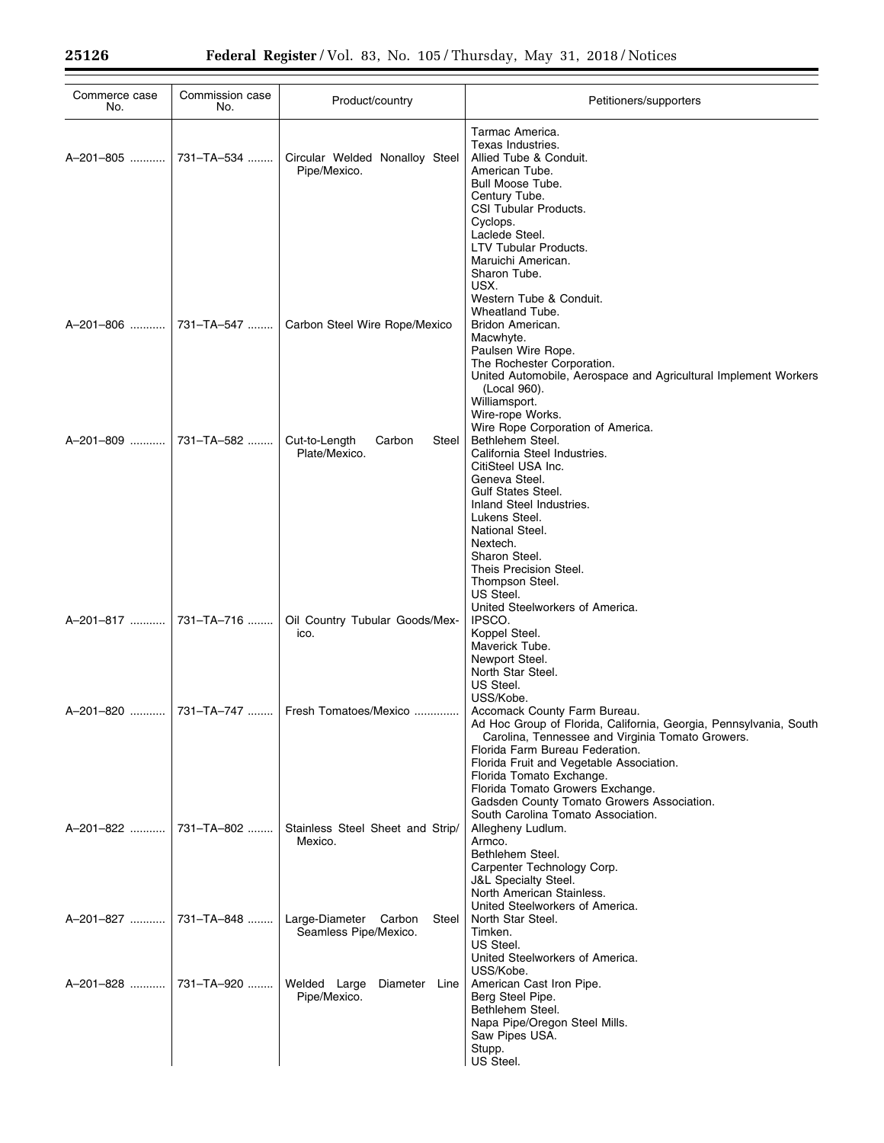| Commerce case<br>No.  | Commission case<br>No. | Product/country                                         | Petitioners/supporters                                                                                                                                                                                                                                                                                                                                                                   |
|-----------------------|------------------------|---------------------------------------------------------|------------------------------------------------------------------------------------------------------------------------------------------------------------------------------------------------------------------------------------------------------------------------------------------------------------------------------------------------------------------------------------------|
| A-201-805             | 731-TA-534             | Circular Welded Nonalloy Steel<br>Pipe/Mexico.          | Tarmac America.<br>Texas Industries.<br>Allied Tube & Conduit.<br>American Tube.<br>Bull Moose Tube.<br>Century Tube.<br>CSI Tubular Products.<br>Cyclops.<br>Laclede Steel.                                                                                                                                                                                                             |
| A-201-806             | 731-TA-547             | Carbon Steel Wire Rope/Mexico                           | LTV Tubular Products.<br>Maruichi American.<br>Sharon Tube.<br>USX.<br>Western Tube & Conduit.<br>Wheatland Tube.<br>Bridon American.<br>Macwhyte.<br>Paulsen Wire Rope.<br>The Rochester Corporation.<br>United Automobile, Aerospace and Agricultural Implement Workers<br>(Local 960).<br>Williamsport.<br>Wire-rope Works.                                                           |
| A-201-809             | 731-TA-582             | Cut-to-Length<br>Carbon<br>Steel<br>Plate/Mexico.       | Wire Rope Corporation of America.<br>Bethlehem Steel.<br>California Steel Industries.<br>CitiSteel USA Inc.<br>Geneva Steel.<br><b>Gulf States Steel.</b><br>Inland Steel Industries.<br>Lukens Steel.<br>National Steel.<br>Nextech.<br>Sharon Steel.<br>Theis Precision Steel.<br>Thompson Steel.<br>US Steel.                                                                         |
| A-201-817             | 731-TA-716             | Oil Country Tubular Goods/Mex-<br>ico.                  | United Steelworkers of America.<br>IPSCO.<br>Koppel Steel.<br>Maverick Tube.<br>Newport Steel.<br>North Star Steel.<br>US Steel.<br>USS/Kobe.                                                                                                                                                                                                                                            |
| A-201-820             |                        | 731-TA-747    Fresh Tomatoes/Mexico                     | Accomack County Farm Bureau.<br>Ad Hoc Group of Florida, California, Georgia, Pennsylvania, South<br>Carolina, Tennessee and Virginia Tomato Growers.<br>Florida Farm Bureau Federation.<br>Florida Fruit and Vegetable Association.<br>Florida Tomato Exchange.<br>Florida Tomato Growers Exchange.<br>Gadsden County Tomato Growers Association.<br>South Carolina Tomato Association. |
| A-201-822             | 731-TA-802             | Stainless Steel Sheet and Strip/<br>Mexico.             | Allegheny Ludlum.<br>Armco.<br>Bethlehem Steel.<br>Carpenter Technology Corp.<br><b>J&amp;L Specialty Steel.</b><br>North American Stainless.<br>United Steelworkers of America.                                                                                                                                                                                                         |
| A-201-827             | 731–TA–848             | Large-Diameter Carbon<br>Steel<br>Seamless Pipe/Mexico. | North Star Steel.<br>Timken.<br>US Steel.<br>United Steelworkers of America.<br>USS/Kobe.                                                                                                                                                                                                                                                                                                |
| A-201-828  731-TA-920 |                        | Welded Large Diameter Line<br>Pipe/Mexico.              | American Cast Iron Pipe.<br>Berg Steel Pipe.<br>Bethlehem Steel.<br>Napa Pipe/Oregon Steel Mills.<br>Saw Pipes USA.<br>Stupp.<br>US Steel.                                                                                                                                                                                                                                               |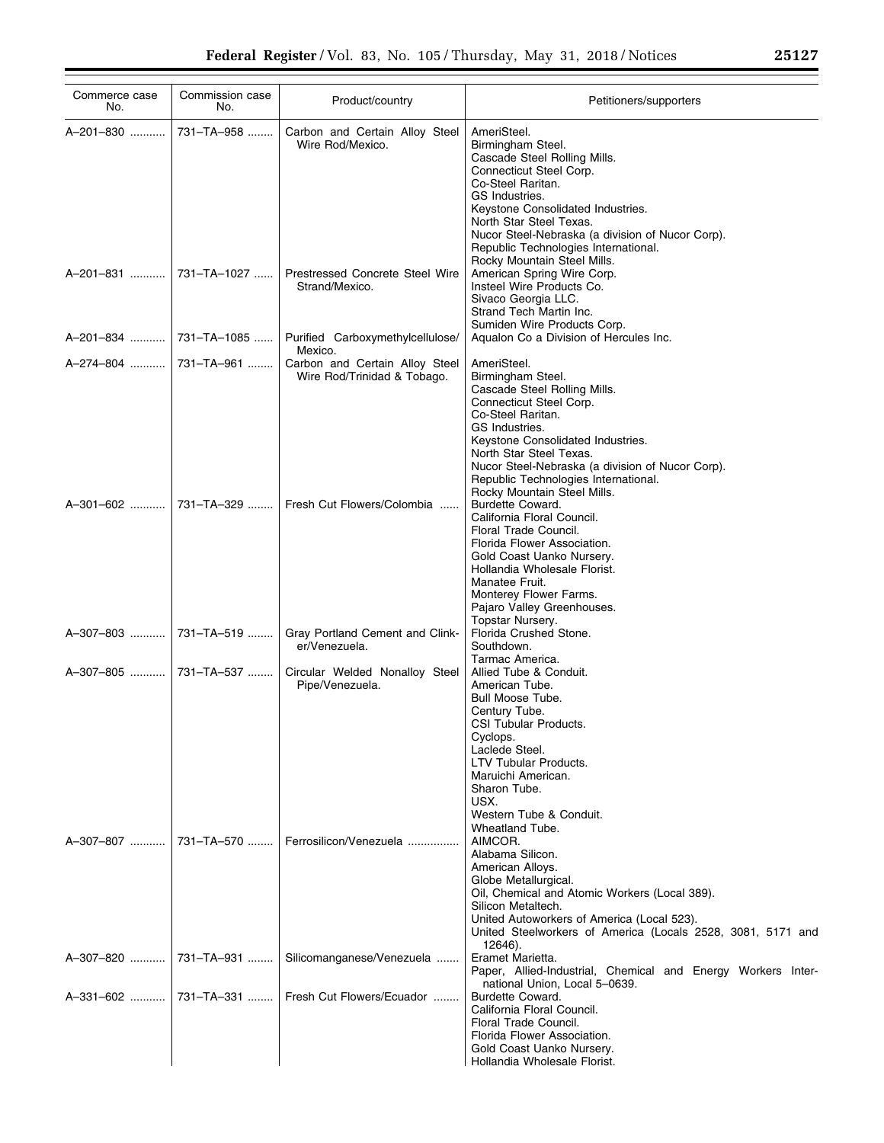| Commerce case<br>No.  | Commission case<br>No. | Product/country                                               | Petitioners/supporters                                                                                                                                                                                                                                                                                                        |
|-----------------------|------------------------|---------------------------------------------------------------|-------------------------------------------------------------------------------------------------------------------------------------------------------------------------------------------------------------------------------------------------------------------------------------------------------------------------------|
| A-201-830             | 731-TA-958             | Carbon and Certain Alloy Steel<br>Wire Rod/Mexico.            | AmeriSteel.<br>Birmingham Steel.<br>Cascade Steel Rolling Mills.<br>Connecticut Steel Corp.<br>Co-Steel Raritan.<br>GS Industries.<br>Keystone Consolidated Industries.<br>North Star Steel Texas.<br>Nucor Steel-Nebraska (a division of Nucor Corp).<br>Republic Technologies International.<br>Rocky Mountain Steel Mills. |
|                       |                        | Prestressed Concrete Steel Wire<br>Strand/Mexico.             | American Spring Wire Corp.<br>Insteel Wire Products Co.<br>Sivaco Georgia LLC.<br>Strand Tech Martin Inc.                                                                                                                                                                                                                     |
|                       | A-201-834  731-TA-1085 | Purified Carboxymethylcellulose/<br>Mexico.                   | Sumiden Wire Products Corp.<br>Aqualon Co a Division of Hercules Inc.                                                                                                                                                                                                                                                         |
|                       |                        | Carbon and Certain Alloy Steel<br>Wire Rod/Trinidad & Tobago. | AmeriSteel.<br>Birmingham Steel.<br>Cascade Steel Rolling Mills.<br>Connecticut Steel Corp.<br>Co-Steel Raritan.<br>GS Industries.<br>Keystone Consolidated Industries.<br>North Star Steel Texas.<br>Nucor Steel-Nebraska (a division of Nucor Corp).<br>Republic Technologies International.<br>Rocky Mountain Steel Mills. |
| A-301-602  731-TA-329 |                        | Fresh Cut Flowers/Colombia                                    | Burdette Coward.<br>California Floral Council.<br>Floral Trade Council.<br>Florida Flower Association.<br>Gold Coast Uanko Nursery.<br>Hollandia Wholesale Florist.<br>Manatee Fruit.<br>Monterey Flower Farms.<br>Pajaro Valley Greenhouses.                                                                                 |
|                       |                        | Gray Portland Cement and Clink-<br>er/Venezuela.              | Topstar Nursery.<br>Florida Crushed Stone.<br>Southdown.                                                                                                                                                                                                                                                                      |
|                       |                        | Circular Welded Nonalloy Steel<br>Pipe/Venezuela.             | Tarmac America.<br>Allied Tube & Conduit.<br>American Tube.<br>Bull Moose Tube.<br>Century Tube.<br>CSI Tubular Products.<br>Cyclops.<br>Laclede Steel.<br><b>LTV Tubular Products.</b><br>Maruichi American.<br>Sharon Tube.<br>USX.<br>Western Tube & Conduit.                                                              |
|                       |                        | Ferrosilicon/Venezuela                                        | Wheatland Tube.<br>AIMCOR.<br>Alabama Silicon.<br>American Alloys.<br>Globe Metallurgical.<br>Oil, Chemical and Atomic Workers (Local 389).<br>Silicon Metaltech.<br>United Autoworkers of America (Local 523).<br>United Steelworkers of America (Locals 2528, 3081, 5171 and                                                |
| A-307-820  731-TA-931 |                        | Silicomanganese/Venezuela                                     | 12646).<br>Eramet Marietta.<br>Paper, Allied-Industrial, Chemical and Energy Workers Inter-                                                                                                                                                                                                                                   |
|                       | A-331-602  731-TA-331  | Fresh Cut Flowers/Ecuador                                     | national Union, Local 5-0639.<br>Burdette Coward.<br>California Floral Council.<br>Floral Trade Council.<br>Florida Flower Association.<br>Gold Coast Uanko Nursery.<br>Hollandia Wholesale Florist.                                                                                                                          |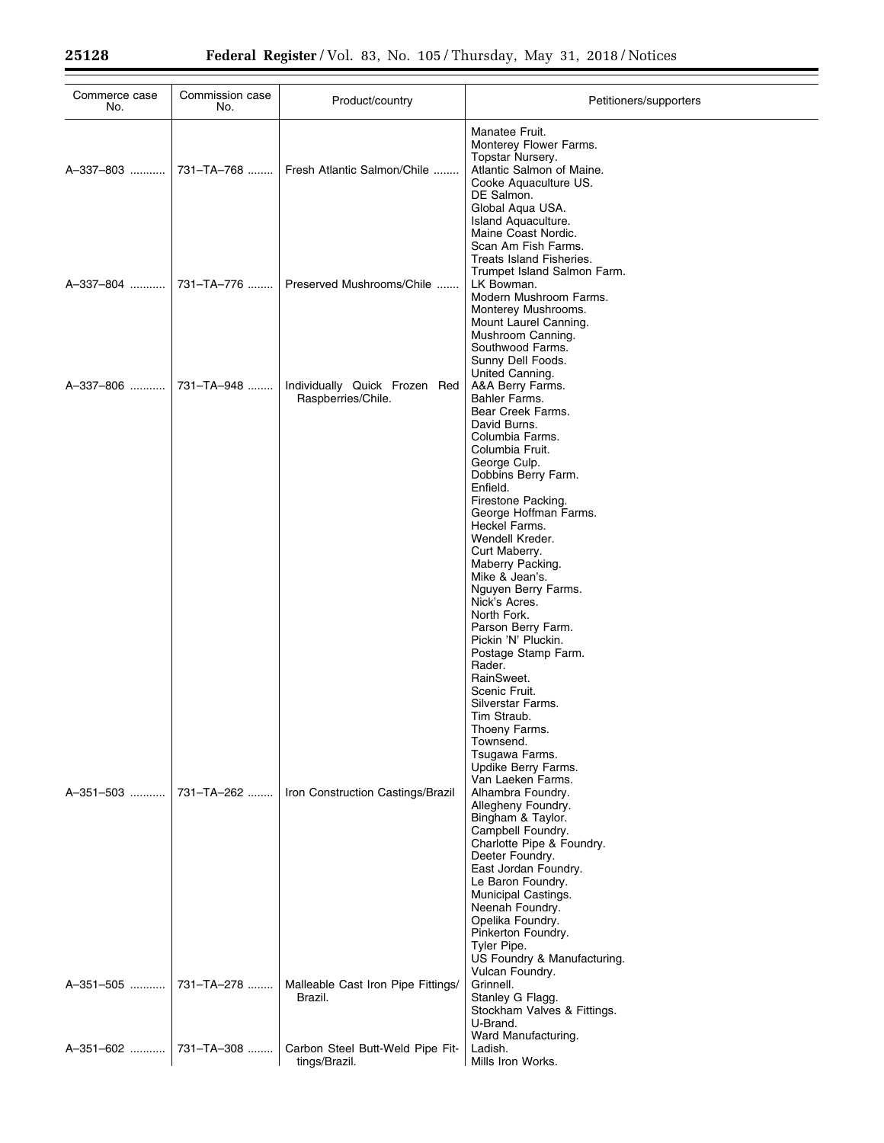| Commerce case<br>No.  | Commission case<br>No. | Product/country                                     | Petitioners/supporters                                                                                                                                                                                                                 |
|-----------------------|------------------------|-----------------------------------------------------|----------------------------------------------------------------------------------------------------------------------------------------------------------------------------------------------------------------------------------------|
|                       |                        | Fresh Atlantic Salmon/Chile                         | Manatee Fruit.<br>Monterey Flower Farms.<br>Topstar Nursery.<br>Atlantic Salmon of Maine.<br>Cooke Aquaculture US.<br>DE Salmon.<br>Global Aqua USA.<br>Island Aquaculture.                                                            |
| A-337-804  731-TA-776 |                        | Preserved Mushrooms/Chile                           | Maine Coast Nordic.<br>Scan Am Fish Farms.<br>Treats Island Fisheries.<br>Trumpet Island Salmon Farm.<br>LK Bowman.<br>Modern Mushroom Farms.<br>Monterey Mushrooms.<br>Mount Laurel Canning.<br>Mushroom Canning.<br>Southwood Farms. |
| A-337-806  731-TA-948 |                        | Individually Quick Frozen Red<br>Raspberries/Chile. | Sunny Dell Foods.<br>United Canning.<br>A&A Berry Farms.<br>Bahler Farms.<br>Bear Creek Farms.<br>David Burns.<br>Columbia Farms.<br>Columbia Fruit.                                                                                   |
|                       |                        |                                                     | George Culp.<br>Dobbins Berry Farm.<br>Enfield.<br>Firestone Packing.<br>George Hoffman Farms.<br>Heckel Farms.<br>Wendell Kreder.<br>Curt Maberry.                                                                                    |
|                       |                        |                                                     | Maberry Packing.<br>Mike & Jean's.<br>Nguyen Berry Farms.<br>Nick's Acres.<br>North Fork.<br>Parson Berry Farm.<br>Pickin 'N' Pluckin.<br>Postage Stamp Farm.                                                                          |
|                       |                        |                                                     | Rader.<br>RainSweet.<br>Scenic Fruit.<br>Silverstar Farms.<br>Tim Straub.<br>Thoeny Farms.<br>Townsend.<br>Tsugawa Farms.<br>Updike Berry Farms.                                                                                       |
| A-351-503             | 731-TA-262             | Iron Construction Castings/Brazil                   | Van Laeken Farms.<br>Alhambra Foundry.<br>Allegheny Foundry.<br>Bingham & Taylor.<br>Campbell Foundry.<br>Charlotte Pipe & Foundry.<br>Deeter Foundry.<br>East Jordan Foundry.                                                         |
|                       |                        |                                                     | Le Baron Foundry.<br>Municipal Castings.<br>Neenah Foundry.<br>Opelika Foundry.<br>Pinkerton Foundry.<br>Tyler Pipe.<br>US Foundry & Manufacturing.<br>Vulcan Foundry.                                                                 |
| A-351-505             | 731-TA-278             | Malleable Cast Iron Pipe Fittings/<br>Brazil.       | Grinnell.<br>Stanley G Flagg.<br>Stockham Valves & Fittings.<br>U-Brand.                                                                                                                                                               |
|                       |                        | Carbon Steel Butt-Weld Pipe Fit-<br>tings/Brazil.   | Ward Manufacturing.<br>Ladish.<br>Mills Iron Works.                                                                                                                                                                                    |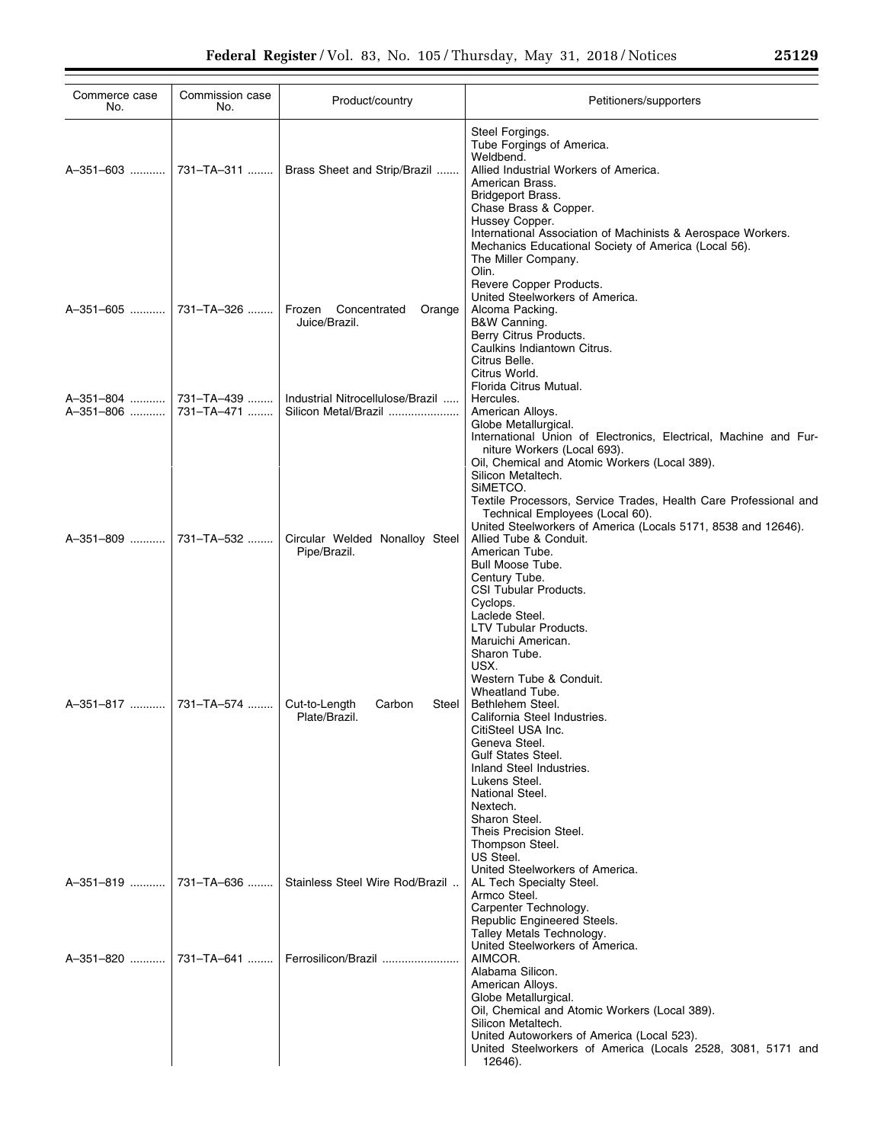| Commerce case<br>No.                           | Commission case<br>No.  | Product/country                                          | Petitioners/supporters                                                                                                                                                                                                                                                                                                                                                     |
|------------------------------------------------|-------------------------|----------------------------------------------------------|----------------------------------------------------------------------------------------------------------------------------------------------------------------------------------------------------------------------------------------------------------------------------------------------------------------------------------------------------------------------------|
|                                                | A–351–603    731–TA–311 | Brass Sheet and Strip/Brazil                             | Steel Forgings.<br>Tube Forgings of America.<br>Weldbend.<br>Allied Industrial Workers of America.<br>American Brass.<br>Bridgeport Brass.<br>Chase Brass & Copper.<br>Hussey Copper.                                                                                                                                                                                      |
|                                                | A-351-605  731-TA-326   | Frozen<br>Concentrated<br>Orange<br>Juice/Brazil.        | International Association of Machinists & Aerospace Workers.<br>Mechanics Educational Society of America (Local 56).<br>The Miller Company.<br>Olin.<br>Revere Copper Products.<br>United Steelworkers of America.<br>Alcoma Packing.<br>B&W Canning.<br>Berry Citrus Products.<br>Caulkins Indiantown Citrus.<br>Citrus Belle.<br>Citrus World.<br>Florida Citrus Mutual. |
| A-351-804  731-TA-439<br>A-351-806  731-TA-471 |                         | Industrial Nitrocellulose/Brazil<br>Silicon Metal/Brazil | Hercules.<br>American Alloys.<br>Globe Metallurgical.                                                                                                                                                                                                                                                                                                                      |
|                                                |                         |                                                          | International Union of Electronics, Electrical, Machine and Fur-<br>niture Workers (Local 693).<br>Oil, Chemical and Atomic Workers (Local 389).<br>Silicon Metaltech.<br>SIMETCO.<br>Textile Processors, Service Trades, Health Care Professional and<br>Technical Employees (Local 60).                                                                                  |
| A-351-809  731-TA-532                          |                         | Circular Welded Nonalloy Steel<br>Pipe/Brazil.           | United Steelworkers of America (Locals 5171, 8538 and 12646).<br>Allied Tube & Conduit.<br>American Tube.<br>Bull Moose Tube.<br>Century Tube.<br>CSI Tubular Products.<br>Cyclops.<br>Laclede Steel.<br>LTV Tubular Products.<br>Maruichi American.<br>Sharon Tube.<br>USX.                                                                                               |
| A-351-817  731-TA-574                          |                         | Cut-to-Length<br>Carbon<br>Steel<br>Plate/Brazil.        | Western Tube & Conduit.<br>Wheatland Tube.<br>Bethlehem Steel.<br>California Steel Industries.<br>CitiSteel USA Inc.<br>Geneva Steel.<br><b>Gulf States Steel.</b><br>Inland Steel Industries.<br>Lukens Steel.<br>National Steel.<br>Nextech.<br>Sharon Steel.<br>Theis Precision Steel.<br>Thompson Steel.<br>US Steel.                                                  |
|                                                | A–351–819    731–TA–636 | Stainless Steel Wire Rod/Brazil                          | United Steelworkers of America.<br>AL Tech Specialty Steel.<br>Armco Steel.<br>Carpenter Technology.<br>Republic Engineered Steels.<br>Talley Metals Technology.<br>United Steelworkers of America.                                                                                                                                                                        |
|                                                | A-351-820  731-TA-641   | Ferrosilicon/Brazil                                      | AIMCOR.<br>Alabama Silicon.<br>American Alloys.<br>Globe Metallurgical.<br>Oil, Chemical and Atomic Workers (Local 389).<br>Silicon Metaltech.<br>United Autoworkers of America (Local 523).<br>United Steelworkers of America (Locals 2528, 3081, 5171 and<br>12646).                                                                                                     |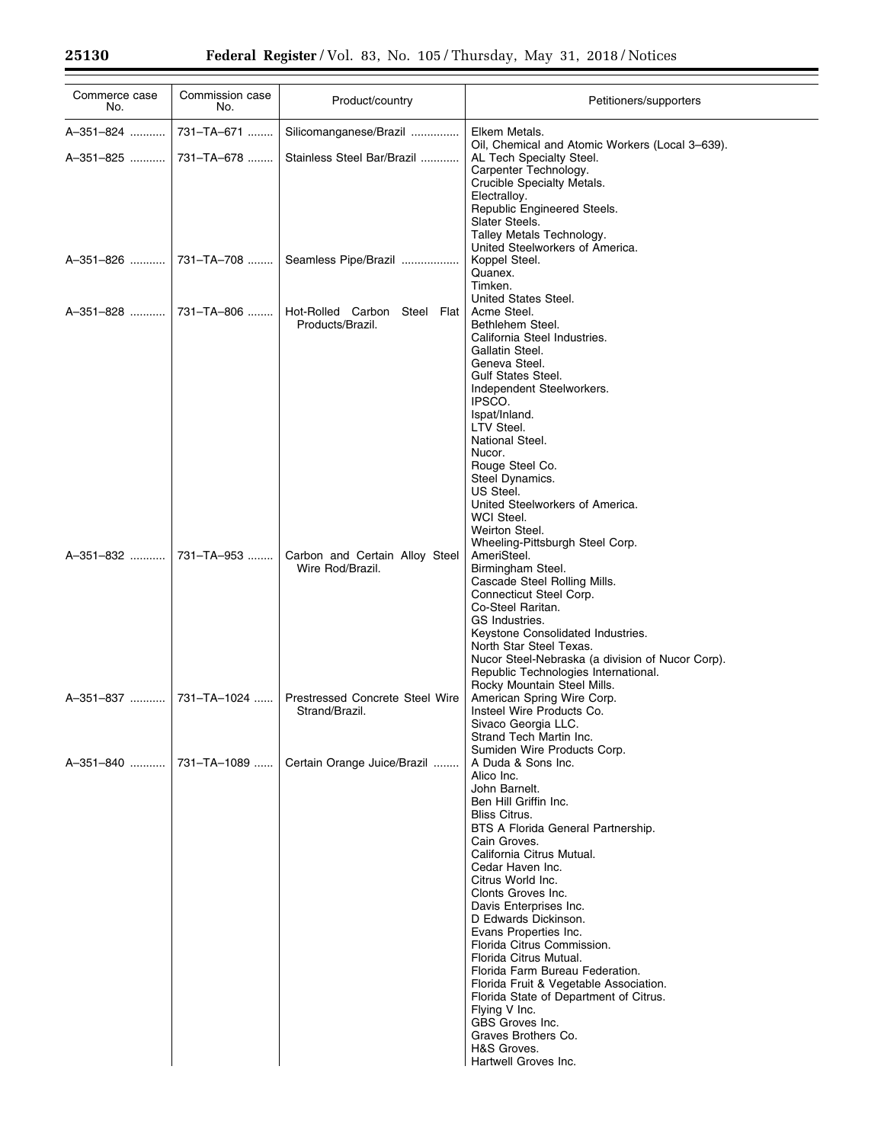| Commerce case<br>No. | Commission case<br>No. | Product/country                        | Petitioners/supporters                                                                   |
|----------------------|------------------------|----------------------------------------|------------------------------------------------------------------------------------------|
| A-351-824            | 731-TA-671             | Silicomanganese/Brazil                 | Elkem Metals.                                                                            |
| A-351-825            | 731-TA-678             | Stainless Steel Bar/Brazil             | Oil, Chemical and Atomic Workers (Local 3-639).<br>AL Tech Specialty Steel.              |
|                      |                        |                                        | Carpenter Technology.                                                                    |
|                      |                        |                                        | Crucible Specialty Metals.                                                               |
|                      |                        |                                        | Electralloy.                                                                             |
|                      |                        |                                        | Republic Engineered Steels.<br>Slater Steels.                                            |
|                      |                        |                                        | Talley Metals Technology.                                                                |
|                      |                        |                                        | United Steelworkers of America.                                                          |
| A-351-826            | 731-TA-708             | Seamless Pipe/Brazil                   | Koppel Steel.<br>Quanex.                                                                 |
|                      |                        |                                        | Timken.                                                                                  |
|                      |                        |                                        | United States Steel.                                                                     |
| A-351-828            | 731-TA-806             | Hot-Rolled Carbon Steel Flat           | Acme Steel.                                                                              |
|                      |                        | Products/Brazil.                       | Bethlehem Steel.<br>California Steel Industries.                                         |
|                      |                        |                                        | Gallatin Steel.                                                                          |
|                      |                        |                                        | Geneva Steel.                                                                            |
|                      |                        |                                        | <b>Gulf States Steel.</b><br>Independent Steelworkers.                                   |
|                      |                        |                                        | IPSCO.                                                                                   |
|                      |                        |                                        | Ispat/Inland.                                                                            |
|                      |                        |                                        | LTV Steel.<br>National Steel.                                                            |
|                      |                        |                                        | Nucor.                                                                                   |
|                      |                        |                                        | Rouge Steel Co.                                                                          |
|                      |                        |                                        | Steel Dynamics.<br>US Steel.                                                             |
|                      |                        |                                        | United Steelworkers of America.                                                          |
|                      |                        |                                        | WCI Steel.                                                                               |
|                      |                        |                                        | Weirton Steel.                                                                           |
| A-351-832            | 731-TA-953             | Carbon and Certain Alloy Steel         | Wheeling-Pittsburgh Steel Corp.<br>AmeriSteel.                                           |
|                      |                        | Wire Rod/Brazil.                       | Birmingham Steel.                                                                        |
|                      |                        |                                        | Cascade Steel Rolling Mills.                                                             |
|                      |                        |                                        | Connecticut Steel Corp.<br>Co-Steel Raritan.                                             |
|                      |                        |                                        | GS Industries.                                                                           |
|                      |                        |                                        | Keystone Consolidated Industries.                                                        |
|                      |                        |                                        | North Star Steel Texas.                                                                  |
|                      |                        |                                        | Nucor Steel-Nebraska (a division of Nucor Corp).<br>Republic Technologies International. |
|                      |                        |                                        | Rocky Mountain Steel Mills.                                                              |
| A-351-837            | 731-TA-1024            | <b>Prestressed Concrete Steel Wire</b> | American Spring Wire Corp.                                                               |
|                      |                        | Strand/Brazil.                         | Insteel Wire Products Co.<br>Sivaco Georgia LLC.                                         |
|                      |                        |                                        | Strand Tech Martin Inc.                                                                  |
|                      |                        |                                        | Sumiden Wire Products Corp.                                                              |
| A-351-840            | 731-TA-1089            | Certain Orange Juice/Brazil            | A Duda & Sons Inc.<br>Alico Inc.                                                         |
|                      |                        |                                        | John Barnelt.                                                                            |
|                      |                        |                                        | Ben Hill Griffin Inc.                                                                    |
|                      |                        |                                        | <b>Bliss Citrus.</b><br>BTS A Florida General Partnership.                               |
|                      |                        |                                        | Cain Groves.                                                                             |
|                      |                        |                                        | California Citrus Mutual.                                                                |
|                      |                        |                                        | Cedar Haven Inc.<br>Citrus World Inc.                                                    |
|                      |                        |                                        | Clonts Groves Inc.                                                                       |
|                      |                        |                                        | Davis Enterprises Inc.                                                                   |
|                      |                        |                                        | D Edwards Dickinson.                                                                     |
|                      |                        |                                        | Evans Properties Inc.<br>Florida Citrus Commission.                                      |
|                      |                        |                                        | Florida Citrus Mutual.                                                                   |
|                      |                        |                                        | Florida Farm Bureau Federation.                                                          |
|                      |                        |                                        | Florida Fruit & Vegetable Association.<br>Florida State of Department of Citrus.         |
|                      |                        |                                        | Flying V Inc.                                                                            |
|                      |                        |                                        | GBS Groves Inc.                                                                          |
|                      |                        |                                        | Graves Brothers Co.                                                                      |
|                      |                        |                                        | H&S Groves.<br>Hartwell Groves Inc.                                                      |
|                      |                        |                                        |                                                                                          |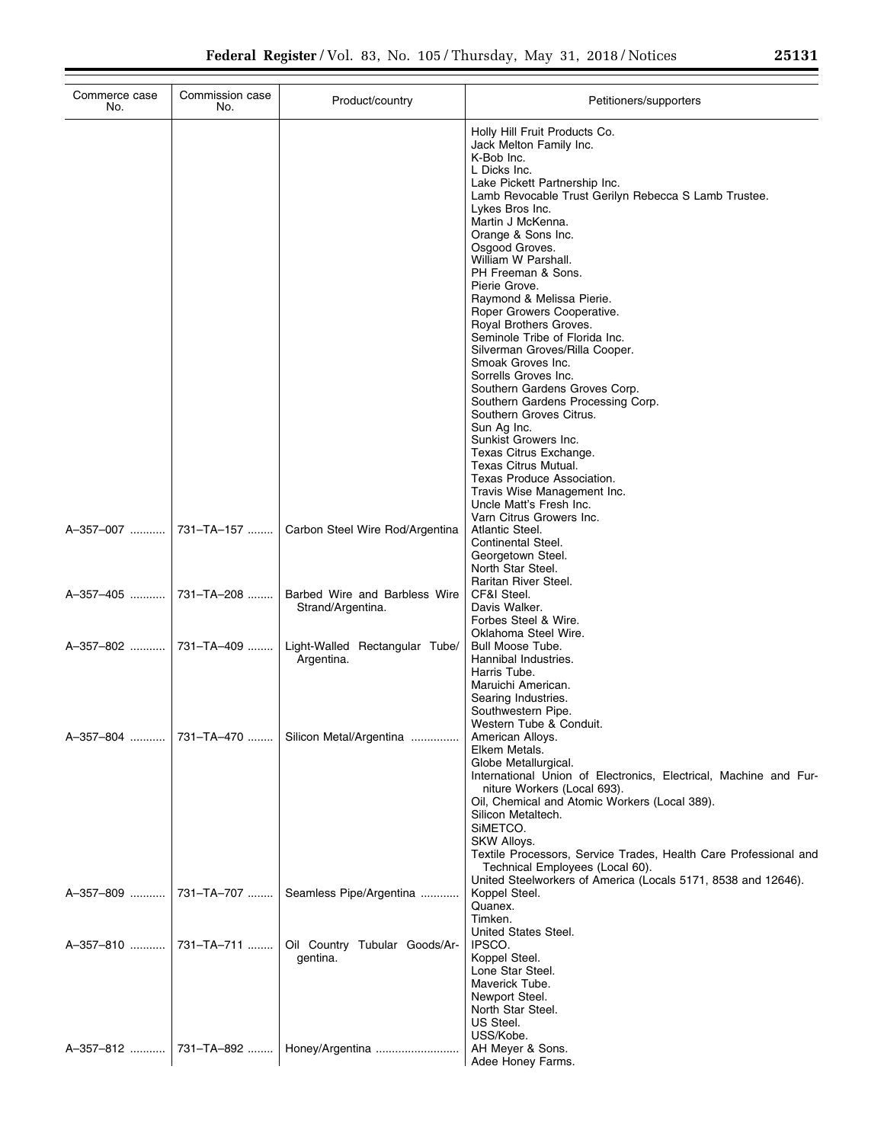| Commerce case<br>No.  | Commission case<br>No. | Product/country                                    | Petitioners/supporters                                                                                                                                                                                                                                                                                                                                                                                                                                                                                                                                                                                                                                                                                                                                                                                                                            |
|-----------------------|------------------------|----------------------------------------------------|---------------------------------------------------------------------------------------------------------------------------------------------------------------------------------------------------------------------------------------------------------------------------------------------------------------------------------------------------------------------------------------------------------------------------------------------------------------------------------------------------------------------------------------------------------------------------------------------------------------------------------------------------------------------------------------------------------------------------------------------------------------------------------------------------------------------------------------------------|
|                       |                        |                                                    | Holly Hill Fruit Products Co.<br>Jack Melton Family Inc.<br>K-Bob Inc.<br>L Dicks Inc.<br>Lake Pickett Partnership Inc.<br>Lamb Revocable Trust Gerilyn Rebecca S Lamb Trustee.<br>Lykes Bros Inc.<br>Martin J McKenna.<br>Orange & Sons Inc.<br>Osgood Groves.<br>William W Parshall.<br>PH Freeman & Sons.<br>Pierie Grove.<br>Raymond & Melissa Pierie.<br>Roper Growers Cooperative.<br>Royal Brothers Groves.<br>Seminole Tribe of Florida Inc.<br>Silverman Groves/Rilla Cooper.<br>Smoak Groves Inc.<br>Sorrells Groves Inc.<br>Southern Gardens Groves Corp.<br>Southern Gardens Processing Corp.<br>Southern Groves Citrus.<br>Sun Ag Inc.<br>Sunkist Growers Inc.<br>Texas Citrus Exchange.<br>Texas Citrus Mutual.<br>Texas Produce Association.<br>Travis Wise Management Inc.<br>Uncle Matt's Fresh Inc.<br>Varn Citrus Growers Inc. |
|                       |                        | Carbon Steel Wire Rod/Argentina                    | Atlantic Steel.<br>Continental Steel.<br>Georgetown Steel.<br>North Star Steel.                                                                                                                                                                                                                                                                                                                                                                                                                                                                                                                                                                                                                                                                                                                                                                   |
|                       |                        | Barbed Wire and Barbless Wire<br>Strand/Argentina. | Raritan River Steel.<br>CF&I Steel.<br>Davis Walker.<br>Forbes Steel & Wire.<br>Oklahoma Steel Wire.                                                                                                                                                                                                                                                                                                                                                                                                                                                                                                                                                                                                                                                                                                                                              |
|                       |                        | Light-Walled Rectangular Tube/<br>Argentina.       | Bull Moose Tube.<br>Hannibal Industries.<br>Harris Tube.<br>Maruichi American.<br>Searing Industries.<br>Southwestern Pipe.<br>Western Tube & Conduit.                                                                                                                                                                                                                                                                                                                                                                                                                                                                                                                                                                                                                                                                                            |
| A-357-804  731-TA-470 |                        | Silicon Metal/Argentina                            | American Alloys.<br>Elkem Metals.<br>Globe Metallurgical.<br>International Union of Electronics, Electrical, Machine and Fur-<br>niture Workers (Local 693).<br>Oil, Chemical and Atomic Workers (Local 389).<br>Silicon Metaltech.<br>SIMETCO.<br>SKW Alloys.<br>Textile Processors, Service Trades, Health Care Professional and<br>Technical Employees (Local 60).<br>United Steelworkers of America (Locals 5171, 8538 and 12646).                                                                                                                                                                                                                                                                                                                                                                                                            |
| A-357-809  731-TA-707 |                        | Seamless Pipe/Argentina                            | Koppel Steel.<br>Quanex.<br>Timken.<br>United States Steel.                                                                                                                                                                                                                                                                                                                                                                                                                                                                                                                                                                                                                                                                                                                                                                                       |
| A-357-810  731-TA-711 |                        | Oil Country Tubular Goods/Ar-<br>gentina.          | IPSCO.<br>Koppel Steel.<br>Lone Star Steel.<br>Maverick Tube.<br>Newport Steel.<br>North Star Steel.<br>US Steel.<br>USS/Kobe.                                                                                                                                                                                                                                                                                                                                                                                                                                                                                                                                                                                                                                                                                                                    |
| A-357-812  731-TA-892 |                        | Honey/Argentina                                    | AH Meyer & Sons.<br>Adee Honey Farms.                                                                                                                                                                                                                                                                                                                                                                                                                                                                                                                                                                                                                                                                                                                                                                                                             |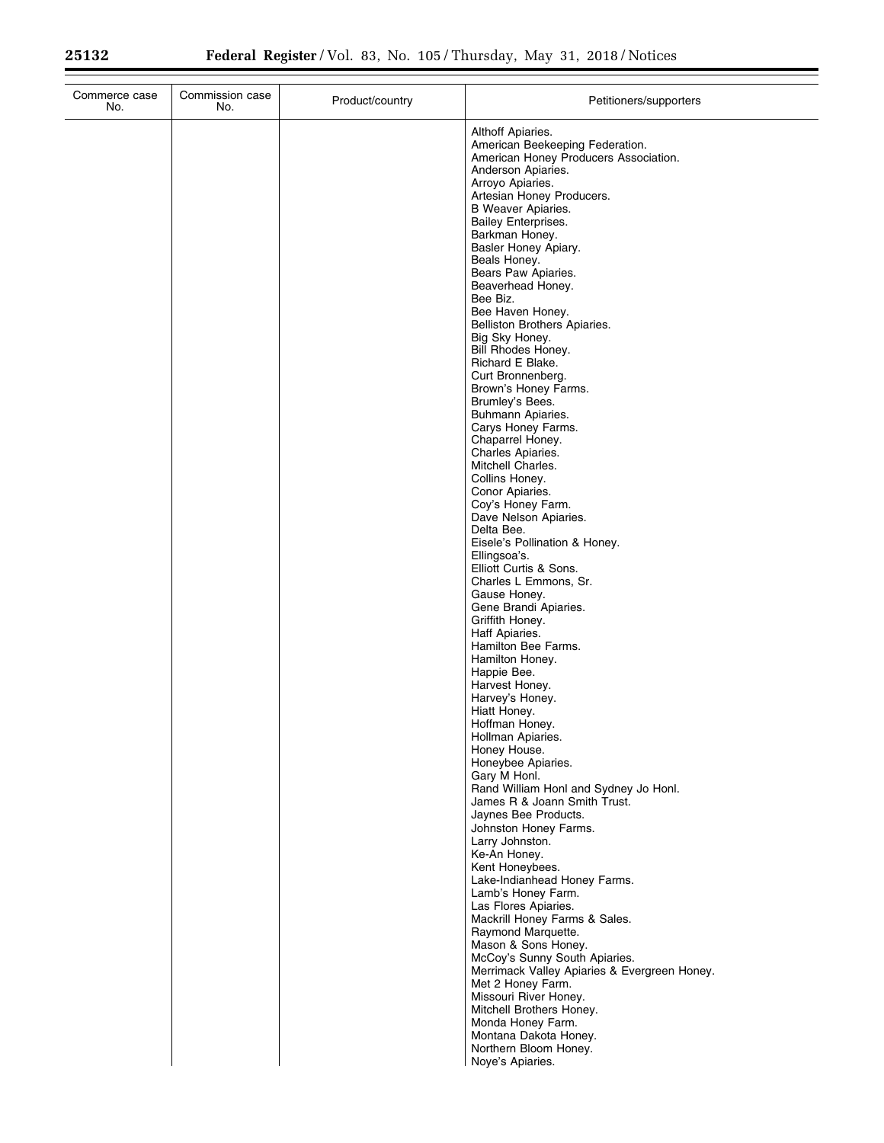| Commerce case<br>No. | Commission case<br>No. | Product/country | Petitioners/supporters                                                                                                                                                                                                                                                                                                                                                                                                                                                                                                                                                                                                                                                                                                                                                                                                                                                                                                                                                                                                                                                                                                                                                                                                                                                                                                                                                                                 |
|----------------------|------------------------|-----------------|--------------------------------------------------------------------------------------------------------------------------------------------------------------------------------------------------------------------------------------------------------------------------------------------------------------------------------------------------------------------------------------------------------------------------------------------------------------------------------------------------------------------------------------------------------------------------------------------------------------------------------------------------------------------------------------------------------------------------------------------------------------------------------------------------------------------------------------------------------------------------------------------------------------------------------------------------------------------------------------------------------------------------------------------------------------------------------------------------------------------------------------------------------------------------------------------------------------------------------------------------------------------------------------------------------------------------------------------------------------------------------------------------------|
|                      |                        |                 | Althoff Apiaries.<br>American Beekeeping Federation.<br>American Honey Producers Association.<br>Anderson Apiaries.<br>Arroyo Apiaries.<br>Artesian Honey Producers.<br><b>B</b> Weaver Apiaries.<br><b>Bailey Enterprises.</b><br>Barkman Honey.<br>Basler Honey Apiary.<br>Beals Honey.<br>Bears Paw Apiaries.<br>Beaverhead Honey.<br>Bee Biz.<br>Bee Haven Honey.<br>Belliston Brothers Apiaries.<br>Big Sky Honey.<br>Bill Rhodes Honey.<br>Richard E Blake.<br>Curt Bronnenberg.<br>Brown's Honey Farms.<br>Brumley's Bees.<br>Buhmann Apiaries.<br>Carys Honey Farms.<br>Chaparrel Honey.<br>Charles Apiaries.<br>Mitchell Charles.<br>Collins Honey.<br>Conor Apiaries.<br>Coy's Honey Farm.<br>Dave Nelson Apiaries.<br>Delta Bee.<br>Eisele's Pollination & Honey.<br>Ellingsoa's.<br>Elliott Curtis & Sons.<br>Charles L Emmons, Sr.<br>Gause Honey.<br>Gene Brandi Apiaries.<br>Griffith Honey.<br>Haff Apiaries.<br>Hamilton Bee Farms.<br>Hamilton Honey.<br>Happie Bee.<br>Harvest Honey.<br>Harvey's Honey.<br>Hiatt Honey.<br>Hoffman Honey.<br>Hollman Apiaries.<br>Honey House.<br>Honeybee Apiaries.<br>Gary M Honl.<br>Rand William Honl and Sydney Jo Honl.<br>James R & Joann Smith Trust.<br>Jaynes Bee Products.<br>Johnston Honey Farms.<br>Larry Johnston.<br>Ke-An Honey.<br>Kent Honeybees.<br>Lake-Indianhead Honey Farms.<br>Lamb's Honey Farm.<br>Las Flores Apiaries. |
|                      |                        |                 | Mackrill Honey Farms & Sales.<br>Raymond Marquette.<br>Mason & Sons Honey.<br>McCoy's Sunny South Apiaries.<br>Merrimack Valley Apiaries & Evergreen Honey.<br>Met 2 Honey Farm.<br>Missouri River Honey.<br>Mitchell Brothers Honey.                                                                                                                                                                                                                                                                                                                                                                                                                                                                                                                                                                                                                                                                                                                                                                                                                                                                                                                                                                                                                                                                                                                                                                  |
|                      |                        |                 | Monda Honey Farm.<br>Montana Dakota Honey.<br>Northern Bloom Honey.<br>Noye's Apiaries.                                                                                                                                                                                                                                                                                                                                                                                                                                                                                                                                                                                                                                                                                                                                                                                                                                                                                                                                                                                                                                                                                                                                                                                                                                                                                                                |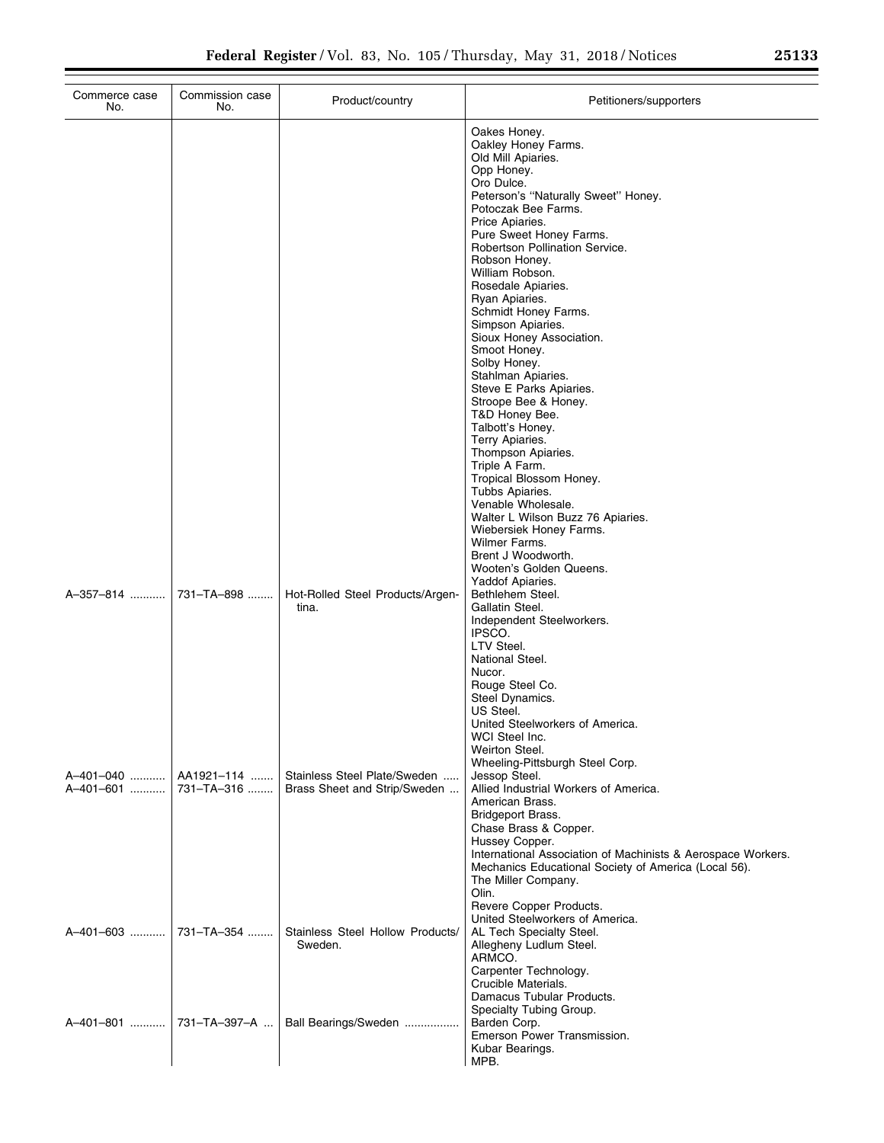| Commerce case<br>No.   | Commission case<br>No.   | Product/country                                              | Petitioners/supporters                                                                                                                                                                                                                                                                                                                                                                                                                                                                                                                                                                                                                                                                                                                                                        |
|------------------------|--------------------------|--------------------------------------------------------------|-------------------------------------------------------------------------------------------------------------------------------------------------------------------------------------------------------------------------------------------------------------------------------------------------------------------------------------------------------------------------------------------------------------------------------------------------------------------------------------------------------------------------------------------------------------------------------------------------------------------------------------------------------------------------------------------------------------------------------------------------------------------------------|
|                        |                          |                                                              | Oakes Honey.<br>Oakley Honey Farms.<br>Old Mill Apiaries.<br>Opp Honey.<br>Oro Dulce.<br>Peterson's "Naturally Sweet" Honey.<br>Potoczak Bee Farms.<br>Price Apiaries.<br>Pure Sweet Honey Farms.<br>Robertson Pollination Service.<br>Robson Honey.<br>William Robson.<br>Rosedale Apiaries.<br>Ryan Apiaries.<br>Schmidt Honey Farms.<br>Simpson Apiaries.<br>Sioux Honey Association.<br>Smoot Honey.<br>Solby Honey.<br>Stahlman Apiaries.<br>Steve E Parks Apiaries.<br>Stroope Bee & Honey.<br>T&D Honey Bee.<br>Talbott's Honey.<br>Terry Apiaries.<br>Thompson Apiaries.<br>Triple A Farm.<br>Tropical Blossom Honey.<br>Tubbs Apiaries.<br>Venable Wholesale.<br>Walter L Wilson Buzz 76 Apiaries.<br>Wiebersiek Honey Farms.<br>Wilmer Farms.<br>Brent J Woodworth. |
| A-357-814              | 731-TA-898               | Hot-Rolled Steel Products/Argen-<br>tina.                    | Wooten's Golden Queens.<br>Yaddof Apiaries.<br>Bethlehem Steel.<br>Gallatin Steel.<br>Independent Steelworkers.<br>IPSCO.<br>LTV Steel.<br>National Steel.<br>Nucor.<br>Rouge Steel Co.                                                                                                                                                                                                                                                                                                                                                                                                                                                                                                                                                                                       |
| A-401-040<br>A-401-601 | AA1921-114<br>731-TA-316 | Stainless Steel Plate/Sweden<br>Brass Sheet and Strip/Sweden | Steel Dynamics.<br>US Steel.<br>United Steelworkers of America.<br>WCI Steel Inc.<br>Weirton Steel.<br>Wheeling-Pittsburgh Steel Corp.<br>Jessop Steel.<br>Allied Industrial Workers of America.<br>American Brass.<br>Bridgeport Brass.<br>Chase Brass & Copper.<br>Hussey Copper.<br>International Association of Machinists & Aerospace Workers.<br>Mechanics Educational Society of America (Local 56).<br>The Miller Company.<br>Olin.                                                                                                                                                                                                                                                                                                                                   |
| A-401-603              | 731-TA-354               | Stainless Steel Hollow Products/<br>Sweden.                  | Revere Copper Products.<br>United Steelworkers of America.<br>AL Tech Specialty Steel.<br>Allegheny Ludlum Steel.<br>ARMCO.<br>Carpenter Technology.                                                                                                                                                                                                                                                                                                                                                                                                                                                                                                                                                                                                                          |
| A-401-801              | 731-TA-397-A             | Ball Bearings/Sweden                                         | Crucible Materials.<br>Damacus Tubular Products.<br>Specialty Tubing Group.<br>Barden Corp.<br>Emerson Power Transmission.<br>Kubar Bearings.<br>MPB.                                                                                                                                                                                                                                                                                                                                                                                                                                                                                                                                                                                                                         |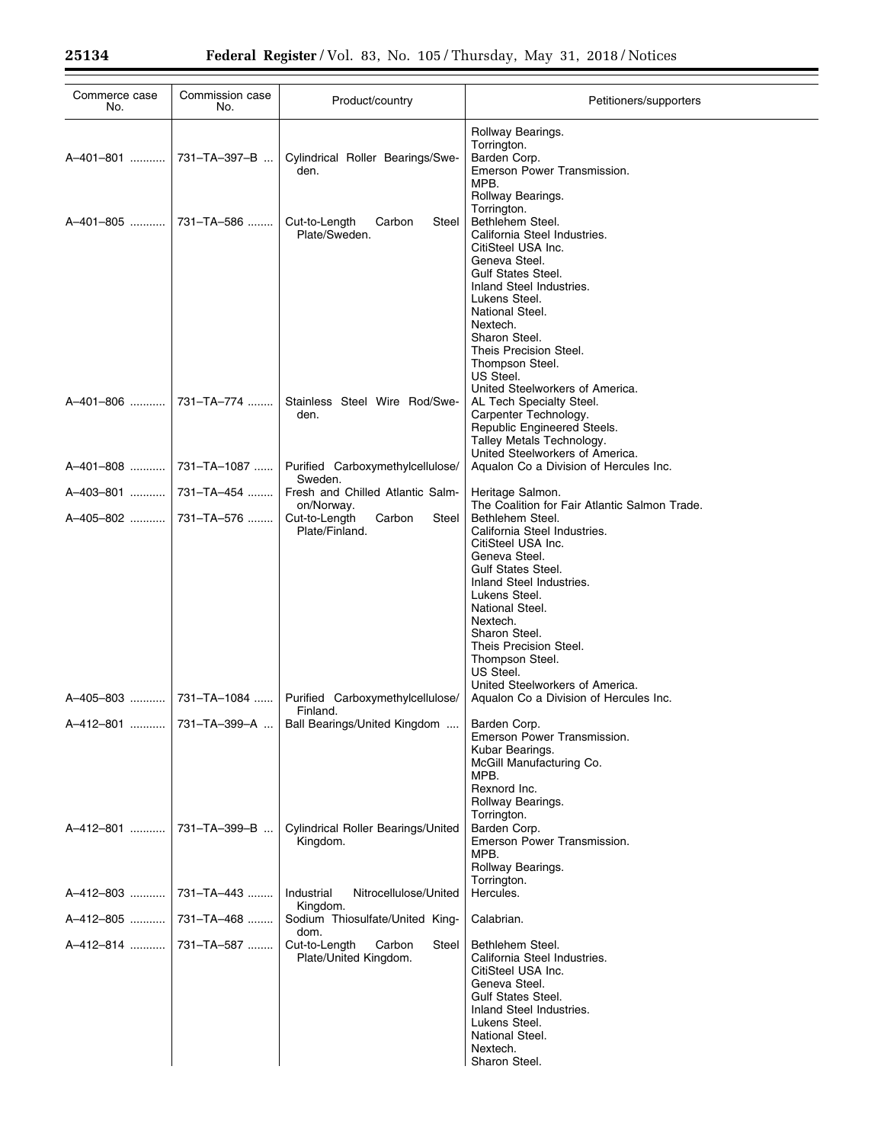| Commerce case<br>No. | Commission case<br>No. | Product/country                                    | Petitioners/supporters                                       |
|----------------------|------------------------|----------------------------------------------------|--------------------------------------------------------------|
|                      |                        |                                                    | Rollway Bearings.                                            |
|                      |                        |                                                    | Torrington.                                                  |
| A-401-801            | 731-TA-397-B           | Cylindrical Roller Bearings/Swe-<br>den.           | Barden Corp.<br>Emerson Power Transmission.                  |
|                      |                        |                                                    | MPB.                                                         |
|                      |                        |                                                    | Rollway Bearings.<br>Torrington.                             |
| A-401-805            | 731-TA-586             | Cut-to-Length<br>Steel<br>Carbon                   | Bethlehem Steel.                                             |
|                      |                        | Plate/Sweden.                                      | California Steel Industries.<br>CitiSteel USA Inc.           |
|                      |                        |                                                    | Geneva Steel.                                                |
|                      |                        |                                                    | <b>Gulf States Steel.</b><br>Inland Steel Industries.        |
|                      |                        |                                                    | Lukens Steel.                                                |
|                      |                        |                                                    | National Steel.<br>Nextech.                                  |
|                      |                        |                                                    | Sharon Steel.                                                |
|                      |                        |                                                    | Theis Precision Steel.                                       |
|                      |                        |                                                    | Thompson Steel.<br>US Steel.                                 |
|                      |                        |                                                    | United Steelworkers of America.                              |
| A-401-806            | 731-TA-774             | Stainless Steel Wire Rod/Swe-<br>den.              | AL Tech Specialty Steel.<br>Carpenter Technology.            |
|                      |                        |                                                    | Republic Engineered Steels.                                  |
|                      |                        |                                                    | Talley Metals Technology.<br>United Steelworkers of America. |
| A-401-808            | 731-TA-1087            | Purified Carboxymethylcellulose/                   | Aqualon Co a Division of Hercules Inc.                       |
| A-403-801            | 731-TA-454             | Sweden.<br>Fresh and Chilled Atlantic Salm-        | Heritage Salmon.                                             |
|                      |                        | on/Norway.                                         | The Coalition for Fair Atlantic Salmon Trade.                |
| A-405-802            | 731-TA-576             | Cut-to-Length<br>Carbon<br>Steel<br>Plate/Finland. | Bethlehem Steel.<br>California Steel Industries.             |
|                      |                        |                                                    | CitiSteel USA Inc.                                           |
|                      |                        |                                                    | Geneva Steel.<br><b>Gulf States Steel.</b>                   |
|                      |                        |                                                    | Inland Steel Industries.                                     |
|                      |                        |                                                    | Lukens Steel.<br>National Steel.                             |
|                      |                        |                                                    | Nextech.                                                     |
|                      |                        |                                                    | Sharon Steel.<br>Theis Precision Steel.                      |
|                      |                        |                                                    | Thompson Steel.                                              |
|                      |                        |                                                    | US Steel.<br>United Steelworkers of America.                 |
| A-405-803            | 731-TA-1084            | Purified Carboxymethylcellulose/                   | Aqualon Co a Division of Hercules Inc.                       |
|                      |                        | Finland.                                           |                                                              |
| A–412–801 ……….       | 731-TA-399-A           | Ball Bearings/United Kingdom                       | Barden Corp.<br>Emerson Power Transmission.                  |
|                      |                        |                                                    | Kubar Bearings.                                              |
|                      |                        |                                                    | McGill Manufacturing Co.<br>MPB.                             |
|                      |                        |                                                    | Rexnord Inc.                                                 |
|                      |                        |                                                    | Rollway Bearings.<br>Torrington.                             |
| A-412-801            | 731-TA-399-B           | <b>Cylindrical Roller Bearings/United</b>          | Barden Corp.                                                 |
|                      |                        | Kingdom.                                           | Emerson Power Transmission.<br>MPB.                          |
|                      |                        |                                                    | Rollway Bearings.                                            |
| A-412-803            | 731-TA-443             | Industrial<br>Nitrocellulose/United                | Torrington.<br>Hercules.                                     |
|                      |                        | Kingdom.                                           |                                                              |
| A-412-805            | 731-TA-468             | Sodium Thiosulfate/United King-<br>dom.            | Calabrian.                                                   |
| A-412-814            | 731–TA–587             | Cut-to-Length<br>Carbon<br>Steel                   | Bethlehem Steel.                                             |
|                      |                        | Plate/United Kingdom.                              | California Steel Industries.<br>CitiSteel USA Inc.           |
|                      |                        |                                                    | Geneva Steel.                                                |
|                      |                        |                                                    | <b>Gulf States Steel.</b><br>Inland Steel Industries.        |
|                      |                        |                                                    | Lukens Steel.                                                |
|                      |                        |                                                    | National Steel.<br>Nextech.                                  |
|                      |                        |                                                    | Sharon Steel.                                                |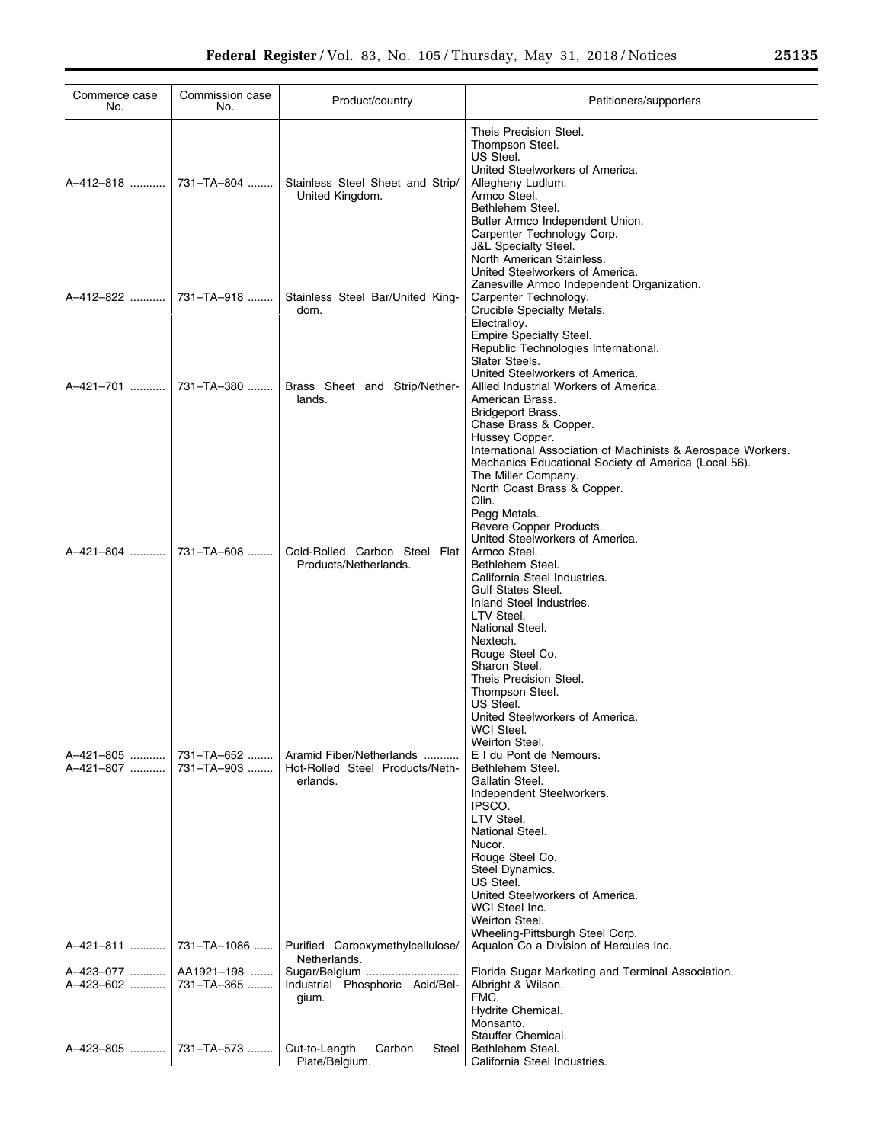| Commerce case<br>No.                | Commission case<br>No.                                             | Product/country                                                                                                                                                     | Petitioners/supporters                                                                                                                                                                                                                                                                                                                                                                         |
|-------------------------------------|--------------------------------------------------------------------|---------------------------------------------------------------------------------------------------------------------------------------------------------------------|------------------------------------------------------------------------------------------------------------------------------------------------------------------------------------------------------------------------------------------------------------------------------------------------------------------------------------------------------------------------------------------------|
|                                     |                                                                    | Stainless Steel Sheet and Strip/<br>United Kingdom.                                                                                                                 | Theis Precision Steel.<br>Thompson Steel.<br>US Steel.<br>United Steelworkers of America.<br>Allegheny Ludlum.<br>Armco Steel.<br>Bethlehem Steel.<br>Butler Armco Independent Union.<br>Carpenter Technology Corp.<br><b>J&amp;L Specialty Steel.</b><br>North American Stainless.                                                                                                            |
|                                     | A-412-822  731-TA-918                                              | Stainless Steel Bar/United King-<br>dom.                                                                                                                            | United Steelworkers of America.<br>Zanesville Armco Independent Organization.<br>Carpenter Technology.<br>Crucible Specialty Metals.<br>Electralloy.<br>Empire Specialty Steel.<br>Republic Technologies International.                                                                                                                                                                        |
|                                     | A-421-701    731-TA-380                                            | Brass Sheet and Strip/Nether-<br>lands.                                                                                                                             | Slater Steels.<br>United Steelworkers of America.<br>Allied Industrial Workers of America.<br>American Brass.<br>Bridgeport Brass.<br>Chase Brass & Copper.<br>Hussey Copper.<br>International Association of Machinists & Aerospace Workers.                                                                                                                                                  |
| A-421-804                           | 731-TA-608                                                         | Cold-Rolled Carbon Steel Flat<br>Products/Netherlands.                                                                                                              | Mechanics Educational Society of America (Local 56).<br>The Miller Company.<br>North Coast Brass & Copper.<br>Olin.<br>Pegg Metals.<br>Revere Copper Products.<br>United Steelworkers of America.<br>Armco Steel.<br>Bethlehem Steel.<br>California Steel Industries.<br><b>Gulf States Steel.</b><br>Inland Steel Industries.<br>LTV Steel.<br>National Steel.<br>Nextech.<br>Rouge Steel Co. |
| A-421-805<br>A-421-807              | 731-TA-652<br>731-TA-903                                           | Aramid Fiber/Netherlands<br>Hot-Rolled Steel Products/Neth-<br>erlands.                                                                                             | Sharon Steel.<br>Theis Precision Steel.<br>Thompson Steel.<br>US Steel.<br>United Steelworkers of America.<br>WCI Steel.<br>Weirton Steel.<br>E I du Pont de Nemours.<br>Bethlehem Steel.<br>Gallatin Steel.<br>Independent Steelworkers.<br>IPSCO.<br>LTV Steel.<br>National Steel.<br>Nucor.<br>Rouge Steel Co.<br>Steel Dynamics.<br>US Steel.                                              |
| A-421-811<br>A-423-077<br>A-423-602 | 731-TA-1086<br>AA1921-198<br>731-TA-365<br>A-423-805    731-TA-573 | Purified Carboxymethylcellulose/<br>Netherlands.<br>Sugar/Belgium<br>Industrial Phosphoric Acid/Bel-<br>gium.<br>Cut-to-Length<br>Carbon<br>Steel<br>Plate/Belgium. | United Steelworkers of America.<br>WCI Steel Inc.<br>Weirton Steel.<br>Wheeling-Pittsburgh Steel Corp.<br>Aqualon Co a Division of Hercules Inc.<br>Florida Sugar Marketing and Terminal Association.<br>Albright & Wilson.<br>FMC.<br>Hydrite Chemical.<br>Monsanto.<br>Stauffer Chemical.<br>Bethlehem Steel.<br>California Steel Industries.                                                |

÷.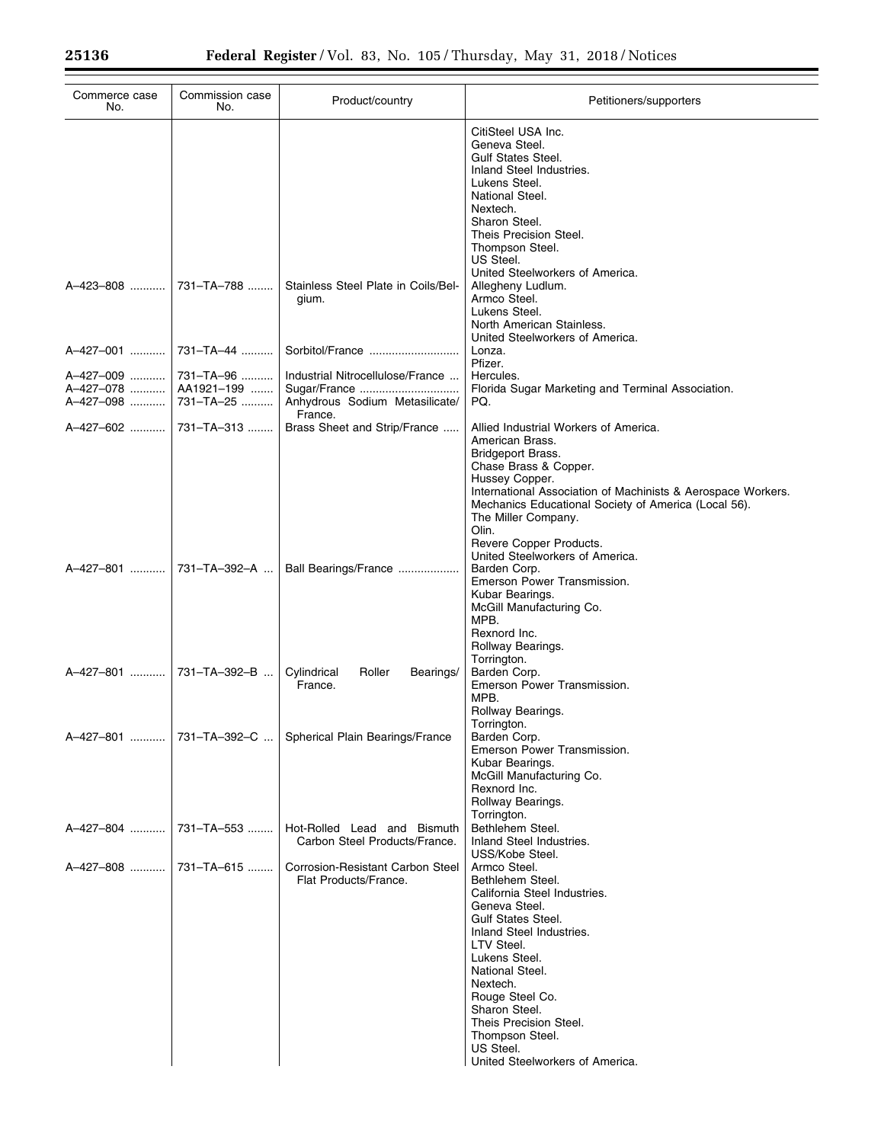$\equiv$ 

| Commerce case<br>No.                | Commission case<br>No.               | Product/country                                                                               | Petitioners/supporters                                                                                                                                                                                                                                                                                                                                |
|-------------------------------------|--------------------------------------|-----------------------------------------------------------------------------------------------|-------------------------------------------------------------------------------------------------------------------------------------------------------------------------------------------------------------------------------------------------------------------------------------------------------------------------------------------------------|
|                                     |                                      |                                                                                               | CitiSteel USA Inc.<br>Geneva Steel.<br><b>Gulf States Steel.</b><br>Inland Steel Industries.<br>Lukens Steel.<br>National Steel.<br>Nextech.<br>Sharon Steel.<br>Theis Precision Steel.<br>Thompson Steel.<br>US Steel.                                                                                                                               |
| A-423-808                           | 731-TA-788                           | Stainless Steel Plate in Coils/Bel-<br>gium.                                                  | United Steelworkers of America.<br>Allegheny Ludlum.<br>Armco Steel.<br>Lukens Steel.<br>North American Stainless.                                                                                                                                                                                                                                    |
| A-427-001                           | 731-TA-44                            | Sorbitol/France                                                                               | United Steelworkers of America.<br>Lonza.<br>Pfizer.                                                                                                                                                                                                                                                                                                  |
| A-427-009<br>A-427-078<br>A-427-098 | 731-TA-96<br>AA1921-199<br>731-TA-25 | Industrial Nitrocellulose/France<br>Sugar/France<br>Anhydrous Sodium Metasilicate/<br>France. | Hercules.<br>Florida Sugar Marketing and Terminal Association.<br>PQ.                                                                                                                                                                                                                                                                                 |
| A-427-602                           | 731-TA-313                           | Brass Sheet and Strip/France                                                                  | Allied Industrial Workers of America.<br>American Brass.<br><b>Bridgeport Brass.</b><br>Chase Brass & Copper.<br>Hussey Copper.<br>International Association of Machinists & Aerospace Workers.<br>Mechanics Educational Society of America (Local 56).<br>The Miller Company.<br>Olin.<br>Revere Copper Products.<br>United Steelworkers of America. |
| A-427-801                           | 731-TA-392-A                         | Ball Bearings/France                                                                          | Barden Corp.<br>Emerson Power Transmission.<br>Kubar Bearings.<br>McGill Manufacturing Co.<br>MPB.<br>Rexnord Inc.<br>Rollway Bearings.<br>Torrington.                                                                                                                                                                                                |
| A-427-801                           | 731-TA-392-B                         | Cylindrical<br>Roller<br>Bearings/<br>France.                                                 | Barden Corp.<br>Emerson Power Transmission.<br>MPB.<br>Rollway Bearings.<br>Torrington.                                                                                                                                                                                                                                                               |
|                                     |                                      | A-427-801  731-TA-392-C    Spherical Plain Bearings/France                                    | Barden Corp.<br>Emerson Power Transmission.<br>Kubar Bearings.<br>McGill Manufacturing Co.<br>Rexnord Inc.<br>Rollway Bearings.<br>Torrington.                                                                                                                                                                                                        |
| A-427-804                           | 731-TA-553                           | Hot-Rolled Lead and Bismuth<br>Carbon Steel Products/France.                                  | Bethlehem Steel.<br>Inland Steel Industries.<br>USS/Kobe Steel.                                                                                                                                                                                                                                                                                       |
| A-427-808  731-TA-615               |                                      | Corrosion-Resistant Carbon Steel<br>Flat Products/France.                                     | Armco Steel.<br>Bethlehem Steel.<br>California Steel Industries.<br>Geneva Steel.<br><b>Gulf States Steel.</b><br>Inland Steel Industries.<br>LTV Steel.<br>Lukens Steel.<br>National Steel.<br>Nextech.<br>Rouge Steel Co.<br>Sharon Steel.<br>Theis Precision Steel.<br>Thompson Steel.<br>US Steel.<br>United Steelworkers of America.             |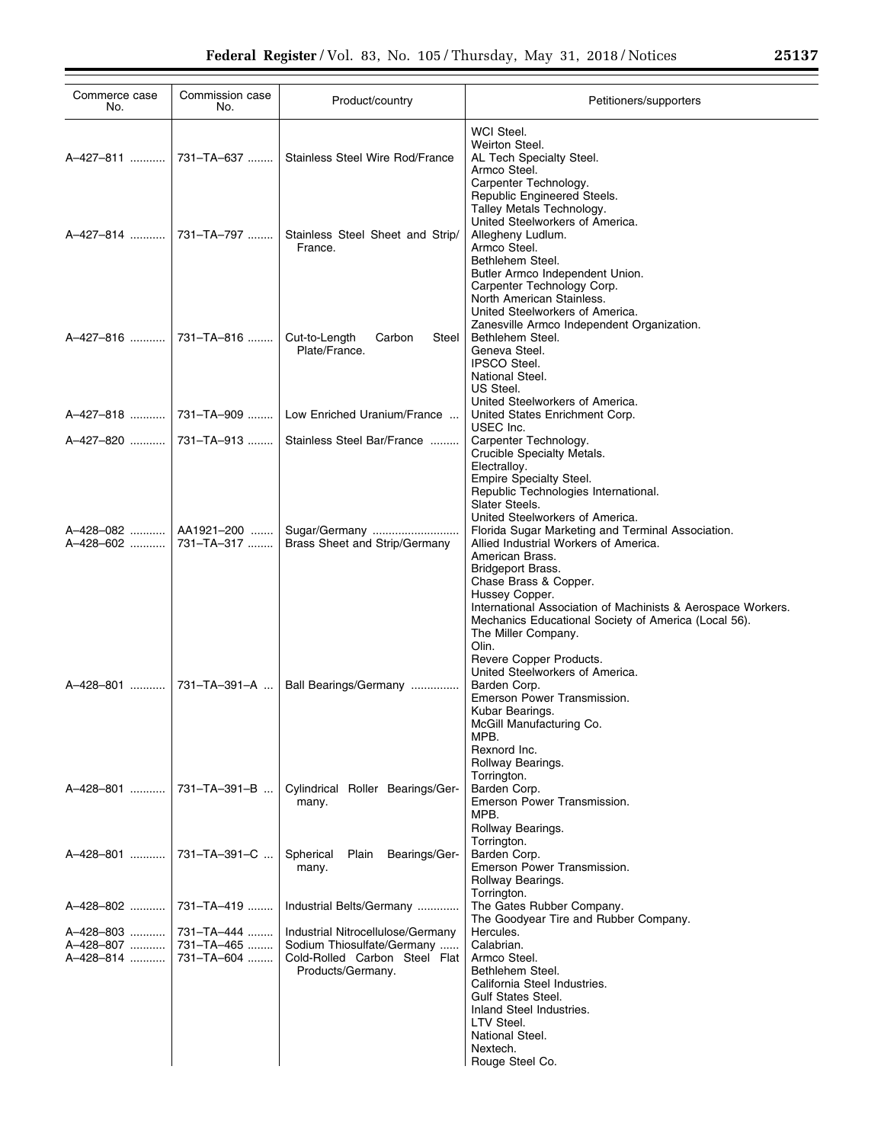| Commerce case<br>No.                | Commission case<br>No.                 | Product/country                                                                                                       | Petitioners/supporters                                                                                                                                                                                                                                                                                                                                                                                                                                                                                   |
|-------------------------------------|----------------------------------------|-----------------------------------------------------------------------------------------------------------------------|----------------------------------------------------------------------------------------------------------------------------------------------------------------------------------------------------------------------------------------------------------------------------------------------------------------------------------------------------------------------------------------------------------------------------------------------------------------------------------------------------------|
| A-427-811                           | 731-TA-637                             | Stainless Steel Wire Rod/France                                                                                       | WCI Steel.<br>Weirton Steel.<br>AL Tech Specialty Steel.<br>Armco Steel.<br>Carpenter Technology.<br>Republic Engineered Steels.<br>Talley Metals Technology.                                                                                                                                                                                                                                                                                                                                            |
| A-427-814                           | 731-TA-797                             | Stainless Steel Sheet and Strip/<br>France.                                                                           | United Steelworkers of America.<br>Allegheny Ludlum.<br>Armco Steel.<br>Bethlehem Steel.<br>Butler Armco Independent Union.<br>Carpenter Technology Corp.                                                                                                                                                                                                                                                                                                                                                |
| A-427-816                           | 731–TA–816                             | Cut-to-Length<br>Steel<br>Carbon<br>Plate/France.                                                                     | North American Stainless.<br>United Steelworkers of America.<br>Zanesville Armco Independent Organization.<br>Bethlehem Steel.<br>Geneva Steel.<br><b>IPSCO Steel.</b><br>National Steel.                                                                                                                                                                                                                                                                                                                |
|                                     |                                        | Low Enriched Uranium/France                                                                                           | US Steel.<br>United Steelworkers of America.<br>United States Enrichment Corp.<br>USEC Inc.                                                                                                                                                                                                                                                                                                                                                                                                              |
|                                     |                                        | Stainless Steel Bar/France                                                                                            | Carpenter Technology.<br>Crucible Specialty Metals.                                                                                                                                                                                                                                                                                                                                                                                                                                                      |
| A-428-082<br>A-428-602              | AA1921-200<br>731-TA-317               | Sugar/Germany<br>Brass Sheet and Strip/Germany                                                                        | Electrallov.<br>Empire Specialty Steel.<br>Republic Technologies International.<br>Slater Steels.<br>United Steelworkers of America.<br>Florida Sugar Marketing and Terminal Association.<br>Allied Industrial Workers of America.<br>American Brass.<br>Bridgeport Brass.<br>Chase Brass & Copper.<br>Hussey Copper.<br>International Association of Machinists & Aerospace Workers.<br>Mechanics Educational Society of America (Local 56).<br>The Miller Company.<br>Olin.<br>Revere Copper Products. |
| A-428-801                           | 731-TA-391-A                           | Ball Bearings/Germany                                                                                                 | United Steelworkers of America.<br>Barden Corp.<br>Emerson Power Transmission.<br>Kubar Bearings.<br>McGill Manufacturing Co.<br>MPB.<br>Rexnord Inc.<br>Rollway Bearings.                                                                                                                                                                                                                                                                                                                               |
| A-428-801                           | 731-TA-391-B                           | Cylindrical Roller Bearings/Ger-<br>many.                                                                             | Torrington.<br>Barden Corp.<br>Emerson Power Transmission.<br>MPB.<br>Rollway Bearings.<br>Torrington.                                                                                                                                                                                                                                                                                                                                                                                                   |
| A-428-801                           | 731-TA-391-C                           | Spherical<br>Plain<br>Bearings/Ger-<br>many.                                                                          | Barden Corp.<br>Emerson Power Transmission.<br>Rollway Bearings.                                                                                                                                                                                                                                                                                                                                                                                                                                         |
| A-428-802                           | 731-TA-419                             | Industrial Belts/Germany                                                                                              | Torrington.<br>The Gates Rubber Company.<br>The Goodyear Tire and Rubber Company.                                                                                                                                                                                                                                                                                                                                                                                                                        |
| A-428-803<br>A-428-807<br>A-428-814 | 731-TA-444<br>731-TA-465<br>731-TA-604 | Industrial Nitrocellulose/Germany<br>Sodium Thiosulfate/Germany<br>Cold-Rolled Carbon Steel Flat<br>Products/Germany. | Hercules.<br>Calabrian.<br>Armco Steel.<br>Bethlehem Steel.<br>California Steel Industries.<br><b>Gulf States Steel.</b><br>Inland Steel Industries.<br>LTV Steel.<br>National Steel.<br>Nextech.<br>Rouge Steel Co.                                                                                                                                                                                                                                                                                     |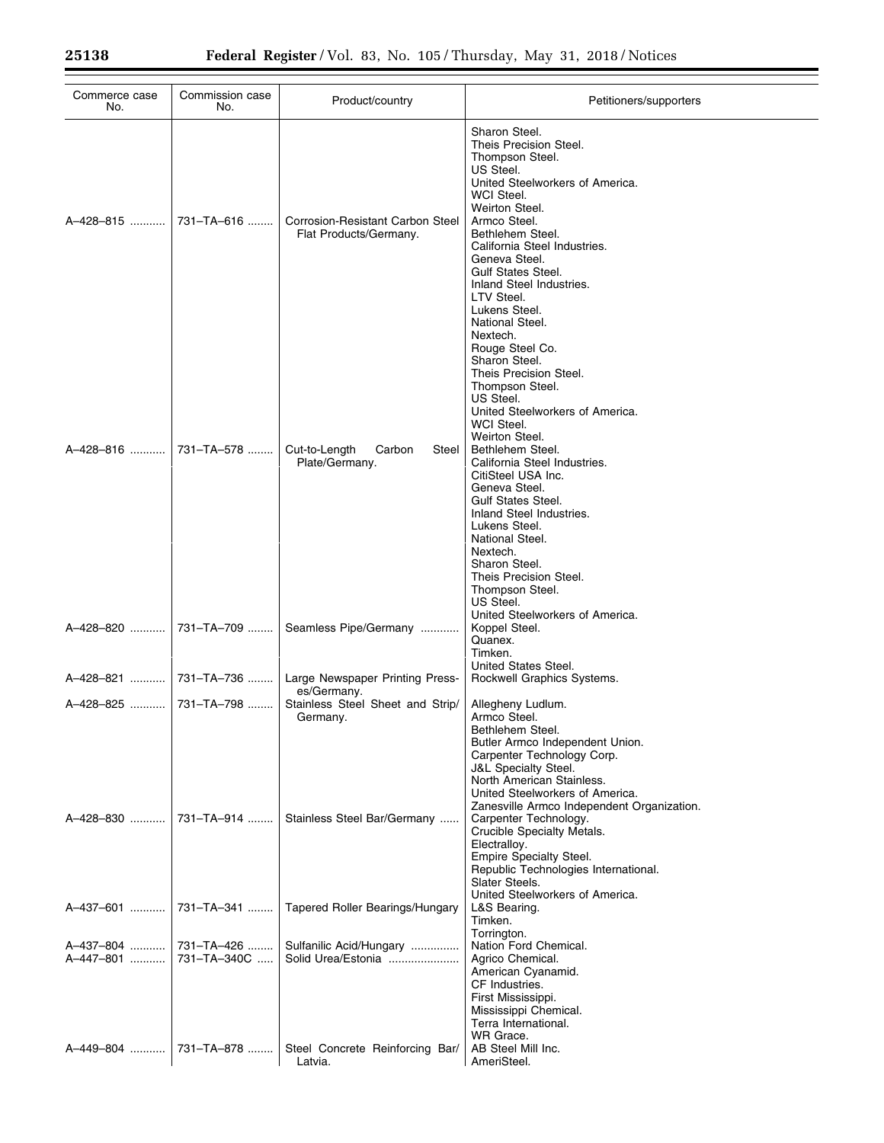| Commerce case<br>No.      | Commission case<br>No.    | Product/country                                            | Petitioners/supporters                                                                                                                                                                                                                                                                                                                                                                                                                                   |
|---------------------------|---------------------------|------------------------------------------------------------|----------------------------------------------------------------------------------------------------------------------------------------------------------------------------------------------------------------------------------------------------------------------------------------------------------------------------------------------------------------------------------------------------------------------------------------------------------|
| A-428-815                 | 731-TA-616                | Corrosion-Resistant Carbon Steel<br>Flat Products/Germany. | Sharon Steel.<br>Theis Precision Steel.<br>Thompson Steel.<br>US Steel.<br>United Steelworkers of America.<br>WCI Steel.<br>Weirton Steel.<br>Armco Steel.<br>Bethlehem Steel.<br>California Steel Industries.<br>Geneva Steel.<br><b>Gulf States Steel.</b><br>Inland Steel Industries.<br>LTV Steel.<br>Lukens Steel.<br>National Steel.                                                                                                               |
| A-428-816                 | 731-TA-578                | Cut-to-Length<br>Carbon<br>Steel<br>Plate/Germany.         | Nextech.<br>Rouge Steel Co.<br>Sharon Steel.<br>Theis Precision Steel.<br>Thompson Steel.<br>US Steel.<br>United Steelworkers of America.<br>WCI Steel.<br>Weirton Steel.<br>Bethlehem Steel.<br>California Steel Industries.<br>CitiSteel USA Inc.<br>Geneva Steel.<br><b>Gulf States Steel.</b><br>Inland Steel Industries.<br>Lukens Steel.<br>National Steel.<br>Nextech.<br>Sharon Steel.<br>Theis Precision Steel.<br>Thompson Steel.<br>US Steel. |
| A-428-820                 | 731-TA-709                | Seamless Pipe/Germany                                      | United Steelworkers of America.<br>Koppel Steel.<br>Quanex.<br>Timken.<br>United States Steel.                                                                                                                                                                                                                                                                                                                                                           |
| A-428-821                 | 731-TA-736                | Large Newspaper Printing Press-<br>es/Germany.             | Rockwell Graphics Systems.                                                                                                                                                                                                                                                                                                                                                                                                                               |
| A-428-825                 | 731-TA-798                | Stainless Steel Sheet and Strip/<br>Germany.               | Allegheny Ludlum.<br>Armco Steel.<br>Bethlehem Steel.<br>Butler Armco Independent Union.<br>Carpenter Technology Corp.<br><b>J&amp;L Specialty Steel.</b><br>North American Stainless.<br>United Steelworkers of America.<br>Zanesville Armco Independent Organization.                                                                                                                                                                                  |
| A-428-830                 | 731-TA-914                | Stainless Steel Bar/Germany                                | Carpenter Technology.<br>Crucible Specialty Metals.<br>Electralloy.<br><b>Empire Specialty Steel.</b><br>Republic Technologies International.<br>Slater Steels.<br>United Steelworkers of America.                                                                                                                                                                                                                                                       |
| A-437-601                 | 731-TA-341                | Tapered Roller Bearings/Hungary                            | L&S Bearing.<br>Timken.<br>Torrington.                                                                                                                                                                                                                                                                                                                                                                                                                   |
| A-437-804   <br>A-447-801 | 731-TA-426<br>731-TA-340C | Sulfanilic Acid/Hungary<br>Solid Urea/Estonia              | Nation Ford Chemical.<br>Agrico Chemical.<br>American Cyanamid.<br>CF Industries.<br>First Mississippi.<br>Mississippi Chemical.<br>Terra International.<br>WR Grace.                                                                                                                                                                                                                                                                                    |
|                           | A-449-804    731-TA-878   | Steel Concrete Reinforcing Bar/<br>Latvia.                 | AB Steel Mill Inc.<br>AmeriSteel.                                                                                                                                                                                                                                                                                                                                                                                                                        |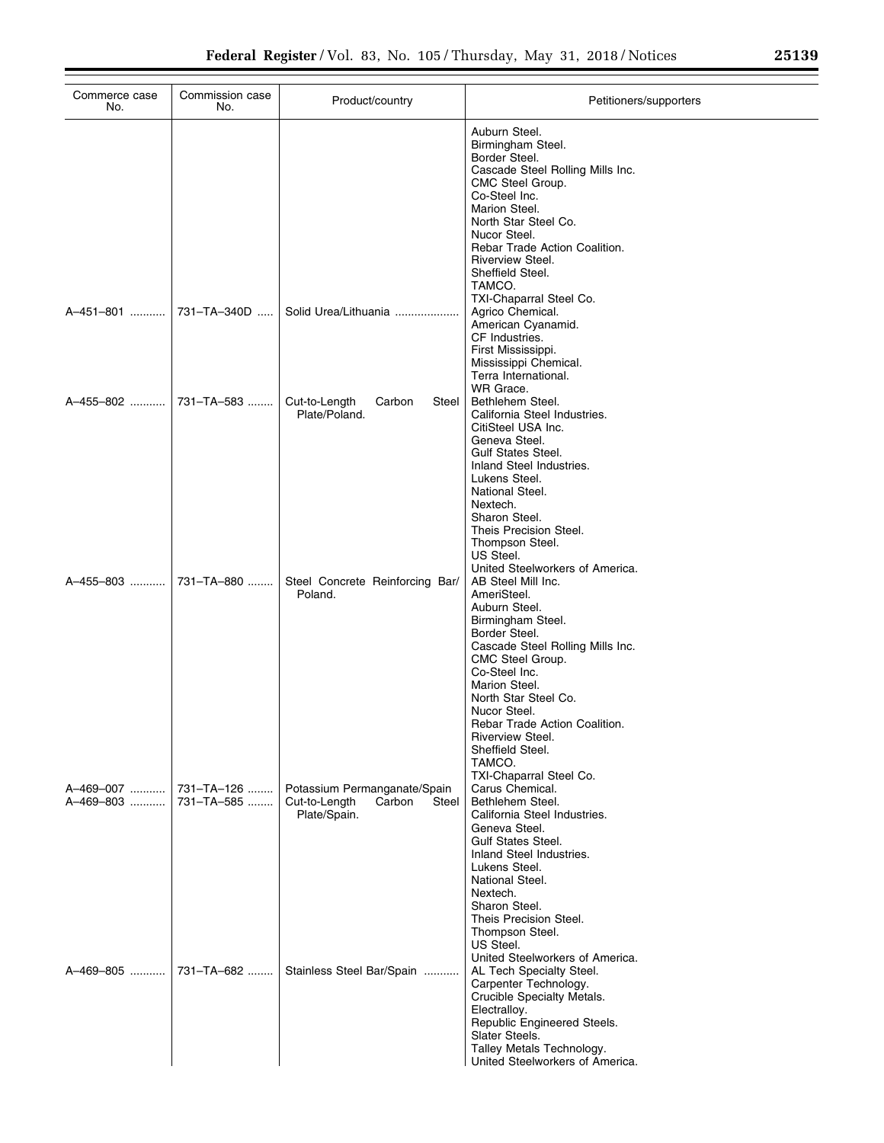| Commerce case<br>No.        | Commission case<br>No.   | Product/country                                                                  | Petitioners/supporters                                                                                                                                                                                                                                                                                                                 |
|-----------------------------|--------------------------|----------------------------------------------------------------------------------|----------------------------------------------------------------------------------------------------------------------------------------------------------------------------------------------------------------------------------------------------------------------------------------------------------------------------------------|
|                             |                          |                                                                                  | Auburn Steel.<br>Birmingham Steel.<br>Border Steel.<br>Cascade Steel Rolling Mills Inc.<br>CMC Steel Group.<br>Co-Steel Inc.<br>Marion Steel.<br>North Star Steel Co.<br>Nucor Steel.<br>Rebar Trade Action Coalition.<br>Riverview Steel.<br>Sheffield Steel.<br>TAMCO.                                                               |
| A–451–801                   | 731-TA-340D              | Solid Urea/Lithuania                                                             | TXI-Chaparral Steel Co.<br>Agrico Chemical.<br>American Cyanamid.<br>CF Industries.<br>First Mississippi.<br>Mississippi Chemical.<br>Terra International.                                                                                                                                                                             |
| A-455-802                   | 731-TA-583               | Cut-to-Length<br>Carbon<br>Steel<br>Plate/Poland.                                | WR Grace.<br>Bethlehem Steel.<br>California Steel Industries.<br>CitiSteel USA Inc.<br>Geneva Steel.<br><b>Gulf States Steel.</b><br>Inland Steel Industries.<br>Lukens Steel.<br>National Steel.<br>Nextech.<br>Sharon Steel.<br>Theis Precision Steel.<br>Thompson Steel.<br>US Steel.<br>United Steelworkers of America.            |
| A-455-803                   | 731-TA-880               | Steel Concrete Reinforcing Bar/<br>Poland.                                       | AB Steel Mill Inc.<br>AmeriSteel.<br>Auburn Steel.<br>Birmingham Steel.<br>Border Steel.<br>Cascade Steel Rolling Mills Inc.<br>CMC Steel Group.<br>Co-Steel Inc.<br>Marion Steel.<br>North Star Steel Co.<br>Nucor Steel.<br>Rebar Trade Action Coalition.<br>Riverview Steel.<br>Sheffield Steel.<br>TAMCO.                          |
| A–469–007 ……….<br>A-469-803 | 731-TA-126<br>731-TA-585 | Potassium Permanganate/Spain<br>Cut-to-Length<br>Carbon<br>Steel<br>Plate/Spain. | TXI-Chaparral Steel Co.<br>Carus Chemical.<br>Bethlehem Steel.<br>California Steel Industries.<br>Geneva Steel.<br><b>Gulf States Steel.</b><br>Inland Steel Industries.<br>Lukens Steel.<br>National Steel.<br>Nextech.<br>Sharon Steel.<br>Theis Precision Steel.<br>Thompson Steel.<br>US Steel.<br>United Steelworkers of America. |
| A-469-805                   | 731-TA-682               | Stainless Steel Bar/Spain                                                        | AL Tech Specialty Steel.<br>Carpenter Technology.<br>Crucible Specialty Metals.<br>Electralloy.<br>Republic Engineered Steels.<br>Slater Steels.<br>Talley Metals Technology.<br>United Steelworkers of America.                                                                                                                       |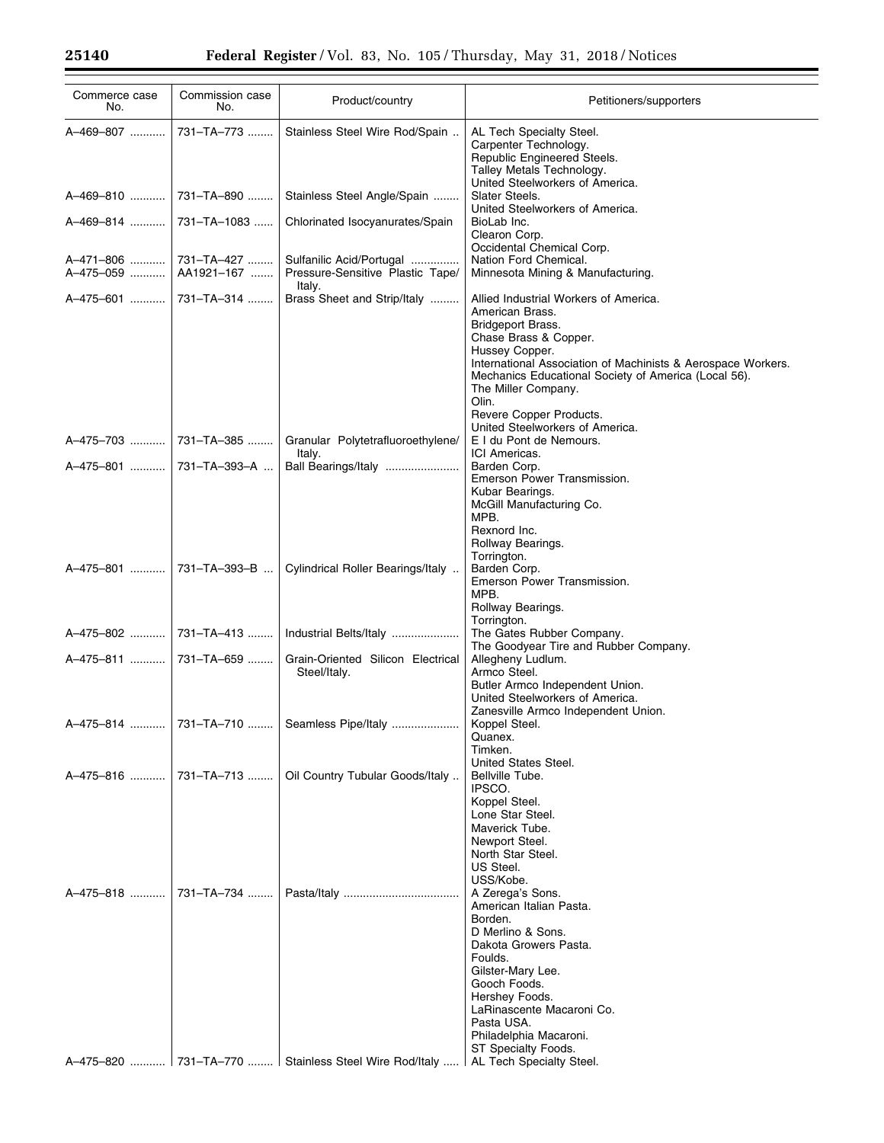| Commerce case<br>No.      | Commission case<br>No.              | Product/country                                                                   | Petitioners/supporters                                                                                                                                                                                                                                                                                                                                |
|---------------------------|-------------------------------------|-----------------------------------------------------------------------------------|-------------------------------------------------------------------------------------------------------------------------------------------------------------------------------------------------------------------------------------------------------------------------------------------------------------------------------------------------------|
| A-469-807                 | 731-TA-773                          | Stainless Steel Wire Rod/Spain                                                    | AL Tech Specialty Steel.<br>Carpenter Technology.<br>Republic Engineered Steels.<br>Talley Metals Technology.                                                                                                                                                                                                                                         |
|                           |                                     | Stainless Steel Angle/Spain                                                       | United Steelworkers of America.<br>Slater Steels.                                                                                                                                                                                                                                                                                                     |
|                           |                                     | Chlorinated Isocyanurates/Spain                                                   | United Steelworkers of America.<br>BioLab Inc.<br>Clearon Corp.<br>Occidental Chemical Corp.                                                                                                                                                                                                                                                          |
| A-475-059                 | A-471-806  731-TA-427<br>AA1921-167 | Sulfanilic Acid/Portugal<br>Pressure-Sensitive Plastic Tape/<br>Italy.            | Nation Ford Chemical.<br>Minnesota Mining & Manufacturing.                                                                                                                                                                                                                                                                                            |
|                           |                                     | Brass Sheet and Strip/Italy                                                       | Allied Industrial Workers of America.<br>American Brass.<br><b>Bridgeport Brass.</b><br>Chase Brass & Copper.<br>Hussey Copper.<br>International Association of Machinists & Aerospace Workers.<br>Mechanics Educational Society of America (Local 56).<br>The Miller Company.<br>Olin.<br>Revere Copper Products.<br>United Steelworkers of America. |
|                           | A-475-703  731-TA-385               | Granular Polytetrafluoroethylene/<br>Italy.                                       | E I du Pont de Nemours.<br>ICI Americas.                                                                                                                                                                                                                                                                                                              |
| A–475–801    731–TA–393–A |                                     | Ball Bearings/Italy                                                               | Barden Corp.<br>Emerson Power Transmission.<br>Kubar Bearings.<br>McGill Manufacturing Co.<br>MPB.<br>Rexnord Inc.<br>Rollway Bearings.                                                                                                                                                                                                               |
|                           |                                     | Cylindrical Roller Bearings/Italy                                                 | Torrington.<br>Barden Corp.<br>Emerson Power Transmission.<br>MPB.<br>Rollway Bearings.                                                                                                                                                                                                                                                               |
| A-475-802                 | 731-TA-413                          | Industrial Belts/Italy                                                            | Torrington.<br>The Gates Rubber Company.                                                                                                                                                                                                                                                                                                              |
| A-475-811  731-TA-659     |                                     | Grain-Oriented Silicon Electrical<br>Steel/Italy.                                 | The Goodyear Tire and Rubber Company.<br>Allegheny Ludlum.<br>Armco Steel.<br>Butler Armco Independent Union.<br>United Steelworkers of America.                                                                                                                                                                                                      |
|                           |                                     | A-475-814  731-TA-710  Seamless Pipe/Italy                                        | Zanesville Armco Independent Union.<br>Koppel Steel.<br>Quanex.<br>Timken.                                                                                                                                                                                                                                                                            |
| A-475-816                 | 731-TA-713                          | Oil Country Tubular Goods/Italy                                                   | United States Steel.<br>Bellville Tube.<br>IPSCO.<br>Koppel Steel.<br>Lone Star Steel.<br>Maverick Tube.<br>Newport Steel.<br>North Star Steel.<br>US Steel.                                                                                                                                                                                          |
| A-475-818                 | 731-TA-734                          |                                                                                   | USS/Kobe.<br>A Zerega's Sons.<br>American Italian Pasta.<br>Borden.<br>D Merlino & Sons.<br>Dakota Growers Pasta.<br>Foulds.<br>Gilster-Mary Lee.<br>Gooch Foods.<br>Hershey Foods.<br>LaRinascente Macaroni Co.<br>Pasta USA.<br>Philadelphia Macaroni.<br>ST Specialty Foods.                                                                       |
|                           |                                     | A-475-820  731-TA-770  Stainless Steel Wire Rod/Italy    AL Tech Specialty Steel. |                                                                                                                                                                                                                                                                                                                                                       |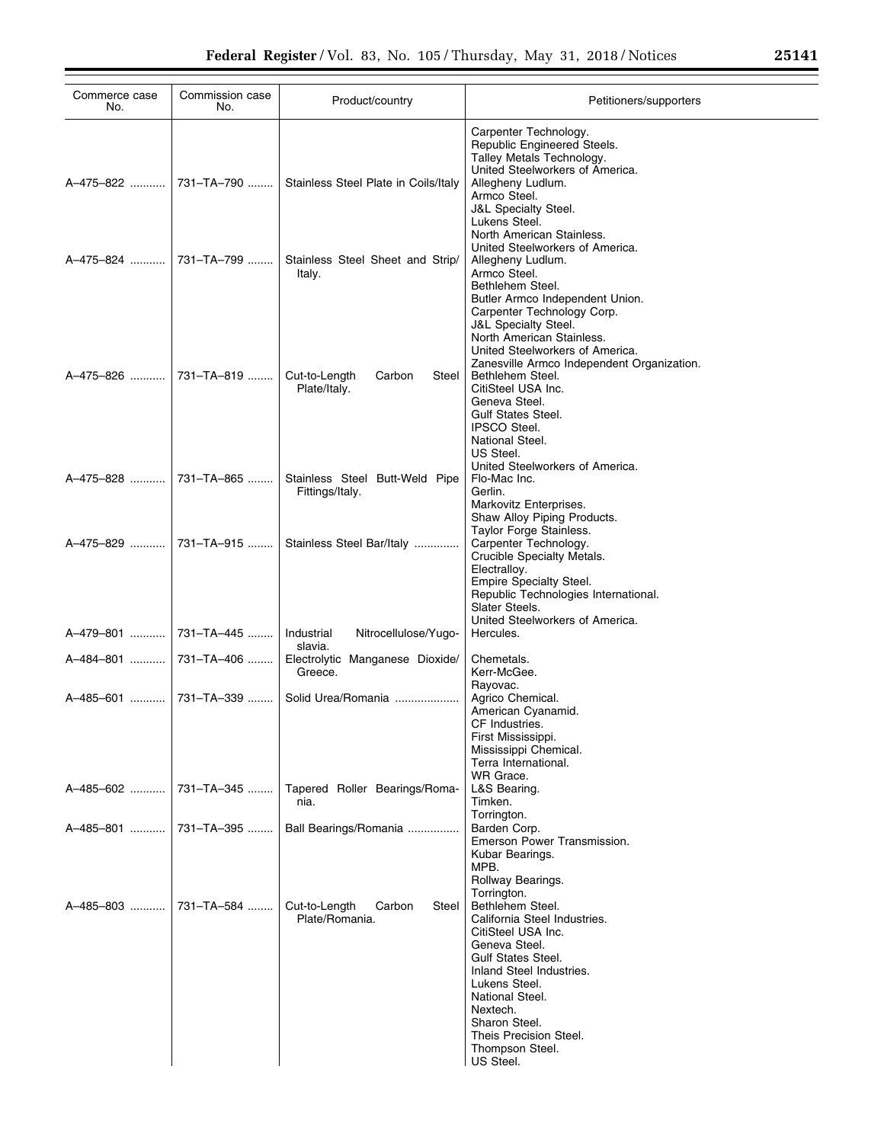| Commerce case<br>No.  | Commission case<br>No.   | Product/country                                    | Petitioners/supporters                                                                                                                                                                                                                                                      |
|-----------------------|--------------------------|----------------------------------------------------|-----------------------------------------------------------------------------------------------------------------------------------------------------------------------------------------------------------------------------------------------------------------------------|
|                       | A–475–822     731–TA–790 | Stainless Steel Plate in Coils/Italy               | Carpenter Technology.<br>Republic Engineered Steels.<br>Talley Metals Technology.<br>United Steelworkers of America.<br>Allegheny Ludlum.<br>Armco Steel.<br><b>J&amp;L Specialty Steel.</b><br>Lukens Steel.<br>North American Stainless.                                  |
| A-475-824 ……….        | 731-TA-799               | Stainless Steel Sheet and Strip/<br>Italy.         | United Steelworkers of America.<br>Allegheny Ludlum.<br>Armco Steel.<br>Bethlehem Steel.<br>Butler Armco Independent Union.<br>Carpenter Technology Corp.<br><b>J&amp;L Specialty Steel.</b><br>North American Stainless.<br>United Steelworkers of America.                |
| A–475–826  …………       | 731-TA-819               | Cut-to-Length<br>Carbon<br>Steel<br>Plate/Italy.   | Zanesville Armco Independent Organization.<br>Bethlehem Steel.<br>CitiSteel USA Inc.<br>Geneva Steel.<br><b>Gulf States Steel.</b><br><b>IPSCO Steel.</b><br>National Steel.<br>US Steel.<br>United Steelworkers of America.                                                |
| A–475–828  …………       | 731-TA-865               | Stainless Steel Butt-Weld Pipe<br>Fittings/Italy.  | Flo-Mac Inc.<br>Gerlin.<br>Markovitz Enterprises.<br>Shaw Alloy Piping Products.                                                                                                                                                                                            |
| A-475-829  731-TA-915 |                          | Stainless Steel Bar/Italy                          | Taylor Forge Stainless.<br>Carpenter Technology.<br>Crucible Specialty Metals.<br>Electralloy.<br>Empire Specialty Steel.<br>Republic Technologies International.<br>Slater Steels.                                                                                         |
| A–479–801             | 731–TA–445 ……            | Industrial<br>Nitrocellulose/Yugo-<br>slavia.      | United Steelworkers of America.<br>Hercules.                                                                                                                                                                                                                                |
|                       | A–484–801     731–TA–406 | Electrolytic Manganese Dioxide/<br>Greece.         | Chemetals.<br>Kerr-McGee.                                                                                                                                                                                                                                                   |
|                       | A–485–601    731–TA–339  | Solid Urea/Romania                                 | Rayovac.<br>Agrico Chemical.<br>American Cyanamid.<br>CF Industries.<br>First Mississippi.<br>Mississippi Chemical.<br>Terra International.                                                                                                                                 |
| A-485-602             | 731-TA-345               | Tapered Roller Bearings/Roma-<br>nia.              | WR Grace.<br>L&S Bearing.<br>Timken.<br>Torrington.                                                                                                                                                                                                                         |
|                       | A–485–801    731–TA–395  | Ball Bearings/Romania                              | Barden Corp.<br>Emerson Power Transmission.<br>Kubar Bearings.<br>MPB.<br>Rollway Bearings.<br>Torrington.                                                                                                                                                                  |
| A–485–803  …………       | 731–TA–584 ……            | Cut-to-Length<br>Carbon<br>Steel<br>Plate/Romania. | Bethlehem Steel.<br>California Steel Industries.<br>CitiSteel USA Inc.<br>Geneva Steel.<br><b>Gulf States Steel.</b><br>Inland Steel Industries.<br>Lukens Steel.<br>National Steel.<br>Nextech.<br>Sharon Steel.<br>Theis Precision Steel.<br>Thompson Steel.<br>US Steel. |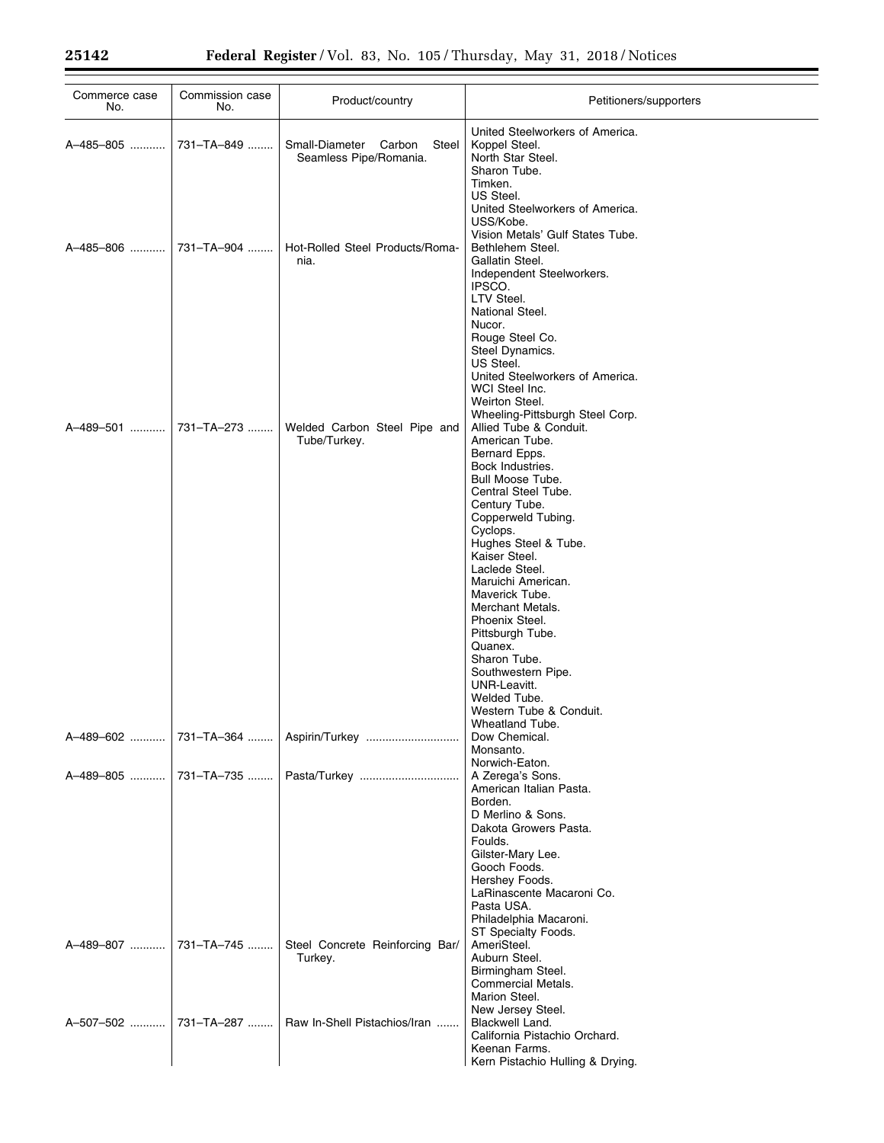$\equiv$ 

| Commerce case<br>No. | Commission case<br>No. | Product/country                                             | Petitioners/supporters                                                                                                                                                                                                  |
|----------------------|------------------------|-------------------------------------------------------------|-------------------------------------------------------------------------------------------------------------------------------------------------------------------------------------------------------------------------|
| A-485-805            | 731-TA-849             | Small-Diameter<br>Steel<br>Carbon<br>Seamless Pipe/Romania. | United Steelworkers of America.<br>Koppel Steel.<br>North Star Steel.<br>Sharon Tube.                                                                                                                                   |
| A-485-806            | 731-TA-904             | Hot-Rolled Steel Products/Roma-<br>nia.                     | Timken.<br>US Steel.<br>United Steelworkers of America.<br>USS/Kobe.<br>Vision Metals' Gulf States Tube.<br>Bethlehem Steel.<br>Gallatin Steel.<br>Independent Steelworkers.<br>IPSCO.<br>LTV Steel.<br>National Steel. |
|                      |                        |                                                             | Nucor.<br>Rouge Steel Co.<br>Steel Dynamics.<br>US Steel.<br>United Steelworkers of America.<br>WCI Steel Inc.<br>Weirton Steel.<br>Wheeling-Pittsburgh Steel Corp.                                                     |
| A-489-501            | 731-TA-273             | Welded Carbon Steel Pipe and<br>Tube/Turkey.                | Allied Tube & Conduit.<br>American Tube.<br>Bernard Epps.<br>Bock Industries.<br>Bull Moose Tube.<br>Central Steel Tube.                                                                                                |
|                      |                        |                                                             | Century Tube.<br>Copperweld Tubing.<br>Cyclops.<br>Hughes Steel & Tube.<br>Kaiser Steel.<br>Laclede Steel.<br>Maruichi American.                                                                                        |
|                      |                        |                                                             | Maverick Tube.<br>Merchant Metals.<br>Phoenix Steel.<br>Pittsburgh Tube.<br>Quanex.<br>Sharon Tube.<br>Southwestern Pipe.                                                                                               |
| A-489-602            |                        | 731-TA-364    Aspirin/Turkey                                | UNR-Leavitt.<br>Welded Tube.<br>Western Tube & Conduit.<br>Wheatland Tube.<br>Dow Chemical.<br>Monsanto.                                                                                                                |
| A-489-805            | 731–TA–735             |                                                             | Norwich-Eaton.<br>A Zerega's Sons.<br>American Italian Pasta.<br>Borden.<br>D Merlino & Sons.<br>Dakota Growers Pasta.                                                                                                  |
|                      |                        |                                                             | Foulds.<br>Gilster-Mary Lee.<br>Gooch Foods.<br>Hershey Foods.<br>LaRinascente Macaroni Co.<br>Pasta USA.                                                                                                               |
| A-489-807            | 731-TA-745             | Steel Concrete Reinforcing Bar/<br>Turkey.                  | Philadelphia Macaroni.<br>ST Specialty Foods.<br>AmeriSteel.<br>Auburn Steel.<br>Birmingham Steel.<br>Commercial Metals.                                                                                                |
| A-507-502            | 731-TA-287             | Raw In-Shell Pistachios/Iran                                | Marion Steel.<br>New Jersey Steel.<br>Blackwell Land.<br>California Pistachio Orchard.<br>Keenan Farms.<br>Kern Pistachio Hulling & Drying.                                                                             |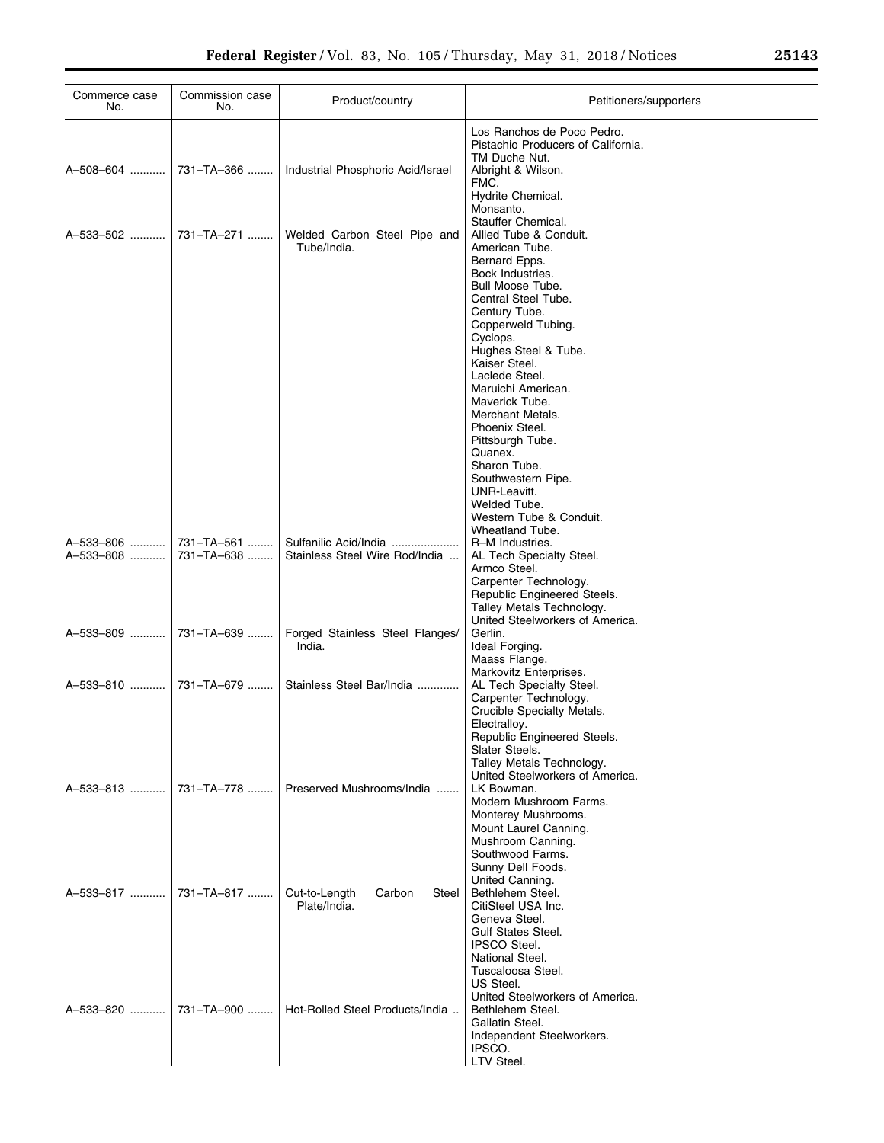| Commerce case<br>No.    | Commission case<br>No. | Product/country                                    | Petitioners/supporters                                                                                                                             |
|-------------------------|------------------------|----------------------------------------------------|----------------------------------------------------------------------------------------------------------------------------------------------------|
| A-508-604               | 731-TA-366             | Industrial Phosphoric Acid/Israel                  | Los Ranchos de Poco Pedro.<br>Pistachio Producers of California.<br>TM Duche Nut.<br>Albright & Wilson.<br>FMC.<br>Hydrite Chemical.               |
| A-533-502  731-TA-271   |                        | Welded Carbon Steel Pipe and<br>Tube/India.        | Monsanto.<br>Stauffer Chemical.<br>Allied Tube & Conduit.<br>American Tube.<br>Bernard Epps.                                                       |
|                         |                        |                                                    | Bock Industries.<br>Bull Moose Tube.<br>Central Steel Tube.<br>Century Tube.<br>Copperweld Tubing.                                                 |
|                         |                        |                                                    | Cyclops.<br>Hughes Steel & Tube.<br>Kaiser Steel.<br>Laclede Steel.                                                                                |
|                         |                        |                                                    | Maruichi American.<br>Maverick Tube.<br>Merchant Metals.<br>Phoenix Steel.<br>Pittsburgh Tube.                                                     |
|                         |                        |                                                    | Quanex.<br>Sharon Tube.<br>Southwestern Pipe.<br>UNR-Leavitt.                                                                                      |
| A-533-806               | 731-TA-561             | Sulfanilic Acid/India                              | Welded Tube.<br>Western Tube & Conduit.<br>Wheatland Tube.<br>R-M Industries.                                                                      |
| A-533-808               | 731-TA-638             | Stainless Steel Wire Rod/India                     | AL Tech Specialty Steel.<br>Armco Steel.<br>Carpenter Technology.<br>Republic Engineered Steels.<br>Talley Metals Technology.                      |
| A-533-809    731-TA-639 |                        | Forged Stainless Steel Flanges/<br>India.          | United Steelworkers of America.<br>Gerlin.<br>Ideal Forging.<br>Maass Flange.<br>Markovitz Enterprises.                                            |
| A–533–810    731–TA–679 |                        | Stainless Steel Bar/India                          | AL Tech Specialty Steel.<br>Carpenter Technology.<br>Crucible Specialty Metals.<br>Electralloy.                                                    |
|                         | 731-TA-778             |                                                    | Republic Engineered Steels.<br>Slater Steels.<br>Talley Metals Technology.<br>United Steelworkers of America.                                      |
| A-533-813               |                        | Preserved Mushrooms/India                          | LK Bowman.<br>Modern Mushroom Farms.<br>Monterey Mushrooms.<br>Mount Laurel Canning.<br>Mushroom Canning.<br>Southwood Farms.<br>Sunny Dell Foods. |
| A-533-817               | 731-TA-817             | Cut-to-Length<br>Carbon<br>Steel I<br>Plate/India. | United Canning.<br>Bethlehem Steel.<br>CitiSteel USA Inc.<br>Geneva Steel.<br><b>Gulf States Steel.</b>                                            |
|                         |                        |                                                    | <b>IPSCO Steel.</b><br>National Steel.<br>Tuscaloosa Steel.<br>US Steel.<br>United Steelworkers of America.                                        |
| A-533-820               | 731-TA-900             | Hot-Rolled Steel Products/India                    | Bethlehem Steel.<br>Gallatin Steel.<br>Independent Steelworkers.<br>IPSCO.<br>LTV Steel.                                                           |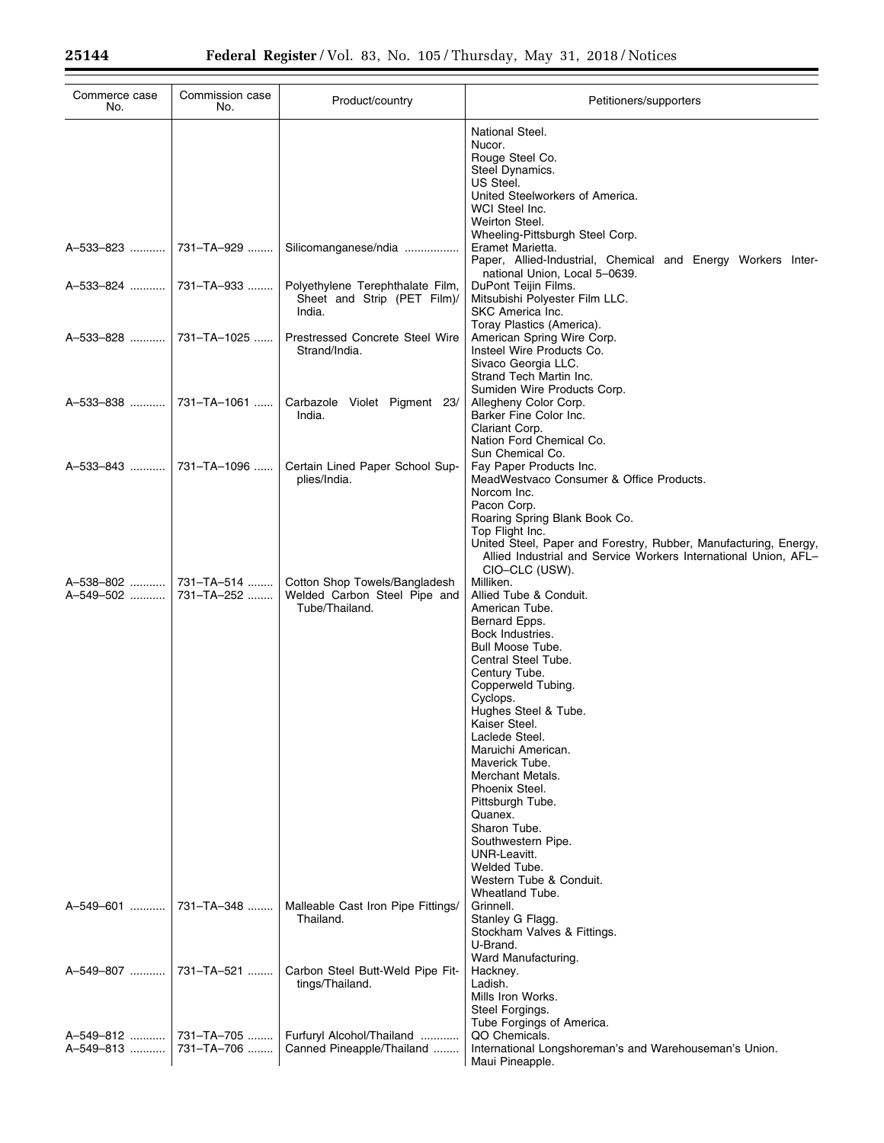$\equiv$ 

| Commerce case<br>No.     | Commission case<br>No. | Product/country                                                                 | Petitioners/supporters                                                                                                                                                                                                                                                                                                                                                                                                                                                   |
|--------------------------|------------------------|---------------------------------------------------------------------------------|--------------------------------------------------------------------------------------------------------------------------------------------------------------------------------------------------------------------------------------------------------------------------------------------------------------------------------------------------------------------------------------------------------------------------------------------------------------------------|
|                          |                        |                                                                                 | National Steel.<br>Nucor.<br>Rouge Steel Co.<br>Steel Dynamics.<br>US Steel.<br>United Steelworkers of America.<br>WCI Steel Inc.<br>Weirton Steel.                                                                                                                                                                                                                                                                                                                      |
| A-533-823  731-TA-929    |                        | Silicomanganese/ndia                                                            | Wheeling-Pittsburgh Steel Corp.<br>Eramet Marietta.<br>Paper, Allied-Industrial, Chemical and Energy Workers Inter-                                                                                                                                                                                                                                                                                                                                                      |
| A-533-824    731-TA-933  |                        | Polyethylene Terephthalate Film,<br>Sheet and Strip (PET Film)/<br>India.       | national Union, Local 5-0639.<br>DuPont Teijin Films.<br>Mitsubishi Polyester Film LLC.<br>SKC America Inc.                                                                                                                                                                                                                                                                                                                                                              |
| A-533-828    731-TA-1025 |                        | Prestressed Concrete Steel Wire<br>Strand/India.                                | Toray Plastics (America).<br>American Spring Wire Corp.<br>Insteel Wire Products Co.<br>Sivaco Georgia LLC.<br>Strand Tech Martin Inc.<br>Sumiden Wire Products Corp.                                                                                                                                                                                                                                                                                                    |
|                          |                        | Carbazole Violet Pigment 23/<br>India.                                          | Allegheny Color Corp.<br>Barker Fine Color Inc.<br>Clariant Corp.<br>Nation Ford Chemical Co.<br>Sun Chemical Co.                                                                                                                                                                                                                                                                                                                                                        |
|                          |                        | Certain Lined Paper School Sup-<br>plies/India.                                 | Fay Paper Products Inc.<br>MeadWestvaco Consumer & Office Products.<br>Norcom Inc.<br>Pacon Corp.<br>Roaring Spring Blank Book Co.<br>Top Flight Inc.<br>United Steel, Paper and Forestry, Rubber, Manufacturing, Energy,<br>Allied Industrial and Service Workers International Union, AFL-<br>CIO-CLC (USW).                                                                                                                                                           |
| A-549-502  731-TA-252    |                        | Cotton Shop Towels/Bangladesh<br>Welded Carbon Steel Pipe and<br>Tube/Thailand. | Milliken.<br>Allied Tube & Conduit.<br>American Tube.<br>Bernard Epps.<br>Bock Industries.<br><b>Bull Moose Tube.</b><br>Central Steel Tube.<br>Century Tube.<br>Copperweld Tubing.<br>Cyclops.<br>Hughes Steel & Tube.<br>Kaiser Steel.<br>Laclede Steel.<br>Maruichi American.<br>Maverick Tube.<br>Merchant Metals.<br>Phoenix Steel.<br>Pittsburgh Tube.<br>Quanex.<br>Sharon Tube.<br>Southwestern Pipe.<br>UNR-Leavitt.<br>Welded Tube.<br>Western Tube & Conduit. |
|                          |                        | Malleable Cast Iron Pipe Fittings/<br>Thailand.                                 | Wheatland Tube.<br>Grinnell.<br>Stanley G Flagg.<br>Stockham Valves & Fittings.<br>U-Brand.                                                                                                                                                                                                                                                                                                                                                                              |
| A-549-807  731-TA-521    |                        | Carbon Steel Butt-Weld Pipe Fit-<br>tings/Thailand.                             | Ward Manufacturing.<br>Hackney.<br>Ladish.<br>Mills Iron Works.<br>Steel Forgings.<br>Tube Forgings of America.                                                                                                                                                                                                                                                                                                                                                          |
| A-549-813  731-TA-706    |                        | Furfuryl Alcohol/Thailand<br>Canned Pineapple/Thailand                          | QO Chemicals.<br>International Longshoreman's and Warehouseman's Union.<br>Maui Pineapple.                                                                                                                                                                                                                                                                                                                                                                               |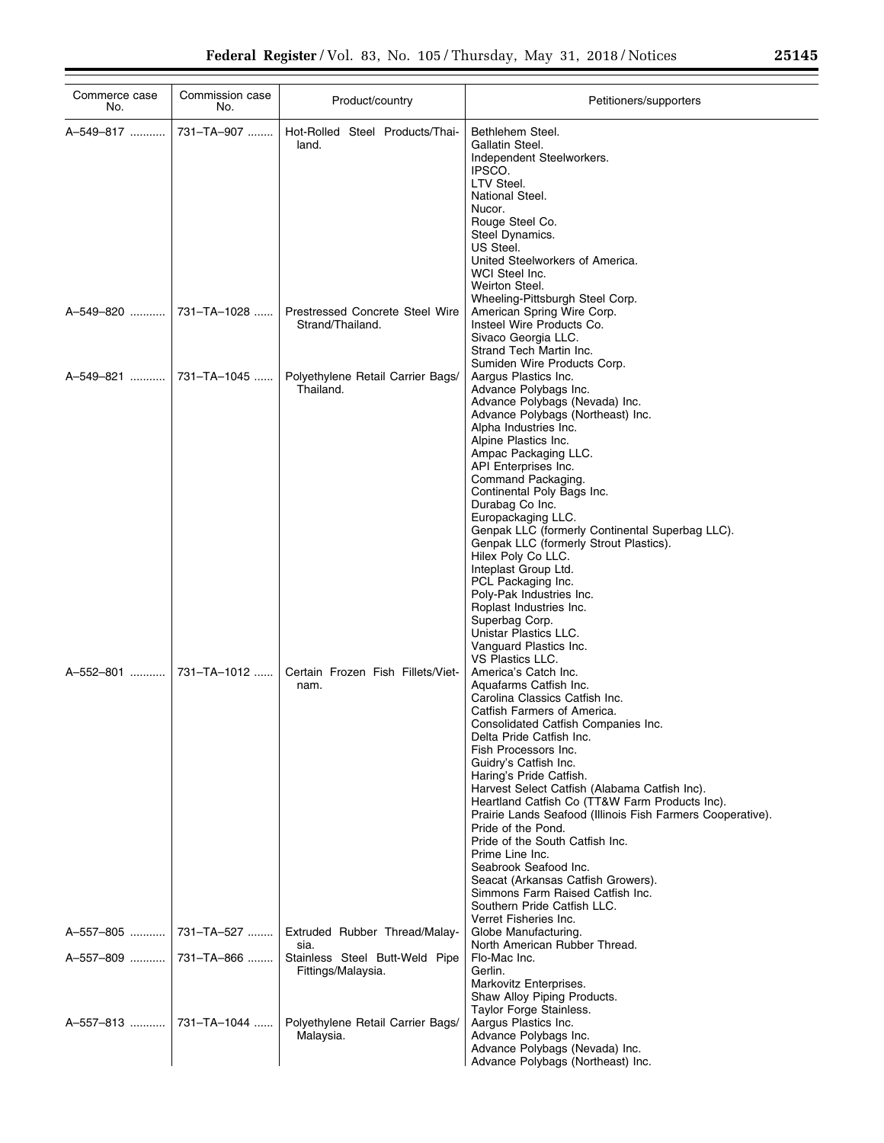| Commerce case<br>No.     | Commission case<br>No.  | Product/country                                      | Petitioners/supporters                                                                                                                                                                                                                                                                                                                                                                                                                                                                                                                                                                                                                                            |
|--------------------------|-------------------------|------------------------------------------------------|-------------------------------------------------------------------------------------------------------------------------------------------------------------------------------------------------------------------------------------------------------------------------------------------------------------------------------------------------------------------------------------------------------------------------------------------------------------------------------------------------------------------------------------------------------------------------------------------------------------------------------------------------------------------|
| A-549-817                | 731-TA-907              | Hot-Rolled Steel Products/Thai-<br>land.             | Bethlehem Steel.<br>Gallatin Steel.<br>Independent Steelworkers.<br>IPSCO.<br>LTV Steel.<br>National Steel.<br>Nucor.<br>Rouge Steel Co.<br>Steel Dynamics.<br>US Steel.<br>United Steelworkers of America.<br>WCI Steel Inc.<br>Weirton Steel.<br>Wheeling-Pittsburgh Steel Corp.                                                                                                                                                                                                                                                                                                                                                                                |
| A-549-820                | 731-TA-1028             | Prestressed Concrete Steel Wire<br>Strand/Thailand.  | American Spring Wire Corp.<br>Insteel Wire Products Co.<br>Sivaco Georgia LLC.<br>Strand Tech Martin Inc.<br>Sumiden Wire Products Corp.                                                                                                                                                                                                                                                                                                                                                                                                                                                                                                                          |
| A-549-821                | 731-TA-1045             | Polyethylene Retail Carrier Bags/<br>Thailand.       | Aargus Plastics Inc.<br>Advance Polybags Inc.<br>Advance Polybags (Nevada) Inc.<br>Advance Polybags (Northeast) Inc.<br>Alpha Industries Inc.<br>Alpine Plastics Inc.<br>Ampac Packaging LLC.<br>API Enterprises Inc.<br>Command Packaging.<br>Continental Poly Bags Inc.<br>Durabag Co Inc.<br>Europackaging LLC.<br>Genpak LLC (formerly Continental Superbag LLC).<br>Genpak LLC (formerly Strout Plastics).<br>Hilex Poly Co LLC.<br>Inteplast Group Ltd.<br>PCL Packaging Inc.<br>Poly-Pak Industries Inc.<br>Roplast Industries Inc.<br>Superbag Corp.<br>Unistar Plastics LLC.<br>Vanguard Plastics Inc.                                                   |
| A-552-801                | 731-TA-1012             | Certain Frozen Fish Fillets/Viet-<br>nam.            | VS Plastics LLC.<br>America's Catch Inc.<br>Aquafarms Catfish Inc.<br>Carolina Classics Catfish Inc.<br>Catfish Farmers of America.<br>Consolidated Catfish Companies Inc.<br>Delta Pride Catfish Inc.<br>Fish Processors Inc.<br>Guidry's Catfish Inc.<br>Haring's Pride Catfish.<br>Harvest Select Catfish (Alabama Catfish Inc).<br>Heartland Catfish Co (TT&W Farm Products Inc).<br>Prairie Lands Seafood (Illinois Fish Farmers Cooperative).<br>Pride of the Pond.<br>Pride of the South Catfish Inc.<br>Prime Line Inc.<br>Seabrook Seafood Inc.<br>Seacat (Arkansas Catfish Growers).<br>Simmons Farm Raised Catfish Inc.<br>Southern Pride Catfish LLC. |
|                          | A-557-805    731-TA-527 | Extruded Rubber Thread/Malay-<br>sia.                | Verret Fisheries Inc.<br>Globe Manufacturing.<br>North American Rubber Thread.                                                                                                                                                                                                                                                                                                                                                                                                                                                                                                                                                                                    |
|                          |                         | Stainless Steel Butt-Weld Pipe<br>Fittings/Malaysia. | Flo-Mac Inc.<br>Gerlin.<br>Markovitz Enterprises.<br>Shaw Alloy Piping Products.<br>Taylor Forge Stainless.                                                                                                                                                                                                                                                                                                                                                                                                                                                                                                                                                       |
| A-557-813    731-TA-1044 |                         | Polyethylene Retail Carrier Bags/<br>Malaysia.       | Aargus Plastics Inc.<br>Advance Polybags Inc.<br>Advance Polybags (Nevada) Inc.<br>Advance Polybags (Northeast) Inc.                                                                                                                                                                                                                                                                                                                                                                                                                                                                                                                                              |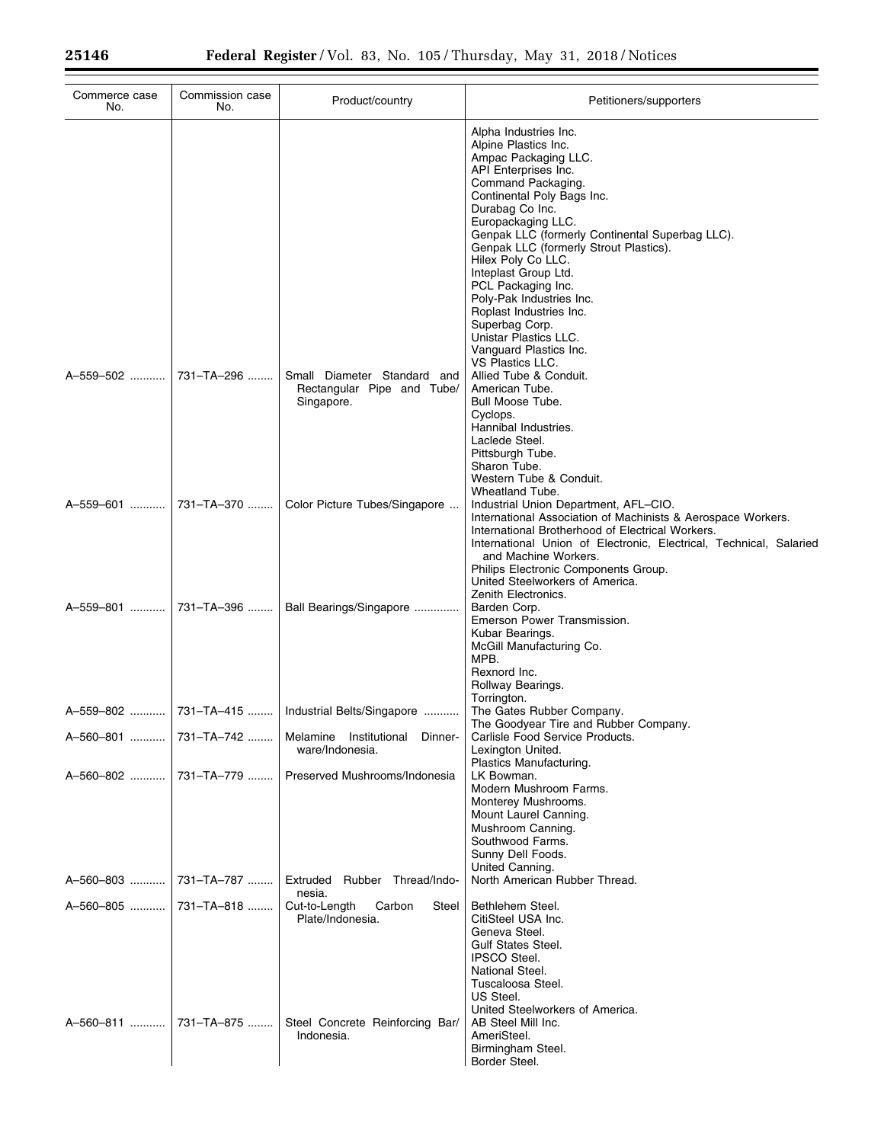| Commerce case<br>No.  | Commission case<br>No. | Product/country                                                         | Petitioners/supporters                                                                                                                                                                                                                                                                                                                                                                                                                                                                  |
|-----------------------|------------------------|-------------------------------------------------------------------------|-----------------------------------------------------------------------------------------------------------------------------------------------------------------------------------------------------------------------------------------------------------------------------------------------------------------------------------------------------------------------------------------------------------------------------------------------------------------------------------------|
|                       |                        |                                                                         | Alpha Industries Inc.<br>Alpine Plastics Inc.<br>Ampac Packaging LLC.<br>API Enterprises Inc.<br>Command Packaging.<br>Continental Poly Bags Inc.<br>Durabag Co Inc.<br>Europackaging LLC.<br>Genpak LLC (formerly Continental Superbag LLC).<br>Genpak LLC (formerly Strout Plastics).<br>Hilex Poly Co LLC.<br>Inteplast Group Ltd.<br>PCL Packaging Inc.<br>Poly-Pak Industries Inc.<br>Roplast Industries Inc.<br>Superbag Corp.<br>Unistar Plastics LLC.<br>Vanguard Plastics Inc. |
| A-559-502             | 731-TA-296             | Small Diameter Standard and<br>Rectangular Pipe and Tube/<br>Singapore. | <b>VS Plastics LLC.</b><br>Allied Tube & Conduit.<br>American Tube.<br><b>Bull Moose Tube.</b><br>Cyclops.<br>Hannibal Industries.<br>Laclede Steel.<br>Pittsburgh Tube.<br>Sharon Tube.<br>Western Tube & Conduit.<br>Wheatland Tube.                                                                                                                                                                                                                                                  |
| A-559-601             | 731-TA-370             | Color Picture Tubes/Singapore                                           | Industrial Union Department, AFL-CIO.<br>International Association of Machinists & Aerospace Workers.<br>International Brotherhood of Electrical Workers.<br>International Union of Electronic, Electrical, Technical, Salaried<br>and Machine Workers.<br>Philips Electronic Components Group.<br>United Steelworkers of America.<br>Zenith Electronics.                                                                                                                               |
| A-559-801             | 731-TA-396             | Ball Bearings/Singapore                                                 | Barden Corp.<br>Emerson Power Transmission.<br>Kubar Bearings.<br>McGill Manufacturing Co.<br>MPB.<br>Rexnord Inc.<br>Rollway Bearings.                                                                                                                                                                                                                                                                                                                                                 |
|                       |                        | A-559-802    731-TA-415    Industrial Belts/Singapore                   | Torrington.<br>The Gates Rubber Company.<br>The Goodyear Tire and Rubber Company.                                                                                                                                                                                                                                                                                                                                                                                                       |
| A-560-801             | 731-TA-742             | Melamine Institutional<br>Dinner-<br>ware/Indonesia.                    | Carlisle Food Service Products.<br>Lexington United.                                                                                                                                                                                                                                                                                                                                                                                                                                    |
|                       | A-560-802  731-TA-779  | Preserved Mushrooms/Indonesia                                           | Plastics Manufacturing.<br>LK Bowman.<br>Modern Mushroom Farms.<br>Monterey Mushrooms.<br>Mount Laurel Canning.<br>Mushroom Canning.<br>Southwood Farms.<br>Sunny Dell Foods.                                                                                                                                                                                                                                                                                                           |
| A-560-803  731-TA-787 |                        | Extruded<br>Rubber Thread/Indo-<br>nesia.                               | United Canning.<br>North American Rubber Thread.                                                                                                                                                                                                                                                                                                                                                                                                                                        |
| A-560-805             | 731-TA-818             | Cut-to-Length<br>Carbon<br>Steel<br>Plate/Indonesia.                    | Bethlehem Steel.<br>CitiSteel USA Inc.<br>Geneva Steel.<br><b>Gulf States Steel.</b><br><b>IPSCO Steel.</b><br>National Steel.<br>Tuscaloosa Steel.<br>US Steel.<br>United Steelworkers of America.                                                                                                                                                                                                                                                                                     |
| A-560-811             | 731-TA-875             | Steel Concrete Reinforcing Bar/<br>Indonesia.                           | AB Steel Mill Inc.<br>AmeriSteel.<br>Birmingham Steel.<br>Border Steel.                                                                                                                                                                                                                                                                                                                                                                                                                 |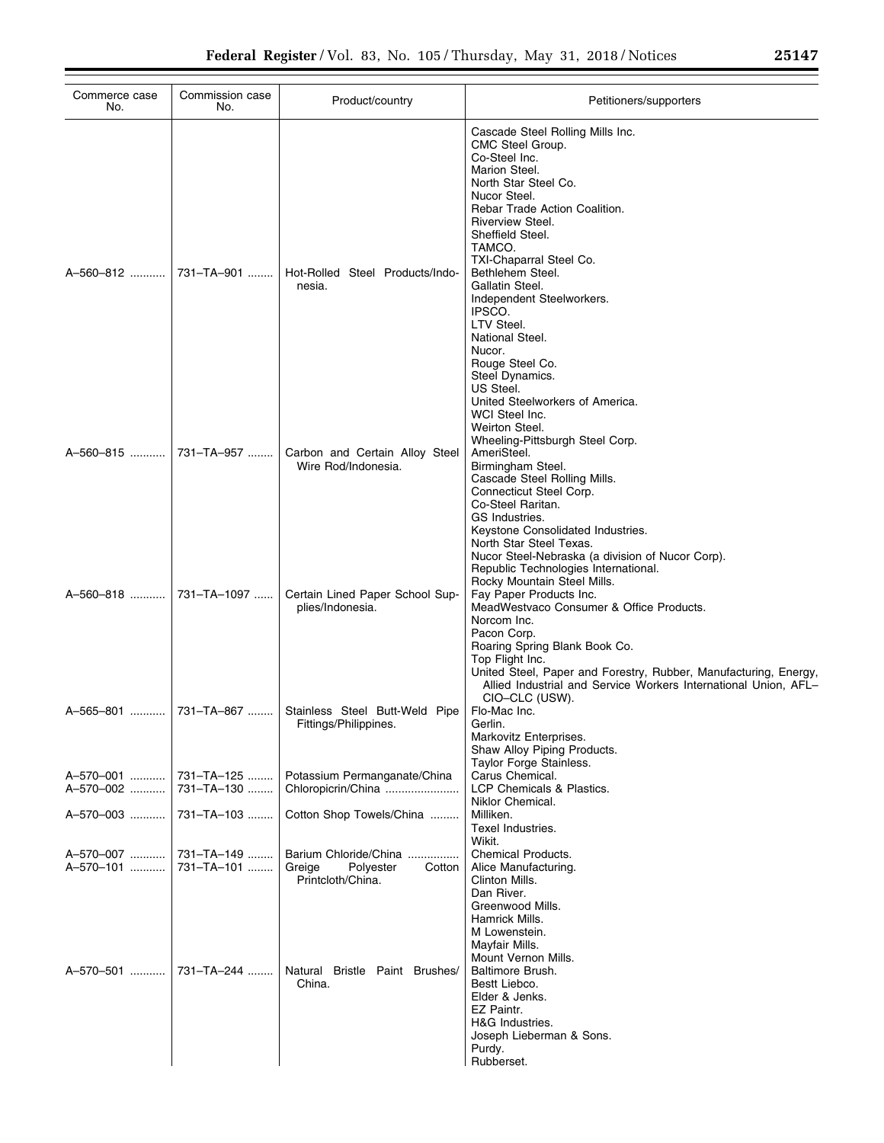| Commerce case<br>No.    | Commission case<br>No.   | Product/country                                                             | Petitioners/supporters                                                                                                                                                                                                                                                                                                                                                                                                                 |
|-------------------------|--------------------------|-----------------------------------------------------------------------------|----------------------------------------------------------------------------------------------------------------------------------------------------------------------------------------------------------------------------------------------------------------------------------------------------------------------------------------------------------------------------------------------------------------------------------------|
|                         |                          | Hot-Rolled Steel Products/Indo-<br>nesia.                                   | Cascade Steel Rolling Mills Inc.<br>CMC Steel Group.<br>Co-Steel Inc.<br>Marion Steel.<br>North Star Steel Co.<br>Nucor Steel.<br>Rebar Trade Action Coalition.<br>Riverview Steel.<br>Sheffield Steel.<br>TAMCO.<br>TXI-Chaparral Steel Co.<br>Bethlehem Steel.<br>Gallatin Steel.<br>Independent Steelworkers.<br>IPSCO.<br>LTV Steel.<br>National Steel.<br>Nucor.                                                                  |
|                         |                          | Carbon and Certain Alloy Steel<br>Wire Rod/Indonesia.                       | Rouge Steel Co.<br>Steel Dynamics.<br>US Steel.<br>United Steelworkers of America.<br>WCI Steel Inc.<br>Weirton Steel.<br>Wheeling-Pittsburgh Steel Corp.<br>AmeriSteel.<br>Birmingham Steel.<br>Cascade Steel Rolling Mills.<br>Connecticut Steel Corp.<br>Co-Steel Raritan.                                                                                                                                                          |
|                         |                          | Certain Lined Paper School Sup-<br>plies/Indonesia.                         | GS Industries.<br>Keystone Consolidated Industries.<br>North Star Steel Texas.<br>Nucor Steel-Nebraska (a division of Nucor Corp).<br>Republic Technologies International.<br>Rocky Mountain Steel Mills.<br>Fay Paper Products Inc.<br>MeadWestvaco Consumer & Office Products.<br>Norcom Inc.<br>Pacon Corp.<br>Roaring Spring Blank Book Co.<br>Top Flight Inc.<br>United Steel, Paper and Forestry, Rubber, Manufacturing, Energy, |
|                         |                          | Stainless Steel Butt-Weld Pipe<br>Fittings/Philippines.                     | Allied Industrial and Service Workers International Union, AFL-<br>CIO-CLC (USW).<br>Flo-Mac Inc.<br>Gerlin.<br>Markovitz Enterprises.<br>Shaw Alloy Piping Products.                                                                                                                                                                                                                                                                  |
| A-570-001<br>A-570-002  | 731-TA-125<br>731-TA-130 | Potassium Permanganate/China<br>Chloropicrin/China                          | Taylor Forge Stainless.<br>Carus Chemical.<br>LCP Chemicals & Plastics.                                                                                                                                                                                                                                                                                                                                                                |
| A-570-003               | 731-TA-103               | Cotton Shop Towels/China                                                    | Niklor Chemical.<br>Milliken.<br>Texel Industries.<br>Wikit.                                                                                                                                                                                                                                                                                                                                                                           |
| A-570-007<br>A-570-101  | 731-TA-149<br>731–TA–101 | Barium Chloride/China<br>Greige<br>Polyester<br>Cotton<br>Printcloth/China. | Chemical Products.<br>Alice Manufacturing.<br>Clinton Mills.<br>Dan River.<br>Greenwood Mills.<br>Hamrick Mills.<br>M Lowenstein.<br>Mayfair Mills.                                                                                                                                                                                                                                                                                    |
| A-570-501    731-TA-244 |                          | Natural Bristle Paint Brushes/<br>China.                                    | Mount Vernon Mills.<br>Baltimore Brush.<br>Bestt Liebco.<br>Elder & Jenks.<br>EZ Paintr.<br>H&G Industries.<br>Joseph Lieberman & Sons.<br>Purdy.<br>Rubberset.                                                                                                                                                                                                                                                                        |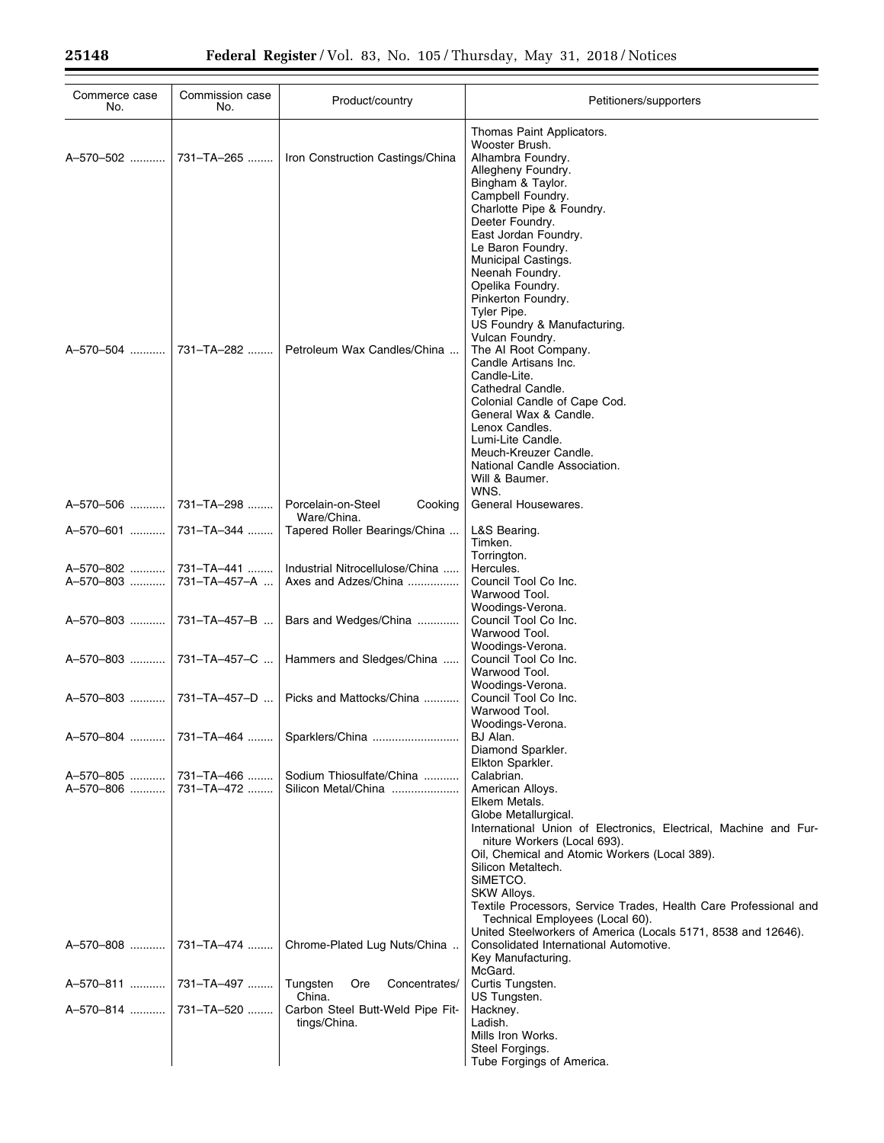| Commerce case<br>No.                             | Commission case<br>No.     | Product/country                                         | Petitioners/supporters                                                                                                                                                                                                                                                                                                                                                                                                                                                                    |
|--------------------------------------------------|----------------------------|---------------------------------------------------------|-------------------------------------------------------------------------------------------------------------------------------------------------------------------------------------------------------------------------------------------------------------------------------------------------------------------------------------------------------------------------------------------------------------------------------------------------------------------------------------------|
| A-570-502                                        | 731-TA-265                 | Iron Construction Castings/China                        | Thomas Paint Applicators.<br>Wooster Brush.<br>Alhambra Foundry.<br>Allegheny Foundry.<br>Bingham & Taylor.<br>Campbell Foundry.<br>Charlotte Pipe & Foundry.                                                                                                                                                                                                                                                                                                                             |
| A-570-504  731-TA-282                            |                            | Petroleum Wax Candles/China                             | Deeter Foundry.<br>East Jordan Foundry.<br>Le Baron Foundry.<br>Municipal Castings.<br>Neenah Foundry.<br>Opelika Foundry.<br>Pinkerton Foundry.<br>Tyler Pipe.<br>US Foundry & Manufacturing.<br>Vulcan Foundry.<br>The AI Root Company.<br>Candle Artisans Inc.<br>Candle-Lite.<br>Cathedral Candle.<br>Colonial Candle of Cape Cod.<br>General Wax & Candle.<br>Lenox Candles.<br>Lumi-Lite Candle.<br>Meuch-Kreuzer Candle.<br>National Candle Association.<br>Will & Baumer.<br>WNS. |
| A-570-506                                        | 731-TA-298                 | Porcelain-on-Steel<br>Cooking<br>Ware/China.            | General Housewares.                                                                                                                                                                                                                                                                                                                                                                                                                                                                       |
| A-570-601                                        | 731-TA-344                 | Tapered Roller Bearings/China                           | L&S Bearing.<br>Timken.                                                                                                                                                                                                                                                                                                                                                                                                                                                                   |
| A-570-802<br>A-570-803                           | 731-TA-441<br>731-TA-457-A | Industrial Nitrocellulose/China<br>Axes and Adzes/China | Torrington.<br>Hercules.<br>Council Tool Co Inc.<br>Warwood Tool.                                                                                                                                                                                                                                                                                                                                                                                                                         |
| A-570-803                                        | 731-TA-457-B               | Bars and Wedges/China                                   | Woodings-Verona.<br>Council Tool Co Inc.<br>Warwood Tool.                                                                                                                                                                                                                                                                                                                                                                                                                                 |
| A-570-803                                        | 731-TA-457-C               | Hammers and Sledges/China                               | Woodings-Verona.<br>Council Tool Co Inc.<br>Warwood Tool.<br>Woodings-Verona.                                                                                                                                                                                                                                                                                                                                                                                                             |
| A-570-803  731-TA-457-D                          |                            | Picks and Mattocks/China                                | Council Tool Co Inc.<br>Warwood Tool.                                                                                                                                                                                                                                                                                                                                                                                                                                                     |
|                                                  |                            | Sparklers/China                                         | Woodings-Verona.<br>BJ Alan.<br>Diamond Sparkler.<br>Elkton Sparkler.                                                                                                                                                                                                                                                                                                                                                                                                                     |
| A-570-805    731-TA-466<br>A-570-806  731-TA-472 |                            | Sodium Thiosulfate/China<br>Silicon Metal/China         | Calabrian.<br>American Alloys.<br>Elkem Metals.<br>Globe Metallurgical.<br>International Union of Electronics, Electrical, Machine and Fur-<br>niture Workers (Local 693).<br>Oil, Chemical and Atomic Workers (Local 389).                                                                                                                                                                                                                                                               |
|                                                  |                            |                                                         | Silicon Metaltech.<br>SIMETCO.<br>SKW Alloys.<br>Textile Processors, Service Trades, Health Care Professional and<br>Technical Employees (Local 60).<br>United Steelworkers of America (Locals 5171, 8538 and 12646).                                                                                                                                                                                                                                                                     |
|                                                  |                            | Chrome-Plated Lug Nuts/China                            | Consolidated International Automotive.<br>Key Manufacturing.<br>McGard.                                                                                                                                                                                                                                                                                                                                                                                                                   |
| A-570-811  731-TA-497                            |                            | Tungsten<br>Ore<br>Concentrates/<br>China.              | Curtis Tungsten.<br>US Tungsten.                                                                                                                                                                                                                                                                                                                                                                                                                                                          |
| A-570-814  731-TA-520                            |                            | Carbon Steel Butt-Weld Pipe Fit-<br>tings/China.        | Hackney.<br>Ladish.<br>Mills Iron Works.<br>Steel Forgings.<br>Tube Forgings of America.                                                                                                                                                                                                                                                                                                                                                                                                  |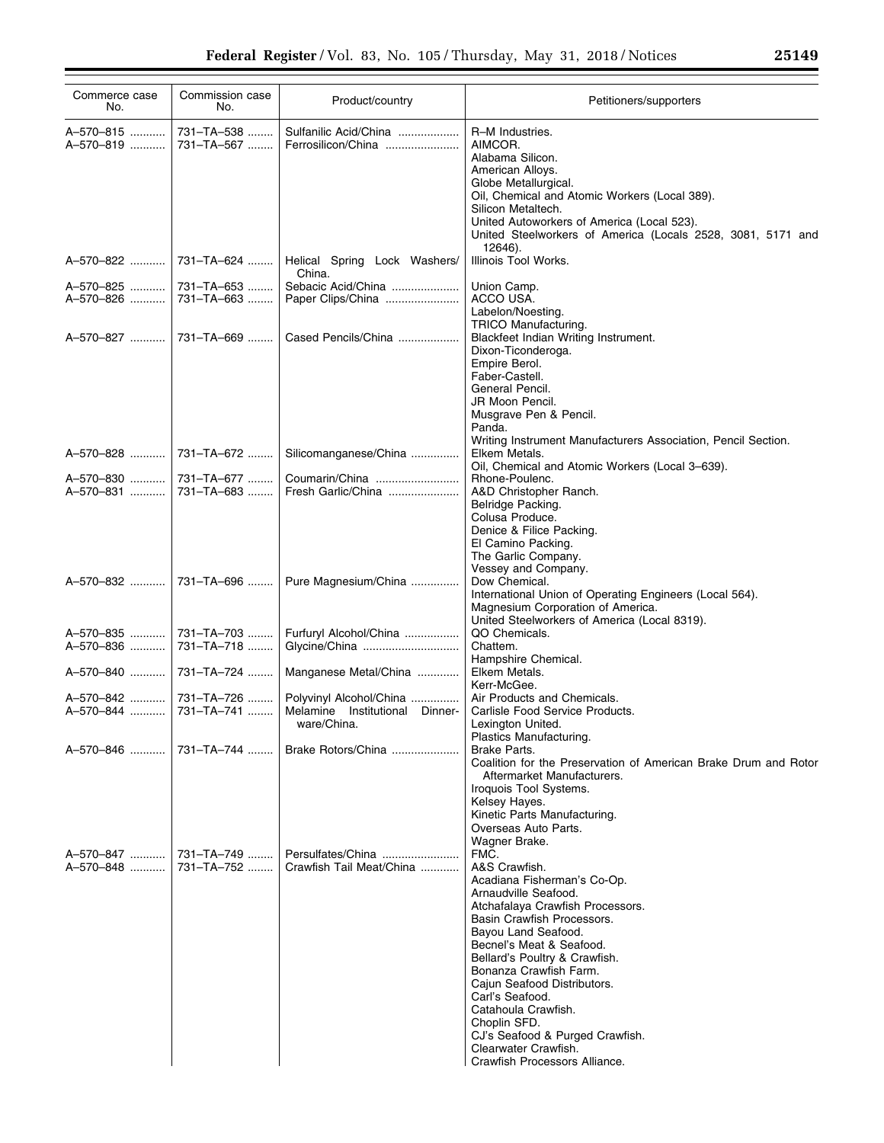| Commerce case<br>No.   | Commission case<br>No.              | Product/country                               | Petitioners/supporters                                                                                                                                                                                                                                                                    |
|------------------------|-------------------------------------|-----------------------------------------------|-------------------------------------------------------------------------------------------------------------------------------------------------------------------------------------------------------------------------------------------------------------------------------------------|
| A-570-815<br>A-570-819 | 731-TA-538<br>731-TA-567            | Sulfanilic Acid/China<br>Ferrosilicon/China   | R-M Industries.<br>AIMCOR.<br>Alabama Silicon.<br>American Alloys.<br>Globe Metallurgical.<br>Oil, Chemical and Atomic Workers (Local 389).<br>Silicon Metaltech.<br>United Autoworkers of America (Local 523).<br>United Steelworkers of America (Locals 2528, 3081, 5171 and<br>12646). |
| A-570-822              | 731–TA–624                          | Helical Spring Lock Washers/<br>China.        | Illinois Tool Works.                                                                                                                                                                                                                                                                      |
| A-570-825              | 731-TA-653                          | Sebacic Acid/China                            | Union Camp.                                                                                                                                                                                                                                                                               |
| A-570-826              | 731–TA–663                          | Paper Clips/China                             | ACCO USA.<br>Labelon/Noesting.                                                                                                                                                                                                                                                            |
|                        |                                     |                                               | TRICO Manufacturing.                                                                                                                                                                                                                                                                      |
|                        |                                     | Cased Pencils/China                           | Blackfeet Indian Writing Instrument.<br>Dixon-Ticonderoga.<br>Empire Berol.<br>Faber-Castell.<br>General Pencil.                                                                                                                                                                          |
|                        |                                     |                                               | JR Moon Pencil.<br>Musgrave Pen & Pencil.<br>Panda.<br>Writing Instrument Manufacturers Association, Pencil Section.                                                                                                                                                                      |
|                        | A-570-828  731-TA-672               | Silicomanganese/China                         | Elkem Metals.<br>Oil, Chemical and Atomic Workers (Local 3-639).                                                                                                                                                                                                                          |
| A-570-830              | 731–TA–677                          | Coumarin/China                                | Rhone-Poulenc.                                                                                                                                                                                                                                                                            |
| A-570-831              | 731–TA–683                          | Fresh Garlic/China                            | A&D Christopher Ranch.<br>Belridge Packing.<br>Colusa Produce.<br>Denice & Filice Packing.                                                                                                                                                                                                |
|                        |                                     |                                               | El Camino Packing.<br>The Garlic Company.<br>Vessey and Company.                                                                                                                                                                                                                          |
| A-570-832              | 731-TA-696                          | Pure Magnesium/China                          | Dow Chemical.<br>International Union of Operating Engineers (Local 564).<br>Magnesium Corporation of America.<br>United Steelworkers of America (Local 8319).                                                                                                                             |
| A-570-835              | 731-TA-703                          | Furfuryl Alcohol/China                        | QO Chemicals.                                                                                                                                                                                                                                                                             |
| A-570-836              | 731-TA-718                          | Glycine/China                                 | Chattem.<br>Hampshire Chemical.                                                                                                                                                                                                                                                           |
| A-570-840              | 731–TA–724                          | Manganese Metal/China                         | Elkem Metals.<br>Kerr-McGee.                                                                                                                                                                                                                                                              |
| A-570-842              | 731–TA–726                          | Polyvinyl Alcohol/China                       | Air Products and Chemicals.                                                                                                                                                                                                                                                               |
| A-570-844              | 731-TA-741                          | Melamine Institutional Dinner-<br>ware/China. | Carlisle Food Service Products.<br>Lexington United.                                                                                                                                                                                                                                      |
| A-570-846              |                                     | 731–TA–744    Brake Rotors/China              | Plastics Manufacturing.<br>Brake Parts.                                                                                                                                                                                                                                                   |
|                        |                                     |                                               | Coalition for the Preservation of American Brake Drum and Rotor<br>Aftermarket Manufacturers.                                                                                                                                                                                             |
|                        |                                     |                                               | Iroquois Tool Systems.<br>Kelsey Hayes.                                                                                                                                                                                                                                                   |
|                        |                                     |                                               | Kinetic Parts Manufacturing.<br>Overseas Auto Parts.                                                                                                                                                                                                                                      |
|                        |                                     |                                               | Wagner Brake.                                                                                                                                                                                                                                                                             |
| A-570-848              | A-570-847  731-TA-749<br>731-TA-752 | Persulfates/China<br>Crawfish Tail Meat/China | FMC.<br>A&S Crawfish.                                                                                                                                                                                                                                                                     |
|                        |                                     |                                               | Acadiana Fisherman's Co-Op.                                                                                                                                                                                                                                                               |
|                        |                                     |                                               | Arnaudville Seafood.                                                                                                                                                                                                                                                                      |
|                        |                                     |                                               | Atchafalaya Crawfish Processors.                                                                                                                                                                                                                                                          |
|                        |                                     |                                               | Basin Crawfish Processors.                                                                                                                                                                                                                                                                |
|                        |                                     |                                               | Bayou Land Seafood.                                                                                                                                                                                                                                                                       |
|                        |                                     |                                               | Becnel's Meat & Seafood.<br>Bellard's Poultry & Crawfish.                                                                                                                                                                                                                                 |
|                        |                                     |                                               | Bonanza Crawfish Farm.                                                                                                                                                                                                                                                                    |
|                        |                                     |                                               | Cajun Seafood Distributors.                                                                                                                                                                                                                                                               |
|                        |                                     |                                               | Carl's Seafood.                                                                                                                                                                                                                                                                           |
|                        |                                     |                                               | Catahoula Crawfish.                                                                                                                                                                                                                                                                       |
|                        |                                     |                                               | Choplin SFD.                                                                                                                                                                                                                                                                              |
|                        |                                     |                                               | CJ's Seafood & Purged Crawfish.                                                                                                                                                                                                                                                           |
|                        |                                     |                                               | Clearwater Crawfish.                                                                                                                                                                                                                                                                      |
|                        |                                     |                                               | Crawfish Processors Alliance.                                                                                                                                                                                                                                                             |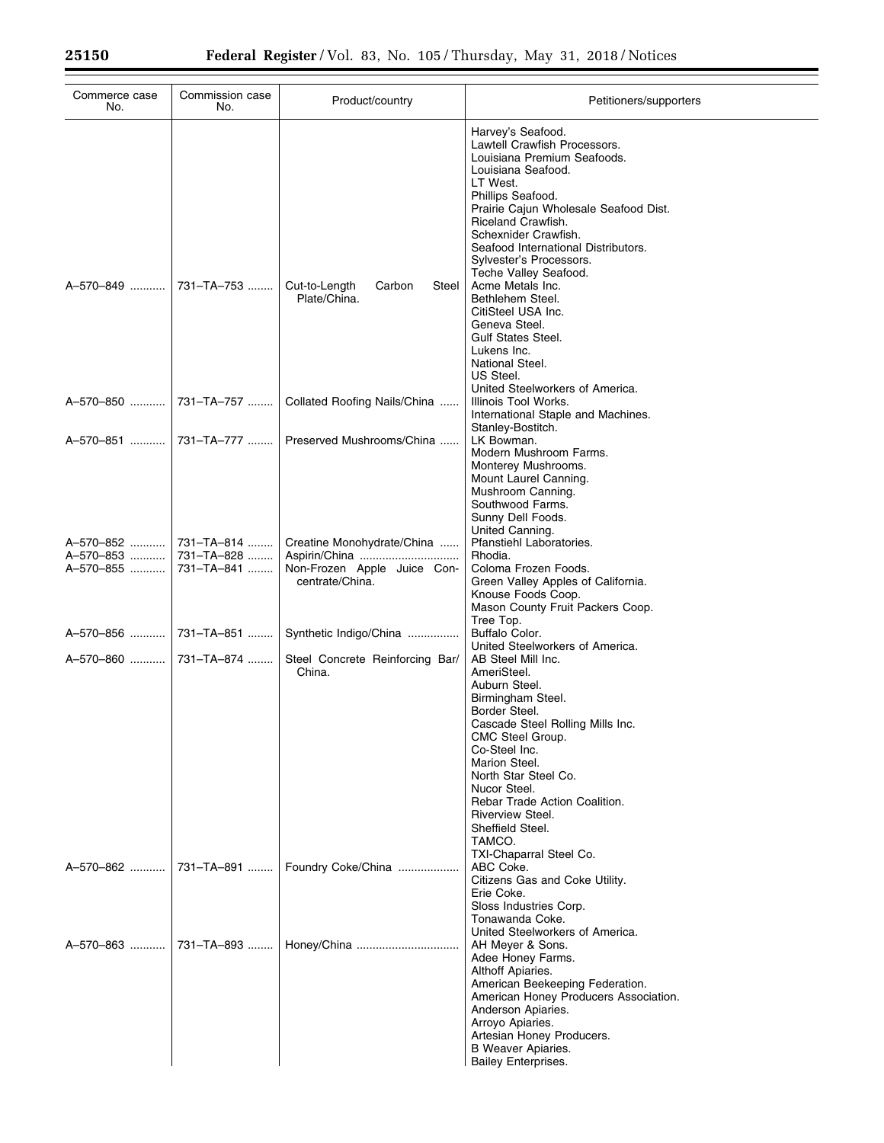| Commerce case<br>No.      | Commission case<br>No.   | Product/country                                  | Petitioners/supporters                                                                                                                                                                                                                                                                                                                   |
|---------------------------|--------------------------|--------------------------------------------------|------------------------------------------------------------------------------------------------------------------------------------------------------------------------------------------------------------------------------------------------------------------------------------------------------------------------------------------|
|                           |                          |                                                  | Harvey's Seafood.<br>Lawtell Crawfish Processors.<br>Louisiana Premium Seafoods.<br>Louisiana Seafood.<br>LT West.<br>Phillips Seafood.<br>Prairie Cajun Wholesale Seafood Dist.<br>Riceland Crawfish.<br>Schexnider Crawfish.<br>Seafood International Distributors.<br>Sylvester's Processors.                                         |
| A-570-849                 | 731-TA-753               | Cut-to-Length<br>Carbon<br>Steel<br>Plate/China. | Teche Valley Seafood.<br>Acme Metals Inc.<br>Bethlehem Steel.<br>CitiSteel USA Inc.<br>Geneva Steel.<br><b>Gulf States Steel.</b><br>Lukens Inc.<br>National Steel.<br>US Steel.<br>United Steelworkers of America.                                                                                                                      |
| A-570-850                 | 731-TA-757               | Collated Roofing Nails/China                     | Illinois Tool Works.<br>International Staple and Machines.<br>Stanley-Bostitch.                                                                                                                                                                                                                                                          |
|                           |                          | Preserved Mushrooms/China                        | LK Bowman.<br>Modern Mushroom Farms.<br>Monterey Mushrooms.<br>Mount Laurel Canning.<br>Mushroom Canning.<br>Southwood Farms.<br>Sunny Dell Foods.<br>United Canning.                                                                                                                                                                    |
| A-570-852   <br>A-570-853 | 731-TA-814<br>731-TA-828 | Creatine Monohydrate/China                       | Pfanstiehl Laboratories.<br>Rhodia.                                                                                                                                                                                                                                                                                                      |
| A-570-855                 | 731-TA-841               | Non-Frozen Apple Juice Con-<br>centrate/China.   | Coloma Frozen Foods.<br>Green Valley Apples of California.<br>Knouse Foods Coop.<br>Mason County Fruit Packers Coop.<br>Tree Top.                                                                                                                                                                                                        |
| A-570-856                 | 731-TA-851               | Synthetic Indigo/China                           | Buffalo Color.<br>United Steelworkers of America.                                                                                                                                                                                                                                                                                        |
| A-570-860                 | 731–TA–874               | Steel Concrete Reinforcing Bar/<br>China.        | AB Steel Mill Inc.<br>AmeriSteel.<br>Auburn Steel.<br>Birmingham Steel.<br>Border Steel.<br>Cascade Steel Rolling Mills Inc.<br>CMC Steel Group.<br>Co-Steel Inc.<br>Marion Steel.<br>North Star Steel Co.<br>Nucor Steel.<br>Rebar Trade Action Coalition.<br>Riverview Steel.<br>Sheffield Steel.<br>TAMCO.<br>TXI-Chaparral Steel Co. |
| A-570-862  731-TA-891     |                          | Foundry Coke/China                               | ABC Coke.<br>Citizens Gas and Coke Utility.<br>Erie Coke.<br>Sloss Industries Corp.<br>Tonawanda Coke.<br>United Steelworkers of America.                                                                                                                                                                                                |
|                           |                          |                                                  | AH Meyer & Sons.<br>Adee Honey Farms.<br>Althoff Apiaries.<br>American Beekeeping Federation.<br>American Honey Producers Association.<br>Anderson Apiaries.<br>Arroyo Apiaries.<br>Artesian Honey Producers.<br><b>B</b> Weaver Apiaries.<br><b>Bailey Enterprises.</b>                                                                 |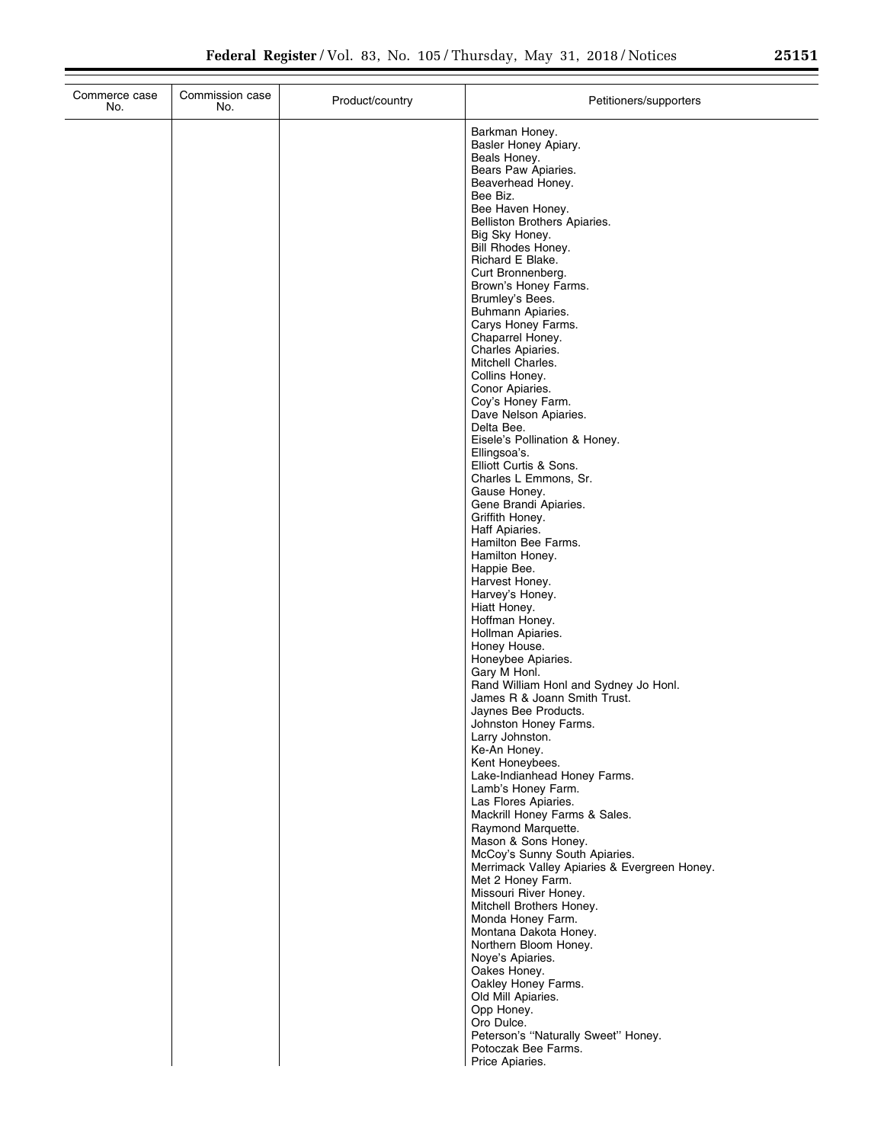| Commerce case<br>No. | Commission case<br>No. | Product/country | Petitioners/supporters                                                                                                                                                                                                                                                                                                                                                                                                                                                                                                                                                                                                                                                                                                                                                                                                                                                                                                                                                                                                                                                                                                                                                                                                                                                                                                                                                           |
|----------------------|------------------------|-----------------|----------------------------------------------------------------------------------------------------------------------------------------------------------------------------------------------------------------------------------------------------------------------------------------------------------------------------------------------------------------------------------------------------------------------------------------------------------------------------------------------------------------------------------------------------------------------------------------------------------------------------------------------------------------------------------------------------------------------------------------------------------------------------------------------------------------------------------------------------------------------------------------------------------------------------------------------------------------------------------------------------------------------------------------------------------------------------------------------------------------------------------------------------------------------------------------------------------------------------------------------------------------------------------------------------------------------------------------------------------------------------------|
|                      |                        |                 | Barkman Honey.<br>Basler Honey Apiary.<br>Beals Honey.<br>Bears Paw Apiaries.<br>Beaverhead Honey.<br>Bee Biz.<br>Bee Haven Honey.<br>Belliston Brothers Apiaries.<br>Big Sky Honey.<br>Bill Rhodes Honey.<br>Richard E Blake.<br>Curt Bronnenberg.<br>Brown's Honey Farms.<br>Brumley's Bees.<br>Buhmann Apiaries.<br>Carys Honey Farms.<br>Chaparrel Honey.<br>Charles Apiaries.<br>Mitchell Charles.<br>Collins Honey.<br>Conor Apiaries.<br>Coy's Honey Farm.<br>Dave Nelson Apiaries.<br>Delta Bee.<br>Eisele's Pollination & Honey.<br>Ellingsoa's.<br>Elliott Curtis & Sons.<br>Charles L Emmons, Sr.<br>Gause Honey.<br>Gene Brandi Apiaries.<br>Griffith Honey.<br>Haff Apiaries.<br>Hamilton Bee Farms.<br>Hamilton Honey.<br>Happie Bee.<br>Harvest Honey.<br>Harvey's Honey.<br>Hiatt Honey.<br>Hoffman Honey.<br>Hollman Apiaries.<br>Honey House.<br>Honeybee Apiaries.<br>Gary M Honl.<br>Rand William Honl and Sydney Jo Honl.<br>James R & Joann Smith Trust.<br>Jaynes Bee Products.<br>Johnston Honey Farms.<br>Larry Johnston.<br>Ke-An Honey.<br>Kent Honeybees.<br>Lake-Indianhead Honey Farms.<br>Lamb's Honey Farm.<br>Las Flores Apiaries.<br>Mackrill Honey Farms & Sales.<br>Raymond Marquette.<br>Mason & Sons Honey.<br>McCoy's Sunny South Apiaries.<br>Merrimack Valley Apiaries & Evergreen Honey.<br>Met 2 Honey Farm.<br>Missouri River Honey. |
|                      |                        |                 |                                                                                                                                                                                                                                                                                                                                                                                                                                                                                                                                                                                                                                                                                                                                                                                                                                                                                                                                                                                                                                                                                                                                                                                                                                                                                                                                                                                  |
|                      |                        |                 | Mitchell Brothers Honey.<br>Monda Honey Farm.                                                                                                                                                                                                                                                                                                                                                                                                                                                                                                                                                                                                                                                                                                                                                                                                                                                                                                                                                                                                                                                                                                                                                                                                                                                                                                                                    |
|                      |                        |                 | Montana Dakota Honey.<br>Northern Bloom Honey.<br>Noye's Apiaries.<br>Oakes Honey.<br>Oakley Honey Farms.<br>Old Mill Apiaries.<br>Opp Honey.                                                                                                                                                                                                                                                                                                                                                                                                                                                                                                                                                                                                                                                                                                                                                                                                                                                                                                                                                                                                                                                                                                                                                                                                                                    |
|                      |                        |                 | Oro Dulce.<br>Peterson's "Naturally Sweet" Honey.<br>Potoczak Bee Farms.<br>Price Apiaries.                                                                                                                                                                                                                                                                                                                                                                                                                                                                                                                                                                                                                                                                                                                                                                                                                                                                                                                                                                                                                                                                                                                                                                                                                                                                                      |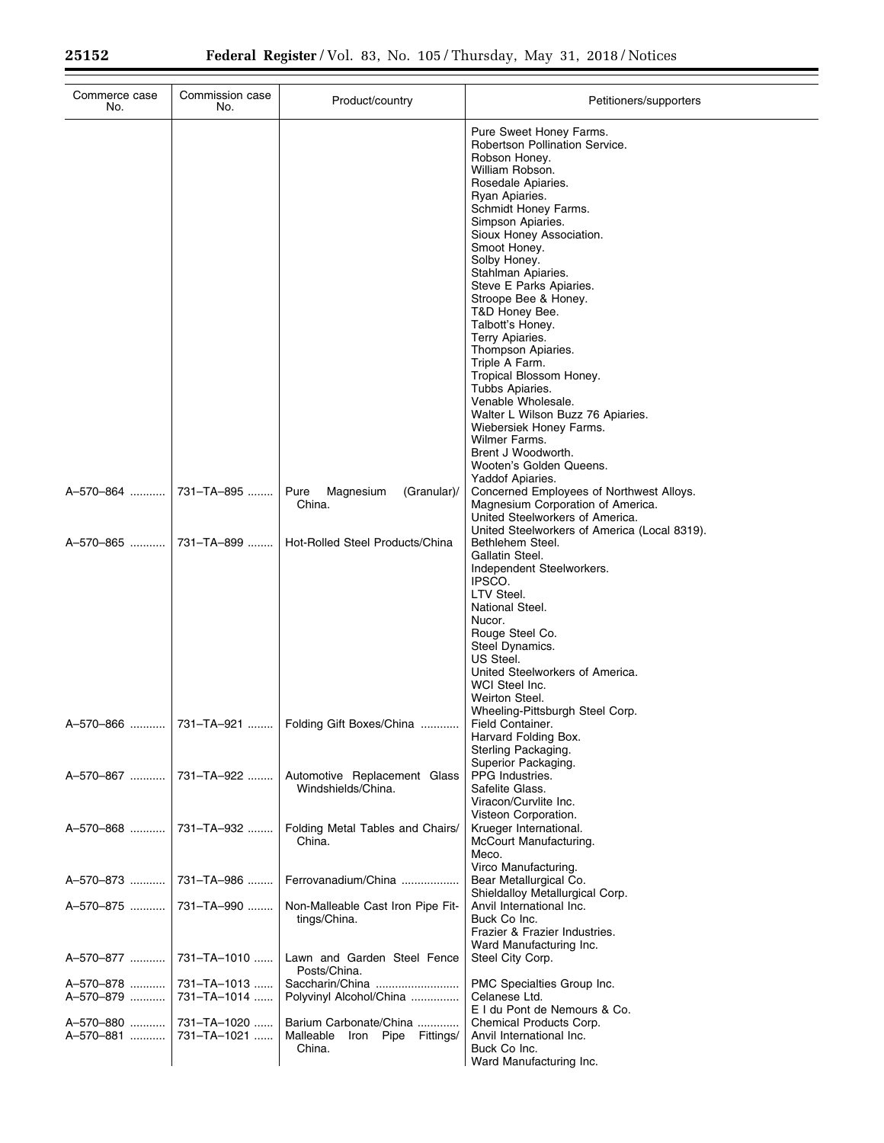| Commerce case<br>No.                | Commission case<br>No.                    | Product/country                                     | Petitioners/supporters                                                                                                                                                                                                                                                                                                                                                                                                                                                                                                                                                                                                         |
|-------------------------------------|-------------------------------------------|-----------------------------------------------------|--------------------------------------------------------------------------------------------------------------------------------------------------------------------------------------------------------------------------------------------------------------------------------------------------------------------------------------------------------------------------------------------------------------------------------------------------------------------------------------------------------------------------------------------------------------------------------------------------------------------------------|
|                                     |                                           |                                                     | Pure Sweet Honey Farms.<br>Robertson Pollination Service.<br>Robson Honey.<br>William Robson.<br>Rosedale Apiaries.<br>Ryan Apiaries.<br>Schmidt Honey Farms.<br>Simpson Apiaries.<br>Sioux Honey Association.<br>Smoot Honey.<br>Solby Honey.<br>Stahlman Apiaries.<br>Steve E Parks Apiaries.<br>Stroope Bee & Honey.<br>T&D Honey Bee.<br>Talbott's Honey.<br>Terry Apiaries.<br>Thompson Apiaries.<br>Triple A Farm.<br>Tropical Blossom Honey.<br>Tubbs Apiaries.<br>Venable Wholesale.<br>Walter L Wilson Buzz 76 Apiaries.<br>Wiebersiek Honey Farms.<br>Wilmer Farms.<br>Brent J Woodworth.<br>Wooten's Golden Queens. |
|                                     |                                           | Pure<br>Magnesium<br>(Granular)/<br>China.          | Yaddof Apiaries.<br>Concerned Employees of Northwest Alloys.<br>Magnesium Corporation of America.<br>United Steelworkers of America.<br>United Steelworkers of America (Local 8319).                                                                                                                                                                                                                                                                                                                                                                                                                                           |
| A-570-865  731-TA-899               |                                           | Hot-Rolled Steel Products/China                     | Bethlehem Steel.<br>Gallatin Steel.<br>Independent Steelworkers.<br>IPSCO.<br>LTV Steel.<br>National Steel.<br>Nucor.<br>Rouge Steel Co.<br>Steel Dynamics.<br>US Steel.<br>United Steelworkers of America.<br>WCI Steel Inc.<br>Weirton Steel.<br>Wheeling-Pittsburgh Steel Corp.                                                                                                                                                                                                                                                                                                                                             |
|                                     |                                           | A-570-866    731-TA-921    Folding Gift Boxes/China | Field Container.<br>Harvard Folding Box.<br>Sterling Packaging.<br>Superior Packaging.                                                                                                                                                                                                                                                                                                                                                                                                                                                                                                                                         |
| A-570-867                           | 731–TA–922                                | Automotive Replacement Glass<br>Windshields/China.  | PPG Industries.<br>Safelite Glass.<br>Viracon/Curvlite Inc.<br>Visteon Corporation.                                                                                                                                                                                                                                                                                                                                                                                                                                                                                                                                            |
| A-570-868                           | 731-TA-932                                | Folding Metal Tables and Chairs/<br>China.          | Krueger International.<br>McCourt Manufacturing.<br>Meco.                                                                                                                                                                                                                                                                                                                                                                                                                                                                                                                                                                      |
| A-570-873                           | 731–TA–986                                | Ferrovanadium/China                                 | Virco Manufacturing.<br>Bear Metallurgical Co.<br>Shieldalloy Metallurgical Corp.                                                                                                                                                                                                                                                                                                                                                                                                                                                                                                                                              |
| A-570-875                           | 731-TA-990                                | Non-Malleable Cast Iron Pipe Fit-<br>tings/China.   | Anvil International Inc.<br>Buck Co Inc.<br>Frazier & Frazier Industries.<br>Ward Manufacturing Inc.                                                                                                                                                                                                                                                                                                                                                                                                                                                                                                                           |
| A-570-877                           | 731-TA-1010                               | Lawn and Garden Steel Fence<br>Posts/China.         | Steel City Corp.                                                                                                                                                                                                                                                                                                                                                                                                                                                                                                                                                                                                               |
| A-570-878<br>A-570-879<br>A-570-880 | 731-TA-1013<br>731-TA-1014<br>731-TA-1020 | Polyvinyl Alcohol/China<br>Barium Carbonate/China   | PMC Specialties Group Inc.<br>Celanese Ltd.<br>E I du Pont de Nemours & Co.<br>Chemical Products Corp.                                                                                                                                                                                                                                                                                                                                                                                                                                                                                                                         |
| A-570-881                           | 731-TA-1021                               | Malleable<br>Iron Pipe Fittings/<br>China.          | Anvil International Inc.<br>Buck Co Inc.<br>Ward Manufacturing Inc.                                                                                                                                                                                                                                                                                                                                                                                                                                                                                                                                                            |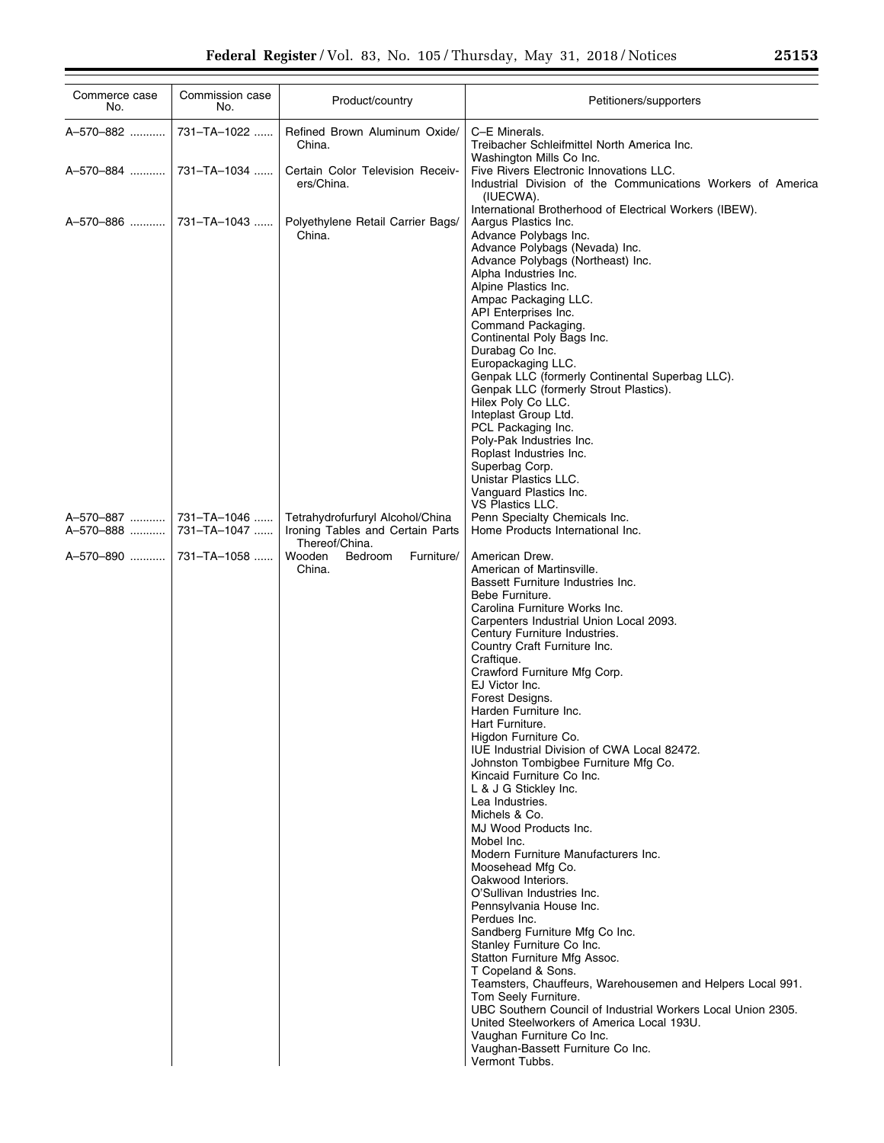| Commerce case<br>No.     | Commission case<br>No.     | Product/country                                                      | Petitioners/supporters                                                                                                                                                                                                                                                                                                                                                                                                                                                                                                                                                                                                                                                                                                                                                                                                                                                                                                                                                                                                                                                                                                                                                                                  |
|--------------------------|----------------------------|----------------------------------------------------------------------|---------------------------------------------------------------------------------------------------------------------------------------------------------------------------------------------------------------------------------------------------------------------------------------------------------------------------------------------------------------------------------------------------------------------------------------------------------------------------------------------------------------------------------------------------------------------------------------------------------------------------------------------------------------------------------------------------------------------------------------------------------------------------------------------------------------------------------------------------------------------------------------------------------------------------------------------------------------------------------------------------------------------------------------------------------------------------------------------------------------------------------------------------------------------------------------------------------|
| A-570-882                | 731-TA-1022                | Refined Brown Aluminum Oxide/<br>China.                              | C-E Minerals.<br>Treibacher Schleifmittel North America Inc.<br>Washington Mills Co Inc.                                                                                                                                                                                                                                                                                                                                                                                                                                                                                                                                                                                                                                                                                                                                                                                                                                                                                                                                                                                                                                                                                                                |
| A-570-884    731-TA-1034 |                            | Certain Color Television Receiv-<br>ers/China.                       | Five Rivers Electronic Innovations LLC.<br>Industrial Division of the Communications Workers of America<br>(IUECWA).                                                                                                                                                                                                                                                                                                                                                                                                                                                                                                                                                                                                                                                                                                                                                                                                                                                                                                                                                                                                                                                                                    |
| A-570-886  731-TA-1043   |                            | Polyethylene Retail Carrier Bags/<br>China.                          | International Brotherhood of Electrical Workers (IBEW).<br>Aargus Plastics Inc.<br>Advance Polybags Inc.<br>Advance Polybags (Nevada) Inc.<br>Advance Polybags (Northeast) Inc.<br>Alpha Industries Inc.<br>Alpine Plastics Inc.<br>Ampac Packaging LLC.<br>API Enterprises Inc.<br>Command Packaging.<br>Continental Poly Bags Inc.<br>Durabag Co Inc.<br>Europackaging LLC.<br>Genpak LLC (formerly Continental Superbag LLC).<br>Genpak LLC (formerly Strout Plastics).<br>Hilex Poly Co LLC.<br>Inteplast Group Ltd.<br>PCL Packaging Inc.<br>Poly-Pak Industries Inc.<br>Roplast Industries Inc.<br>Superbag Corp.<br>Unistar Plastics LLC.<br>Vanguard Plastics Inc.<br><b>VS Plastics LLC.</b>                                                                                                                                                                                                                                                                                                                                                                                                                                                                                                   |
| A-570-887<br>A-570-888   | 731-TA-1046<br>731-TA-1047 | Tetrahydrofurfuryl Alcohol/China<br>Ironing Tables and Certain Parts | Penn Specialty Chemicals Inc.<br>Home Products International Inc.                                                                                                                                                                                                                                                                                                                                                                                                                                                                                                                                                                                                                                                                                                                                                                                                                                                                                                                                                                                                                                                                                                                                       |
| A-570-890  731-TA-1058   |                            | Thereof/China.<br>Wooden<br>Bedroom<br>Furniture/<br>China.          | American Drew.<br>American of Martinsville.<br>Bassett Furniture Industries Inc.<br>Bebe Furniture.<br>Carolina Furniture Works Inc.<br>Carpenters Industrial Union Local 2093.<br>Century Furniture Industries.<br>Country Craft Furniture Inc.<br>Craftique.<br>Crawford Furniture Mfg Corp.<br>EJ Victor Inc.<br>Forest Designs.<br>Harden Furniture Inc.<br>Hart Furniture.<br>Higdon Furniture Co.<br>IUE Industrial Division of CWA Local 82472.<br>Johnston Tombigbee Furniture Mfg Co.<br>Kincaid Furniture Co Inc.<br>L & J G Stickley Inc.<br>Lea Industries.<br>Michels & Co.<br>MJ Wood Products Inc.<br>Mobel Inc.<br>Modern Furniture Manufacturers Inc.<br>Moosehead Mfg Co.<br>Oakwood Interiors.<br>O'Sullivan Industries Inc.<br>Pennsylvania House Inc.<br>Perdues Inc.<br>Sandberg Furniture Mfg Co Inc.<br>Stanley Furniture Co Inc.<br>Statton Furniture Mfg Assoc.<br>T Copeland & Sons.<br>Teamsters, Chauffeurs, Warehousemen and Helpers Local 991.<br>Tom Seely Furniture.<br>UBC Southern Council of Industrial Workers Local Union 2305.<br>United Steelworkers of America Local 193U.<br>Vaughan Furniture Co Inc.<br>Vaughan-Bassett Furniture Co Inc.<br>Vermont Tubbs. |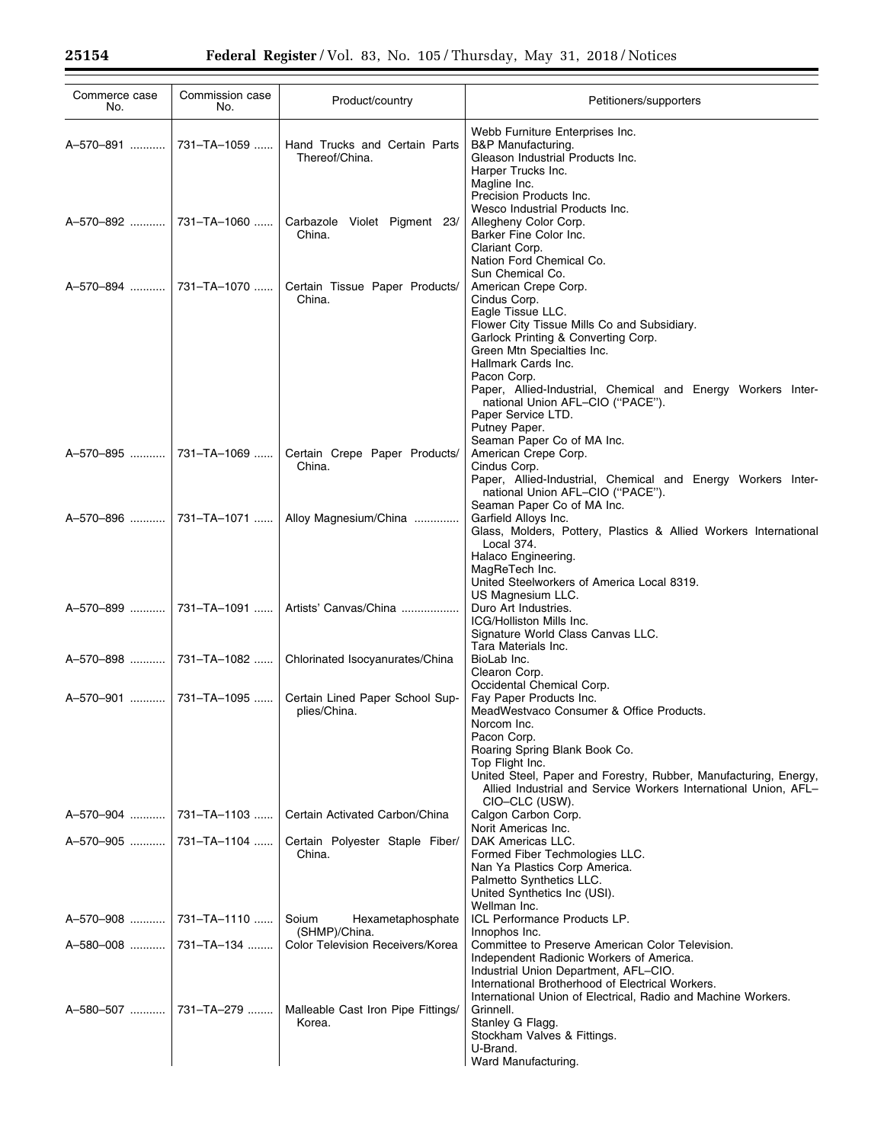| Webb Furniture Enterprises Inc.<br>731-TA-1059<br>Hand Trucks and Certain Parts<br>B&P Manufacturing.<br>A-570-891   <br>Thereof/China.<br>Gleason Industrial Products Inc.<br>Harper Trucks Inc.<br>Magline Inc.<br>Precision Products Inc.<br>Wesco Industrial Products Inc.<br>A-570-892    731-TA-1060   <br>Carbazole Violet Pigment 23/<br>Allegheny Color Corp.<br>China.<br>Barker Fine Color Inc.<br>Clariant Corp.<br>Nation Ford Chemical Co.<br>Sun Chemical Co.<br>A-570-894  731-TA-1070<br>Certain Tissue Paper Products/<br>American Crepe Corp.<br>China.<br>Cindus Corp.<br>Eagle Tissue LLC.<br>Flower City Tissue Mills Co and Subsidiary.<br>Garlock Printing & Converting Corp.<br>Green Mtn Specialties Inc.<br>Hallmark Cards Inc. |  |
|------------------------------------------------------------------------------------------------------------------------------------------------------------------------------------------------------------------------------------------------------------------------------------------------------------------------------------------------------------------------------------------------------------------------------------------------------------------------------------------------------------------------------------------------------------------------------------------------------------------------------------------------------------------------------------------------------------------------------------------------------------|--|
|                                                                                                                                                                                                                                                                                                                                                                                                                                                                                                                                                                                                                                                                                                                                                            |  |
|                                                                                                                                                                                                                                                                                                                                                                                                                                                                                                                                                                                                                                                                                                                                                            |  |
|                                                                                                                                                                                                                                                                                                                                                                                                                                                                                                                                                                                                                                                                                                                                                            |  |
|                                                                                                                                                                                                                                                                                                                                                                                                                                                                                                                                                                                                                                                                                                                                                            |  |
|                                                                                                                                                                                                                                                                                                                                                                                                                                                                                                                                                                                                                                                                                                                                                            |  |
| Pacon Corp.<br>Paper, Allied-Industrial, Chemical and Energy Workers Inter-<br>national Union AFL-CIO ("PACE").<br>Paper Service LTD.<br>Putney Paper.                                                                                                                                                                                                                                                                                                                                                                                                                                                                                                                                                                                                     |  |
| Seaman Paper Co of MA Inc.<br>A-570-895  731-TA-1069<br>Certain Crepe Paper Products/<br>American Crepe Corp.                                                                                                                                                                                                                                                                                                                                                                                                                                                                                                                                                                                                                                              |  |
| Cindus Corp.<br>China.<br>Paper, Allied-Industrial, Chemical and Energy Workers Inter-<br>national Union AFL-CIO ("PACE").<br>Seaman Paper Co of MA Inc.                                                                                                                                                                                                                                                                                                                                                                                                                                                                                                                                                                                                   |  |
| Garfield Alloys Inc.<br>A-570-896    731-TA-1071   <br>Alloy Magnesium/China<br>Glass, Molders, Pottery, Plastics & Allied Workers International<br>Local 374.<br>Halaco Engineering.                                                                                                                                                                                                                                                                                                                                                                                                                                                                                                                                                                      |  |
| MagReTech Inc.<br>United Steelworkers of America Local 8319.<br>US Magnesium LLC.                                                                                                                                                                                                                                                                                                                                                                                                                                                                                                                                                                                                                                                                          |  |
| A-570-899  731-TA-1091    Artists' Canvas/China<br>Duro Art Industries.<br>ICG/Holliston Mills Inc.<br>Signature World Class Canvas LLC.<br>Tara Materials Inc.                                                                                                                                                                                                                                                                                                                                                                                                                                                                                                                                                                                            |  |
| A-570-898   <br>731-TA-1082<br>Chlorinated Isocyanurates/China<br>BioLab Inc.<br>Clearon Corp.<br>Occidental Chemical Corp.                                                                                                                                                                                                                                                                                                                                                                                                                                                                                                                                                                                                                                |  |
| Certain Lined Paper School Sup-<br>Fay Paper Products Inc.<br>A-570-901  731-TA-1095<br>plies/China.<br>MeadWestvaco Consumer & Office Products.<br>Norcom Inc.                                                                                                                                                                                                                                                                                                                                                                                                                                                                                                                                                                                            |  |
| Pacon Corp.<br>Roaring Spring Blank Book Co.<br>Top Flight Inc.<br>United Steel, Paper and Forestry, Rubber, Manufacturing, Energy,                                                                                                                                                                                                                                                                                                                                                                                                                                                                                                                                                                                                                        |  |
| Allied Industrial and Service Workers International Union, AFL-<br>CIO-CLC (USW).                                                                                                                                                                                                                                                                                                                                                                                                                                                                                                                                                                                                                                                                          |  |
| A-570-904    731-TA-1103   <br>Certain Activated Carbon/China<br>Calgon Carbon Corp.<br>Norit Americas Inc.                                                                                                                                                                                                                                                                                                                                                                                                                                                                                                                                                                                                                                                |  |
| DAK Americas LLC.<br>A-570-905    731-TA-1104   <br>Certain Polyester Staple Fiber/<br>China.<br>Formed Fiber Techmologies LLC.<br>Nan Ya Plastics Corp America.<br>Palmetto Synthetics LLC.                                                                                                                                                                                                                                                                                                                                                                                                                                                                                                                                                               |  |
| United Synthetics Inc (USI).<br>Wellman Inc.                                                                                                                                                                                                                                                                                                                                                                                                                                                                                                                                                                                                                                                                                                               |  |
| ICL Performance Products LP.<br>A-570-908  731-TA-1110<br>Soium<br>Hexametaphosphate<br>(SHMP)/China.<br>Innophos Inc.                                                                                                                                                                                                                                                                                                                                                                                                                                                                                                                                                                                                                                     |  |
| A-580-008  731-TA-134<br>Color Television Receivers/Korea<br>Committee to Preserve American Color Television.<br>Independent Radionic Workers of America.<br>Industrial Union Department, AFL-CIO.                                                                                                                                                                                                                                                                                                                                                                                                                                                                                                                                                         |  |
| International Brotherhood of Electrical Workers.<br>International Union of Electrical, Radio and Machine Workers.<br>Malleable Cast Iron Pipe Fittings/<br>Grinnell.<br>Korea.<br>Stanley G Flagg.<br>Stockham Valves & Fittings.<br>U-Brand.<br>Ward Manufacturing.                                                                                                                                                                                                                                                                                                                                                                                                                                                                                       |  |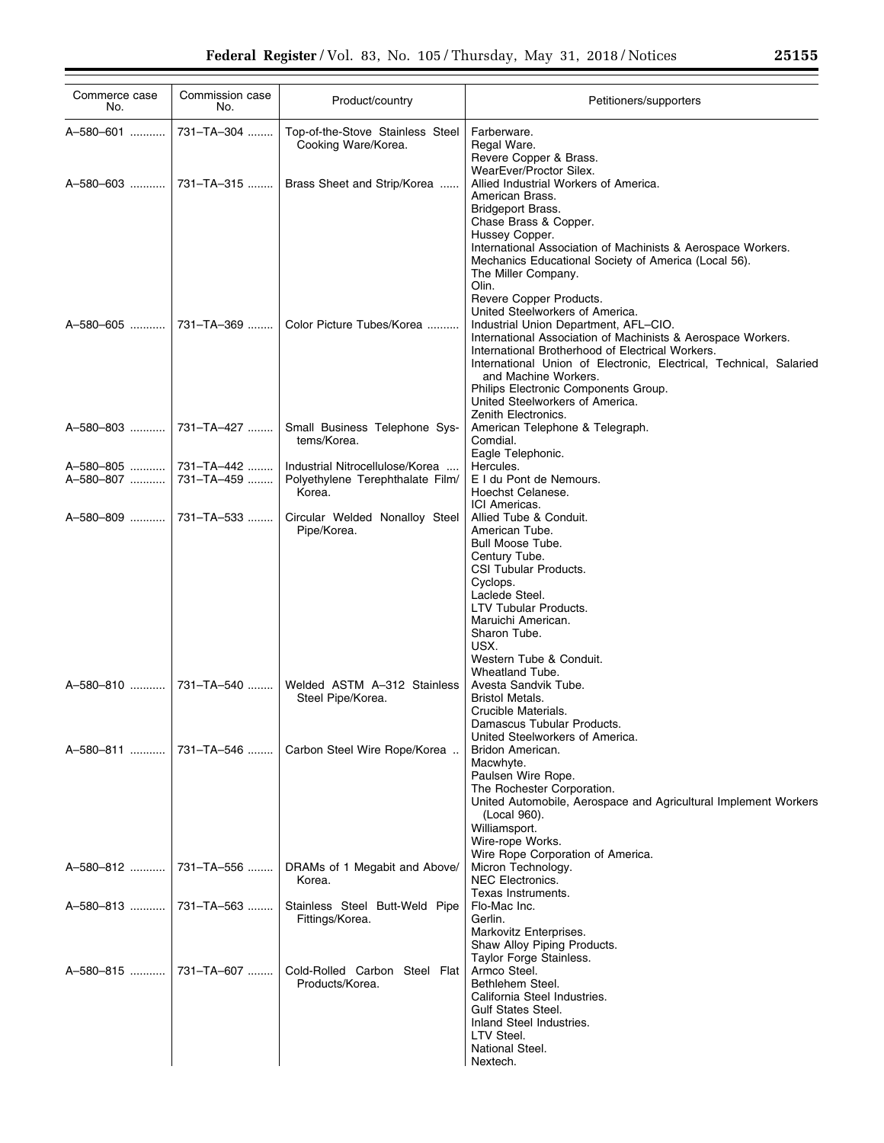| Commerce case<br>No.  | Commission case<br>No. | Product/country                                                               | Petitioners/supporters                                                                                                                                                                                                                                                                                                                                                                                                                                                                                                                                                                                                     |
|-----------------------|------------------------|-------------------------------------------------------------------------------|----------------------------------------------------------------------------------------------------------------------------------------------------------------------------------------------------------------------------------------------------------------------------------------------------------------------------------------------------------------------------------------------------------------------------------------------------------------------------------------------------------------------------------------------------------------------------------------------------------------------------|
| A-580-601             | 731-TA-304             | Top-of-the-Stove Stainless Steel<br>Cooking Ware/Korea.                       | Farberware.<br>Regal Ware.<br>Revere Copper & Brass.                                                                                                                                                                                                                                                                                                                                                                                                                                                                                                                                                                       |
|                       |                        | Brass Sheet and Strip/Korea                                                   | WearEver/Proctor Silex.<br>Allied Industrial Workers of America.<br>American Brass.<br>Bridgeport Brass.                                                                                                                                                                                                                                                                                                                                                                                                                                                                                                                   |
|                       |                        | Color Picture Tubes/Korea                                                     | Chase Brass & Copper.<br>Hussey Copper.<br>International Association of Machinists & Aerospace Workers.<br>Mechanics Educational Society of America (Local 56).<br>The Miller Company.<br>Olin.<br>Revere Copper Products.<br>United Steelworkers of America.<br>Industrial Union Department, AFL-CIO.<br>International Association of Machinists & Aerospace Workers.<br>International Brotherhood of Electrical Workers.<br>International Union of Electronic, Electrical, Technical, Salaried<br>and Machine Workers.<br>Philips Electronic Components Group.<br>United Steelworkers of America.<br>Zenith Electronics. |
|                       |                        | Small Business Telephone Sys-<br>tems/Korea.                                  | American Telephone & Telegraph.<br>Comdial.<br>Eagle Telephonic.                                                                                                                                                                                                                                                                                                                                                                                                                                                                                                                                                           |
|                       |                        | Industrial Nitrocellulose/Korea<br>Polyethylene Terephthalate Film/<br>Korea. | Hercules.<br>E I du Pont de Nemours.<br>Hoechst Celanese.<br><b>ICI</b> Americas.                                                                                                                                                                                                                                                                                                                                                                                                                                                                                                                                          |
|                       |                        | Circular Welded Nonalloy Steel<br>Pipe/Korea.                                 | Allied Tube & Conduit.<br>American Tube.<br>Bull Moose Tube.<br>Century Tube.<br>CSI Tubular Products.<br>Cyclops.<br>Laclede Steel.<br>LTV Tubular Products.<br>Maruichi American.<br>Sharon Tube.<br>USX.<br>Western Tube & Conduit.<br>Wheatland Tube.                                                                                                                                                                                                                                                                                                                                                                  |
| A-580-810  731-TA-540 |                        | Welded ASTM A-312 Stainless<br>Steel Pipe/Korea.                              | Avesta Sandvik Tube.<br><b>Bristol Metals.</b><br>Crucible Materials.<br>Damascus Tubular Products.<br>United Steelworkers of America.                                                                                                                                                                                                                                                                                                                                                                                                                                                                                     |
|                       |                        | Carbon Steel Wire Rope/Korea                                                  | Bridon American.<br>Macwhyte.<br>Paulsen Wire Rope.<br>The Rochester Corporation.<br>United Automobile, Aerospace and Agricultural Implement Workers<br>(Local 960).<br>Williamsport.<br>Wire-rope Works.<br>Wire Rope Corporation of America.                                                                                                                                                                                                                                                                                                                                                                             |
|                       |                        | DRAMs of 1 Megabit and Above/<br>Korea.                                       | Micron Technology.<br><b>NEC Electronics.</b><br>Texas Instruments.                                                                                                                                                                                                                                                                                                                                                                                                                                                                                                                                                        |
|                       |                        | Stainless Steel Butt-Weld Pipe<br>Fittings/Korea.                             | Flo-Mac Inc.<br>Gerlin.<br>Markovitz Enterprises.<br>Shaw Alloy Piping Products.                                                                                                                                                                                                                                                                                                                                                                                                                                                                                                                                           |
|                       |                        | Cold-Rolled Carbon Steel Flat<br>Products/Korea.                              | Taylor Forge Stainless.<br>Armco Steel.<br>Bethlehem Steel.<br>California Steel Industries.<br><b>Gulf States Steel.</b><br>Inland Steel Industries.<br>LTV Steel.<br>National Steel.<br>Nextech.                                                                                                                                                                                                                                                                                                                                                                                                                          |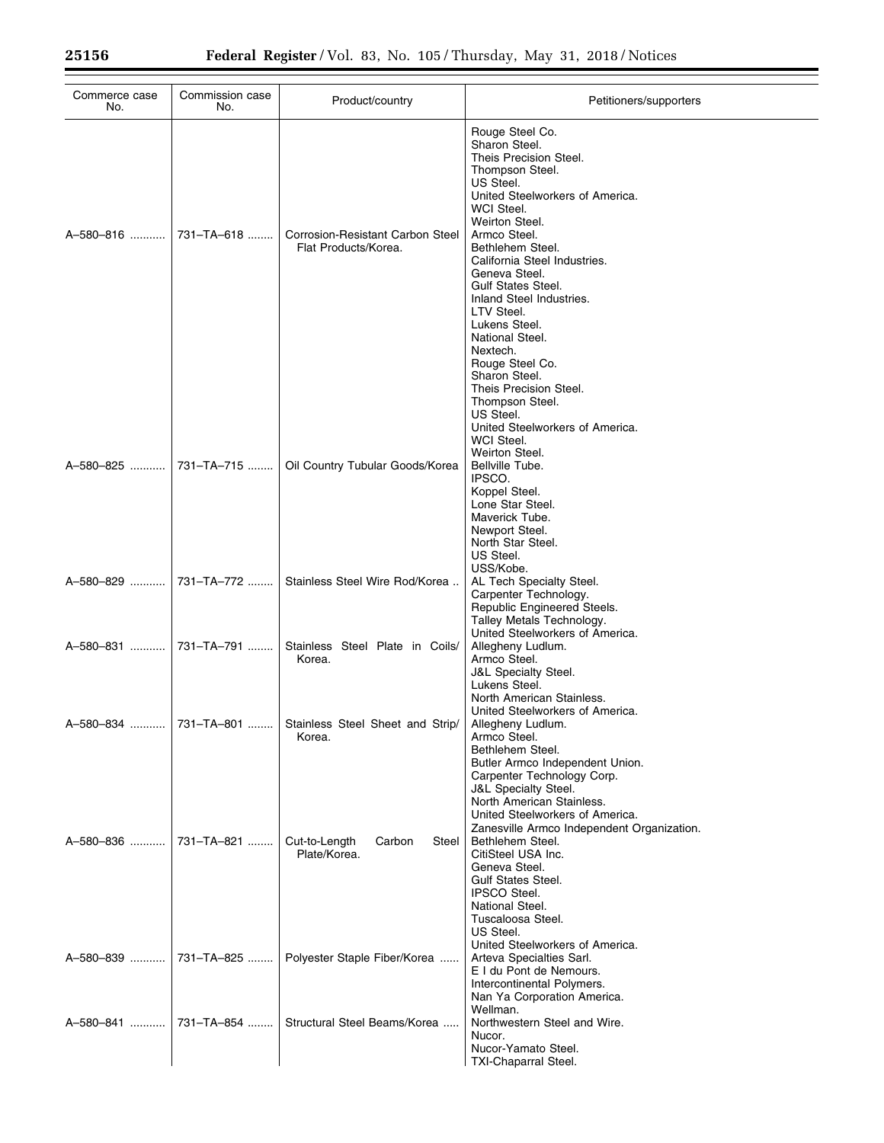| Commerce case<br>No.  | Commission case<br>No. | Product/country                                                   | Petitioners/supporters                                                                                                                                                                                                                                                                                                                                                                       |
|-----------------------|------------------------|-------------------------------------------------------------------|----------------------------------------------------------------------------------------------------------------------------------------------------------------------------------------------------------------------------------------------------------------------------------------------------------------------------------------------------------------------------------------------|
| A-580-816             | 731-TA-618             | <b>Corrosion-Resistant Carbon Steel</b><br>Flat Products/Korea.   | Rouge Steel Co.<br>Sharon Steel.<br>Theis Precision Steel.<br>Thompson Steel.<br>US Steel.<br>United Steelworkers of America.<br>WCI Steel.<br>Weirton Steel.<br>Armco Steel.<br>Bethlehem Steel.<br>California Steel Industries.<br>Geneva Steel.<br><b>Gulf States Steel.</b><br>Inland Steel Industries.<br>LTV Steel.<br>Lukens Steel.<br>National Steel.<br>Nextech.<br>Rouge Steel Co. |
| A-580-825             | 731-TA-715             | Oil Country Tubular Goods/Korea                                   | Sharon Steel.<br>Theis Precision Steel.<br>Thompson Steel.<br>US Steel.<br>United Steelworkers of America.<br>WCI Steel.<br>Weirton Steel.<br>Bellville Tube.<br>IPSCO.<br>Koppel Steel.<br>Lone Star Steel.<br>Maverick Tube.<br>Newport Steel.<br>North Star Steel.                                                                                                                        |
| A-580-829             | 731-TA-772             | Stainless Steel Wire Rod/Korea                                    | US Steel.<br>USS/Kobe.<br>AL Tech Specialty Steel.<br>Carpenter Technology.<br>Republic Engineered Steels.<br>Talley Metals Technology.                                                                                                                                                                                                                                                      |
| A-580-831  731-TA-791 |                        | Stainless Steel Plate in Coils/<br>Korea.                         | United Steelworkers of America.<br>Allegheny Ludlum.<br>Armco Steel.<br><b>J&amp;L Specialty Steel.</b><br>Lukens Steel.                                                                                                                                                                                                                                                                     |
|                       |                        | A-580-834  731-TA-801  Stainless Steel Sheet and Strip/<br>Korea. | North American Stainless.<br>United Steelworkers of America.<br>Allegheny Ludlum.<br>Armco Steel.<br>Bethlehem Steel.<br>Butler Armco Independent Union.<br>Carpenter Technology Corp.                                                                                                                                                                                                       |
| A-580-836             | 731-TA-821             | Cut-to-Length<br>Carbon<br>Steel  <br>Plate/Korea.                | <b>J&amp;L Specialty Steel.</b><br>North American Stainless.<br>United Steelworkers of America.<br>Zanesville Armco Independent Organization.<br>Bethlehem Steel.<br>CitiSteel USA Inc.<br>Geneva Steel.<br>Gulf States Steel.<br><b>IPSCO Steel.</b><br>National Steel.                                                                                                                     |
| A-580-839             | 731-TA-825             | Polyester Staple Fiber/Korea                                      | Tuscaloosa Steel.<br>US Steel.<br>United Steelworkers of America.<br>Arteva Specialties Sarl.<br>E I du Pont de Nemours.<br>Intercontinental Polymers.<br>Nan Ya Corporation America.                                                                                                                                                                                                        |
| A-580-841             | 731-TA-854             | Structural Steel Beams/Korea                                      | Wellman.<br>Northwestern Steel and Wire.<br>Nucor.<br>Nucor-Yamato Steel.<br><b>TXI-Chaparral Steel.</b>                                                                                                                                                                                                                                                                                     |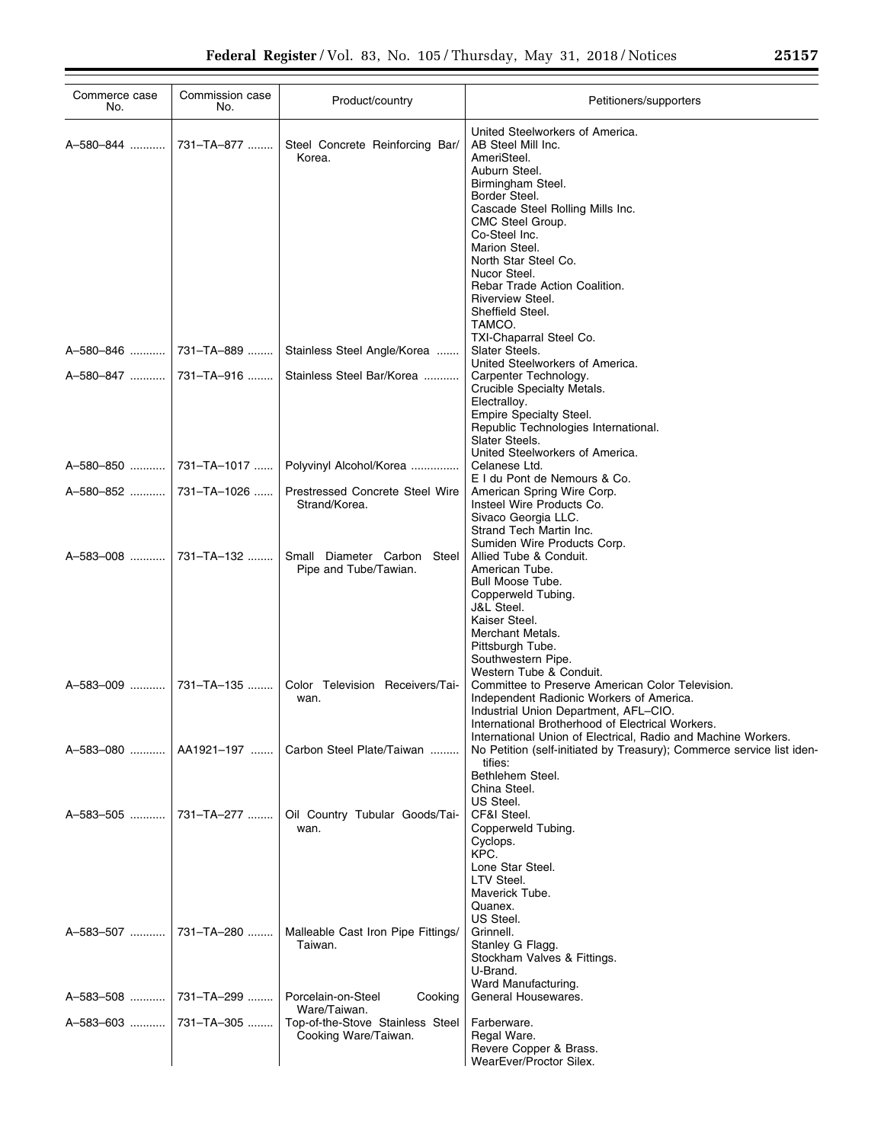| Commerce case<br>No.   | Commission case<br>No. | Product/country                                      | Petitioners/supporters                                                                                            |
|------------------------|------------------------|------------------------------------------------------|-------------------------------------------------------------------------------------------------------------------|
| A-580-844              | 731–TA–877             | Steel Concrete Reinforcing Bar/<br>Korea.            | United Steelworkers of America.<br>AB Steel Mill Inc.<br>AmeriSteel.                                              |
|                        |                        |                                                      | Auburn Steel.                                                                                                     |
|                        |                        |                                                      | Birmingham Steel.                                                                                                 |
|                        |                        |                                                      | Border Steel.<br>Cascade Steel Rolling Mills Inc.                                                                 |
|                        |                        |                                                      | CMC Steel Group.                                                                                                  |
|                        |                        |                                                      | Co-Steel Inc.<br>Marion Steel.                                                                                    |
|                        |                        |                                                      | North Star Steel Co.                                                                                              |
|                        |                        |                                                      | Nucor Steel.                                                                                                      |
|                        |                        |                                                      | Rebar Trade Action Coalition.<br>Riverview Steel.                                                                 |
|                        |                        |                                                      | Sheffield Steel.                                                                                                  |
|                        |                        |                                                      | TAMCO.<br>TXI-Chaparral Steel Co.                                                                                 |
|                        |                        | Stainless Steel Angle/Korea                          | Slater Steels.                                                                                                    |
|                        |                        |                                                      | United Steelworkers of America.                                                                                   |
| A-580-847  731-TA-916  |                        | Stainless Steel Bar/Korea                            | Carpenter Technology.<br>Crucible Specialty Metals.                                                               |
|                        |                        |                                                      | Electralloy.                                                                                                      |
|                        |                        |                                                      | Empire Specialty Steel.<br>Republic Technologies International.                                                   |
|                        |                        |                                                      | Slater Steels.                                                                                                    |
|                        |                        |                                                      | United Steelworkers of America.                                                                                   |
|                        |                        | Polyvinyl Alcohol/Korea                              | Celanese Ltd.<br>E I du Pont de Nemours & Co.                                                                     |
| A-580-852  731-TA-1026 |                        | Prestressed Concrete Steel Wire                      | American Spring Wire Corp.                                                                                        |
|                        |                        | Strand/Korea.                                        | Insteel Wire Products Co.<br>Sivaco Georgia LLC.                                                                  |
|                        |                        |                                                      | Strand Tech Martin Inc.                                                                                           |
| A-583-008  731-TA-132  |                        |                                                      | Sumiden Wire Products Corp.                                                                                       |
|                        |                        | Small Diameter Carbon Steel<br>Pipe and Tube/Tawian. | Allied Tube & Conduit.<br>American Tube.                                                                          |
|                        |                        |                                                      | Bull Moose Tube.                                                                                                  |
|                        |                        |                                                      | Copperweld Tubing.<br>J&L Steel.                                                                                  |
|                        |                        |                                                      | Kaiser Steel.                                                                                                     |
|                        |                        |                                                      | Merchant Metals.<br>Pittsburgh Tube.                                                                              |
|                        |                        |                                                      | Southwestern Pipe.                                                                                                |
|                        |                        |                                                      | Western Tube & Conduit.                                                                                           |
| A-583-009              | 731–TA–135             | Color Television Receivers/Tai-<br>wan.              | Committee to Preserve American Color Television.<br>Independent Radionic Workers of America.                      |
|                        |                        |                                                      | Industrial Union Department, AFL-CIO.                                                                             |
|                        |                        |                                                      | International Brotherhood of Electrical Workers.<br>International Union of Electrical, Radio and Machine Workers. |
| A-583-080              | AA1921-197             | Carbon Steel Plate/Taiwan                            | No Petition (self-initiated by Treasury); Commerce service list iden-                                             |
|                        |                        |                                                      | tifies:                                                                                                           |
|                        |                        |                                                      | Bethlehem Steel.<br>China Steel.                                                                                  |
|                        |                        |                                                      | US Steel.                                                                                                         |
| A-583-505              | 731–TA–277             | Oil Country Tubular Goods/Tai-<br>wan.               | CF&I Steel.<br>Copperweld Tubing.                                                                                 |
|                        |                        |                                                      | Cyclops.                                                                                                          |
|                        |                        |                                                      | KPC.                                                                                                              |
|                        |                        |                                                      | Lone Star Steel.<br>LTV Steel.                                                                                    |
|                        |                        |                                                      | Maverick Tube.                                                                                                    |
|                        |                        |                                                      | Quanex.<br>US Steel.                                                                                              |
| A-583-507  731-TA-280  |                        | Malleable Cast Iron Pipe Fittings/                   | Grinnell.                                                                                                         |
|                        |                        | Taiwan.                                              | Stanley G Flagg.                                                                                                  |
|                        |                        |                                                      | Stockham Valves & Fittings.<br>U-Brand.                                                                           |
|                        |                        |                                                      | Ward Manufacturing.                                                                                               |
| A-583-508              | ∣ 731–TA–299           | Porcelain-on-Steel<br>Cooking<br>Ware/Taiwan.        | General Housewares.                                                                                               |
| A-583-603              | 731-TA-305             | Top-of-the-Stove Stainless Steel                     | Farberware.                                                                                                       |
|                        |                        | Cooking Ware/Taiwan.                                 | Regal Ware.<br>Revere Copper & Brass.                                                                             |
|                        |                        |                                                      | WearEver/Proctor Silex.                                                                                           |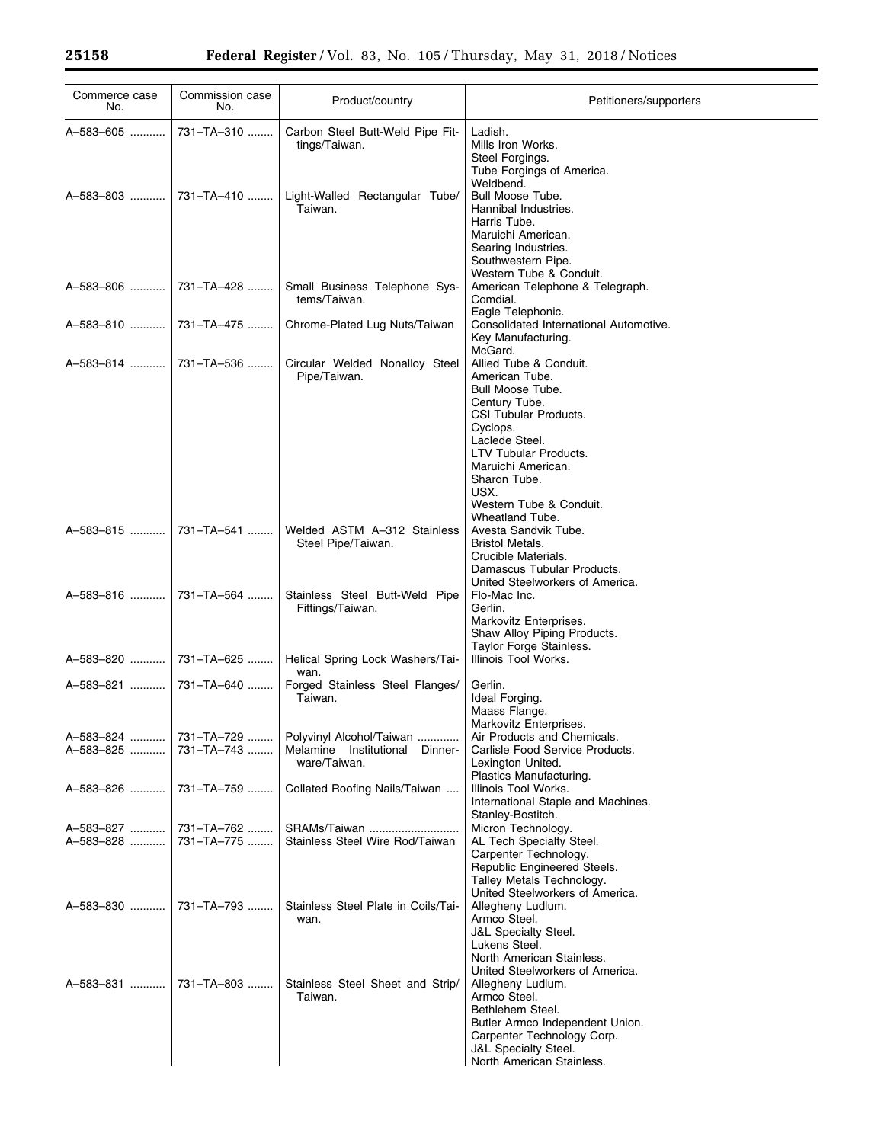| Commerce case<br>No.               | Commission case<br>No.         | Product/country                                                            | Petitioners/supporters                                                                                                                                                                                                                        |
|------------------------------------|--------------------------------|----------------------------------------------------------------------------|-----------------------------------------------------------------------------------------------------------------------------------------------------------------------------------------------------------------------------------------------|
| A-583-605                          | 731-TA-310                     | Carbon Steel Butt-Weld Pipe Fit-<br>tings/Taiwan.                          | Ladish.<br>Mills Iron Works.<br>Steel Forgings.<br>Tube Forgings of America.                                                                                                                                                                  |
| A-583-803  731-TA-410              |                                | Light-Walled Rectangular Tube/<br>Taiwan.                                  | Weldbend.<br><b>Bull Moose Tube.</b><br>Hannibal Industries.<br>Harris Tube.<br>Maruichi American.<br>Searing Industries.                                                                                                                     |
| A-583-806    731-TA-428            |                                | Small Business Telephone Sys-<br>tems/Taiwan.                              | Southwestern Pipe.<br>Western Tube & Conduit.<br>American Telephone & Telegraph.<br>Comdial.                                                                                                                                                  |
|                                    |                                | Chrome-Plated Lug Nuts/Taiwan                                              | Eagle Telephonic.<br>Consolidated International Automotive.<br>Key Manufacturing.<br>McGard.                                                                                                                                                  |
| A-583-814    731-TA-536            |                                | Circular Welded Nonalloy Steel<br>Pipe/Taiwan.                             | Allied Tube & Conduit.<br>American Tube.<br>Bull Moose Tube.<br>Century Tube.<br>CSI Tubular Products.<br>Cyclops.<br>Laclede Steel.<br><b>LTV Tubular Products.</b><br>Maruichi American.<br>Sharon Tube.<br>USX.<br>Western Tube & Conduit. |
| A-583-815  731-TA-541              |                                | Welded ASTM A-312 Stainless<br>Steel Pipe/Taiwan.                          | Wheatland Tube.<br>Avesta Sandvik Tube.<br><b>Bristol Metals.</b><br>Crucible Materials.<br>Damascus Tubular Products.<br>United Steelworkers of America.                                                                                     |
|                                    |                                | Stainless Steel Butt-Weld Pipe<br>Fittings/Taiwan.                         | Flo-Mac Inc.<br>Gerlin.<br>Markovitz Enterprises.<br>Shaw Alloy Piping Products.<br>Taylor Forge Stainless.                                                                                                                                   |
| A-583-820    731-TA-625            |                                | Helical Spring Lock Washers/Tai-<br>wan.                                   | Illinois Tool Works.                                                                                                                                                                                                                          |
| A-583-821  731-TA-640              |                                | Forged Stainless Steel Flanges/<br>Taiwan.                                 | Gerlin.<br>Ideal Forging.<br>Maass Flange.<br>Markovitz Enterprises.                                                                                                                                                                          |
| A-583-824<br>A-583-825             | 731–TA–729 ………  <br>731-TA-743 | Polyvinyl Alcohol/Taiwan<br>Melamine Institutional Dinner-<br>ware/Taiwan. | Air Products and Chemicals.<br>Carlisle Food Service Products.<br>Lexington United.<br>Plastics Manufacturing.                                                                                                                                |
| A-583-826    731-TA-759            |                                | Collated Roofing Nails/Taiwan                                              | Illinois Tool Works.<br>International Staple and Machines.<br>Stanley-Bostitch.                                                                                                                                                               |
| A-583-827  731-TA-762<br>A-583-828 | 731-TA-775                     | SRAMs/Taiwan<br>Stainless Steel Wire Rod/Taiwan                            | Micron Technology.<br>AL Tech Specialty Steel.<br>Carpenter Technology.<br>Republic Engineered Steels.<br>Talley Metals Technology.<br>United Steelworkers of America.                                                                        |
| A-583-830  731-TA-793              |                                | Stainless Steel Plate in Coils/Tai-<br>wan.                                | Allegheny Ludlum.<br>Armco Steel.<br><b>J&amp;L Specialty Steel.</b><br>Lukens Steel.<br>North American Stainless.<br>United Steelworkers of America.                                                                                         |
| A-583-831  731-TA-803              |                                | Stainless Steel Sheet and Strip/<br>Taiwan.                                | Allegheny Ludlum.<br>Armco Steel.<br>Bethlehem Steel.<br>Butler Armco Independent Union.<br>Carpenter Technology Corp.<br><b>J&amp;L Specialty Steel.</b><br>North American Stainless.                                                        |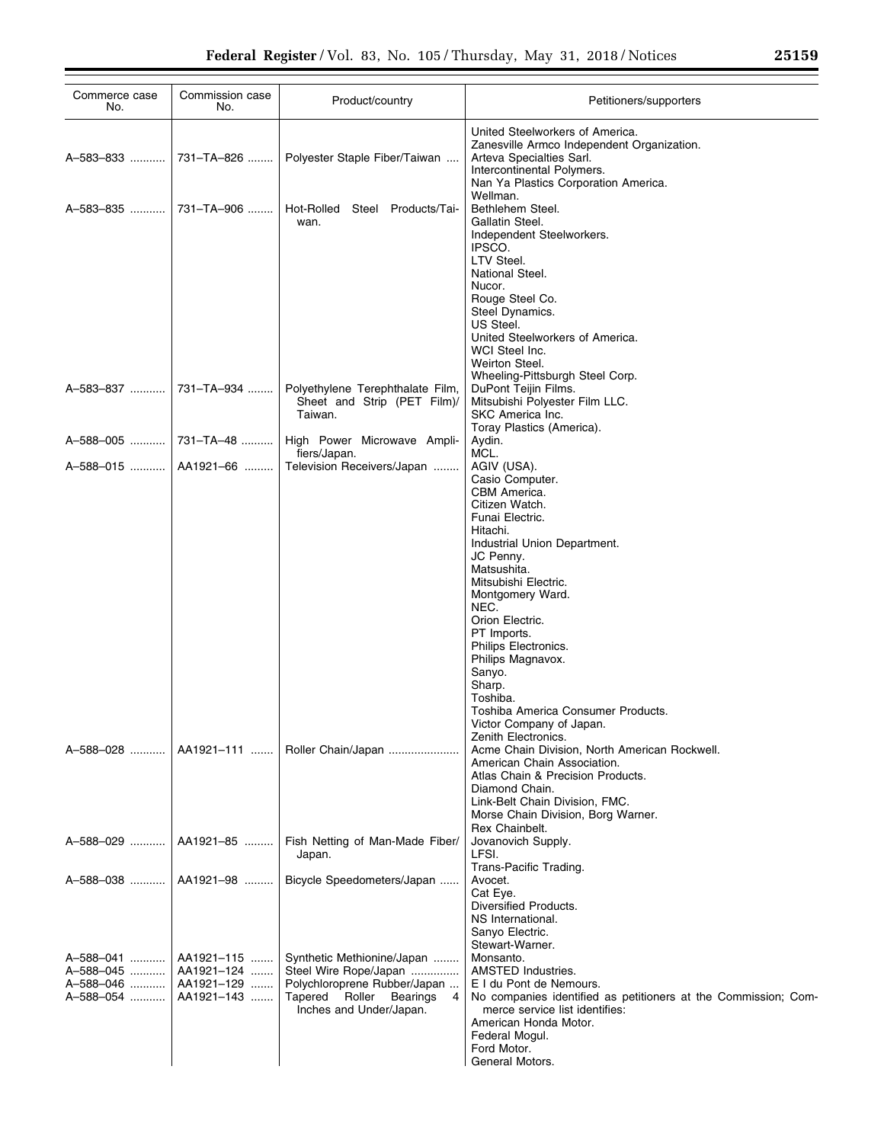| Commerce case<br>No.   | Commission case<br>No.   | Product/country                                                 | Petitioners/supporters                                                                                                                                                          |
|------------------------|--------------------------|-----------------------------------------------------------------|---------------------------------------------------------------------------------------------------------------------------------------------------------------------------------|
| A-583-833              | 731-TA-826               | Polyester Staple Fiber/Taiwan                                   | United Steelworkers of America.<br>Zanesville Armco Independent Organization.<br>Arteva Specialties Sarl.<br>Intercontinental Polymers.<br>Nan Ya Plastics Corporation America. |
| A-583-835              | 731-TA-906               | Hot-Rolled<br>Steel<br>Products/Tai-<br>wan.                    | Wellman.<br>Bethlehem Steel.<br>Gallatin Steel.                                                                                                                                 |
|                        |                          |                                                                 | Independent Steelworkers.<br>IPSCO.<br>LTV Steel.                                                                                                                               |
|                        |                          |                                                                 | National Steel.<br>Nucor.<br>Rouge Steel Co.                                                                                                                                    |
|                        |                          |                                                                 | Steel Dynamics.<br>US Steel.<br>United Steelworkers of America.<br>WCI Steel Inc.                                                                                               |
| A-583-837              | 731-TA-934               | Polyethylene Terephthalate Film,                                | Weirton Steel.<br>Wheeling-Pittsburgh Steel Corp.<br>DuPont Teijin Films.                                                                                                       |
|                        |                          | Sheet and Strip (PET Film)/<br>Taiwan.                          | Mitsubishi Polyester Film LLC.<br>SKC America Inc.<br>Toray Plastics (America).                                                                                                 |
| A-588-005              | 731–TA–48                | High Power Microwave Ampli-<br>fiers/Japan.                     | Aydin.<br>MCL.                                                                                                                                                                  |
| A-588-015              | AA1921-66                | Television Receivers/Japan                                      | AGIV (USA).                                                                                                                                                                     |
|                        |                          |                                                                 | Casio Computer.<br>CBM America.                                                                                                                                                 |
|                        |                          |                                                                 | Citizen Watch.<br>Funai Electric.                                                                                                                                               |
|                        |                          |                                                                 | Hitachi.<br>Industrial Union Department.                                                                                                                                        |
|                        |                          |                                                                 | JC Penny.                                                                                                                                                                       |
|                        |                          |                                                                 | Matsushita.<br>Mitsubishi Electric.                                                                                                                                             |
|                        |                          |                                                                 | Montgomery Ward.<br>NEC.                                                                                                                                                        |
|                        |                          |                                                                 | Orion Electric.                                                                                                                                                                 |
|                        |                          |                                                                 | PT Imports.<br>Philips Electronics.                                                                                                                                             |
|                        |                          |                                                                 | Philips Magnavox.<br>Sanyo.                                                                                                                                                     |
|                        |                          |                                                                 | Sharp.                                                                                                                                                                          |
|                        |                          |                                                                 | Toshiba.<br>Toshiba America Consumer Products.                                                                                                                                  |
|                        |                          |                                                                 | Victor Company of Japan.<br>Zenith Electronics.                                                                                                                                 |
| A-588-028              | AA1921-111               | Roller Chain/Japan                                              | Acme Chain Division, North American Rockwell.<br>American Chain Association.                                                                                                    |
|                        |                          |                                                                 | Atlas Chain & Precision Products.<br>Diamond Chain.                                                                                                                             |
|                        |                          |                                                                 | Link-Belt Chain Division, FMC.<br>Morse Chain Division, Borg Warner.                                                                                                            |
|                        |                          |                                                                 | Rex Chainbelt.                                                                                                                                                                  |
| A-588-029    AA1921-85 |                          | Fish Netting of Man-Made Fiber/<br>Japan.                       | Jovanovich Supply.<br>LFSI.<br>Trans-Pacific Trading.                                                                                                                           |
|                        |                          | Bicycle Speedometers/Japan                                      | Avocet.<br>Cat Eye.                                                                                                                                                             |
|                        |                          |                                                                 | Diversified Products.                                                                                                                                                           |
|                        |                          |                                                                 | NS International.<br>Sanyo Electric.                                                                                                                                            |
| A-588-041              | AA1921-115               | Synthetic Methionine/Japan                                      | Stewart-Warner.<br>Monsanto.                                                                                                                                                    |
| A-588-045              | AA1921-124               | Steel Wire Rope/Japan                                           | AMSTED Industries.                                                                                                                                                              |
| A-588-046<br>A-588-054 | AA1921-129<br>AA1921-143 | Polychloroprene Rubber/Japan<br>Tapered Roller<br>Bearings<br>4 | E I du Pont de Nemours.<br>No companies identified as petitioners at the Commission; Com-                                                                                       |
|                        |                          | Inches and Under/Japan.                                         | merce service list identifies:<br>American Honda Motor.<br>Federal Mogul.                                                                                                       |
|                        |                          |                                                                 | Ford Motor.<br>General Motors.                                                                                                                                                  |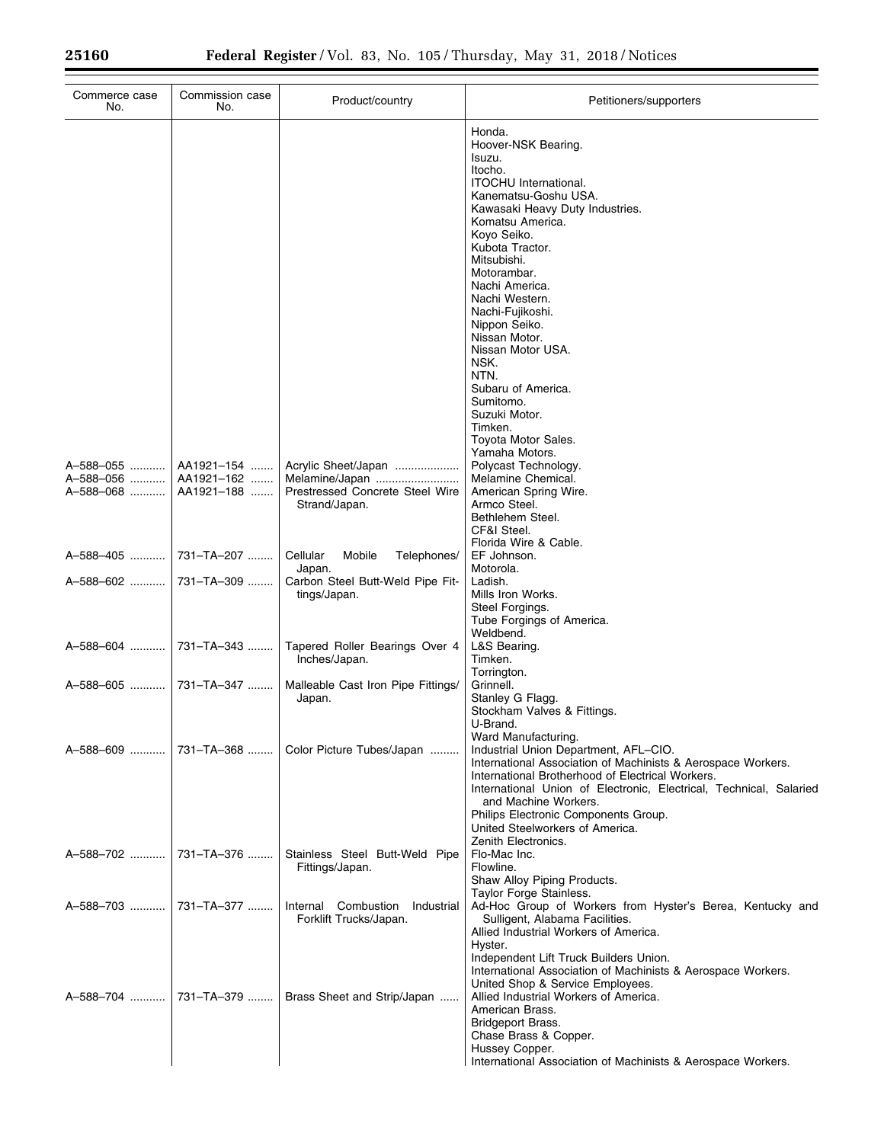| Commerce case<br>No.   | Commission case<br>No.   | Product/country                              | Petitioners/supporters                                                                                                                                                                                                                                                                                                                                                                                                                                 |
|------------------------|--------------------------|----------------------------------------------|--------------------------------------------------------------------------------------------------------------------------------------------------------------------------------------------------------------------------------------------------------------------------------------------------------------------------------------------------------------------------------------------------------------------------------------------------------|
|                        |                          |                                              | Honda.<br>Hoover-NSK Bearing.<br>Isuzu.<br>Itocho.<br><b>ITOCHU</b> International.<br>Kanematsu-Goshu USA.<br>Kawasaki Heavy Duty Industries.<br>Komatsu America.<br>Kovo Seiko.<br>Kubota Tractor.<br>Mitsubishi.<br>Motorambar.<br>Nachi America.<br>Nachi Western.<br>Nachi-Fujikoshi.<br>Nippon Seiko.<br>Nissan Motor.<br>Nissan Motor USA.<br>NSK.<br>NTN.<br>Subaru of America.<br>Sumitomo.<br>Suzuki Motor.<br>Timken.<br>Toyota Motor Sales. |
|                        |                          |                                              | Yamaha Motors.                                                                                                                                                                                                                                                                                                                                                                                                                                         |
| A-588-055<br>A-588-056 | AA1921-154<br>AA1921-162 | Acrylic Sheet/Japan<br>Melamine/Japan        | Polycast Technology.<br>Melamine Chemical.                                                                                                                                                                                                                                                                                                                                                                                                             |
| A-588-068              | AA1921-188               | Prestressed Concrete Steel Wire              | American Spring Wire.                                                                                                                                                                                                                                                                                                                                                                                                                                  |
|                        |                          | Strand/Japan.                                | Armco Steel.<br>Bethlehem Steel.                                                                                                                                                                                                                                                                                                                                                                                                                       |
|                        |                          |                                              | CF&I Steel.                                                                                                                                                                                                                                                                                                                                                                                                                                            |
| A-588-405              | 731-TA-207               | Cellular<br>Mobile<br>Telephones/            | Florida Wire & Cable.<br>EF Johnson.                                                                                                                                                                                                                                                                                                                                                                                                                   |
|                        |                          | Japan.                                       | Motorola.                                                                                                                                                                                                                                                                                                                                                                                                                                              |
| A-588-602              | 731-TA-309               | Carbon Steel Butt-Weld Pipe Fit-             | Ladish.                                                                                                                                                                                                                                                                                                                                                                                                                                                |
|                        |                          | tings/Japan.                                 | Mills Iron Works.<br>Steel Forgings.                                                                                                                                                                                                                                                                                                                                                                                                                   |
|                        |                          |                                              | Tube Forgings of America.                                                                                                                                                                                                                                                                                                                                                                                                                              |
| A-588-604              | 731-TA-343               | Tapered Roller Bearings Over 4               | Weldbend.<br>L&S Bearing.                                                                                                                                                                                                                                                                                                                                                                                                                              |
|                        |                          | Inches/Japan.                                | Timken.                                                                                                                                                                                                                                                                                                                                                                                                                                                |
|                        |                          |                                              | Torrington.                                                                                                                                                                                                                                                                                                                                                                                                                                            |
| A-588-605              | 731-TA-347               | Malleable Cast Iron Pipe Fittings/<br>Japan. | Grinnell.<br>Stanley G Flagg.                                                                                                                                                                                                                                                                                                                                                                                                                          |
|                        |                          |                                              | Stockham Valves & Fittings.                                                                                                                                                                                                                                                                                                                                                                                                                            |
|                        |                          |                                              | U-Brand.                                                                                                                                                                                                                                                                                                                                                                                                                                               |
| A-588-609              | 731-TA-368               | Color Picture Tubes/Japan                    | Ward Manufacturing.<br>Industrial Union Department, AFL-CIO.                                                                                                                                                                                                                                                                                                                                                                                           |
|                        |                          |                                              | International Association of Machinists & Aerospace Workers.<br>International Brotherhood of Electrical Workers.<br>International Union of Electronic, Electrical, Technical, Salaried<br>and Machine Workers.                                                                                                                                                                                                                                         |
|                        |                          |                                              | Philips Electronic Components Group.                                                                                                                                                                                                                                                                                                                                                                                                                   |
|                        |                          |                                              | United Steelworkers of America.<br>Zenith Electronics.                                                                                                                                                                                                                                                                                                                                                                                                 |
| A-588-702              | 731-TA-376               | Stainless Steel Butt-Weld Pipe               | Flo-Mac Inc.                                                                                                                                                                                                                                                                                                                                                                                                                                           |
|                        |                          | Fittings/Japan.                              | Flowline.                                                                                                                                                                                                                                                                                                                                                                                                                                              |
|                        |                          |                                              | Shaw Alloy Piping Products.<br>Taylor Forge Stainless.                                                                                                                                                                                                                                                                                                                                                                                                 |
| A-588-703              | 731–TA–377               | Internal Combustion<br>Industrial            | Ad-Hoc Group of Workers from Hyster's Berea, Kentucky and                                                                                                                                                                                                                                                                                                                                                                                              |
|                        |                          | Forklift Trucks/Japan.                       | Sulligent, Alabama Facilities.                                                                                                                                                                                                                                                                                                                                                                                                                         |
|                        |                          |                                              | Allied Industrial Workers of America.<br>Hyster.                                                                                                                                                                                                                                                                                                                                                                                                       |
|                        |                          |                                              | Independent Lift Truck Builders Union.                                                                                                                                                                                                                                                                                                                                                                                                                 |
|                        |                          |                                              | International Association of Machinists & Aerospace Workers.                                                                                                                                                                                                                                                                                                                                                                                           |
|                        | A-588-704  731-TA-379    | Brass Sheet and Strip/Japan                  | United Shop & Service Employees.<br>Allied Industrial Workers of America.                                                                                                                                                                                                                                                                                                                                                                              |
|                        |                          |                                              | American Brass.                                                                                                                                                                                                                                                                                                                                                                                                                                        |
|                        |                          |                                              | Bridgeport Brass.                                                                                                                                                                                                                                                                                                                                                                                                                                      |
|                        |                          |                                              | Chase Brass & Copper.<br>Hussey Copper.                                                                                                                                                                                                                                                                                                                                                                                                                |
|                        |                          |                                              | International Association of Machinists & Aerospace Workers.                                                                                                                                                                                                                                                                                                                                                                                           |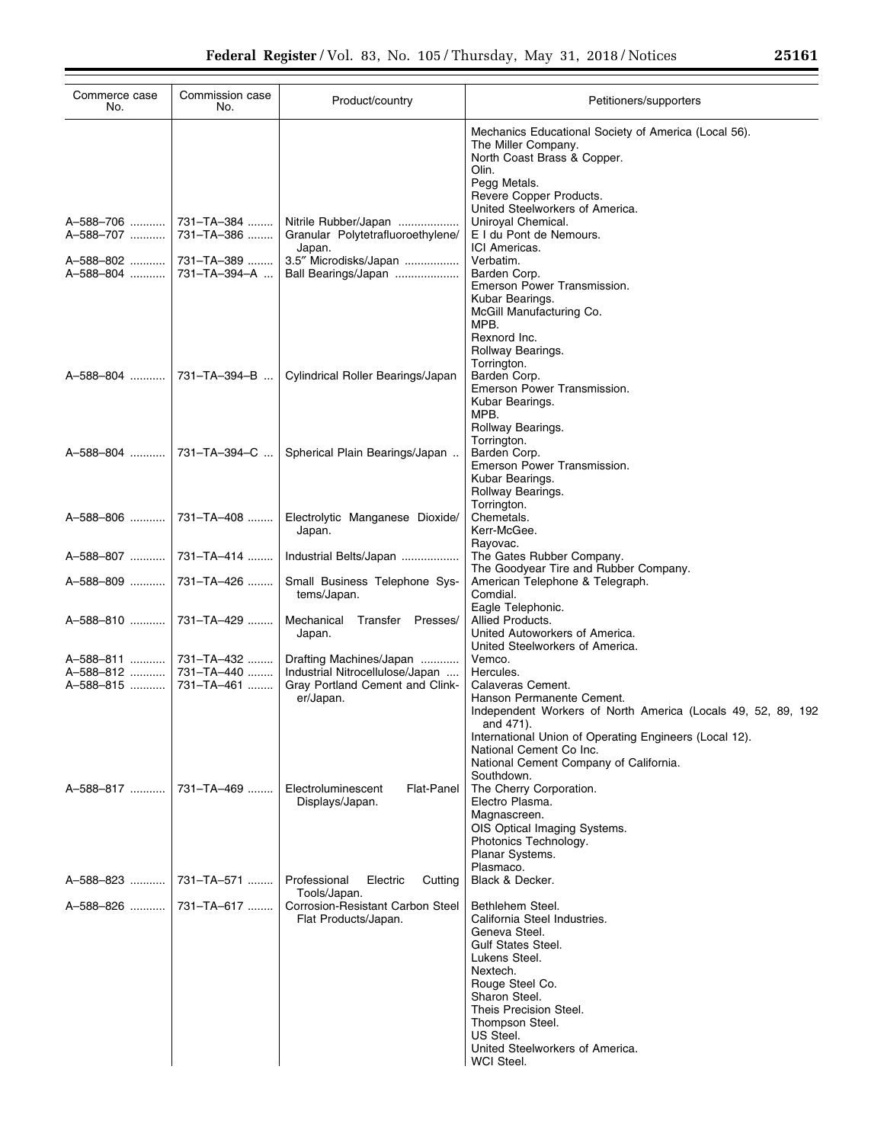| Commerce case<br>No.   | Commission case<br>No.     | Product/country                                                                 | Petitioners/supporters                                                                                                                                                                            |
|------------------------|----------------------------|---------------------------------------------------------------------------------|---------------------------------------------------------------------------------------------------------------------------------------------------------------------------------------------------|
|                        |                            |                                                                                 | Mechanics Educational Society of America (Local 56).<br>The Miller Company.<br>North Coast Brass & Copper.<br>Olin.<br>Pegg Metals.<br>Revere Copper Products.<br>United Steelworkers of America. |
| A-588-706<br>A-588-707 | 731-TA-384<br>731-TA-386   | Nitrile Rubber/Japan<br>Granular Polytetrafluoroethylene/<br>Japan.             | Uniroyal Chemical.<br>E I du Pont de Nemours.<br>ICI Americas.                                                                                                                                    |
| A-588-802<br>A-588-804 | 731-TA-389<br>731-TA-394-A | 3.5" Microdisks/Japan<br>Ball Bearings/Japan                                    | Verbatim.<br>Barden Corp.<br>Emerson Power Transmission.<br>Kubar Bearings.                                                                                                                       |
|                        |                            |                                                                                 | McGill Manufacturing Co.<br>MPB.<br>Rexnord Inc.<br>Rollway Bearings.<br>Torrington.                                                                                                              |
| A-588-804              | 731-TA-394-B               | Cylindrical Roller Bearings/Japan                                               | Barden Corp.<br>Emerson Power Transmission.<br>Kubar Bearings.<br>MPB.<br>Rollway Bearings.                                                                                                       |
|                        | A-588-804  731-TA-394-C    | Spherical Plain Bearings/Japan                                                  | Torrington.<br>Barden Corp.<br>Emerson Power Transmission.<br>Kubar Bearings.<br>Rollway Bearings.                                                                                                |
| A-588-806              | 731-TA-408                 | Electrolytic Manganese Dioxide/<br>Japan.                                       | Torrington.<br>Chemetals.<br>Kerr-McGee.                                                                                                                                                          |
| A-588-807              | 731–TA–414                 | Industrial Belts/Japan                                                          | Rayovac.<br>The Gates Rubber Company.<br>The Goodyear Tire and Rubber Company.                                                                                                                    |
| A-588-809              | 731-TA-426                 | Small Business Telephone Sys-<br>tems/Japan.                                    | American Telephone & Telegraph.<br>Comdial.<br>Eagle Telephonic.                                                                                                                                  |
| A-588-810              | 731-TA-429                 | Mechanical Transfer Presses/<br>Japan.                                          | Allied Products.<br>United Autoworkers of America.<br>United Steelworkers of America.                                                                                                             |
| A-588-811              | 731-TA-432                 | Drafting Machines/Japan                                                         | Vemco.                                                                                                                                                                                            |
| A-588-812<br>A-588-815 | 731-TA-440                 | Industrial Nitrocellulose/Japan                                                 | Hercules.<br>Calaveras Cement.                                                                                                                                                                    |
|                        | 731-TA-461                 | Gray Portland Cement and Clink-<br>er/Japan.                                    | Hanson Permanente Cement.<br>Independent Workers of North America (Locals 49, 52, 89, 192<br>and 471).<br>International Union of Operating Engineers (Local 12).<br>National Cement Co Inc.       |
|                        |                            |                                                                                 | National Cement Company of California.<br>Southdown.                                                                                                                                              |
| A-588-817              | 731–TA–469                 | Electroluminescent<br><b>Flat-Panel</b><br>Displays/Japan.                      | The Cherry Corporation.<br>Electro Plasma.<br>Magnascreen.                                                                                                                                        |
|                        |                            |                                                                                 | OIS Optical Imaging Systems.<br>Photonics Technology.<br>Planar Systems.                                                                                                                          |
| A-588-823              | 731-TA-571                 | Professional<br>Electric<br>Cutting                                             | Plasmaco.<br>Black & Decker.                                                                                                                                                                      |
| A-588-826              | 731-TA-617                 | Tools/Japan.<br><b>Corrosion-Resistant Carbon Steel</b><br>Flat Products/Japan. | Bethlehem Steel.<br>California Steel Industries.<br>Geneva Steel.<br><b>Gulf States Steel.</b><br>Lukens Steel.<br>Nextech.<br>Rouge Steel Co.<br>Sharon Steel.                                   |
|                        |                            |                                                                                 | Theis Precision Steel.<br>Thompson Steel.<br>US Steel.<br>United Steelworkers of America.<br>WCI Steel.                                                                                           |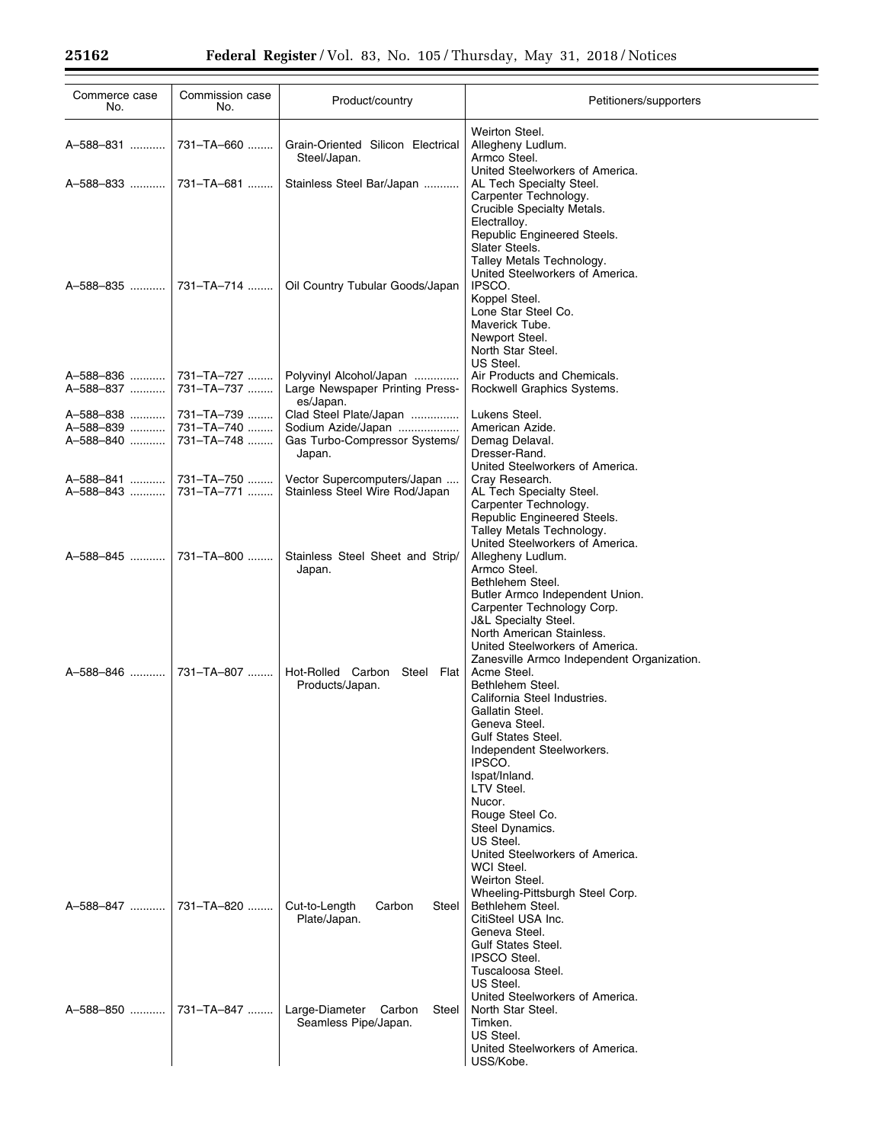| Commerce case<br>No.   | Commission case<br>No.   | Product/country                                                         | Petitioners/supporters                                                                                                                                                                                                                   |
|------------------------|--------------------------|-------------------------------------------------------------------------|------------------------------------------------------------------------------------------------------------------------------------------------------------------------------------------------------------------------------------------|
| A-588-831              | 731-TA-660               | Grain-Oriented Silicon Electrical<br>Steel/Japan.                       | Weirton Steel.<br>Allegheny Ludlum.<br>Armco Steel.                                                                                                                                                                                      |
| A-588-833              | 731-TA-681               | Stainless Steel Bar/Japan                                               | United Steelworkers of America.<br>AL Tech Specialty Steel.<br>Carpenter Technology.<br>Crucible Specialty Metals.                                                                                                                       |
| A-588-835              | 731-TA-714               | Oil Country Tubular Goods/Japan                                         | Electralloy.<br>Republic Engineered Steels.<br>Slater Steels.<br>Talley Metals Technology.<br>United Steelworkers of America.<br>IPSCO.<br>Koppel Steel.<br>Lone Star Steel Co.<br>Maverick Tube.<br>Newport Steel.<br>North Star Steel. |
| A-588-836<br>A-588-837 | 731-TA-727<br>731-TA-737 | Polyvinyl Alcohol/Japan<br>Large Newspaper Printing Press-<br>es/Japan. | US Steel.<br>Air Products and Chemicals.<br>Rockwell Graphics Systems.                                                                                                                                                                   |
| A-588-838              | 731-TA-739               | Clad Steel Plate/Japan                                                  | Lukens Steel.                                                                                                                                                                                                                            |
| A-588-839              | 731-TA-740               | Sodium Azide/Japan                                                      | American Azide.                                                                                                                                                                                                                          |
| A-588-840              | 731-TA-748               | Gas Turbo-Compressor Systems/                                           | Demag Delaval.                                                                                                                                                                                                                           |
|                        |                          | Japan.                                                                  | Dresser-Rand.                                                                                                                                                                                                                            |
|                        |                          |                                                                         | United Steelworkers of America.                                                                                                                                                                                                          |
| A-588-841              | 731-TA-750               | Vector Supercomputers/Japan                                             | Cray Research.                                                                                                                                                                                                                           |
| A-588-843              | 731-TA-771               | Stainless Steel Wire Rod/Japan                                          | AL Tech Specialty Steel.                                                                                                                                                                                                                 |
|                        |                          |                                                                         | Carpenter Technology.                                                                                                                                                                                                                    |
|                        |                          |                                                                         | Republic Engineered Steels.                                                                                                                                                                                                              |
|                        |                          |                                                                         | Talley Metals Technology.                                                                                                                                                                                                                |
|                        |                          |                                                                         | United Steelworkers of America.                                                                                                                                                                                                          |
| A-588-845              | 731-TA-800               | Stainless Steel Sheet and Strip/                                        | Allegheny Ludlum.                                                                                                                                                                                                                        |
|                        |                          | Japan.                                                                  | Armco Steel.                                                                                                                                                                                                                             |
|                        |                          |                                                                         | Bethlehem Steel.                                                                                                                                                                                                                         |
|                        |                          |                                                                         | Butler Armco Independent Union.                                                                                                                                                                                                          |
|                        |                          |                                                                         |                                                                                                                                                                                                                                          |
|                        |                          |                                                                         | Carpenter Technology Corp.                                                                                                                                                                                                               |
|                        |                          |                                                                         | J&L Specialty Steel.                                                                                                                                                                                                                     |
|                        |                          |                                                                         | North American Stainless.                                                                                                                                                                                                                |
|                        |                          |                                                                         | United Steelworkers of America.                                                                                                                                                                                                          |
|                        |                          |                                                                         | Zanesville Armco Independent Organization.                                                                                                                                                                                               |
| A-588-846              | 731-TA-807               | Hot-Rolled Carbon Steel Flat                                            | Acme Steel.                                                                                                                                                                                                                              |
|                        |                          | Products/Japan.                                                         | Bethlehem Steel.                                                                                                                                                                                                                         |
|                        |                          |                                                                         | California Steel Industries.                                                                                                                                                                                                             |
|                        |                          |                                                                         | Gallatin Steel.                                                                                                                                                                                                                          |
|                        |                          |                                                                         | Geneva Steel.                                                                                                                                                                                                                            |
|                        |                          |                                                                         | Gulf States Steel.                                                                                                                                                                                                                       |
|                        |                          |                                                                         | Independent Steelworkers.                                                                                                                                                                                                                |
|                        |                          |                                                                         | IPSCO.                                                                                                                                                                                                                                   |
|                        |                          |                                                                         | Ispat/Inland.                                                                                                                                                                                                                            |
|                        |                          |                                                                         | LTV Steel.                                                                                                                                                                                                                               |
|                        |                          |                                                                         | Nucor.                                                                                                                                                                                                                                   |
|                        |                          |                                                                         | Rouge Steel Co.                                                                                                                                                                                                                          |
|                        |                          |                                                                         | Steel Dynamics.                                                                                                                                                                                                                          |
|                        |                          |                                                                         | US Steel.                                                                                                                                                                                                                                |
|                        |                          |                                                                         | United Steelworkers of America.                                                                                                                                                                                                          |
|                        |                          |                                                                         | WCI Steel.                                                                                                                                                                                                                               |
|                        |                          |                                                                         | Weirton Steel.                                                                                                                                                                                                                           |
|                        |                          |                                                                         | Wheeling-Pittsburgh Steel Corp.                                                                                                                                                                                                          |
| A-588-847              | 731-TA-820               | Cut-to-Length<br>Carbon<br>Steel                                        | Bethlehem Steel.                                                                                                                                                                                                                         |
|                        |                          | Plate/Japan.                                                            | CitiSteel USA Inc.                                                                                                                                                                                                                       |
|                        |                          |                                                                         | Geneva Steel.                                                                                                                                                                                                                            |
|                        |                          |                                                                         | <b>Gulf States Steel.</b>                                                                                                                                                                                                                |
|                        |                          |                                                                         | <b>IPSCO Steel.</b>                                                                                                                                                                                                                      |
|                        |                          |                                                                         | Tuscaloosa Steel.                                                                                                                                                                                                                        |
|                        |                          |                                                                         | US Steel.                                                                                                                                                                                                                                |
|                        |                          |                                                                         | United Steelworkers of America.                                                                                                                                                                                                          |
| A-588-850              | 731-TA-847               | Large-Diameter Carbon<br>Steel                                          | North Star Steel.                                                                                                                                                                                                                        |
|                        |                          | Seamless Pipe/Japan.                                                    | Timken.                                                                                                                                                                                                                                  |
|                        |                          |                                                                         | US Steel.                                                                                                                                                                                                                                |
|                        |                          |                                                                         | United Steelworkers of America.                                                                                                                                                                                                          |
|                        |                          |                                                                         | USS/Kobe.                                                                                                                                                                                                                                |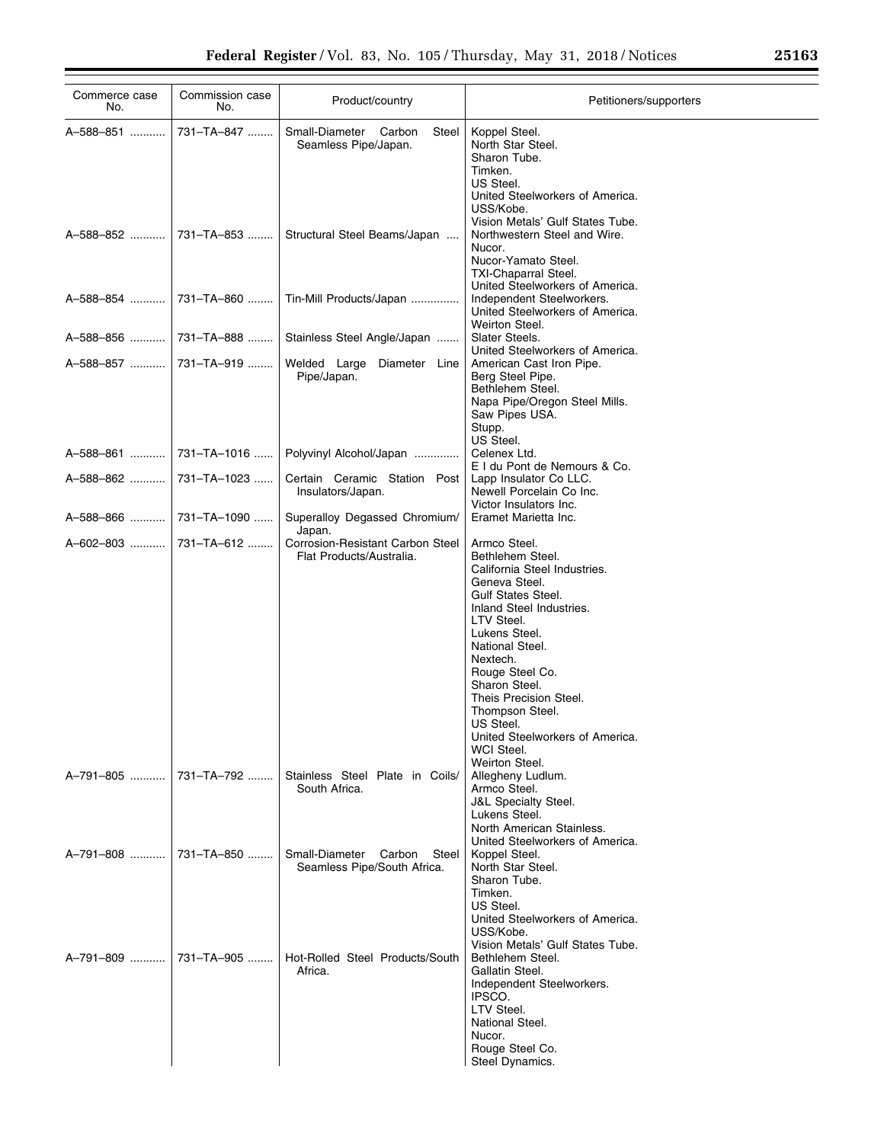| Commerce case<br>No.     | Commission case<br>No. | Product/country                                                     | Petitioners/supporters                                                                                                                                                                                                                                                                                                                                                    |
|--------------------------|------------------------|---------------------------------------------------------------------|---------------------------------------------------------------------------------------------------------------------------------------------------------------------------------------------------------------------------------------------------------------------------------------------------------------------------------------------------------------------------|
| A-588-851 ……….           | 731-TA-847             | Small-Diameter Carbon<br>Steel<br>Seamless Pipe/Japan.              | Koppel Steel.<br>North Star Steel.<br>Sharon Tube.<br>Timken.<br>US Steel.<br>United Steelworkers of America.<br>USS/Kobe.                                                                                                                                                                                                                                                |
| A-588-852                | 731-TA-853             | Structural Steel Beams/Japan                                        | Vision Metals' Gulf States Tube.<br>Northwestern Steel and Wire.<br>Nucor.<br>Nucor-Yamato Steel.<br>TXI-Chaparral Steel.                                                                                                                                                                                                                                                 |
| A–588–854                | 731-TA-860             | Tin-Mill Products/Japan                                             | United Steelworkers of America.<br>Independent Steelworkers.<br>United Steelworkers of America.<br>Weirton Steel.                                                                                                                                                                                                                                                         |
| A–588–856 ……….           | 731-TA-888             | Stainless Steel Angle/Japan                                         | Slater Steels.<br>United Steelworkers of America.                                                                                                                                                                                                                                                                                                                         |
| A–588–857 ……….           | 731-TA-919             | Welded Large Diameter Line<br>Pipe/Japan.                           | American Cast Iron Pipe.<br>Berg Steel Pipe.<br>Bethlehem Steel.<br>Napa Pipe/Oregon Steel Mills.<br>Saw Pipes USA.<br>Stupp.<br>US Steel.                                                                                                                                                                                                                                |
| A–588–861                | 731-TA-1016            | Polyvinyl Alcohol/Japan                                             | Celenex Ltd.<br>E I du Pont de Nemours & Co.                                                                                                                                                                                                                                                                                                                              |
| A–588–862  …………          | 731-TA-1023            | Certain Ceramic Station Post<br>Insulators/Japan.                   | Lapp Insulator Co LLC.<br>Newell Porcelain Co Inc.<br>Victor Insulators Inc.                                                                                                                                                                                                                                                                                              |
| A–588–866                | 731-TA-1090            | Superalloy Degassed Chromium/<br>Japan.                             | Eramet Marietta Inc.                                                                                                                                                                                                                                                                                                                                                      |
| A–602–803                | 731-TA-612             | <b>Corrosion-Resistant Carbon Steel</b><br>Flat Products/Australia. | Armco Steel.<br>Bethlehem Steel.<br>California Steel Industries.<br>Geneva Steel.<br><b>Gulf States Steel.</b><br>Inland Steel Industries.<br>LTV Steel.<br>Lukens Steel.<br>National Steel.<br>Nextech.<br>Rouge Steel Co.<br>Sharon Steel.<br>Theis Precision Steel.<br>Thompson Steel.<br>US Steel.<br>United Steelworkers of America.<br>WCI Steel.<br>Weirton Steel. |
| A–791–805     731–TA–792 |                        | Stainless Steel Plate in Coils/<br>South Africa.                    | Allegheny Ludlum.<br>Armco Steel.<br><b>J&amp;L Specialty Steel.</b><br>Lukens Steel.<br>North American Stainless.<br>United Steelworkers of America.                                                                                                                                                                                                                     |
| A-791-808  731-TA-850    |                        | Small-Diameter Carbon<br>Steel<br>Seamless Pipe/South Africa.       | Koppel Steel.<br>North Star Steel.<br>Sharon Tube.<br>Timken.<br>US Steel.<br>United Steelworkers of America.<br>USS/Kobe.<br>Vision Metals' Gulf States Tube.                                                                                                                                                                                                            |
| A-791-809  731-TA-905    |                        | Hot-Rolled Steel Products/South<br>Africa.                          | Bethlehem Steel.<br>Gallatin Steel.<br>Independent Steelworkers.<br>IPSCO.<br>LTV Steel.<br>National Steel.<br>Nucor.<br>Rouge Steel Co.<br>Steel Dynamics.                                                                                                                                                                                                               |

÷.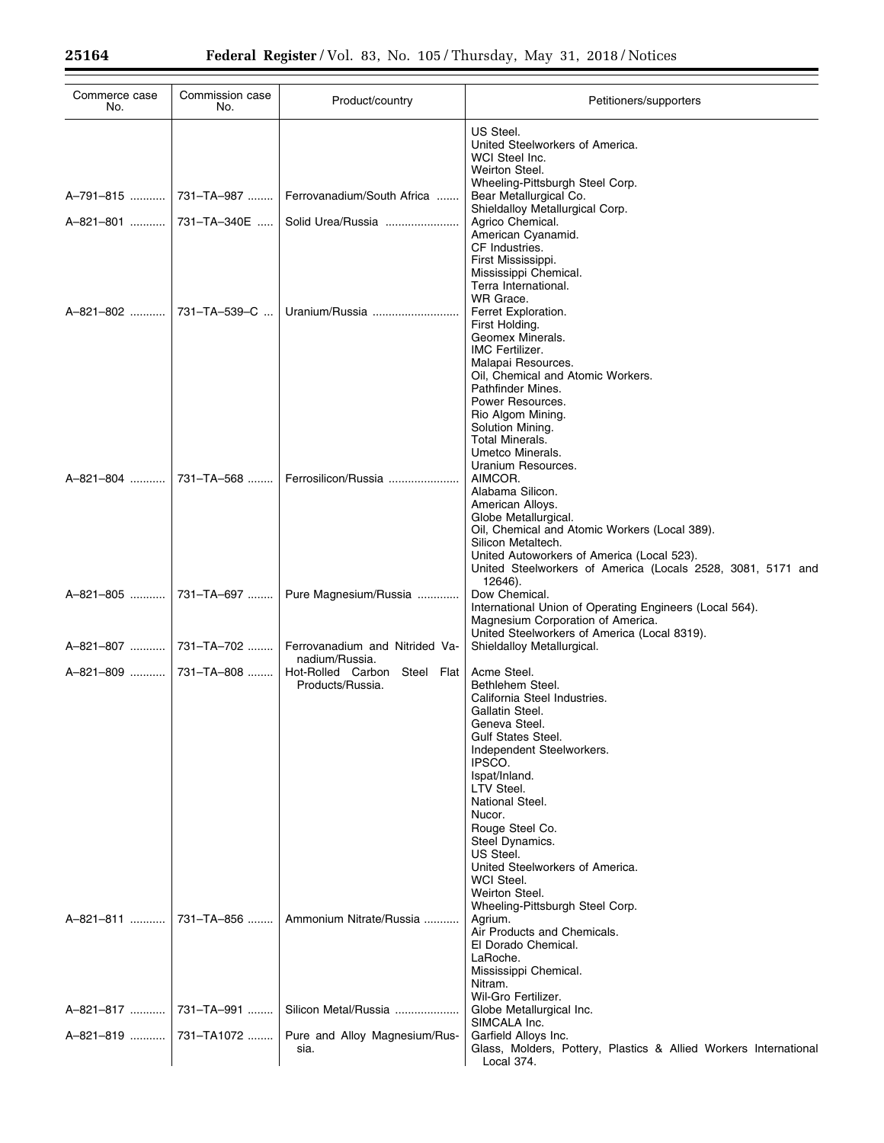| Commerce case<br>No.  | Commission case<br>No. | Product/country                                  | Petitioners/supporters                                                                                                                                                                                                                                                                                                                                                                |
|-----------------------|------------------------|--------------------------------------------------|---------------------------------------------------------------------------------------------------------------------------------------------------------------------------------------------------------------------------------------------------------------------------------------------------------------------------------------------------------------------------------------|
|                       |                        |                                                  | US Steel.<br>United Steelworkers of America.<br>WCI Steel Inc.<br>Weirton Steel.                                                                                                                                                                                                                                                                                                      |
| A-791-815  731-TA-987 |                        | Ferrovanadium/South Africa                       | Wheeling-Pittsburgh Steel Corp.<br>Bear Metallurgical Co.<br>Shieldalloy Metallurgical Corp.                                                                                                                                                                                                                                                                                          |
| A-821-801             | 731-TA-340E            | Solid Urea/Russia                                | Agrico Chemical.<br>American Cyanamid.<br>CF Industries.<br>First Mississippi.                                                                                                                                                                                                                                                                                                        |
| A-821-802             | 731-TA-539-C           | Uranium/Russia                                   | Mississippi Chemical.<br>Terra International.<br>WR Grace.<br>Ferret Exploration.                                                                                                                                                                                                                                                                                                     |
|                       |                        |                                                  | First Holding.<br>Geomex Minerals.<br><b>IMC Fertilizer.</b><br>Malapai Resources.<br>Oil, Chemical and Atomic Workers.<br>Pathfinder Mines.<br>Power Resources.<br>Rio Algom Mining.<br>Solution Mining.<br><b>Total Minerals.</b><br>Umetco Minerals.<br>Uranium Resources.                                                                                                         |
| A-821-804             | 731-TA-568             | Ferrosilicon/Russia                              | AIMCOR.<br>Alabama Silicon.<br>American Alloys.<br>Globe Metallurgical.<br>Oil, Chemical and Atomic Workers (Local 389).<br>Silicon Metaltech.<br>United Autoworkers of America (Local 523).<br>United Steelworkers of America (Locals 2528, 3081, 5171 and<br>12646).                                                                                                                |
| A-821-805  731-TA-697 |                        | Pure Magnesium/Russia                            | Dow Chemical.<br>International Union of Operating Engineers (Local 564).<br>Magnesium Corporation of America.<br>United Steelworkers of America (Local 8319).                                                                                                                                                                                                                         |
| A-821-807  731-TA-702 |                        | Ferrovanadium and Nitrided Va-<br>nadium/Russia. | Shieldalloy Metallurgical.                                                                                                                                                                                                                                                                                                                                                            |
| A-821-809             | 731-TA-808             | Hot-Rolled Carbon Steel Flat<br>Products/Russia. | Acme Steel.<br>Bethlehem Steel.<br>California Steel Industries.<br>Gallatin Steel.<br>Geneva Steel.<br>Gulf States Steel.<br>Independent Steelworkers.<br>IPSCO.<br>Ispat/Inland.<br>LTV Steel.<br>National Steel.<br>Nucor.<br>Rouge Steel Co.<br>Steel Dynamics.<br>US Steel.<br>United Steelworkers of America.<br>WCI Steel.<br>Weirton Steel.<br>Wheeling-Pittsburgh Steel Corp. |
| A-821-811             |                        | 731-TA-856    Ammonium Nitrate/Russia            | Agrium.<br>Air Products and Chemicals.<br>El Dorado Chemical.<br>LaRoche.<br>Mississippi Chemical.<br>Nitram.                                                                                                                                                                                                                                                                         |
| A-821-817             | 731-TA-991             | Silicon Metal/Russia                             | Wil-Gro Fertilizer.<br>Globe Metallurgical Inc.<br>SIMCALA Inc.                                                                                                                                                                                                                                                                                                                       |
| A-821-819             | 731-TA1072             | Pure and Alloy Magnesium/Rus-<br>sia.            | Garfield Alloys Inc.<br>Glass, Molders, Pottery, Plastics & Allied Workers International<br>Local 374.                                                                                                                                                                                                                                                                                |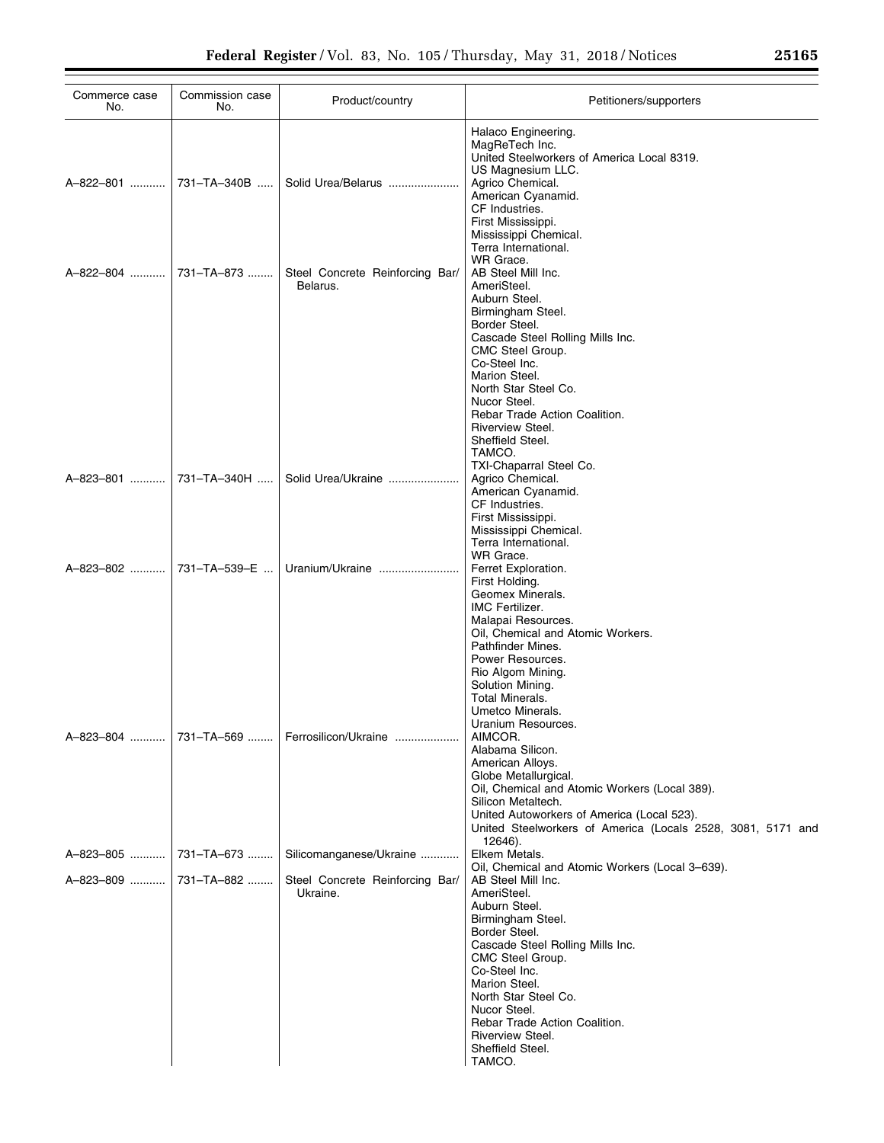| Commerce case<br>No.    | Commission case<br>No. | Product/country                               | Petitioners/supporters                                                                                                                                                                                                                                                                                                     |
|-------------------------|------------------------|-----------------------------------------------|----------------------------------------------------------------------------------------------------------------------------------------------------------------------------------------------------------------------------------------------------------------------------------------------------------------------------|
|                         |                        | Solid Urea/Belarus                            | Halaco Engineering.<br>MagReTech Inc.<br>United Steelworkers of America Local 8319.<br>US Magnesium LLC.<br>Agrico Chemical.<br>American Cyanamid.<br>CF Industries.<br>First Mississippi.<br>Mississippi Chemical.<br>Terra International.                                                                                |
| A-822-804  731-TA-873   |                        | Steel Concrete Reinforcing Bar/<br>Belarus.   | WR Grace.<br>AB Steel Mill Inc.<br>AmeriSteel.<br>Auburn Steel.<br>Birmingham Steel.<br>Border Steel.<br>Cascade Steel Rolling Mills Inc.<br>CMC Steel Group.<br>Co-Steel Inc.<br>Marion Steel.<br>North Star Steel Co.<br>Nucor Steel.<br>Rebar Trade Action Coalition.<br>Riverview Steel.<br>Sheffield Steel.<br>TAMCO. |
| A-823-801  731-TA-340H  |                        | Solid Urea/Ukraine                            | TXI-Chaparral Steel Co.<br>Agrico Chemical.<br>American Cyanamid.<br>CF Industries.<br>First Mississippi.<br>Mississippi Chemical.<br>Terra International.                                                                                                                                                                 |
| A-823-802  731-TA-539-E |                        |                                               | WR Grace.<br>Ferret Exploration.<br>First Holding.<br>Geomex Minerals.<br><b>IMC Fertilizer.</b><br>Malapai Resources.<br>Oil, Chemical and Atomic Workers.<br>Pathfinder Mines.<br>Power Resources.<br>Rio Algom Mining.<br>Solution Mining.<br>Total Minerals.<br>Umetco Minerals.                                       |
|                         |                        | A-823-804  731-TA-569    Ferrosilicon/Ukraine | Uranium Resources.<br>AIMCOR.<br>Alabama Silicon.<br>American Alloys.<br>Globe Metallurgical.<br>Oil, Chemical and Atomic Workers (Local 389).<br>Silicon Metaltech.<br>United Autoworkers of America (Local 523).<br>United Steelworkers of America (Locals 2528, 3081, 5171 and<br>12646).                               |
|                         |                        | Silicomanganese/Ukraine                       | Elkem Metals.<br>Oil, Chemical and Atomic Workers (Local 3-639).                                                                                                                                                                                                                                                           |
| A-823-809    731-TA-882 |                        | Steel Concrete Reinforcing Bar/<br>Ukraine.   | AB Steel Mill Inc.<br>AmeriSteel.<br>Auburn Steel.<br>Birmingham Steel.<br>Border Steel.<br>Cascade Steel Rolling Mills Inc.<br>CMC Steel Group.<br>Co-Steel Inc.<br>Marion Steel.<br>North Star Steel Co.<br>Nucor Steel.<br>Rebar Trade Action Coalition.<br>Riverview Steel.<br>Sheffield Steel.<br>TAMCO.              |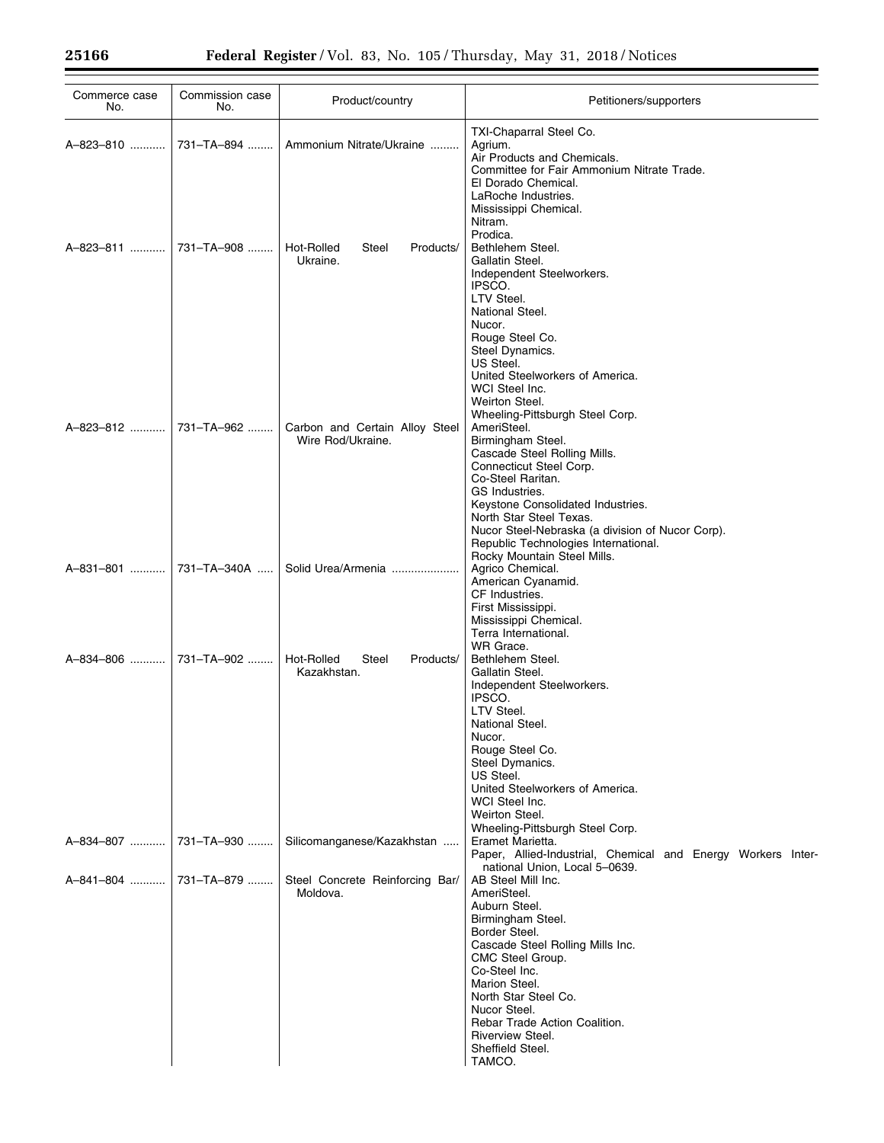| Commerce case<br>No.  | Commission case<br>No. | Product/country                                     | Petitioners/supporters                                                                                                                                                                                                                                                                                                                         |
|-----------------------|------------------------|-----------------------------------------------------|------------------------------------------------------------------------------------------------------------------------------------------------------------------------------------------------------------------------------------------------------------------------------------------------------------------------------------------------|
| A-823-810             | 731-TA-894             | Ammonium Nitrate/Ukraine                            | TXI-Chaparral Steel Co.<br>Agrium.<br>Air Products and Chemicals.                                                                                                                                                                                                                                                                              |
| A-823-811             | 731-TA-908             | Hot-Rolled<br>Steel<br>Products/<br>Ukraine.        | Committee for Fair Ammonium Nitrate Trade.<br>El Dorado Chemical.<br>LaRoche Industries.<br>Mississippi Chemical.<br>Nitram.<br>Prodica.<br>Bethlehem Steel.<br>Gallatin Steel.<br>Independent Steelworkers.<br>IPSCO.<br>LTV Steel.<br>National Steel.<br>Nucor.<br>Rouge Steel Co.                                                           |
| A-823-812             | 731-TA-962             | Carbon and Certain Alloy Steel<br>Wire Rod/Ukraine. | Steel Dynamics.<br>US Steel.<br>United Steelworkers of America.<br>WCI Steel Inc.<br>Weirton Steel.<br>Wheeling-Pittsburgh Steel Corp.<br>AmeriSteel.<br>Birmingham Steel.<br>Cascade Steel Rolling Mills.<br>Connecticut Steel Corp.<br>Co-Steel Raritan.<br>GS Industries.<br>Keystone Consolidated Industries.                              |
| A-831-801             | 731-TA-340A            | Solid Urea/Armenia                                  | North Star Steel Texas.<br>Nucor Steel-Nebraska (a division of Nucor Corp).<br>Republic Technologies International.<br>Rocky Mountain Steel Mills.<br>Agrico Chemical.<br>American Cyanamid.<br>CF Industries.<br>First Mississippi.<br>Mississippi Chemical.<br>Terra International.                                                          |
| A-834-806             | 731-TA-902             | Hot-Rolled<br>Steel<br>Products/<br>Kazakhstan.     | WR Grace.<br>Bethlehem Steel.<br>Gallatin Steel.<br>Independent Steelworkers.<br>IPSCO.<br>LTV Steel.<br>National Steel.<br>Nucor.<br>Rouge Steel Co.<br>Steel Dymanics.<br>US Steel.<br>United Steelworkers of America.<br>WCI Steel Inc.                                                                                                     |
| A-834-807             | 731-TA-930             | Silicomanganese/Kazakhstan                          | Weirton Steel.<br>Wheeling-Pittsburgh Steel Corp.<br>Eramet Marietta.<br>Paper, Allied-Industrial, Chemical and Energy Workers Inter-                                                                                                                                                                                                          |
| A-841-804  731-TA-879 |                        | Steel Concrete Reinforcing Bar/<br>Moldova.         | national Union, Local 5-0639.<br>AB Steel Mill Inc.<br>AmeriSteel.<br>Auburn Steel.<br>Birmingham Steel.<br>Border Steel.<br>Cascade Steel Rolling Mills Inc.<br>CMC Steel Group.<br>Co-Steel Inc.<br>Marion Steel.<br>North Star Steel Co.<br>Nucor Steel.<br>Rebar Trade Action Coalition.<br>Riverview Steel.<br>Sheffield Steel.<br>TAMCO. |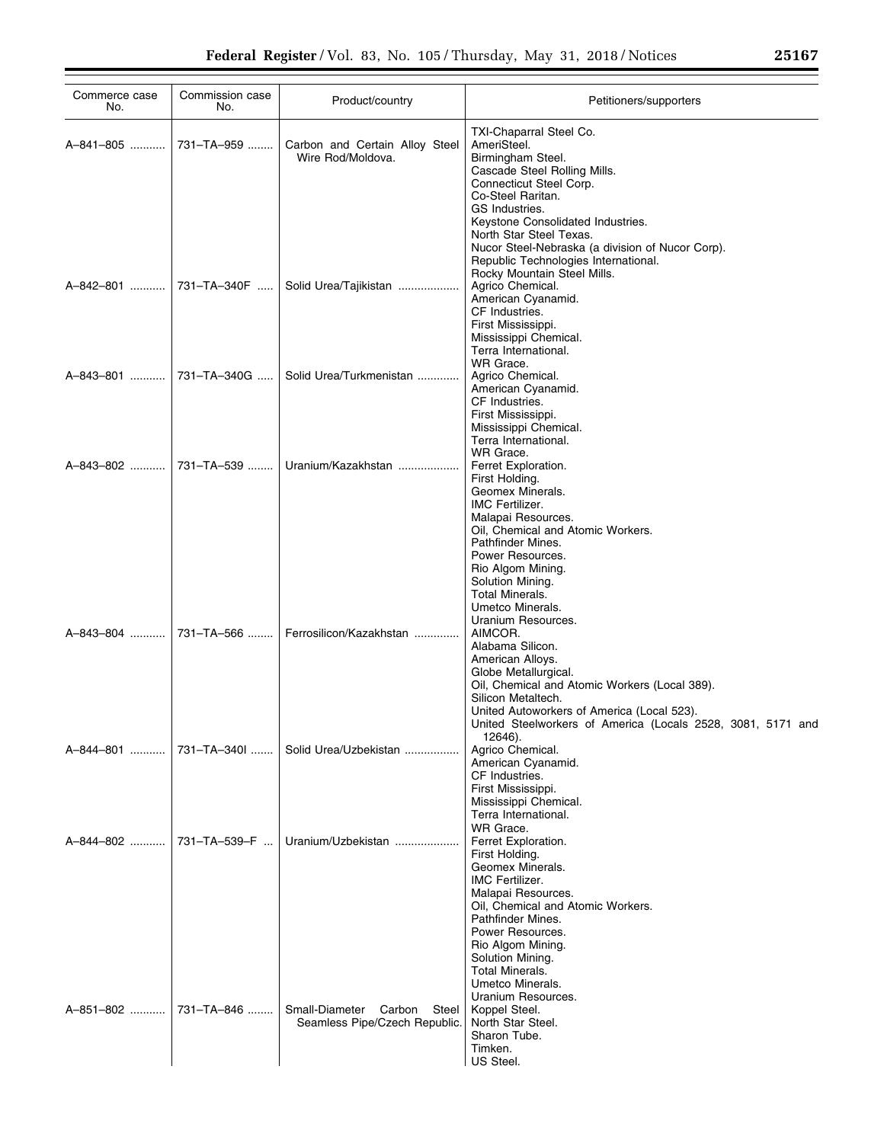| Commerce case<br>No. | Commission case<br>No. | Product/country                                                    | Petitioners/supporters                                                                                                                                                                                                                                                                                                    |
|----------------------|------------------------|--------------------------------------------------------------------|---------------------------------------------------------------------------------------------------------------------------------------------------------------------------------------------------------------------------------------------------------------------------------------------------------------------------|
| A-841-805            | 731-TA-959             | Carbon and Certain Alloy Steel<br>Wire Rod/Moldova.                | TXI-Chaparral Steel Co.<br>AmeriSteel.<br>Birmingham Steel.<br>Cascade Steel Rolling Mills.<br>Connecticut Steel Corp.<br>Co-Steel Raritan.<br>GS Industries.<br>Keystone Consolidated Industries.<br>North Star Steel Texas.<br>Nucor Steel-Nebraska (a division of Nucor Corp).<br>Republic Technologies International. |
| A-842-801            | 731–TA–340F            | Solid Urea/Tajikistan                                              | Rocky Mountain Steel Mills.<br>Agrico Chemical.<br>American Cyanamid.<br>CF Industries.<br>First Mississippi.<br>Mississippi Chemical.<br>Terra International.<br>WR Grace.                                                                                                                                               |
|                      | A-843-801  731-TA-340G | Solid Urea/Turkmenistan                                            | Agrico Chemical.<br>American Cyanamid.<br>CF Industries.<br>First Mississippi.<br>Mississippi Chemical.<br>Terra International.<br>WR Grace.                                                                                                                                                                              |
|                      |                        | A-843-802  731-TA-539    Uranium/Kazakhstan                        | Ferret Exploration.<br>First Holding.<br>Geomex Minerals.<br>IMC Fertilizer.<br>Malapai Resources.<br>Oil, Chemical and Atomic Workers.<br>Pathfinder Mines.<br>Power Resources.<br>Rio Algom Mining.<br>Solution Mining.<br><b>Total Minerals.</b><br>Umetco Minerals.                                                   |
| A-843-804            | 731-TA-566             | Ferrosilicon/Kazakhstan                                            | Uranium Resources.<br>AIMCOR.<br>Alabama Silicon.<br>American Alloys.<br>Globe Metallurgical.<br>Oil, Chemical and Atomic Workers (Local 389).<br>Silicon Metaltech.<br>United Autoworkers of America (Local 523).<br>United Steelworkers of America (Locals 2528, 3081, 5171 and                                         |
| A-844-801            | 731-TA-340L            | Solid Urea/Uzbekistan                                              | 12646).<br>Agrico Chemical.<br>American Cyanamid.<br>CF Industries.<br>First Mississippi.<br>Mississippi Chemical.<br>Terra International.                                                                                                                                                                                |
| A-844-802            | 731-TA-539-F           | Uranium/Uzbekistan                                                 | WR Grace.<br>Ferret Exploration.<br>First Holding.<br>Geomex Minerals.<br><b>IMC Fertilizer.</b><br>Malapai Resources.<br>Oil, Chemical and Atomic Workers.<br>Pathfinder Mines.<br>Power Resources.<br>Rio Algom Mining.<br>Solution Mining.<br>Total Minerals.<br>Umetco Minerals.<br>Uranium Resources.                |
| A-851-802            | 731-TA-846             | Small-Diameter<br>Carbon<br>Steel<br>Seamless Pipe/Czech Republic. | Koppel Steel.<br>North Star Steel.<br>Sharon Tube.<br>Timken.<br>US Steel.                                                                                                                                                                                                                                                |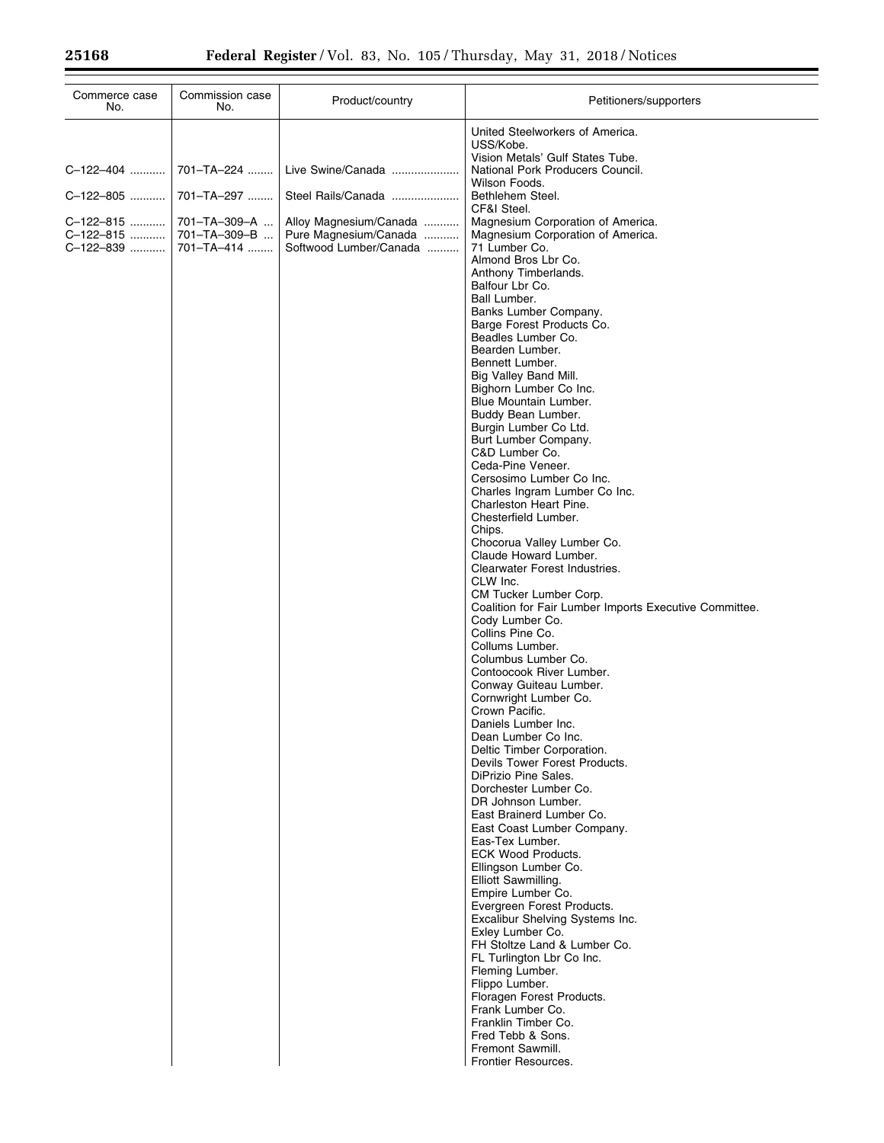| Commerce case<br>No.                | Commission case<br>No.                     | Product/country                                                           | Petitioners/supporters                                                                                                                                                                                                                                                                                                                                                                                                                                                                                                                                                                                                                                                                                                                                                                                                                                                                                                                                                          |
|-------------------------------------|--------------------------------------------|---------------------------------------------------------------------------|---------------------------------------------------------------------------------------------------------------------------------------------------------------------------------------------------------------------------------------------------------------------------------------------------------------------------------------------------------------------------------------------------------------------------------------------------------------------------------------------------------------------------------------------------------------------------------------------------------------------------------------------------------------------------------------------------------------------------------------------------------------------------------------------------------------------------------------------------------------------------------------------------------------------------------------------------------------------------------|
|                                     |                                            |                                                                           | United Steelworkers of America.<br>USS/Kobe.<br>Vision Metals' Gulf States Tube.                                                                                                                                                                                                                                                                                                                                                                                                                                                                                                                                                                                                                                                                                                                                                                                                                                                                                                |
| C-122-404                           | 701-TA-224                                 | Live Swine/Canada                                                         | National Pork Producers Council.<br>Wilson Foods.                                                                                                                                                                                                                                                                                                                                                                                                                                                                                                                                                                                                                                                                                                                                                                                                                                                                                                                               |
| C-122-805                           | 701-TA-297                                 | Steel Rails/Canada                                                        | Bethlehem Steel.                                                                                                                                                                                                                                                                                                                                                                                                                                                                                                                                                                                                                                                                                                                                                                                                                                                                                                                                                                |
| C-122-815<br>C-122-815<br>C-122-839 | 701-TA-309-A<br>701-TA-309-B<br>701-TA-414 | Alloy Magnesium/Canada<br>Pure Magnesium/Canada<br>Softwood Lumber/Canada | CF&I Steel.<br>Magnesium Corporation of America.<br>Magnesium Corporation of America.<br>71 Lumber Co.<br>Almond Bros Lbr Co.<br>Anthony Timberlands.<br>Balfour Lbr Co.<br>Ball Lumber.<br>Banks Lumber Company.<br>Barge Forest Products Co.<br>Beadles Lumber Co.<br>Bearden Lumber.<br>Bennett Lumber.<br>Big Valley Band Mill.<br>Bighorn Lumber Co Inc.<br>Blue Mountain Lumber.<br>Buddy Bean Lumber.<br>Burgin Lumber Co Ltd.<br>Burt Lumber Company.<br>C&D Lumber Co.<br>Ceda-Pine Veneer.<br>Cersosimo Lumber Co Inc.<br>Charles Ingram Lumber Co Inc.<br>Charleston Heart Pine.<br>Chesterfield Lumber.<br>Chips.<br>Chocorua Valley Lumber Co.<br>Claude Howard Lumber.<br>Clearwater Forest Industries.                                                                                                                                                                                                                                                           |
|                                     |                                            |                                                                           | CLW Inc.<br>CM Tucker Lumber Corp.<br>Coalition for Fair Lumber Imports Executive Committee.<br>Cody Lumber Co.<br>Collins Pine Co.<br>Collums Lumber.<br>Columbus Lumber Co.<br>Contoocook River Lumber.<br>Conway Guiteau Lumber.<br>Cornwright Lumber Co.<br>Crown Pacific.<br>Daniels Lumber Inc.<br>Dean Lumber Co Inc.<br>Deltic Timber Corporation.<br>Devils Tower Forest Products.<br>DiPrizio Pine Sales.<br>Dorchester Lumber Co.<br>DR Johnson Lumber.<br>East Brainerd Lumber Co.<br>East Coast Lumber Company.<br>Eas-Tex Lumber.<br><b>ECK Wood Products.</b><br>Ellingson Lumber Co.<br>Elliott Sawmilling.<br>Empire Lumber Co.<br>Evergreen Forest Products.<br>Excalibur Shelving Systems Inc.<br>Exley Lumber Co.<br>FH Stoltze Land & Lumber Co.<br>FL Turlington Lbr Co Inc.<br>Fleming Lumber.<br>Flippo Lumber.<br>Floragen Forest Products.<br>Frank Lumber Co.<br>Franklin Timber Co.<br>Fred Tebb & Sons.<br>Fremont Sawmill.<br>Frontier Resources. |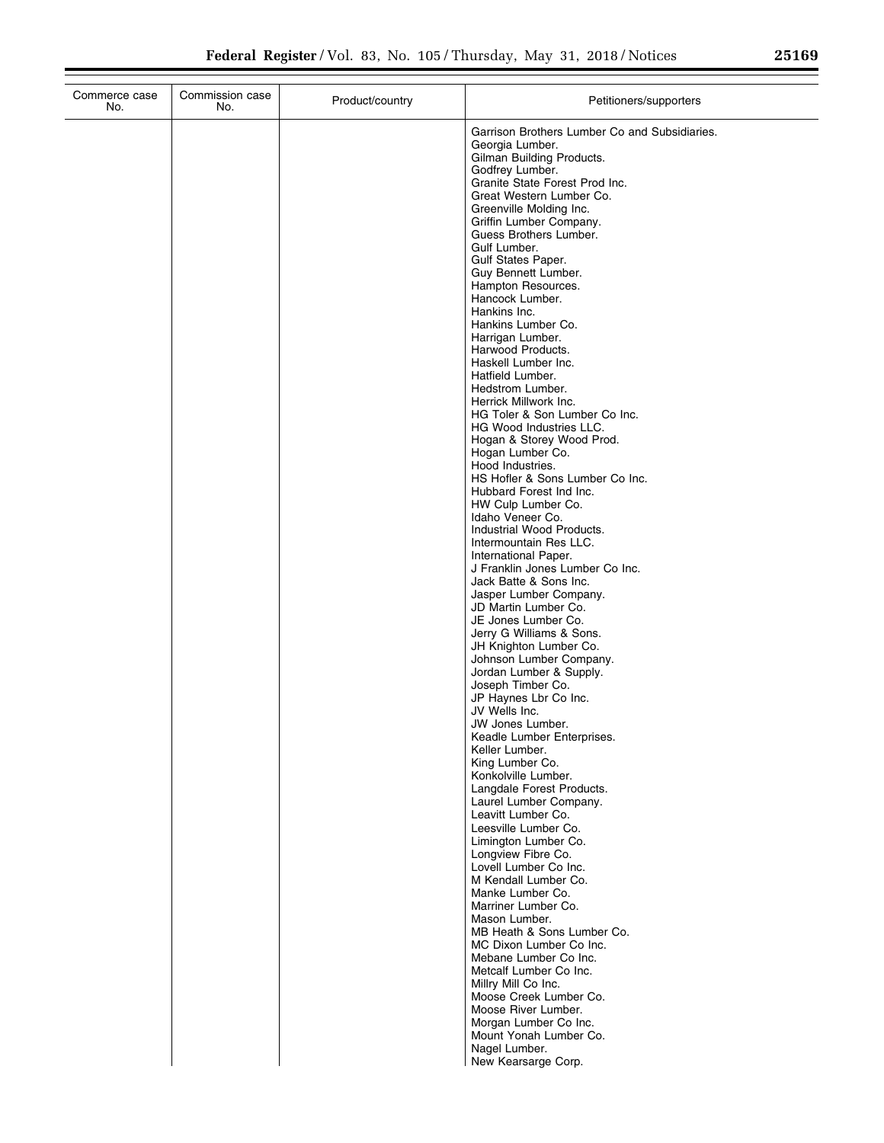| Commerce case<br>No. | Commission case<br>No. | Product/country | Petitioners/supporters                                                                                                                                                                                                                                                                                                                                                                                                                                                                                                                                                                                                                                                                                                                                                                                                                                                                                                                                                                                                                                                                                                                                                                                                                                                                                                                                                                                                                                                                                                                                                                                                                                                                                                                                        |
|----------------------|------------------------|-----------------|---------------------------------------------------------------------------------------------------------------------------------------------------------------------------------------------------------------------------------------------------------------------------------------------------------------------------------------------------------------------------------------------------------------------------------------------------------------------------------------------------------------------------------------------------------------------------------------------------------------------------------------------------------------------------------------------------------------------------------------------------------------------------------------------------------------------------------------------------------------------------------------------------------------------------------------------------------------------------------------------------------------------------------------------------------------------------------------------------------------------------------------------------------------------------------------------------------------------------------------------------------------------------------------------------------------------------------------------------------------------------------------------------------------------------------------------------------------------------------------------------------------------------------------------------------------------------------------------------------------------------------------------------------------------------------------------------------------------------------------------------------------|
|                      |                        |                 | Garrison Brothers Lumber Co and Subsidiaries.<br>Georgia Lumber.<br>Gilman Building Products.<br>Godfrey Lumber.<br>Granite State Forest Prod Inc.<br>Great Western Lumber Co.<br>Greenville Molding Inc.<br>Griffin Lumber Company.<br>Guess Brothers Lumber.<br>Gulf Lumber.<br><b>Gulf States Paper.</b><br>Guy Bennett Lumber.<br>Hampton Resources.<br>Hancock Lumber.<br>Hankins Inc.<br>Hankins Lumber Co.<br>Harrigan Lumber.<br>Harwood Products.<br>Haskell Lumber Inc.<br>Hatfield Lumber.<br>Hedstrom Lumber.<br>Herrick Millwork Inc.<br>HG Toler & Son Lumber Co Inc.<br>HG Wood Industries LLC.<br>Hogan & Storey Wood Prod.<br>Hogan Lumber Co.<br>Hood Industries.<br>HS Hofler & Sons Lumber Co Inc.<br>Hubbard Forest Ind Inc.<br>HW Culp Lumber Co.<br>Idaho Veneer Co.<br>Industrial Wood Products.<br>Intermountain Res LLC.<br>International Paper.<br>J Franklin Jones Lumber Co Inc.<br>Jack Batte & Sons Inc.<br>Jasper Lumber Company.<br>JD Martin Lumber Co.<br>JE Jones Lumber Co.<br>Jerry G Williams & Sons.<br>JH Knighton Lumber Co.<br>Johnson Lumber Company.<br>Jordan Lumber & Supply.<br>Joseph Timber Co.<br>JP Haynes Lbr Co Inc.<br>JV Wells Inc.<br>JW Jones Lumber.<br>Keadle Lumber Enterprises.<br>Keller Lumber.<br>King Lumber Co.<br>Konkolville Lumber.<br>Langdale Forest Products.<br>Laurel Lumber Company.<br>Leavitt Lumber Co.<br>Leesville Lumber Co.<br>Limington Lumber Co.<br>Longview Fibre Co.<br>Lovell Lumber Co Inc.<br>M Kendall Lumber Co.<br>Manke Lumber Co.<br>Marriner Lumber Co.<br>Mason Lumber.<br>MB Heath & Sons Lumber Co.<br>MC Dixon Lumber Co Inc.<br>Mebane Lumber Co Inc.<br>Metcalf Lumber Co Inc.<br>Millry Mill Co Inc.<br>Moose Creek Lumber Co.<br>Moose River Lumber. |
|                      |                        |                 | Morgan Lumber Co Inc.<br>Mount Yonah Lumber Co.<br>Nagel Lumber.<br>New Kearsarge Corp.                                                                                                                                                                                                                                                                                                                                                                                                                                                                                                                                                                                                                                                                                                                                                                                                                                                                                                                                                                                                                                                                                                                                                                                                                                                                                                                                                                                                                                                                                                                                                                                                                                                                       |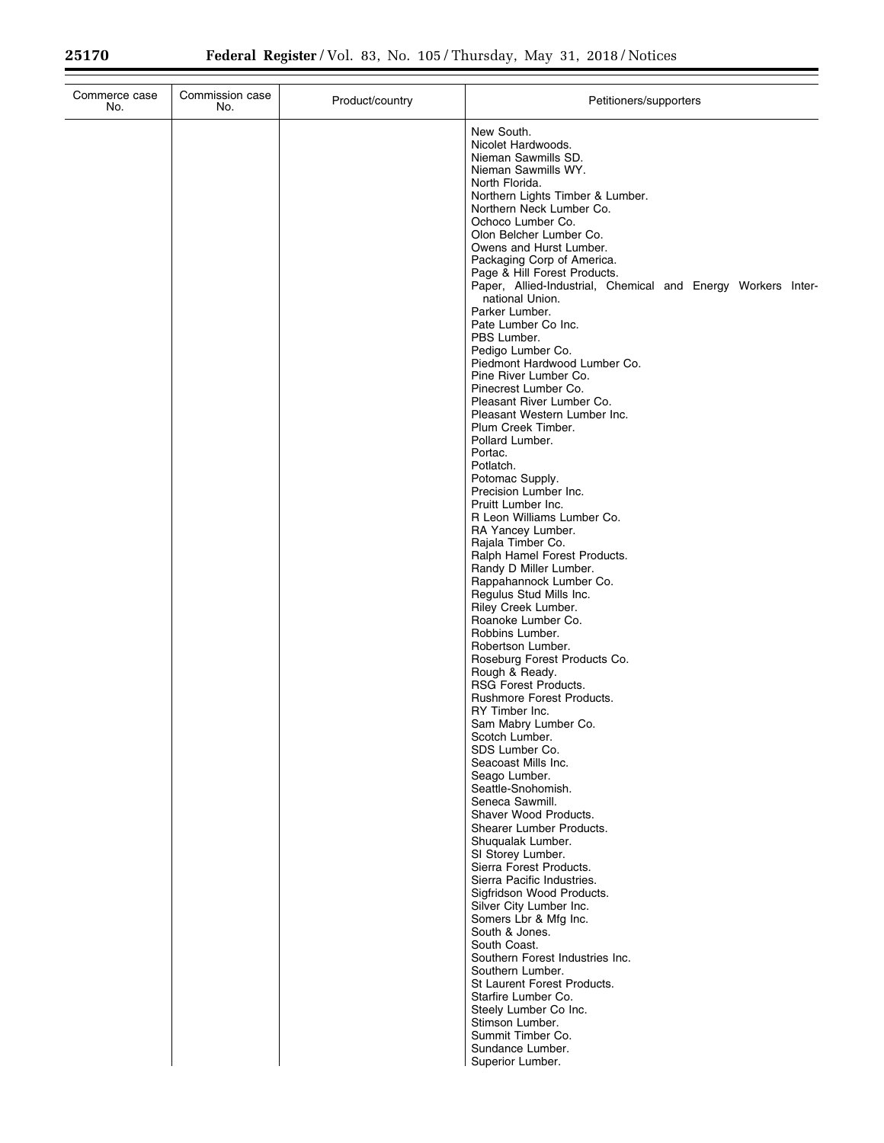| Commerce case<br>No. | Commission case<br>No. | Product/country | Petitioners/supporters                                                                                                                                                                                                                                                                                                                                                                                                                                                                                                                                                                                                                                                                                                                                                                                                                                                                                                                                                                                                                                                                                                                                                                                                                                                                                                                                                                                                                                                                                                                                                                                                                                                                                                                                                                                                |
|----------------------|------------------------|-----------------|-----------------------------------------------------------------------------------------------------------------------------------------------------------------------------------------------------------------------------------------------------------------------------------------------------------------------------------------------------------------------------------------------------------------------------------------------------------------------------------------------------------------------------------------------------------------------------------------------------------------------------------------------------------------------------------------------------------------------------------------------------------------------------------------------------------------------------------------------------------------------------------------------------------------------------------------------------------------------------------------------------------------------------------------------------------------------------------------------------------------------------------------------------------------------------------------------------------------------------------------------------------------------------------------------------------------------------------------------------------------------------------------------------------------------------------------------------------------------------------------------------------------------------------------------------------------------------------------------------------------------------------------------------------------------------------------------------------------------------------------------------------------------------------------------------------------------|
|                      |                        |                 | New South.<br>Nicolet Hardwoods.<br>Nieman Sawmills SD.<br>Nieman Sawmills WY.<br>North Florida.<br>Northern Lights Timber & Lumber.<br>Northern Neck Lumber Co.<br>Ochoco Lumber Co.<br>Olon Belcher Lumber Co.<br>Owens and Hurst Lumber.<br>Packaging Corp of America.<br>Page & Hill Forest Products.<br>Paper, Allied-Industrial, Chemical and Energy Workers Inter-<br>national Union.<br>Parker Lumber.<br>Pate Lumber Co Inc.<br>PBS Lumber.<br>Pedigo Lumber Co.<br>Piedmont Hardwood Lumber Co.<br>Pine River Lumber Co.<br>Pinecrest Lumber Co.<br>Pleasant River Lumber Co.<br>Pleasant Western Lumber Inc.<br>Plum Creek Timber.<br>Pollard Lumber.<br>Portac.<br>Potlatch.<br>Potomac Supply.<br>Precision Lumber Inc.<br>Pruitt Lumber Inc.<br>R Leon Williams Lumber Co.<br>RA Yancey Lumber.<br>Rajala Timber Co.<br>Ralph Hamel Forest Products.<br>Randy D Miller Lumber.<br>Rappahannock Lumber Co.<br>Regulus Stud Mills Inc.<br>Riley Creek Lumber.<br>Roanoke Lumber Co.<br>Robbins Lumber.<br>Robertson Lumber.<br>Roseburg Forest Products Co.<br>Rough & Ready.<br><b>RSG Forest Products.</b><br>Rushmore Forest Products.<br>RY Timber Inc.<br>Sam Mabry Lumber Co.<br>Scotch Lumber.<br>SDS Lumber Co.<br>Seacoast Mills Inc.<br>Seago Lumber.<br>Seattle-Snohomish.<br>Seneca Sawmill.<br>Shaver Wood Products.<br>Shearer Lumber Products.<br>Shugualak Lumber.<br>SI Storey Lumber.<br>Sierra Forest Products.<br>Sierra Pacific Industries.<br>Sigfridson Wood Products.<br>Silver City Lumber Inc.<br>Somers Lbr & Mfg Inc.<br>South & Jones.<br>South Coast.<br>Southern Forest Industries Inc.<br>Southern Lumber.<br>St Laurent Forest Products.<br>Starfire Lumber Co.<br>Steely Lumber Co Inc.<br>Stimson Lumber.<br>Summit Timber Co.<br>Sundance Lumber.<br>Superior Lumber. |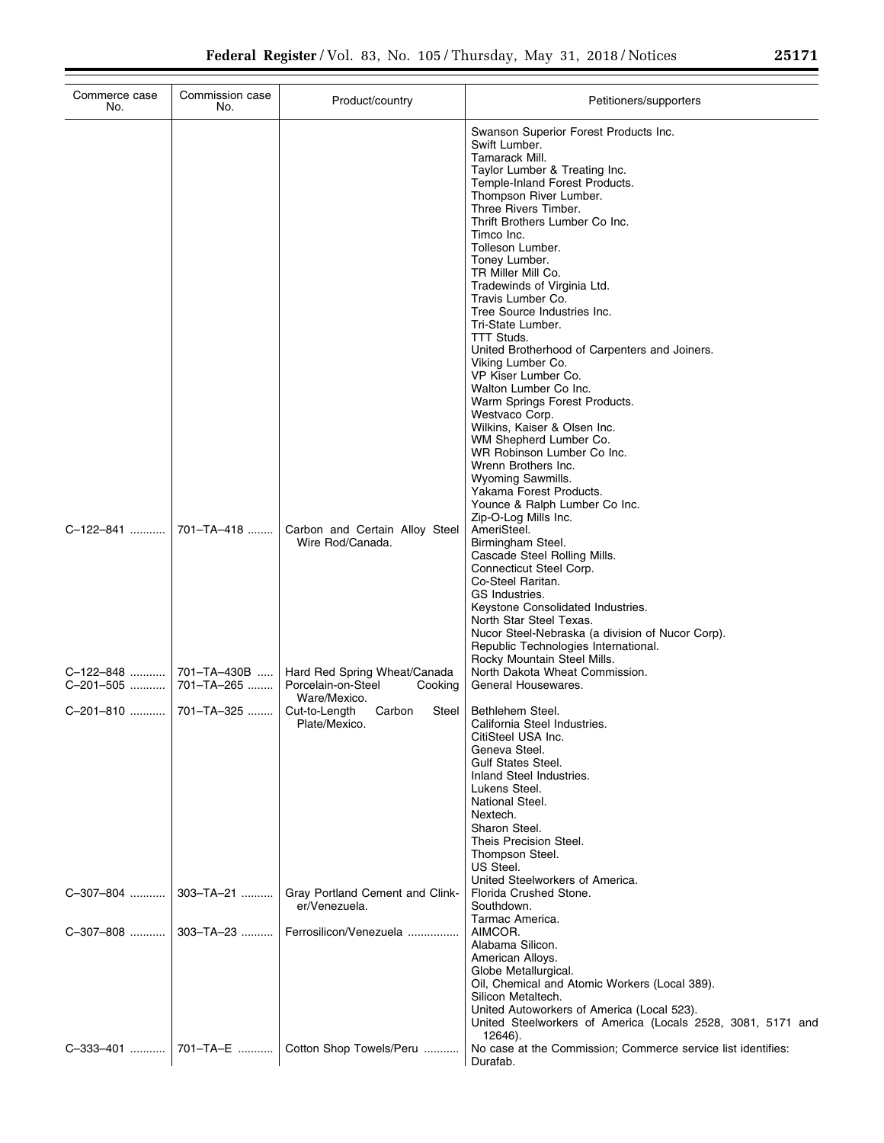| Commerce case<br>No.                            | Commission case<br>No. | Product/country                                                               | Petitioners/supporters                                                                                                                                                                                                                                                                                                                                                                                                                                                                                                                                                                                                                                                                                                                                                 |
|-------------------------------------------------|------------------------|-------------------------------------------------------------------------------|------------------------------------------------------------------------------------------------------------------------------------------------------------------------------------------------------------------------------------------------------------------------------------------------------------------------------------------------------------------------------------------------------------------------------------------------------------------------------------------------------------------------------------------------------------------------------------------------------------------------------------------------------------------------------------------------------------------------------------------------------------------------|
|                                                 |                        |                                                                               | Swanson Superior Forest Products Inc.<br>Swift Lumber.<br>Tamarack Mill.<br>Taylor Lumber & Treating Inc.<br>Temple-Inland Forest Products.<br>Thompson River Lumber.<br>Three Rivers Timber.<br>Thrift Brothers Lumber Co Inc.<br>Timco Inc.<br>Tolleson Lumber.<br>Toney Lumber.<br>TR Miller Mill Co.<br>Tradewinds of Virginia Ltd.<br>Travis Lumber Co.<br>Tree Source Industries Inc.<br>Tri-State Lumber.<br>TTT Studs.<br>United Brotherhood of Carpenters and Joiners.<br>Viking Lumber Co.<br>VP Kiser Lumber Co.<br>Walton Lumber Co Inc.<br>Warm Springs Forest Products.<br>Westvaco Corp.<br>Wilkins, Kaiser & Olsen Inc.<br>WM Shepherd Lumber Co.<br>WR Robinson Lumber Co Inc.<br>Wrenn Brothers Inc.<br>Wyoming Sawmills.<br>Yakama Forest Products. |
|                                                 |                        | Carbon and Certain Alloy Steel<br>Wire Rod/Canada.                            | Younce & Ralph Lumber Co Inc.<br>Zip-O-Log Mills Inc.<br>AmeriSteel.<br>Birmingham Steel.<br>Cascade Steel Rolling Mills.<br>Connecticut Steel Corp.<br>Co-Steel Raritan.<br>GS Industries.<br>Keystone Consolidated Industries.<br>North Star Steel Texas.<br>Nucor Steel-Nebraska (a division of Nucor Corp).<br>Republic Technologies International.                                                                                                                                                                                                                                                                                                                                                                                                                |
| C-122-848  701-TA-430B<br>C-201-505  701-TA-265 |                        | Hard Red Spring Wheat/Canada<br>Porcelain-on-Steel<br>Cooking<br>Ware/Mexico. | Rocky Mountain Steel Mills.<br>North Dakota Wheat Commission.<br>General Housewares.                                                                                                                                                                                                                                                                                                                                                                                                                                                                                                                                                                                                                                                                                   |
|                                                 |                        | Steel<br>Cut-to-Length<br>Carbon<br>Plate/Mexico.                             | Bethlehem Steel.<br>California Steel Industries.<br>CitiSteel USA Inc.<br>Geneva Steel.<br><b>Gulf States Steel.</b><br>Inland Steel Industries.<br>Lukens Steel.<br>National Steel.<br>Nextech.<br>Sharon Steel.<br>Theis Precision Steel.<br>Thompson Steel.<br>US Steel.<br>United Steelworkers of America.                                                                                                                                                                                                                                                                                                                                                                                                                                                         |
| C-307-804    303-TA-21                          |                        | Gray Portland Cement and Clink-<br>er/Venezuela.                              | Florida Crushed Stone.<br>Southdown.<br>Tarmac America.                                                                                                                                                                                                                                                                                                                                                                                                                                                                                                                                                                                                                                                                                                                |
| C-307-808  303-TA-23                            |                        | Ferrosilicon/Venezuela                                                        | AIMCOR.<br>Alabama Silicon.<br>American Alloys.<br>Globe Metallurgical.<br>Oil, Chemical and Atomic Workers (Local 389).<br>Silicon Metaltech.<br>United Autoworkers of America (Local 523).<br>United Steelworkers of America (Locals 2528, 3081, 5171 and<br>12646).                                                                                                                                                                                                                                                                                                                                                                                                                                                                                                 |
|                                                 |                        | C-333-401    701-TA-E    Cotton Shop Towels/Peru                              | No case at the Commission; Commerce service list identifies:<br>Durafab.                                                                                                                                                                                                                                                                                                                                                                                                                                                                                                                                                                                                                                                                                               |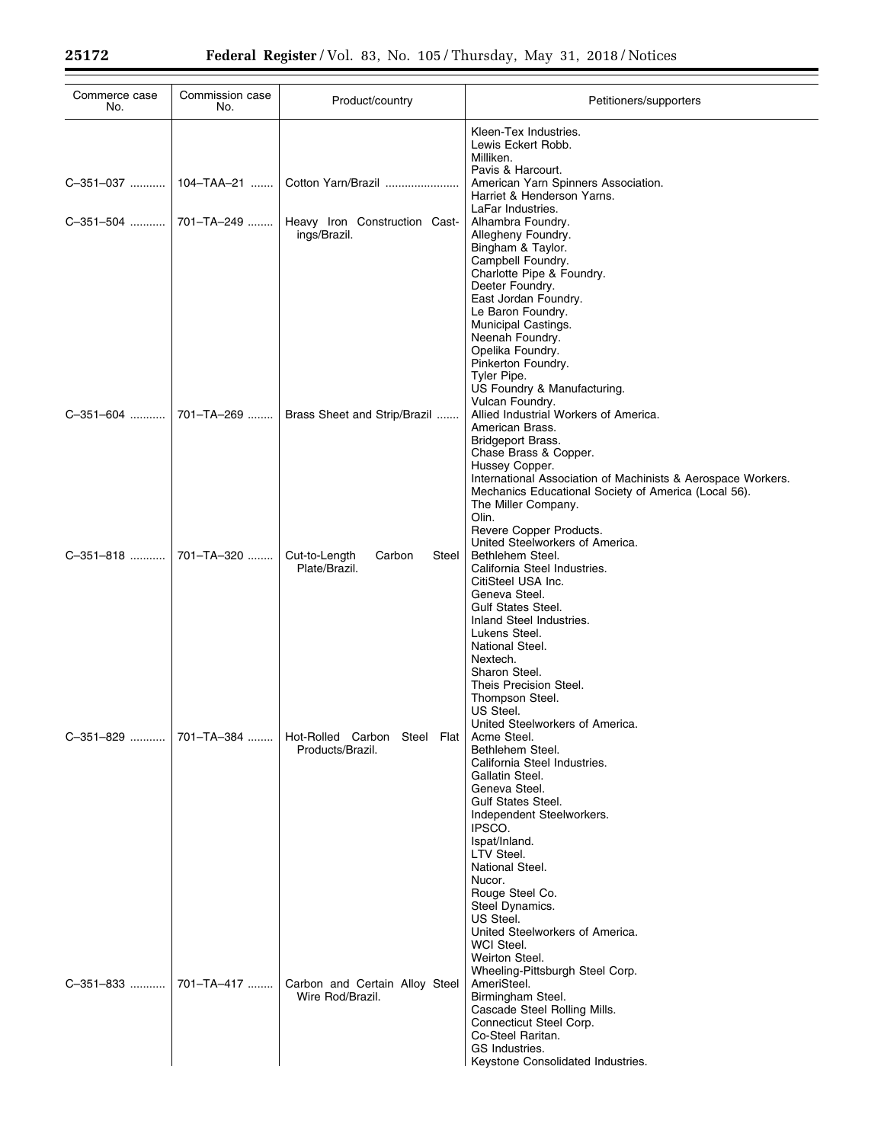| Commerce case<br>No. | Commission case<br>No. | Product/country                                    | Petitioners/supporters                                                                                                                                                                                                                                                                                                                     |
|----------------------|------------------------|----------------------------------------------------|--------------------------------------------------------------------------------------------------------------------------------------------------------------------------------------------------------------------------------------------------------------------------------------------------------------------------------------------|
|                      |                        |                                                    | Kleen-Tex Industries.<br>Lewis Eckert Robb.<br>Milliken.<br>Pavis & Harcourt.                                                                                                                                                                                                                                                              |
| C-351-037            | $104 - TAA - 21$       | Cotton Yarn/Brazil                                 | American Yarn Spinners Association.<br>Harriet & Henderson Yarns.<br>LaFar Industries.                                                                                                                                                                                                                                                     |
| C-351-504            | 701-TA-249             | Heavy Iron Construction Cast-<br>ings/Brazil.      | Alhambra Foundry.<br>Allegheny Foundry.<br>Bingham & Taylor.<br>Campbell Foundry.<br>Charlotte Pipe & Foundry.<br>Deeter Foundry.                                                                                                                                                                                                          |
| C-351-604            | 701-TA-269             | Brass Sheet and Strip/Brazil                       | East Jordan Foundry.<br>Le Baron Foundry.<br>Municipal Castings.<br>Neenah Foundry.<br>Opelika Foundry.<br>Pinkerton Foundry.<br>Tyler Pipe.<br>US Foundry & Manufacturing.<br>Vulcan Foundry.<br>Allied Industrial Workers of America.<br>American Brass.<br>Bridgeport Brass.                                                            |
|                      |                        |                                                    | Chase Brass & Copper.<br>Hussey Copper.<br>International Association of Machinists & Aerospace Workers.<br>Mechanics Educational Society of America (Local 56).<br>The Miller Company.<br>Olin.<br>Revere Copper Products.                                                                                                                 |
| C-351-818            | 701-TA-320             | Cut-to-Length<br>Carbon<br>Steel<br>Plate/Brazil.  | United Steelworkers of America.<br>Bethlehem Steel.<br>California Steel Industries.<br>CitiSteel USA Inc.<br>Geneva Steel.<br><b>Gulf States Steel.</b><br>Inland Steel Industries.                                                                                                                                                        |
|                      |                        |                                                    | Lukens Steel.<br>National Steel.<br>Nextech.<br>Sharon Steel.<br>Theis Precision Steel.<br>Thompson Steel.<br>US Steel.<br>United Steelworkers of America.                                                                                                                                                                                 |
| C-351-829            | 701-TA-384             | Hot-Rolled Carbon Steel Flat<br>Products/Brazil.   | Acme Steel.<br>Bethlehem Steel.<br>California Steel Industries.<br>Gallatin Steel.<br>Geneva Steel.<br><b>Gulf States Steel.</b><br>Independent Steelworkers.<br>IPSCO.<br>Ispat/Inland.<br>LTV Steel.<br>National Steel.                                                                                                                  |
| C-351-833            | 701-TA-417             | Carbon and Certain Alloy Steel<br>Wire Rod/Brazil. | Nucor.<br>Rouge Steel Co.<br>Steel Dynamics.<br>US Steel.<br>United Steelworkers of America.<br>WCI Steel.<br>Weirton Steel.<br>Wheeling-Pittsburgh Steel Corp.<br>AmeriSteel.<br>Birmingham Steel.<br>Cascade Steel Rolling Mills.<br>Connecticut Steel Corp.<br>Co-Steel Raritan.<br>GS Industries.<br>Keystone Consolidated Industries. |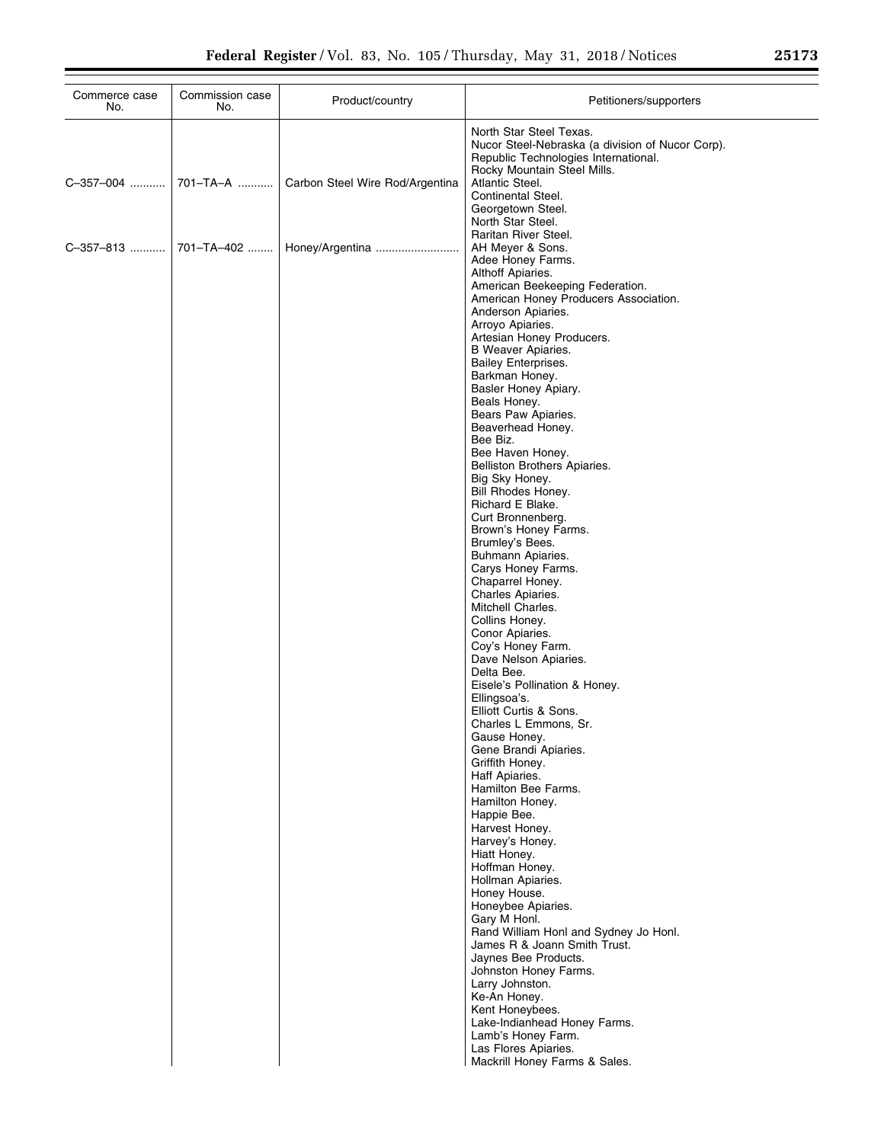| Commerce case<br>No. | Commission case<br>No. | Product/country                 | Petitioners/supporters                                                                                                                             |
|----------------------|------------------------|---------------------------------|----------------------------------------------------------------------------------------------------------------------------------------------------|
|                      |                        |                                 | North Star Steel Texas.<br>Nucor Steel-Nebraska (a division of Nucor Corp).<br>Republic Technologies International.<br>Rocky Mountain Steel Mills. |
|                      | C-357-004  701-TA-A    | Carbon Steel Wire Rod/Argentina | Atlantic Steel.<br>Continental Steel.<br>Georgetown Steel.<br>North Star Steel.                                                                    |
| C-357-813            | 701-TA-402             | Honey/Argentina                 | Raritan River Steel.<br>AH Meyer & Sons.<br>Adee Honey Farms.<br>Althoff Apiaries.                                                                 |
|                      |                        |                                 | American Beekeeping Federation.<br>American Honey Producers Association.<br>Anderson Apiaries.                                                     |
|                      |                        |                                 | Arroyo Apiaries.<br>Artesian Honey Producers.<br>B Weaver Apiaries.<br><b>Bailey Enterprises.</b>                                                  |
|                      |                        |                                 | Barkman Honey.<br>Basler Honey Apiary.<br>Beals Honey.                                                                                             |
|                      |                        |                                 | Bears Paw Apiaries.<br>Beaverhead Honey.<br>Bee Biz.<br>Bee Haven Honey.                                                                           |
|                      |                        |                                 | Belliston Brothers Apiaries.<br>Big Sky Honey.<br>Bill Rhodes Honey.                                                                               |
|                      |                        |                                 | Richard E Blake.<br>Curt Bronnenberg.<br>Brown's Honey Farms.<br>Brumley's Bees.                                                                   |
|                      |                        |                                 | Buhmann Apiaries.<br>Carys Honey Farms.<br>Chaparrel Honey.                                                                                        |
|                      |                        |                                 | Charles Apiaries.<br>Mitchell Charles.<br>Collins Honey.                                                                                           |
|                      |                        |                                 | Conor Apiaries.<br>Coy's Honey Farm.<br>Dave Nelson Apiaries.<br>Delta Bee.                                                                        |
|                      |                        |                                 | Eisele's Pollination & Honey.<br>Ellingsoa's.<br>Elliott Curtis & Sons.                                                                            |
|                      |                        |                                 | Charles L Emmons, Sr.<br>Gause Honey.<br>Gene Brandi Apiaries.<br>Griffith Honey.                                                                  |
|                      |                        |                                 | Haff Apiaries.<br>Hamilton Bee Farms.<br>Hamilton Honey.                                                                                           |
|                      |                        |                                 | Happie Bee.<br>Harvest Honey.<br>Harvey's Honey.<br>Hiatt Honey.                                                                                   |
|                      |                        |                                 | Hoffman Honey.<br>Hollman Apiaries.<br>Honey House.                                                                                                |
|                      |                        |                                 | Honeybee Apiaries.<br>Gary M Honl.<br>Rand William Honl and Sydney Jo Honl.<br>James R & Joann Smith Trust.                                        |
|                      |                        |                                 | Jaynes Bee Products.<br>Johnston Honey Farms.<br>Larry Johnston.                                                                                   |
|                      |                        |                                 | Ke-An Honey.<br>Kent Honeybees.<br>Lake-Indianhead Honey Farms.<br>Lamb's Honey Farm.                                                              |
|                      |                        |                                 | Las Flores Apiaries.<br>Mackrill Honey Farms & Sales.                                                                                              |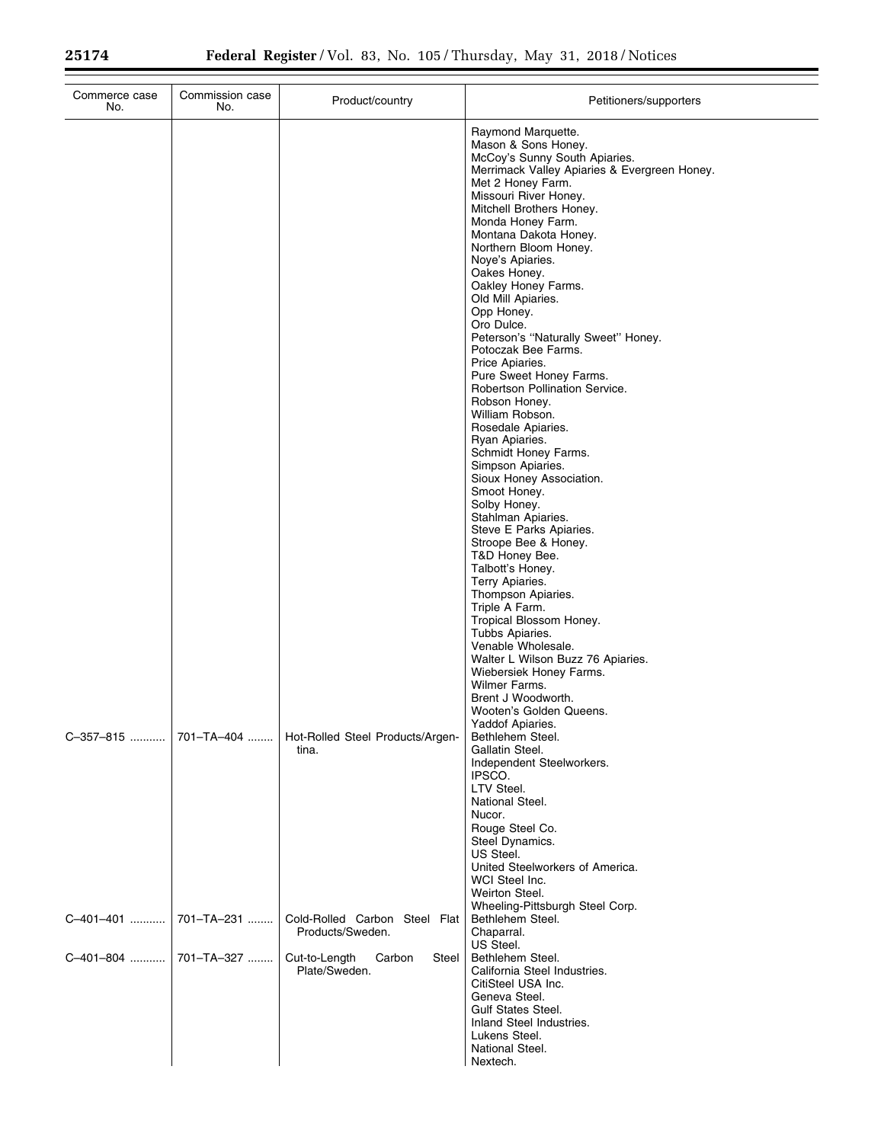| Commerce case<br>No. | Commission case<br>No. | Product/country                                   | Petitioners/supporters                                                                                                                                                                                                                                                                                                                                                                                                                                                                                                                                                                                                                                                                                                                                                                                                                                                                                                                                                                                                                                                                                      |
|----------------------|------------------------|---------------------------------------------------|-------------------------------------------------------------------------------------------------------------------------------------------------------------------------------------------------------------------------------------------------------------------------------------------------------------------------------------------------------------------------------------------------------------------------------------------------------------------------------------------------------------------------------------------------------------------------------------------------------------------------------------------------------------------------------------------------------------------------------------------------------------------------------------------------------------------------------------------------------------------------------------------------------------------------------------------------------------------------------------------------------------------------------------------------------------------------------------------------------------|
|                      |                        |                                                   | Raymond Marquette.<br>Mason & Sons Honey.<br>McCoy's Sunny South Apiaries.<br>Merrimack Valley Apiaries & Evergreen Honey.<br>Met 2 Honey Farm.<br>Missouri River Honey.<br>Mitchell Brothers Honey.<br>Monda Honey Farm.<br>Montana Dakota Honey.<br>Northern Bloom Honey.<br>Noye's Apiaries.<br>Oakes Honey.<br>Oakley Honey Farms.<br>Old Mill Apiaries.<br>Opp Honey.<br>Oro Dulce.<br>Peterson's "Naturally Sweet" Honey.<br>Potoczak Bee Farms.<br>Price Apiaries.<br>Pure Sweet Honey Farms.<br>Robertson Pollination Service.<br>Robson Honey.<br>William Robson.<br>Rosedale Apiaries.<br>Ryan Apiaries.<br>Schmidt Honey Farms.<br>Simpson Apiaries.<br>Sioux Honey Association.<br>Smoot Honey.<br>Solby Honey.<br>Stahlman Apiaries.<br>Steve E Parks Apiaries.<br>Stroope Bee & Honey.<br>T&D Honey Bee.<br>Talbott's Honey.<br>Terry Apiaries.<br>Thompson Apiaries.<br>Triple A Farm.<br>Tropical Blossom Honey.<br>Tubbs Apiaries.<br>Venable Wholesale.<br>Walter L Wilson Buzz 76 Apiaries.<br>Wiebersiek Honey Farms.<br>Wilmer Farms.<br>Brent J Woodworth.<br>Wooten's Golden Queens. |
| C-357-815            | 701-TA-404             | Hot-Rolled Steel Products/Argen-<br>tina.         | Yaddof Apiaries.<br>Bethlehem Steel.<br>Gallatin Steel.<br>Independent Steelworkers.<br>IPSCO.<br>LTV Steel.<br>National Steel.<br>Nucor.<br>Rouge Steel Co.<br>Steel Dynamics.<br>US Steel.<br>United Steelworkers of America.<br>WCI Steel Inc.<br>Weirton Steel.                                                                                                                                                                                                                                                                                                                                                                                                                                                                                                                                                                                                                                                                                                                                                                                                                                         |
| C-401-401            | 701-TA-231             | Cold-Rolled Carbon Steel Flat<br>Products/Sweden. | Wheeling-Pittsburgh Steel Corp.<br>Bethlehem Steel.<br>Chaparral.<br>US Steel.                                                                                                                                                                                                                                                                                                                                                                                                                                                                                                                                                                                                                                                                                                                                                                                                                                                                                                                                                                                                                              |
| C-401-804            | 701-TA-327             | Cut-to-Length<br>Carbon<br>Steel<br>Plate/Sweden. | Bethlehem Steel.<br>California Steel Industries.<br>CitiSteel USA Inc.<br>Geneva Steel.<br><b>Gulf States Steel.</b><br>Inland Steel Industries.<br>Lukens Steel.<br>National Steel.<br>Nextech.                                                                                                                                                                                                                                                                                                                                                                                                                                                                                                                                                                                                                                                                                                                                                                                                                                                                                                            |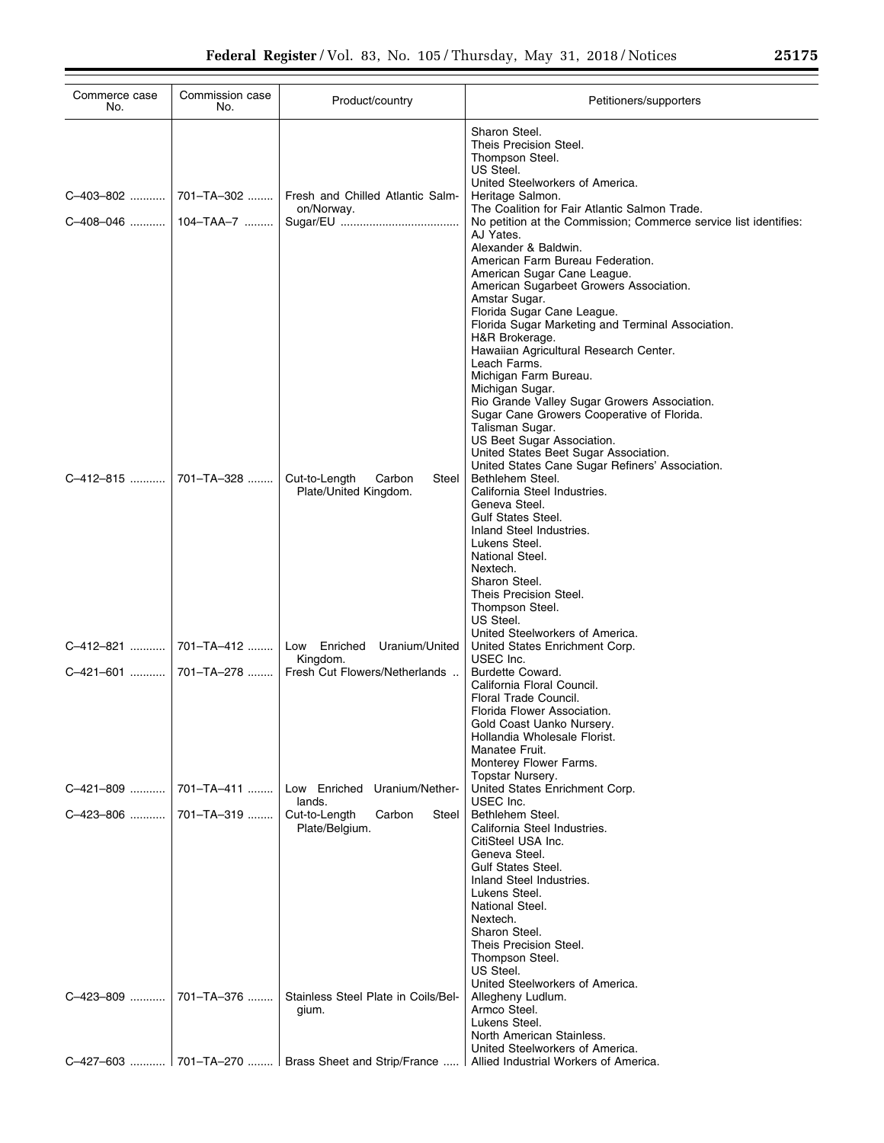| Commerce case<br>No.      | Commission case<br>No.  | Product/country                                              | Petitioners/supporters                                                                                                                                                                                                                                                                                                                                                                                                                                              |
|---------------------------|-------------------------|--------------------------------------------------------------|---------------------------------------------------------------------------------------------------------------------------------------------------------------------------------------------------------------------------------------------------------------------------------------------------------------------------------------------------------------------------------------------------------------------------------------------------------------------|
| C-403-802   <br>C-408-046 | 701–TA–302<br>104-TAA-7 | Fresh and Chilled Atlantic Salm-<br>on/Norway.               | Sharon Steel.<br>Theis Precision Steel.<br>Thompson Steel.<br>US Steel.<br>United Steelworkers of America.<br>Heritage Salmon.<br>The Coalition for Fair Atlantic Salmon Trade.<br>No petition at the Commission; Commerce service list identifies:<br>AJ Yates.<br>Alexander & Baldwin.<br>American Farm Bureau Federation.<br>American Sugar Cane League.<br>American Sugarbeet Growers Association.                                                              |
|                           |                         |                                                              | Amstar Sugar.<br>Florida Sugar Cane League.<br>Florida Sugar Marketing and Terminal Association.<br>H&R Brokerage.<br>Hawaiian Agricultural Research Center.<br>Leach Farms.<br>Michigan Farm Bureau.<br>Michigan Sugar.<br>Rio Grande Valley Sugar Growers Association.<br>Sugar Cane Growers Cooperative of Florida.<br>Talisman Sugar.<br>US Beet Sugar Association.<br>United States Beet Sugar Association.<br>United States Cane Sugar Refiners' Association. |
| C-412-815                 | 701-TA-328              | Cut-to-Length<br>Carbon<br>Steel<br>Plate/United Kingdom.    | Bethlehem Steel.<br>California Steel Industries.<br>Geneva Steel.<br>Gulf States Steel.<br>Inland Steel Industries.<br>Lukens Steel.<br>National Steel.<br>Nextech.<br>Sharon Steel.<br>Theis Precision Steel.<br>Thompson Steel.                                                                                                                                                                                                                                   |
| C-412-821                 | 701-TA-412              | Low Enriched Uranium/United                                  | US Steel.<br>United Steelworkers of America.<br>United States Enrichment Corp.                                                                                                                                                                                                                                                                                                                                                                                      |
| C-421-601                 | 701–TA–278              | Kingdom.<br>Fresh Cut Flowers/Netherlands                    | USEC Inc.<br>Burdette Coward.<br>California Floral Council.<br>Floral Trade Council.<br>Florida Flower Association.<br>Gold Coast Uanko Nursery.<br>Hollandia Wholesale Florist.<br>Manatee Fruit.<br>Monterey Flower Farms.                                                                                                                                                                                                                                        |
| C-421-809                 | 701-TA-411              | Low Enriched Uranium/Nether-                                 | Topstar Nursery.<br>United States Enrichment Corp.                                                                                                                                                                                                                                                                                                                                                                                                                  |
| C-423-806                 | 701-TA-319              | lands.<br>Cut-to-Length<br>Carbon<br>Steel<br>Plate/Belgium. | USEC Inc.<br>Bethlehem Steel.<br>California Steel Industries.<br>CitiSteel USA Inc.<br>Geneva Steel.<br><b>Gulf States Steel.</b><br>Inland Steel Industries.<br>Lukens Steel.<br>National Steel.<br>Nextech.<br>Sharon Steel.<br>Theis Precision Steel.<br>Thompson Steel.<br>US Steel.<br>United Steelworkers of America.                                                                                                                                         |
| C-423-809                 | 701-TA-376              | Stainless Steel Plate in Coils/Bel-<br>gium.                 | Allegheny Ludlum.<br>Armco Steel.<br>Lukens Steel.<br>North American Stainless.<br>United Steelworkers of America.                                                                                                                                                                                                                                                                                                                                                  |
|                           |                         | C-427-603  701-TA-270    Brass Sheet and Strip/France        | Allied Industrial Workers of America.                                                                                                                                                                                                                                                                                                                                                                                                                               |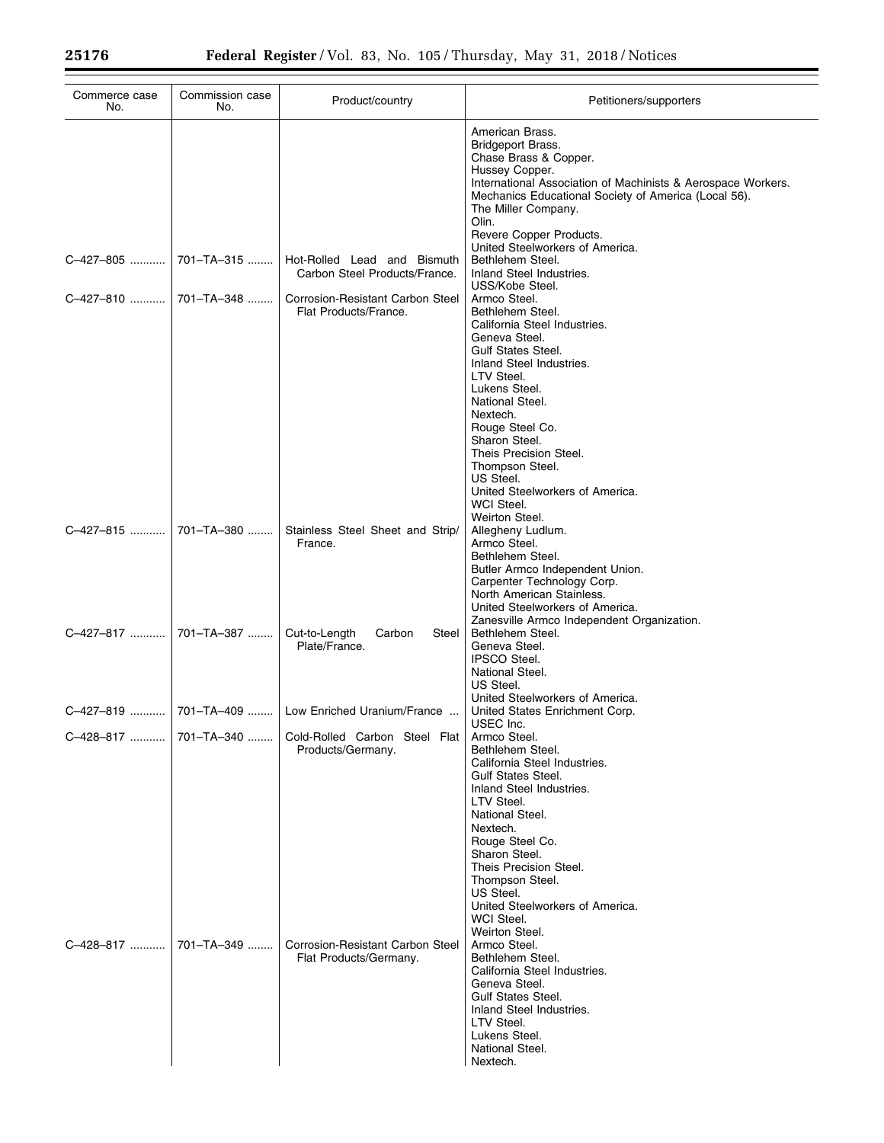| Commerce case<br>No.  | Commission case<br>No. | Product/country                                              | Petitioners/supporters                                                                                                                                                                                                                                                                                                                                                                                                                             |
|-----------------------|------------------------|--------------------------------------------------------------|----------------------------------------------------------------------------------------------------------------------------------------------------------------------------------------------------------------------------------------------------------------------------------------------------------------------------------------------------------------------------------------------------------------------------------------------------|
|                       |                        |                                                              | American Brass.<br>Bridgeport Brass.<br>Chase Brass & Copper.<br>Hussey Copper.<br>International Association of Machinists & Aerospace Workers.<br>Mechanics Educational Society of America (Local 56).<br>The Miller Company.<br>Olin.<br>Revere Copper Products.                                                                                                                                                                                 |
| C-427-805             | $701 - TA - 315$       | Hot-Rolled Lead and Bismuth<br>Carbon Steel Products/France. | United Steelworkers of America.<br>Bethlehem Steel.<br>Inland Steel Industries.                                                                                                                                                                                                                                                                                                                                                                    |
| C-427-810             | 701-TA-348             | Corrosion-Resistant Carbon Steel<br>Flat Products/France.    | USS/Kobe Steel.<br>Armco Steel.<br>Bethlehem Steel.<br>California Steel Industries.<br>Geneva Steel.<br><b>Gulf States Steel.</b><br>Inland Steel Industries.<br>LTV Steel.<br>Lukens Steel.<br>National Steel.<br>Nextech.                                                                                                                                                                                                                        |
| C-427-815             | 701-TA-380             | Stainless Steel Sheet and Strip/<br>France.                  | Rouge Steel Co.<br>Sharon Steel.<br>Theis Precision Steel.<br>Thompson Steel.<br>US Steel.<br>United Steelworkers of America.<br>WCI Steel.<br>Weirton Steel.<br>Allegheny Ludlum.<br>Armco Steel.<br>Bethlehem Steel.<br>Butler Armco Independent Union.<br>Carpenter Technology Corp.                                                                                                                                                            |
| C-427-817  701-TA-387 |                        | Cut-to-Length<br>Carbon<br>Steel<br>Plate/France.            | North American Stainless.<br>United Steelworkers of America.<br>Zanesville Armco Independent Organization.<br>Bethlehem Steel.<br>Geneva Steel.<br><b>IPSCO Steel.</b><br>National Steel.<br>US Steel.                                                                                                                                                                                                                                             |
| C-427-819             |                        | 701-TA-409    Low Enriched Uranium/France                    | United Steelworkers of America.<br>United States Enrichment Corp.                                                                                                                                                                                                                                                                                                                                                                                  |
| C-428-817             | 701–TA–340             | Cold-Rolled Carbon Steel Flat<br>Products/Germany.           | USEC Inc.<br>Armco Steel.<br>Bethlehem Steel.<br>California Steel Industries.<br><b>Gulf States Steel.</b>                                                                                                                                                                                                                                                                                                                                         |
| C-428-817             | 701-TA-349             | Corrosion-Resistant Carbon Steel<br>Flat Products/Germany.   | Inland Steel Industries.<br>LTV Steel.<br>National Steel.<br>Nextech.<br>Rouge Steel Co.<br>Sharon Steel.<br>Theis Precision Steel.<br>Thompson Steel.<br>US Steel.<br>United Steelworkers of America.<br>WCI Steel.<br>Weirton Steel.<br>Armco Steel.<br>Bethlehem Steel.<br>California Steel Industries.<br>Geneva Steel.<br><b>Gulf States Steel.</b><br>Inland Steel Industries.<br>LTV Steel.<br>Lukens Steel.<br>National Steel.<br>Nextech. |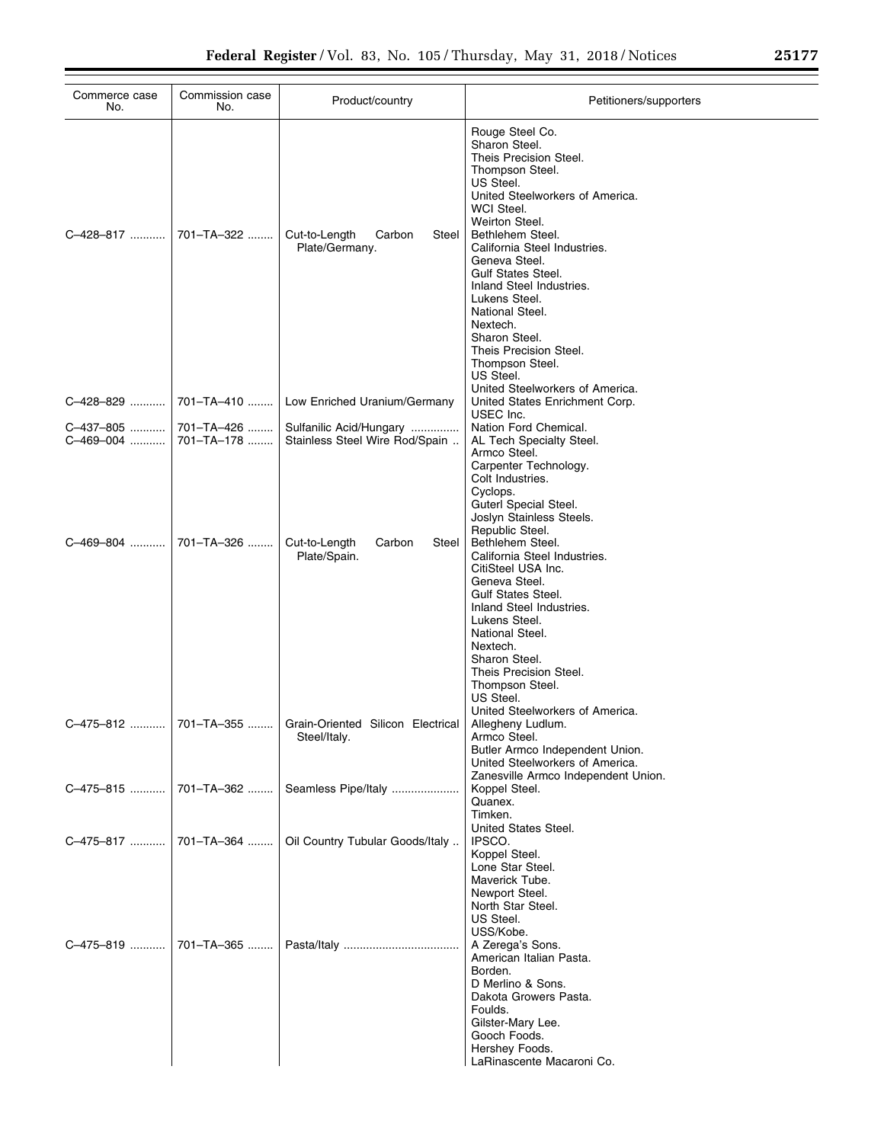| Commerce case<br>No.   | Commission case<br>No.   | Product/country                                                 | Petitioners/supporters                                                                                                                                                                                                                                                                                                                                                                                                 |
|------------------------|--------------------------|-----------------------------------------------------------------|------------------------------------------------------------------------------------------------------------------------------------------------------------------------------------------------------------------------------------------------------------------------------------------------------------------------------------------------------------------------------------------------------------------------|
| C-428-817              | 701-TA-322               | Cut-to-Length<br>Carbon<br>Steel<br>Plate/Germany.              | Rouge Steel Co.<br>Sharon Steel.<br>Theis Precision Steel.<br>Thompson Steel.<br>US Steel.<br>United Steelworkers of America.<br>WCI Steel.<br>Weirton Steel.<br>Bethlehem Steel.<br>California Steel Industries.<br>Geneva Steel.<br><b>Gulf States Steel.</b><br>Inland Steel Industries.<br>Lukens Steel.<br>National Steel.<br>Nextech.<br>Sharon Steel.<br>Theis Precision Steel.<br>Thompson Steel.<br>US Steel. |
| C-428-829              | 701-TA-410               | Low Enriched Uranium/Germany                                    | United Steelworkers of America.<br>United States Enrichment Corp.<br>USEC Inc.                                                                                                                                                                                                                                                                                                                                         |
| C-437-805<br>C-469-004 | 701-TA-426<br>701-TA-178 | Sulfanilic Acid/Hungary<br>Stainless Steel Wire Rod/Spain       | Nation Ford Chemical.<br>AL Tech Specialty Steel.<br>Armco Steel.<br>Carpenter Technology.<br>Colt Industries.<br>Cyclops.<br>Guterl Special Steel.<br>Joslyn Stainless Steels.<br>Republic Steel.                                                                                                                                                                                                                     |
| C-469-804              | 701-TA-326               | Cut-to-Length<br>Carbon<br>Steel<br>Plate/Spain.                | Bethlehem Steel.<br>California Steel Industries.<br>CitiSteel USA Inc.<br>Geneva Steel.<br><b>Gulf States Steel.</b><br>Inland Steel Industries.<br>Lukens Steel.<br>National Steel.<br>Nextech.<br>Sharon Steel.<br>Theis Precision Steel.<br>Thompson Steel.<br>US Steel.<br>United Steelworkers of America.                                                                                                         |
| C-475-812              |                          | 701–TA–355    Grain-Oriented Silicon Electrical<br>Steel/Italy. | Allegheny Ludlum.<br>Armco Steel.<br>Butler Armco Independent Union.<br>United Steelworkers of America.<br>Zanesville Armco Independent Union.                                                                                                                                                                                                                                                                         |
| C-475-815              | 701-TA-362               | Seamless Pipe/Italy                                             | Koppel Steel.<br>Quanex.<br>Timken.                                                                                                                                                                                                                                                                                                                                                                                    |
| C-475-817              | 701-TA-364               | Oil Country Tubular Goods/Italy                                 | United States Steel.<br>IPSCO.<br>Koppel Steel.<br>Lone Star Steel.<br>Maverick Tube.<br>Newport Steel.<br>North Star Steel.<br>US Steel.                                                                                                                                                                                                                                                                              |
| C-475-819              | 701-TA-365               |                                                                 | USS/Kobe.<br>A Zerega's Sons.<br>American Italian Pasta.<br>Borden.<br>D Merlino & Sons.<br>Dakota Growers Pasta.<br>Foulds.<br>Gilster-Mary Lee.<br>Gooch Foods.<br>Hershey Foods.<br>LaRinascente Macaroni Co.                                                                                                                                                                                                       |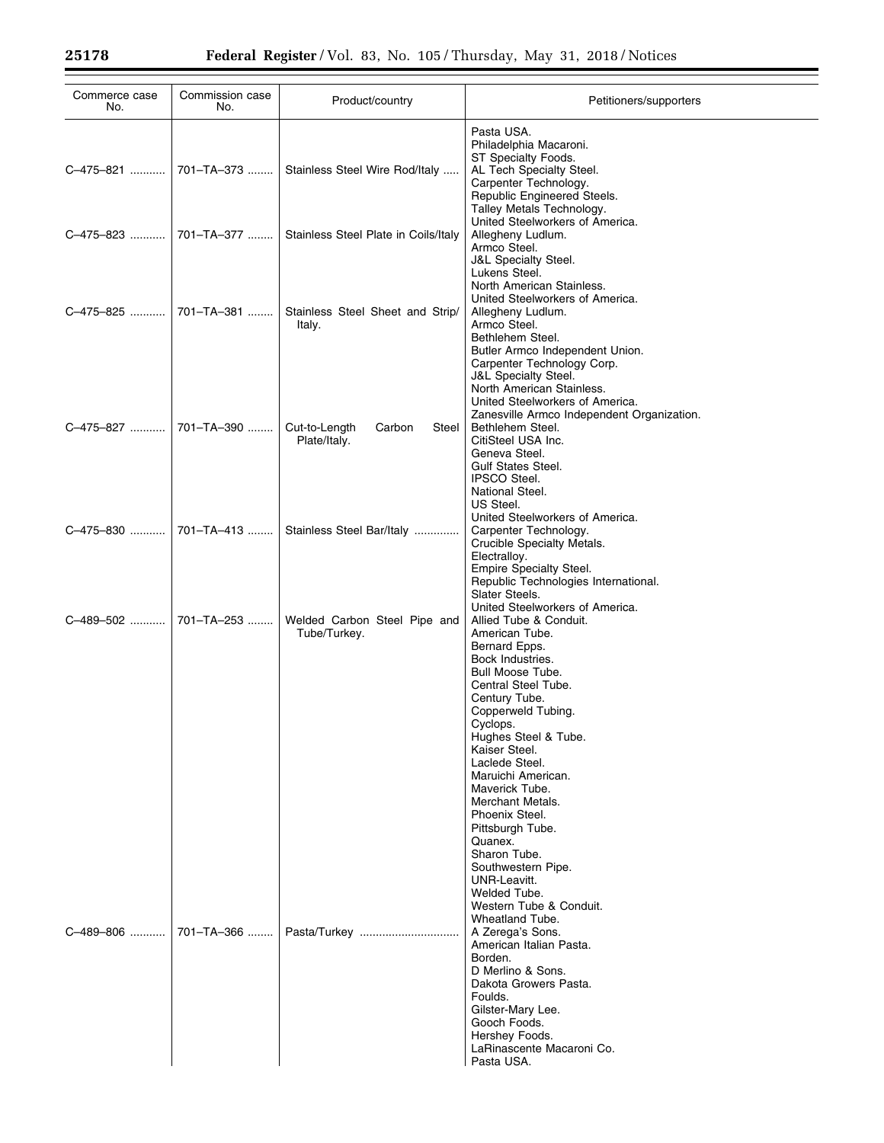| Commerce case<br>No. | Commission case<br>No.  | Product/country                                                 | Petitioners/supporters                                                                                                                                                                                                                                                                                                                                                                                                                                                                  |
|----------------------|-------------------------|-----------------------------------------------------------------|-----------------------------------------------------------------------------------------------------------------------------------------------------------------------------------------------------------------------------------------------------------------------------------------------------------------------------------------------------------------------------------------------------------------------------------------------------------------------------------------|
|                      |                         | C-475-821  701-TA-373    Stainless Steel Wire Rod/Italy         | Pasta USA.<br>Philadelphia Macaroni.<br>ST Specialty Foods.<br>AL Tech Specialty Steel.<br>Carpenter Technology.<br>Republic Engineered Steels.<br>Talley Metals Technology.                                                                                                                                                                                                                                                                                                            |
|                      |                         | C-475-823    701-TA-377    Stainless Steel Plate in Coils/Italy | United Steelworkers of America.<br>Allegheny Ludlum.<br>Armco Steel.<br>J&L Specialty Steel.<br>Lukens Steel.<br>North American Stainless.                                                                                                                                                                                                                                                                                                                                              |
| C-475-825            | 701-TA-381              | Stainless Steel Sheet and Strip/<br>Italy.                      | United Steelworkers of America.<br>Allegheny Ludlum.<br>Armco Steel.<br>Bethlehem Steel.<br>Butler Armco Independent Union.<br>Carpenter Technology Corp.<br><b>J&amp;L Specialty Steel.</b><br>North American Stainless.<br>United Steelworkers of America.                                                                                                                                                                                                                            |
| C-475-827            | 701-TA-390              | Cut-to-Length<br>Carbon<br>Steel<br>Plate/Italy.                | Zanesville Armco Independent Organization.<br>Bethlehem Steel.<br>CitiSteel USA Inc.<br>Geneva Steel.<br><b>Gulf States Steel.</b><br><b>IPSCO Steel.</b><br>National Steel.<br>US Steel.                                                                                                                                                                                                                                                                                               |
|                      | C-475-830    701-TA-413 | Stainless Steel Bar/Italy                                       | United Steelworkers of America.<br>Carpenter Technology.<br>Crucible Specialty Metals.<br>Electralloy.<br>Empire Specialty Steel.<br>Republic Technologies International.<br>Slater Steels.                                                                                                                                                                                                                                                                                             |
| C-489-502            | 701-TA-253              | Welded Carbon Steel Pipe and<br>Tube/Turkey.                    | United Steelworkers of America.<br>Allied Tube & Conduit.<br>American Tube.<br>Bernard Epps.<br>Bock Industries.<br>Bull Moose Tube.<br>Central Steel Tube.<br>Century Tube.<br>Copperweld Tubing.<br>Cyclops.<br>Hughes Steel & Tube.<br>Kaiser Steel.<br>Laclede Steel.<br>Maruichi American.<br>Maverick Tube.<br>Merchant Metals.<br>Phoenix Steel.<br>Pittsburgh Tube.<br>Quanex.<br>Sharon Tube.<br>Southwestern Pipe.<br>UNR-Leavitt.<br>Welded Tube.<br>Western Tube & Conduit. |
| C-489-806            | 701-TA-366              |                                                                 | Wheatland Tube.<br>A Zerega's Sons.<br>American Italian Pasta.<br>Borden.<br>D Merlino & Sons.<br>Dakota Growers Pasta.<br>Foulds.<br>Gilster-Mary Lee.<br>Gooch Foods.<br>Hershey Foods.<br>LaRinascente Macaroni Co.<br>Pasta USA.                                                                                                                                                                                                                                                    |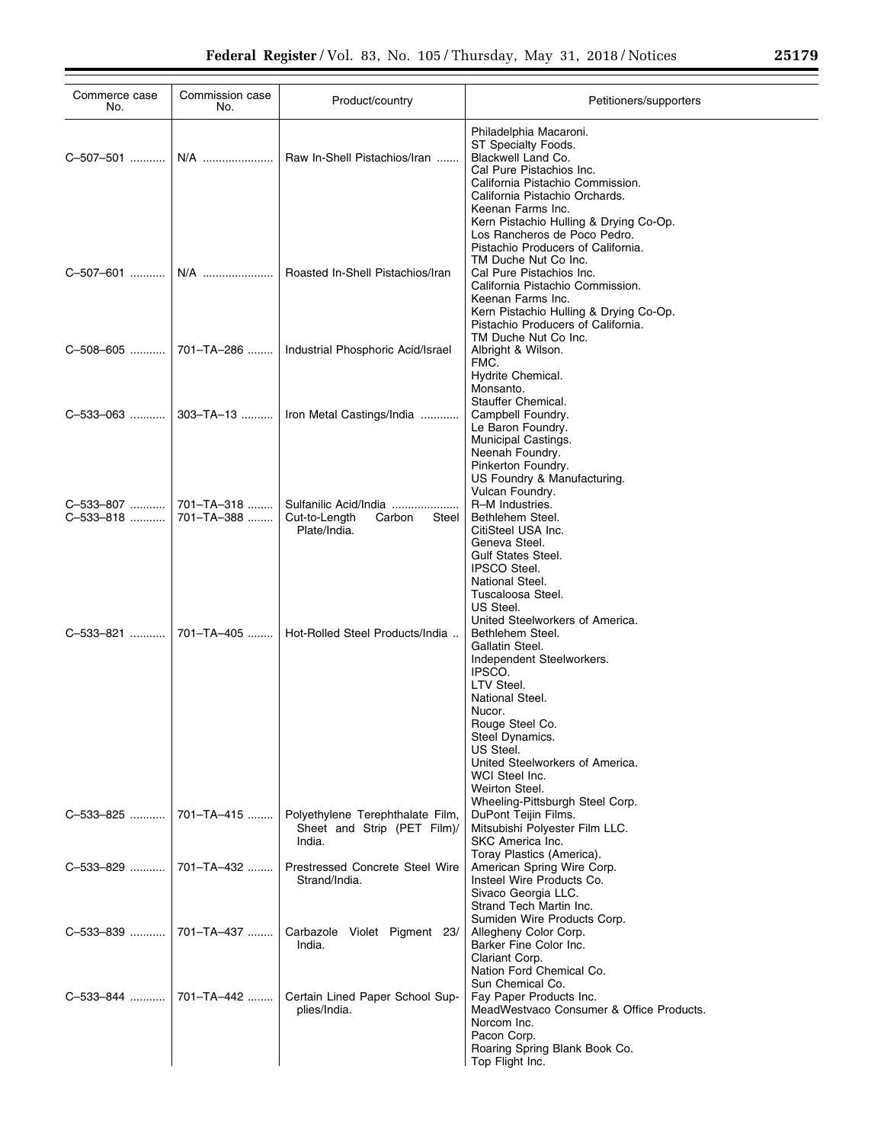| Commerce case<br>No.                           | Commission case<br>No. | Product/country                                                           | Petitioners/supporters                                                                                                                                                                                                                                                                                                            |
|------------------------------------------------|------------------------|---------------------------------------------------------------------------|-----------------------------------------------------------------------------------------------------------------------------------------------------------------------------------------------------------------------------------------------------------------------------------------------------------------------------------|
| C-507-501    N/A                               |                        | Raw In-Shell Pistachios/Iran                                              | Philadelphia Macaroni.<br>ST Specialty Foods.<br>Blackwell Land Co.<br>Cal Pure Pistachios Inc.<br>California Pistachio Commission.<br>California Pistachio Orchards.<br>Keenan Farms Inc.                                                                                                                                        |
| C-507-601    N/A                               |                        | Roasted In-Shell Pistachios/Iran                                          | Kern Pistachio Hulling & Drying Co-Op.<br>Los Rancheros de Poco Pedro.<br>Pistachio Producers of California.<br>TM Duche Nut Co Inc.<br>Cal Pure Pistachios Inc.<br>California Pistachio Commission.<br>Keenan Farms Inc.<br>Kern Pistachio Hulling & Drying Co-Op.<br>Pistachio Producers of California.<br>TM Duche Nut Co Inc. |
| C-508-605  701-TA-286                          |                        | Industrial Phosphoric Acid/Israel                                         | Albright & Wilson.<br>FMC.<br>Hydrite Chemical.                                                                                                                                                                                                                                                                                   |
|                                                |                        | C-533-063  303-TA-13    Iron Metal Castings/India                         | Monsanto.<br>Stauffer Chemical.<br>Campbell Foundry.<br>Le Baron Foundry.<br>Municipal Castings.<br>Neenah Foundry.<br>Pinkerton Foundry.<br>US Foundry & Manufacturing.                                                                                                                                                          |
| C-533-807  701-TA-318<br>C-533-818  701-TA-388 |                        | Sulfanilic Acid/India<br>Cut-to-Length<br>Carbon<br>Steel<br>Plate/India. | Vulcan Foundry.<br>R-M Industries.<br>Bethlehem Steel.<br>CitiSteel USA Inc.<br>Geneva Steel.<br><b>Gulf States Steel.</b><br><b>IPSCO Steel.</b><br>National Steel.<br>Tuscaloosa Steel.                                                                                                                                         |
|                                                |                        | Hot-Rolled Steel Products/India                                           | US Steel.<br>United Steelworkers of America.<br>Bethlehem Steel.<br>Gallatin Steel.<br>Independent Steelworkers.<br>IPSCO.<br>LTV Steel.<br>National Steel.<br>Nucor.<br>Rouge Steel Co.<br>Steel Dynamics.<br>US Steel.<br>United Steelworkers of America.<br>WCI Steel Inc.<br>Weirton Steel.                                   |
| C-533-825  701-TA-415                          |                        | Polyethylene Terephthalate Film,<br>Sheet and Strip (PET Film)/<br>India. | Wheeling-Pittsburgh Steel Corp.<br>DuPont Teijin Films.<br>Mitsubishi Polyester Film LLC.<br>SKC America Inc.                                                                                                                                                                                                                     |
| C-533-829    701-TA-432                        |                        | Prestressed Concrete Steel Wire<br>Strand/India.                          | Toray Plastics (America).<br>American Spring Wire Corp.<br>Insteel Wire Products Co.<br>Sivaco Georgia LLC.<br>Strand Tech Martin Inc.                                                                                                                                                                                            |
| C-533-839    701-TA-437                        |                        | Carbazole Violet Pigment 23/<br>India.                                    | Sumiden Wire Products Corp.<br>Allegheny Color Corp.<br>Barker Fine Color Inc.<br>Clariant Corp.<br>Nation Ford Chemical Co.                                                                                                                                                                                                      |
| C-533-844    701-TA-442                        |                        | Certain Lined Paper School Sup-<br>plies/India.                           | Sun Chemical Co.<br>Fay Paper Products Inc.<br>MeadWestvaco Consumer & Office Products.<br>Norcom Inc.<br>Pacon Corp.<br>Roaring Spring Blank Book Co.<br>Top Flight Inc.                                                                                                                                                         |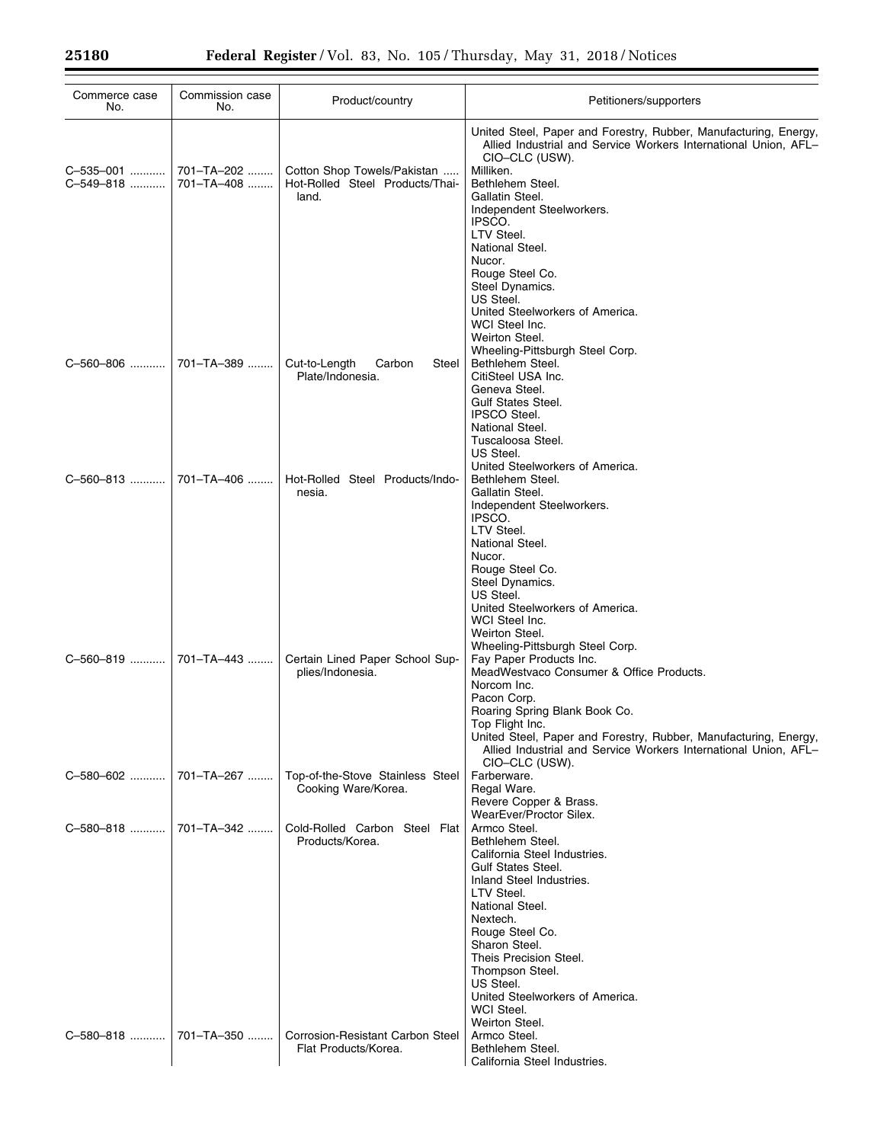| Commerce case<br>No.      | Commission case<br>No.   | Product/country                                                         | Petitioners/supporters                                                                                                                                                                                                                                                                                |
|---------------------------|--------------------------|-------------------------------------------------------------------------|-------------------------------------------------------------------------------------------------------------------------------------------------------------------------------------------------------------------------------------------------------------------------------------------------------|
| C-535-001   <br>C-549-818 | 701-TA-202<br>701-TA-408 | Cotton Shop Towels/Pakistan<br>Hot-Rolled Steel Products/Thai-<br>land. | United Steel, Paper and Forestry, Rubber, Manufacturing, Energy,<br>Allied Industrial and Service Workers International Union, AFL-<br>CIO-CLC (USW).<br>Milliken.<br>Bethlehem Steel.<br>Gallatin Steel.<br>Independent Steelworkers.<br>IPSCO.<br>LTV Steel.<br>National Steel.                     |
| C-560-806                 | 701-TA-389               | Cut-to-Length<br>Carbon<br>Steel<br>Plate/Indonesia.                    | Nucor.<br>Rouge Steel Co.<br>Steel Dynamics.<br>US Steel.<br>United Steelworkers of America.<br>WCI Steel Inc.<br>Weirton Steel.<br>Wheeling-Pittsburgh Steel Corp.<br>Bethlehem Steel.<br>CitiSteel USA Inc.<br>Geneva Steel.<br><b>Gulf States Steel.</b><br><b>IPSCO Steel.</b><br>National Steel. |
| C-560-813                 | 701-TA-406               | Hot-Rolled Steel Products/Indo-<br>nesia.                               | Tuscaloosa Steel.<br>US Steel.<br>United Steelworkers of America.<br>Bethlehem Steel.<br>Gallatin Steel.<br>Independent Steelworkers.<br>IPSCO.<br>LTV Steel.                                                                                                                                         |
| C-560-819                 | 701-TA-443               | Certain Lined Paper School Sup-<br>plies/Indonesia.                     | National Steel.<br>Nucor.<br>Rouge Steel Co.<br>Steel Dynamics.<br>US Steel.<br>United Steelworkers of America.<br>WCI Steel Inc.<br>Weirton Steel.<br>Wheeling-Pittsburgh Steel Corp.<br>Fay Paper Products Inc.<br>MeadWestvaco Consumer & Office Products.<br>Norcom Inc.<br>Pacon Corp.           |
| C-580-602                 | 701-TA-267               | Top-of-the-Stove Stainless Steel<br>Cooking Ware/Korea.                 | Roaring Spring Blank Book Co.<br>Top Flight Inc.<br>United Steel, Paper and Forestry, Rubber, Manufacturing, Energy,<br>Allied Industrial and Service Workers International Union, AFL-<br>CIO-CLC (USW).<br>Farberware.<br>Regal Ware.                                                               |
| C-580-818  701-TA-342     |                          | Cold-Rolled Carbon Steel Flat<br>Products/Korea.                        | Revere Copper & Brass.<br>WearEver/Proctor Silex.<br>Armco Steel.<br>Bethlehem Steel.<br>California Steel Industries.<br><b>Gulf States Steel.</b><br>Inland Steel Industries.<br>LTV Steel.<br>National Steel.<br>Nextech.<br>Rouge Steel Co.<br>Sharon Steel.                                       |
| C-580-818                 | 701-TA-350               | <b>Corrosion-Resistant Carbon Steel</b><br>Flat Products/Korea.         | Theis Precision Steel.<br>Thompson Steel.<br>US Steel.<br>United Steelworkers of America.<br>WCI Steel.<br>Weirton Steel.<br>Armco Steel.<br>Bethlehem Steel.<br>California Steel Industries.                                                                                                         |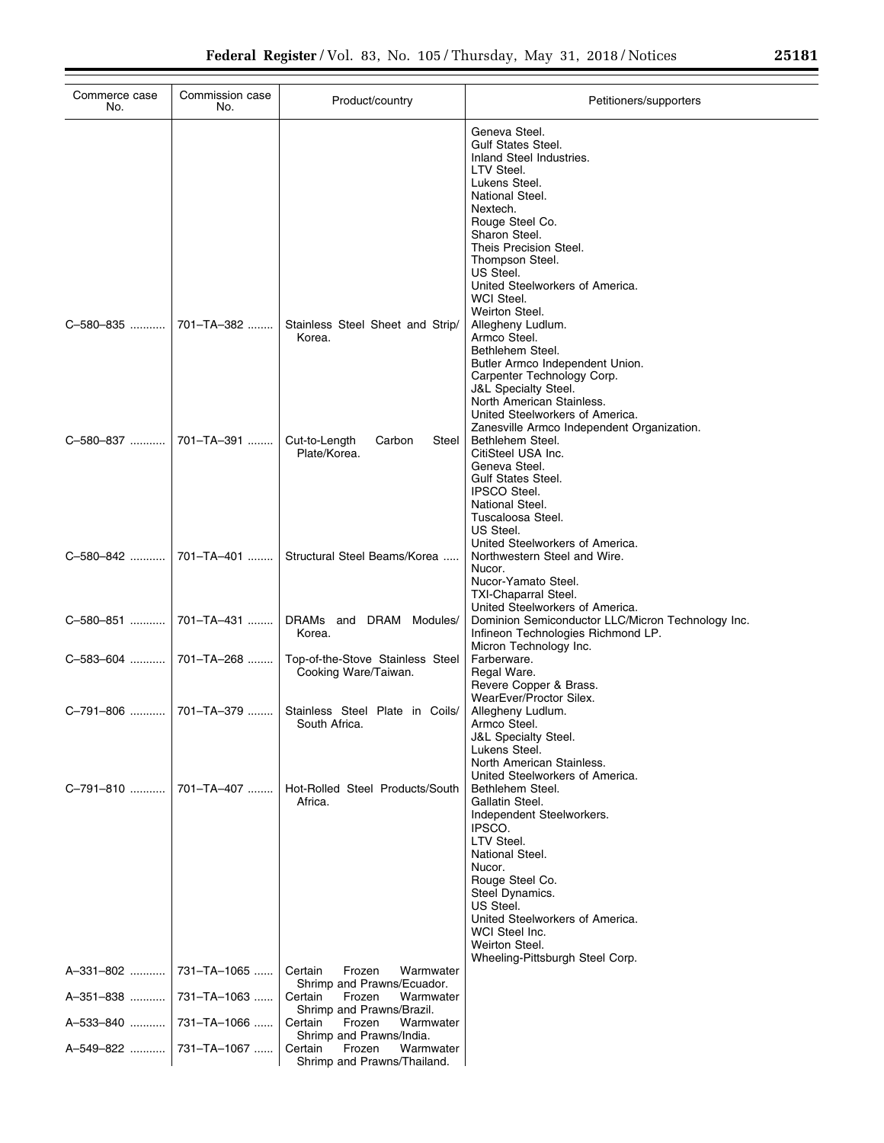| Commerce case<br>No. | Commission case<br>No. | Product/country                                                                           | Petitioners/supporters                                                                                                                                                                                                                                                                                |
|----------------------|------------------------|-------------------------------------------------------------------------------------------|-------------------------------------------------------------------------------------------------------------------------------------------------------------------------------------------------------------------------------------------------------------------------------------------------------|
|                      |                        |                                                                                           | Geneva Steel.<br><b>Gulf States Steel.</b><br>Inland Steel Industries.<br>LTV Steel.<br>Lukens Steel.<br>National Steel.<br>Nextech.<br>Rouge Steel Co.<br>Sharon Steel.<br>Theis Precision Steel.<br>Thompson Steel.<br>US Steel.<br>United Steelworkers of America.<br>WCI Steel.<br>Weirton Steel. |
| C-580-835            | 701-TA-382             | Stainless Steel Sheet and Strip/<br>Korea.                                                | Allegheny Ludlum.<br>Armco Steel.<br>Bethlehem Steel.<br>Butler Armco Independent Union.<br>Carpenter Technology Corp.<br><b>J&amp;L Specialty Steel.</b><br>North American Stainless.<br>United Steelworkers of America.<br>Zanesville Armco Independent Organization.                               |
| C-580-837            | 701-TA-391             | Cut-to-Length<br>Carbon<br>Steel<br>Plate/Korea.                                          | Bethlehem Steel.<br>CitiSteel USA Inc.<br>Geneva Steel.<br><b>Gulf States Steel.</b><br><b>IPSCO Steel.</b><br>National Steel.<br>Tuscaloosa Steel.<br>US Steel.<br>United Steelworkers of America.                                                                                                   |
| C-580-842            | 701-TA-401             | Structural Steel Beams/Korea                                                              | Northwestern Steel and Wire.<br>Nucor.<br>Nucor-Yamato Steel.<br>TXI-Chaparral Steel.<br>United Steelworkers of America.                                                                                                                                                                              |
| C-580-851            | 701-TA-431             | DRAMs and DRAM Modules/<br>Korea.                                                         | Dominion Semiconductor LLC/Micron Technology Inc.<br>Infineon Technologies Richmond LP.<br>Micron Technology Inc.                                                                                                                                                                                     |
| C-583-604            | 701-TA-268             | Top-of-the-Stove Stainless Steel<br>Cooking Ware/Taiwan.                                  | Farberware.<br>Regal Ware.<br>Revere Copper & Brass.<br>WearEver/Proctor Silex.                                                                                                                                                                                                                       |
| C-791-806            | 701-TA-379             | Stainless Steel Plate in Coils/<br>South Africa.                                          | Allegheny Ludlum.<br>Armco Steel.<br><b>J&amp;L Specialty Steel.</b><br>Lukens Steel.<br>North American Stainless.<br>United Steelworkers of America.                                                                                                                                                 |
| C-791-810            | 701-TA-407             | Hot-Rolled Steel Products/South<br>Africa.                                                | Bethlehem Steel.<br>Gallatin Steel.<br>Independent Steelworkers.<br>IPSCO.<br>LTV Steel.<br>National Steel.<br>Nucor.<br>Rouge Steel Co.<br>Steel Dynamics.<br>US Steel.<br>United Steelworkers of America.<br>WCI Steel Inc.<br>Weirton Steel.<br>Wheeling-Pittsburgh Steel Corp.                    |
| A-331-802            | 731-TA-1065            | Frozen<br>Warmwater<br>Certain<br>Shrimp and Prawns/Ecuador.                              |                                                                                                                                                                                                                                                                                                       |
| A-351-838            | 731-TA-1063            | Certain<br>Frozen<br>Warmwater<br>Shrimp and Prawns/Brazil.                               |                                                                                                                                                                                                                                                                                                       |
| A-533-840            | 731-TA-1066            | Certain<br>Frozen<br>Warmwater                                                            |                                                                                                                                                                                                                                                                                                       |
| A-549-822            | 731-TA-1067            | Shrimp and Prawns/India.<br>Warmwater<br>Certain<br>Frozen<br>Shrimp and Prawns/Thailand. |                                                                                                                                                                                                                                                                                                       |

÷,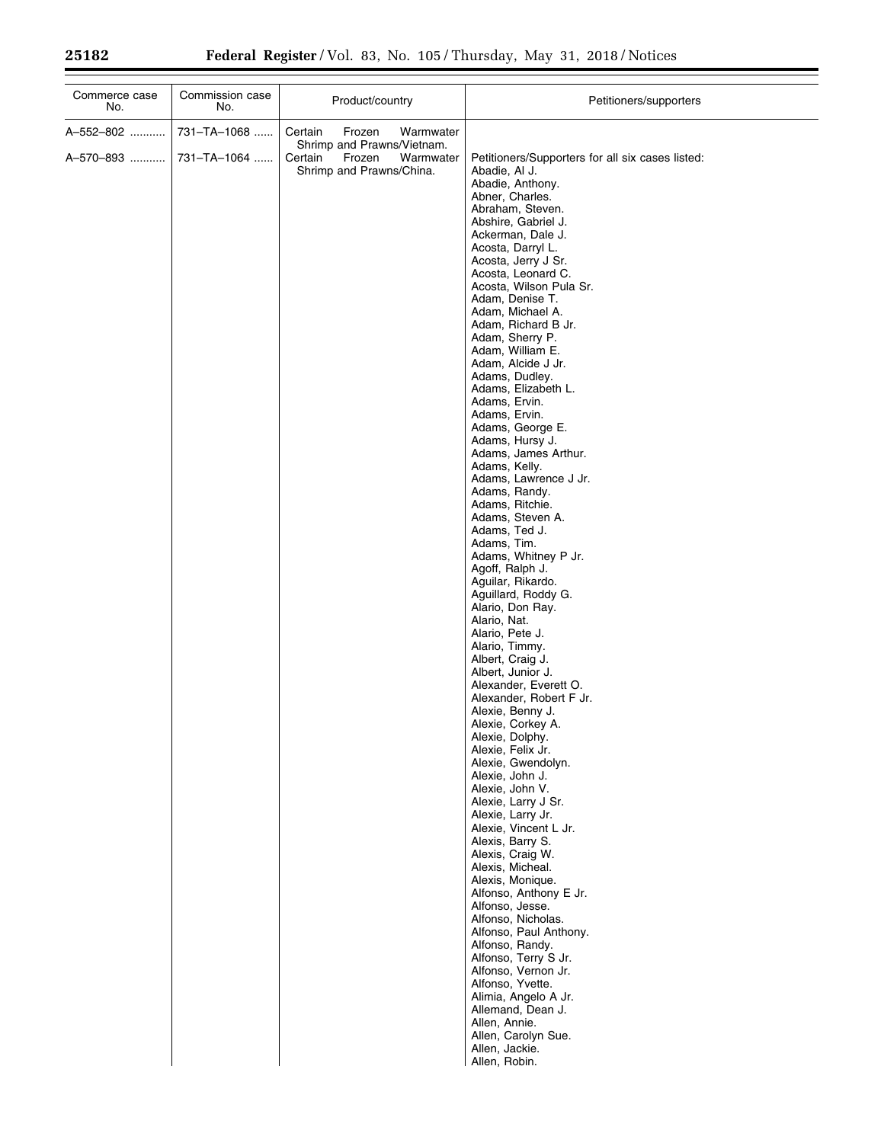| Commerce case<br>No.   | Commission case<br>No.     | Product/country                                                                                                            | Petitioners/supporters                                                                                                                                                                                                                                                                                                                                                                                                                                                                                                                                                                                                                                                                                                                                                                                                                                                                                                                                                                                                                                                                                                                                                                                                                                                                                                                                                                                                                                                                                                                                 |
|------------------------|----------------------------|----------------------------------------------------------------------------------------------------------------------------|--------------------------------------------------------------------------------------------------------------------------------------------------------------------------------------------------------------------------------------------------------------------------------------------------------------------------------------------------------------------------------------------------------------------------------------------------------------------------------------------------------------------------------------------------------------------------------------------------------------------------------------------------------------------------------------------------------------------------------------------------------------------------------------------------------------------------------------------------------------------------------------------------------------------------------------------------------------------------------------------------------------------------------------------------------------------------------------------------------------------------------------------------------------------------------------------------------------------------------------------------------------------------------------------------------------------------------------------------------------------------------------------------------------------------------------------------------------------------------------------------------------------------------------------------------|
| A-552-802<br>A-570-893 | 731-TA-1068<br>731-TA-1064 | Warmwater<br>Certain<br>Frozen<br>Shrimp and Prawns/Vietnam.<br>Certain<br>Frozen<br>Warmwater<br>Shrimp and Prawns/China. | Petitioners/Supporters for all six cases listed:<br>Abadie, Al J.<br>Abadie, Anthony.<br>Abner, Charles.<br>Abraham, Steven.<br>Abshire, Gabriel J.<br>Ackerman, Dale J.<br>Acosta, Darryl L.<br>Acosta, Jerry J Sr.<br>Acosta, Leonard C.<br>Acosta, Wilson Pula Sr.<br>Adam, Denise T.<br>Adam, Michael A.<br>Adam, Richard B Jr.<br>Adam, Sherry P.<br>Adam, William E.<br>Adam, Alcide J Jr.<br>Adams, Dudley.<br>Adams, Elizabeth L.<br>Adams, Ervin.<br>Adams, Ervin.<br>Adams, George E.<br>Adams, Hursy J.<br>Adams, James Arthur.<br>Adams, Kelly.<br>Adams, Lawrence J Jr.<br>Adams, Randy.<br>Adams, Ritchie.<br>Adams, Steven A.<br>Adams, Ted J.<br>Adams, Tim.<br>Adams, Whitney P Jr.<br>Agoff, Ralph J.<br>Aguilar, Rikardo.<br>Aguillard, Roddy G.<br>Alario, Don Ray.<br>Alario, Nat.<br>Alario, Pete J.<br>Alario, Timmy.<br>Albert, Craig J.<br>Albert, Junior J.<br>Alexander, Everett O.<br>Alexander, Robert F Jr.<br>Alexie, Benny J.<br>Alexie, Corkey A.<br>Alexie, Dolphy.<br>Alexie, Felix Jr.<br>Alexie, Gwendolyn.<br>Alexie, John J.<br>Alexie, John V.<br>Alexie, Larry J Sr.<br>Alexie, Larry Jr.<br>Alexie, Vincent L Jr.<br>Alexis, Barry S.<br>Alexis, Craig W.<br>Alexis, Micheal.<br>Alexis, Monique.<br>Alfonso, Anthony E Jr.<br>Alfonso, Jesse.<br>Alfonso, Nicholas.<br>Alfonso, Paul Anthony.<br>Alfonso, Randy.<br>Alfonso, Terry S Jr.<br>Alfonso, Vernon Jr.<br>Alfonso, Yvette.<br>Alimia, Angelo A Jr.<br>Allemand, Dean J.<br>Allen, Annie.<br>Allen, Carolyn Sue.<br>Allen, Jackie.<br>Allen, Robin. |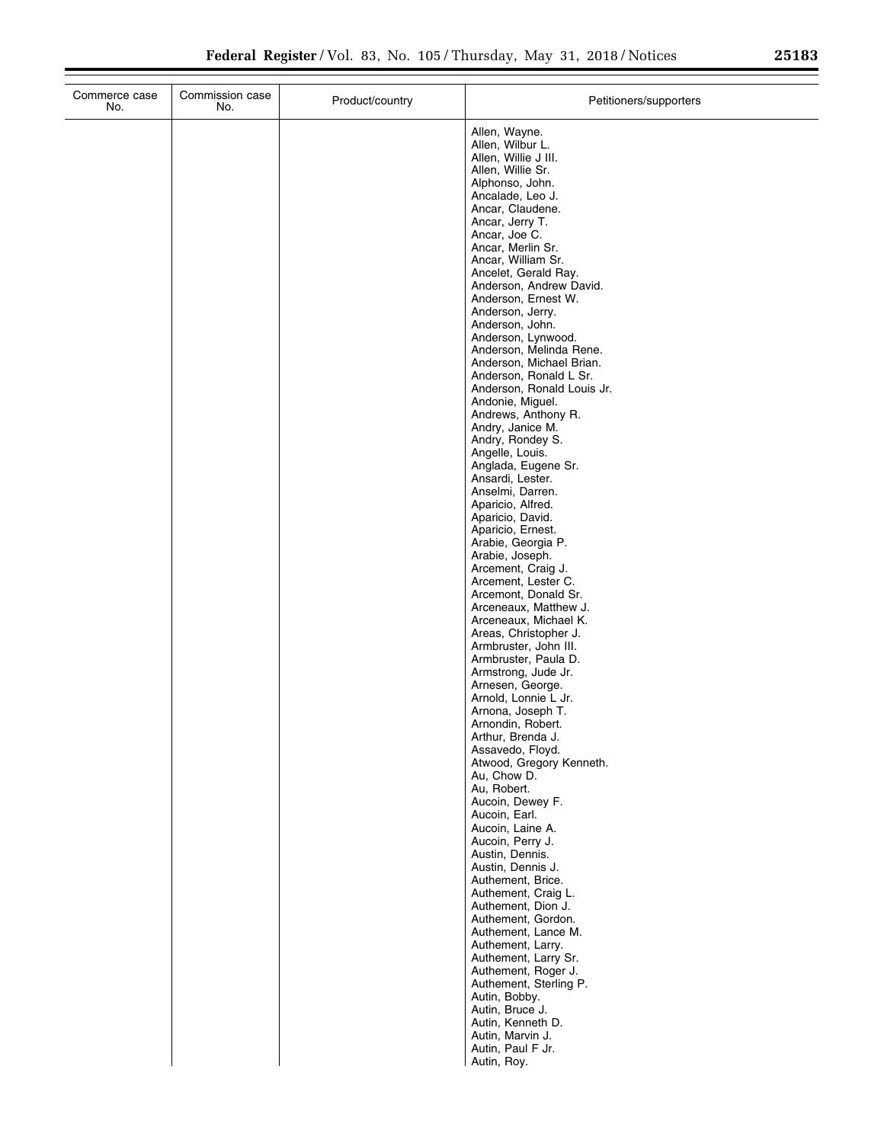÷.

| Commerce case<br>No. | Commission case<br>No. | Product/country | Petitioners/supporters                                                                                                                                                                                                                                                                                                                                                                                                                                                                                                    |
|----------------------|------------------------|-----------------|---------------------------------------------------------------------------------------------------------------------------------------------------------------------------------------------------------------------------------------------------------------------------------------------------------------------------------------------------------------------------------------------------------------------------------------------------------------------------------------------------------------------------|
|                      |                        |                 | Allen, Wayne.<br>Allen, Wilbur L.<br>Allen, Willie J III.<br>Allen, Willie Sr.<br>Alphonso, John.<br>Ancalade, Leo J.<br>Ancar, Claudene.<br>Ancar, Jerry T.<br>Ancar, Joe C.<br>Ancar, Merlin Sr.<br>Ancar, William Sr.<br>Ancelet, Gerald Ray.<br>Anderson, Andrew David.<br>Anderson, Ernest W.<br>Anderson, Jerry.<br>Anderson, John.<br>Anderson, Lynwood.<br>Anderson, Melinda Rene.<br>Anderson, Michael Brian.<br>Anderson, Ronald L Sr.<br>Anderson, Ronald Louis Jr.<br>Andonie, Miguel.<br>Andrews, Anthony R. |
|                      |                        |                 | Andry, Janice M.<br>Andry, Rondey S.<br>Angelle, Louis.<br>Anglada, Eugene Sr.<br>Ansardi, Lester.<br>Anselmi, Darren.<br>Aparicio, Alfred.<br>Aparicio, David.<br>Aparicio, Ernest.<br>Arabie, Georgia P.<br>Arabie, Joseph.<br>Arcement, Craig J.<br>Arcement, Lester C.<br>Arcemont, Donald Sr.<br>Arceneaux, Matthew J.                                                                                                                                                                                               |
|                      |                        |                 | Arceneaux, Michael K.<br>Areas, Christopher J.<br>Armbruster, John III.<br>Armbruster, Paula D.<br>Armstrong, Jude Jr.<br>Arnesen, George.<br>Arnold, Lonnie L Jr.<br>Arnona, Joseph T.<br>Arnondin, Robert.<br>Arthur, Brenda J.<br>Assavedo, Floyd.<br>Atwood, Gregory Kenneth.<br>Au, Chow D.<br>Au, Robert.<br>Aucoin, Dewey F.<br>Aucoin, Earl.                                                                                                                                                                      |
|                      |                        |                 | Aucoin, Laine A.<br>Aucoin, Perry J.<br>Austin, Dennis.<br>Austin, Dennis J.<br>Authement, Brice.<br>Authement, Craig L.<br>Authement, Dion J.<br>Authement, Gordon.<br>Authement, Lance M.<br>Authement, Larry.<br>Authement, Larry Sr.<br>Authement, Roger J.<br>Authement, Sterling P.<br>Autin, Bobby.<br>Autin, Bruce J.<br>Autin, Kenneth D.<br>Autin, Marvin J.<br>Autin, Paul F Jr.<br>Autin, Roy.                                                                                                                |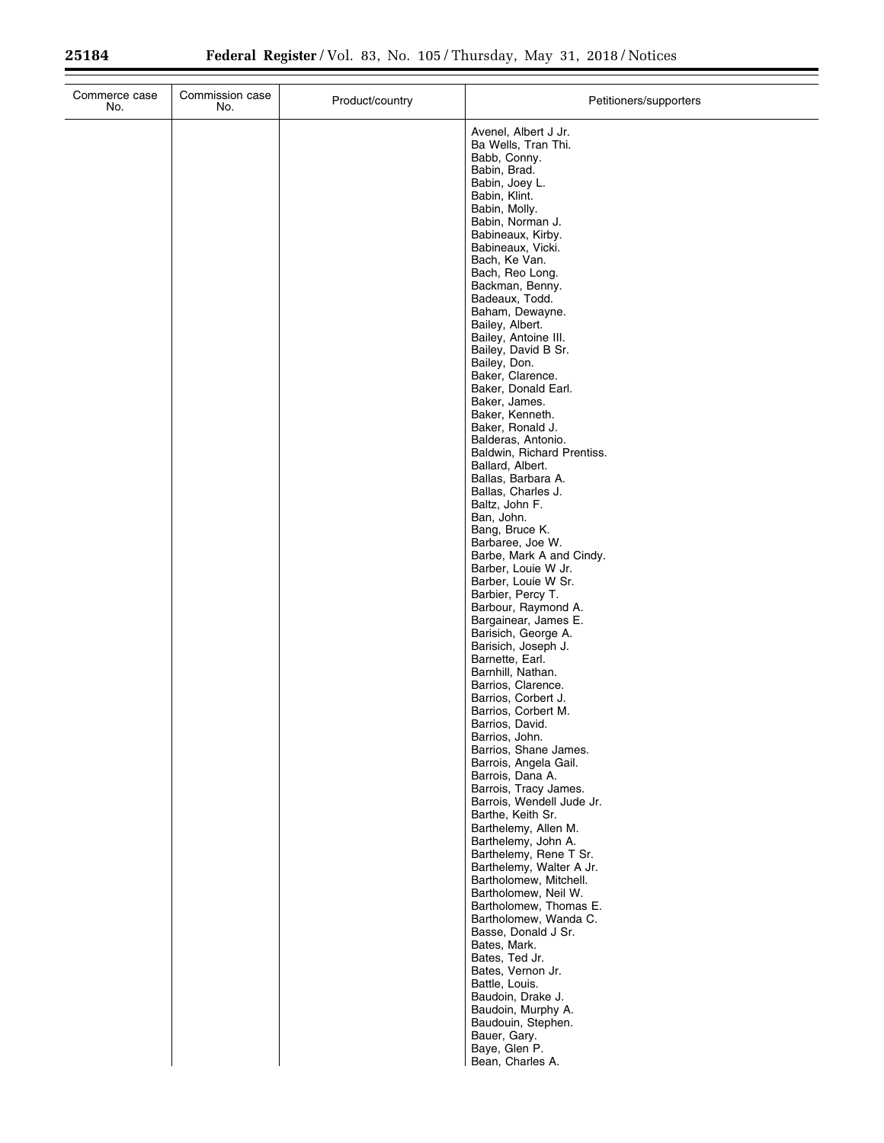| Commerce case<br>No. | Commission case<br>No. | Product/country | Petitioners/supporters                                                                                                                                                                                                                                                                                                                                                                                                                                                                                                                                                                                                                                                                                                                                                                                                                                                                                                                                                                              |
|----------------------|------------------------|-----------------|-----------------------------------------------------------------------------------------------------------------------------------------------------------------------------------------------------------------------------------------------------------------------------------------------------------------------------------------------------------------------------------------------------------------------------------------------------------------------------------------------------------------------------------------------------------------------------------------------------------------------------------------------------------------------------------------------------------------------------------------------------------------------------------------------------------------------------------------------------------------------------------------------------------------------------------------------------------------------------------------------------|
|                      |                        |                 | Avenel, Albert J Jr.<br>Ba Wells, Tran Thi.<br>Babb, Conny.<br>Babin, Brad.<br>Babin, Joey L.<br>Babin, Klint.<br>Babin, Molly.<br>Babin, Norman J.<br>Babineaux, Kirby.<br>Babineaux, Vicki.<br>Bach, Ke Van.<br>Bach, Reo Long.<br>Backman, Benny.<br>Badeaux, Todd.<br>Baham, Dewayne.<br>Bailey, Albert.<br>Bailey, Antoine III.<br>Bailey, David B Sr.<br>Bailey, Don.<br>Baker, Clarence.<br>Baker, Donald Earl.<br>Baker, James.<br>Baker, Kenneth.<br>Baker, Ronald J.<br>Balderas, Antonio.<br>Baldwin, Richard Prentiss.<br>Ballard, Albert.<br>Ballas, Barbara A.<br>Ballas, Charles J.<br>Baltz, John F.<br>Ban, John.<br>Bang, Bruce K.<br>Barbaree, Joe W.<br>Barbe, Mark A and Cindy.<br>Barber, Louie W Jr.<br>Barber, Louie W Sr.<br>Barbier, Percy T.<br>Barbour, Raymond A.<br>Bargainear, James E.<br>Barisich, George A.<br>Barisich, Joseph J.<br>Barnette, Earl.<br>Barnhill, Nathan.<br>Barrios, Clarence.<br>Barrios, Corbert J.<br>Barrios, Corbert M.<br>Barrios, David. |
|                      |                        |                 | Barrios, John.<br>Barrios, Shane James.<br>Barrois, Angela Gail.<br>Barrois, Dana A.<br>Barrois, Tracy James.<br>Barrois, Wendell Jude Jr.                                                                                                                                                                                                                                                                                                                                                                                                                                                                                                                                                                                                                                                                                                                                                                                                                                                          |
|                      |                        |                 | Barthe, Keith Sr.<br>Barthelemy, Allen M.<br>Barthelemy, John A.<br>Barthelemy, Rene T Sr.<br>Barthelemy, Walter A Jr.<br>Bartholomew, Mitchell.<br>Bartholomew, Neil W.<br>Bartholomew, Thomas E.<br>Bartholomew, Wanda C.<br>Basse, Donald J Sr.<br>Bates, Mark.<br>Bates, Ted Jr.<br>Bates, Vernon Jr.<br>Battle, Louis.<br>Baudoin, Drake J.<br>Baudoin, Murphy A.<br>Baudouin, Stephen.<br>Bauer, Gary.<br>Baye, Glen P.<br>Bean, Charles A.                                                                                                                                                                                                                                                                                                                                                                                                                                                                                                                                                   |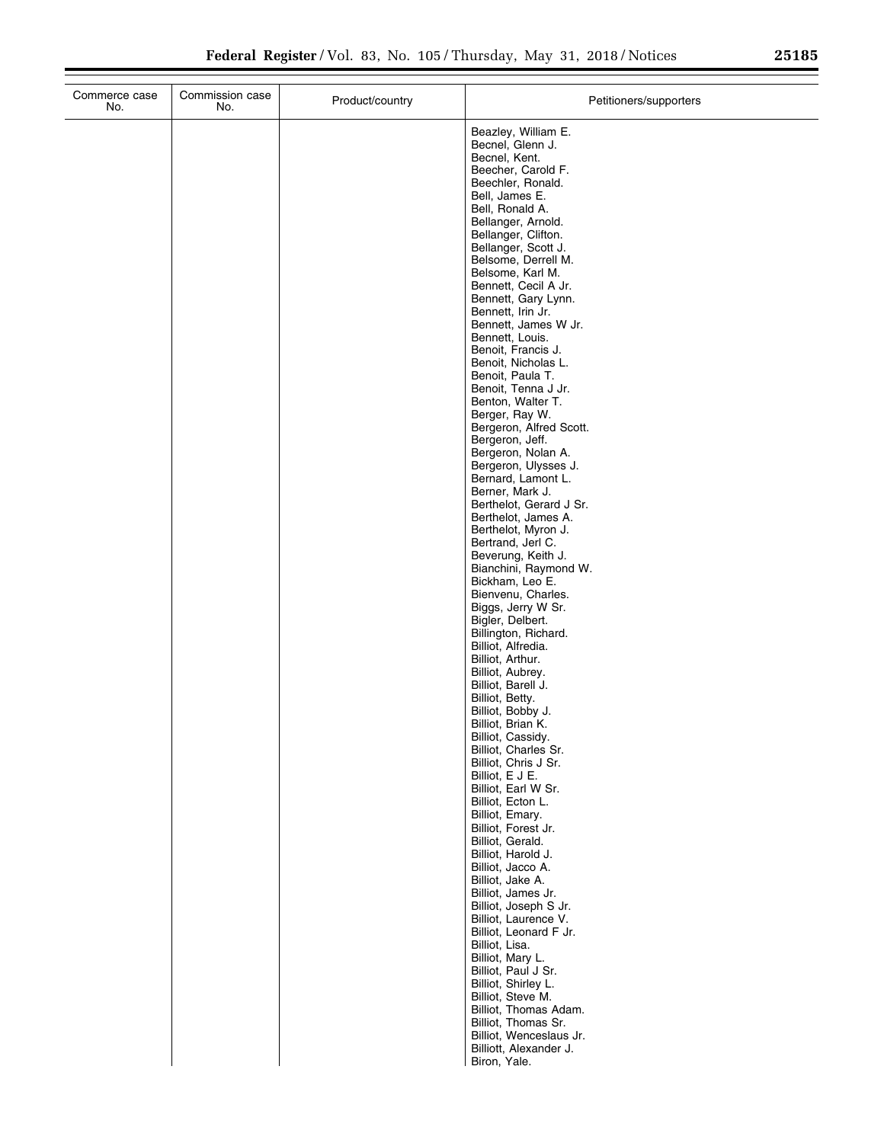$\overline{a}$ 

| Beazley, William E.<br>Becnel, Glenn J.<br>Becnel, Kent.<br>Beecher, Carold F.<br>Beechler, Ronald.<br>Bell, James E.<br>Bell, Ronald A.<br>Bellanger, Arnold.<br>Bellanger, Clifton.<br>Bellanger, Scott J.<br>Belsome, Derrell M.<br>Belsome, Karl M.<br>Bennett, Cecil A Jr.<br>Bennett, Gary Lynn.<br>Bennett, Irin Jr.<br>Bennett, James W Jr.<br>Bennett, Louis.<br>Benoit, Francis J.<br>Benoit, Nicholas L.<br>Benoit, Paula T.<br>Benoit, Tenna J Jr.<br>Benton, Walter T.<br>Berger, Ray W.<br>Bergeron, Alfred Scott.<br>Bergeron, Jeff.<br>Bergeron, Nolan A.<br>Bergeron, Ulysses J.<br>Bernard, Lamont L.<br>Berner, Mark J.<br>Berthelot, Gerard J Sr.<br>Berthelot, James A.<br>Berthelot, Myron J.<br>Bertrand, Jerl C.<br>Beverung, Keith J.<br>Bianchini, Raymond W.<br>Bickham, Leo E.<br>Bienvenu, Charles.<br>Biggs, Jerry W Sr.<br>Bigler, Delbert.<br>Billington, Richard.<br>Billiot, Alfredia.<br>Billiot, Arthur.<br>Billiot, Aubrey.<br>Billiot, Barell J.<br>Billiot, Betty.<br>Billiot, Bobby J.<br>Billiot, Brian K.<br>Billiot, Cassidy.<br>Billiot, Charles Sr.<br>Billiot, Chris J Sr.<br>Billiot, E J E.<br>Billiot, Earl W Sr.<br>Billiot, Ecton L.<br>Billiot, Emary.<br>Billiot, Forest Jr.<br>Billiot, Gerald.<br>Billiot, Harold J.<br>Billiot, Jacco A.<br>Billiot, Jake A.<br>Billiot, James Jr.<br>Billiot, Joseph S Jr.<br>Billiot, Laurence V.<br>Billiot, Leonard F Jr.<br>Billiot, Lisa.<br>Billiot, Mary L.<br>Billiot, Paul J Sr.<br>Billiot, Shirley L.<br>Billiot, Steve M.<br>Billiot, Thomas Adam.<br>Billiot, Thomas Sr.<br>Billiot, Wenceslaus Jr.<br>Billiott, Alexander J.<br>Biron, Yale. | Commerce case<br>No. | Commission case<br>No. | Product/country | Petitioners/supporters |
|-----------------------------------------------------------------------------------------------------------------------------------------------------------------------------------------------------------------------------------------------------------------------------------------------------------------------------------------------------------------------------------------------------------------------------------------------------------------------------------------------------------------------------------------------------------------------------------------------------------------------------------------------------------------------------------------------------------------------------------------------------------------------------------------------------------------------------------------------------------------------------------------------------------------------------------------------------------------------------------------------------------------------------------------------------------------------------------------------------------------------------------------------------------------------------------------------------------------------------------------------------------------------------------------------------------------------------------------------------------------------------------------------------------------------------------------------------------------------------------------------------------------------------------------------------------------------------------------------------------------------------------------------------|----------------------|------------------------|-----------------|------------------------|
|                                                                                                                                                                                                                                                                                                                                                                                                                                                                                                                                                                                                                                                                                                                                                                                                                                                                                                                                                                                                                                                                                                                                                                                                                                                                                                                                                                                                                                                                                                                                                                                                                                                     |                      |                        |                 |                        |
|                                                                                                                                                                                                                                                                                                                                                                                                                                                                                                                                                                                                                                                                                                                                                                                                                                                                                                                                                                                                                                                                                                                                                                                                                                                                                                                                                                                                                                                                                                                                                                                                                                                     |                      |                        |                 |                        |
|                                                                                                                                                                                                                                                                                                                                                                                                                                                                                                                                                                                                                                                                                                                                                                                                                                                                                                                                                                                                                                                                                                                                                                                                                                                                                                                                                                                                                                                                                                                                                                                                                                                     |                      |                        |                 |                        |
|                                                                                                                                                                                                                                                                                                                                                                                                                                                                                                                                                                                                                                                                                                                                                                                                                                                                                                                                                                                                                                                                                                                                                                                                                                                                                                                                                                                                                                                                                                                                                                                                                                                     |                      |                        |                 |                        |
|                                                                                                                                                                                                                                                                                                                                                                                                                                                                                                                                                                                                                                                                                                                                                                                                                                                                                                                                                                                                                                                                                                                                                                                                                                                                                                                                                                                                                                                                                                                                                                                                                                                     |                      |                        |                 |                        |
|                                                                                                                                                                                                                                                                                                                                                                                                                                                                                                                                                                                                                                                                                                                                                                                                                                                                                                                                                                                                                                                                                                                                                                                                                                                                                                                                                                                                                                                                                                                                                                                                                                                     |                      |                        |                 |                        |
|                                                                                                                                                                                                                                                                                                                                                                                                                                                                                                                                                                                                                                                                                                                                                                                                                                                                                                                                                                                                                                                                                                                                                                                                                                                                                                                                                                                                                                                                                                                                                                                                                                                     |                      |                        |                 |                        |
|                                                                                                                                                                                                                                                                                                                                                                                                                                                                                                                                                                                                                                                                                                                                                                                                                                                                                                                                                                                                                                                                                                                                                                                                                                                                                                                                                                                                                                                                                                                                                                                                                                                     |                      |                        |                 |                        |
|                                                                                                                                                                                                                                                                                                                                                                                                                                                                                                                                                                                                                                                                                                                                                                                                                                                                                                                                                                                                                                                                                                                                                                                                                                                                                                                                                                                                                                                                                                                                                                                                                                                     |                      |                        |                 |                        |
|                                                                                                                                                                                                                                                                                                                                                                                                                                                                                                                                                                                                                                                                                                                                                                                                                                                                                                                                                                                                                                                                                                                                                                                                                                                                                                                                                                                                                                                                                                                                                                                                                                                     |                      |                        |                 |                        |
|                                                                                                                                                                                                                                                                                                                                                                                                                                                                                                                                                                                                                                                                                                                                                                                                                                                                                                                                                                                                                                                                                                                                                                                                                                                                                                                                                                                                                                                                                                                                                                                                                                                     |                      |                        |                 |                        |
|                                                                                                                                                                                                                                                                                                                                                                                                                                                                                                                                                                                                                                                                                                                                                                                                                                                                                                                                                                                                                                                                                                                                                                                                                                                                                                                                                                                                                                                                                                                                                                                                                                                     |                      |                        |                 |                        |
|                                                                                                                                                                                                                                                                                                                                                                                                                                                                                                                                                                                                                                                                                                                                                                                                                                                                                                                                                                                                                                                                                                                                                                                                                                                                                                                                                                                                                                                                                                                                                                                                                                                     |                      |                        |                 |                        |
|                                                                                                                                                                                                                                                                                                                                                                                                                                                                                                                                                                                                                                                                                                                                                                                                                                                                                                                                                                                                                                                                                                                                                                                                                                                                                                                                                                                                                                                                                                                                                                                                                                                     |                      |                        |                 |                        |
|                                                                                                                                                                                                                                                                                                                                                                                                                                                                                                                                                                                                                                                                                                                                                                                                                                                                                                                                                                                                                                                                                                                                                                                                                                                                                                                                                                                                                                                                                                                                                                                                                                                     |                      |                        |                 |                        |
|                                                                                                                                                                                                                                                                                                                                                                                                                                                                                                                                                                                                                                                                                                                                                                                                                                                                                                                                                                                                                                                                                                                                                                                                                                                                                                                                                                                                                                                                                                                                                                                                                                                     |                      |                        |                 |                        |
|                                                                                                                                                                                                                                                                                                                                                                                                                                                                                                                                                                                                                                                                                                                                                                                                                                                                                                                                                                                                                                                                                                                                                                                                                                                                                                                                                                                                                                                                                                                                                                                                                                                     |                      |                        |                 |                        |
|                                                                                                                                                                                                                                                                                                                                                                                                                                                                                                                                                                                                                                                                                                                                                                                                                                                                                                                                                                                                                                                                                                                                                                                                                                                                                                                                                                                                                                                                                                                                                                                                                                                     |                      |                        |                 |                        |
|                                                                                                                                                                                                                                                                                                                                                                                                                                                                                                                                                                                                                                                                                                                                                                                                                                                                                                                                                                                                                                                                                                                                                                                                                                                                                                                                                                                                                                                                                                                                                                                                                                                     |                      |                        |                 |                        |
|                                                                                                                                                                                                                                                                                                                                                                                                                                                                                                                                                                                                                                                                                                                                                                                                                                                                                                                                                                                                                                                                                                                                                                                                                                                                                                                                                                                                                                                                                                                                                                                                                                                     |                      |                        |                 |                        |
|                                                                                                                                                                                                                                                                                                                                                                                                                                                                                                                                                                                                                                                                                                                                                                                                                                                                                                                                                                                                                                                                                                                                                                                                                                                                                                                                                                                                                                                                                                                                                                                                                                                     |                      |                        |                 |                        |
|                                                                                                                                                                                                                                                                                                                                                                                                                                                                                                                                                                                                                                                                                                                                                                                                                                                                                                                                                                                                                                                                                                                                                                                                                                                                                                                                                                                                                                                                                                                                                                                                                                                     |                      |                        |                 |                        |
|                                                                                                                                                                                                                                                                                                                                                                                                                                                                                                                                                                                                                                                                                                                                                                                                                                                                                                                                                                                                                                                                                                                                                                                                                                                                                                                                                                                                                                                                                                                                                                                                                                                     |                      |                        |                 |                        |
|                                                                                                                                                                                                                                                                                                                                                                                                                                                                                                                                                                                                                                                                                                                                                                                                                                                                                                                                                                                                                                                                                                                                                                                                                                                                                                                                                                                                                                                                                                                                                                                                                                                     |                      |                        |                 |                        |
|                                                                                                                                                                                                                                                                                                                                                                                                                                                                                                                                                                                                                                                                                                                                                                                                                                                                                                                                                                                                                                                                                                                                                                                                                                                                                                                                                                                                                                                                                                                                                                                                                                                     |                      |                        |                 |                        |
|                                                                                                                                                                                                                                                                                                                                                                                                                                                                                                                                                                                                                                                                                                                                                                                                                                                                                                                                                                                                                                                                                                                                                                                                                                                                                                                                                                                                                                                                                                                                                                                                                                                     |                      |                        |                 |                        |
|                                                                                                                                                                                                                                                                                                                                                                                                                                                                                                                                                                                                                                                                                                                                                                                                                                                                                                                                                                                                                                                                                                                                                                                                                                                                                                                                                                                                                                                                                                                                                                                                                                                     |                      |                        |                 |                        |
|                                                                                                                                                                                                                                                                                                                                                                                                                                                                                                                                                                                                                                                                                                                                                                                                                                                                                                                                                                                                                                                                                                                                                                                                                                                                                                                                                                                                                                                                                                                                                                                                                                                     |                      |                        |                 |                        |
|                                                                                                                                                                                                                                                                                                                                                                                                                                                                                                                                                                                                                                                                                                                                                                                                                                                                                                                                                                                                                                                                                                                                                                                                                                                                                                                                                                                                                                                                                                                                                                                                                                                     |                      |                        |                 |                        |
|                                                                                                                                                                                                                                                                                                                                                                                                                                                                                                                                                                                                                                                                                                                                                                                                                                                                                                                                                                                                                                                                                                                                                                                                                                                                                                                                                                                                                                                                                                                                                                                                                                                     |                      |                        |                 |                        |
|                                                                                                                                                                                                                                                                                                                                                                                                                                                                                                                                                                                                                                                                                                                                                                                                                                                                                                                                                                                                                                                                                                                                                                                                                                                                                                                                                                                                                                                                                                                                                                                                                                                     |                      |                        |                 |                        |
|                                                                                                                                                                                                                                                                                                                                                                                                                                                                                                                                                                                                                                                                                                                                                                                                                                                                                                                                                                                                                                                                                                                                                                                                                                                                                                                                                                                                                                                                                                                                                                                                                                                     |                      |                        |                 |                        |
|                                                                                                                                                                                                                                                                                                                                                                                                                                                                                                                                                                                                                                                                                                                                                                                                                                                                                                                                                                                                                                                                                                                                                                                                                                                                                                                                                                                                                                                                                                                                                                                                                                                     |                      |                        |                 |                        |
|                                                                                                                                                                                                                                                                                                                                                                                                                                                                                                                                                                                                                                                                                                                                                                                                                                                                                                                                                                                                                                                                                                                                                                                                                                                                                                                                                                                                                                                                                                                                                                                                                                                     |                      |                        |                 |                        |
|                                                                                                                                                                                                                                                                                                                                                                                                                                                                                                                                                                                                                                                                                                                                                                                                                                                                                                                                                                                                                                                                                                                                                                                                                                                                                                                                                                                                                                                                                                                                                                                                                                                     |                      |                        |                 |                        |
|                                                                                                                                                                                                                                                                                                                                                                                                                                                                                                                                                                                                                                                                                                                                                                                                                                                                                                                                                                                                                                                                                                                                                                                                                                                                                                                                                                                                                                                                                                                                                                                                                                                     |                      |                        |                 |                        |
|                                                                                                                                                                                                                                                                                                                                                                                                                                                                                                                                                                                                                                                                                                                                                                                                                                                                                                                                                                                                                                                                                                                                                                                                                                                                                                                                                                                                                                                                                                                                                                                                                                                     |                      |                        |                 |                        |
|                                                                                                                                                                                                                                                                                                                                                                                                                                                                                                                                                                                                                                                                                                                                                                                                                                                                                                                                                                                                                                                                                                                                                                                                                                                                                                                                                                                                                                                                                                                                                                                                                                                     |                      |                        |                 |                        |
|                                                                                                                                                                                                                                                                                                                                                                                                                                                                                                                                                                                                                                                                                                                                                                                                                                                                                                                                                                                                                                                                                                                                                                                                                                                                                                                                                                                                                                                                                                                                                                                                                                                     |                      |                        |                 |                        |
|                                                                                                                                                                                                                                                                                                                                                                                                                                                                                                                                                                                                                                                                                                                                                                                                                                                                                                                                                                                                                                                                                                                                                                                                                                                                                                                                                                                                                                                                                                                                                                                                                                                     |                      |                        |                 |                        |
|                                                                                                                                                                                                                                                                                                                                                                                                                                                                                                                                                                                                                                                                                                                                                                                                                                                                                                                                                                                                                                                                                                                                                                                                                                                                                                                                                                                                                                                                                                                                                                                                                                                     |                      |                        |                 |                        |
|                                                                                                                                                                                                                                                                                                                                                                                                                                                                                                                                                                                                                                                                                                                                                                                                                                                                                                                                                                                                                                                                                                                                                                                                                                                                                                                                                                                                                                                                                                                                                                                                                                                     |                      |                        |                 |                        |
|                                                                                                                                                                                                                                                                                                                                                                                                                                                                                                                                                                                                                                                                                                                                                                                                                                                                                                                                                                                                                                                                                                                                                                                                                                                                                                                                                                                                                                                                                                                                                                                                                                                     |                      |                        |                 |                        |
|                                                                                                                                                                                                                                                                                                                                                                                                                                                                                                                                                                                                                                                                                                                                                                                                                                                                                                                                                                                                                                                                                                                                                                                                                                                                                                                                                                                                                                                                                                                                                                                                                                                     |                      |                        |                 |                        |
|                                                                                                                                                                                                                                                                                                                                                                                                                                                                                                                                                                                                                                                                                                                                                                                                                                                                                                                                                                                                                                                                                                                                                                                                                                                                                                                                                                                                                                                                                                                                                                                                                                                     |                      |                        |                 |                        |
|                                                                                                                                                                                                                                                                                                                                                                                                                                                                                                                                                                                                                                                                                                                                                                                                                                                                                                                                                                                                                                                                                                                                                                                                                                                                                                                                                                                                                                                                                                                                                                                                                                                     |                      |                        |                 |                        |
|                                                                                                                                                                                                                                                                                                                                                                                                                                                                                                                                                                                                                                                                                                                                                                                                                                                                                                                                                                                                                                                                                                                                                                                                                                                                                                                                                                                                                                                                                                                                                                                                                                                     |                      |                        |                 |                        |
|                                                                                                                                                                                                                                                                                                                                                                                                                                                                                                                                                                                                                                                                                                                                                                                                                                                                                                                                                                                                                                                                                                                                                                                                                                                                                                                                                                                                                                                                                                                                                                                                                                                     |                      |                        |                 |                        |
|                                                                                                                                                                                                                                                                                                                                                                                                                                                                                                                                                                                                                                                                                                                                                                                                                                                                                                                                                                                                                                                                                                                                                                                                                                                                                                                                                                                                                                                                                                                                                                                                                                                     |                      |                        |                 |                        |
|                                                                                                                                                                                                                                                                                                                                                                                                                                                                                                                                                                                                                                                                                                                                                                                                                                                                                                                                                                                                                                                                                                                                                                                                                                                                                                                                                                                                                                                                                                                                                                                                                                                     |                      |                        |                 |                        |
|                                                                                                                                                                                                                                                                                                                                                                                                                                                                                                                                                                                                                                                                                                                                                                                                                                                                                                                                                                                                                                                                                                                                                                                                                                                                                                                                                                                                                                                                                                                                                                                                                                                     |                      |                        |                 |                        |
|                                                                                                                                                                                                                                                                                                                                                                                                                                                                                                                                                                                                                                                                                                                                                                                                                                                                                                                                                                                                                                                                                                                                                                                                                                                                                                                                                                                                                                                                                                                                                                                                                                                     |                      |                        |                 |                        |
|                                                                                                                                                                                                                                                                                                                                                                                                                                                                                                                                                                                                                                                                                                                                                                                                                                                                                                                                                                                                                                                                                                                                                                                                                                                                                                                                                                                                                                                                                                                                                                                                                                                     |                      |                        |                 |                        |
|                                                                                                                                                                                                                                                                                                                                                                                                                                                                                                                                                                                                                                                                                                                                                                                                                                                                                                                                                                                                                                                                                                                                                                                                                                                                                                                                                                                                                                                                                                                                                                                                                                                     |                      |                        |                 |                        |
|                                                                                                                                                                                                                                                                                                                                                                                                                                                                                                                                                                                                                                                                                                                                                                                                                                                                                                                                                                                                                                                                                                                                                                                                                                                                                                                                                                                                                                                                                                                                                                                                                                                     |                      |                        |                 |                        |
|                                                                                                                                                                                                                                                                                                                                                                                                                                                                                                                                                                                                                                                                                                                                                                                                                                                                                                                                                                                                                                                                                                                                                                                                                                                                                                                                                                                                                                                                                                                                                                                                                                                     |                      |                        |                 |                        |
|                                                                                                                                                                                                                                                                                                                                                                                                                                                                                                                                                                                                                                                                                                                                                                                                                                                                                                                                                                                                                                                                                                                                                                                                                                                                                                                                                                                                                                                                                                                                                                                                                                                     |                      |                        |                 |                        |
|                                                                                                                                                                                                                                                                                                                                                                                                                                                                                                                                                                                                                                                                                                                                                                                                                                                                                                                                                                                                                                                                                                                                                                                                                                                                                                                                                                                                                                                                                                                                                                                                                                                     |                      |                        |                 |                        |
|                                                                                                                                                                                                                                                                                                                                                                                                                                                                                                                                                                                                                                                                                                                                                                                                                                                                                                                                                                                                                                                                                                                                                                                                                                                                                                                                                                                                                                                                                                                                                                                                                                                     |                      |                        |                 |                        |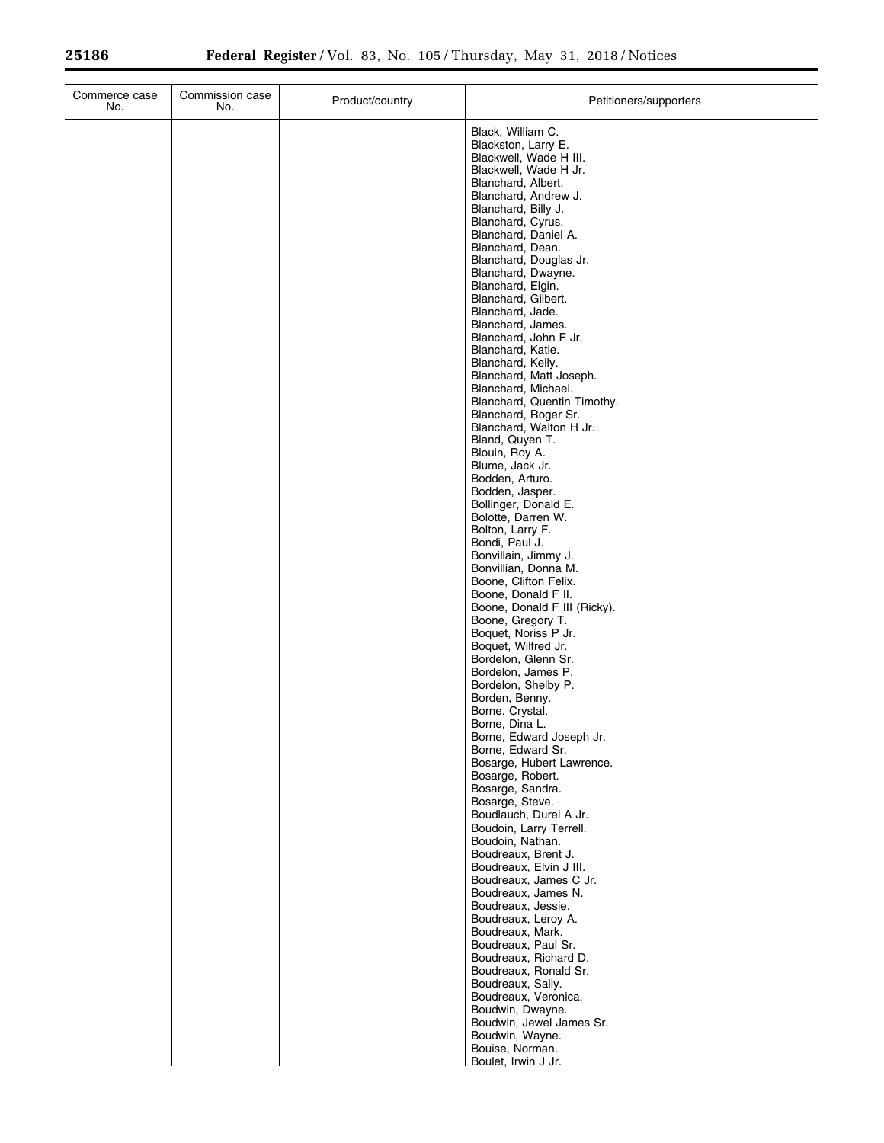| Commerce case<br>No. | Commission case<br>No. | Product/country | Petitioners/supporters                                                                                                                                                                                                                                                                                                                                                                                                                                                                                                                                                                                                                                                                                                                                                                                                                                                                                                                                                                                                                                                                                                                                                                                                                                                                                                                                                                                                                                                                                                                                                                                                                                     |
|----------------------|------------------------|-----------------|------------------------------------------------------------------------------------------------------------------------------------------------------------------------------------------------------------------------------------------------------------------------------------------------------------------------------------------------------------------------------------------------------------------------------------------------------------------------------------------------------------------------------------------------------------------------------------------------------------------------------------------------------------------------------------------------------------------------------------------------------------------------------------------------------------------------------------------------------------------------------------------------------------------------------------------------------------------------------------------------------------------------------------------------------------------------------------------------------------------------------------------------------------------------------------------------------------------------------------------------------------------------------------------------------------------------------------------------------------------------------------------------------------------------------------------------------------------------------------------------------------------------------------------------------------------------------------------------------------------------------------------------------------|
|                      |                        |                 | Black, William C.<br>Blackston, Larry E.<br>Blackwell, Wade H III.<br>Blackwell, Wade H Jr.<br>Blanchard, Albert.<br>Blanchard, Andrew J.<br>Blanchard, Billy J.<br>Blanchard, Cyrus.<br>Blanchard, Daniel A.<br>Blanchard, Dean.<br>Blanchard, Douglas Jr.<br>Blanchard, Dwayne.<br>Blanchard, Elgin.<br>Blanchard, Gilbert.<br>Blanchard, Jade.<br>Blanchard, James.<br>Blanchard, John F Jr.<br>Blanchard, Katie.<br>Blanchard, Kelly.<br>Blanchard, Matt Joseph.<br>Blanchard, Michael.<br>Blanchard, Quentin Timothy.<br>Blanchard, Roger Sr.<br>Blanchard, Walton H Jr.<br>Bland, Quyen T.<br>Blouin, Roy A.<br>Blume, Jack Jr.<br>Bodden, Arturo.<br>Bodden, Jasper.<br>Bollinger, Donald E.<br>Bolotte, Darren W.<br>Bolton, Larry F.<br>Bondi, Paul J.<br>Bonvillain, Jimmy J.<br>Bonvillian, Donna M.<br>Boone, Clifton Felix.<br>Boone, Donald F II.<br>Boone, Donald F III (Ricky).<br>Boone, Gregory T.<br>Boquet, Noriss P Jr.<br>Boquet, Wilfred Jr.<br>Bordelon, Glenn Sr.<br>Bordelon, James P.<br>Bordelon, Shelby P.<br>Borden, Benny.<br>Borne, Crystal.<br>Borne, Dina L.<br>Borne, Edward Joseph Jr.<br>Borne, Edward Sr.<br>Bosarge, Hubert Lawrence.<br>Bosarge, Robert.<br>Bosarge, Sandra.<br>Bosarge, Steve.<br>Boudlauch, Durel A Jr.<br>Boudoin, Larry Terrell.<br>Boudoin, Nathan.<br>Boudreaux, Brent J.<br>Boudreaux, Elvin J III.<br>Boudreaux, James C Jr.<br>Boudreaux, James N.<br>Boudreaux, Jessie.<br>Boudreaux, Leroy A.<br>Boudreaux, Mark.<br>Boudreaux, Paul Sr.<br>Boudreaux, Richard D.<br>Boudreaux, Ronald Sr.<br>Boudreaux, Sally.<br>Boudreaux, Veronica.<br>Boudwin, Dwayne.<br>Boudwin, Jewel James Sr. |
|                      |                        |                 | Boudwin, Wayne.<br>Bouise, Norman.<br>Boulet, Irwin J Jr.                                                                                                                                                                                                                                                                                                                                                                                                                                                                                                                                                                                                                                                                                                                                                                                                                                                                                                                                                                                                                                                                                                                                                                                                                                                                                                                                                                                                                                                                                                                                                                                                  |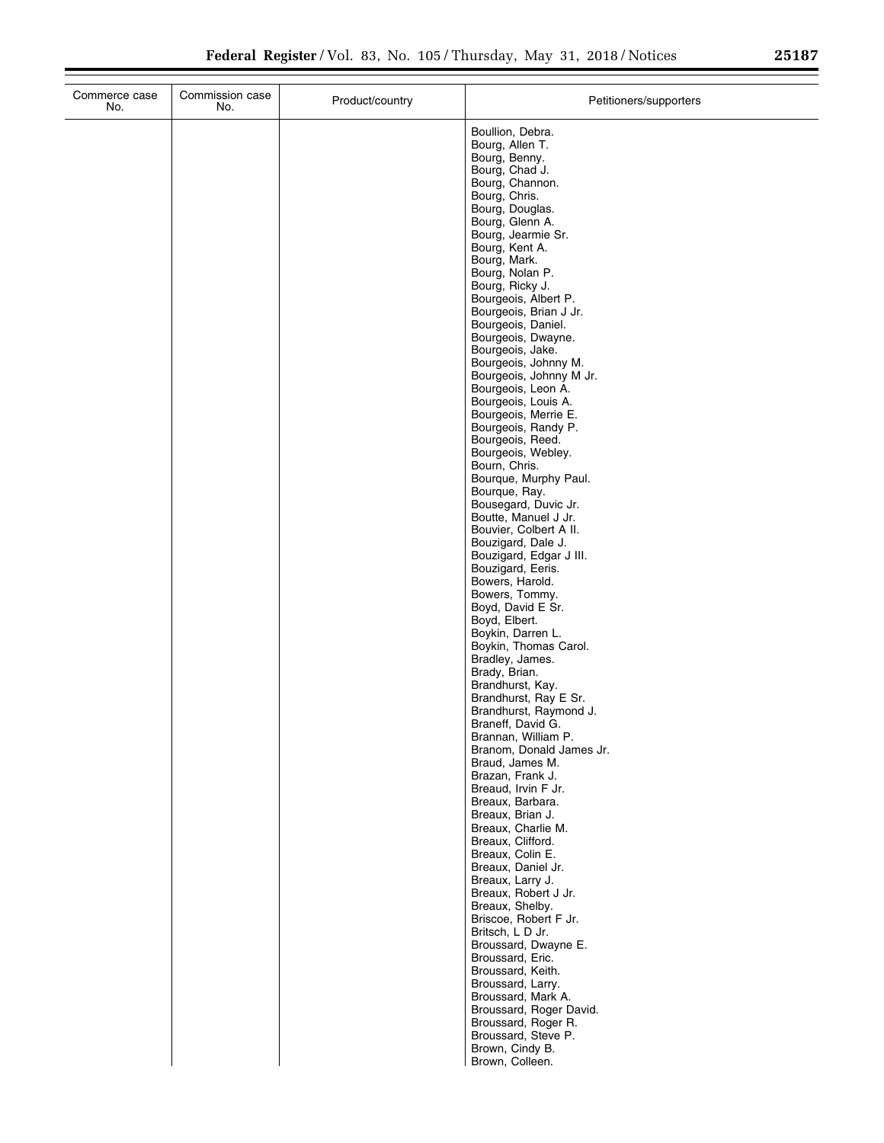$\overline{\phantom{0}}$ 

| Commerce case<br>No. | Commission case<br>No. | Product/country | Petitioners/supporters                       |
|----------------------|------------------------|-----------------|----------------------------------------------|
|                      |                        |                 | Boullion, Debra.                             |
|                      |                        |                 | Bourg, Allen T.                              |
|                      |                        |                 | Bourg, Benny.                                |
|                      |                        |                 | Bourg, Chad J.                               |
|                      |                        |                 | Bourg, Channon.                              |
|                      |                        |                 | Bourg, Chris.                                |
|                      |                        |                 | Bourg, Douglas.<br>Bourg, Glenn A.           |
|                      |                        |                 | Bourg, Jearmie Sr.                           |
|                      |                        |                 | Bourg, Kent A.                               |
|                      |                        |                 | Bourg, Mark.                                 |
|                      |                        |                 | Bourg, Nolan P.                              |
|                      |                        |                 | Bourg, Ricky J.                              |
|                      |                        |                 | Bourgeois, Albert P.                         |
|                      |                        |                 | Bourgeois, Brian J Jr.<br>Bourgeois, Daniel. |
|                      |                        |                 | Bourgeois, Dwayne.                           |
|                      |                        |                 | Bourgeois, Jake.                             |
|                      |                        |                 | Bourgeois, Johnny M.                         |
|                      |                        |                 | Bourgeois, Johnny M Jr.                      |
|                      |                        |                 | Bourgeois, Leon A.                           |
|                      |                        |                 | Bourgeois, Louis A.<br>Bourgeois, Merrie E.  |
|                      |                        |                 | Bourgeois, Randy P.                          |
|                      |                        |                 | Bourgeois, Reed.                             |
|                      |                        |                 | Bourgeois, Webley.                           |
|                      |                        |                 | Bourn, Chris.                                |
|                      |                        |                 | Bourque, Murphy Paul.                        |
|                      |                        |                 | Bourque, Ray.                                |
|                      |                        |                 | Bousegard, Duvic Jr.<br>Boutte, Manuel J Jr. |
|                      |                        |                 | Bouvier, Colbert A II.                       |
|                      |                        |                 | Bouzigard, Dale J.                           |
|                      |                        |                 | Bouzigard, Edgar J III.                      |
|                      |                        |                 | Bouzigard, Eeris.                            |
|                      |                        |                 | Bowers, Harold.                              |
|                      |                        |                 | Bowers, Tommy.                               |
|                      |                        |                 | Boyd, David E Sr.<br>Boyd, Elbert.           |
|                      |                        |                 | Boykin, Darren L.                            |
|                      |                        |                 | Boykin, Thomas Carol.                        |
|                      |                        |                 | Bradley, James.                              |
|                      |                        |                 | Brady, Brian.                                |
|                      |                        |                 | Brandhurst, Kay.                             |
|                      |                        |                 | Brandhurst, Ray E Sr.                        |
|                      |                        |                 | Brandhurst, Raymond J.<br>Braneff, David G.  |
|                      |                        |                 | Brannan, William P.                          |
|                      |                        |                 | Branom, Donald James Jr.                     |
|                      |                        |                 | Braud, James M.                              |
|                      |                        |                 | Brazan, Frank J.                             |
|                      |                        |                 | Breaud, Irvin F Jr.                          |
|                      |                        |                 | Breaux, Barbara.<br>Breaux, Brian J.         |
|                      |                        |                 | Breaux, Charlie M.                           |
|                      |                        |                 | Breaux, Clifford.                            |
|                      |                        |                 | Breaux, Colin E.                             |
|                      |                        |                 | Breaux, Daniel Jr.                           |
|                      |                        |                 | Breaux, Larry J.                             |
|                      |                        |                 | Breaux, Robert J Jr.                         |
|                      |                        |                 | Breaux, Shelby.                              |
|                      |                        |                 | Briscoe, Robert F Jr.<br>Britsch, L D Jr.    |
|                      |                        |                 | Broussard, Dwayne E.                         |
|                      |                        |                 | Broussard, Eric.                             |
|                      |                        |                 | Broussard, Keith.                            |
|                      |                        |                 | Broussard, Larry.                            |
|                      |                        |                 | Broussard, Mark A.                           |
|                      |                        |                 | Broussard, Roger David.                      |
|                      |                        |                 | Broussard, Roger R.<br>Broussard, Steve P.   |
|                      |                        |                 | Brown, Cindy B.                              |
|                      |                        |                 | Brown, Colleen.                              |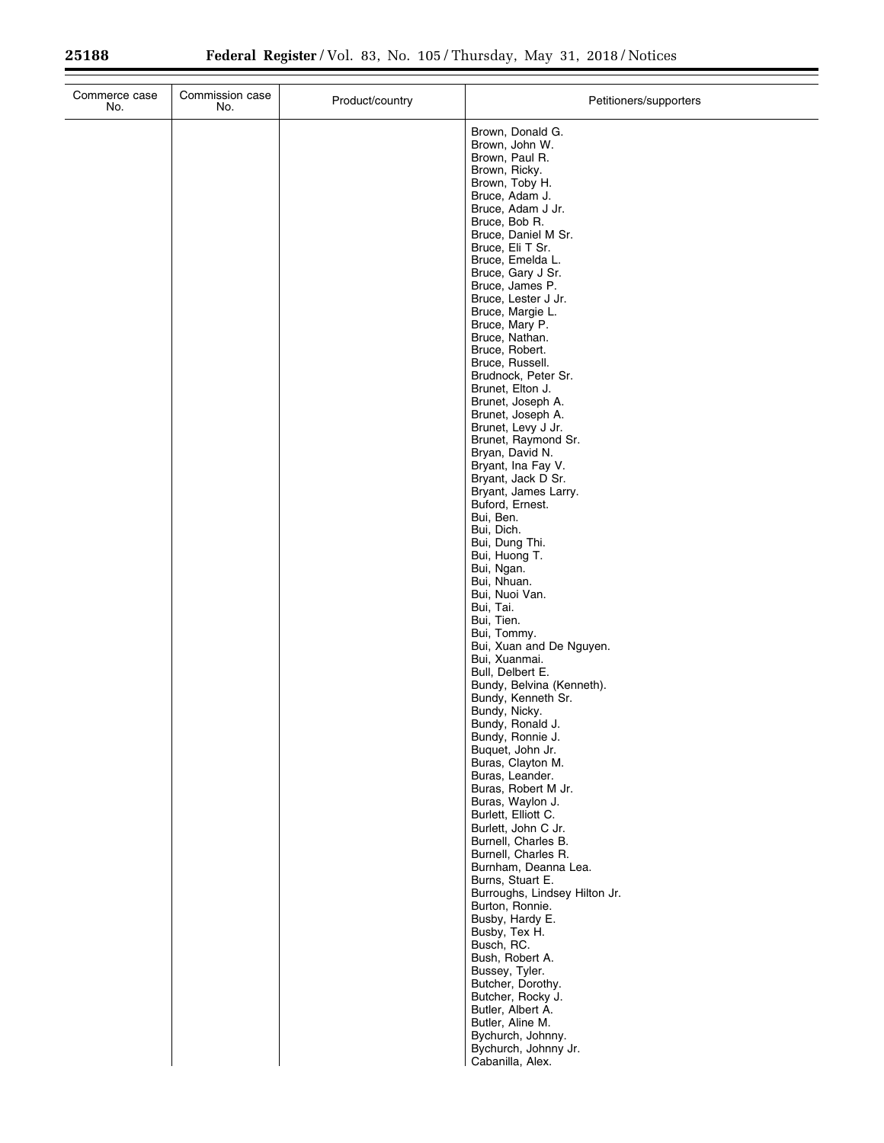| Commission case<br>Commerce case<br>No.<br>No. | Product/country | Petitioners/supporters                                                                                                                                                                                                                                                                                                                                                                                                                                                                                                                                                                                                                                                                                                                                                                                                                                                                                                                                                                                                                                                                                                                                                                                                                                                                                                                                                                                              |
|------------------------------------------------|-----------------|---------------------------------------------------------------------------------------------------------------------------------------------------------------------------------------------------------------------------------------------------------------------------------------------------------------------------------------------------------------------------------------------------------------------------------------------------------------------------------------------------------------------------------------------------------------------------------------------------------------------------------------------------------------------------------------------------------------------------------------------------------------------------------------------------------------------------------------------------------------------------------------------------------------------------------------------------------------------------------------------------------------------------------------------------------------------------------------------------------------------------------------------------------------------------------------------------------------------------------------------------------------------------------------------------------------------------------------------------------------------------------------------------------------------|
|                                                |                 | Brown, Donald G.<br>Brown, John W.<br>Brown, Paul R.<br>Brown, Ricky.<br>Brown, Toby H.<br>Bruce, Adam J.<br>Bruce, Adam J Jr.<br>Bruce, Bob R.<br>Bruce, Daniel M Sr.<br>Bruce, Eli T Sr.<br>Bruce, Emelda L.<br>Bruce, Gary J Sr.<br>Bruce, James P.<br>Bruce, Lester J Jr.<br>Bruce, Margie L.<br>Bruce, Mary P.<br>Bruce, Nathan.<br>Bruce, Robert.<br>Bruce, Russell.<br>Brudnock, Peter Sr.<br>Brunet, Elton J.<br>Brunet, Joseph A.<br>Brunet, Joseph A.<br>Brunet, Levy J Jr.<br>Brunet, Raymond Sr.<br>Bryan, David N.<br>Bryant, Ina Fay V.<br>Bryant, Jack D Sr.<br>Bryant, James Larry.<br>Buford, Ernest.<br>Bui, Ben.<br>Bui, Dich.<br>Bui, Dung Thi.<br>Bui, Huong T.<br>Bui, Ngan.<br>Bui, Nhuan.<br>Bui, Nuoi Van.<br>Bui, Tai.<br>Bui, Tien.<br>Bui, Tommy.<br>Bui, Xuan and De Nguyen.<br>Bui, Xuanmai.<br>Bull, Delbert E.<br>Bundy, Belvina (Kenneth).<br>Bundy, Kenneth Sr.<br>Bundy, Nicky.<br>Bundy, Ronald J.<br>Bundy, Ronnie J.<br>Buquet, John Jr.<br>Buras, Clayton M.<br>Buras, Leander.<br>Buras, Robert M Jr.<br>Buras, Waylon J.<br>Burlett, Elliott C.<br>Burlett, John C Jr.<br>Burnell, Charles B.<br>Burnell, Charles R.<br>Burnham, Deanna Lea.<br>Burns, Stuart E.<br>Burroughs, Lindsey Hilton Jr.<br>Burton, Ronnie.<br>Busby, Hardy E.<br>Busby, Tex H.<br>Busch, RC.<br>Bush, Robert A.<br>Bussey, Tyler.<br>Butcher, Dorothy.<br>Butcher, Rocky J.<br>Butler, Albert A. |
|                                                |                 | Butler, Aline M.<br>Bychurch, Johnny.<br>Bychurch, Johnny Jr.<br>Cabanilla, Alex.                                                                                                                                                                                                                                                                                                                                                                                                                                                                                                                                                                                                                                                                                                                                                                                                                                                                                                                                                                                                                                                                                                                                                                                                                                                                                                                                   |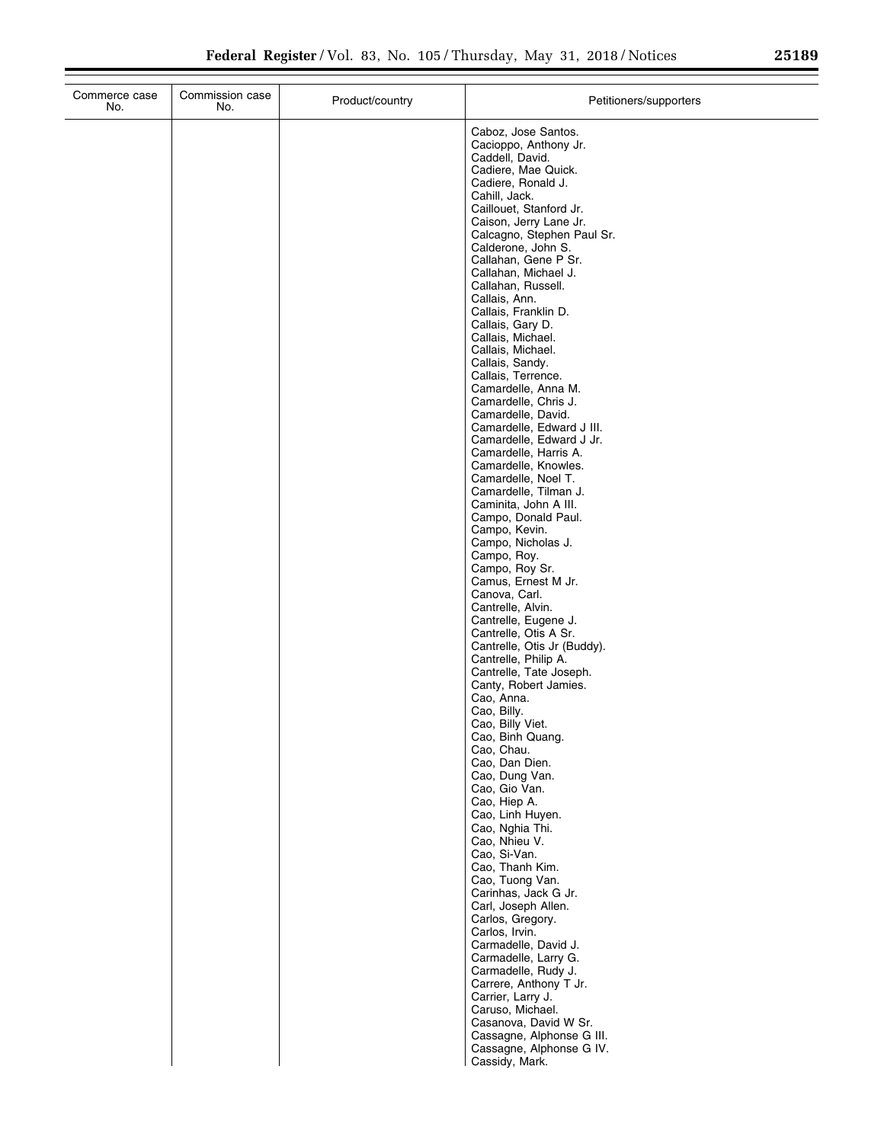| Commerce case<br>No. | Commission case<br>No. | Product/country | Petitioners/supporters                              |
|----------------------|------------------------|-----------------|-----------------------------------------------------|
|                      |                        |                 | Caboz, Jose Santos.                                 |
|                      |                        |                 | Cacioppo, Anthony Jr.                               |
|                      |                        |                 | Caddell, David.<br>Cadiere, Mae Quick.              |
|                      |                        |                 | Cadiere, Ronald J.                                  |
|                      |                        |                 | Cahill, Jack.                                       |
|                      |                        |                 | Caillouet, Stanford Jr.<br>Caison, Jerry Lane Jr.   |
|                      |                        |                 | Calcagno, Stephen Paul Sr.                          |
|                      |                        |                 | Calderone, John S.                                  |
|                      |                        |                 | Callahan, Gene P Sr.<br>Callahan, Michael J.        |
|                      |                        |                 | Callahan, Russell.                                  |
|                      |                        |                 | Callais, Ann.                                       |
|                      |                        |                 | Callais, Franklin D.<br>Callais, Gary D.            |
|                      |                        |                 | Callais, Michael.                                   |
|                      |                        |                 | Callais, Michael.                                   |
|                      |                        |                 | Callais, Sandy.<br>Callais, Terrence.               |
|                      |                        |                 | Camardelle, Anna M.                                 |
|                      |                        |                 | Camardelle, Chris J.<br>Camardelle, David.          |
|                      |                        |                 | Camardelle, Edward J III.                           |
|                      |                        |                 | Camardelle, Edward J Jr.                            |
|                      |                        |                 | Camardelle, Harris A.<br>Camardelle, Knowles.       |
|                      |                        |                 | Camardelle, Noel T.                                 |
|                      |                        |                 | Camardelle, Tilman J.                               |
|                      |                        |                 | Caminita, John A III.<br>Campo, Donald Paul.        |
|                      |                        |                 | Campo, Kevin.                                       |
|                      |                        |                 | Campo, Nicholas J.<br>Campo, Roy.                   |
|                      |                        |                 | Campo, Roy Sr.                                      |
|                      |                        |                 | Camus, Ernest M Jr.                                 |
|                      |                        |                 | Canova, Carl.<br>Cantrelle, Alvin.                  |
|                      |                        |                 | Cantrelle, Eugene J.                                |
|                      |                        |                 | Cantrelle, Otis A Sr.                               |
|                      |                        |                 | Cantrelle, Otis Jr (Buddy).<br>Cantrelle, Philip A. |
|                      |                        |                 | Cantrelle, Tate Joseph.                             |
|                      |                        |                 | Canty, Robert Jamies.<br>Cao, Anna.                 |
|                      |                        |                 | Cao, Billy.                                         |
|                      |                        |                 | Cao, Billy Viet.                                    |
|                      |                        |                 | Cao, Binh Quang.<br>Cao, Chau.                      |
|                      |                        |                 | Cao, Dan Dien.                                      |
|                      |                        |                 | Cao, Dung Van.                                      |
|                      |                        |                 | Cao, Gio Van.<br>Cao, Hiep A.                       |
|                      |                        |                 | Cao, Linh Huyen.                                    |
|                      |                        |                 | Cao, Nghia Thi.<br>Cao, Nhieu V.                    |
|                      |                        |                 | Cao, Si-Van.                                        |
|                      |                        |                 | Cao, Thanh Kim.                                     |
|                      |                        |                 | Cao, Tuong Van.<br>Carinhas, Jack G Jr.             |
|                      |                        |                 | Carl, Joseph Allen.                                 |
|                      |                        |                 | Carlos, Gregory.                                    |
|                      |                        |                 | Carlos, Irvin.<br>Carmadelle, David J.              |
|                      |                        |                 | Carmadelle, Larry G.                                |
|                      |                        |                 | Carmadelle, Rudy J.                                 |
|                      |                        |                 | Carrere, Anthony T Jr.<br>Carrier, Larry J.         |
|                      |                        |                 | Caruso, Michael.                                    |
|                      |                        |                 | Casanova, David W Sr.<br>Cassagne, Alphonse G III.  |
|                      |                        |                 | Cassagne, Alphonse G IV.                            |
|                      |                        |                 | Cassidy, Mark.                                      |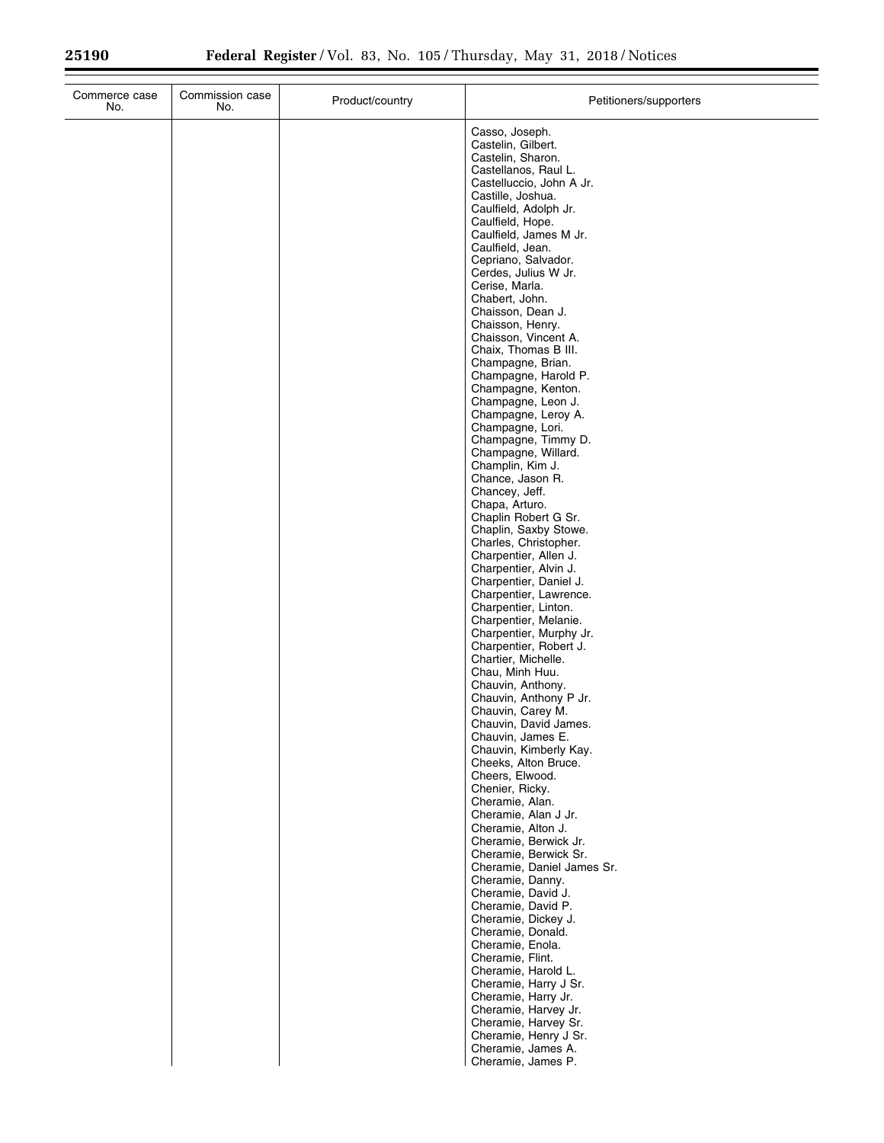| Commerce case<br>No. | Commission case<br>No. | Product/country | Petitioners/supporters                           |
|----------------------|------------------------|-----------------|--------------------------------------------------|
|                      |                        |                 | Casso, Joseph.                                   |
|                      |                        |                 | Castelin, Gilbert.                               |
|                      |                        |                 | Castelin, Sharon.<br>Castellanos, Raul L.        |
|                      |                        |                 | Castelluccio, John A Jr.                         |
|                      |                        |                 | Castille, Joshua.                                |
|                      |                        |                 | Caulfield, Adolph Jr.                            |
|                      |                        |                 | Caulfield, Hope.<br>Caulfield, James M Jr.       |
|                      |                        |                 | Caulfield, Jean.                                 |
|                      |                        |                 | Cepriano, Salvador.                              |
|                      |                        |                 | Cerdes, Julius W Jr.<br>Cerise, Marla.           |
|                      |                        |                 | Chabert, John.                                   |
|                      |                        |                 | Chaisson, Dean J.                                |
|                      |                        |                 | Chaisson, Henry.                                 |
|                      |                        |                 | Chaisson, Vincent A.<br>Chaix, Thomas B III.     |
|                      |                        |                 | Champagne, Brian.                                |
|                      |                        |                 | Champagne, Harold P.                             |
|                      |                        |                 | Champagne, Kenton.<br>Champagne, Leon J.         |
|                      |                        |                 | Champagne, Leroy A.                              |
|                      |                        |                 | Champagne, Lori.                                 |
|                      |                        |                 | Champagne, Timmy D.                              |
|                      |                        |                 | Champagne, Willard.<br>Champlin, Kim J.          |
|                      |                        |                 | Chance, Jason R.                                 |
|                      |                        |                 | Chancey, Jeff.                                   |
|                      |                        |                 | Chapa, Arturo.<br>Chaplin Robert G Sr.           |
|                      |                        |                 | Chaplin, Saxby Stowe.                            |
|                      |                        |                 | Charles, Christopher.                            |
|                      |                        |                 | Charpentier, Allen J.<br>Charpentier, Alvin J.   |
|                      |                        |                 | Charpentier, Daniel J.                           |
|                      |                        |                 | Charpentier, Lawrence.                           |
|                      |                        |                 | Charpentier, Linton.                             |
|                      |                        |                 | Charpentier, Melanie.<br>Charpentier, Murphy Jr. |
|                      |                        |                 | Charpentier, Robert J.                           |
|                      |                        |                 | Chartier, Michelle.                              |
|                      |                        |                 | Chau, Minh Huu.<br>Chauvin, Anthony.             |
|                      |                        |                 | Chauvin, Anthony P Jr.                           |
|                      |                        |                 | Chauvin, Carey M.                                |
|                      |                        |                 | Chauvin, David James.<br>Chauvin, James E.       |
|                      |                        |                 | Chauvin, Kimberly Kay.                           |
|                      |                        |                 | Cheeks, Alton Bruce.                             |
|                      |                        |                 | Cheers, Elwood.                                  |
|                      |                        |                 | Chenier, Ricky.<br>Cheramie, Alan.               |
|                      |                        |                 | Cheramie, Alan J Jr.                             |
|                      |                        |                 | Cheramie, Alton J.                               |
|                      |                        |                 | Cheramie, Berwick Jr.<br>Cheramie, Berwick Sr.   |
|                      |                        |                 | Cheramie, Daniel James Sr.                       |
|                      |                        |                 | Cheramie, Danny.                                 |
|                      |                        |                 | Cheramie, David J.<br>Cheramie, David P.         |
|                      |                        |                 | Cheramie, Dickey J.                              |
|                      |                        |                 | Cheramie, Donald.                                |
|                      |                        |                 | Cheramie, Enola.                                 |
|                      |                        |                 | Cheramie, Flint.<br>Cheramie, Harold L.          |
|                      |                        |                 | Cheramie, Harry J Sr.                            |
|                      |                        |                 | Cheramie, Harry Jr.                              |
|                      |                        |                 | Cheramie, Harvey Jr.                             |
|                      |                        |                 | Cheramie, Harvey Sr.<br>Cheramie, Henry J Sr.    |
|                      |                        |                 | Cheramie, James A.                               |
|                      |                        |                 | Cheramie, James P.                               |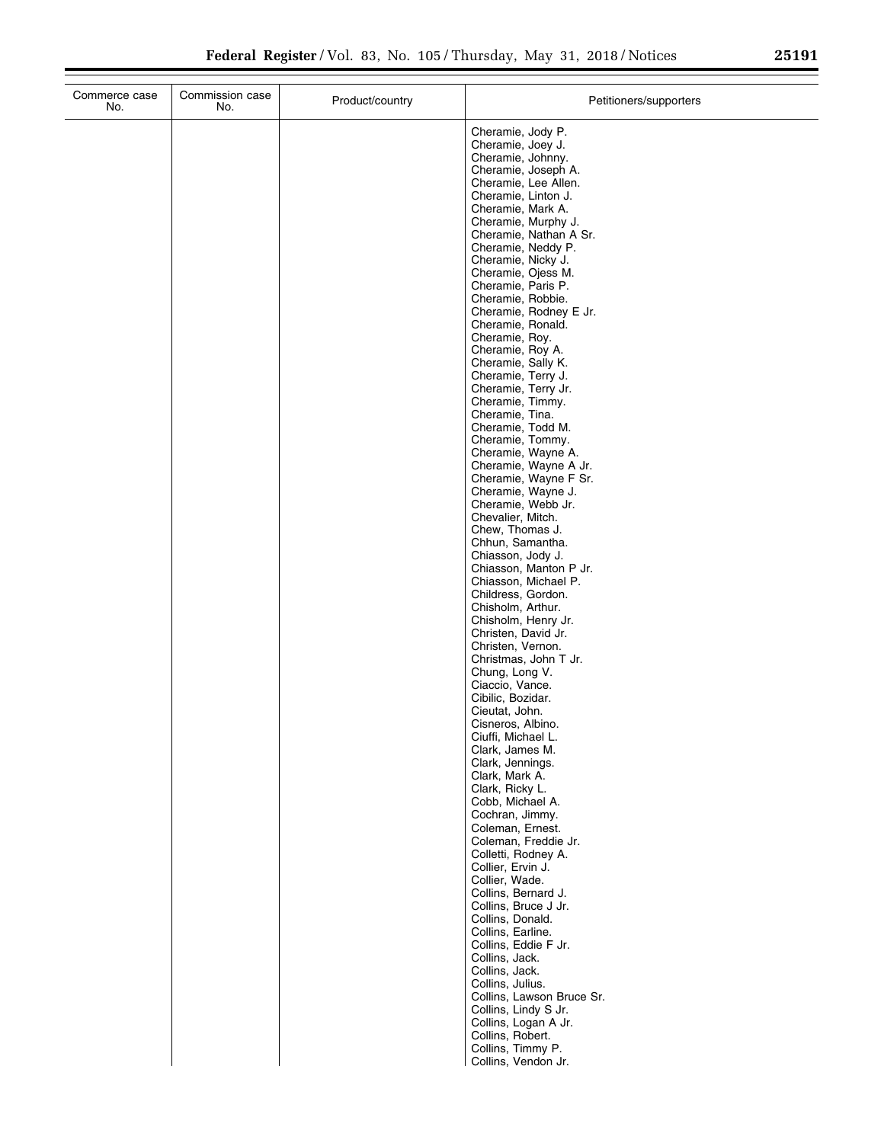| Commerce case<br>No. | Commission case<br>No. | Product/country | Petitioners/supporters                      |
|----------------------|------------------------|-----------------|---------------------------------------------|
|                      |                        |                 | Cheramie, Jody P.                           |
|                      |                        |                 | Cheramie, Joey J.                           |
|                      |                        |                 | Cheramie, Johnny.<br>Cheramie, Joseph A.    |
|                      |                        |                 | Cheramie, Lee Allen.                        |
|                      |                        |                 | Cheramie, Linton J.                         |
|                      |                        |                 | Cheramie, Mark A.<br>Cheramie, Murphy J.    |
|                      |                        |                 | Cheramie, Nathan A Sr.                      |
|                      |                        |                 | Cheramie, Neddy P.                          |
|                      |                        |                 | Cheramie, Nicky J.<br>Cheramie, Ojess M.    |
|                      |                        |                 | Cheramie, Paris P.                          |
|                      |                        |                 | Cheramie, Robbie.                           |
|                      |                        |                 | Cheramie, Rodney E Jr.<br>Cheramie, Ronald. |
|                      |                        |                 | Cheramie, Roy.                              |
|                      |                        |                 | Cheramie, Roy A.                            |
|                      |                        |                 | Cheramie, Sally K.<br>Cheramie, Terry J.    |
|                      |                        |                 | Cheramie, Terry Jr.                         |
|                      |                        |                 | Cheramie, Timmy.                            |
|                      |                        |                 | Cheramie, Tina.<br>Cheramie, Todd M.        |
|                      |                        |                 | Cheramie, Tommy.                            |
|                      |                        |                 | Cheramie, Wayne A.<br>Cheramie, Wayne A Jr. |
|                      |                        |                 | Cheramie, Wayne F Sr.                       |
|                      |                        |                 | Cheramie, Wayne J.                          |
|                      |                        |                 | Cheramie, Webb Jr.<br>Chevalier, Mitch.     |
|                      |                        |                 | Chew, Thomas J.                             |
|                      |                        |                 | Chhun, Samantha.                            |
|                      |                        |                 | Chiasson, Jody J.<br>Chiasson, Manton P Jr. |
|                      |                        |                 | Chiasson, Michael P.                        |
|                      |                        |                 | Childress, Gordon.                          |
|                      |                        |                 | Chisholm, Arthur.<br>Chisholm, Henry Jr.    |
|                      |                        |                 | Christen, David Jr.                         |
|                      |                        |                 | Christen, Vernon.                           |
|                      |                        |                 | Christmas, John T Jr.<br>Chung, Long V.     |
|                      |                        |                 | Ciaccio, Vance.                             |
|                      |                        |                 | Cibilic, Bozidar.                           |
|                      |                        |                 | Cieutat, John.<br>Cisneros, Albino.         |
|                      |                        |                 | Ciuffi, Michael L.                          |
|                      |                        |                 | Clark, James M.                             |
|                      |                        |                 | Clark, Jennings.<br>Clark, Mark A.          |
|                      |                        |                 | Clark, Ricky L.                             |
|                      |                        |                 | Cobb, Michael A.                            |
|                      |                        |                 | Cochran, Jimmy.<br>Coleman, Ernest.         |
|                      |                        |                 | Coleman, Freddie Jr.                        |
|                      |                        |                 | Colletti, Rodney A.                         |
|                      |                        |                 | Collier, Ervin J.<br>Collier, Wade.         |
|                      |                        |                 | Collins, Bernard J.                         |
|                      |                        |                 | Collins, Bruce J Jr.                        |
|                      |                        |                 | Collins, Donald.<br>Collins, Earline.       |
|                      |                        |                 | Collins, Eddie F Jr.                        |
|                      |                        |                 | Collins, Jack.                              |
|                      |                        |                 | Collins, Jack.<br>Collins, Julius.          |
|                      |                        |                 | Collins, Lawson Bruce Sr.                   |
|                      |                        |                 | Collins, Lindy S Jr.                        |
|                      |                        |                 | Collins, Logan A Jr.<br>Collins, Robert.    |
|                      |                        |                 | Collins, Timmy P.                           |
|                      |                        |                 | Collins Vendon . Ir                         |

Collins, Vendon Jr.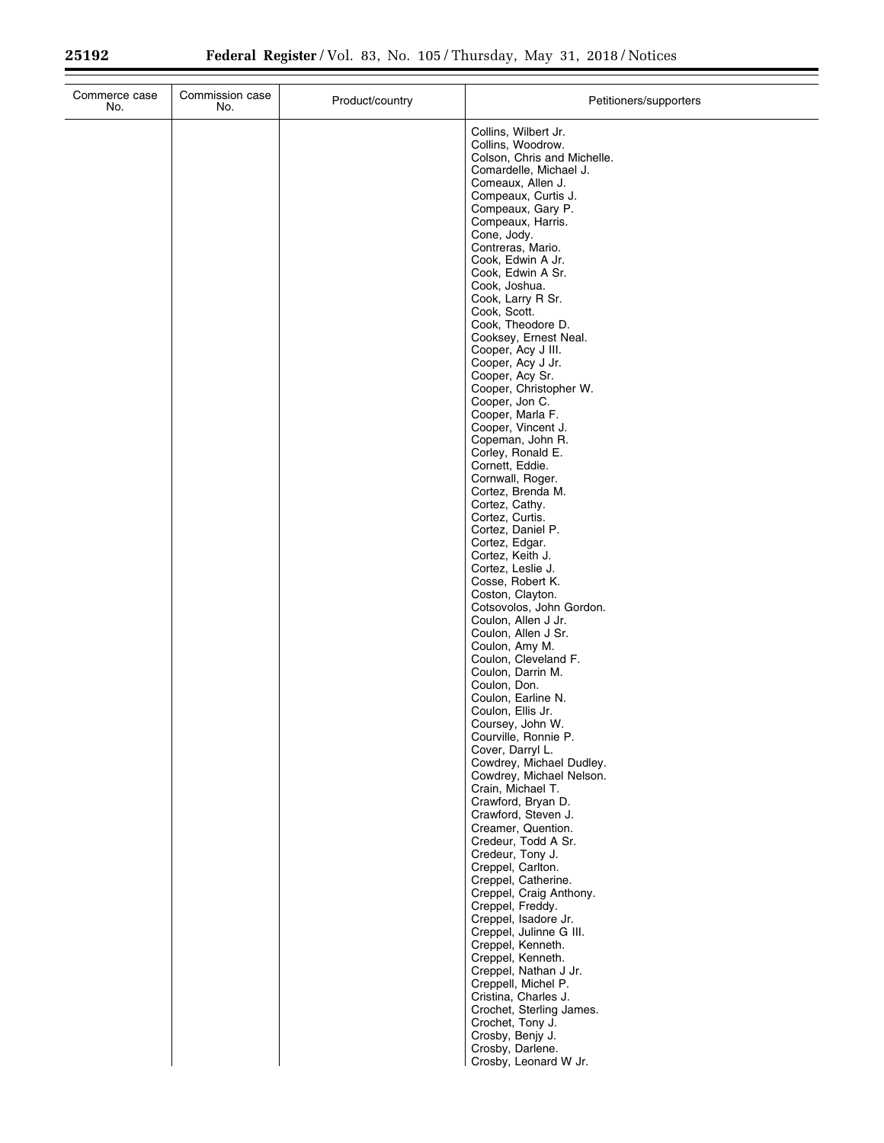| Commerce case<br>No. | Commission case<br>No. | Product/country | Petitioners/supporters                                                                                                                                                                                                                                                                                                                                                                                                                                                                                                                                                                                                                                                                                                                                                                                                                                                                                                                                                                                                                                                                                                                                                                                                                                          |
|----------------------|------------------------|-----------------|-----------------------------------------------------------------------------------------------------------------------------------------------------------------------------------------------------------------------------------------------------------------------------------------------------------------------------------------------------------------------------------------------------------------------------------------------------------------------------------------------------------------------------------------------------------------------------------------------------------------------------------------------------------------------------------------------------------------------------------------------------------------------------------------------------------------------------------------------------------------------------------------------------------------------------------------------------------------------------------------------------------------------------------------------------------------------------------------------------------------------------------------------------------------------------------------------------------------------------------------------------------------|
|                      |                        |                 | Collins, Wilbert Jr.<br>Collins, Woodrow.<br>Colson, Chris and Michelle.<br>Comardelle, Michael J.<br>Comeaux, Allen J.<br>Compeaux, Curtis J.<br>Compeaux, Gary P.<br>Compeaux, Harris.<br>Cone, Jody.<br>Contreras, Mario.<br>Cook, Edwin A Jr.<br>Cook, Edwin A Sr.<br>Cook, Joshua.<br>Cook, Larry R Sr.<br>Cook, Scott.<br>Cook, Theodore D.<br>Cooksey, Ernest Neal.<br>Cooper, Acy J III.<br>Cooper, Acy J Jr.<br>Cooper, Acy Sr.<br>Cooper, Christopher W.<br>Cooper, Jon C.<br>Cooper, Marla F.<br>Cooper, Vincent J.<br>Copeman, John R.<br>Corley, Ronald E.<br>Cornett, Eddie.<br>Cornwall, Roger.<br>Cortez, Brenda M.<br>Cortez, Cathy.<br>Cortez, Curtis.<br>Cortez, Daniel P.<br>Cortez, Edgar.<br>Cortez, Keith J.<br>Cortez, Leslie J.<br>Cosse, Robert K.<br>Coston, Clayton.<br>Cotsovolos, John Gordon.<br>Coulon, Allen J Jr.<br>Coulon, Allen J Sr.<br>Coulon, Amy M.<br>Coulon, Cleveland F.<br>Coulon, Darrin M.<br>Coulon, Don.<br>Coulon, Earline N.<br>Coulon, Ellis Jr.<br>Coursey, John W.<br>Courville, Ronnie P.<br>Cover, Darryl L.<br>Cowdrey, Michael Dudley.<br>Cowdrey, Michael Nelson.<br>Crain, Michael T.<br>Crawford, Bryan D.<br>Crawford, Steven J.<br>Creamer, Quention.<br>Credeur, Todd A Sr.<br>Credeur, Tony J. |
|                      |                        |                 | Creppel, Carlton.                                                                                                                                                                                                                                                                                                                                                                                                                                                                                                                                                                                                                                                                                                                                                                                                                                                                                                                                                                                                                                                                                                                                                                                                                                               |
|                      |                        |                 | Creppel, Catherine.<br>Creppel, Craig Anthony.<br>Creppel, Freddy.<br>Creppel, Isadore Jr.<br>Creppel, Julinne G III.<br>Creppel, Kenneth.<br>Creppel, Kenneth.<br>Creppel, Nathan J Jr.<br>Creppell, Michel P.<br>Cristina, Charles J.<br>Crochet, Sterling James.<br>Crochet, Tony J.<br>Crosby, Benjy J.<br>Crosby, Darlene.<br>Crosby, Leonard W Jr.                                                                                                                                                                                                                                                                                                                                                                                                                                                                                                                                                                                                                                                                                                                                                                                                                                                                                                        |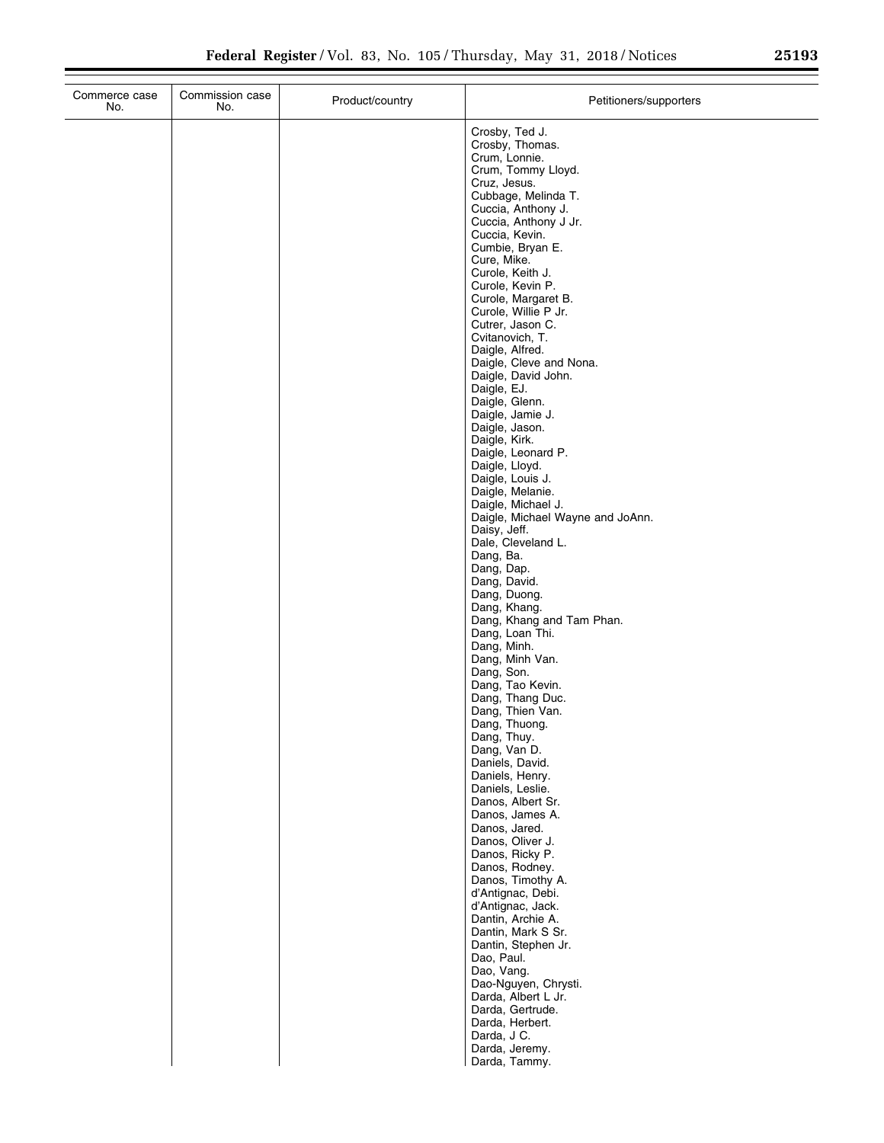| Commerce case<br>No. | Commission case<br>No. | Product/country | Petitioners/supporters                                                                                                                                                                                                                                                                                                                                                                                                                                                                                                                                                                                                                                                                                                                                                                                                                                                                                                                                                                                                                                                                                   |
|----------------------|------------------------|-----------------|----------------------------------------------------------------------------------------------------------------------------------------------------------------------------------------------------------------------------------------------------------------------------------------------------------------------------------------------------------------------------------------------------------------------------------------------------------------------------------------------------------------------------------------------------------------------------------------------------------------------------------------------------------------------------------------------------------------------------------------------------------------------------------------------------------------------------------------------------------------------------------------------------------------------------------------------------------------------------------------------------------------------------------------------------------------------------------------------------------|
|                      |                        |                 | Crosby, Ted J.<br>Crosby, Thomas.<br>Crum, Lonnie.<br>Crum, Tommy Lloyd.<br>Cruz, Jesus.<br>Cubbage, Melinda T.<br>Cuccia, Anthony J.<br>Cuccia, Anthony J Jr.<br>Cuccia, Kevin.<br>Cumbie, Bryan E.<br>Cure, Mike.<br>Curole, Keith J.<br>Curole, Kevin P.<br>Curole, Margaret B.<br>Curole, Willie P Jr.<br>Cutrer, Jason C.<br>Cvitanovich, T.<br>Daigle, Alfred.<br>Daigle, Cleve and Nona.<br>Daigle, David John.<br>Daigle, EJ.<br>Daigle, Glenn.<br>Daigle, Jamie J.<br>Daigle, Jason.<br>Daigle, Kirk.<br>Daigle, Leonard P.<br>Daigle, Lloyd.<br>Daigle, Louis J.<br>Daigle, Melanie.<br>Daigle, Michael J.<br>Daigle, Michael Wayne and JoAnn.<br>Daisy, Jeff.<br>Dale, Cleveland L.<br>Dang, Ba.<br>Dang, Dap.<br>Dang, David.<br>Dang, Duong.<br>Dang, Khang.<br>Dang, Khang and Tam Phan.<br>Dang, Loan Thi.<br>Dang, Minh.<br>Dang, Minh Van.<br>Dang, Son.<br>Dang, Tao Kevin.<br>Dang, Thang Duc.<br>Dang, Thien Van.<br>Dang, Thuong.<br>Dang, Thuy.<br>Dang, Van D.<br>Daniels, David.<br>Daniels, Henry.<br>Daniels, Leslie.<br>Danos, Albert Sr.<br>Danos, James A.<br>Danos, Jared. |
|                      |                        |                 | Danos, Oliver J.<br>Danos, Ricky P.<br>Danos, Rodney.<br>Danos, Timothy A.                                                                                                                                                                                                                                                                                                                                                                                                                                                                                                                                                                                                                                                                                                                                                                                                                                                                                                                                                                                                                               |
|                      |                        |                 | d'Antignac, Debi.<br>d'Antignac, Jack.<br>Dantin, Archie A.<br>Dantin, Mark S Sr.<br>Dantin, Stephen Jr.<br>Dao, Paul.<br>Dao, Vang.                                                                                                                                                                                                                                                                                                                                                                                                                                                                                                                                                                                                                                                                                                                                                                                                                                                                                                                                                                     |
|                      |                        |                 | Dao-Nguyen, Chrysti.<br>Darda, Albert L Jr.<br>Darda, Gertrude.<br>Darda, Herbert.<br>Darda, J C.<br>Darda, Jeremy.<br>Darda, Tammy.                                                                                                                                                                                                                                                                                                                                                                                                                                                                                                                                                                                                                                                                                                                                                                                                                                                                                                                                                                     |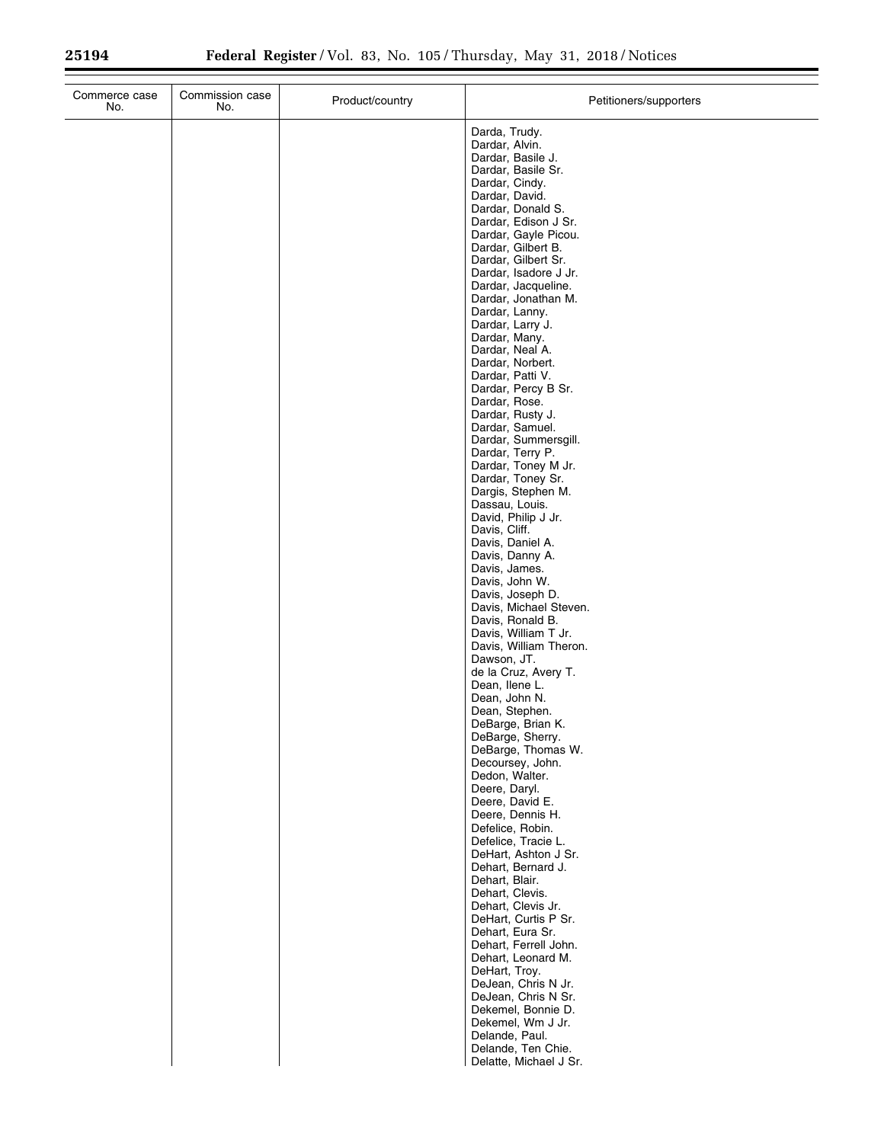| Commerce case<br>No. | Commission case<br>No. | Product/country | Petitioners/supporters                                                                                                                                                                                                                                                                                                                                                                                                                                                                                                                                                                                                                                                                                                                                                                                                                                                                                                                                                                                                                                                                                                                                                                                                                                                                                              |
|----------------------|------------------------|-----------------|---------------------------------------------------------------------------------------------------------------------------------------------------------------------------------------------------------------------------------------------------------------------------------------------------------------------------------------------------------------------------------------------------------------------------------------------------------------------------------------------------------------------------------------------------------------------------------------------------------------------------------------------------------------------------------------------------------------------------------------------------------------------------------------------------------------------------------------------------------------------------------------------------------------------------------------------------------------------------------------------------------------------------------------------------------------------------------------------------------------------------------------------------------------------------------------------------------------------------------------------------------------------------------------------------------------------|
|                      |                        |                 | Darda, Trudy.<br>Dardar, Alvin.<br>Dardar, Basile J.<br>Dardar, Basile Sr.<br>Dardar, Cindy.<br>Dardar, David.<br>Dardar, Donald S.<br>Dardar, Edison J Sr.<br>Dardar, Gayle Picou.<br>Dardar, Gilbert B.<br>Dardar, Gilbert Sr.<br>Dardar, Isadore J Jr.<br>Dardar, Jacqueline.<br>Dardar, Jonathan M.<br>Dardar, Lanny.<br>Dardar, Larry J.<br>Dardar, Many.<br>Dardar, Neal A.<br>Dardar, Norbert.<br>Dardar, Patti V.<br>Dardar, Percy B Sr.<br>Dardar, Rose.<br>Dardar, Rusty J.<br>Dardar, Samuel.<br>Dardar, Summersgill.<br>Dardar, Terry P.<br>Dardar, Toney M Jr.<br>Dardar, Toney Sr.<br>Dargis, Stephen M.<br>Dassau, Louis.<br>David, Philip J Jr.<br>Davis, Cliff.<br>Davis, Daniel A.<br>Davis, Danny A.<br>Davis, James.<br>Davis, John W.<br>Davis, Joseph D.<br>Davis, Michael Steven.<br>Davis, Ronald B.<br>Davis, William T Jr.<br>Davis, William Theron.<br>Dawson, JT.<br>de la Cruz, Avery T.<br>Dean, Ilene L.<br>Dean, John N.<br>Dean, Stephen.<br>DeBarge, Brian K.<br>DeBarge, Sherry.<br>DeBarge, Thomas W.<br>Decoursey, John.<br>Dedon, Walter.<br>Deere, Daryl.<br>Deere, David E.<br>Deere, Dennis H.<br>Defelice, Robin.<br>Defelice, Tracie L.<br>DeHart, Ashton J Sr.<br>Dehart, Bernard J.<br>Dehart, Blair.<br>Dehart, Clevis.<br>Dehart, Clevis Jr.<br>DeHart, Curtis P Sr. |
|                      |                        |                 | Dehart, Eura Sr.<br>Dehart, Ferrell John.<br>Dehart, Leonard M.<br>DeHart, Troy.<br>DeJean, Chris N Jr.<br>DeJean, Chris N Sr.<br>Dekemel, Bonnie D.<br>Dekemel, Wm J Jr.                                                                                                                                                                                                                                                                                                                                                                                                                                                                                                                                                                                                                                                                                                                                                                                                                                                                                                                                                                                                                                                                                                                                           |
|                      |                        |                 | Delande, Paul.<br>Delande, Ten Chie.<br>Delatte, Michael J Sr.                                                                                                                                                                                                                                                                                                                                                                                                                                                                                                                                                                                                                                                                                                                                                                                                                                                                                                                                                                                                                                                                                                                                                                                                                                                      |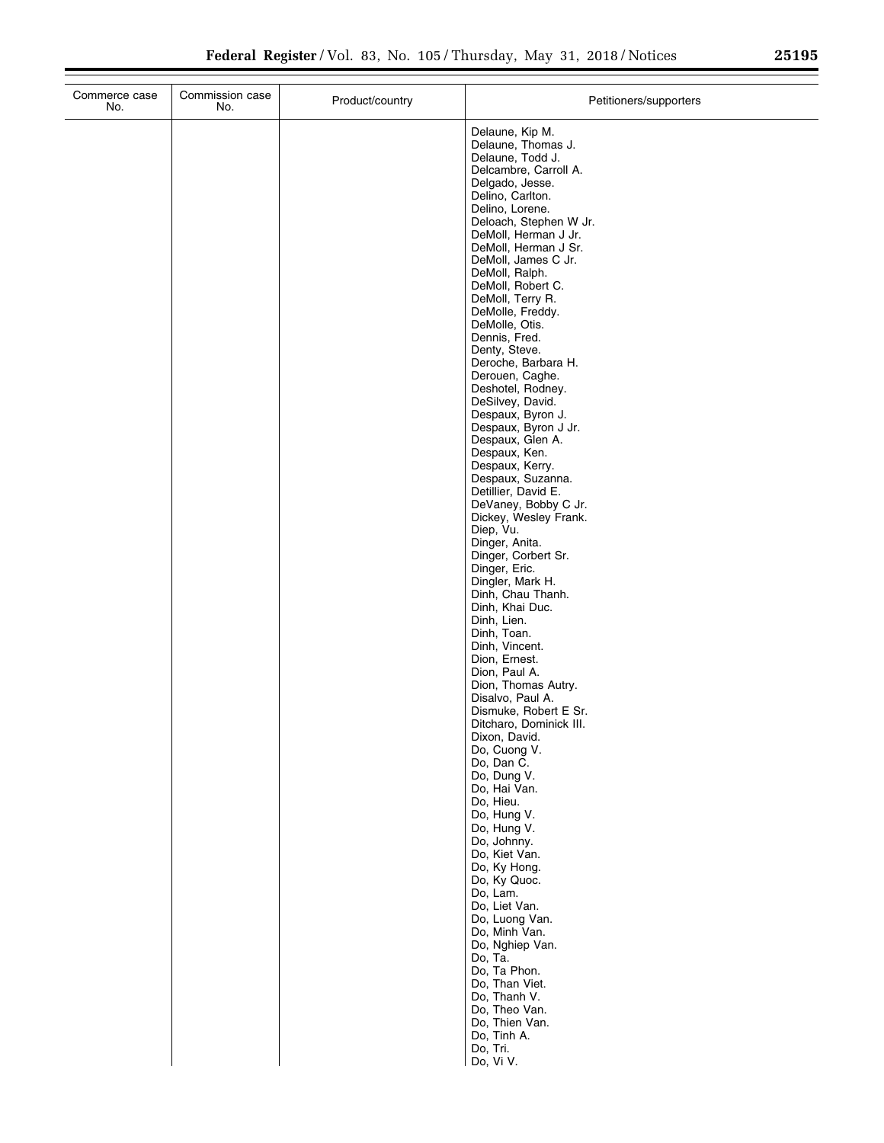÷.

| Commerce case<br>No. | Commission case<br>No. | Product/country | Petitioners/supporters                         |
|----------------------|------------------------|-----------------|------------------------------------------------|
|                      |                        |                 | Delaune, Kip M.                                |
|                      |                        |                 | Delaune, Thomas J.<br>Delaune, Todd J.         |
|                      |                        |                 | Delcambre, Carroll A.                          |
|                      |                        |                 | Delgado, Jesse.<br>Delino, Carlton.            |
|                      |                        |                 | Delino, Lorene.                                |
|                      |                        |                 | Deloach, Stephen W Jr.<br>DeMoll, Herman J Jr. |
|                      |                        |                 | DeMoll, Herman J Sr.                           |
|                      |                        |                 | DeMoll, James C Jr.<br>DeMoll, Ralph.          |
|                      |                        |                 | DeMoll, Robert C.                              |
|                      |                        |                 | DeMoll, Terry R.<br>DeMolle, Freddy.           |
|                      |                        |                 | DeMolle, Otis.                                 |
|                      |                        |                 | Dennis, Fred.                                  |
|                      |                        |                 | Denty, Steve.<br>Deroche, Barbara H.           |
|                      |                        |                 | Derouen, Caghe.                                |
|                      |                        |                 | Deshotel, Rodney.<br>DeSilvey, David.          |
|                      |                        |                 | Despaux, Byron J.                              |
|                      |                        |                 | Despaux, Byron J Jr.<br>Despaux, Glen A.       |
|                      |                        |                 | Despaux, Ken.                                  |
|                      |                        |                 | Despaux, Kerry.<br>Despaux, Suzanna.           |
|                      |                        |                 | Detillier, David E.                            |
|                      |                        |                 | DeVaney, Bobby C Jr.<br>Dickey, Wesley Frank.  |
|                      |                        |                 | Diep, Vu.                                      |
|                      |                        |                 | Dinger, Anita.<br>Dinger, Corbert Sr.          |
|                      |                        |                 | Dinger, Eric.                                  |
|                      |                        |                 | Dingler, Mark H.<br>Dinh, Chau Thanh.          |
|                      |                        |                 | Dinh, Khai Duc.                                |
|                      |                        |                 | Dinh, Lien.<br>Dinh, Toan.                     |
|                      |                        |                 | Dinh, Vincent.                                 |
|                      |                        |                 | Dion, Ernest.<br>Dion, Paul A.                 |
|                      |                        |                 | Dion, Thomas Autry.                            |
|                      |                        |                 | Disalvo, Paul A.<br>Dismuke, Robert E Sr.      |
|                      |                        |                 | Ditcharo, Dominick III.                        |
|                      |                        |                 | Dixon, David.<br>Do, Cuong V.                  |
|                      |                        |                 | Do, Dan C.                                     |
|                      |                        |                 | Do, Dung V.<br>Do, Hai Van.                    |
|                      |                        |                 | Do, Hieu.                                      |
|                      |                        |                 | Do, Hung V.<br>Do, Hung V.                     |
|                      |                        |                 | Do, Johnny.                                    |
|                      |                        |                 | Do, Kiet Van.<br>Do, Ky Hong.                  |
|                      |                        |                 | Do, Ky Quoc.                                   |
|                      |                        |                 | Do, Lam.<br>Do, Liet Van.                      |
|                      |                        |                 | Do, Luong Van.                                 |
|                      |                        |                 | Do, Minh Van.<br>Do, Nghiep Van.               |
|                      |                        |                 | Do, Ta.                                        |
|                      |                        |                 | Do, Ta Phon.<br>Do, Than Viet.                 |
|                      |                        |                 | Do, Thanh V.                                   |
|                      |                        |                 | Do, Theo Van.<br>Do, Thien Van.                |
|                      |                        |                 | Do, Tinh A.                                    |
|                      |                        |                 | Do, Tri.<br>Do, Vi V.                          |
|                      |                        |                 |                                                |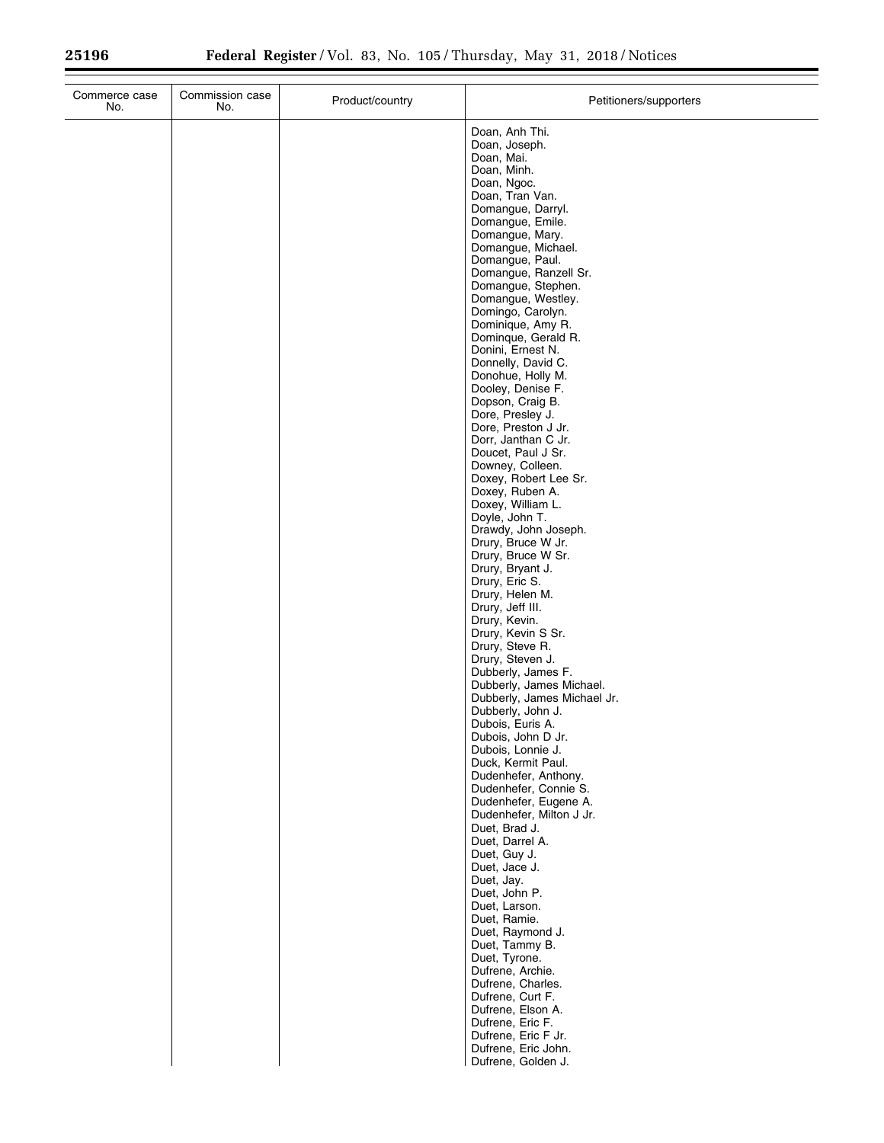| Commerce case<br>No. | Commission case<br>No. | Product/country | Petitioners/supporters                                  |
|----------------------|------------------------|-----------------|---------------------------------------------------------|
|                      |                        |                 | Doan, Anh Thi.                                          |
|                      |                        |                 | Doan, Joseph.                                           |
|                      |                        |                 | Doan, Mai.<br>Doan, Minh.                               |
|                      |                        |                 | Doan, Ngoc.                                             |
|                      |                        |                 | Doan, Tran Van.                                         |
|                      |                        |                 | Domangue, Darryl.                                       |
|                      |                        |                 | Domangue, Emile.<br>Domangue, Mary.                     |
|                      |                        |                 | Domangue, Michael.                                      |
|                      |                        |                 | Domangue, Paul.                                         |
|                      |                        |                 | Domangue, Ranzell Sr.<br>Domangue, Stephen.             |
|                      |                        |                 | Domangue, Westley.                                      |
|                      |                        |                 | Domingo, Carolyn.                                       |
|                      |                        |                 | Dominique, Amy R.                                       |
|                      |                        |                 | Dominque, Gerald R.<br>Donini, Ernest N.                |
|                      |                        |                 | Donnelly, David C.                                      |
|                      |                        |                 | Donohue, Holly M.                                       |
|                      |                        |                 | Dooley, Denise F.                                       |
|                      |                        |                 | Dopson, Craig B.<br>Dore, Presley J.                    |
|                      |                        |                 | Dore, Preston J Jr.                                     |
|                      |                        |                 | Dorr, Janthan C Jr.                                     |
|                      |                        |                 | Doucet, Paul J Sr.                                      |
|                      |                        |                 | Downey, Colleen.<br>Doxey, Robert Lee Sr.               |
|                      |                        |                 | Doxey, Ruben A.                                         |
|                      |                        |                 | Doxey, William L.                                       |
|                      |                        |                 | Doyle, John T.<br>Drawdy, John Joseph.                  |
|                      |                        |                 | Drury, Bruce W Jr.                                      |
|                      |                        |                 | Drury, Bruce W Sr.                                      |
|                      |                        |                 | Drury, Bryant J.<br>Drury, Eric S.                      |
|                      |                        |                 | Drury, Helen M.                                         |
|                      |                        |                 | Drury, Jeff III.                                        |
|                      |                        |                 | Drury, Kevin.                                           |
|                      |                        |                 | Drury, Kevin S Sr.<br>Drury, Steve R.                   |
|                      |                        |                 | Drury, Steven J.                                        |
|                      |                        |                 | Dubberly, James F.                                      |
|                      |                        |                 | Dubberly, James Michael.<br>Dubberly, James Michael Jr. |
|                      |                        |                 | Dubberly, John J.                                       |
|                      |                        |                 | Dubois, Euris A.                                        |
|                      |                        |                 | Dubois, John D Jr.                                      |
|                      |                        |                 | Dubois, Lonnie J.<br>Duck, Kermit Paul.                 |
|                      |                        |                 | Dudenhefer, Anthony.                                    |
|                      |                        |                 | Dudenhefer, Connie S.                                   |
|                      |                        |                 | Dudenhefer, Eugene A.<br>Dudenhefer, Milton J Jr.       |
|                      |                        |                 | Duet, Brad J.                                           |
|                      |                        |                 | Duet, Darrel A.                                         |
|                      |                        |                 | Duet, Guy J.                                            |
|                      |                        |                 | Duet, Jace J.<br>Duet, Jay.                             |
|                      |                        |                 | Duet, John P.                                           |
|                      |                        |                 | Duet, Larson.                                           |
|                      |                        |                 | Duet, Ramie.<br>Duet, Raymond J.                        |
|                      |                        |                 | Duet, Tammy B.                                          |
|                      |                        |                 | Duet, Tyrone.                                           |
|                      |                        |                 | Dufrene, Archie.                                        |
|                      |                        |                 | Dufrene, Charles.<br>Dufrene, Curt F.                   |
|                      |                        |                 | Dufrene, Elson A.                                       |
|                      |                        |                 | Dufrene, Eric F.                                        |
|                      |                        |                 | Dufrene, Eric F Jr.                                     |
|                      |                        |                 | Dufrene, Eric John.<br>Dufrene, Golden J.               |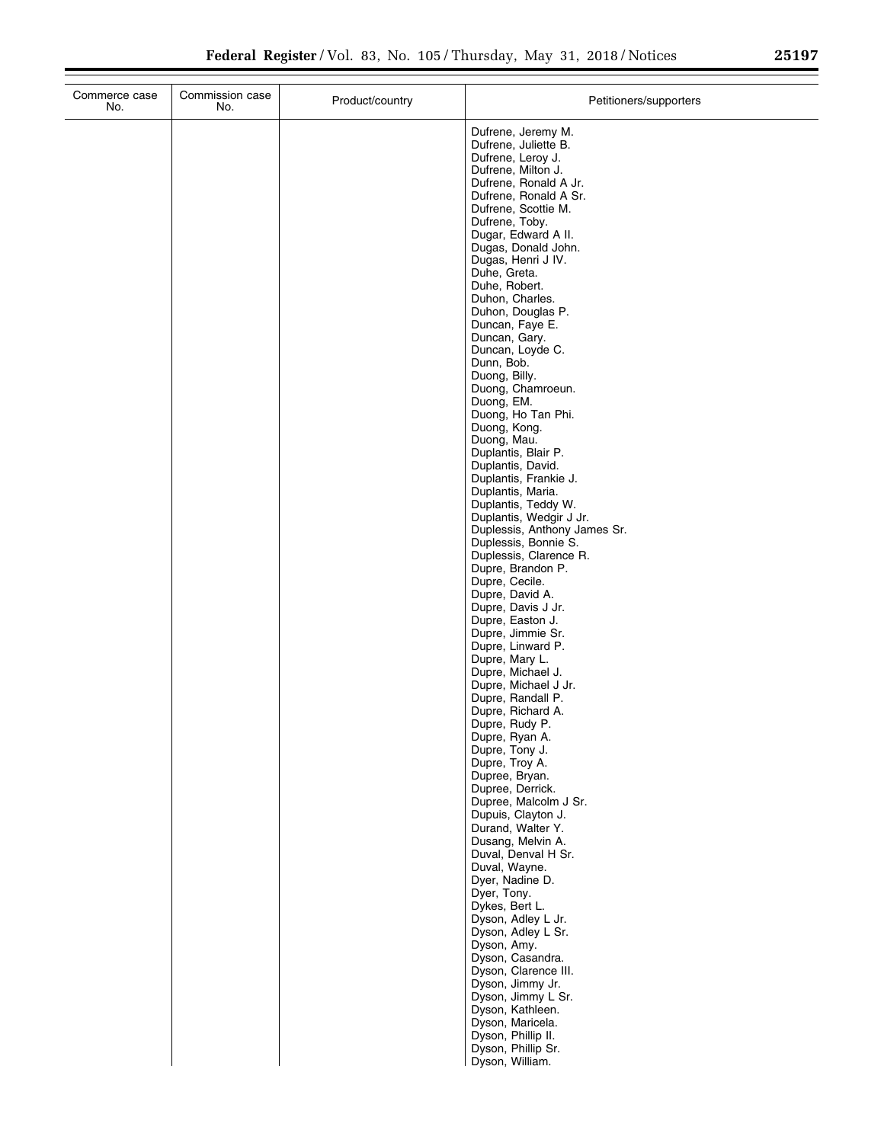| Commerce case<br>No. | Commission case<br>No. | Product/country | Petitioners/supporters                                                                                                                                                                                                                                                                                                                                                                                                                                                                                                                                                                                                                                                                                                                                                                                                                                                                                                                                  |
|----------------------|------------------------|-----------------|---------------------------------------------------------------------------------------------------------------------------------------------------------------------------------------------------------------------------------------------------------------------------------------------------------------------------------------------------------------------------------------------------------------------------------------------------------------------------------------------------------------------------------------------------------------------------------------------------------------------------------------------------------------------------------------------------------------------------------------------------------------------------------------------------------------------------------------------------------------------------------------------------------------------------------------------------------|
|                      |                        |                 | Dufrene, Jeremy M.<br>Dufrene, Juliette B.<br>Dufrene, Leroy J.<br>Dufrene, Milton J.<br>Dufrene, Ronald A Jr.<br>Dufrene, Ronald A Sr.<br>Dufrene, Scottie M.<br>Dufrene, Toby.<br>Dugar, Edward A II.<br>Dugas, Donald John.<br>Dugas, Henri J IV.<br>Duhe, Greta.<br>Duhe, Robert.<br>Duhon, Charles.<br>Duhon, Douglas P.<br>Duncan, Faye E.<br>Duncan, Gary.<br>Duncan, Loyde C.<br>Dunn, Bob.<br>Duong, Billy.<br>Duong, Chamroeun.<br>Duong, EM.<br>Duong, Ho Tan Phi.<br>Duong, Kong.<br>Duong, Mau.<br>Duplantis, Blair P.<br>Duplantis, David.<br>Duplantis, Frankie J.<br>Duplantis, Maria.<br>Duplantis, Teddy W.<br>Duplantis, Wedgir J Jr.<br>Duplessis, Anthony James Sr.<br>Duplessis, Bonnie S.<br>Duplessis, Clarence R.<br>Dupre, Brandon P.<br>Dupre, Cecile.<br>Dupre, David A.<br>Dupre, Davis J Jr.<br>Dupre, Easton J.<br>Dupre, Jimmie Sr.<br>Dupre, Linward P.<br>Dupre, Mary L.<br>Dupre, Michael J.<br>Dupre, Michael J Jr. |
|                      |                        |                 | Dupre, Randall P.<br>Dupre, Richard A.<br>Dupre, Rudy P.                                                                                                                                                                                                                                                                                                                                                                                                                                                                                                                                                                                                                                                                                                                                                                                                                                                                                                |
|                      |                        |                 | Dupre, Ryan A.<br>Dupre, Tony J.<br>Dupre, Troy A.<br>Dupree, Bryan.<br>Dupree, Derrick.<br>Dupree, Malcolm J Sr.<br>Dupuis, Clayton J.<br>Durand, Walter Y.<br>Dusang, Melvin A.<br>Duval, Denval H Sr.                                                                                                                                                                                                                                                                                                                                                                                                                                                                                                                                                                                                                                                                                                                                                |
|                      |                        |                 | Duval, Wayne.<br>Dyer, Nadine D.<br>Dyer, Tony.<br>Dykes, Bert L.<br>Dyson, Adley L Jr.<br>Dyson, Adley L Sr.<br>Dyson, Amy.<br>Dyson, Casandra.<br>Dyson, Clarence III.                                                                                                                                                                                                                                                                                                                                                                                                                                                                                                                                                                                                                                                                                                                                                                                |
|                      |                        |                 | Dyson, Jimmy Jr.<br>Dyson, Jimmy L Sr.<br>Dyson, Kathleen.<br>Dyson, Maricela.<br>Dyson, Phillip II.<br>Dyson, Phillip Sr.<br>Dyson, William.                                                                                                                                                                                                                                                                                                                                                                                                                                                                                                                                                                                                                                                                                                                                                                                                           |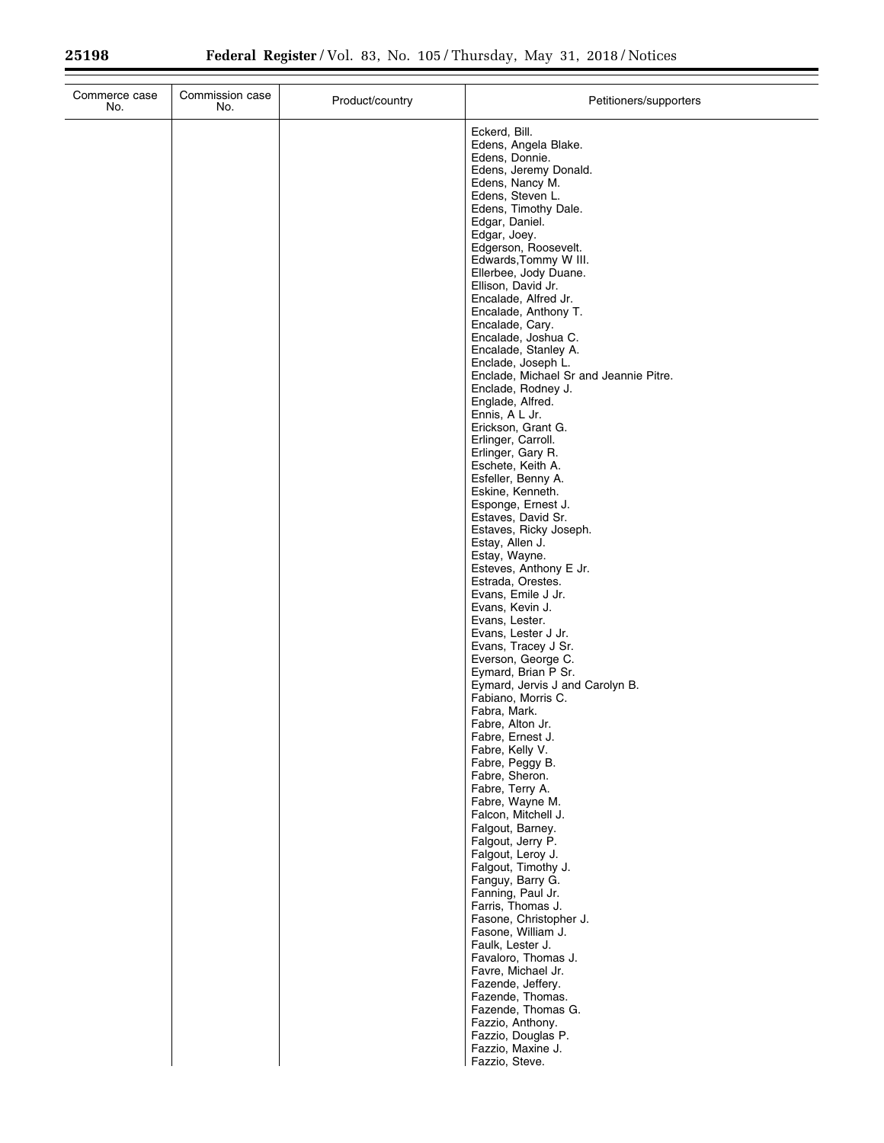| Commerce case<br>No. | Commission case<br>No. | Product/country | Petitioners/supporters                                       |
|----------------------|------------------------|-----------------|--------------------------------------------------------------|
|                      |                        |                 | Eckerd, Bill.                                                |
|                      |                        |                 | Edens, Angela Blake.<br>Edens, Donnie.                       |
|                      |                        |                 | Edens, Jeremy Donald.                                        |
|                      |                        |                 | Edens, Nancy M.<br>Edens, Steven L.                          |
|                      |                        |                 | Edens, Timothy Dale.                                         |
|                      |                        |                 | Edgar, Daniel.                                               |
|                      |                        |                 | Edgar, Joey.<br>Edgerson, Roosevelt.                         |
|                      |                        |                 | Edwards, Tommy W III.                                        |
|                      |                        |                 | Ellerbee, Jody Duane.<br>Ellison, David Jr.                  |
|                      |                        |                 | Encalade, Alfred Jr.                                         |
|                      |                        |                 | Encalade, Anthony T.<br>Encalade, Cary.                      |
|                      |                        |                 | Encalade, Joshua C.                                          |
|                      |                        |                 | Encalade, Stanley A.                                         |
|                      |                        |                 | Enclade, Joseph L.<br>Enclade, Michael Sr and Jeannie Pitre. |
|                      |                        |                 | Enclade, Rodney J.                                           |
|                      |                        |                 | Englade, Alfred.<br>Ennis, A L Jr.                           |
|                      |                        |                 | Erickson, Grant G.                                           |
|                      |                        |                 | Erlinger, Carroll.<br>Erlinger, Gary R.                      |
|                      |                        |                 | Eschete, Keith A.                                            |
|                      |                        |                 | Esfeller, Benny A.                                           |
|                      |                        |                 | Eskine, Kenneth.<br>Esponge, Ernest J.                       |
|                      |                        |                 | Estaves, David Sr.                                           |
|                      |                        |                 | Estaves, Ricky Joseph.<br>Estay, Allen J.                    |
|                      |                        |                 | Estay, Wayne.                                                |
|                      |                        |                 | Esteves, Anthony E Jr.<br>Estrada, Orestes.                  |
|                      |                        |                 | Evans, Emile J Jr.                                           |
|                      |                        |                 | Evans, Kevin J.<br>Evans, Lester.                            |
|                      |                        |                 | Evans, Lester J Jr.                                          |
|                      |                        |                 | Evans, Tracey J Sr.<br>Everson, George C.                    |
|                      |                        |                 | Eymard, Brian P Sr.                                          |
|                      |                        |                 | Eymard, Jervis J and Carolyn B.<br>Fabiano, Morris C.        |
|                      |                        |                 | Fabra, Mark.                                                 |
|                      |                        |                 | Fabre, Alton Jr.                                             |
|                      |                        |                 | Fabre, Ernest J.<br>Fabre, Kelly V.                          |
|                      |                        |                 | Fabre, Peggy B.                                              |
|                      |                        |                 | Fabre, Sheron.<br>Fabre, Terry A.                            |
|                      |                        |                 | Fabre, Wayne M.                                              |
|                      |                        |                 | Falcon, Mitchell J.<br>Falgout, Barney.                      |
|                      |                        |                 | Falgout, Jerry P.                                            |
|                      |                        |                 | Falgout, Leroy J.<br>Falgout, Timothy J.                     |
|                      |                        |                 | Fanguy, Barry G.                                             |
|                      |                        |                 | Fanning, Paul Jr.<br>Farris, Thomas J.                       |
|                      |                        |                 | Fasone, Christopher J.                                       |
|                      |                        |                 | Fasone, William J.<br>Faulk, Lester J.                       |
|                      |                        |                 | Favaloro, Thomas J.                                          |
|                      |                        |                 | Favre, Michael Jr.                                           |
|                      |                        |                 | Fazende, Jeffery.<br>Fazende, Thomas.                        |
|                      |                        |                 | Fazende, Thomas G.                                           |
|                      |                        |                 | Fazzio, Anthony.<br>Fazzio, Douglas P.                       |
|                      |                        |                 | Fazzio, Maxine J.                                            |
|                      |                        |                 | Fazzio, Steve.                                               |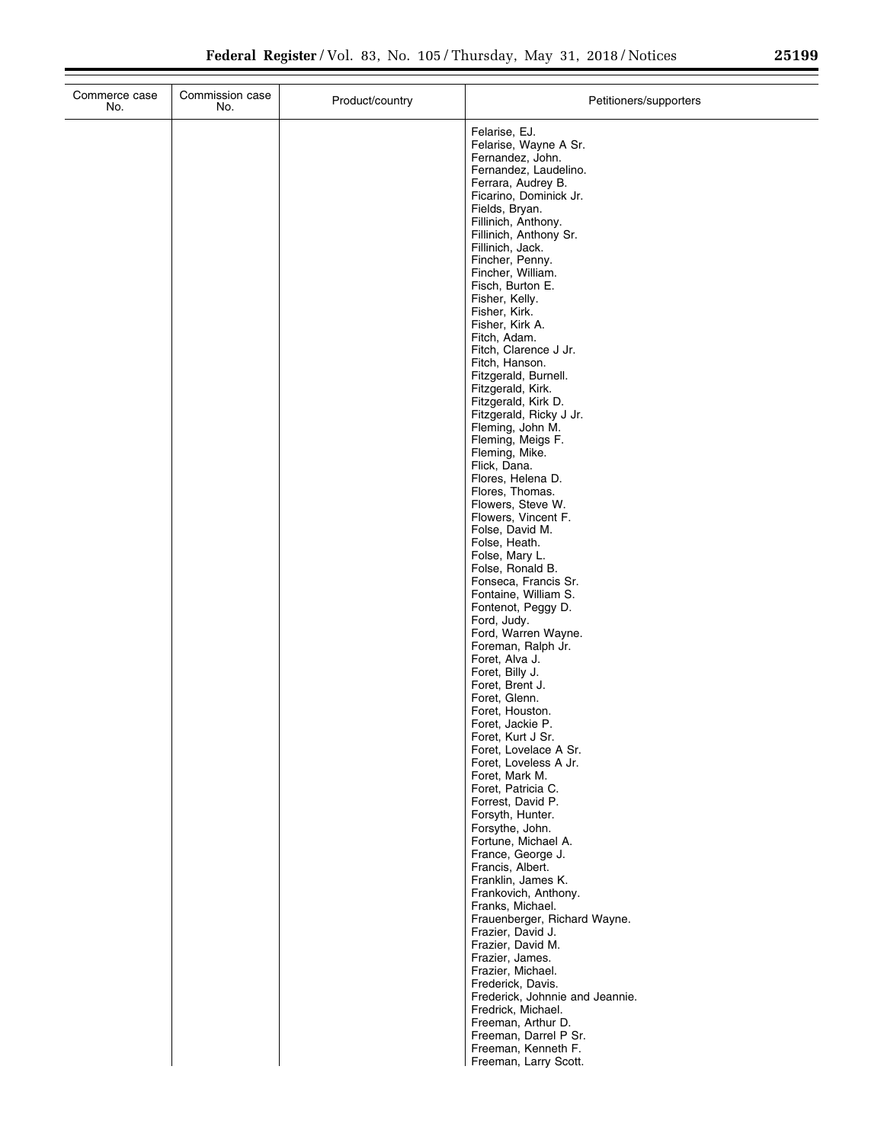| Commerce case<br>No. | Commission case<br>No. | Product/country | Petitioners/supporters                                                                                                                                                                                                                                                                                                                                                                                                                                                                                                                                                                                                                                                                                                      |
|----------------------|------------------------|-----------------|-----------------------------------------------------------------------------------------------------------------------------------------------------------------------------------------------------------------------------------------------------------------------------------------------------------------------------------------------------------------------------------------------------------------------------------------------------------------------------------------------------------------------------------------------------------------------------------------------------------------------------------------------------------------------------------------------------------------------------|
|                      |                        |                 | Felarise, EJ.<br>Felarise, Wayne A Sr.<br>Fernandez, John.<br>Fernandez, Laudelino.<br>Ferrara, Audrey B.<br>Ficarino, Dominick Jr.<br>Fields, Bryan.<br>Fillinich, Anthony.<br>Fillinich, Anthony Sr.<br>Fillinich, Jack.<br>Fincher, Penny.<br>Fincher, William.<br>Fisch, Burton E.<br>Fisher, Kelly.<br>Fisher, Kirk.<br>Fisher, Kirk A.<br>Fitch, Adam.<br>Fitch, Clarence J Jr.<br>Fitch, Hanson.<br>Fitzgerald, Burnell.<br>Fitzgerald, Kirk.<br>Fitzgerald, Kirk D.<br>Fitzgerald, Ricky J Jr.<br>Fleming, John M.<br>Fleming, Meigs F.<br>Fleming, Mike.<br>Flick, Dana.<br>Flores, Helena D.<br>Flores, Thomas.<br>Flowers, Steve W.<br>Flowers, Vincent F.<br>Folse, David M.<br>Folse, Heath.<br>Folse, Mary L. |
|                      |                        |                 | Folse, Ronald B.<br>Fonseca, Francis Sr.<br>Fontaine, William S.<br>Fontenot, Peggy D.<br>Ford, Judy.<br>Ford, Warren Wayne.<br>Foreman, Ralph Jr.<br>Foret, Alva J.<br>Foret, Billy J.<br>Foret, Brent J.<br>Foret, Glenn.<br>Foret, Houston.<br>Foret, Jackie P.<br>Foret, Kurt J Sr.<br>Foret, Lovelace A Sr.<br>Foret, Loveless A Jr.<br>Foret, Mark M.<br>Foret, Patricia C.<br>Forrest, David P.<br>Forsyth, Hunter.<br>Forsythe, John.<br>Fortune, Michael A.<br>France, George J.<br>Francis, Albert.<br>Franklin, James K.<br>Frankovich, Anthony.<br>Franks, Michael.<br>Frauenberger, Richard Wayne.                                                                                                             |
|                      |                        |                 | Frazier, David J.<br>Frazier, David M.<br>Frazier, James.<br>Frazier, Michael.<br>Frederick, Davis.<br>Frederick, Johnnie and Jeannie.<br>Fredrick, Michael.<br>Freeman, Arthur D.<br>Freeman, Darrel P Sr.<br>Freeman, Kenneth F.<br>Freeman, Larry Scott.                                                                                                                                                                                                                                                                                                                                                                                                                                                                 |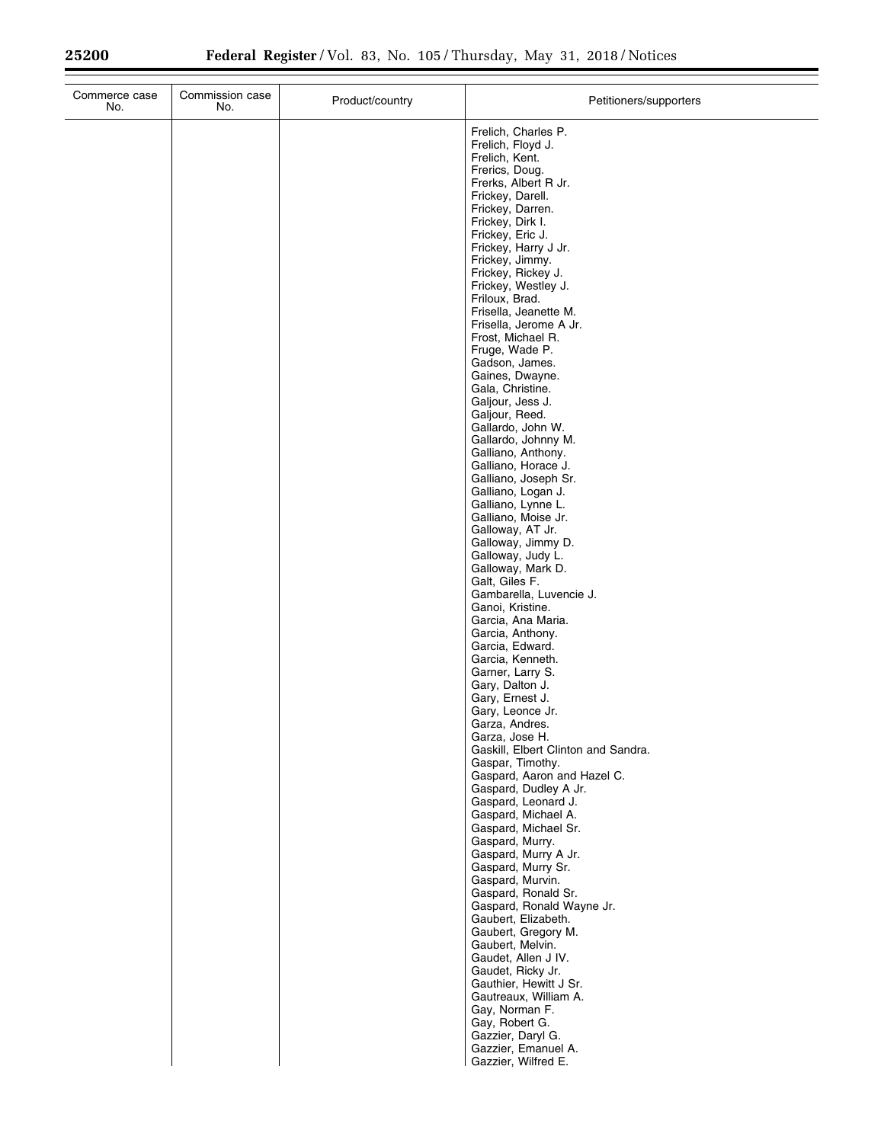| Commerce case<br>No. | Commission case<br>No. | Product/country | Petitioners/supporters                                                                                                                                                                                                                                                                                                                                                                                                                                                                                                                                                                                                                                                                                                                                                                                                                                                                                                                                                                                                                                                                                                                                                                                                                                                                                                                                                                                                                                                                                                                                   |
|----------------------|------------------------|-----------------|----------------------------------------------------------------------------------------------------------------------------------------------------------------------------------------------------------------------------------------------------------------------------------------------------------------------------------------------------------------------------------------------------------------------------------------------------------------------------------------------------------------------------------------------------------------------------------------------------------------------------------------------------------------------------------------------------------------------------------------------------------------------------------------------------------------------------------------------------------------------------------------------------------------------------------------------------------------------------------------------------------------------------------------------------------------------------------------------------------------------------------------------------------------------------------------------------------------------------------------------------------------------------------------------------------------------------------------------------------------------------------------------------------------------------------------------------------------------------------------------------------------------------------------------------------|
|                      |                        |                 | Frelich, Charles P.<br>Frelich, Floyd J.<br>Frelich, Kent.<br>Frerics, Doug.<br>Frerks, Albert R Jr.<br>Frickey, Darell.<br>Frickey, Darren.<br>Frickey, Dirk I.<br>Frickey, Eric J.<br>Frickey, Harry J Jr.<br>Frickey, Jimmy.<br>Frickey, Rickey J.<br>Frickey, Westley J.<br>Friloux, Brad.<br>Frisella, Jeanette M.<br>Frisella, Jerome A Jr.<br>Frost, Michael R.<br>Fruge, Wade P.<br>Gadson, James.<br>Gaines, Dwayne.<br>Gala, Christine.<br>Galjour, Jess J.<br>Galjour, Reed.<br>Gallardo, John W.<br>Gallardo, Johnny M.<br>Galliano, Anthony.<br>Galliano, Horace J.<br>Galliano, Joseph Sr.<br>Galliano, Logan J.<br>Galliano, Lynne L.<br>Galliano, Moise Jr.<br>Galloway, AT Jr.<br>Galloway, Jimmy D.<br>Galloway, Judy L.<br>Galloway, Mark D.<br>Galt, Giles F.<br>Gambarella, Luvencie J.<br>Ganoi, Kristine.<br>Garcia, Ana Maria.<br>Garcia, Anthony.<br>Garcia, Edward.<br>Garcia, Kenneth.<br>Garner, Larry S.<br>Gary, Dalton J.<br>Gary, Ernest J.<br>Gary, Leonce Jr.<br>Garza, Andres.<br>Garza, Jose H.<br>Gaskill, Elbert Clinton and Sandra.<br>Gaspar, Timothy.<br>Gaspard, Aaron and Hazel C.<br>Gaspard, Dudley A Jr.<br>Gaspard, Leonard J.<br>Gaspard, Michael A.<br>Gaspard, Michael Sr.<br>Gaspard, Murry.<br>Gaspard, Murry A Jr.<br>Gaspard, Murry Sr.<br>Gaspard, Murvin.<br>Gaspard, Ronald Sr.<br>Gaspard, Ronald Wayne Jr.<br>Gaubert, Elizabeth.<br>Gaubert, Gregory M.<br>Gaubert, Melvin.<br>Gaudet, Allen J IV.<br>Gaudet, Ricky Jr.<br>Gauthier, Hewitt J Sr.<br>Gautreaux, William A.<br>Gay, Norman F. |
|                      |                        |                 | Gay, Robert G.<br>Gazzier, Daryl G.<br>Gazzier, Emanuel A.<br>Gazzier, Wilfred E.                                                                                                                                                                                                                                                                                                                                                                                                                                                                                                                                                                                                                                                                                                                                                                                                                                                                                                                                                                                                                                                                                                                                                                                                                                                                                                                                                                                                                                                                        |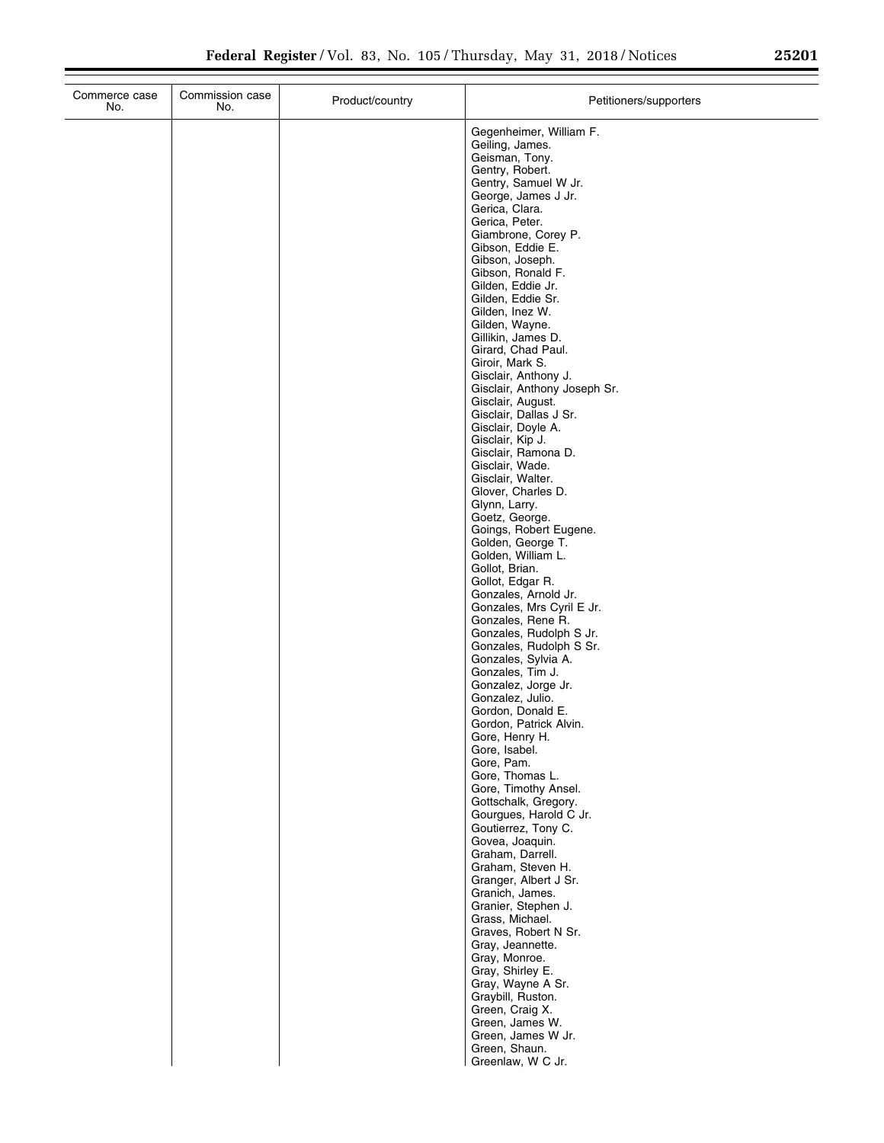| Commerce case<br>No. | Commission case<br>No. | Product/country | Petitioners/supporters                                                                                                                                                                                             |
|----------------------|------------------------|-----------------|--------------------------------------------------------------------------------------------------------------------------------------------------------------------------------------------------------------------|
|                      |                        |                 | Gegenheimer, William F.<br>Geiling, James.<br>Geisman, Tony.<br>Gentry, Robert.<br>Gentry, Samuel W Jr.<br>George, James J Jr.<br>Gerica, Clara.<br>Gerica, Peter.<br>Giambrone, Corey P.<br>Gibson, Eddie E.      |
|                      |                        |                 | Gibson, Joseph.<br>Gibson, Ronald F.<br>Gilden, Eddie Jr.<br>Gilden, Eddie Sr.<br>Gilden, Inez W.<br>Gilden, Wayne.<br>Gillikin, James D.<br>Girard, Chad Paul.<br>Giroir, Mark S.                                 |
|                      |                        |                 | Gisclair, Anthony J.<br>Gisclair, Anthony Joseph Sr.<br>Gisclair, August.<br>Gisclair, Dallas J Sr.<br>Gisclair, Doyle A.<br>Gisclair, Kip J.<br>Gisclair, Ramona D.<br>Gisclair, Wade.<br>Gisclair, Walter.       |
|                      |                        |                 | Glover, Charles D.<br>Glynn, Larry.<br>Goetz, George.<br>Goings, Robert Eugene.<br>Golden, George T.<br>Golden, William L.<br>Gollot, Brian.<br>Gollot, Edgar R.                                                   |
|                      |                        |                 | Gonzales, Arnold Jr.<br>Gonzales, Mrs Cyril E Jr.<br>Gonzales, Rene R.<br>Gonzales, Rudolph S Jr.<br>Gonzales, Rudolph S Sr.<br>Gonzales, Sylvia A.<br>Gonzales, Tim J.<br>Gonzalez, Jorge Jr.<br>Gonzalez, Julio. |
|                      |                        |                 | Gordon, Donald E.<br>Gordon, Patrick Alvin.<br>Gore, Henry H.<br>Gore, Isabel.<br>Gore, Pam.<br>Gore, Thomas L.<br>Gore, Timothy Ansel.<br>Gottschalk, Gregory.                                                    |
|                      |                        |                 | Gourgues, Harold C Jr.<br>Goutierrez, Tony C.<br>Govea, Joaquin.<br>Graham, Darrell.<br>Graham, Steven H.<br>Granger, Albert J Sr.<br>Granich, James.<br>Granier, Stephen J.                                       |
|                      |                        |                 | Grass, Michael.<br>Graves, Robert N Sr.<br>Gray, Jeannette.<br>Gray, Monroe.<br>Gray, Shirley E.<br>Gray, Wayne A Sr.<br>Graybill, Ruston.                                                                         |
|                      |                        |                 | Green, Craig X.<br>Green, James W.<br>Green, James W Jr.<br>Green, Shaun.<br>Greenlaw, W C Jr.                                                                                                                     |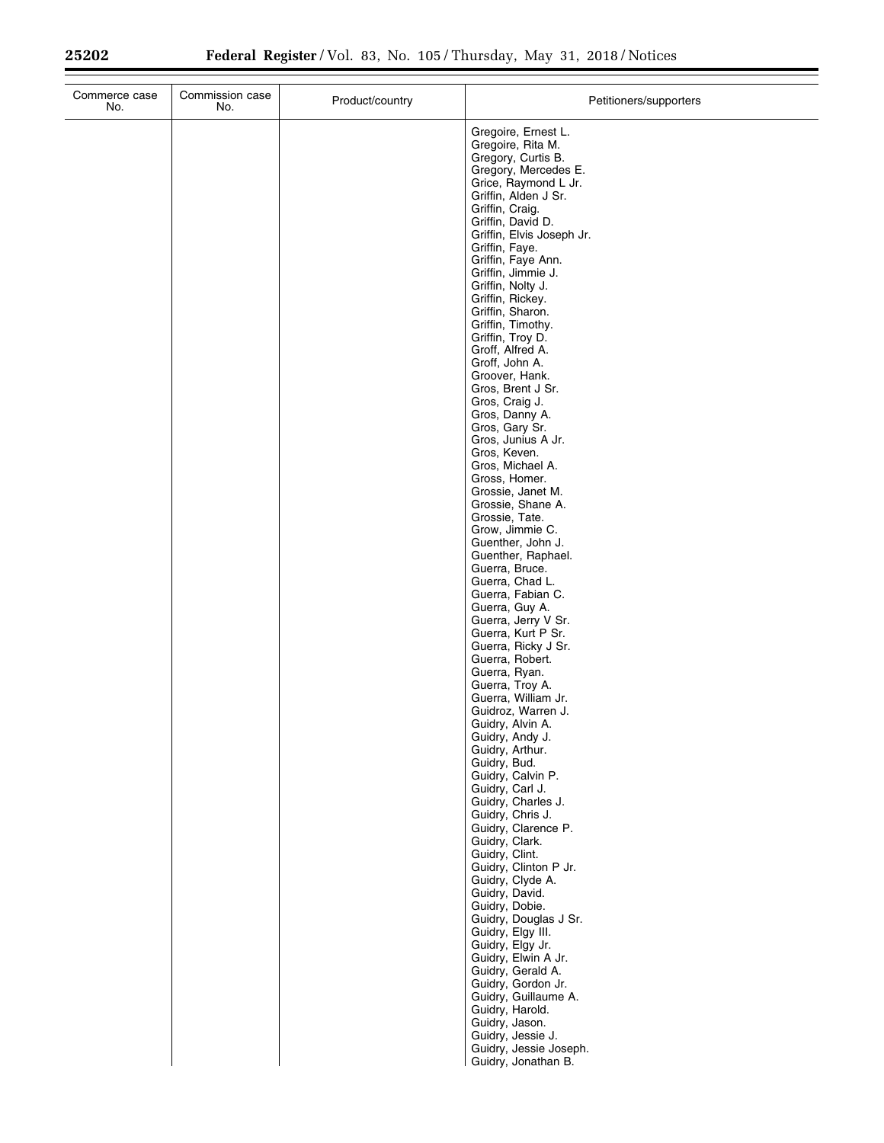| Commerce case<br>No. | Commission case<br>No. | Product/country | Petitioners/supporters                                         |
|----------------------|------------------------|-----------------|----------------------------------------------------------------|
|                      |                        |                 | Gregoire, Ernest L.<br>Gregoire, Rita M.<br>Gregory, Curtis B. |
|                      |                        |                 | Gregory, Mercedes E.<br>Grice, Raymond L Jr.                   |
|                      |                        |                 | Griffin, Alden J Sr.<br>Griffin, Craig.                        |
|                      |                        |                 | Griffin, David D.<br>Griffin, Elvis Joseph Jr.                 |
|                      |                        |                 | Griffin, Faye.<br>Griffin, Faye Ann.                           |
|                      |                        |                 | Griffin, Jimmie J.<br>Griffin, Nolty J.                        |
|                      |                        |                 | Griffin, Rickey.<br>Griffin, Sharon.                           |
|                      |                        |                 | Griffin, Timothy.<br>Griffin, Troy D.                          |
|                      |                        |                 | Groff, Alfred A.<br>Groff, John A.                             |
|                      |                        |                 | Groover, Hank.<br>Gros, Brent J Sr.                            |
|                      |                        |                 | Gros, Craig J.<br>Gros, Danny A.                               |
|                      |                        |                 | Gros, Gary Sr.<br>Gros, Junius A Jr.                           |
|                      |                        |                 | Gros, Keven.<br>Gros, Michael A.                               |
|                      |                        |                 | Gross, Homer.                                                  |
|                      |                        |                 | Grossie, Janet M.<br>Grossie, Shane A.                         |
|                      |                        |                 | Grossie, Tate.<br>Grow, Jimmie C.                              |
|                      |                        |                 | Guenther, John J.<br>Guenther, Raphael.                        |
|                      |                        |                 | Guerra, Bruce.<br>Guerra, Chad L.                              |
|                      |                        |                 | Guerra, Fabian C.<br>Guerra, Guy A.                            |
|                      |                        |                 | Guerra, Jerry V Sr.<br>Guerra, Kurt P Sr.                      |
|                      |                        |                 | Guerra, Ricky J Sr.<br>Guerra, Robert.                         |
|                      |                        |                 | Guerra, Ryan.<br>Guerra, Troy A.                               |
|                      |                        |                 | Guerra, William Jr.<br>Guidroz, Warren J.                      |
|                      |                        |                 | Guidry, Alvin A.<br>Guidry, Andy J.                            |
|                      |                        |                 | Guidry, Arthur.<br>Guidry, Bud.                                |
|                      |                        |                 | Guidry, Calvin P.<br>Guidry, Carl J.                           |
|                      |                        |                 | Guidry, Charles J.                                             |
|                      |                        |                 | Guidry, Chris J.<br>Guidry, Clarence P.                        |
|                      |                        |                 | Guidry, Clark.<br>Guidry, Clint.                               |
|                      |                        |                 | Guidry, Clinton P Jr.<br>Guidry, Clyde A.                      |
|                      |                        |                 | Guidry, David.<br>Guidry, Dobie.                               |
|                      |                        |                 | Guidry, Douglas J Sr.<br>Guidry, Elgy III.                     |
|                      |                        |                 | Guidry, Elgy Jr.<br>Guidry, Elwin A Jr.                        |
|                      |                        |                 | Guidry, Gerald A.<br>Guidry, Gordon Jr.                        |
|                      |                        |                 | Guidry, Guillaume A.<br>Guidry, Harold.                        |
|                      |                        |                 | Guidry, Jason.<br>Guidry, Jessie J.                            |
|                      |                        |                 | Guidry, Jessie Joseph.<br>Guidry, Jonathan B.                  |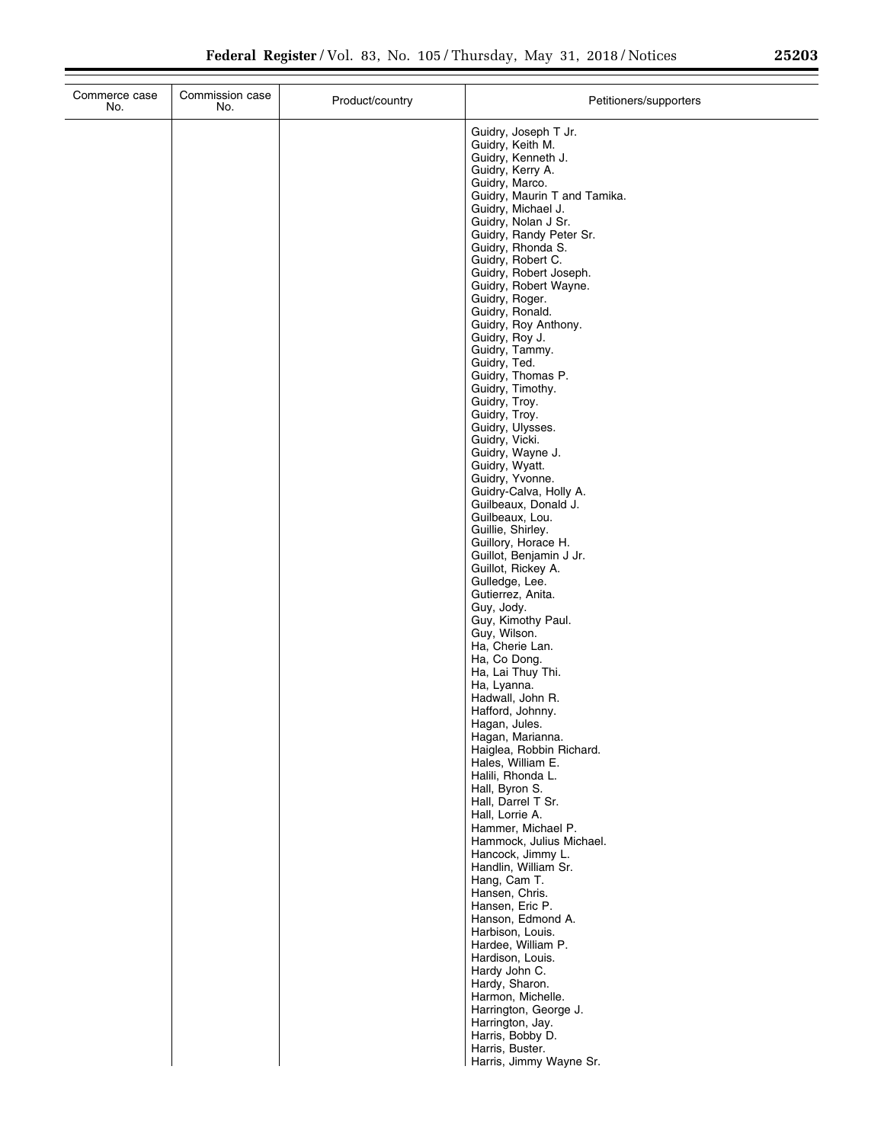| Commerce case<br>No. | Commission case<br>No. | Product/country | Petitioners/supporters                                                                                                                                                                                                                                                                                                                                                                                                                                                                                                                                                                                                                                                                                                                                                                                                                                                                                                                                                                                                                                                                                                                                                                                                                                                                                                                                                    |
|----------------------|------------------------|-----------------|---------------------------------------------------------------------------------------------------------------------------------------------------------------------------------------------------------------------------------------------------------------------------------------------------------------------------------------------------------------------------------------------------------------------------------------------------------------------------------------------------------------------------------------------------------------------------------------------------------------------------------------------------------------------------------------------------------------------------------------------------------------------------------------------------------------------------------------------------------------------------------------------------------------------------------------------------------------------------------------------------------------------------------------------------------------------------------------------------------------------------------------------------------------------------------------------------------------------------------------------------------------------------------------------------------------------------------------------------------------------------|
|                      |                        |                 | Guidry, Joseph T Jr.<br>Guidry, Keith M.<br>Guidry, Kenneth J.<br>Guidry, Kerry A.<br>Guidry, Marco.<br>Guidry, Maurin T and Tamika.<br>Guidry, Michael J.<br>Guidry, Nolan J Sr.<br>Guidry, Randy Peter Sr.<br>Guidry, Rhonda S.<br>Guidry, Robert C.<br>Guidry, Robert Joseph.<br>Guidry, Robert Wayne.<br>Guidry, Roger.<br>Guidry, Ronald.<br>Guidry, Roy Anthony.<br>Guidry, Roy J.<br>Guidry, Tammy.<br>Guidry, Ted.<br>Guidry, Thomas P.<br>Guidry, Timothy.<br>Guidry, Troy.<br>Guidry, Troy.<br>Guidry, Ulysses.<br>Guidry, Vicki.<br>Guidry, Wayne J.<br>Guidry, Wyatt.<br>Guidry, Yvonne.<br>Guidry-Calva, Holly A.<br>Guilbeaux, Donald J.<br>Guilbeaux, Lou.<br>Guillie, Shirley.<br>Guillory, Horace H.<br>Guillot, Benjamin J Jr.<br>Guillot, Rickey A.<br>Gulledge, Lee.<br>Gutierrez, Anita.<br>Guy, Jody.<br>Guy, Kimothy Paul.<br>Guy, Wilson.<br>Ha, Cherie Lan.<br>Ha, Co Dong.<br>Ha, Lai Thuy Thi.<br>Ha, Lyanna.<br>Hadwall, John R.<br>Hafford, Johnny.<br>Hagan, Jules.<br>Hagan, Marianna.<br>Haiglea, Robbin Richard.<br>Hales, William E.<br>Halili, Rhonda L.<br>Hall, Byron S.<br>Hall, Darrel T Sr.<br>Hall, Lorrie A.<br>Hammer, Michael P.<br>Hammock, Julius Michael.<br>Hancock, Jimmy L.<br>Handlin, William Sr.<br>Hang, Cam T.<br>Hansen, Chris.<br>Hansen, Eric P.<br>Hanson, Edmond A.<br>Harbison, Louis.<br>Hardee, William P. |
|                      |                        |                 | Hardison, Louis.<br>Hardy John C.<br>Hardy, Sharon.<br>Harmon, Michelle.<br>Harrington, George J.                                                                                                                                                                                                                                                                                                                                                                                                                                                                                                                                                                                                                                                                                                                                                                                                                                                                                                                                                                                                                                                                                                                                                                                                                                                                         |
|                      |                        |                 | Harrington, Jay.<br>Harris, Bobby D.<br>Harris, Buster.<br>Harris, Jimmy Wayne Sr.                                                                                                                                                                                                                                                                                                                                                                                                                                                                                                                                                                                                                                                                                                                                                                                                                                                                                                                                                                                                                                                                                                                                                                                                                                                                                        |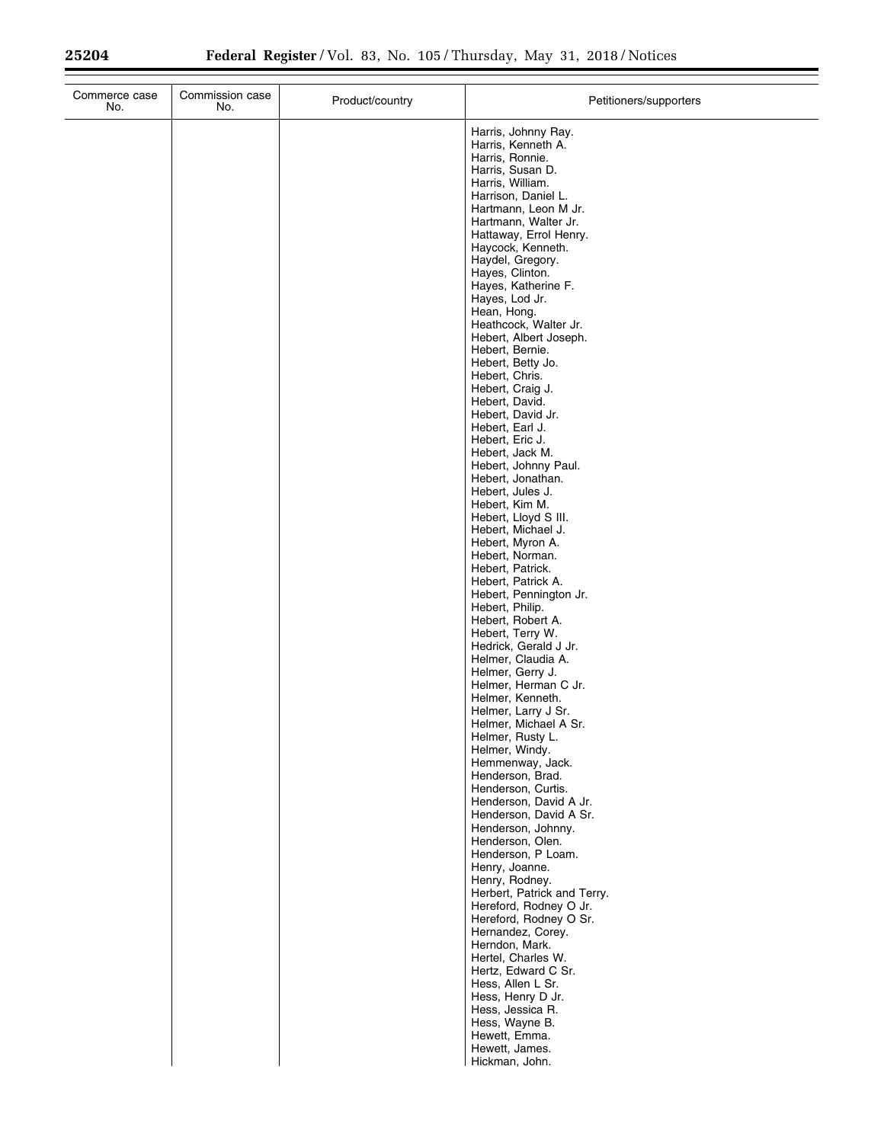| Commerce case<br>No. | Commission case<br>No. | Product/country | Petitioners/supporters                                       |
|----------------------|------------------------|-----------------|--------------------------------------------------------------|
|                      |                        |                 | Harris, Johnny Ray.<br>Harris, Kenneth A.<br>Harris, Ronnie. |
|                      |                        |                 | Harris, Susan D.                                             |
|                      |                        |                 | Harris, William.                                             |
|                      |                        |                 | Harrison, Daniel L.<br>Hartmann, Leon M Jr.                  |
|                      |                        |                 | Hartmann, Walter Jr.                                         |
|                      |                        |                 | Hattaway, Errol Henry.<br>Haycock, Kenneth.                  |
|                      |                        |                 | Haydel, Gregory.                                             |
|                      |                        |                 | Hayes, Clinton.<br>Hayes, Katherine F.                       |
|                      |                        |                 | Hayes, Lod Jr.                                               |
|                      |                        |                 | Hean, Hong.                                                  |
|                      |                        |                 | Heathcock, Walter Jr.<br>Hebert, Albert Joseph.              |
|                      |                        |                 | Hebert, Bernie.                                              |
|                      |                        |                 | Hebert, Betty Jo.<br>Hebert, Chris.                          |
|                      |                        |                 | Hebert, Craig J.                                             |
|                      |                        |                 | Hebert, David.<br>Hebert, David Jr.                          |
|                      |                        |                 | Hebert, Earl J.                                              |
|                      |                        |                 | Hebert, Eric J.<br>Hebert, Jack M.                           |
|                      |                        |                 | Hebert, Johnny Paul.                                         |
|                      |                        |                 | Hebert, Jonathan.<br>Hebert, Jules J.                        |
|                      |                        |                 | Hebert, Kim M.                                               |
|                      |                        |                 | Hebert, Lloyd S III.                                         |
|                      |                        |                 | Hebert, Michael J.<br>Hebert, Myron A.                       |
|                      |                        |                 | Hebert, Norman.                                              |
|                      |                        |                 | Hebert, Patrick.<br>Hebert, Patrick A.                       |
|                      |                        |                 | Hebert, Pennington Jr.                                       |
|                      |                        |                 | Hebert, Philip.<br>Hebert, Robert A.                         |
|                      |                        |                 | Hebert, Terry W.                                             |
|                      |                        |                 | Hedrick, Gerald J Jr.<br>Helmer, Claudia A.                  |
|                      |                        |                 | Helmer, Gerry J.                                             |
|                      |                        |                 | Helmer, Herman C Jr.                                         |
|                      |                        |                 | Helmer, Kenneth.<br>Helmer, Larry J Sr.                      |
|                      |                        |                 | Helmer, Michael A Sr.                                        |
|                      |                        |                 | Helmer, Rusty L.<br>Helmer, Windy.                           |
|                      |                        |                 | Hemmenway, Jack.                                             |
|                      |                        |                 | Henderson, Brad.<br>Henderson, Curtis.                       |
|                      |                        |                 | Henderson, David A Jr.                                       |
|                      |                        |                 | Henderson, David A Sr.<br>Henderson, Johnny.                 |
|                      |                        |                 | Henderson, Olen.                                             |
|                      |                        |                 | Henderson, P Loam.<br>Henry, Joanne.                         |
|                      |                        |                 | Henry, Rodney.                                               |
|                      |                        |                 | Herbert, Patrick and Terry.                                  |
|                      |                        |                 | Hereford, Rodney O Jr.<br>Hereford, Rodney O Sr.             |
|                      |                        |                 | Hernandez, Corey.                                            |
|                      |                        |                 | Herndon, Mark.<br>Hertel, Charles W.                         |
|                      |                        |                 | Hertz, Edward C Sr.                                          |
|                      |                        |                 | Hess, Allen L Sr.<br>Hess, Henry D Jr.                       |
|                      |                        |                 | Hess, Jessica R.                                             |
|                      |                        |                 | Hess, Wayne B.                                               |
|                      |                        |                 | Hewett, Emma.<br>Hewett, James.                              |
|                      |                        |                 | Hickman, John.                                               |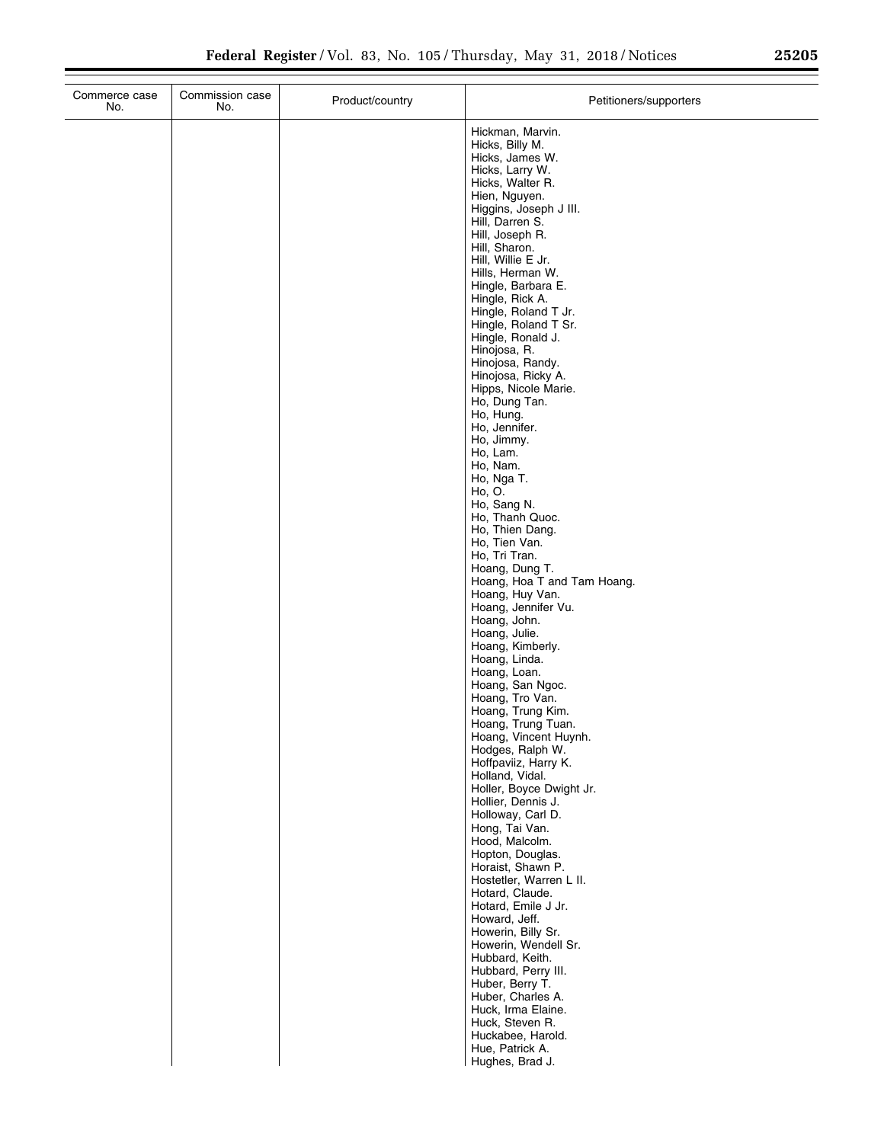÷.

| Commerce case<br>No. | Commission case<br>No. | Product/country | Petitioners/supporters                      |
|----------------------|------------------------|-----------------|---------------------------------------------|
|                      |                        |                 | Hickman, Marvin.<br>Hicks, Billy M.         |
|                      |                        |                 | Hicks, James W.                             |
|                      |                        |                 | Hicks, Larry W.<br>Hicks, Walter R.         |
|                      |                        |                 | Hien, Nguyen.                               |
|                      |                        |                 | Higgins, Joseph J III.<br>Hill, Darren S.   |
|                      |                        |                 | Hill, Joseph R.                             |
|                      |                        |                 | Hill, Sharon.<br>Hill, Willie E Jr.         |
|                      |                        |                 | Hills, Herman W.                            |
|                      |                        |                 | Hingle, Barbara E.<br>Hingle, Rick A.       |
|                      |                        |                 | Hingle, Roland T Jr.                        |
|                      |                        |                 | Hingle, Roland T Sr.<br>Hingle, Ronald J.   |
|                      |                        |                 | Hinojosa, R.                                |
|                      |                        |                 | Hinojosa, Randy.<br>Hinojosa, Ricky A.      |
|                      |                        |                 | Hipps, Nicole Marie.                        |
|                      |                        |                 | Ho, Dung Tan.<br>Ho, Hung.                  |
|                      |                        |                 | Ho, Jennifer.                               |
|                      |                        |                 | Ho, Jimmy.<br>Ho, Lam.                      |
|                      |                        |                 | Ho, Nam.                                    |
|                      |                        |                 | Ho, Nga T.<br>Ho, O.                        |
|                      |                        |                 | Ho, Sang N.                                 |
|                      |                        |                 | Ho, Thanh Quoc.<br>Ho, Thien Dang.          |
|                      |                        |                 | Ho, Tien Van.                               |
|                      |                        |                 | Ho, Tri Tran.<br>Hoang, Dung T.             |
|                      |                        |                 | Hoang, Hoa T and Tam Hoang.                 |
|                      |                        |                 | Hoang, Huy Van.<br>Hoang, Jennifer Vu.      |
|                      |                        |                 | Hoang, John.                                |
|                      |                        |                 | Hoang, Julie.<br>Hoang, Kimberly.           |
|                      |                        |                 | Hoang, Linda.                               |
|                      |                        |                 | Hoang, Loan.<br>Hoang, San Ngoc.            |
|                      |                        |                 | Hoang, Tro Van.                             |
|                      |                        |                 | Hoang, Trung Kim.<br>Hoang, Trung Tuan.     |
|                      |                        |                 | Hoang, Vincent Huynh.                       |
|                      |                        |                 | Hodges, Ralph W.<br>Hoffpaviiz, Harry K.    |
|                      |                        |                 | Holland, Vidal.<br>Holler, Boyce Dwight Jr. |
|                      |                        |                 | Hollier, Dennis J.                          |
|                      |                        |                 | Holloway, Carl D.<br>Hong, Tai Van.         |
|                      |                        |                 | Hood, Malcolm.                              |
|                      |                        |                 | Hopton, Douglas.<br>Horaist, Shawn P.       |
|                      |                        |                 | Hostetler, Warren L II.                     |
|                      |                        |                 | Hotard, Claude.<br>Hotard, Emile J Jr.      |
|                      |                        |                 | Howard, Jeff.                               |
|                      |                        |                 | Howerin, Billy Sr.<br>Howerin, Wendell Sr.  |
|                      |                        |                 | Hubbard, Keith.                             |
|                      |                        |                 | Hubbard, Perry III.<br>Huber, Berry T.      |
|                      |                        |                 | Huber, Charles A.                           |
|                      |                        |                 | Huck, Irma Elaine.<br>Huck, Steven R.       |
|                      |                        |                 | Huckabee, Harold.                           |
|                      |                        |                 | Hue, Patrick A.<br>Hughes, Brad J.          |
|                      |                        |                 |                                             |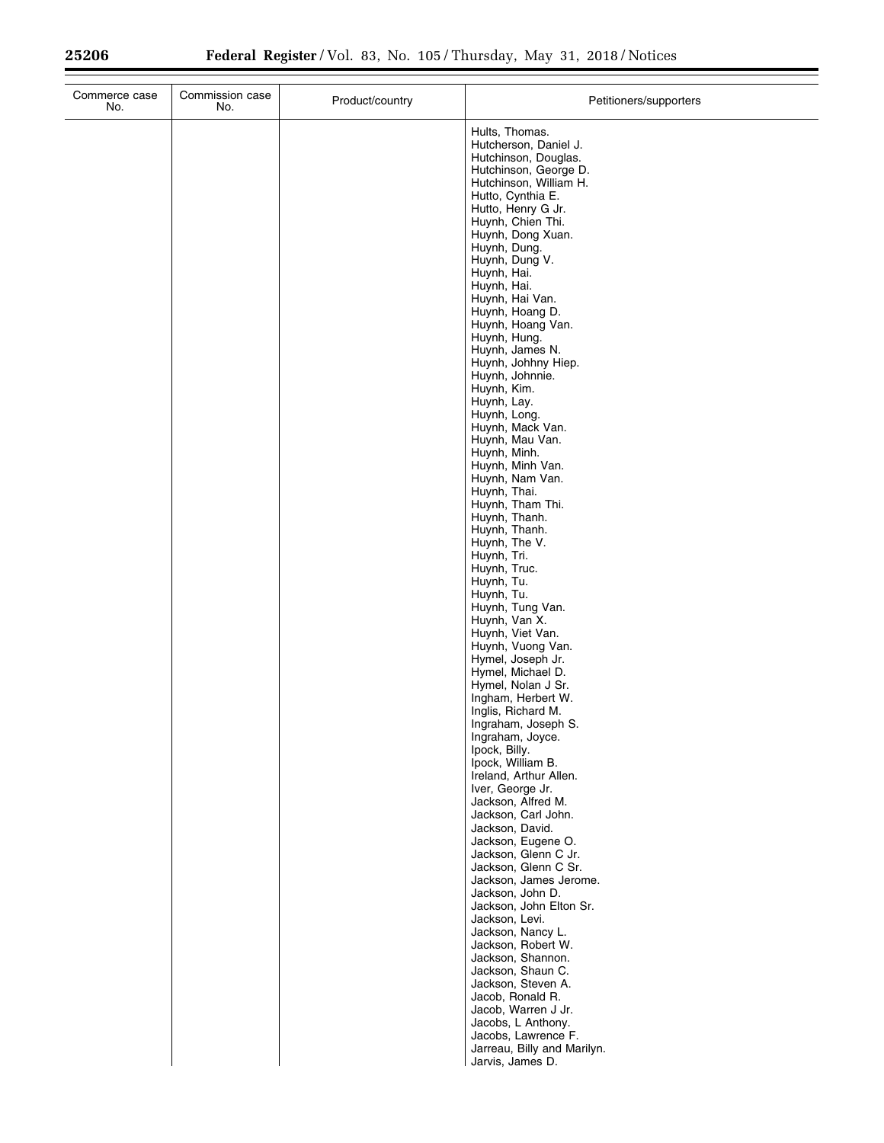| Commerce case<br>No. | Commission case<br>No. | Product/country | Petitioners/supporters                          |
|----------------------|------------------------|-----------------|-------------------------------------------------|
|                      |                        |                 | Hults, Thomas.                                  |
|                      |                        |                 | Hutcherson, Daniel J.                           |
|                      |                        |                 | Hutchinson, Douglas.<br>Hutchinson, George D.   |
|                      |                        |                 | Hutchinson, William H.                          |
|                      |                        |                 | Hutto, Cynthia E.                               |
|                      |                        |                 | Hutto, Henry G Jr.<br>Huynh, Chien Thi.         |
|                      |                        |                 | Huynh, Dong Xuan.                               |
|                      |                        |                 | Huynh, Dung.                                    |
|                      |                        |                 | Huynh, Dung V.                                  |
|                      |                        |                 | Huynh, Hai.<br>Huynh, Hai.                      |
|                      |                        |                 | Huynh, Hai Van.                                 |
|                      |                        |                 | Huynh, Hoang D.                                 |
|                      |                        |                 | Huynh, Hoang Van.<br>Huynh, Hung.               |
|                      |                        |                 | Huynh, James N.                                 |
|                      |                        |                 | Huynh, Johhny Hiep.                             |
|                      |                        |                 | Huynh, Johnnie.                                 |
|                      |                        |                 | Huynh, Kim.<br>Huynh, Lay.                      |
|                      |                        |                 | Huynh, Long.                                    |
|                      |                        |                 | Huynh, Mack Van.                                |
|                      |                        |                 | Huynh, Mau Van.                                 |
|                      |                        |                 | Huynh, Minh.<br>Huynh, Minh Van.                |
|                      |                        |                 | Huynh, Nam Van.                                 |
|                      |                        |                 | Huynh, Thai.                                    |
|                      |                        |                 | Huynh, Tham Thi.<br>Huynh, Thanh.               |
|                      |                        |                 | Huynh, Thanh.                                   |
|                      |                        |                 | Huynh, The V.                                   |
|                      |                        |                 | Huynh, Tri.                                     |
|                      |                        |                 | Huynh, Truc.<br>Huynh, Tu.                      |
|                      |                        |                 | Huynh, Tu.                                      |
|                      |                        |                 | Huynh, Tung Van.                                |
|                      |                        |                 | Huynh, Van X.                                   |
|                      |                        |                 | Huynh, Viet Van.<br>Huynh, Vuong Van.           |
|                      |                        |                 | Hymel, Joseph Jr.                               |
|                      |                        |                 | Hymel, Michael D.                               |
|                      |                        |                 | Hymel, Nolan J Sr.<br>Ingham, Herbert W.        |
|                      |                        |                 | Inglis, Richard M.                              |
|                      |                        |                 | Ingraham, Joseph S.                             |
|                      |                        |                 | Ingraham, Joyce.                                |
|                      |                        |                 | Ipock, Billy.<br>Ipock, William B.              |
|                      |                        |                 | Ireland, Arthur Allen.                          |
|                      |                        |                 | Iver, George Jr.                                |
|                      |                        |                 | Jackson, Alfred M.<br>Jackson, Carl John.       |
|                      |                        |                 | Jackson, David.                                 |
|                      |                        |                 | Jackson, Eugene O.                              |
|                      |                        |                 | Jackson, Glenn C Jr.                            |
|                      |                        |                 | Jackson, Glenn C Sr.<br>Jackson, James Jerome.  |
|                      |                        |                 | Jackson, John D.                                |
|                      |                        |                 | Jackson, John Elton Sr.                         |
|                      |                        |                 | Jackson, Levi.<br>Jackson, Nancy L.             |
|                      |                        |                 | Jackson, Robert W.                              |
|                      |                        |                 | Jackson, Shannon.                               |
|                      |                        |                 | Jackson, Shaun C.                               |
|                      |                        |                 | Jackson, Steven A.<br>Jacob, Ronald R.          |
|                      |                        |                 | Jacob, Warren J Jr.                             |
|                      |                        |                 | Jacobs, L Anthony.                              |
|                      |                        |                 | Jacobs, Lawrence F.                             |
|                      |                        |                 | Jarreau, Billy and Marilyn.<br>Jarvis, James D. |
|                      |                        |                 |                                                 |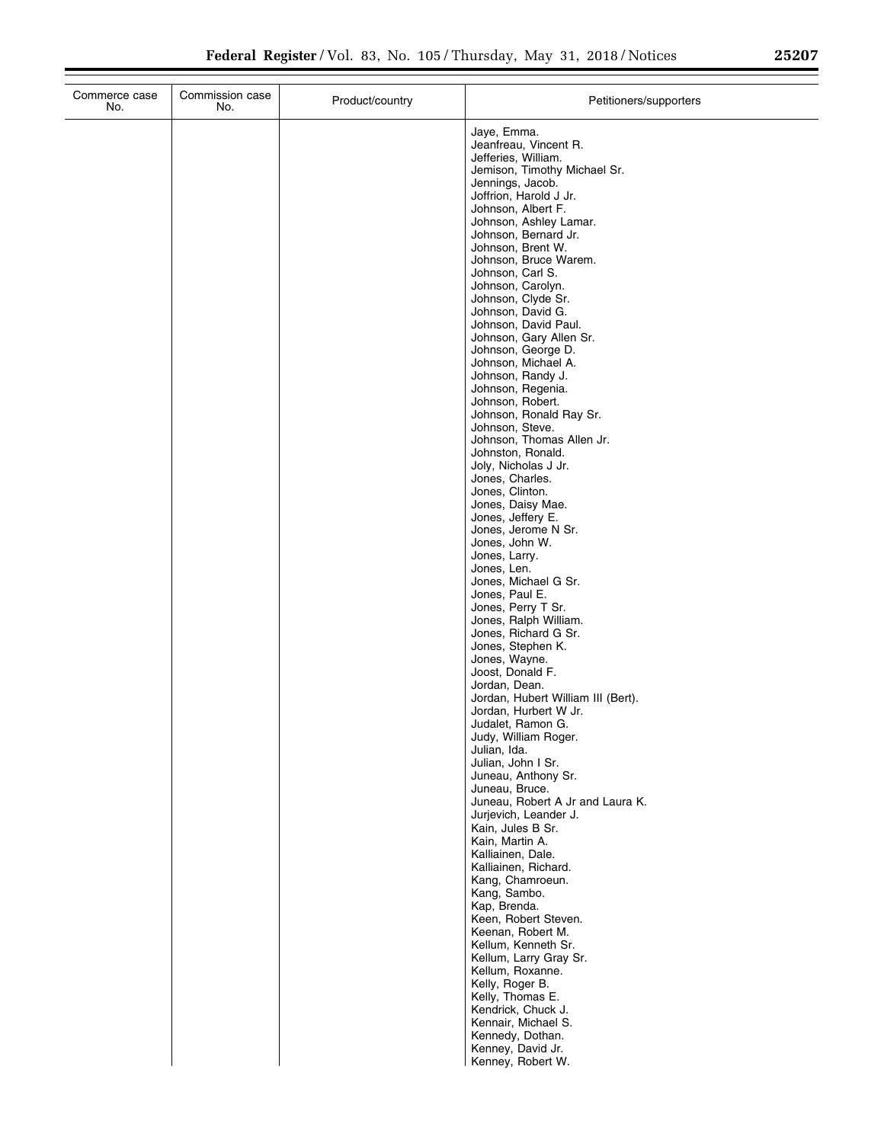| No.           | Commission case<br>No. | Product/country | Petitioners/supporters                                                                                                                                                                                                                                                                                                                                                                                                                                                                                                                                                                                                                                                                                                                                                                                                                                                                                                                                                                                                                                                                                                                                                                                                        |
|---------------|------------------------|-----------------|-------------------------------------------------------------------------------------------------------------------------------------------------------------------------------------------------------------------------------------------------------------------------------------------------------------------------------------------------------------------------------------------------------------------------------------------------------------------------------------------------------------------------------------------------------------------------------------------------------------------------------------------------------------------------------------------------------------------------------------------------------------------------------------------------------------------------------------------------------------------------------------------------------------------------------------------------------------------------------------------------------------------------------------------------------------------------------------------------------------------------------------------------------------------------------------------------------------------------------|
| Commerce case |                        |                 | Jaye, Emma.<br>Jeanfreau, Vincent R.<br>Jefferies, William.<br>Jemison, Timothy Michael Sr.<br>Jennings, Jacob.<br>Joffrion, Harold J Jr.<br>Johnson, Albert F.<br>Johnson, Ashley Lamar.<br>Johnson, Bernard Jr.<br>Johnson, Brent W.<br>Johnson, Bruce Warem.<br>Johnson, Carl S.<br>Johnson, Carolyn.<br>Johnson, Clyde Sr.<br>Johnson, David G.<br>Johnson, David Paul.<br>Johnson, Gary Allen Sr.<br>Johnson, George D.<br>Johnson, Michael A.<br>Johnson, Randy J.<br>Johnson, Regenia.<br>Johnson, Robert.<br>Johnson, Ronald Ray Sr.<br>Johnson, Steve.<br>Johnson, Thomas Allen Jr.<br>Johnston, Ronald.<br>Joly, Nicholas J Jr.<br>Jones, Charles.<br>Jones, Clinton.<br>Jones, Daisy Mae.<br>Jones, Jeffery E.<br>Jones, Jerome N Sr.<br>Jones, John W.<br>Jones, Larry.<br>Jones, Len.<br>Jones, Michael G Sr.<br>Jones, Paul E.<br>Jones, Perry T Sr.<br>Jones, Ralph William.<br>Jones, Richard G Sr.<br>Jones, Stephen K.<br>Jones, Wayne.<br>Joost, Donald F.<br>Jordan, Dean.<br>Jordan, Hubert William III (Bert).<br>Jordan, Hurbert W Jr.<br>Judalet. Ramon G.<br>Judy, William Roger.<br>Julian, Ida.<br>Julian, John I Sr.<br>Juneau, Anthony Sr.<br>Juneau, Bruce.<br>Juneau, Robert A Jr and Laura K. |
|               |                        |                 | Jurjevich, Leander J.<br>Kain, Jules B Sr.<br>Kain, Martin A.<br>Kalliainen, Dale.<br>Kalliainen, Richard.<br>Kang, Chamroeun.                                                                                                                                                                                                                                                                                                                                                                                                                                                                                                                                                                                                                                                                                                                                                                                                                                                                                                                                                                                                                                                                                                |
|               |                        |                 | Kang, Sambo.<br>Kap, Brenda.<br>Keen, Robert Steven.<br>Keenan, Robert M.<br>Kellum, Kenneth Sr.<br>Kellum, Larry Gray Sr.<br>Kellum, Roxanne.<br>Kelly, Roger B.                                                                                                                                                                                                                                                                                                                                                                                                                                                                                                                                                                                                                                                                                                                                                                                                                                                                                                                                                                                                                                                             |
|               |                        |                 | Kelly, Thomas E.<br>Kendrick, Chuck J.<br>Kennair, Michael S.<br>Kennedy, Dothan.<br>Kenney, David Jr.<br>Kannay Robert W                                                                                                                                                                                                                                                                                                                                                                                                                                                                                                                                                                                                                                                                                                                                                                                                                                                                                                                                                                                                                                                                                                     |

Kenney, David Jr. Kenney, Robert W.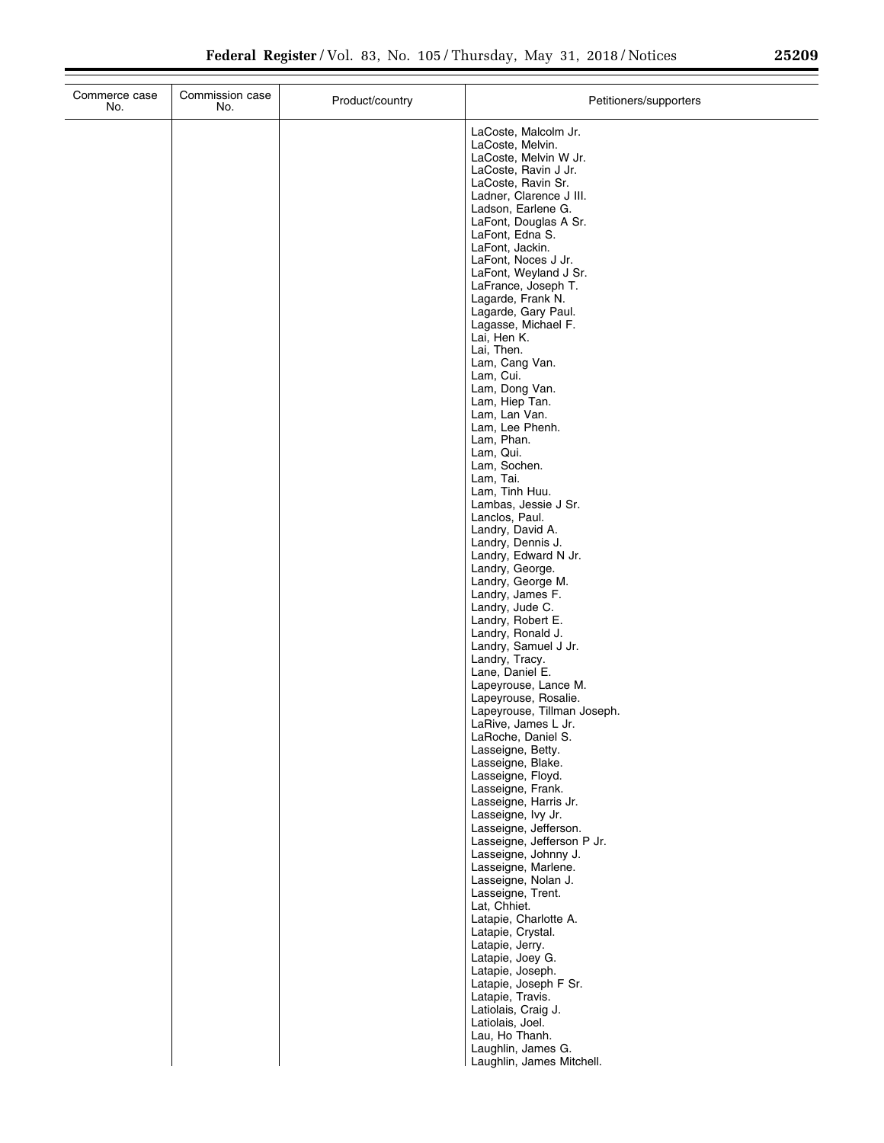| Commerce case<br>No. | Commission case<br>No. | Product/country | Petitioners/supporters                      |
|----------------------|------------------------|-----------------|---------------------------------------------|
|                      |                        |                 | LaCoste, Malcolm Jr.                        |
|                      |                        |                 | LaCoste, Melvin.                            |
|                      |                        |                 | LaCoste, Melvin W Jr.                       |
|                      |                        |                 | LaCoste, Ravin J Jr.<br>LaCoste, Ravin Sr.  |
|                      |                        |                 | Ladner, Clarence J III.                     |
|                      |                        |                 | Ladson, Earlene G.                          |
|                      |                        |                 | LaFont, Douglas A Sr.                       |
|                      |                        |                 | LaFont, Edna S.                             |
|                      |                        |                 | LaFont, Jackin.<br>LaFont, Noces J Jr.      |
|                      |                        |                 | LaFont, Weyland J Sr.                       |
|                      |                        |                 | LaFrance, Joseph T.                         |
|                      |                        |                 | Lagarde, Frank N.                           |
|                      |                        |                 | Lagarde, Gary Paul.<br>Lagasse, Michael F.  |
|                      |                        |                 | Lai, Hen K.                                 |
|                      |                        |                 | Lai, Then.                                  |
|                      |                        |                 | Lam, Cang Van.                              |
|                      |                        |                 | Lam, Cui.<br>Lam, Dong Van.                 |
|                      |                        |                 | Lam, Hiep Tan.                              |
|                      |                        |                 | Lam, Lan Van.                               |
|                      |                        |                 | Lam, Lee Phenh.                             |
|                      |                        |                 | Lam, Phan.                                  |
|                      |                        |                 | Lam, Qui.<br>Lam, Sochen.                   |
|                      |                        |                 | Lam, Tai.                                   |
|                      |                        |                 | Lam, Tinh Huu.                              |
|                      |                        |                 | Lambas, Jessie J Sr.                        |
|                      |                        |                 | Lanclos, Paul.<br>Landry, David A.          |
|                      |                        |                 | Landry, Dennis J.                           |
|                      |                        |                 | Landry, Edward N Jr.                        |
|                      |                        |                 | Landry, George.                             |
|                      |                        |                 | Landry, George M.<br>Landry, James F.       |
|                      |                        |                 | Landry, Jude C.                             |
|                      |                        |                 | Landry, Robert E.                           |
|                      |                        |                 | Landry, Ronald J.                           |
|                      |                        |                 | Landry, Samuel J Jr.<br>Landry, Tracy.      |
|                      |                        |                 | Lane, Daniel E.                             |
|                      |                        |                 | Lapeyrouse, Lance M.                        |
|                      |                        |                 | Lapeyrouse, Rosalie.                        |
|                      |                        |                 | Lapeyrouse, Tillman Joseph.                 |
|                      |                        |                 | LaRive, James L Jr.<br>LaRoche, Daniel S.   |
|                      |                        |                 | Lasseigne, Betty.                           |
|                      |                        |                 | Lasseigne, Blake.                           |
|                      |                        |                 | Lasseigne, Floyd.                           |
|                      |                        |                 | Lasseigne, Frank.<br>Lasseigne, Harris Jr.  |
|                      |                        |                 | Lasseigne, Ivy Jr.                          |
|                      |                        |                 | Lasseigne, Jefferson.                       |
|                      |                        |                 | Lasseigne, Jefferson P Jr.                  |
|                      |                        |                 | Lasseigne, Johnny J.<br>Lasseigne, Marlene. |
|                      |                        |                 | Lasseigne, Nolan J.                         |
|                      |                        |                 | Lasseigne, Trent.                           |
|                      |                        |                 | Lat, Chhiet.                                |
|                      |                        |                 | Latapie, Charlotte A.                       |
|                      |                        |                 | Latapie, Crystal.<br>Latapie, Jerry.        |
|                      |                        |                 | Latapie, Joey G.                            |
|                      |                        |                 | Latapie, Joseph.                            |
|                      |                        |                 | Latapie, Joseph F Sr.                       |
|                      |                        |                 | Latapie, Travis.                            |
|                      |                        |                 | Latiolais, Craig J.<br>Latiolais, Joel.     |
|                      |                        |                 | Lau, Ho Thanh.                              |
|                      |                        |                 | Laughlin, James G.                          |
|                      |                        |                 | Laughlin, James Mitchell.                   |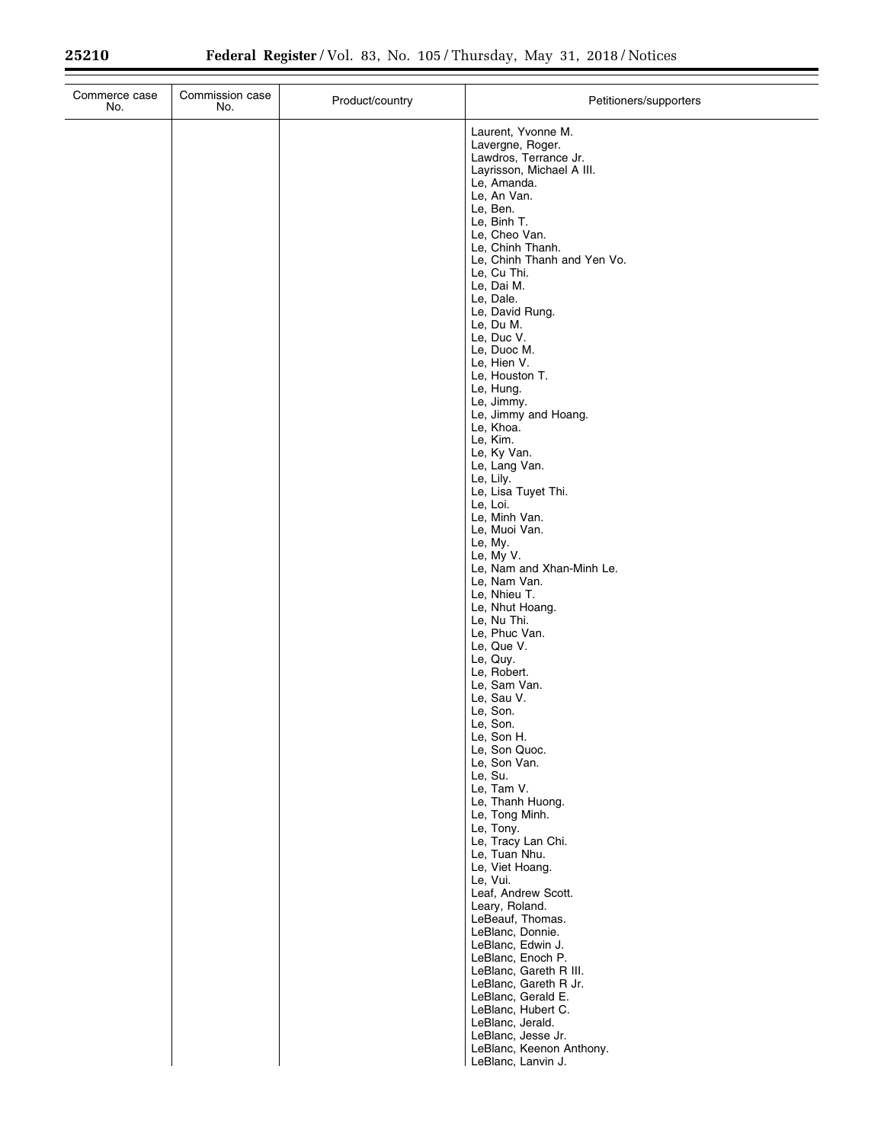$\equiv$ 

| Commerce case<br>No. | Commission case<br>No. | Product/country | Petitioners/supporters                                                                                                                                                                                                                                                                                                                                                                                                                                                                                                                                                                                                                                                                                                                                                                                                                                                                             |
|----------------------|------------------------|-----------------|----------------------------------------------------------------------------------------------------------------------------------------------------------------------------------------------------------------------------------------------------------------------------------------------------------------------------------------------------------------------------------------------------------------------------------------------------------------------------------------------------------------------------------------------------------------------------------------------------------------------------------------------------------------------------------------------------------------------------------------------------------------------------------------------------------------------------------------------------------------------------------------------------|
|                      |                        |                 | Laurent, Yvonne M.<br>Lavergne, Roger.<br>Lawdros, Terrance Jr.<br>Layrisson, Michael A III.<br>Le, Amanda.<br>Le, An Van.<br>Le, Ben.<br>Le, Binh T.<br>Le, Cheo Van.<br>Le, Chinh Thanh.<br>Le, Chinh Thanh and Yen Vo.<br>Le, Cu Thi.<br>Le, Dai M.<br>Le, Dale.<br>Le, David Rung.<br>Le, Du M.<br>Le, Duc V.<br>Le, Duoc M.<br>Le, Hien V.<br>Le, Houston T.<br>Le, Hung.<br>Le, Jimmy.<br>Le, Jimmy and Hoang.<br>Le, Khoa.<br>Le, Kim.<br>Le, Ky Van.<br>Le, Lang Van.<br>Le, Lily.<br>Le, Lisa Tuyet Thi.<br>Le, Loi.<br>Le, Minh Van.<br>Le, Muoi Van.<br>Le, My.<br>Le, My V.<br>Le, Nam and Xhan-Minh Le.<br>Le, Nam Van.<br>Le, Nhieu T.<br>Le, Nhut Hoang.<br>Le, Nu Thi.<br>Le, Phuc Van.<br>Le, Que V.<br>Le, Quy.<br>Le, Robert.<br>Le, Sam Van.<br>Le, Sau V.<br>Le, Son.<br>Le, Son.<br>Le, Son H.<br>Le, Son Quoc.<br>Le, Son Van.<br>Le, Su.<br>Le, Tam V.<br>Le, Thanh Huong. |
|                      |                        |                 | Le, Tong Minh.<br>Le, Tony.<br>Le, Tracy Lan Chi.<br>Le, Tuan Nhu.<br>Le, Viet Hoang.<br>Le, Vui.<br>Leaf, Andrew Scott.<br>Leary, Roland.<br>LeBeauf, Thomas.<br>LeBlanc, Donnie.<br>LeBlanc, Edwin J.<br>LeBlanc, Enoch P.<br>LeBlanc, Gareth R III.<br>LeBlanc, Gareth R Jr.<br>LeBlanc, Gerald E.<br>LeBlanc, Hubert C.<br>LeBlanc, Jerald.<br>LeBlanc, Jesse Jr.<br>LeBlanc, Keenon Anthony.<br>LeBlanc, Lanvin J.                                                                                                                                                                                                                                                                                                                                                                                                                                                                            |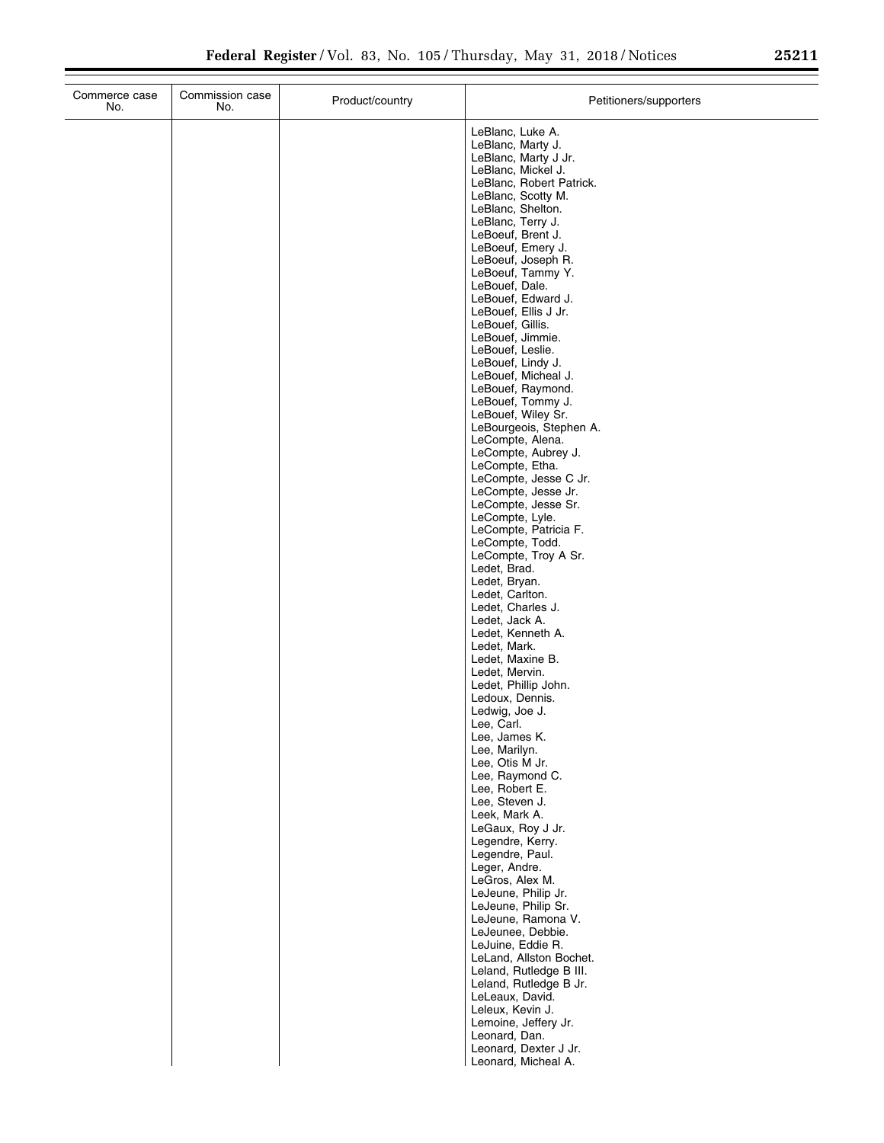÷.

| Commerce case<br>No. | Commission case<br>No. | Product/country | Petitioners/supporters                             |
|----------------------|------------------------|-----------------|----------------------------------------------------|
|                      |                        |                 | LeBlanc, Luke A.                                   |
|                      |                        |                 | LeBlanc, Marty J.<br>LeBlanc, Marty J Jr.          |
|                      |                        |                 | LeBlanc, Mickel J.                                 |
|                      |                        |                 | LeBlanc, Robert Patrick.<br>LeBlanc, Scotty M.     |
|                      |                        |                 | LeBlanc, Shelton.                                  |
|                      |                        |                 | LeBlanc, Terry J.<br>LeBoeuf, Brent J.             |
|                      |                        |                 | LeBoeuf, Emery J.                                  |
|                      |                        |                 | LeBoeuf, Joseph R.<br>LeBoeuf, Tammy Y.            |
|                      |                        |                 | LeBouef, Dale.                                     |
|                      |                        |                 | LeBouef, Edward J.<br>LeBouef, Ellis J Jr.         |
|                      |                        |                 | LeBouef, Gillis.<br>LeBouef, Jimmie.               |
|                      |                        |                 | LeBouef, Leslie.                                   |
|                      |                        |                 | LeBouef, Lindy J.<br>LeBouef, Micheal J.           |
|                      |                        |                 | LeBouef, Raymond.                                  |
|                      |                        |                 | LeBouef, Tommy J.<br>LeBouef, Wiley Sr.            |
|                      |                        |                 | LeBourgeois, Stephen A.                            |
|                      |                        |                 | LeCompte, Alena.<br>LeCompte, Aubrey J.            |
|                      |                        |                 | LeCompte, Etha.                                    |
|                      |                        |                 | LeCompte, Jesse C Jr.<br>LeCompte, Jesse Jr.       |
|                      |                        |                 | LeCompte, Jesse Sr.                                |
|                      |                        |                 | LeCompte, Lyle.<br>LeCompte, Patricia F.           |
|                      |                        |                 | LeCompte, Todd.<br>LeCompte, Troy A Sr.            |
|                      |                        |                 | Ledet, Brad.                                       |
|                      |                        |                 | Ledet, Bryan.<br>Ledet, Carlton.                   |
|                      |                        |                 | Ledet, Charles J.                                  |
|                      |                        |                 | Ledet, Jack A.<br>Ledet, Kenneth A.                |
|                      |                        |                 | Ledet, Mark.                                       |
|                      |                        |                 | Ledet, Maxine B.<br>Ledet, Mervin.                 |
|                      |                        |                 | Ledet, Phillip John.                               |
|                      |                        |                 | Ledoux, Dennis.<br>Ledwig, Joe J.                  |
|                      |                        |                 | Lee, Carl.                                         |
|                      |                        |                 | Lee, James K.<br>Lee, Marilyn.                     |
|                      |                        |                 | Lee, Otis M Jr.<br>Lee, Raymond C.                 |
|                      |                        |                 | Lee, Robert E.                                     |
|                      |                        |                 | Lee, Steven J.<br>Leek, Mark A.                    |
|                      |                        |                 | LeGaux, Roy J Jr.                                  |
|                      |                        |                 | Legendre, Kerry.<br>Legendre, Paul.                |
|                      |                        |                 | Leger, Andre.                                      |
|                      |                        |                 | LeGros, Alex M.<br>LeJeune, Philip Jr.             |
|                      |                        |                 | LeJeune, Philip Sr.                                |
|                      |                        |                 | LeJeune, Ramona V.<br>LeJeunee, Debbie.            |
|                      |                        |                 | LeJuine, Eddie R.                                  |
|                      |                        |                 | LeLand, Allston Bochet.<br>Leland, Rutledge B III. |
|                      |                        |                 | Leland, Rutledge B Jr.<br>LeLeaux, David.          |
|                      |                        |                 | Leleux, Kevin J.                                   |
|                      |                        |                 | Lemoine, Jeffery Jr.<br>Leonard, Dan.              |
|                      |                        |                 | Leonard, Dexter J Jr.                              |
|                      |                        |                 | Leonard, Micheal A.                                |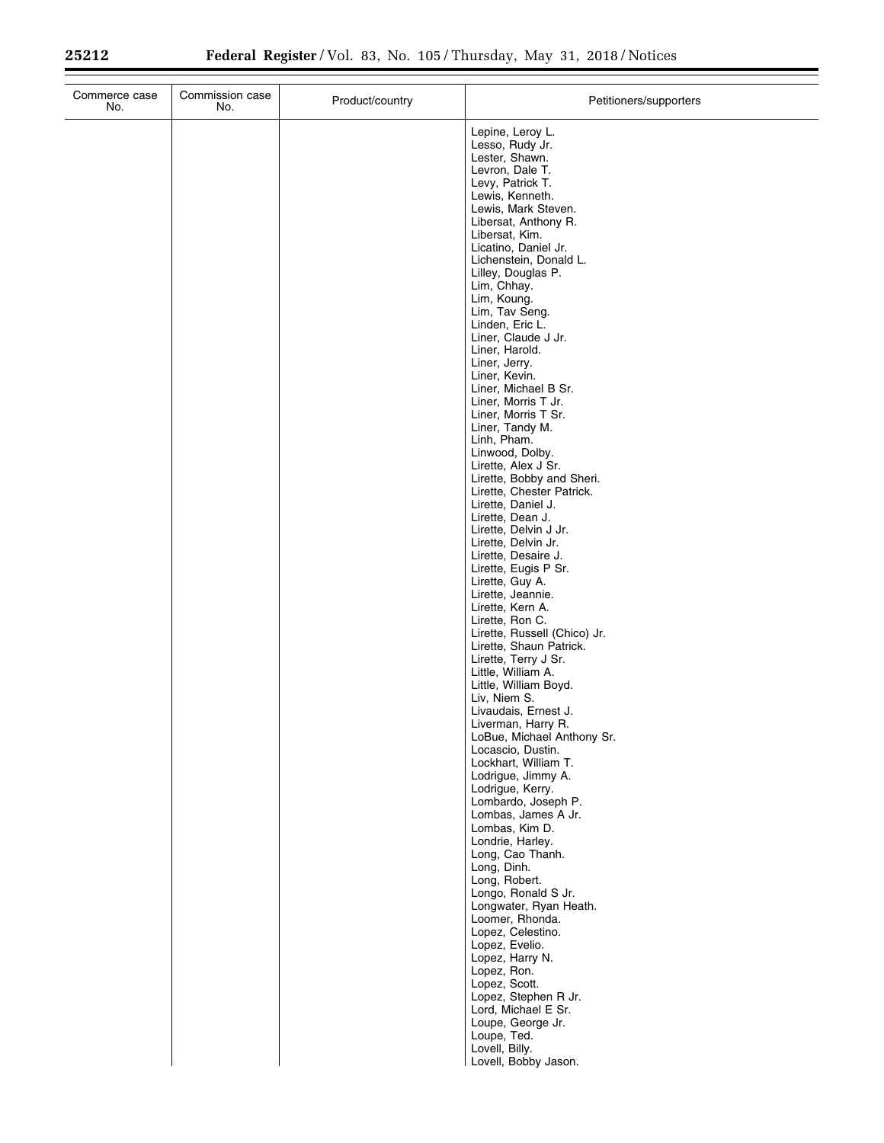$\equiv$ 

| Commerce case<br>No. | Commission case<br>No. | Product/country | Petitioners/supporters                                                                                                                                                                                                                                                                                                      |
|----------------------|------------------------|-----------------|-----------------------------------------------------------------------------------------------------------------------------------------------------------------------------------------------------------------------------------------------------------------------------------------------------------------------------|
|                      |                        |                 | Lepine, Leroy L.<br>Lesso, Rudy Jr.<br>Lester, Shawn.<br>Levron, Dale T.<br>Levy, Patrick T.<br>Lewis, Kenneth.<br>Lewis, Mark Steven.<br>Libersat, Anthony R.<br>Libersat, Kim.<br>Licatino, Daniel Jr.<br>Lichenstein, Donald L.<br>Lilley, Douglas P.<br>Lim, Chhay.<br>Lim, Koung.<br>Lim, Tav Seng.<br>Linden, Eric L. |
|                      |                        |                 | Liner, Claude J Jr.<br>Liner, Harold.<br>Liner, Jerry.<br>Liner, Kevin.<br>Liner, Michael B Sr.<br>Liner, Morris T Jr.<br>Liner, Morris T Sr.<br>Liner, Tandy M.<br>Linh, Pham.<br>Linwood, Dolby.<br>Lirette, Alex J Sr.<br>Lirette, Bobby and Sheri.                                                                      |
|                      |                        |                 | Lirette, Chester Patrick.<br>Lirette, Daniel J.<br>Lirette, Dean J.<br>Lirette, Delvin J Jr.<br>Lirette, Delvin Jr.<br>Lirette, Desaire J.<br>Lirette, Eugis P Sr.<br>Lirette, Guy A.<br>Lirette, Jeannie.<br>Lirette, Kern A.<br>Lirette, Ron C.<br>Lirette, Russell (Chico) Jr.                                           |
|                      |                        |                 | Lirette, Shaun Patrick.<br>Lirette, Terry J Sr.<br>Little, William A.<br>Little, William Boyd.<br>Liv, Niem S.<br>Livaudais, Ernest J.<br>Liverman, Harry R.<br>LoBue, Michael Anthony Sr.<br>Locascio, Dustin.<br>Lockhart, William T.<br>Lodrigue, Jimmy A.<br>Lodrigue, Kerry.                                           |
|                      |                        |                 | Lombardo, Joseph P.<br>Lombas, James A Jr.<br>Lombas, Kim D.<br>Londrie, Harley.<br>Long, Cao Thanh.<br>Long, Dinh.<br>Long, Robert.<br>Longo, Ronald S Jr.<br>Longwater, Ryan Heath.<br>Loomer, Rhonda.<br>Lopez, Celestino.                                                                                               |
|                      |                        |                 | Lopez, Evelio.<br>Lopez, Harry N.<br>Lopez, Ron.<br>Lopez, Scott.<br>Lopez, Stephen R Jr.<br>Lord, Michael E Sr.<br>Loupe, George Jr.<br>Loupe, Ted.<br>Lovell, Billy.<br>Lovell, Bobby Jason.                                                                                                                              |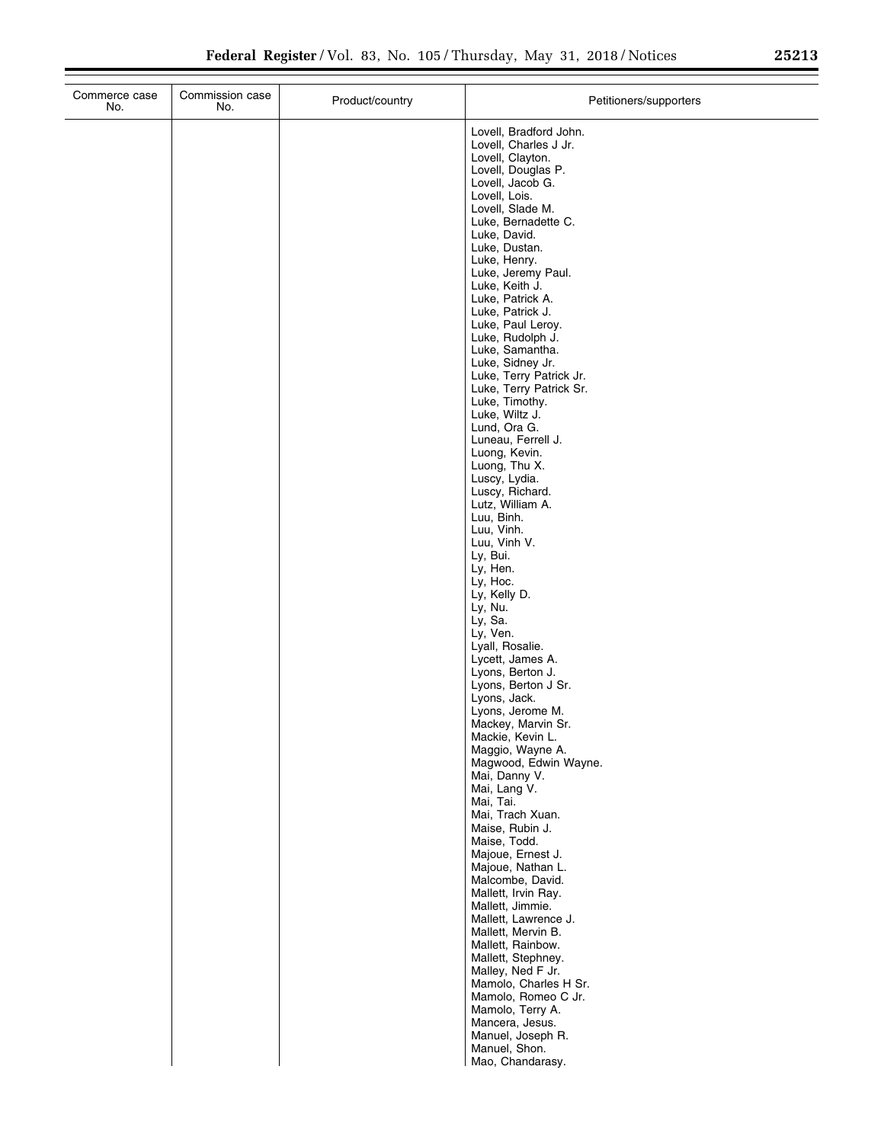÷.

| Commerce case<br>No. | Commission case<br>No. | Product/country | Petitioners/supporters                    |
|----------------------|------------------------|-----------------|-------------------------------------------|
|                      |                        |                 | Lovell, Bradford John.                    |
|                      |                        |                 | Lovell, Charles J Jr.                     |
|                      |                        |                 | Lovell, Clayton.<br>Lovell, Douglas P.    |
|                      |                        |                 | Lovell, Jacob G.                          |
|                      |                        |                 | Lovell, Lois.<br>Lovell, Slade M.         |
|                      |                        |                 | Luke, Bernadette C.                       |
|                      |                        |                 | Luke, David.                              |
|                      |                        |                 | Luke, Dustan.<br>Luke, Henry.             |
|                      |                        |                 | Luke, Jeremy Paul.                        |
|                      |                        |                 | Luke, Keith J.                            |
|                      |                        |                 | Luke, Patrick A.<br>Luke, Patrick J.      |
|                      |                        |                 | Luke, Paul Leroy.                         |
|                      |                        |                 | Luke, Rudolph J.<br>Luke, Samantha.       |
|                      |                        |                 | Luke, Sidney Jr.                          |
|                      |                        |                 | Luke, Terry Patrick Jr.                   |
|                      |                        |                 | Luke, Terry Patrick Sr.<br>Luke, Timothy. |
|                      |                        |                 | Luke, Wiltz J.                            |
|                      |                        |                 | Lund, Ora G.                              |
|                      |                        |                 | Luneau, Ferrell J.<br>Luong, Kevin.       |
|                      |                        |                 | Luong, Thu X.                             |
|                      |                        |                 | Luscy, Lydia.<br>Luscy, Richard.          |
|                      |                        |                 | Lutz, William A.                          |
|                      |                        |                 | Luu, Binh.                                |
|                      |                        |                 | Luu, Vinh.<br>Luu, Vinh V.                |
|                      |                        |                 | Ly, Bui.                                  |
|                      |                        |                 | Ly, Hen.                                  |
|                      |                        |                 | Ly, Hoc.<br>Ly, Kelly D.                  |
|                      |                        |                 | Ly, Nu.                                   |
|                      |                        |                 | Ly, Sa.<br>Ly, Ven.                       |
|                      |                        |                 | Lyall, Rosalie.                           |
|                      |                        |                 | Lycett, James A.                          |
|                      |                        |                 | Lyons, Berton J.<br>Lyons, Berton J Sr.   |
|                      |                        |                 | Lyons, Jack.                              |
|                      |                        |                 | Lyons, Jerome M.<br>Mackey, Marvin Sr.    |
|                      |                        |                 | Mackie, Kevin L.                          |
|                      |                        |                 | Maggio, Wayne A.                          |
|                      |                        |                 | Magwood, Edwin Wayne.<br>Mai, Danny V.    |
|                      |                        |                 | Mai, Lang V.                              |
|                      |                        |                 | Mai, Tai.<br>Mai, Trach Xuan.             |
|                      |                        |                 | Maise, Rubin J.                           |
|                      |                        |                 | Maise, Todd.                              |
|                      |                        |                 | Majoue, Ernest J.<br>Majoue, Nathan L.    |
|                      |                        |                 | Malcombe, David.                          |
|                      |                        |                 | Mallett, Irvin Ray.                       |
|                      |                        |                 | Mallett, Jimmie.<br>Mallett, Lawrence J.  |
|                      |                        |                 | Mallett, Mervin B.                        |
|                      |                        |                 | Mallett, Rainbow.                         |
|                      |                        |                 | Mallett, Stephney.<br>Malley, Ned F Jr.   |
|                      |                        |                 | Mamolo, Charles H Sr.                     |
|                      |                        |                 | Mamolo, Romeo C Jr.                       |
|                      |                        |                 | Mamolo, Terry A.<br>Mancera, Jesus.       |
|                      |                        |                 | Manuel, Joseph R.                         |
|                      |                        |                 | Manuel, Shon.<br>Mao, Chandarasy.         |
|                      |                        |                 |                                           |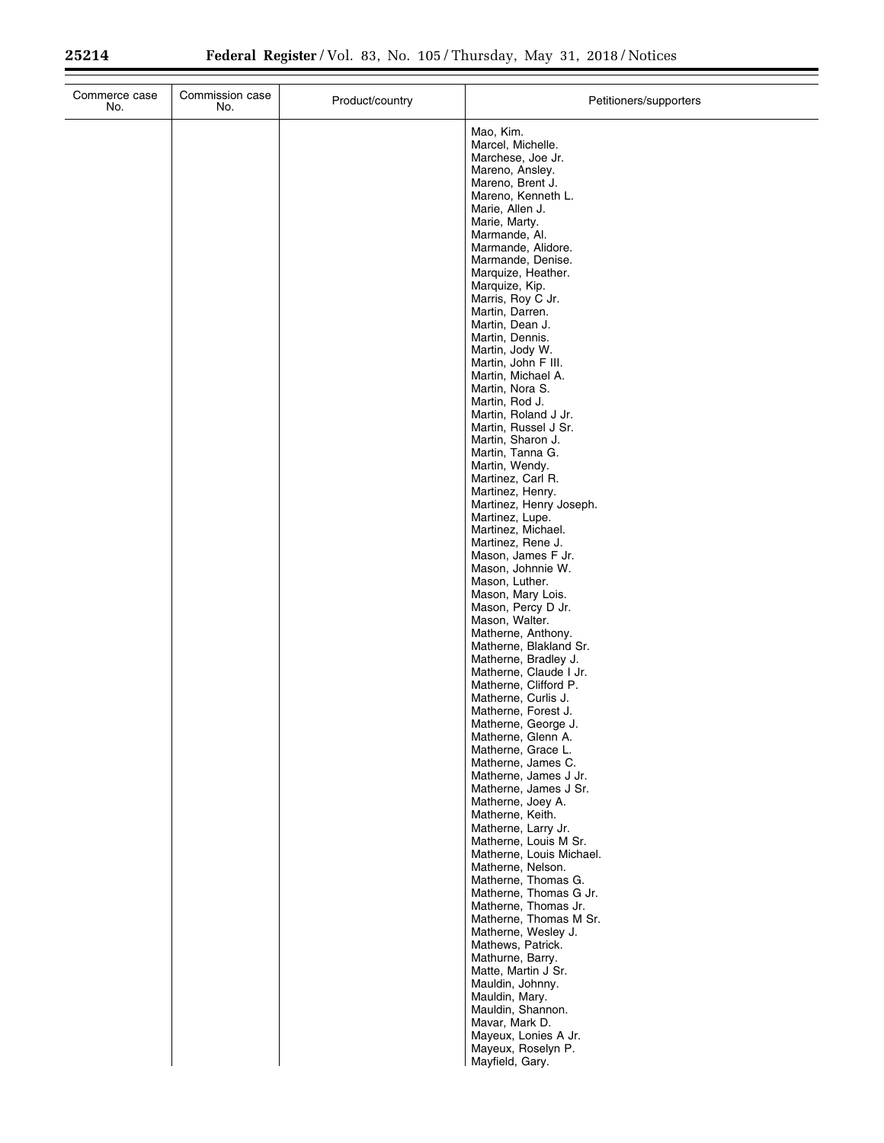| Commerce case<br>No. | Commission case<br>No. | Product/country | Petitioners/supporters                                                                                                                                                                                                                                                                                                                                                                                                                                                                                                                                                                                                                                                                                                                                                                                                                                                                                                                                                                                                                                                                                                                                                                                                                                                                                                                                                                                                                                                                                                                                                          |
|----------------------|------------------------|-----------------|---------------------------------------------------------------------------------------------------------------------------------------------------------------------------------------------------------------------------------------------------------------------------------------------------------------------------------------------------------------------------------------------------------------------------------------------------------------------------------------------------------------------------------------------------------------------------------------------------------------------------------------------------------------------------------------------------------------------------------------------------------------------------------------------------------------------------------------------------------------------------------------------------------------------------------------------------------------------------------------------------------------------------------------------------------------------------------------------------------------------------------------------------------------------------------------------------------------------------------------------------------------------------------------------------------------------------------------------------------------------------------------------------------------------------------------------------------------------------------------------------------------------------------------------------------------------------------|
|                      |                        |                 | Mao, Kim.<br>Marcel, Michelle.<br>Marchese, Joe Jr.<br>Mareno, Ansley.<br>Mareno, Brent J.<br>Mareno, Kenneth L.<br>Marie, Allen J.<br>Marie, Marty.<br>Marmande, Al.<br>Marmande, Alidore.<br>Marmande, Denise.<br>Marquize, Heather.<br>Marquize, Kip.<br>Marris, Roy C Jr.<br>Martin, Darren.<br>Martin, Dean J.<br>Martin, Dennis.<br>Martin, Jody W.<br>Martin, John F III.<br>Martin, Michael A.<br>Martin, Nora S.<br>Martin, Rod J.<br>Martin, Roland J Jr.<br>Martin, Russel J Sr.<br>Martin, Sharon J.<br>Martin, Tanna G.<br>Martin, Wendy.<br>Martinez, Carl R.<br>Martinez, Henry.<br>Martinez, Henry Joseph.<br>Martinez, Lupe.<br>Martinez, Michael.<br>Martinez, Rene J.<br>Mason, James F Jr.<br>Mason, Johnnie W.<br>Mason, Luther.<br>Mason, Mary Lois.<br>Mason, Percy D Jr.<br>Mason, Walter.<br>Matherne, Anthony.<br>Matherne, Blakland Sr.<br>Matherne, Bradley J.<br>Matherne, Claude I Jr.<br>Matherne, Clifford P.<br>Matherne, Curlis J.<br>Matherne, Forest J.<br>Matherne, George J.<br>Matherne, Glenn A.<br>Matherne, Grace L.<br>Matherne, James C.<br>Matherne, James J Jr.<br>Matherne, James J Sr.<br>Matherne, Joey A.<br>Matherne, Keith.<br>Matherne, Larry Jr.<br>Matherne, Louis M Sr.<br>Matherne, Louis Michael.<br>Matherne, Nelson.<br>Matherne, Thomas G.<br>Matherne, Thomas G Jr.<br>Matherne, Thomas Jr.<br>Matherne, Thomas M Sr.<br>Matherne, Wesley J.<br>Mathews, Patrick.<br>Mathurne, Barry.<br>Matte, Martin J Sr.<br>Mauldin, Johnny.<br>Mauldin, Mary.<br>Mauldin, Shannon.<br>Mavar, Mark D.<br>Mayeux, Lonies A Jr. |
|                      |                        |                 | Mayeux, Roselyn P.<br>Mayfield, Gary.                                                                                                                                                                                                                                                                                                                                                                                                                                                                                                                                                                                                                                                                                                                                                                                                                                                                                                                                                                                                                                                                                                                                                                                                                                                                                                                                                                                                                                                                                                                                           |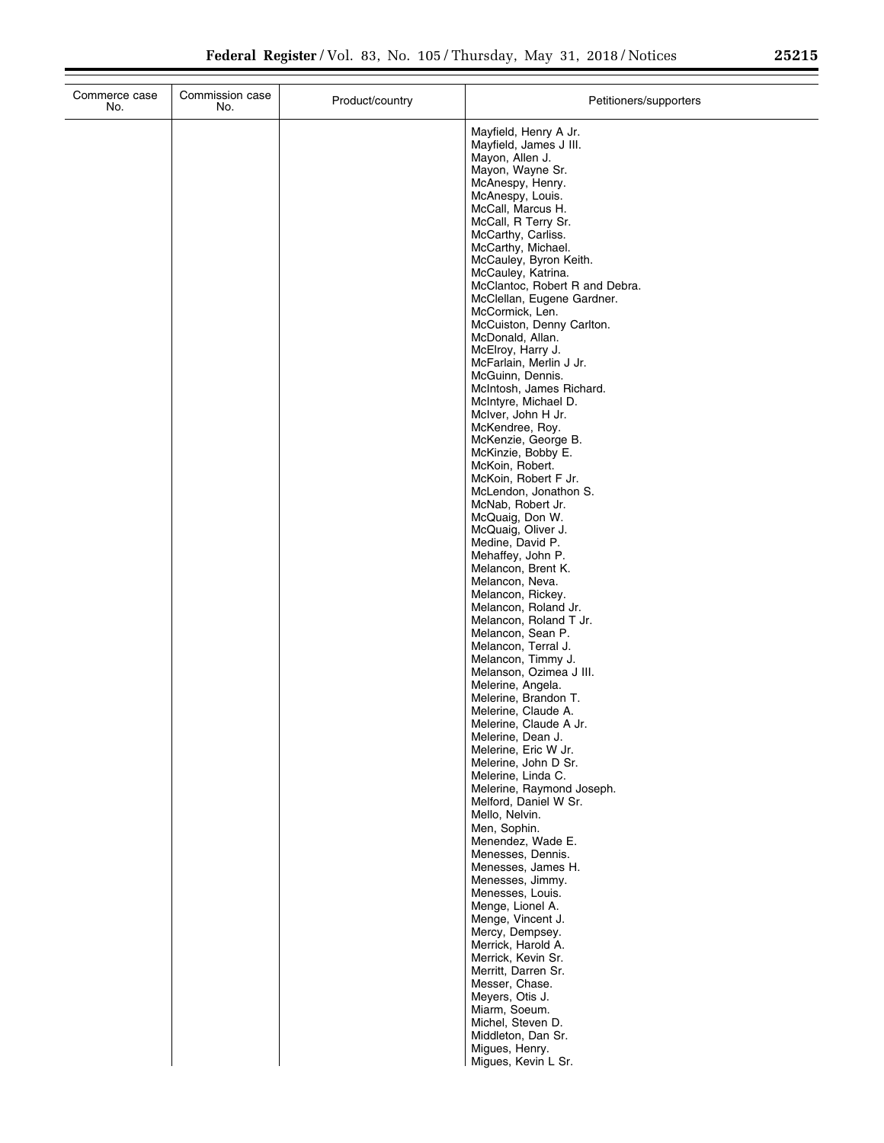| Mayfield, Henry A Jr.<br>Mayfield, James J III.<br>Mayon, Allen J.<br>Mayon, Wayne Sr.<br>McAnespy, Henry.<br>McAnespy, Louis.<br>McCall, Marcus H.<br>McCall, R Terry Sr.<br>McCarthy, Carliss.<br>McCarthy, Michael.<br>McCauley, Byron Keith.<br>McCauley, Katrina.<br>McClantoc, Robert R and Debra.<br>McClellan, Eugene Gardner.<br>McCormick, Len.<br>McCuiston, Denny Carlton.<br>McDonald, Allan.<br>McElroy, Harry J.<br>McFarlain, Merlin J Jr.<br>McGuinn, Dennis.<br>McIntosh, James Richard.<br>McIntyre, Michael D.<br>McIver, John H Jr.<br>McKendree, Roy. |
|-----------------------------------------------------------------------------------------------------------------------------------------------------------------------------------------------------------------------------------------------------------------------------------------------------------------------------------------------------------------------------------------------------------------------------------------------------------------------------------------------------------------------------------------------------------------------------|
|                                                                                                                                                                                                                                                                                                                                                                                                                                                                                                                                                                             |
|                                                                                                                                                                                                                                                                                                                                                                                                                                                                                                                                                                             |
|                                                                                                                                                                                                                                                                                                                                                                                                                                                                                                                                                                             |
|                                                                                                                                                                                                                                                                                                                                                                                                                                                                                                                                                                             |
|                                                                                                                                                                                                                                                                                                                                                                                                                                                                                                                                                                             |
|                                                                                                                                                                                                                                                                                                                                                                                                                                                                                                                                                                             |
|                                                                                                                                                                                                                                                                                                                                                                                                                                                                                                                                                                             |
|                                                                                                                                                                                                                                                                                                                                                                                                                                                                                                                                                                             |
|                                                                                                                                                                                                                                                                                                                                                                                                                                                                                                                                                                             |
|                                                                                                                                                                                                                                                                                                                                                                                                                                                                                                                                                                             |
|                                                                                                                                                                                                                                                                                                                                                                                                                                                                                                                                                                             |
|                                                                                                                                                                                                                                                                                                                                                                                                                                                                                                                                                                             |
|                                                                                                                                                                                                                                                                                                                                                                                                                                                                                                                                                                             |
|                                                                                                                                                                                                                                                                                                                                                                                                                                                                                                                                                                             |
|                                                                                                                                                                                                                                                                                                                                                                                                                                                                                                                                                                             |
|                                                                                                                                                                                                                                                                                                                                                                                                                                                                                                                                                                             |
|                                                                                                                                                                                                                                                                                                                                                                                                                                                                                                                                                                             |
| McKenzie, George B.                                                                                                                                                                                                                                                                                                                                                                                                                                                                                                                                                         |
| McKinzie, Bobby E.                                                                                                                                                                                                                                                                                                                                                                                                                                                                                                                                                          |
| McKoin, Robert.                                                                                                                                                                                                                                                                                                                                                                                                                                                                                                                                                             |
| McKoin, Robert F Jr.<br>McLendon, Jonathon S.                                                                                                                                                                                                                                                                                                                                                                                                                                                                                                                               |
| McNab, Robert Jr.                                                                                                                                                                                                                                                                                                                                                                                                                                                                                                                                                           |
| McQuaig, Don W.<br>McQuaig, Oliver J.                                                                                                                                                                                                                                                                                                                                                                                                                                                                                                                                       |
| Medine, David P.                                                                                                                                                                                                                                                                                                                                                                                                                                                                                                                                                            |
| Mehaffey, John P.                                                                                                                                                                                                                                                                                                                                                                                                                                                                                                                                                           |
| Melancon, Brent K.<br>Melancon, Neva.                                                                                                                                                                                                                                                                                                                                                                                                                                                                                                                                       |
| Melancon, Rickey.                                                                                                                                                                                                                                                                                                                                                                                                                                                                                                                                                           |
| Melancon, Roland Jr.<br>Melancon, Roland T Jr.                                                                                                                                                                                                                                                                                                                                                                                                                                                                                                                              |
| Melancon, Sean P.                                                                                                                                                                                                                                                                                                                                                                                                                                                                                                                                                           |
| Melancon, Terral J.                                                                                                                                                                                                                                                                                                                                                                                                                                                                                                                                                         |
| Melancon, Timmy J.<br>Melanson, Ozimea J III.                                                                                                                                                                                                                                                                                                                                                                                                                                                                                                                               |
| Melerine, Angela.                                                                                                                                                                                                                                                                                                                                                                                                                                                                                                                                                           |
| Melerine, Brandon T.                                                                                                                                                                                                                                                                                                                                                                                                                                                                                                                                                        |
| Melerine, Claude A.<br>Melerine, Claude A Jr.                                                                                                                                                                                                                                                                                                                                                                                                                                                                                                                               |
| Melerine, Dean J.                                                                                                                                                                                                                                                                                                                                                                                                                                                                                                                                                           |
| Melerine, Eric W Jr.<br>Melerine, John D Sr.                                                                                                                                                                                                                                                                                                                                                                                                                                                                                                                                |
| Melerine, Linda C.                                                                                                                                                                                                                                                                                                                                                                                                                                                                                                                                                          |
| Melerine, Raymond Joseph.                                                                                                                                                                                                                                                                                                                                                                                                                                                                                                                                                   |
| Melford, Daniel W Sr.<br>Mello, Nelvin.                                                                                                                                                                                                                                                                                                                                                                                                                                                                                                                                     |
| Men, Sophin.                                                                                                                                                                                                                                                                                                                                                                                                                                                                                                                                                                |
| Menendez, Wade E.<br>Menesses, Dennis.                                                                                                                                                                                                                                                                                                                                                                                                                                                                                                                                      |
| Menesses, James H.                                                                                                                                                                                                                                                                                                                                                                                                                                                                                                                                                          |
| Menesses, Jimmy.                                                                                                                                                                                                                                                                                                                                                                                                                                                                                                                                                            |
| Menesses, Louis.<br>Menge, Lionel A.                                                                                                                                                                                                                                                                                                                                                                                                                                                                                                                                        |
| Menge, Vincent J.                                                                                                                                                                                                                                                                                                                                                                                                                                                                                                                                                           |
| Mercy, Dempsey.                                                                                                                                                                                                                                                                                                                                                                                                                                                                                                                                                             |
| Merrick, Harold A.<br>Merrick, Kevin Sr.                                                                                                                                                                                                                                                                                                                                                                                                                                                                                                                                    |
| Merritt, Darren Sr.                                                                                                                                                                                                                                                                                                                                                                                                                                                                                                                                                         |
| Messer, Chase.<br>Meyers, Otis J.                                                                                                                                                                                                                                                                                                                                                                                                                                                                                                                                           |
| Miarm, Soeum.                                                                                                                                                                                                                                                                                                                                                                                                                                                                                                                                                               |
| Michel, Steven D.                                                                                                                                                                                                                                                                                                                                                                                                                                                                                                                                                           |
| Middleton, Dan Sr.<br>Migues, Henry.                                                                                                                                                                                                                                                                                                                                                                                                                                                                                                                                        |
| Migues, Kevin L Sr.                                                                                                                                                                                                                                                                                                                                                                                                                                                                                                                                                         |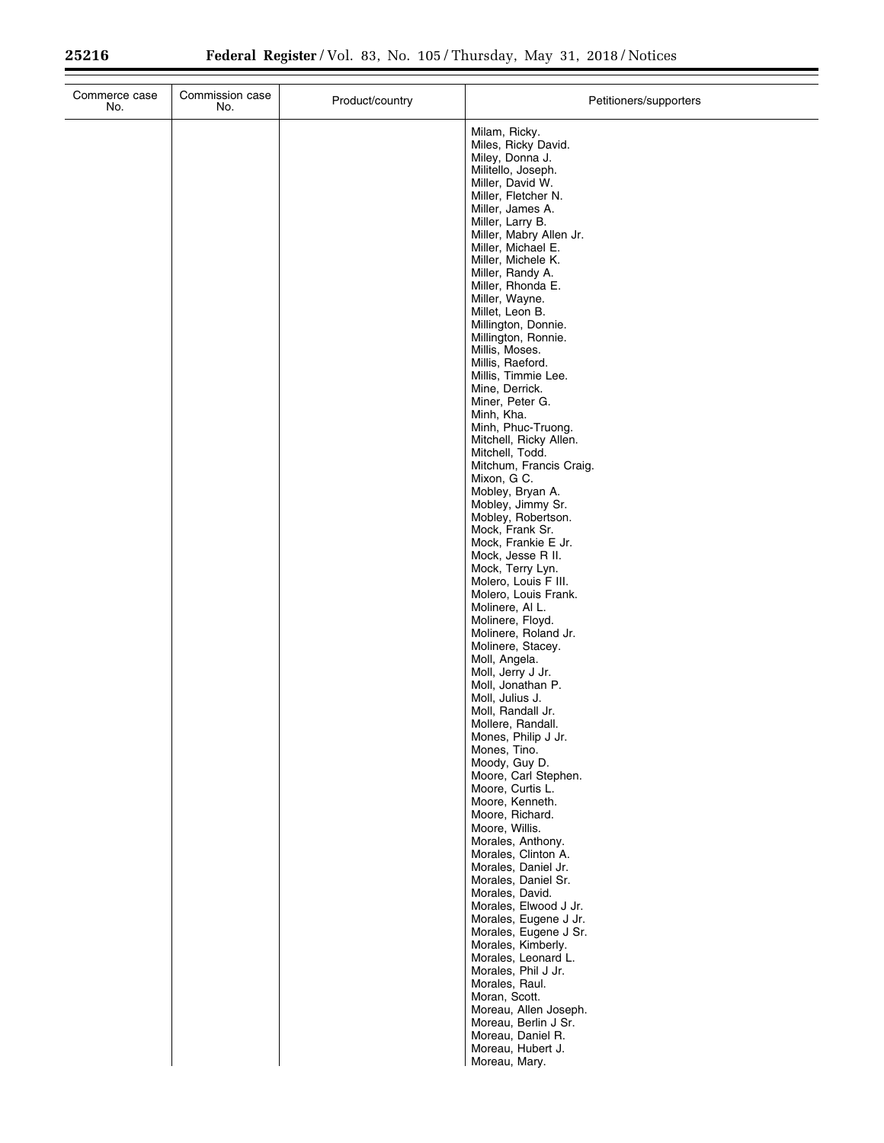| Commerce case<br>No. | Commission case<br>No. | Product/country | Petitioners/supporters                                                                                                                                                                                                                                                                                                                                                                                                                                                                                                                                                                                                                                                                                                                                                                                                                                                                                                                                                                                                                                                                                                                                                                                                                                                                                                                                                                                                                                   |
|----------------------|------------------------|-----------------|----------------------------------------------------------------------------------------------------------------------------------------------------------------------------------------------------------------------------------------------------------------------------------------------------------------------------------------------------------------------------------------------------------------------------------------------------------------------------------------------------------------------------------------------------------------------------------------------------------------------------------------------------------------------------------------------------------------------------------------------------------------------------------------------------------------------------------------------------------------------------------------------------------------------------------------------------------------------------------------------------------------------------------------------------------------------------------------------------------------------------------------------------------------------------------------------------------------------------------------------------------------------------------------------------------------------------------------------------------------------------------------------------------------------------------------------------------|
|                      |                        |                 | Milam, Ricky.<br>Miles, Ricky David.<br>Miley, Donna J.<br>Militello, Joseph.<br>Miller, David W.<br>Miller, Fletcher N.<br>Miller, James A.<br>Miller, Larry B.<br>Miller, Mabry Allen Jr.<br>Miller, Michael E.<br>Miller, Michele K.<br>Miller, Randy A.<br>Miller, Rhonda E.<br>Miller, Wayne.<br>Millet, Leon B.<br>Millington, Donnie.<br>Millington, Ronnie.<br>Millis, Moses.<br>Millis, Raeford.<br>Millis, Timmie Lee.<br>Mine, Derrick.<br>Miner, Peter G.<br>Minh, Kha.<br>Minh, Phuc-Truong.<br>Mitchell, Ricky Allen.<br>Mitchell, Todd.<br>Mitchum, Francis Craig.<br>Mixon, G C.<br>Mobley, Bryan A.<br>Mobley, Jimmy Sr.<br>Mobley, Robertson.<br>Mock, Frank Sr.<br>Mock, Frankie E Jr.<br>Mock, Jesse R II.<br>Mock, Terry Lyn.<br>Molero, Louis F III.<br>Molero, Louis Frank.<br>Molinere, Al L.<br>Molinere, Floyd.<br>Molinere, Roland Jr.<br>Molinere, Stacey.<br>Moll, Angela.<br>Moll, Jerry J Jr.<br>Moll, Jonathan P.<br>Moll, Julius J.<br>Moll, Randall Jr.<br>Mollere, Randall.<br>Mones, Philip J Jr.<br>Mones, Tino.<br>Moody, Guy D.<br>Moore, Carl Stephen.<br>Moore, Curtis L.<br>Moore, Kenneth.<br>Moore, Richard.<br>Moore, Willis.<br>Morales, Anthony.<br>Morales, Clinton A.<br>Morales, Daniel Jr.<br>Morales, Daniel Sr.<br>Morales, David.<br>Morales, Elwood J Jr.<br>Morales, Eugene J Jr.<br>Morales, Eugene J Sr.<br>Morales, Kimberly.<br>Morales, Leonard L.<br>Morales, Phil J Jr.<br>Morales, Raul. |
|                      |                        |                 | Moran, Scott.<br>Moreau, Allen Joseph.<br>Moreau, Berlin J Sr.<br>Moreau, Daniel R.<br>Moreau, Hubert J.<br>Moreau, Mary.                                                                                                                                                                                                                                                                                                                                                                                                                                                                                                                                                                                                                                                                                                                                                                                                                                                                                                                                                                                                                                                                                                                                                                                                                                                                                                                                |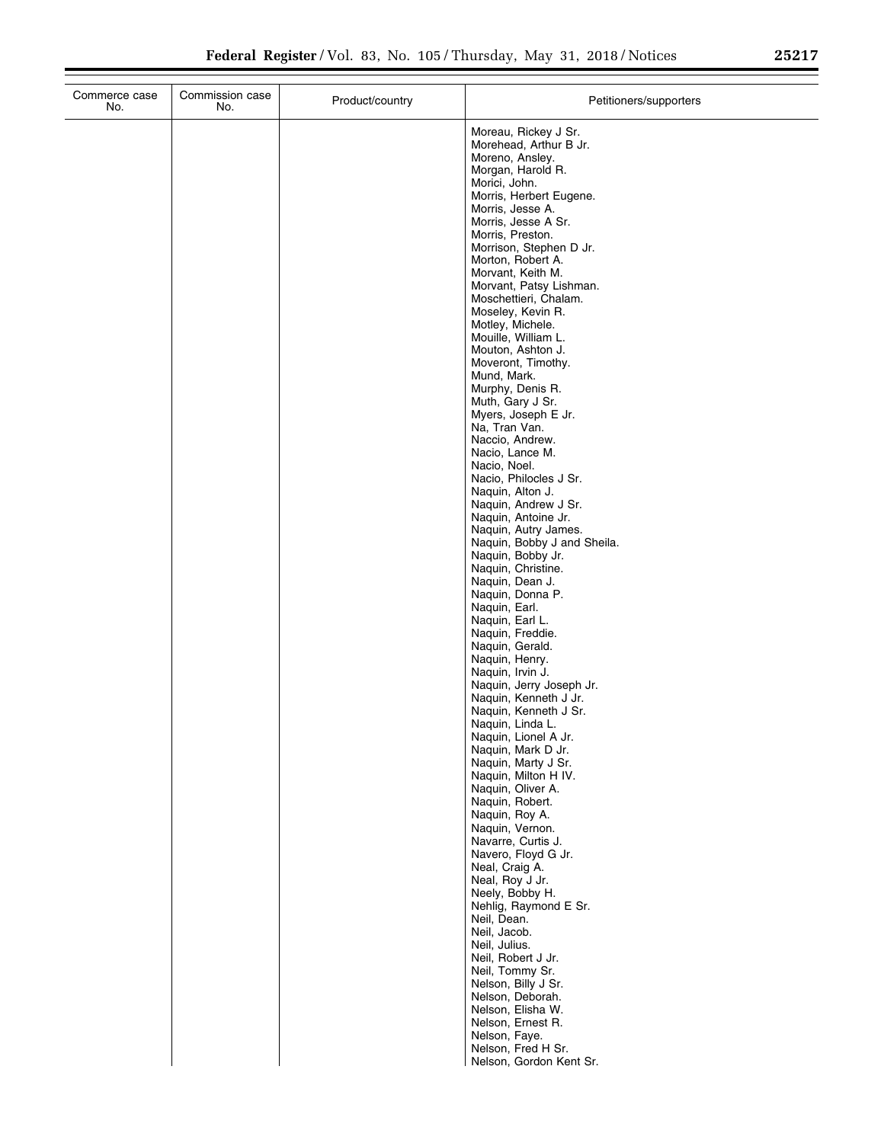| Commerce case<br>No. | Commission case<br>No. | Product/country | Petitioners/supporters                                                                                                                                                                                                                                                                                                                                                                                                                                                                                                                                                                                                                                                                                                                                              |
|----------------------|------------------------|-----------------|---------------------------------------------------------------------------------------------------------------------------------------------------------------------------------------------------------------------------------------------------------------------------------------------------------------------------------------------------------------------------------------------------------------------------------------------------------------------------------------------------------------------------------------------------------------------------------------------------------------------------------------------------------------------------------------------------------------------------------------------------------------------|
|                      |                        |                 | Moreau, Rickey J Sr.<br>Morehead, Arthur B Jr.<br>Moreno, Ansley.<br>Morgan, Harold R.<br>Morici, John.<br>Morris, Herbert Eugene.<br>Morris, Jesse A.<br>Morris, Jesse A Sr.<br>Morris, Preston.<br>Morrison, Stephen D Jr.<br>Morton, Robert A.<br>Morvant, Keith M.<br>Morvant, Patsy Lishman.<br>Moschettieri, Chalam.<br>Moseley, Kevin R.<br>Motley, Michele.<br>Mouille, William L.<br>Mouton, Ashton J.<br>Moveront, Timothy.<br>Mund, Mark.<br>Murphy, Denis R.<br>Muth, Gary J Sr.<br>Myers, Joseph E Jr.<br>Na, Tran Van.<br>Naccio, Andrew.<br>Nacio, Lance M.<br>Nacio, Noel.<br>Nacio, Philocles J Sr.<br>Naquin, Alton J.<br>Naquin, Andrew J Sr.<br>Naquin, Antoine Jr.<br>Naquin, Autry James.<br>Naquin, Bobby J and Sheila.<br>Naquin, Bobby Jr. |
|                      |                        |                 | Naquin, Christine.<br>Naquin, Dean J.<br>Naquin, Donna P.<br>Naquin, Earl.<br>Naquin, Earl L.<br>Naquin, Freddie.<br>Naquin, Gerald.<br>Naquin, Henry.<br>Naquin, Irvin J.<br>Naquin, Jerry Joseph Jr.<br>Naquin, Kenneth J Jr.<br>Naquin, Kenneth J Sr.<br>Naquin, Linda L.<br>Naquin, Lionel A Jr.<br>Naquin, Mark D Jr.<br>Naquin, Marty J Sr.                                                                                                                                                                                                                                                                                                                                                                                                                   |
|                      |                        |                 | Naquin, Milton H IV.<br>Naquin, Oliver A.<br>Naquin, Robert.<br>Naquin, Roy A.<br>Naquin, Vernon.<br>Navarre, Curtis J.<br>Navero, Floyd G Jr.<br>Neal, Craig A.<br>Neal, Roy J Jr.<br>Neely, Bobby H.<br>Nehlig, Raymond E Sr.<br>Neil, Dean.<br>Neil, Jacob.<br>Neil, Julius.<br>Neil, Robert J Jr.<br>Neil, Tommy Sr.<br>Nelson, Billy J Sr.<br>Nelson, Deborah.<br>Nelson, Elisha W.<br>Nelson, Ernest R.<br>Nelson, Faye.<br>Nelson, Fred H Sr.<br>Nelson, Gordon Kent Sr.                                                                                                                                                                                                                                                                                     |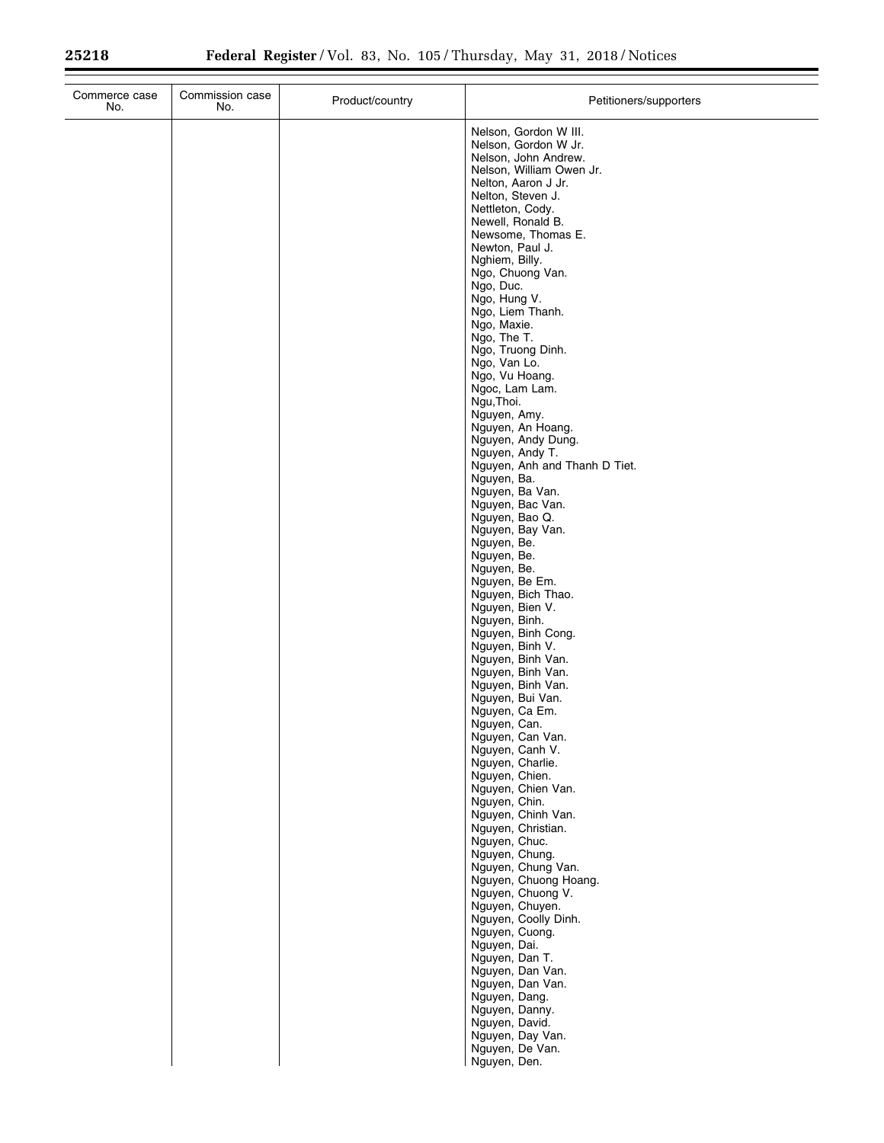| Commerce case<br>No. | Commission case<br>No. | Product/country | Petitioners/supporters                                                |
|----------------------|------------------------|-----------------|-----------------------------------------------------------------------|
|                      |                        |                 | Nelson, Gordon W III.<br>Nelson, Gordon W Jr.<br>Nelson, John Andrew. |
|                      |                        |                 | Nelson, William Owen Jr.<br>Nelton, Aaron J Jr.                       |
|                      |                        |                 | Nelton, Steven J.<br>Nettleton, Cody.                                 |
|                      |                        |                 | Newell, Ronald B.<br>Newsome, Thomas E.                               |
|                      |                        |                 | Newton, Paul J.                                                       |
|                      |                        |                 | Nghiem, Billy.<br>Ngo, Chuong Van.                                    |
|                      |                        |                 | Ngo, Duc.<br>Ngo, Hung V.                                             |
|                      |                        |                 | Ngo, Liem Thanh.<br>Ngo, Maxie.                                       |
|                      |                        |                 | Ngo, The T.<br>Ngo, Truong Dinh.                                      |
|                      |                        |                 | Ngo, Van Lo.<br>Ngo, Vu Hoang.                                        |
|                      |                        |                 | Ngoc, Lam Lam.<br>Ngu, Thoi.                                          |
|                      |                        |                 | Nguyen, Amy.                                                          |
|                      |                        |                 | Nguyen, An Hoang.<br>Nguyen, Andy Dung.                               |
|                      |                        |                 | Nguyen, Andy T.<br>Nguyen, Anh and Thanh D Tiet.                      |
|                      |                        |                 | Nguyen, Ba.<br>Nguyen, Ba Van.                                        |
|                      |                        |                 | Nguyen, Bac Van.<br>Nguyen, Bao Q.                                    |
|                      |                        |                 | Nguyen, Bay Van.<br>Nguyen, Be.                                       |
|                      |                        |                 | Nguyen, Be.                                                           |
|                      |                        |                 | Nguyen, Be.<br>Nguyen, Be Em.                                         |
|                      |                        |                 | Nguyen, Bich Thao.<br>Nguyen, Bien V.                                 |
|                      |                        |                 | Nguyen, Binh.<br>Nguyen, Binh Cong.                                   |
|                      |                        |                 | Nguyen, Binh V.<br>Nguyen, Binh Van.                                  |
|                      |                        |                 | Nguyen, Binh Van.<br>Nguyen, Binh Van.                                |
|                      |                        |                 | Nguyen, Bui Van.                                                      |
|                      |                        |                 | Nguyen, Ca Em.<br>Nguyen, Can.                                        |
|                      |                        |                 | Nguyen, Can Van.<br>Nguyen, Canh V.                                   |
|                      |                        |                 | Nguyen, Charlie.<br>Nguyen, Chien.                                    |
|                      |                        |                 | Nguyen, Chien Van.<br>Nguyen, Chin.                                   |
|                      |                        |                 | Nguyen, Chinh Van.<br>Nguyen, Christian.                              |
|                      |                        |                 | Nguyen, Chuc.                                                         |
|                      |                        |                 | Nguyen, Chung.<br>Nguyen, Chung Van.                                  |
|                      |                        |                 | Nguyen, Chuong Hoang.<br>Nguyen, Chuong V.                            |
|                      |                        |                 | Nguyen, Chuyen.<br>Nguyen, Coolly Dinh.                               |
|                      |                        |                 | Nguyen, Cuong.<br>Nguyen, Dai.                                        |
|                      |                        |                 | Nguyen, Dan T.<br>Nguyen, Dan Van.                                    |
|                      |                        |                 | Nguyen, Dan Van.                                                      |
|                      |                        |                 | Nguyen, Dang.<br>Nguyen, Danny.                                       |
|                      |                        |                 | Nguyen, David.<br>Nguyen, Day Van.                                    |
|                      |                        |                 | Nguyen, De Van.<br>Nguyen, Den.                                       |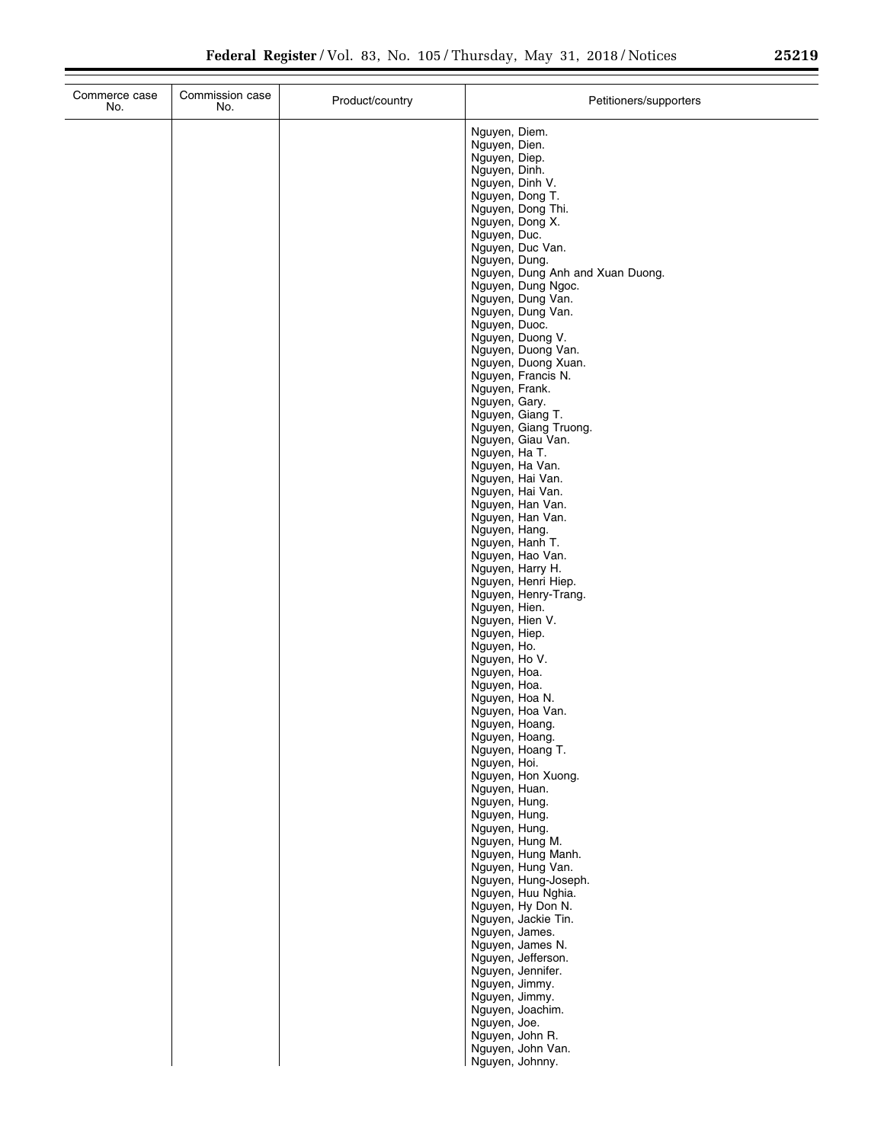|  | Nguyen, Diem.<br>Nguyen, Dien.<br>Nguyen, Diep.<br>Nguyen, Dinh.<br>Nguyen, Dinh V.<br>Nguyen, Dong T.<br>Nguyen, Dong Thi.<br>Nguyen, Dong X.<br>Nguyen, Duc.<br>Nguyen, Duc Van.<br>Nguyen, Dung.<br>Nguyen, Dung Anh and Xuan Duong.<br>Nguyen, Dung Ngoc.<br>Nguyen, Dung Van.<br>Nguyen, Dung Van.<br>Nguyen, Duoc.<br>Nguyen, Duong V.<br>Nguyen, Duong Van.<br>Nguyen, Duong Xuan.<br>Nguyen, Francis N.<br>Nguyen, Frank.<br>Nguyen, Gary.<br>Nguyen, Giang T.<br>Nguyen, Giang Truong.<br>Nguyen, Giau Van.<br>Nguyen, Ha T.<br>Nguyen, Ha Van.<br>Nguyen, Hai Van.<br>Nguyen, Hai Van.<br>Nguyen, Han Van.<br>Nguyen, Han Van.<br>Nguyen, Hang.<br>Nguyen, Hanh T.<br>Nguyen, Hao Van.<br>Nguyen, Harry H.<br>Nguyen, Henri Hiep.<br>Nguyen, Henry-Trang.<br>Nguyen, Hien.<br>Nguyen, Hien V.<br>Nguyen, Hiep.<br>Nguyen, Ho.<br>Nguyen, Ho V.<br>Nguyen, Hoa.<br>Nguyen, Hoa.<br>Nguyen, Hoa N.<br>Nguyen, Hoa Van.<br>Nguyen, Hoang.<br>Nguyen, Hoang.<br>Nguyen, Hoang T.<br>Nguyen, Hoi.<br>Nguyen, Hon Xuong.<br>Nguyen, Huan.<br>Nguyen, Hung.<br>Nguyen, Hung.<br>Nguyen, Hung.<br>Nguyen, Hung M.<br>Nguyen, Hung Manh.<br>Nguyen, Hung Van.<br>Nguyen, Hung-Joseph.<br>Nguyen, Huu Nghia.<br>Nguyen, Hy Don N.<br>Nguyen, Jackie Tin.<br>Nguyen, James.<br>Nguyen, James N.<br>Nguyen, Jefferson.<br>Nguyen, Jennifer. |
|--|-------------------------------------------------------------------------------------------------------------------------------------------------------------------------------------------------------------------------------------------------------------------------------------------------------------------------------------------------------------------------------------------------------------------------------------------------------------------------------------------------------------------------------------------------------------------------------------------------------------------------------------------------------------------------------------------------------------------------------------------------------------------------------------------------------------------------------------------------------------------------------------------------------------------------------------------------------------------------------------------------------------------------------------------------------------------------------------------------------------------------------------------------------------------------------------------------------------------------------------------------------------------------------------------------------------------------------------------|
|  | Nguyen, Jimmy.<br>Nguyen, Jimmy.<br>Nguyen, Joachim.<br>Nguyen, Joe.<br>Nguyen, John R.<br>Nguyen, John Van.                                                                                                                                                                                                                                                                                                                                                                                                                                                                                                                                                                                                                                                                                                                                                                                                                                                                                                                                                                                                                                                                                                                                                                                                                              |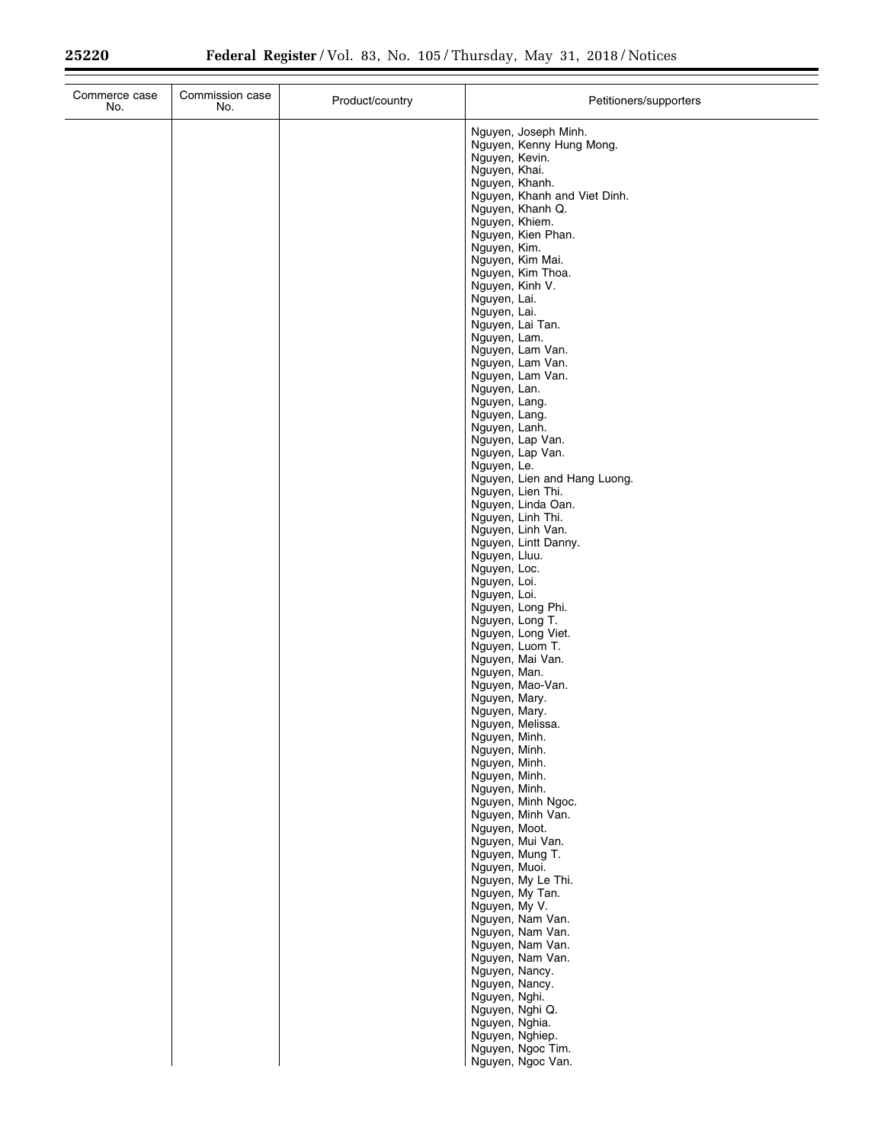| Commerce case<br>No. | Commission case<br>No. | Product/country | Petitioners/supporters                                                                                                                |
|----------------------|------------------------|-----------------|---------------------------------------------------------------------------------------------------------------------------------------|
|                      |                        |                 | Nguyen, Joseph Minh.<br>Nguyen, Kenny Hung Mong.<br>Nguyen, Kevin.<br>Nguyen, Khai.<br>Nguyen, Khanh.<br>Nguyen, Khanh and Viet Dinh. |
|                      |                        |                 | Nguyen, Khanh Q.<br>Nguyen, Khiem.<br>Nguyen, Kien Phan.                                                                              |
|                      |                        |                 | Nguyen, Kim.<br>Nguyen, Kim Mai.<br>Nguyen, Kim Thoa.                                                                                 |
|                      |                        |                 | Nguyen, Kinh V.<br>Nguyen, Lai.<br>Nguyen, Lai.                                                                                       |
|                      |                        |                 | Nguyen, Lai Tan.<br>Nguyen, Lam.<br>Nguyen, Lam Van.                                                                                  |
|                      |                        |                 | Nguyen, Lam Van.<br>Nguyen, Lam Van.<br>Nguyen, Lan.                                                                                  |
|                      |                        |                 | Nguyen, Lang.<br>Nguyen, Lang.<br>Nguyen, Lanh.                                                                                       |
|                      |                        |                 | Nguyen, Lap Van.<br>Nguyen, Lap Van.<br>Nguyen, Le.                                                                                   |
|                      |                        |                 | Nguyen, Lien and Hang Luong.<br>Nguyen, Lien Thi.<br>Nguyen, Linda Oan.                                                               |
|                      |                        |                 | Nguyen, Linh Thi.<br>Nguyen, Linh Van.<br>Nguyen, Lintt Danny.                                                                        |
|                      |                        |                 | Nguyen, Lluu.<br>Nguyen, Loc.<br>Nguyen, Loi.                                                                                         |
|                      |                        |                 | Nguyen, Loi.<br>Nguyen, Long Phi.<br>Nguyen, Long T.                                                                                  |
|                      |                        |                 | Nguyen, Long Viet.<br>Nguyen, Luom T.<br>Nguyen, Mai Van.                                                                             |
|                      |                        |                 | Nguyen, Man.<br>Nguyen, Mao-Van.<br>Nguyen, Mary.                                                                                     |
|                      |                        |                 | Nguyen, Mary.<br>Nguyen, Melissa.<br>Nguyen, Minh.                                                                                    |
|                      |                        |                 | Nguyen, Minh.<br>Nguyen, Minh.<br>Nguyen, Minh.                                                                                       |
|                      |                        |                 | Nguyen, Minh.<br>Nguyen, Minh Ngoc.<br>Nguyen, Minh Van.                                                                              |
|                      |                        |                 | Nguyen, Moot.<br>Nguyen, Mui Van.<br>Nguyen, Mung T.<br>Nguyen, Muoi.                                                                 |
|                      |                        |                 | Nguyen, My Le Thi.<br>Nguyen, My Tan.<br>Nguyen, My V.                                                                                |
|                      |                        |                 | Nguyen, Nam Van.<br>Nguyen, Nam Van.<br>Nguyen, Nam Van.                                                                              |
|                      |                        |                 | Nguyen, Nam Van.<br>Nguyen, Nancy.<br>Nguyen, Nancy.                                                                                  |
|                      |                        |                 | Nguyen, Nghi.<br>Nguyen, Nghi Q.<br>Nguyen, Nghia.                                                                                    |
|                      |                        |                 | Nguyen, Nghiep.<br>Nguyen, Ngoc Tim.<br>Nguyen, Ngoc Van.                                                                             |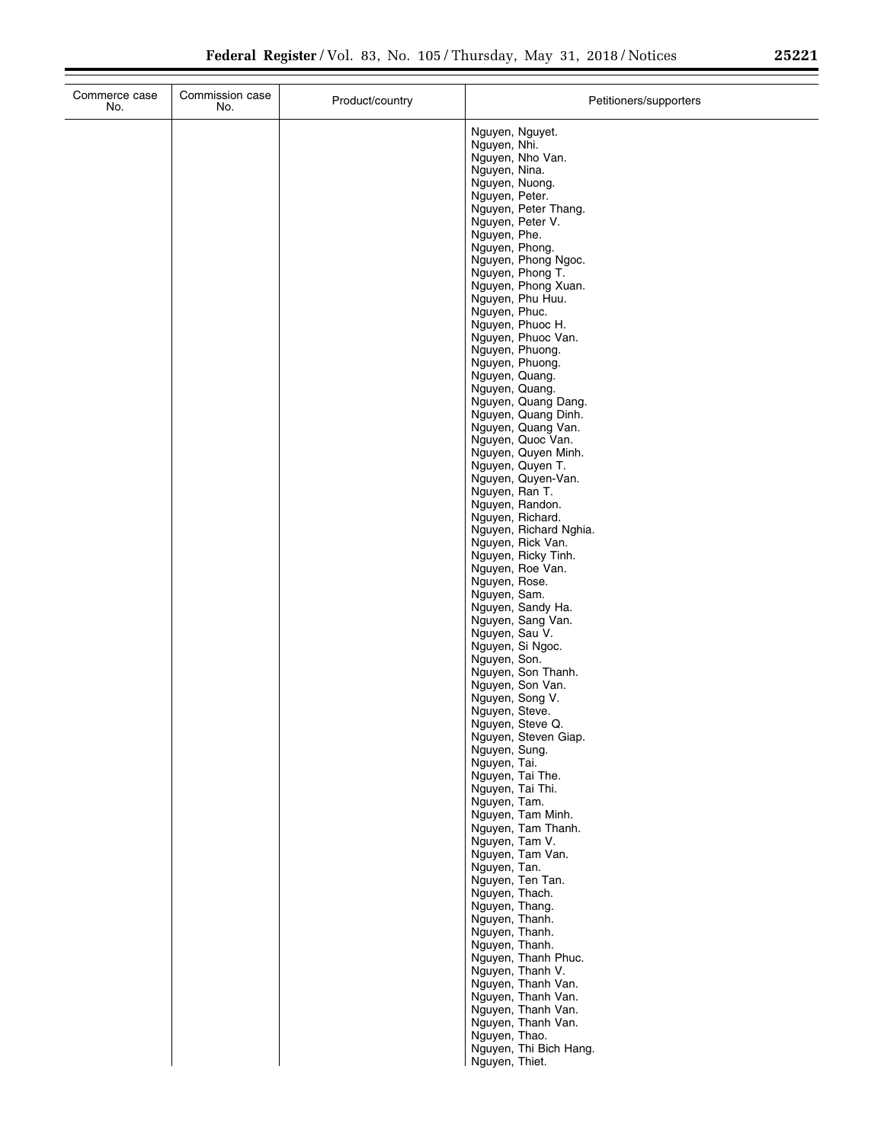| Commerce case<br>No. | Commission case<br>No. | Product/country | Petitioners/supporters                                                                                                                                                                                                                                                                                                                                                                                                                                                                                                                                                                                                                                                                                                                                                                                                                                                                                                                                                                                                                                                                                                                                                                                                                                                                             |
|----------------------|------------------------|-----------------|----------------------------------------------------------------------------------------------------------------------------------------------------------------------------------------------------------------------------------------------------------------------------------------------------------------------------------------------------------------------------------------------------------------------------------------------------------------------------------------------------------------------------------------------------------------------------------------------------------------------------------------------------------------------------------------------------------------------------------------------------------------------------------------------------------------------------------------------------------------------------------------------------------------------------------------------------------------------------------------------------------------------------------------------------------------------------------------------------------------------------------------------------------------------------------------------------------------------------------------------------------------------------------------------------|
|                      |                        |                 | Nguyen, Nguyet.<br>Nguyen, Nhi.<br>Nguyen, Nho Van.<br>Nguyen, Nina.<br>Nguyen, Nuong.<br>Nguyen, Peter.<br>Nguyen, Peter Thang.<br>Nguyen, Peter V.<br>Nguyen, Phe.<br>Nguyen, Phong.<br>Nguyen, Phong Ngoc.<br>Nguyen, Phong T.<br>Nguyen, Phong Xuan.<br>Nguyen, Phu Huu.<br>Nguyen, Phuc.<br>Nguyen, Phuoc H.<br>Nguyen, Phuoc Van.<br>Nguyen, Phuong.<br>Nguyen, Phuong.<br>Nguyen, Quang.<br>Nguyen, Quang.<br>Nguyen, Quang Dang.<br>Nguyen, Quang Dinh.<br>Nguyen, Quang Van.<br>Nguyen, Quoc Van.<br>Nguyen, Quyen Minh.<br>Nguyen, Quyen T.<br>Nguyen, Quyen-Van.<br>Nguyen, Ran T.<br>Nguyen, Randon.<br>Nguyen, Richard.<br>Nguyen, Richard Nghia.<br>Nguyen, Rick Van.<br>Nguyen, Ricky Tinh.<br>Nguyen, Roe Van.<br>Nguyen, Rose.<br>Nguyen, Sam.<br>Nguyen, Sandy Ha.<br>Nguyen, Sang Van.<br>Nguyen, Sau V.<br>Nguyen, Si Ngoc.<br>Nguyen, Son.<br>Nguyen, Son Thanh.<br>Nguyen, Son Van.<br>Nguyen, Song V.<br>Nguyen, Steve.<br>Nguyen, Steve Q.<br>Nguyen, Steven Giap.<br>Nguyen, Sung.<br>Nguyen, Tai.<br>Nguyen, Tai The.<br>Nguyen, Tai Thi.<br>Nguyen, Tam.<br>Nguyen, Tam Minh.<br>Nguyen, Tam Thanh.<br>Nguyen, Tam V.<br>Nguyen, Tam Van.<br>Nguyen, Tan.<br>Nguyen, Ten Tan.<br>Nguyen, Thach.<br>Nguyen, Thang.<br>Nguyen, Thanh.<br>Nguyen, Thanh.<br>Nguyen, Thanh. |
|                      |                        |                 | Nguyen, Thanh Phuc.<br>Nguyen, Thanh V.<br>Nguyen, Thanh Van.<br>Nguyen, Thanh Van.<br>Nguyen, Thanh Van.<br>Nguyen, Thanh Van.<br>Nguyen, Thao.<br>Nguyen, Thi Bich Hang.<br>Nguyen, Thiet.                                                                                                                                                                                                                                                                                                                                                                                                                                                                                                                                                                                                                                                                                                                                                                                                                                                                                                                                                                                                                                                                                                       |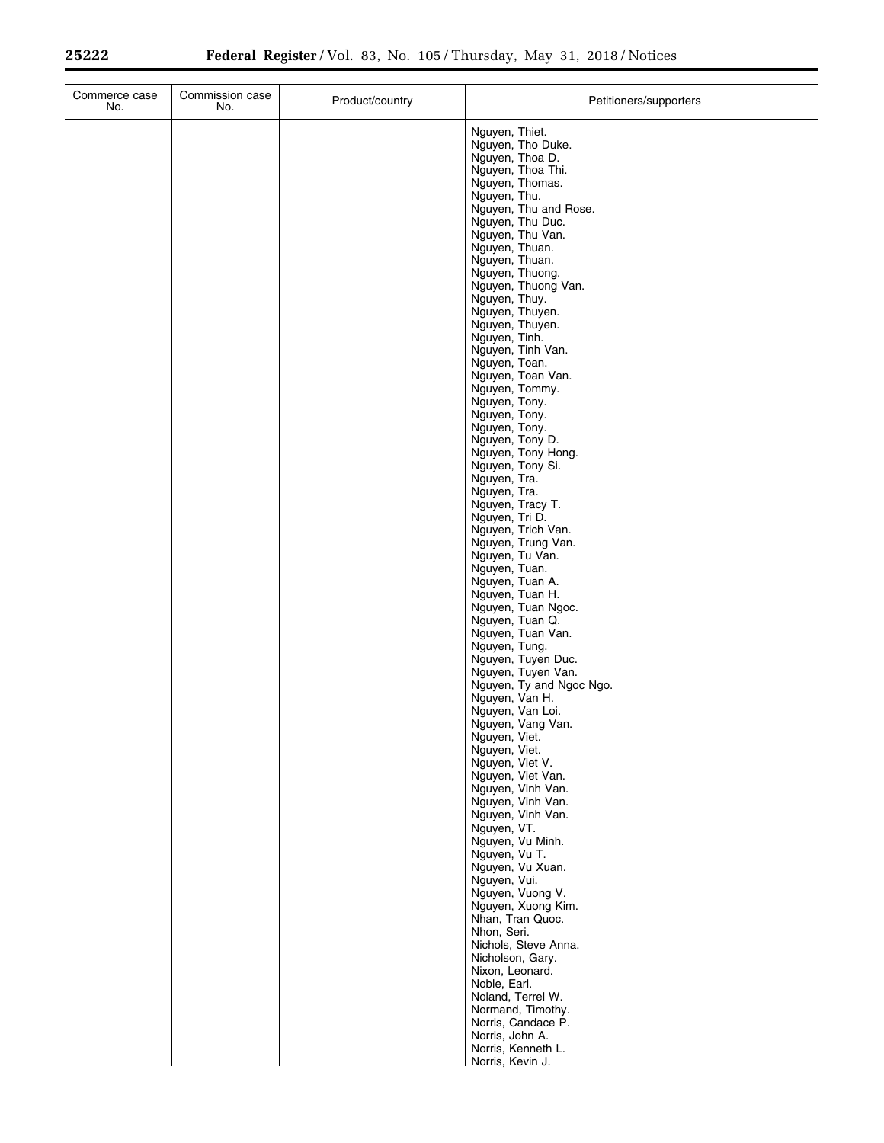$\equiv$ 

| Commerce case<br>No. | Commission case<br>No. | Product/country | Petitioners/supporters                                                                                                                                                                                                                                                                                                                                                                                                                                                                                                                                                                                                                                                                                                                                                                                                                                                                                                                                                                                                                                                                                                                                                                                |
|----------------------|------------------------|-----------------|-------------------------------------------------------------------------------------------------------------------------------------------------------------------------------------------------------------------------------------------------------------------------------------------------------------------------------------------------------------------------------------------------------------------------------------------------------------------------------------------------------------------------------------------------------------------------------------------------------------------------------------------------------------------------------------------------------------------------------------------------------------------------------------------------------------------------------------------------------------------------------------------------------------------------------------------------------------------------------------------------------------------------------------------------------------------------------------------------------------------------------------------------------------------------------------------------------|
|                      |                        |                 | Nguyen, Thiet.<br>Nguyen, Tho Duke.<br>Nguyen, Thoa D.<br>Nguyen, Thoa Thi.<br>Nguyen, Thomas.<br>Nguyen, Thu.<br>Nguyen, Thu and Rose.<br>Nguyen, Thu Duc.<br>Nguyen, Thu Van.<br>Nguyen, Thuan.<br>Nguyen, Thuan.<br>Nguyen, Thuong.<br>Nguyen, Thuong Van.<br>Nguyen, Thuy.<br>Nguyen, Thuyen.<br>Nguyen, Thuyen.<br>Nguyen, Tinh.<br>Nguyen, Tinh Van.<br>Nguyen, Toan.<br>Nguyen, Toan Van.<br>Nguyen, Tommy.<br>Nguyen, Tony.<br>Nguyen, Tony.<br>Nguyen, Tony.<br>Nguyen, Tony D.<br>Nguyen, Tony Hong.<br>Nguyen, Tony Si.<br>Nguyen, Tra.<br>Nguyen, Tra.<br>Nguyen, Tracy T.<br>Nguyen, Tri D.<br>Nguyen, Trich Van.<br>Nguyen, Trung Van.<br>Nguyen, Tu Van.<br>Nguyen, Tuan.<br>Nguyen, Tuan A.<br>Nguyen, Tuan H.<br>Nguyen, Tuan Ngoc.<br>Nguyen, Tuan Q.<br>Nguyen, Tuan Van.<br>Nguyen, Tung.<br>Nguyen, Tuyen Duc.<br>Nguyen, Tuyen Van.<br>Nguyen, Ty and Ngoc Ngo.<br>Nguyen, Van H.<br>Nguyen, Van Loi.<br>Nguyen, Vang Van.<br>Nguyen, Viet.<br>Nguyen, Viet.<br>Nguyen, Viet V.<br>Nguyen, Viet Van.<br>Nguyen, Vinh Van.<br>Nguyen, Vinh Van.<br>Nguyen, Vinh Van.<br>Nguyen, VT.<br>Nguyen, Vu Minh.<br>Nguyen, Vu T.<br>Nguyen, Vu Xuan.<br>Nguyen, Vui.<br>Nguyen, Vuong V. |
|                      |                        |                 | Nguyen, Xuong Kim.<br>Nhan, Tran Quoc.<br>Nhon, Seri.<br>Nichols, Steve Anna.<br>Nicholson, Gary.<br>Nixon, Leonard.<br>Noble, Earl.                                                                                                                                                                                                                                                                                                                                                                                                                                                                                                                                                                                                                                                                                                                                                                                                                                                                                                                                                                                                                                                                  |
|                      |                        |                 | Noland, Terrel W.<br>Normand, Timothy.<br>Norris, Candace P.<br>Norris, John A.<br>Norris, Kenneth L.<br>Norris, Kevin J.                                                                                                                                                                                                                                                                                                                                                                                                                                                                                                                                                                                                                                                                                                                                                                                                                                                                                                                                                                                                                                                                             |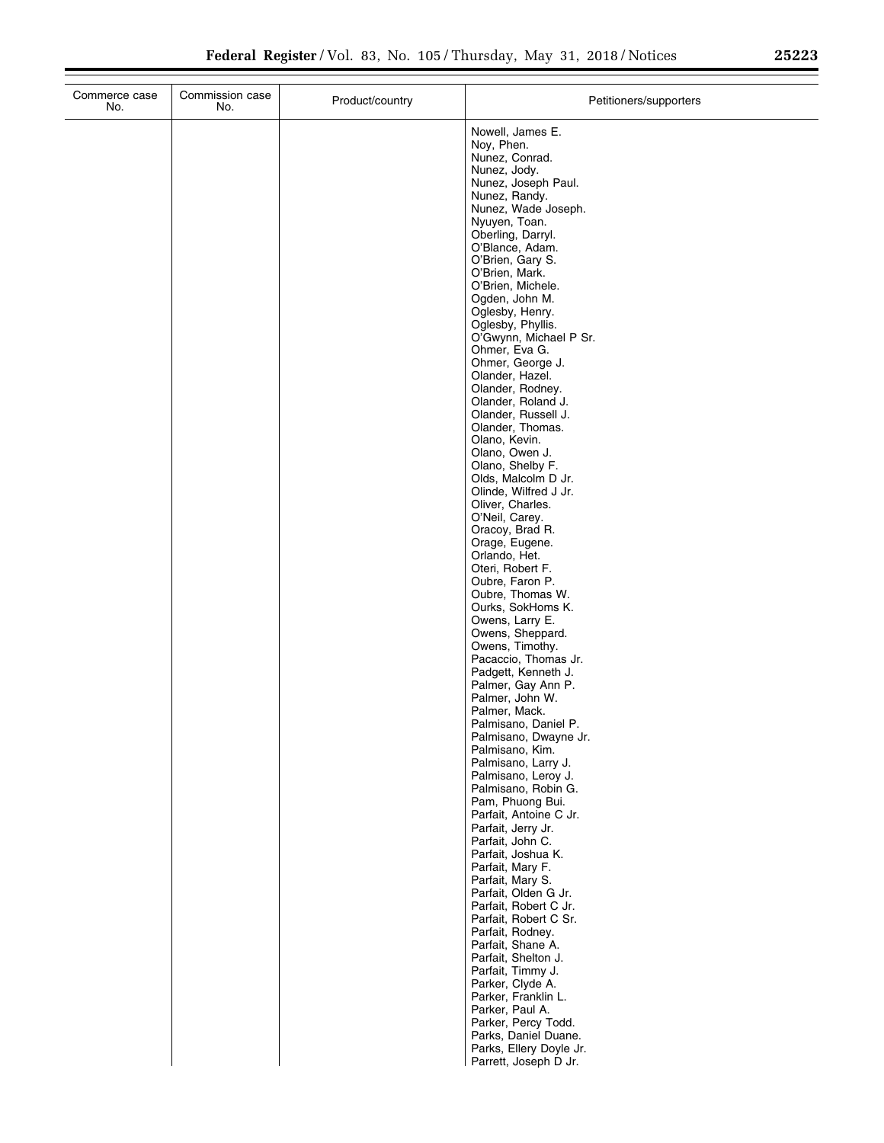| Ζ. |  |
|----|--|
|    |  |
|    |  |
|    |  |

| Commerce case<br>No. | Commission case<br>No. | Product/country | Petitioners/supporters                        |
|----------------------|------------------------|-----------------|-----------------------------------------------|
|                      |                        |                 | Nowell, James E.                              |
|                      |                        |                 | Noy, Phen.                                    |
|                      |                        |                 | Nunez, Conrad.<br>Nunez, Jody.                |
|                      |                        |                 | Nunez, Joseph Paul.                           |
|                      |                        |                 | Nunez, Randy.                                 |
|                      |                        |                 | Nunez, Wade Joseph.                           |
|                      |                        |                 | Nyuyen, Toan.<br>Oberling, Darryl.            |
|                      |                        |                 | O'Blance, Adam.                               |
|                      |                        |                 | O'Brien, Gary S.                              |
|                      |                        |                 | O'Brien, Mark.<br>O'Brien, Michele.           |
|                      |                        |                 | Ogden, John M.                                |
|                      |                        |                 | Oglesby, Henry.                               |
|                      |                        |                 | Oglesby, Phyllis.<br>O'Gwynn, Michael P Sr.   |
|                      |                        |                 | Ohmer, Eva G.                                 |
|                      |                        |                 | Ohmer, George J.                              |
|                      |                        |                 | Olander, Hazel.<br>Olander, Rodney.           |
|                      |                        |                 | Olander, Roland J.                            |
|                      |                        |                 | Olander, Russell J.                           |
|                      |                        |                 | Olander, Thomas.<br>Olano, Kevin.             |
|                      |                        |                 | Olano, Owen J.                                |
|                      |                        |                 | Olano, Shelby F.                              |
|                      |                        |                 | Olds, Malcolm D Jr.<br>Olinde, Wilfred J Jr.  |
|                      |                        |                 | Oliver, Charles.                              |
|                      |                        |                 | O'Neil, Carey.                                |
|                      |                        |                 | Oracoy, Brad R.<br>Orage, Eugene.             |
|                      |                        |                 | Orlando, Het.                                 |
|                      |                        |                 | Oteri, Robert F.                              |
|                      |                        |                 | Oubre, Faron P.<br>Oubre, Thomas W.           |
|                      |                        |                 | Ourks, SokHoms K.                             |
|                      |                        |                 | Owens, Larry E.                               |
|                      |                        |                 | Owens, Sheppard.<br>Owens, Timothy.           |
|                      |                        |                 | Pacaccio, Thomas Jr.                          |
|                      |                        |                 | Padgett, Kenneth J.                           |
|                      |                        |                 | Palmer, Gay Ann P.<br>Palmer, John W.         |
|                      |                        |                 | Palmer, Mack.                                 |
|                      |                        |                 | Palmisano, Daniel P.                          |
|                      |                        |                 | Palmisano, Dwayne Jr.                         |
|                      |                        |                 | Palmisano, Kim.<br>Palmisano, Larry J.        |
|                      |                        |                 | Palmisano, Leroy J.                           |
|                      |                        |                 | Palmisano, Robin G.<br>Pam, Phuong Bui.       |
|                      |                        |                 | Parfait, Antoine C Jr.                        |
|                      |                        |                 | Parfait, Jerry Jr.                            |
|                      |                        |                 | Parfait, John C.<br>Parfait, Joshua K.        |
|                      |                        |                 | Parfait, Mary F.                              |
|                      |                        |                 | Parfait, Mary S.                              |
|                      |                        |                 | Parfait, Olden G Jr.<br>Parfait, Robert C Jr. |
|                      |                        |                 | Parfait, Robert C Sr.                         |
|                      |                        |                 | Parfait, Rodney.                              |
|                      |                        |                 | Parfait, Shane A.                             |
|                      |                        |                 | Parfait, Shelton J.<br>Parfait, Timmy J.      |
|                      |                        |                 | Parker, Clyde A.                              |
|                      |                        |                 | Parker, Franklin L.                           |
|                      |                        |                 | Parker, Paul A.<br>Parker, Percy Todd.        |
|                      |                        |                 | Parks, Daniel Duane.                          |
|                      |                        |                 | Parks, Ellery Doyle Jr.                       |
|                      |                        |                 | Parrett, Joseph D Jr.                         |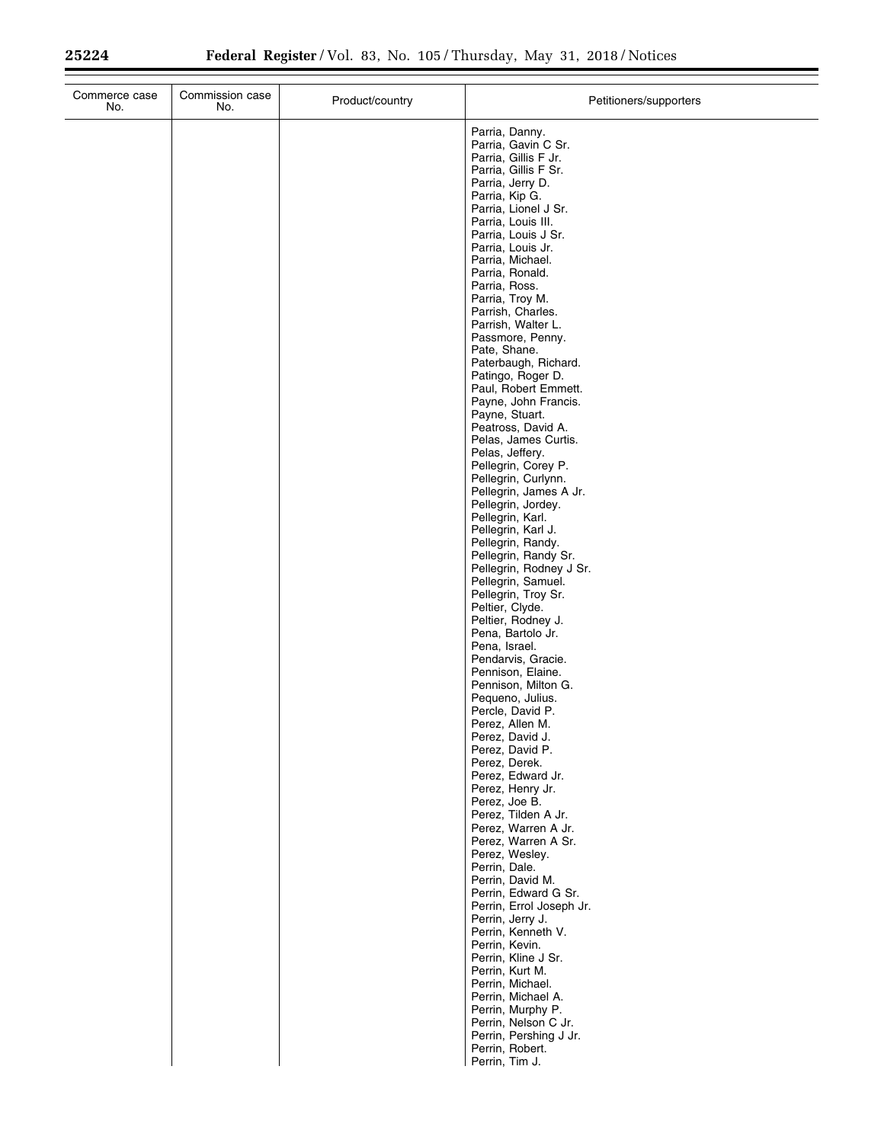$\equiv$ 

| Commerce case<br>No. | Commission case<br>No. | Product/country | Petitioners/supporters                                                                                                                                                                                                                                                                                                                                                                                                                                                                                                                                                                                                                                                                                                                                                                                                                                                                                                                                                                                                                                                                                                                                                                                                                                                                                                                                                                                                                                                                                                                                           |
|----------------------|------------------------|-----------------|------------------------------------------------------------------------------------------------------------------------------------------------------------------------------------------------------------------------------------------------------------------------------------------------------------------------------------------------------------------------------------------------------------------------------------------------------------------------------------------------------------------------------------------------------------------------------------------------------------------------------------------------------------------------------------------------------------------------------------------------------------------------------------------------------------------------------------------------------------------------------------------------------------------------------------------------------------------------------------------------------------------------------------------------------------------------------------------------------------------------------------------------------------------------------------------------------------------------------------------------------------------------------------------------------------------------------------------------------------------------------------------------------------------------------------------------------------------------------------------------------------------------------------------------------------------|
|                      |                        |                 | Parria, Danny.<br>Parria, Gavin C Sr.<br>Parria, Gillis F Jr.<br>Parria, Gillis F Sr.<br>Parria, Jerry D.<br>Parria, Kip G.<br>Parria, Lionel J Sr.<br>Parria, Louis III.<br>Parria, Louis J Sr.<br>Parria, Louis Jr.<br>Parria, Michael.<br>Parria, Ronald.<br>Parria, Ross.<br>Parria, Troy M.<br>Parrish, Charles.<br>Parrish, Walter L.<br>Passmore, Penny.<br>Pate, Shane.<br>Paterbaugh, Richard.<br>Patingo, Roger D.<br>Paul, Robert Emmett.<br>Payne, John Francis.<br>Payne, Stuart.<br>Peatross, David A.<br>Pelas, James Curtis.<br>Pelas, Jeffery.<br>Pellegrin, Corey P.<br>Pellegrin, Curlynn.<br>Pellegrin, James A Jr.<br>Pellegrin, Jordey.<br>Pellegrin, Karl.<br>Pellegrin, Karl J.<br>Pellegrin, Randy.<br>Pellegrin, Randy Sr.<br>Pellegrin, Rodney J Sr.<br>Pellegrin, Samuel.<br>Pellegrin, Troy Sr.<br>Peltier, Clyde.<br>Peltier, Rodney J.<br>Pena, Bartolo Jr.<br>Pena, Israel.<br>Pendarvis, Gracie.<br>Pennison, Elaine.<br>Pennison, Milton G.<br>Pequeno, Julius.<br>Percle, David P.<br>Perez, Allen M.<br>Perez, David J.<br>Perez, David P.<br>Perez, Derek.<br>Perez, Edward Jr.<br>Perez, Henry Jr.<br>Perez, Joe B.<br>Perez, Tilden A Jr.<br>Perez, Warren A Jr.<br>Perez, Warren A Sr.<br>Perez, Wesley.<br>Perrin, Dale.<br>Perrin, David M.<br>Perrin, Edward G Sr.<br>Perrin, Errol Joseph Jr.<br>Perrin, Jerry J.<br>Perrin, Kenneth V.<br>Perrin, Kevin.<br>Perrin, Kline J Sr.<br>Perrin, Kurt M.<br>Perrin, Michael.<br>Perrin, Michael A.<br>Perrin, Murphy P.<br>Perrin, Nelson C Jr.<br>Perrin, Pershing J Jr. |
|                      |                        |                 | Perrin, Robert.<br>Perrin, Tim J.                                                                                                                                                                                                                                                                                                                                                                                                                                                                                                                                                                                                                                                                                                                                                                                                                                                                                                                                                                                                                                                                                                                                                                                                                                                                                                                                                                                                                                                                                                                                |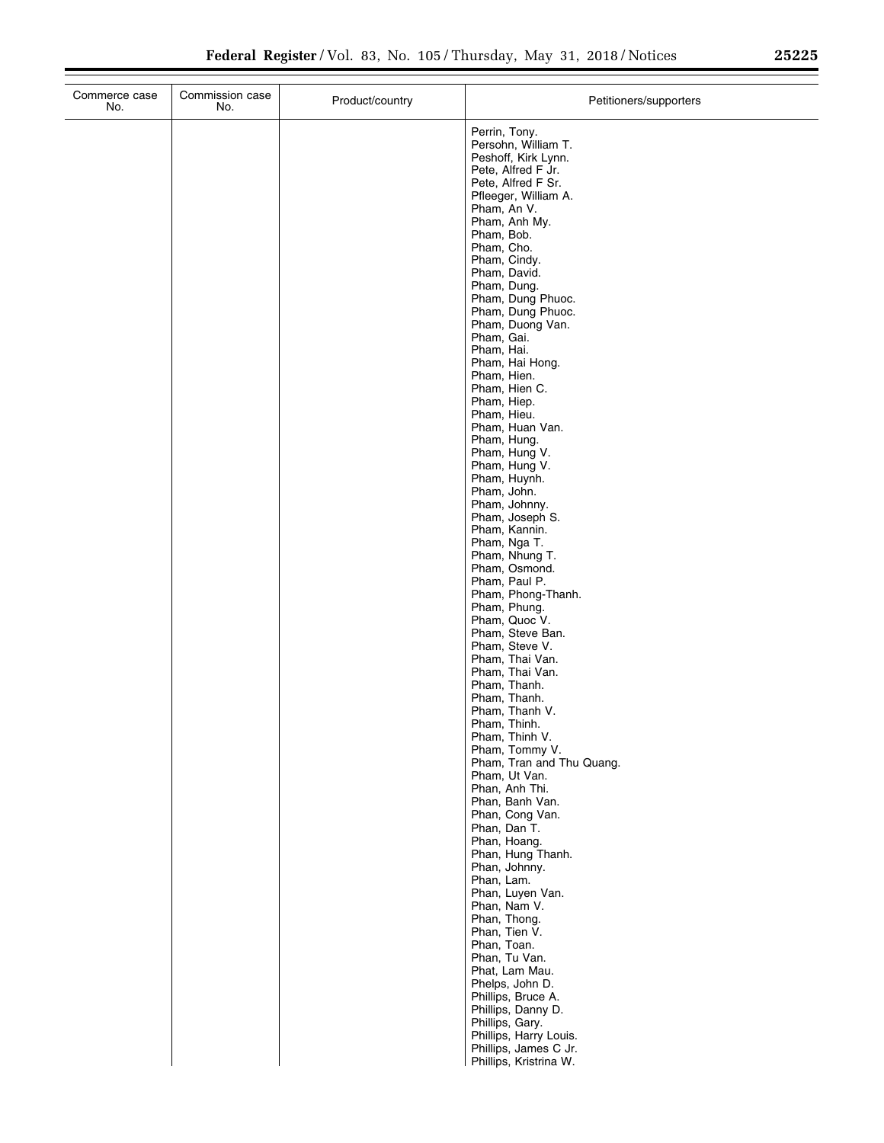| Commerce case<br>No. | Commission case<br>No. | Product/country | Petitioners/supporters                                                                                                                                                                                                                                                                                                                                                                                                                                                                                    |
|----------------------|------------------------|-----------------|-----------------------------------------------------------------------------------------------------------------------------------------------------------------------------------------------------------------------------------------------------------------------------------------------------------------------------------------------------------------------------------------------------------------------------------------------------------------------------------------------------------|
|                      |                        |                 | Perrin, Tony.<br>Persohn, William T.<br>Peshoff, Kirk Lynn.<br>Pete, Alfred F Jr.<br>Pete, Alfred F Sr.<br>Pfleeger, William A.<br>Pham, An V.<br>Pham, Anh My.<br>Pham, Bob.<br>Pham, Cho.<br>Pham, Cindy.<br>Pham, David.<br>Pham, Dung.<br>Pham, Dung Phuoc.<br>Pham, Dung Phuoc.<br>Pham, Duong Van.<br>Pham, Gai.<br>Pham, Hai.<br>Pham, Hai Hong.<br>Pham, Hien.<br>Pham, Hien C.<br>Pham, Hiep.<br>Pham, Hieu.<br>Pham, Huan Van.<br>Pham, Hung.<br>Pham, Hung V.<br>Pham, Hung V.<br>Pham, Huynh. |
|                      |                        |                 | Pham, John.<br>Pham, Johnny.<br>Pham, Joseph S.<br>Pham, Kannin.<br>Pham, Nga T.<br>Pham, Nhung T.<br>Pham, Osmond.<br>Pham, Paul P.<br>Pham, Phong-Thanh.<br>Pham, Phung.<br>Pham, Quoc V.                                                                                                                                                                                                                                                                                                               |
|                      |                        |                 | Pham, Steve Ban.<br>Pham, Steve V.<br>Pham, Thai Van.<br>Pham, Thai Van.<br>Pham, Thanh.<br>Pham, Thanh.<br>Pham, Thanh V.<br>Pham, Thinh.<br>Pham, Thinh V.<br>Pham, Tommy V.<br>Pham, Tran and Thu Quang.                                                                                                                                                                                                                                                                                               |
|                      |                        |                 | Pham, Ut Van.<br>Phan, Anh Thi.<br>Phan, Banh Van.<br>Phan, Cong Van.<br>Phan, Dan T.<br>Phan, Hoang.<br>Phan, Hung Thanh.<br>Phan, Johnny.<br>Phan, Lam.<br>Phan, Luyen Van.<br>Phan, Nam V.                                                                                                                                                                                                                                                                                                             |
|                      |                        |                 | Phan, Thong.<br>Phan, Tien V.<br>Phan, Toan.<br>Phan, Tu Van.<br>Phat, Lam Mau.<br>Phelps, John D.<br>Phillips, Bruce A.<br>Phillips, Danny D.<br>Phillips, Gary.<br>Phillips, Harry Louis.<br>Phillips, James C Jr.<br>Phillips, Kristrina W.                                                                                                                                                                                                                                                            |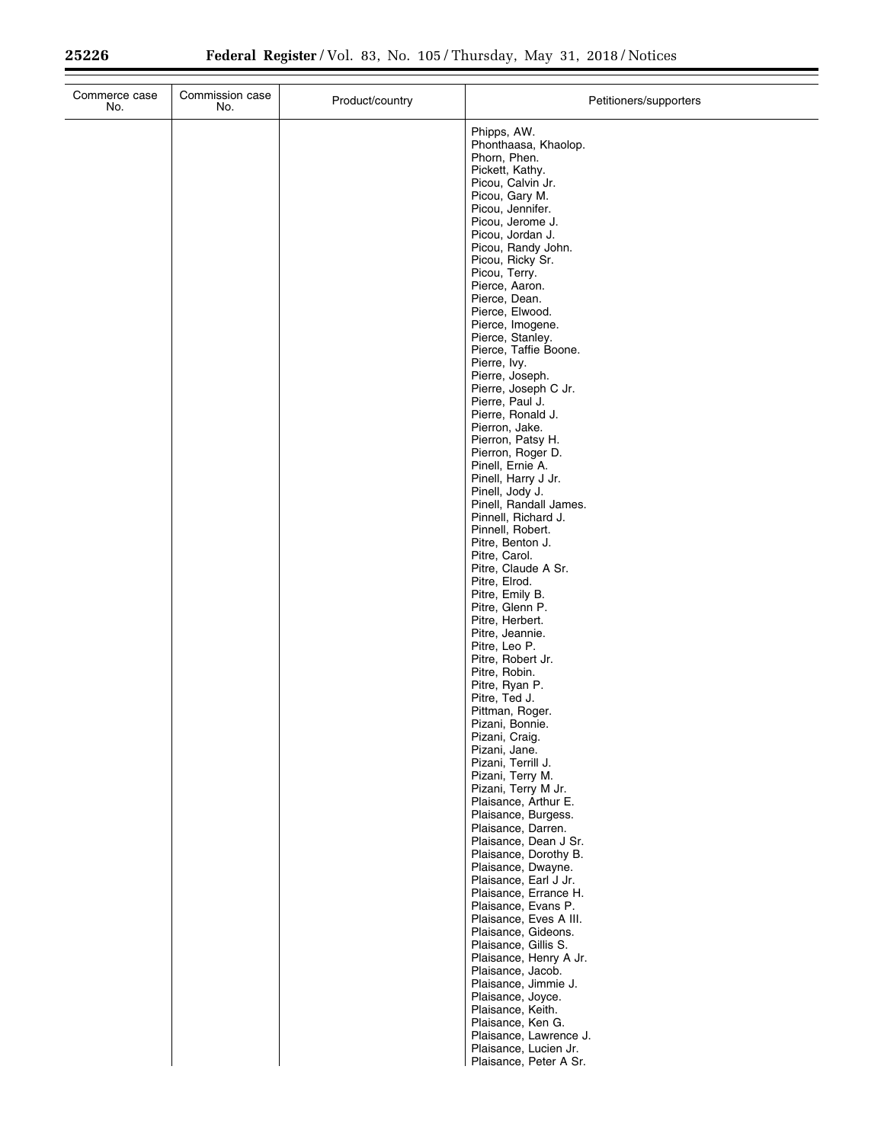$\equiv$ 

| Phipps, AW.<br>Phorn, Phen.<br>Pickett, Kathy.<br>Picou, Calvin Jr.<br>Picou, Gary M.<br>Picou, Jennifer.<br>Picou, Jerome J.<br>Picou, Jordan J.<br>Picou, Ricky Sr.<br>Picou, Terry.<br>Pierce, Aaron.<br>Pierce, Dean.<br>Pierce, Elwood.<br>Pierce, Imogene.<br>Pierce, Stanley.<br>Pierre, Ivy.<br>Pierre, Joseph.<br>Pierre, Paul J.<br>Pierre, Ronald J.<br>Pierron, Jake.<br>Pierron, Patsy H.<br>Pierron, Roger D.<br>Pinell, Ernie A.<br>Pinell, Harry J Jr.<br>Pinell, Jody J.<br>Pinnell, Robert.<br>Pitre, Benton J.<br>Pitre, Carol.<br>Pitre, Elrod.<br>Pitre, Emily B.<br>Pitre, Glenn P.<br>Pitre, Herbert.<br>Pitre, Jeannie.<br>Pitre, Leo P.<br>Pitre, Robert Jr.<br>Pitre, Robin.<br>Pitre, Ryan P.<br>Pitre, Ted J.<br>Pittman, Roger.<br>Pizani, Bonnie.<br>Pizani, Craig.<br>Pizani, Jane.<br>Pizani, Terrill J.<br>Pizani, Terry M. |                                                                                                                                                                                                                                                                                                                                                                                               |
|--------------------------------------------------------------------------------------------------------------------------------------------------------------------------------------------------------------------------------------------------------------------------------------------------------------------------------------------------------------------------------------------------------------------------------------------------------------------------------------------------------------------------------------------------------------------------------------------------------------------------------------------------------------------------------------------------------------------------------------------------------------------------------------------------------------------------------------------------------------|-----------------------------------------------------------------------------------------------------------------------------------------------------------------------------------------------------------------------------------------------------------------------------------------------------------------------------------------------------------------------------------------------|
|                                                                                                                                                                                                                                                                                                                                                                                                                                                                                                                                                                                                                                                                                                                                                                                                                                                              | Phonthaasa, Khaolop.<br>Picou, Randy John.<br>Pierce, Taffie Boone.<br>Pierre, Joseph C Jr.<br>Pinell, Randall James.<br>Pinnell, Richard J.<br>Pitre, Claude A Sr.<br>Pizani, Terry M Jr.<br>Plaisance, Arthur E.                                                                                                                                                                            |
|                                                                                                                                                                                                                                                                                                                                                                                                                                                                                                                                                                                                                                                                                                                                                                                                                                                              |                                                                                                                                                                                                                                                                                                                                                                                               |
| Plaisance, Jacob.<br>Plaisance, Joyce.<br>Plaisance, Keith.                                                                                                                                                                                                                                                                                                                                                                                                                                                                                                                                                                                                                                                                                                                                                                                                  | Plaisance, Burgess.<br>Plaisance, Darren.<br>Plaisance, Dean J Sr.<br>Plaisance, Dorothy B.<br>Plaisance, Dwayne.<br>Plaisance, Earl J Jr.<br>Plaisance, Errance H.<br>Plaisance, Evans P.<br>Plaisance, Eves A III.<br>Plaisance, Gideons.<br>Plaisance, Gillis S.<br>Plaisance, Henry A Jr.<br>Plaisance, Jimmie J.<br>Plaisance, Ken G.<br>Plaisance, Lawrence J.<br>Plaisance, Lucien Jr. |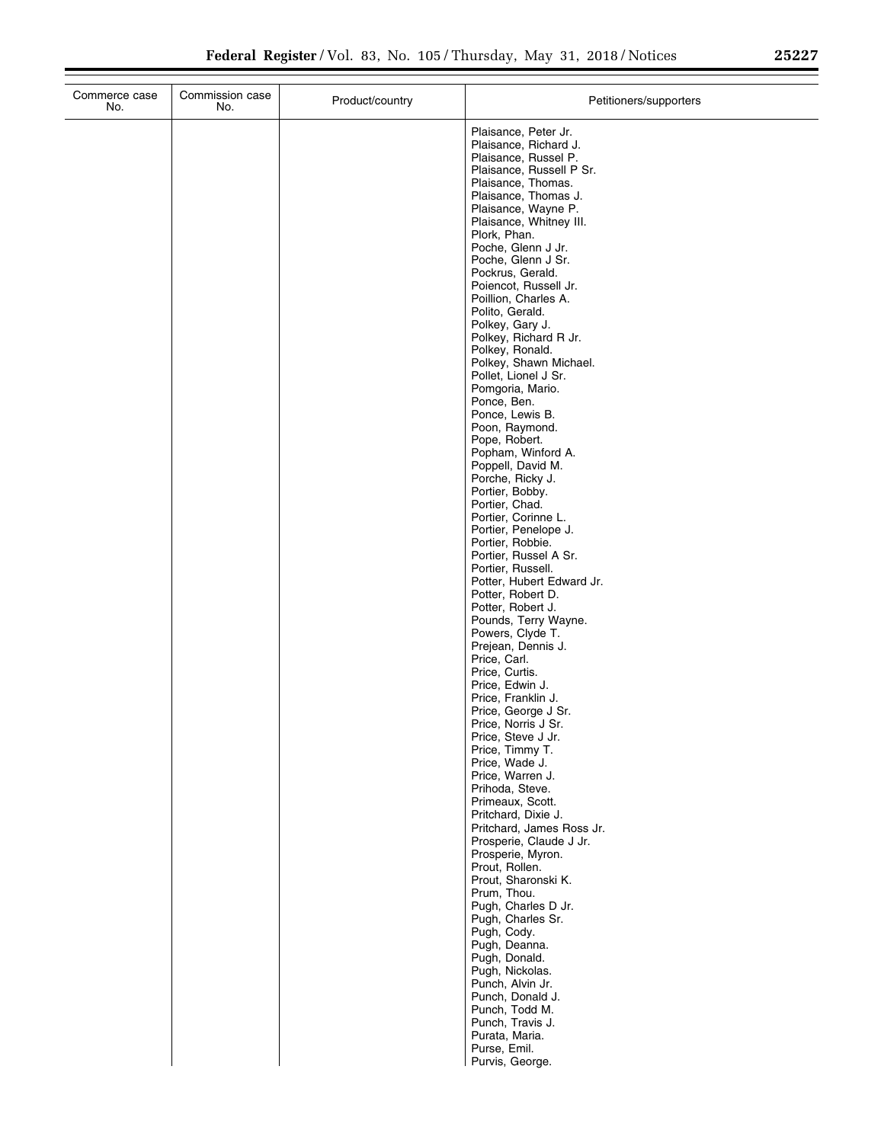| Commerce case<br>No. | Commission case<br>No. | Product/country | Petitioners/supporters                                                                                                                                                                                                                                                                                                                                                                                                                                                                                                                                                                                                                                                                                                                                                                                                                                                                                                                                          |
|----------------------|------------------------|-----------------|-----------------------------------------------------------------------------------------------------------------------------------------------------------------------------------------------------------------------------------------------------------------------------------------------------------------------------------------------------------------------------------------------------------------------------------------------------------------------------------------------------------------------------------------------------------------------------------------------------------------------------------------------------------------------------------------------------------------------------------------------------------------------------------------------------------------------------------------------------------------------------------------------------------------------------------------------------------------|
|                      |                        |                 | Plaisance, Peter Jr.<br>Plaisance, Richard J.<br>Plaisance, Russel P.<br>Plaisance, Russell P Sr.<br>Plaisance, Thomas.<br>Plaisance, Thomas J.<br>Plaisance, Wayne P.<br>Plaisance, Whitney III.<br>Plork, Phan.<br>Poche, Glenn J Jr.<br>Poche, Glenn J Sr.<br>Pockrus, Gerald.<br>Poiencot, Russell Jr.<br>Poillion, Charles A.<br>Polito, Gerald.<br>Polkey, Gary J.<br>Polkey, Richard R Jr.<br>Polkey, Ronald.<br>Polkey, Shawn Michael.<br>Pollet, Lionel J Sr.<br>Pomgoria, Mario.<br>Ponce, Ben.<br>Ponce, Lewis B.<br>Poon, Raymond.<br>Pope, Robert.<br>Popham, Winford A.<br>Poppell, David M.<br>Porche, Ricky J.<br>Portier, Bobby.<br>Portier, Chad.<br>Portier, Corinne L.<br>Portier, Penelope J.<br>Portier, Robbie.<br>Portier, Russel A Sr.<br>Portier, Russell.<br>Potter, Hubert Edward Jr.<br>Potter, Robert D.<br>Potter, Robert J.<br>Pounds, Terry Wayne.<br>Powers, Clyde T.<br>Prejean, Dennis J.<br>Price, Carl.<br>Price, Curtis. |
|                      |                        |                 | Price, Edwin J.                                                                                                                                                                                                                                                                                                                                                                                                                                                                                                                                                                                                                                                                                                                                                                                                                                                                                                                                                 |
|                      |                        |                 | Price, Franklin J.<br>Price, George J Sr.<br>Price, Norris J Sr.<br>Price, Steve J Jr.<br>Price, Timmy T.<br>Price, Wade J.<br>Price, Warren J.                                                                                                                                                                                                                                                                                                                                                                                                                                                                                                                                                                                                                                                                                                                                                                                                                 |
|                      |                        |                 | Prihoda, Steve.<br>Primeaux, Scott.<br>Pritchard, Dixie J.<br>Pritchard, James Ross Jr.<br>Prosperie, Claude J Jr.<br>Prosperie, Myron.<br>Prout, Rollen.                                                                                                                                                                                                                                                                                                                                                                                                                                                                                                                                                                                                                                                                                                                                                                                                       |
|                      |                        |                 | Prout, Sharonski K.<br>Prum, Thou.<br>Pugh, Charles D Jr.<br>Pugh, Charles Sr.<br>Pugh, Cody.<br>Pugh, Deanna.<br>Pugh, Donald.                                                                                                                                                                                                                                                                                                                                                                                                                                                                                                                                                                                                                                                                                                                                                                                                                                 |
|                      |                        |                 | Pugh, Nickolas.<br>Punch, Alvin Jr.<br>Punch, Donald J.<br>Punch, Todd M.<br>Punch, Travis J.<br>Purata, Maria.<br>Purse, Emil.<br>Purvis, George.                                                                                                                                                                                                                                                                                                                                                                                                                                                                                                                                                                                                                                                                                                                                                                                                              |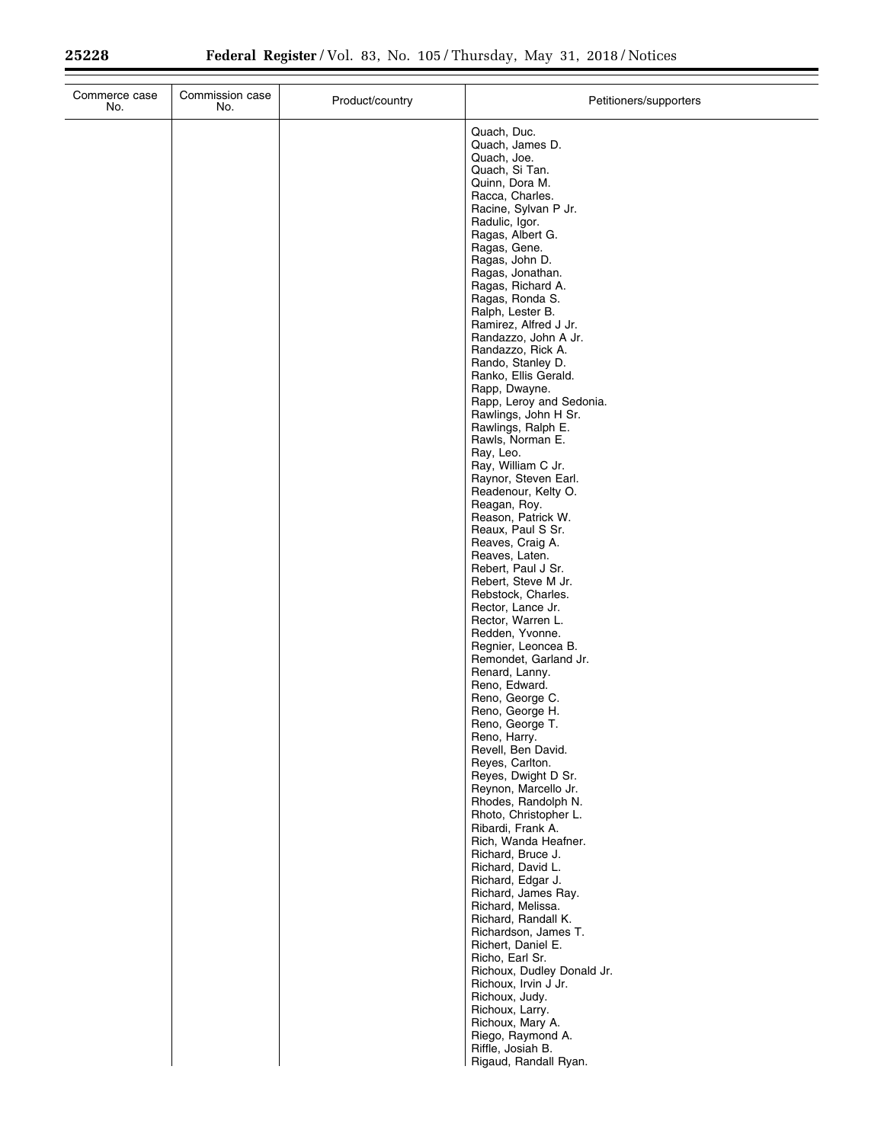| Commerce case<br>No. | Commission case<br>No. | Product/country | Petitioners/supporters                                                                                                                                                             |
|----------------------|------------------------|-----------------|------------------------------------------------------------------------------------------------------------------------------------------------------------------------------------|
|                      |                        |                 | Quach, Duc.<br>Quach, James D.<br>Quach, Joe.<br>Quach, Si Tan.<br>Quinn, Dora M.<br>Racca, Charles.<br>Racine, Sylvan P Jr.<br>Radulic, Igor.<br>Ragas, Albert G.<br>Ragas, Gene. |
|                      |                        |                 | Ragas, John D.<br>Ragas, Jonathan.<br>Ragas, Richard A.<br>Ragas, Ronda S.<br>Ralph, Lester B.<br>Ramirez, Alfred J Jr.<br>Randazzo, John A Jr.<br>Randazzo, Rick A.               |
|                      |                        |                 | Rando, Stanley D.<br>Ranko, Ellis Gerald.<br>Rapp, Dwayne.<br>Rapp, Leroy and Sedonia.<br>Rawlings, John H Sr.<br>Rawlings, Ralph E.<br>Rawls, Norman E.<br>Ray, Leo.              |
|                      |                        |                 | Ray, William C Jr.<br>Raynor, Steven Earl.<br>Readenour, Kelty O.<br>Reagan, Roy.<br>Reason, Patrick W.<br>Reaux, Paul S Sr.<br>Reaves, Craig A.<br>Reaves, Laten.                 |
|                      |                        |                 | Rebert, Paul J Sr.<br>Rebert, Steve M Jr.<br>Rebstock, Charles.<br>Rector, Lance Jr.<br>Rector, Warren L.<br>Redden, Yvonne.<br>Regnier, Leoncea B.<br>Remondet, Garland Jr.       |
|                      |                        |                 | Renard, Lanny.<br>Reno, Edward.<br>Reno, George C.<br>Reno, George H.<br>Reno, George T.<br>Reno, Harry.<br>Revell, Ben David.                                                     |
|                      |                        |                 | Reyes, Carlton.<br>Reyes, Dwight D Sr.<br>Reynon, Marcello Jr.<br>Rhodes, Randolph N.<br>Rhoto, Christopher L.<br>Ribardi, Frank A.<br>Rich, Wanda Heafner.                        |
|                      |                        |                 | Richard, Bruce J.<br>Richard, David L.<br>Richard, Edgar J.<br>Richard, James Ray.<br>Richard, Melissa.<br>Richard, Randall K.<br>Richardson, James T.                             |
|                      |                        |                 | Richert, Daniel E.<br>Richo, Earl Sr.<br>Richoux, Dudley Donald Jr.<br>Richoux, Irvin J Jr.<br>Richoux, Judy.<br>Richoux, Larry.<br>Richoux, Mary A.                               |
|                      |                        |                 | Riego, Raymond A.<br>Riffle, Josiah B.<br>Rigaud, Randall Ryan.                                                                                                                    |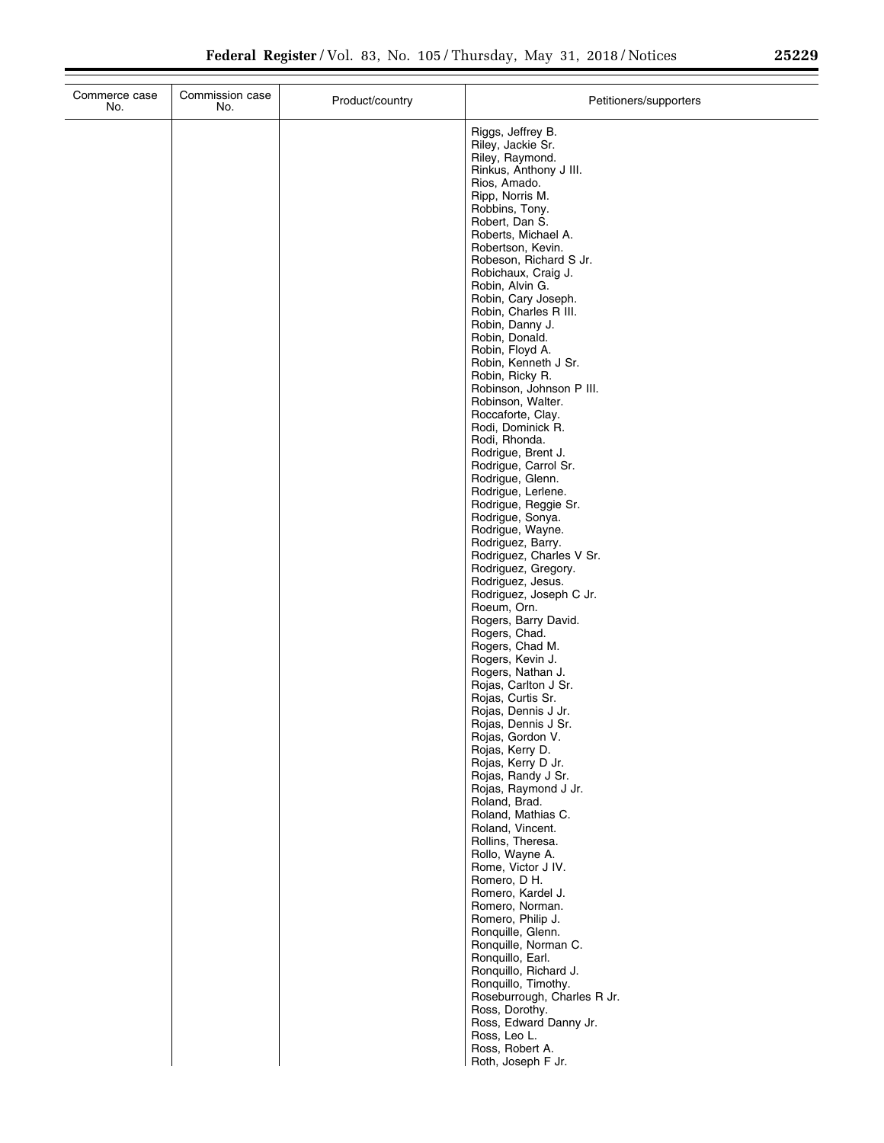$\equiv$ 

| Commerce case<br>No. | Commission case<br>No. | Product/country | Petitioners/supporters                        |
|----------------------|------------------------|-----------------|-----------------------------------------------|
|                      |                        |                 | Riggs, Jeffrey B.                             |
|                      |                        |                 | Riley, Jackie Sr.                             |
|                      |                        |                 | Riley, Raymond.<br>Rinkus, Anthony J III.     |
|                      |                        |                 | Rios, Amado.                                  |
|                      |                        |                 | Ripp, Norris M.<br>Robbins, Tony.             |
|                      |                        |                 | Robert, Dan S.                                |
|                      |                        |                 | Roberts, Michael A.                           |
|                      |                        |                 | Robertson, Kevin.<br>Robeson, Richard S Jr.   |
|                      |                        |                 | Robichaux, Craig J.                           |
|                      |                        |                 | Robin, Alvin G.<br>Robin, Cary Joseph.        |
|                      |                        |                 | Robin, Charles R III.                         |
|                      |                        |                 | Robin, Danny J.                               |
|                      |                        |                 | Robin, Donald.<br>Robin, Floyd A.             |
|                      |                        |                 | Robin, Kenneth J Sr.                          |
|                      |                        |                 | Robin, Ricky R.                               |
|                      |                        |                 | Robinson, Johnson P III.<br>Robinson, Walter. |
|                      |                        |                 | Roccaforte, Clay.                             |
|                      |                        |                 | Rodi, Dominick R.<br>Rodi, Rhonda.            |
|                      |                        |                 | Rodrigue, Brent J.                            |
|                      |                        |                 | Rodrigue, Carrol Sr.                          |
|                      |                        |                 | Rodrigue, Glenn.<br>Rodrigue, Lerlene.        |
|                      |                        |                 | Rodrigue, Reggie Sr.                          |
|                      |                        |                 | Rodrigue, Sonya.                              |
|                      |                        |                 | Rodrigue, Wayne.<br>Rodriguez, Barry.         |
|                      |                        |                 | Rodriguez, Charles V Sr.                      |
|                      |                        |                 | Rodriguez, Gregory.<br>Rodriguez, Jesus.      |
|                      |                        |                 | Rodriguez, Joseph C Jr.                       |
|                      |                        |                 | Roeum, Orn.                                   |
|                      |                        |                 | Rogers, Barry David.<br>Rogers, Chad.         |
|                      |                        |                 | Rogers, Chad M.                               |
|                      |                        |                 | Rogers, Kevin J.                              |
|                      |                        |                 | Rogers, Nathan J.<br>Rojas, Carlton J Sr.     |
|                      |                        |                 | Rojas, Curtis Sr.                             |
|                      |                        |                 | Rojas, Dennis J Jr.<br>Rojas, Dennis J Sr.    |
|                      |                        |                 | Rojas, Gordon V.                              |
|                      |                        |                 | Rojas, Kerry D.                               |
|                      |                        |                 | Rojas, Kerry D Jr.<br>Rojas, Randy J Sr.      |
|                      |                        |                 | Rojas, Raymond J Jr.                          |
|                      |                        |                 | Roland, Brad.<br>Roland, Mathias C.           |
|                      |                        |                 | Roland, Vincent.                              |
|                      |                        |                 | Rollins, Theresa.                             |
|                      |                        |                 | Rollo, Wayne A.<br>Rome, Victor J IV.         |
|                      |                        |                 | Romero, D H.                                  |
|                      |                        |                 | Romero, Kardel J.                             |
|                      |                        |                 | Romero, Norman.<br>Romero, Philip J.          |
|                      |                        |                 | Ronquille, Glenn.                             |
|                      |                        |                 | Ronquille, Norman C.<br>Ronquillo, Earl.      |
|                      |                        |                 | Ronquillo, Richard J.                         |
|                      |                        |                 | Ronquillo, Timothy.                           |
|                      |                        |                 | Roseburrough, Charles R Jr.<br>Ross, Dorothy. |
|                      |                        |                 | Ross, Edward Danny Jr.                        |
|                      |                        |                 | Ross, Leo L.                                  |
|                      |                        |                 | Ross, Robert A.<br>Roth, Joseph F Jr.         |
|                      |                        |                 |                                               |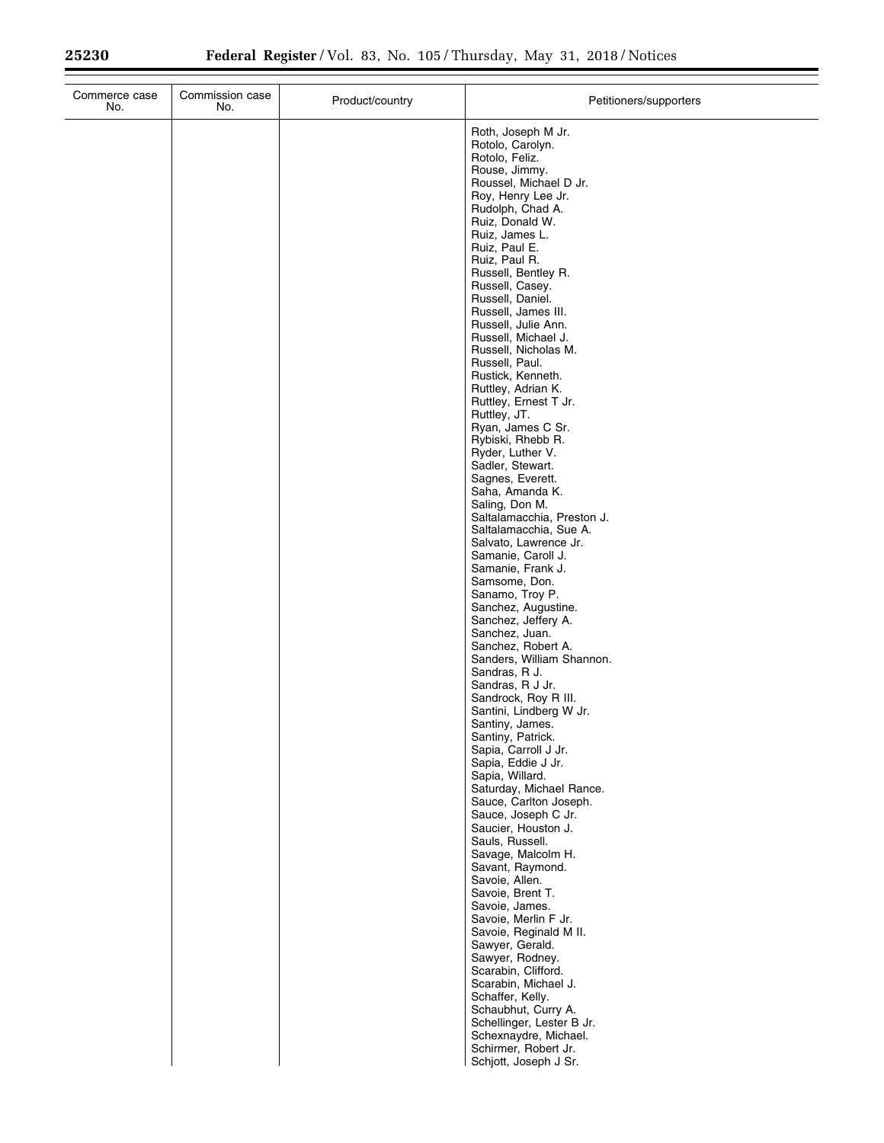| Commerce case<br>No. | Commission case<br>No. | Product/country | Petitioners/supporters                                                                                                                                                                                                                                                                                                                                                                                                                                                                                                                                                                                                                                                                                                                                                                                                                                                                                                                                                                                                                                                                                                                                                     |
|----------------------|------------------------|-----------------|----------------------------------------------------------------------------------------------------------------------------------------------------------------------------------------------------------------------------------------------------------------------------------------------------------------------------------------------------------------------------------------------------------------------------------------------------------------------------------------------------------------------------------------------------------------------------------------------------------------------------------------------------------------------------------------------------------------------------------------------------------------------------------------------------------------------------------------------------------------------------------------------------------------------------------------------------------------------------------------------------------------------------------------------------------------------------------------------------------------------------------------------------------------------------|
|                      |                        |                 | Roth, Joseph M Jr.<br>Rotolo, Carolyn.<br>Rotolo, Feliz.<br>Rouse, Jimmy.<br>Roussel, Michael D Jr.<br>Roy, Henry Lee Jr.<br>Rudolph, Chad A.<br>Ruiz, Donald W.<br>Ruiz, James L.<br>Ruiz, Paul E.<br>Ruiz, Paul R.<br>Russell, Bentley R.<br>Russell, Casey.<br>Russell, Daniel.<br>Russell, James III.<br>Russell, Julie Ann.<br>Russell, Michael J.<br>Russell, Nicholas M.<br>Russell, Paul.<br>Rustick, Kenneth.<br>Ruttley, Adrian K.<br>Ruttley, Ernest T Jr.<br>Ruttley, JT.<br>Ryan, James C Sr.<br>Rybiski, Rhebb R.<br>Ryder, Luther V.<br>Sadler, Stewart.<br>Sagnes, Everett.<br>Saha, Amanda K.<br>Saling, Don M.<br>Saltalamacchia, Preston J.<br>Saltalamacchia, Sue A.<br>Salvato, Lawrence Jr.<br>Samanie, Caroll J.<br>Samanie, Frank J.<br>Samsome, Don.<br>Sanamo, Troy P.<br>Sanchez, Augustine.<br>Sanchez, Jeffery A.<br>Sanchez, Juan.<br>Sanchez, Robert A.<br>Sanders, William Shannon.<br>Sandras, R J.<br>Sandras, R J Jr.<br>Sandrock, Roy R III.<br>Santini, Lindberg W Jr.<br>Santiny, James.<br>Santiny, Patrick.<br>Sapia, Carroll J Jr.<br>Sapia, Eddie J Jr.<br>Sapia, Willard.<br>Saturday, Michael Rance.<br>Sauce, Carlton Joseph. |
|                      |                        |                 | Sauce, Joseph C Jr.<br>Saucier, Houston J.<br>Sauls, Russell.<br>Savage, Malcolm H.<br>Savant, Raymond.<br>Savoie, Allen.<br>Savoie, Brent T.<br>Savoie, James.                                                                                                                                                                                                                                                                                                                                                                                                                                                                                                                                                                                                                                                                                                                                                                                                                                                                                                                                                                                                            |
|                      |                        |                 | Savoie, Merlin F Jr.<br>Savoie, Reginald M II.<br>Sawyer, Gerald.<br>Sawyer, Rodney.<br>Scarabin, Clifford.<br>Scarabin, Michael J.<br>Schaffer, Kelly.<br>Schaubhut, Curry A.<br>Schellinger, Lester B Jr.<br>Schexnaydre, Michael.<br>Schirmer, Robert Jr.<br>Schjott, Joseph J Sr.                                                                                                                                                                                                                                                                                                                                                                                                                                                                                                                                                                                                                                                                                                                                                                                                                                                                                      |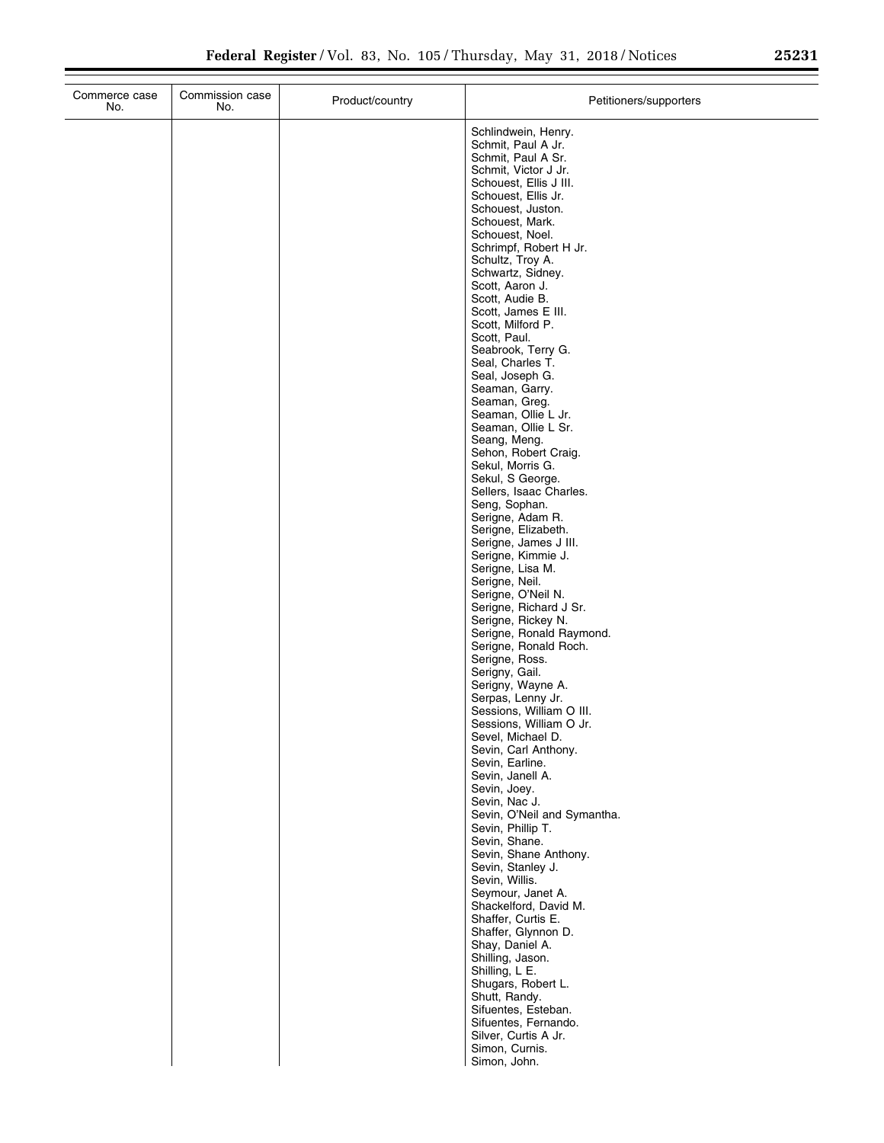|  | Schlindwein, Henry.<br>Schmit, Paul A Jr.<br>Schmit, Paul A Sr.<br>Schmit, Victor J Jr.<br>Schouest, Ellis J III.<br>Schouest, Ellis Jr.<br>Schouest, Juston.<br>Schouest, Mark.<br>Schouest, Noel.<br>Schrimpf, Robert H Jr.<br>Schultz, Troy A.<br>Schwartz, Sidney.<br>Scott, Aaron J.<br>Scott, Audie B.<br>Scott, James E III.<br>Scott, Milford P.<br>Scott, Paul.<br>Seabrook, Terry G.<br>Seal, Charles T.<br>Seal, Joseph G.<br>Seaman, Garry.<br>Seaman, Greg.<br>Seaman, Ollie L Jr.<br>Seaman, Ollie L Sr.<br>Seang, Meng.<br>Sehon, Robert Craig.<br>Sekul, Morris G.<br>Sekul, S George.<br>Sellers, Isaac Charles.<br>Seng, Sophan.<br>Serigne, Adam R.<br>Serigne, Elizabeth.<br>Serigne, James J III.<br>Serigne, Kimmie J.<br>Serigne, Lisa M.<br>Serigne, Neil.<br>Serigne, O'Neil N.<br>Serigne, Richard J Sr.<br>Serigne, Rickey N.<br>Serigne, Ronald Raymond.<br>Serigne, Ronald Roch.<br>Serigne, Ross.<br>Serigny, Gail.<br>Serigny, Wayne A.<br>Serpas, Lenny Jr.<br>Sessions, William O III.<br>Sessions, William O Jr.<br>Sevel, Michael D.<br>Sevin, Carl Anthony. |
|--|-------------------------------------------------------------------------------------------------------------------------------------------------------------------------------------------------------------------------------------------------------------------------------------------------------------------------------------------------------------------------------------------------------------------------------------------------------------------------------------------------------------------------------------------------------------------------------------------------------------------------------------------------------------------------------------------------------------------------------------------------------------------------------------------------------------------------------------------------------------------------------------------------------------------------------------------------------------------------------------------------------------------------------------------------------------------------------------------------|
|  | Sevin, Earline.<br>Sevin, Janell A.<br>Sevin, Joey.<br>Sevin, Nac J.                                                                                                                                                                                                                                                                                                                                                                                                                                                                                                                                                                                                                                                                                                                                                                                                                                                                                                                                                                                                                            |
|  | Sevin, O'Neil and Symantha.<br>Sevin, Phillip T.<br>Sevin, Shane.<br>Sevin, Shane Anthony.<br>Sevin, Stanley J.<br>Sevin, Willis.<br>Seymour, Janet A.<br>Shackelford, David M.                                                                                                                                                                                                                                                                                                                                                                                                                                                                                                                                                                                                                                                                                                                                                                                                                                                                                                                 |
|  | Shaffer, Curtis E.<br>Shaffer, Glynnon D.<br>Shay, Daniel A.<br>Shilling, Jason.<br>Shilling, L E.<br>Shugars, Robert L.<br>Shutt, Randy.<br>Sifuentes, Esteban.<br>Sifuentes, Fernando.<br>Silver, Curtis A Jr.<br>Simon, Curnis.                                                                                                                                                                                                                                                                                                                                                                                                                                                                                                                                                                                                                                                                                                                                                                                                                                                              |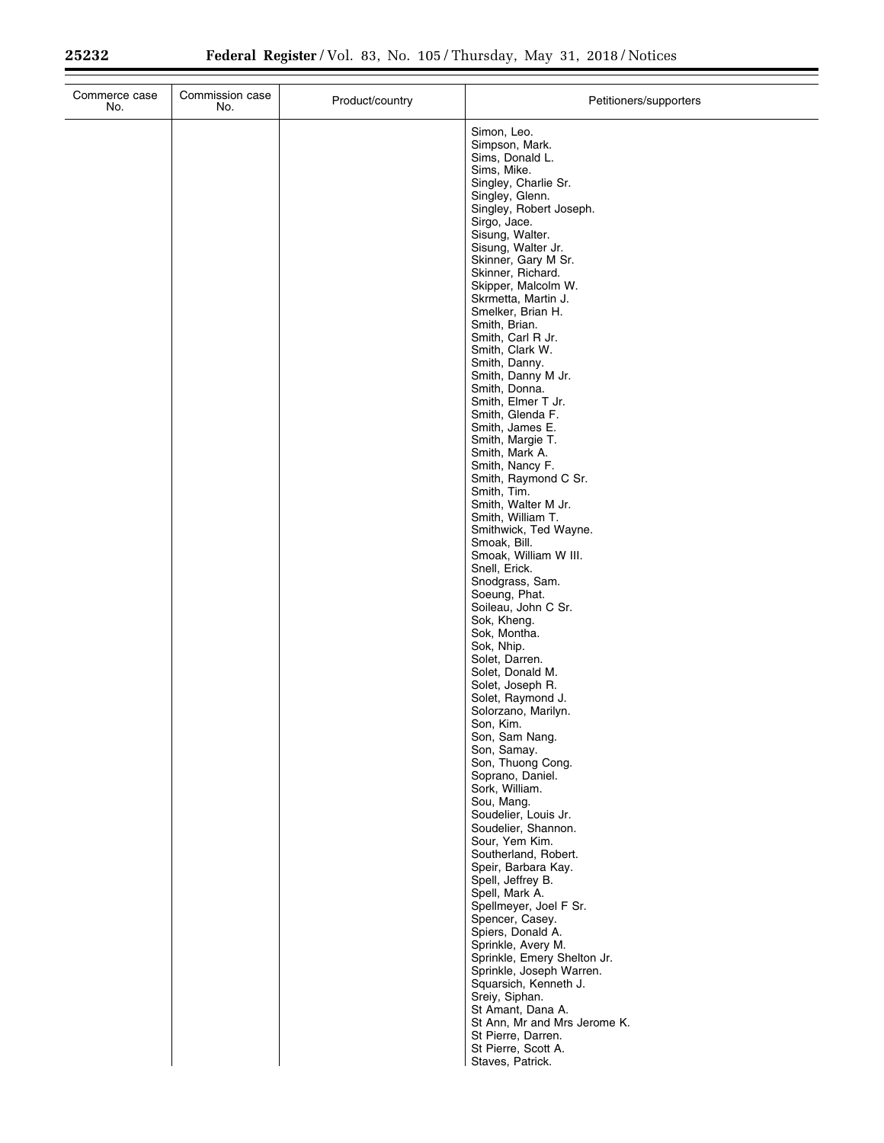| Commerce case<br>No. | Commission case<br>No. | Product/country | Petitioners/supporters                                                                                                                                                                                                                                                                                                                                                                                                                                                                                                                                                                                                                                                                                                                                                                                                                                                                                                                                                                                                                                                                                                                                                                                                                                                                                                                                                                                                                                                                          |
|----------------------|------------------------|-----------------|-------------------------------------------------------------------------------------------------------------------------------------------------------------------------------------------------------------------------------------------------------------------------------------------------------------------------------------------------------------------------------------------------------------------------------------------------------------------------------------------------------------------------------------------------------------------------------------------------------------------------------------------------------------------------------------------------------------------------------------------------------------------------------------------------------------------------------------------------------------------------------------------------------------------------------------------------------------------------------------------------------------------------------------------------------------------------------------------------------------------------------------------------------------------------------------------------------------------------------------------------------------------------------------------------------------------------------------------------------------------------------------------------------------------------------------------------------------------------------------------------|
|                      |                        |                 | Simon, Leo.<br>Simpson, Mark.<br>Sims, Donald L.<br>Sims, Mike.<br>Singley, Charlie Sr.<br>Singley, Glenn.<br>Singley, Robert Joseph.<br>Sirgo, Jace.<br>Sisung, Walter.<br>Sisung, Walter Jr.<br>Skinner, Gary M Sr.<br>Skinner, Richard.<br>Skipper, Malcolm W.<br>Skrmetta, Martin J.<br>Smelker, Brian H.<br>Smith, Brian.<br>Smith, Carl R Jr.<br>Smith, Clark W.<br>Smith, Danny.<br>Smith, Danny M Jr.<br>Smith, Donna.<br>Smith, Elmer T Jr.<br>Smith, Glenda F.<br>Smith, James E.<br>Smith, Margie T.<br>Smith, Mark A.<br>Smith, Nancy F.<br>Smith, Raymond C Sr.<br>Smith, Tim.<br>Smith, Walter M Jr.<br>Smith, William T.<br>Smithwick, Ted Wayne.<br>Smoak, Bill.<br>Smoak, William W III.<br>Snell, Erick.<br>Snodgrass, Sam.<br>Soeung, Phat.<br>Soileau, John C Sr.<br>Sok, Kheng.<br>Sok, Montha.<br>Sok, Nhip.<br>Solet, Darren.<br>Solet, Donald M.<br>Solet, Joseph R.<br>Solet, Raymond J.<br>Solorzano, Marilyn.<br>Son, Kim.<br>Son, Sam Nang.<br>Son, Samay.<br>Son, Thuong Cong.<br>Soprano, Daniel.<br>Sork, William.<br>Sou, Mang.<br>Soudelier, Louis Jr.<br>Soudelier, Shannon.<br>Sour, Yem Kim.<br>Southerland, Robert.<br>Speir, Barbara Kay.<br>Spell, Jeffrey B.<br>Spell, Mark A.<br>Spellmeyer, Joel F Sr.<br>Spencer, Casey.<br>Spiers, Donald A.<br>Sprinkle, Avery M.<br>Sprinkle, Emery Shelton Jr.<br>Sprinkle, Joseph Warren.<br>Squarsich, Kenneth J.<br>Sreiy, Siphan.<br>St Amant, Dana A.<br>St Ann, Mr and Mrs Jerome K.<br>St Pierre, Darren. |
|                      |                        |                 | St Pierre, Scott A.<br>Staves, Patrick.                                                                                                                                                                                                                                                                                                                                                                                                                                                                                                                                                                                                                                                                                                                                                                                                                                                                                                                                                                                                                                                                                                                                                                                                                                                                                                                                                                                                                                                         |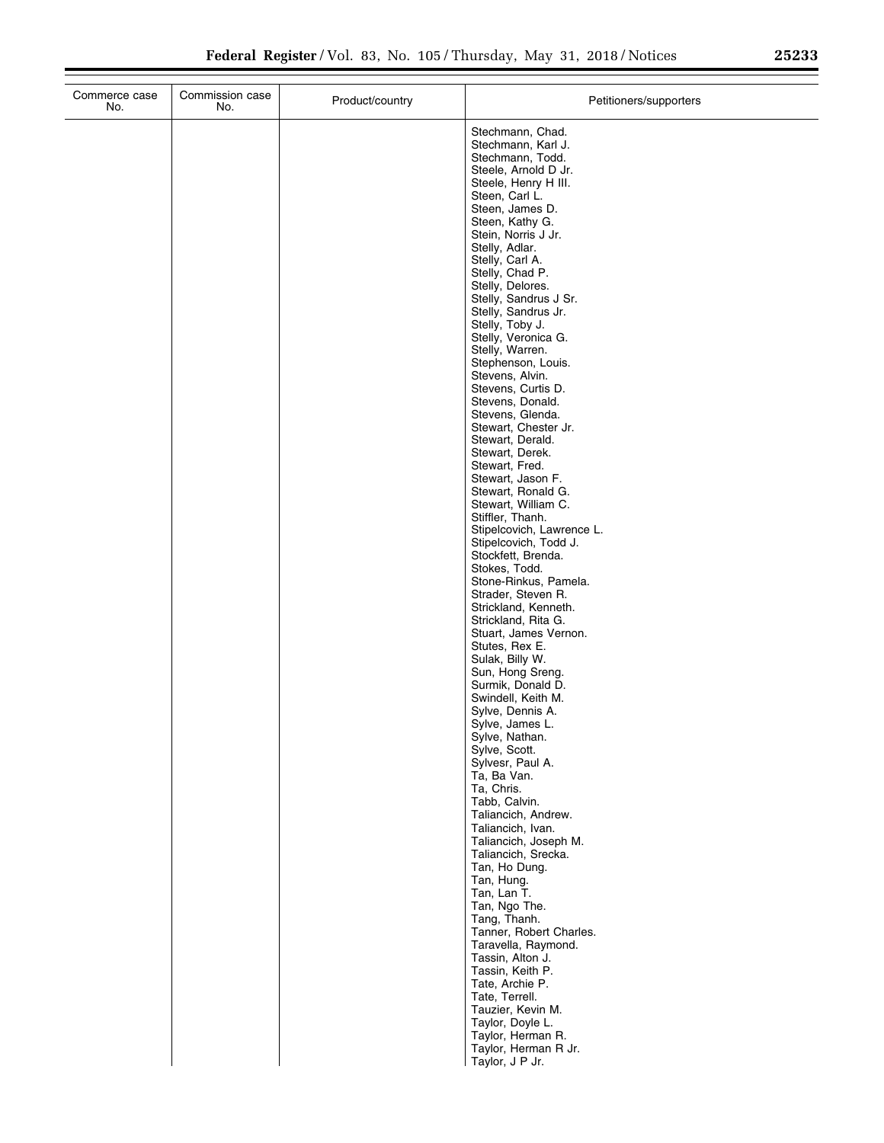| n = n n |  | ົ |
|---------|--|---|
| 23233   |  |   |

| Commerce case<br>No. | Commission case<br>No. | Product/country | Petitioners/supporters                                                                                                                                                                                                                                                                                                                                                                                                                                                                                                                                                                                                                                                                                                                                                                                                                                                                                                                                                                                                                                                                                                                                      |
|----------------------|------------------------|-----------------|-------------------------------------------------------------------------------------------------------------------------------------------------------------------------------------------------------------------------------------------------------------------------------------------------------------------------------------------------------------------------------------------------------------------------------------------------------------------------------------------------------------------------------------------------------------------------------------------------------------------------------------------------------------------------------------------------------------------------------------------------------------------------------------------------------------------------------------------------------------------------------------------------------------------------------------------------------------------------------------------------------------------------------------------------------------------------------------------------------------------------------------------------------------|
|                      |                        |                 | Stechmann, Chad.<br>Stechmann, Karl J.<br>Stechmann, Todd.<br>Steele, Arnold D Jr.<br>Steele, Henry H III.<br>Steen, Carl L.<br>Steen, James D.<br>Steen, Kathy G.<br>Stein, Norris J Jr.<br>Stelly, Adlar.<br>Stelly, Carl A.<br>Stelly, Chad P.<br>Stelly, Delores.<br>Stelly, Sandrus J Sr.<br>Stelly, Sandrus Jr.<br>Stelly, Toby J.<br>Stelly, Veronica G.<br>Stelly, Warren.<br>Stephenson, Louis.<br>Stevens, Alvin.<br>Stevens, Curtis D.<br>Stevens, Donald.<br>Stevens, Glenda.<br>Stewart, Chester Jr.<br>Stewart, Derald.<br>Stewart, Derek.<br>Stewart, Fred.<br>Stewart, Jason F.<br>Stewart, Ronald G.<br>Stewart, William C.<br>Stiffler, Thanh.<br>Stipelcovich, Lawrence L.<br>Stipelcovich, Todd J.<br>Stockfett, Brenda.<br>Stokes, Todd.<br>Stone-Rinkus, Pamela.<br>Strader, Steven R.<br>Strickland, Kenneth.<br>Strickland, Rita G.<br>Stuart, James Vernon.<br>Stutes, Rex E.<br>Sulak, Billy W.<br>Sun, Hong Sreng.<br>Surmik, Donald D.<br>Swindell, Keith M.<br>Sylve, Dennis A.<br>Sylve, James L.<br>Sylve, Nathan.<br>Sylve, Scott.<br>Sylvesr, Paul A.<br>Ta, Ba Van.<br>Ta, Chris.<br>Tabb, Calvin.<br>Taliancich, Andrew. |
|                      |                        |                 | Taliancich, Ivan.<br>Taliancich, Joseph M.<br>Taliancich, Srecka.                                                                                                                                                                                                                                                                                                                                                                                                                                                                                                                                                                                                                                                                                                                                                                                                                                                                                                                                                                                                                                                                                           |
|                      |                        |                 | Tan, Ho Dung.<br>Tan, Hung.<br>Tan, Lan T.<br>Tan, Ngo The.<br>Tang, Thanh.<br>Tanner, Robert Charles.<br>Taravella, Raymond.<br>Tassin, Alton J.<br>Tassin, Keith P.<br>Tate, Archie P.                                                                                                                                                                                                                                                                                                                                                                                                                                                                                                                                                                                                                                                                                                                                                                                                                                                                                                                                                                    |
|                      |                        |                 | Tate, Terrell.<br>Tauzier, Kevin M.<br>Taylor, Doyle L.<br>Taylor, Herman R.<br>Taylor, Herman R Jr.<br>Taylor, J P Jr.                                                                                                                                                                                                                                                                                                                                                                                                                                                                                                                                                                                                                                                                                                                                                                                                                                                                                                                                                                                                                                     |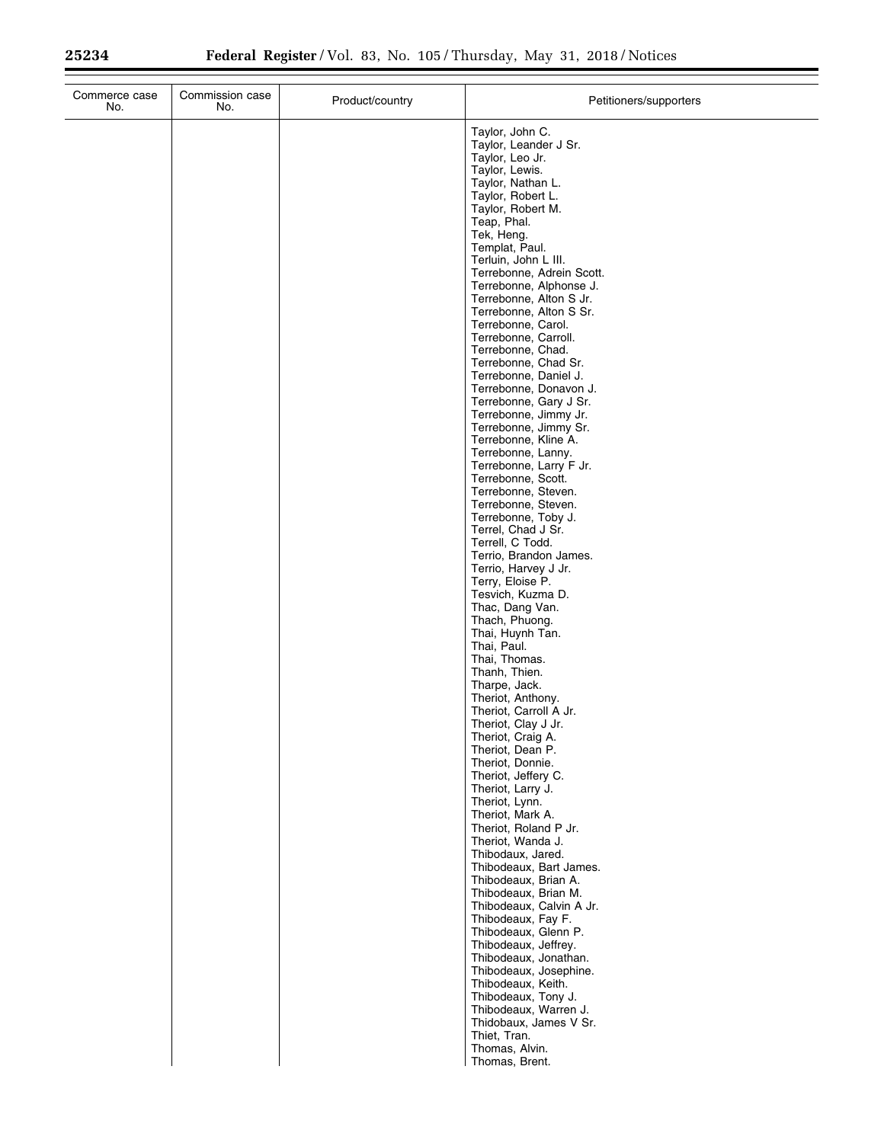| Commerce case<br>No. | Commission case<br>No. | Product/country | Petitioners/supporters                                                                                                                                                                                                                                                                                                                                                                                                                                                                                                                                                                                                                                                                                                                                                                                                                                                                                                                                                                                                                                                                                                                                                                                                                                                                                                                                                                                                                                                                                                                                                                                                  |
|----------------------|------------------------|-----------------|-------------------------------------------------------------------------------------------------------------------------------------------------------------------------------------------------------------------------------------------------------------------------------------------------------------------------------------------------------------------------------------------------------------------------------------------------------------------------------------------------------------------------------------------------------------------------------------------------------------------------------------------------------------------------------------------------------------------------------------------------------------------------------------------------------------------------------------------------------------------------------------------------------------------------------------------------------------------------------------------------------------------------------------------------------------------------------------------------------------------------------------------------------------------------------------------------------------------------------------------------------------------------------------------------------------------------------------------------------------------------------------------------------------------------------------------------------------------------------------------------------------------------------------------------------------------------------------------------------------------------|
|                      |                        |                 | Taylor, John C.<br>Taylor, Leander J Sr.<br>Taylor, Leo Jr.<br>Taylor, Lewis.<br>Taylor, Nathan L.<br>Taylor, Robert L.<br>Taylor, Robert M.<br>Teap, Phal.<br>Tek, Heng.<br>Templat, Paul.<br>Terluin, John L III.<br>Terrebonne, Adrein Scott.<br>Terrebonne, Alphonse J.<br>Terrebonne, Alton S Jr.<br>Terrebonne, Alton S Sr.<br>Terrebonne, Carol.<br>Terrebonne, Carroll.<br>Terrebonne, Chad.<br>Terrebonne, Chad Sr.<br>Terrebonne, Daniel J.<br>Terrebonne, Donavon J.<br>Terrebonne, Gary J Sr.<br>Terrebonne, Jimmy Jr.<br>Terrebonne, Jimmy Sr.<br>Terrebonne, Kline A.<br>Terrebonne, Lanny.<br>Terrebonne, Larry F Jr.<br>Terrebonne, Scott.<br>Terrebonne, Steven.<br>Terrebonne, Steven.<br>Terrebonne, Toby J.<br>Terrel, Chad J Sr.<br>Terrell, C Todd.<br>Terrio, Brandon James.<br>Terrio, Harvey J Jr.<br>Terry, Eloise P.<br>Tesvich, Kuzma D.<br>Thac, Dang Van.<br>Thach, Phuong.<br>Thai, Huynh Tan.<br>Thai, Paul.<br>Thai, Thomas.<br>Thanh, Thien.<br>Tharpe, Jack.<br>Theriot, Anthony.<br>Theriot, Carroll A Jr.<br>Theriot, Clay J Jr.<br>Theriot, Craig A.<br>Theriot, Dean P.<br>Theriot, Donnie.<br>Theriot, Jeffery C.<br>Theriot, Larry J.<br>Theriot, Lynn.<br>Theriot, Mark A.<br>Theriot, Roland P Jr.<br>Theriot, Wanda J.<br>Thibodaux, Jared.<br>Thibodeaux, Bart James.<br>Thibodeaux, Brian A.<br>Thibodeaux, Brian M.<br>Thibodeaux, Calvin A Jr.<br>Thibodeaux, Fay F.<br>Thibodeaux, Glenn P.<br>Thibodeaux, Jeffrey.<br>Thibodeaux, Jonathan.<br>Thibodeaux, Josephine.<br>Thibodeaux, Keith.<br>Thibodeaux, Tony J.<br>Thibodeaux, Warren J.<br>Thidobaux, James V Sr. |
|                      |                        |                 | Thiet, Tran.<br>Thomas, Alvin.<br>Thomas, Brent.                                                                                                                                                                                                                                                                                                                                                                                                                                                                                                                                                                                                                                                                                                                                                                                                                                                                                                                                                                                                                                                                                                                                                                                                                                                                                                                                                                                                                                                                                                                                                                        |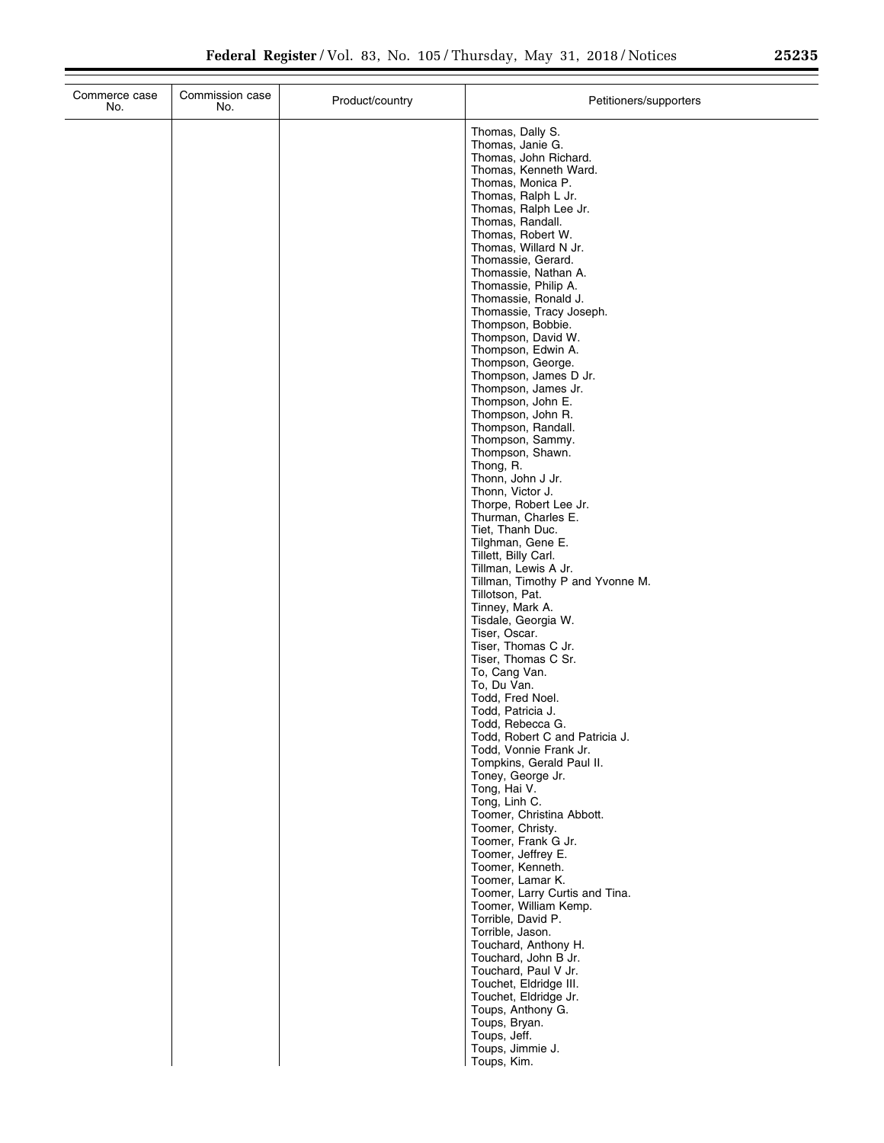| Commerce case<br>No. | Commission case<br>No. | Product/country | Petitioners/supporters                                                                                                                                                                                                                                                                                                                                                                                                                                                                                                                                                                                                                                                                                                                                                                                |
|----------------------|------------------------|-----------------|-------------------------------------------------------------------------------------------------------------------------------------------------------------------------------------------------------------------------------------------------------------------------------------------------------------------------------------------------------------------------------------------------------------------------------------------------------------------------------------------------------------------------------------------------------------------------------------------------------------------------------------------------------------------------------------------------------------------------------------------------------------------------------------------------------|
|                      |                        |                 | Thomas, Dally S.<br>Thomas, Janie G.<br>Thomas, John Richard.<br>Thomas, Kenneth Ward.<br>Thomas, Monica P.<br>Thomas, Ralph L Jr.<br>Thomas, Ralph Lee Jr.<br>Thomas, Randall.<br>Thomas, Robert W.<br>Thomas, Willard N Jr.<br>Thomassie, Gerard.<br>Thomassie, Nathan A.<br>Thomassie, Philip A.<br>Thomassie, Ronald J.<br>Thomassie, Tracy Joseph.<br>Thompson, Bobbie.<br>Thompson, David W.<br>Thompson, Edwin A.<br>Thompson, George.<br>Thompson, James D Jr.<br>Thompson, James Jr.<br>Thompson, John E.<br>Thompson, John R.<br>Thompson, Randall.<br>Thompson, Sammy.<br>Thompson, Shawn.<br>Thong, R.<br>Thonn, John J Jr.<br>Thonn, Victor J.<br>Thorpe, Robert Lee Jr.<br>Thurman, Charles E.<br>Tiet, Thanh Duc.<br>Tilghman, Gene E.<br>Tillett, Billy Carl.<br>Tillman, Lewis A Jr. |
|                      |                        |                 | Tillman, Timothy P and Yvonne M.<br>Tillotson, Pat.<br>Tinney, Mark A.<br>Tisdale, Georgia W.<br>Tiser, Oscar.<br>Tiser, Thomas C Jr.<br>Tiser, Thomas C Sr.<br>To, Cang Van.                                                                                                                                                                                                                                                                                                                                                                                                                                                                                                                                                                                                                         |
|                      |                        |                 | To, Du Van.<br>Todd, Fred Noel.<br>Todd, Patricia J.<br>Todd, Rebecca G.<br>Todd, Robert C and Patricia J.<br>Todd, Vonnie Frank Jr.<br>Tompkins, Gerald Paul II.<br>Toney, George Jr.<br>Tong, Hai V.<br>Tong, Linh C.<br>Toomer, Christina Abbott.<br>Toomer, Christy.<br>Toomer, Frank G Jr.<br>Toomer, Jeffrey E.<br>Toomer, Kenneth.<br>Toomer, Lamar K.<br>Toomer, Larry Curtis and Tina.<br>Toomer, William Kemp.<br>Torrible, David P.                                                                                                                                                                                                                                                                                                                                                        |
|                      |                        |                 | Torrible, Jason.<br>Touchard, Anthony H.<br>Touchard, John B Jr.<br>Touchard, Paul V Jr.<br>Touchet, Eldridge III.<br>Touchet, Eldridge Jr.<br>Toups, Anthony G.<br>Toups, Bryan.<br>Toups, Jeff.<br>Toups, Jimmie J.<br>Toups, Kim.                                                                                                                                                                                                                                                                                                                                                                                                                                                                                                                                                                  |

÷.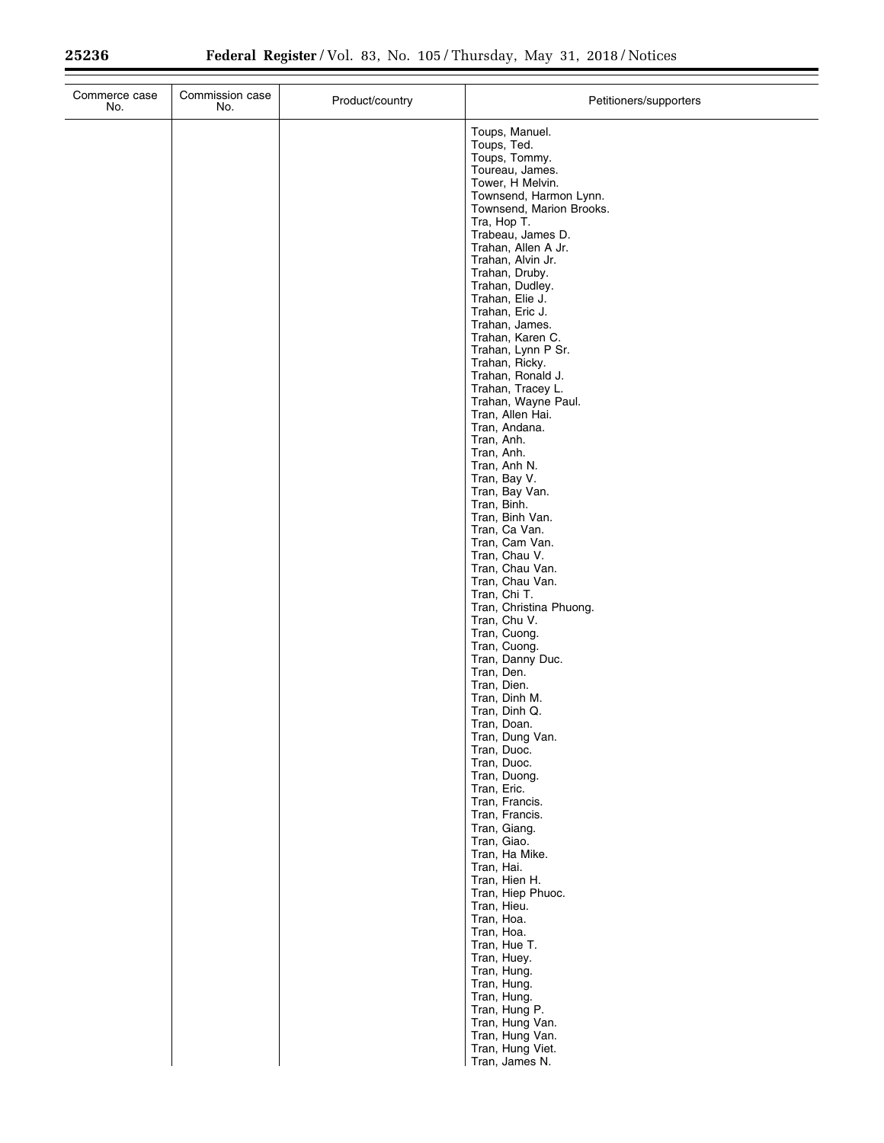| Commerce case<br>No. | Commission case<br>No. | Product/country | Petitioners/supporters                                                                                                                                                                                                                                                                                                                                                                                                                                |
|----------------------|------------------------|-----------------|-------------------------------------------------------------------------------------------------------------------------------------------------------------------------------------------------------------------------------------------------------------------------------------------------------------------------------------------------------------------------------------------------------------------------------------------------------|
|                      |                        |                 | Toups, Manuel.<br>Toups, Ted.<br>Toups, Tommy.<br>Toureau, James.<br>Tower, H Melvin.<br>Townsend, Harmon Lynn.<br>Townsend, Marion Brooks.<br>Tra, Hop T.<br>Trabeau, James D.<br>Trahan, Allen A Jr.<br>Trahan, Alvin Jr.<br>Trahan, Druby.<br>Trahan, Dudley.<br>Trahan, Elie J.<br>Trahan, Eric J.<br>Trahan, James.<br>Trahan, Karen C.<br>Trahan, Lynn P Sr.<br>Trahan, Ricky.<br>Trahan, Ronald J.<br>Trahan, Tracey L.<br>Trahan, Wayne Paul. |
|                      |                        |                 | Tran, Allen Hai.<br>Tran, Andana.<br>Tran, Anh.<br>Tran, Anh.<br>Tran, Anh N.<br>Tran, Bay V.<br>Tran, Bay Van.<br>Tran, Binh.<br>Tran, Binh Van.<br>Tran, Ca Van.<br>Tran, Cam Van.<br>Tran, Chau V.<br>Tran, Chau Van.<br>Tran, Chau Van.<br>Tran, Chi T.<br>Tran, Christina Phuong.                                                                                                                                                                |
|                      |                        |                 | Tran, Chu V.<br>Tran, Cuong.<br>Tran, Cuong.<br>Tran, Danny Duc.<br>Tran, Den.<br>Tran, Dien.<br>Tran, Dinh M.<br>Tran, Dinh Q.<br>Tran, Doan.<br>Tran, Dung Van.<br>Tran, Duoc.<br>Tran, Duoc.<br>Tran, Duong.<br>Tran, Eric.<br>Tran, Francis.<br>Tran, Francis.                                                                                                                                                                                    |
|                      |                        |                 | Tran, Giang.<br>Tran, Giao.<br>Tran, Ha Mike.<br>Tran, Hai.<br>Tran, Hien H.<br>Tran, Hiep Phuoc.<br>Tran, Hieu.<br>Tran, Hoa.<br>Tran, Hoa.<br>Tran, Hue T.<br>Tran, Huey.<br>Tran, Hung.<br>Tran, Hung.<br>Tran, Hung.<br>Tran, Hung P.<br>Tran, Hung Van.<br>Tran, Hung Van.<br>Tran, Hung Viet.<br>Tran, James N.                                                                                                                                 |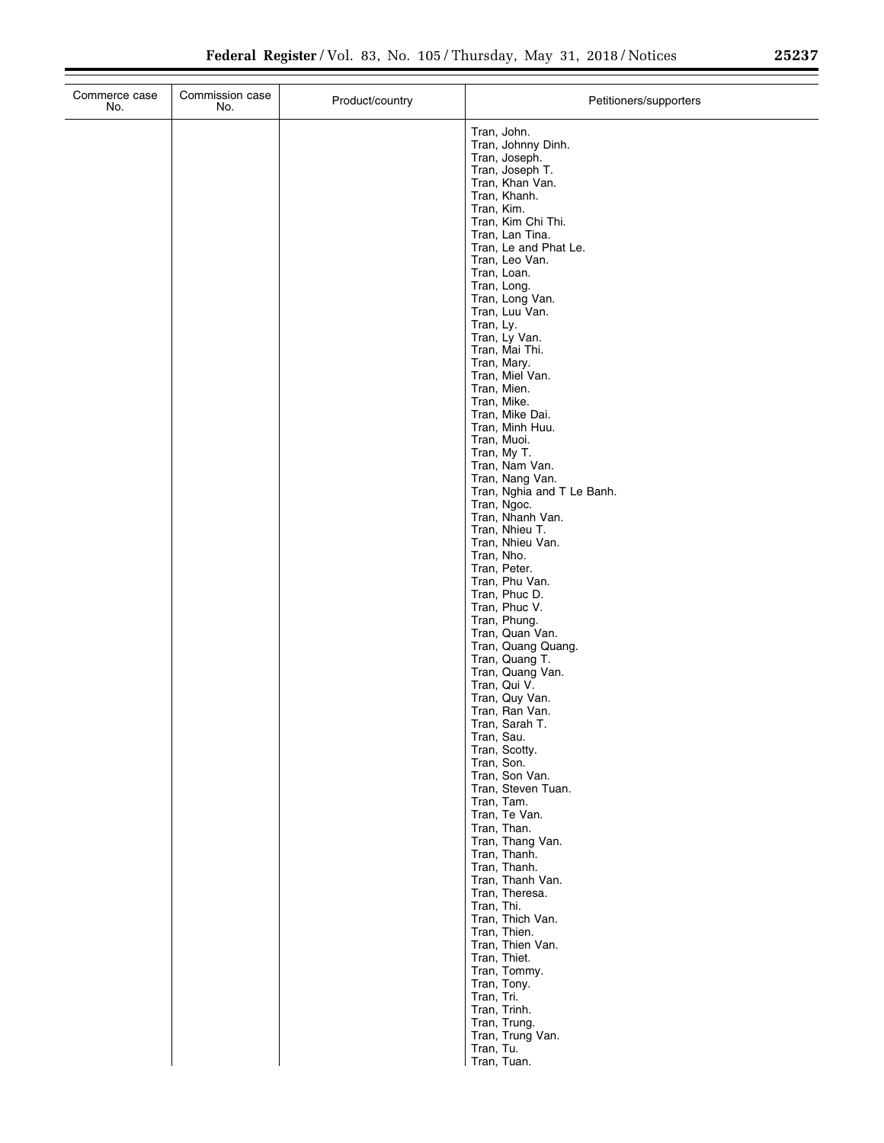| Commerce case<br>No. | Commission case<br>No. | Product/country | Petitioners/supporters                                                                                                                                                                                                                                                                                                                                                                                                                                                                                                                                                                                                                                                                                                                                                                                                           |
|----------------------|------------------------|-----------------|----------------------------------------------------------------------------------------------------------------------------------------------------------------------------------------------------------------------------------------------------------------------------------------------------------------------------------------------------------------------------------------------------------------------------------------------------------------------------------------------------------------------------------------------------------------------------------------------------------------------------------------------------------------------------------------------------------------------------------------------------------------------------------------------------------------------------------|
|                      |                        |                 | Tran, John.<br>Tran, Johnny Dinh.<br>Tran, Joseph.<br>Tran, Joseph T.<br>Tran, Khan Van.<br>Tran, Khanh.<br>Tran, Kim.<br>Tran, Kim Chi Thi.<br>Tran, Lan Tina.<br>Tran, Le and Phat Le.<br>Tran, Leo Van.<br>Tran, Loan.<br>Tran, Long.<br>Tran, Long Van.<br>Tran, Luu Van.<br>Tran, Ly.<br>Tran, Ly Van.<br>Tran, Mai Thi.<br>Tran, Mary.<br>Tran, Miel Van.<br>Tran, Mien.<br>Tran, Mike.<br>Tran, Mike Dai.<br>Tran, Minh Huu.<br>Tran, Muoi.<br>Tran, My T.<br>Tran, Nam Van.<br>Tran, Nang Van.<br>Tran, Nghia and T Le Banh.<br>Tran, Ngoc.<br>Tran, Nhanh Van.<br>Tran, Nhieu T.<br>Tran, Nhieu Van.<br>Tran, Nho.<br>Tran, Peter.<br>Tran, Phu Van.<br>Tran, Phuc D.<br>Tran, Phuc V.<br>Tran, Phung.<br>Tran, Quan Van.<br>Tran, Quang Quang.<br>Tran, Quang T.<br>Tran, Quang Van.<br>Tran, Qui V.<br>Tran, Quy Van. |
|                      |                        |                 | Tran, Ran Van.                                                                                                                                                                                                                                                                                                                                                                                                                                                                                                                                                                                                                                                                                                                                                                                                                   |
|                      |                        |                 | Tran, Sarah T.<br>Tran, Sau.<br>Tran, Scotty.<br>Tran, Son.<br>Tran, Son Van.<br>Tran, Steven Tuan.<br>Tran, Tam.<br>Tran, Te Van.                                                                                                                                                                                                                                                                                                                                                                                                                                                                                                                                                                                                                                                                                               |
|                      |                        |                 | Tran, Than.<br>Tran, Thang Van.<br>Tran, Thanh.<br>Tran, Thanh.<br>Tran, Thanh Van.<br>Tran, Theresa.<br>Tran, Thi.<br>Tran, Thich Van.                                                                                                                                                                                                                                                                                                                                                                                                                                                                                                                                                                                                                                                                                          |
|                      |                        |                 | Tran, Thien.<br>Tran, Thien Van.<br>Tran, Thiet.<br>Tran, Tommy.<br>Tran, Tony.<br>Tran, Tri.<br>Tran, Trinh.<br>Tran, Trung.<br>Tran, Trung Van.<br>Tran, Tu.                                                                                                                                                                                                                                                                                                                                                                                                                                                                                                                                                                                                                                                                   |
|                      |                        |                 | Tran, Tuan.                                                                                                                                                                                                                                                                                                                                                                                                                                                                                                                                                                                                                                                                                                                                                                                                                      |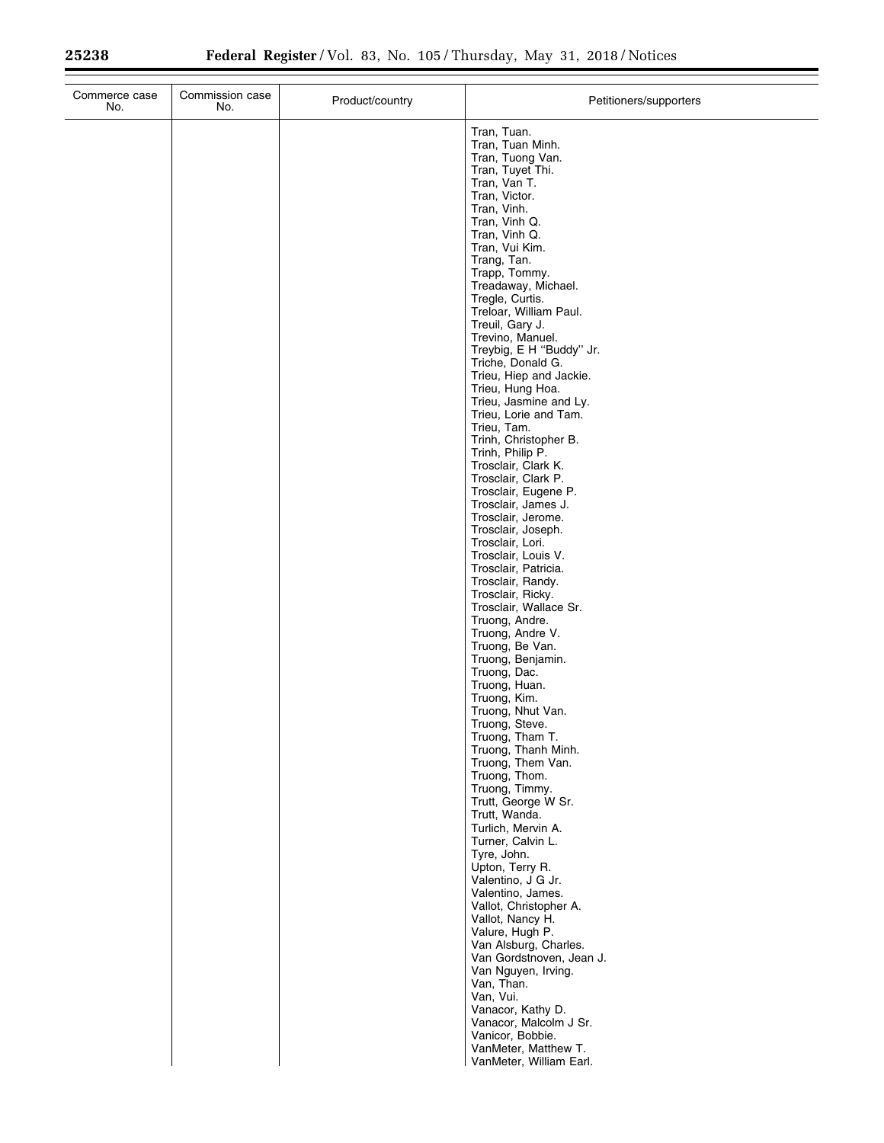| Commerce case<br>No. | Commission case<br>No. | Product/country | Petitioners/supporters                          |
|----------------------|------------------------|-----------------|-------------------------------------------------|
|                      |                        |                 | Tran, Tuan.                                     |
|                      |                        |                 | Tran, Tuan Minh.                                |
|                      |                        |                 | Tran, Tuong Van.<br>Tran, Tuyet Thi.            |
|                      |                        |                 | Tran, Van T.                                    |
|                      |                        |                 | Tran, Victor.                                   |
|                      |                        |                 | Tran, Vinh.<br>Tran, Vinh Q.                    |
|                      |                        |                 | Tran, Vinh Q.                                   |
|                      |                        |                 | Tran, Vui Kim.<br>Trang, Tan.                   |
|                      |                        |                 | Trapp, Tommy.                                   |
|                      |                        |                 | Treadaway, Michael.                             |
|                      |                        |                 | Tregle, Curtis.<br>Treloar, William Paul.       |
|                      |                        |                 | Treuil, Gary J.                                 |
|                      |                        |                 | Trevino, Manuel.                                |
|                      |                        |                 | Treybig, E H "Buddy" Jr.<br>Triche, Donald G.   |
|                      |                        |                 | Trieu, Hiep and Jackie.                         |
|                      |                        |                 | Trieu, Hung Hoa.                                |
|                      |                        |                 | Trieu, Jasmine and Ly.<br>Trieu, Lorie and Tam. |
|                      |                        |                 | Trieu, Tam.                                     |
|                      |                        |                 | Trinh, Christopher B.                           |
|                      |                        |                 | Trinh, Philip P.<br>Trosclair, Clark K.         |
|                      |                        |                 | Trosclair, Clark P.                             |
|                      |                        |                 | Trosclair, Eugene P.<br>Trosclair, James J.     |
|                      |                        |                 | Trosclair, Jerome.                              |
|                      |                        |                 | Trosclair, Joseph.                              |
|                      |                        |                 | Trosclair, Lori.<br>Trosclair, Louis V.         |
|                      |                        |                 | Trosclair, Patricia.                            |
|                      |                        |                 | Trosclair, Randy.                               |
|                      |                        |                 | Trosclair, Ricky.<br>Trosclair, Wallace Sr.     |
|                      |                        |                 | Truong, Andre.                                  |
|                      |                        |                 | Truong, Andre V.                                |
|                      |                        |                 | Truong, Be Van.<br>Truong, Benjamin.            |
|                      |                        |                 | Truong, Dac.                                    |
|                      |                        |                 | Truong, Huan.<br>Truong, Kim.                   |
|                      |                        |                 | Truong, Nhut Van.                               |
|                      |                        |                 | Truong, Steve.                                  |
|                      |                        |                 | Truong, Tham T.<br>Truong, Thanh Minh.          |
|                      |                        |                 | Truong, Them Van.                               |
|                      |                        |                 | Truong, Thom.                                   |
|                      |                        |                 | Truong, Timmy.<br>Trutt, George W Sr.           |
|                      |                        |                 | Trutt, Wanda.                                   |
|                      |                        |                 | Turlich, Mervin A.<br>Turner, Calvin L.         |
|                      |                        |                 | Tyre, John.                                     |
|                      |                        |                 | Upton, Terry R.                                 |
|                      |                        |                 | Valentino, J G Jr.<br>Valentino, James.         |
|                      |                        |                 | Vallot, Christopher A.                          |
|                      |                        |                 | Vallot, Nancy H.                                |
|                      |                        |                 | Valure, Hugh P.<br>Van Alsburg, Charles.        |
|                      |                        |                 | Van Gordstnoven, Jean J.                        |
|                      |                        |                 | Van Nguyen, Irving.                             |
|                      |                        |                 | Van, Than.<br>Van, Vui.                         |
|                      |                        |                 | Vanacor, Kathy D.                               |
|                      |                        |                 | Vanacor, Malcolm J Sr.                          |
|                      |                        |                 | Vanicor, Bobbie.<br>VanMeter, Matthew T.        |
|                      |                        |                 | VanMeter, William Earl.                         |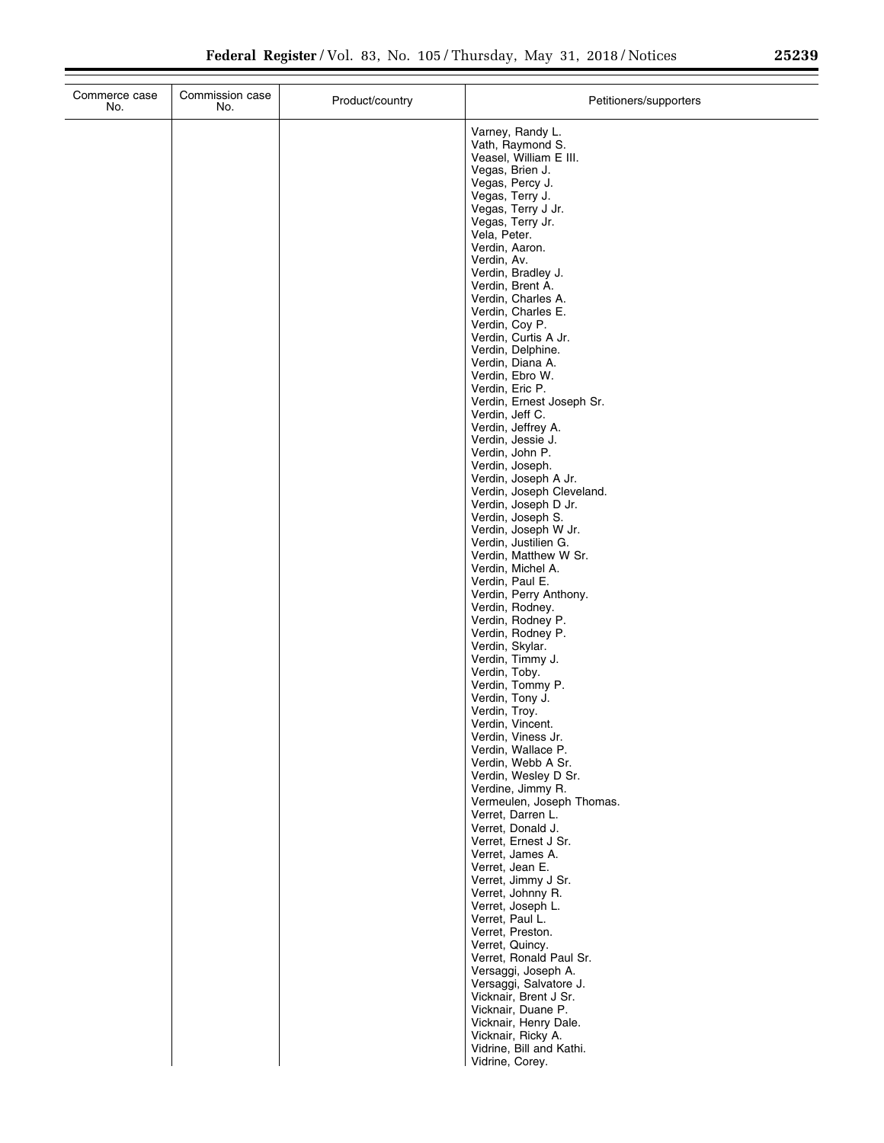| Commerce case<br>No. | Commission case<br>No. | Product/country | Petitioners/supporters                                                                                                                                                                                                                                                                                                                             |
|----------------------|------------------------|-----------------|----------------------------------------------------------------------------------------------------------------------------------------------------------------------------------------------------------------------------------------------------------------------------------------------------------------------------------------------------|
|                      |                        |                 | Varney, Randy L.<br>Vath, Raymond S.<br>Veasel, William E III.<br>Vegas, Brien J.<br>Vegas, Percy J.<br>Vegas, Terry J.<br>Vegas, Terry J Jr.<br>Vegas, Terry Jr.<br>Vela, Peter.<br>Verdin, Aaron.<br>Verdin, Av.<br>Verdin, Bradley J.<br>Verdin, Brent A.<br>Verdin, Charles A.<br>Verdin, Charles E.<br>Verdin, Coy P.<br>Verdin, Curtis A Jr. |
|                      |                        |                 | Verdin, Delphine.<br>Verdin, Diana A.<br>Verdin, Ebro W.<br>Verdin, Eric P.<br>Verdin, Ernest Joseph Sr.<br>Verdin, Jeff C.<br>Verdin, Jeffrey A.<br>Verdin, Jessie J.                                                                                                                                                                             |
|                      |                        |                 | Verdin, John P.<br>Verdin, Joseph.<br>Verdin, Joseph A Jr.<br>Verdin, Joseph Cleveland.<br>Verdin, Joseph D Jr.<br>Verdin, Joseph S.<br>Verdin, Joseph W Jr.<br>Verdin, Justilien G.<br>Verdin, Matthew W Sr.                                                                                                                                      |
|                      |                        |                 | Verdin, Michel A.<br>Verdin, Paul E.<br>Verdin, Perry Anthony.<br>Verdin, Rodney.<br>Verdin, Rodney P.<br>Verdin, Rodney P.<br>Verdin, Skylar.<br>Verdin, Timmy J.                                                                                                                                                                                 |
|                      |                        |                 | Verdin, Toby.<br>Verdin, Tommy P.<br>Verdin, Tony J.<br>Verdin, Troy.<br>Verdin, Vincent.<br>Verdin, Viness Jr.<br>Verdin, Wallace P.<br>Verdin, Webb A Sr.                                                                                                                                                                                        |
|                      |                        |                 | Verdin, Wesley D Sr.<br>Verdine, Jimmy R.<br>Vermeulen, Joseph Thomas.<br>Verret, Darren L.<br>Verret, Donald J.<br>Verret, Ernest J Sr.<br>Verret, James A.<br>Verret, Jean E.                                                                                                                                                                    |
|                      |                        |                 | Verret, Jimmy J Sr.<br>Verret, Johnny R.<br>Verret, Joseph L.<br>Verret, Paul L.<br>Verret, Preston.<br>Verret, Quincy.<br>Verret, Ronald Paul Sr.<br>Versaggi, Joseph A.                                                                                                                                                                          |
|                      |                        |                 | Versaggi, Salvatore J.<br>Vicknair, Brent J Sr.<br>Vicknair, Duane P.<br>Vicknair, Henry Dale.<br>Vicknair, Ricky A.<br>Vidrine, Bill and Kathi.<br>Vidrine, Corey.                                                                                                                                                                                |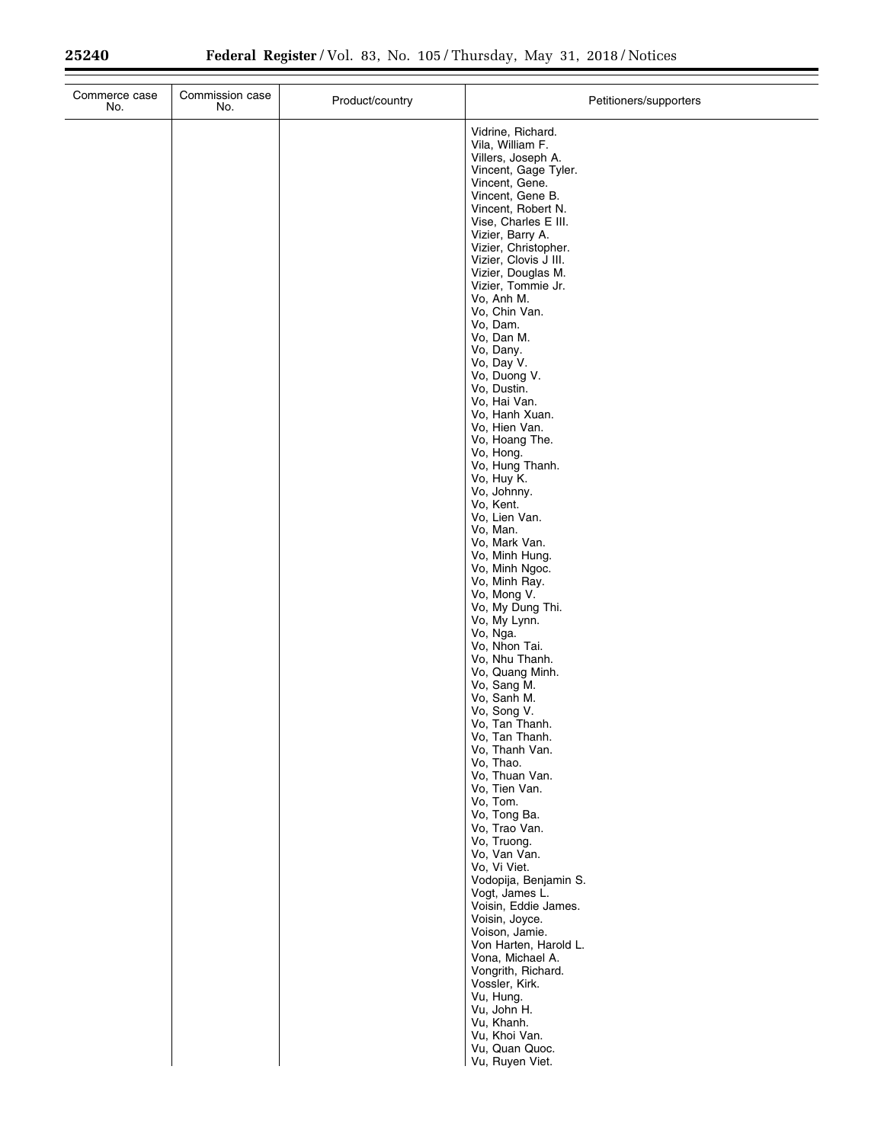$\equiv$ 

| Commerce case<br>No. | Commission case<br>No. | Product/country | Petitioners/supporters                   |
|----------------------|------------------------|-----------------|------------------------------------------|
|                      |                        |                 | Vidrine, Richard.<br>Vila, William F.    |
|                      |                        |                 | Villers, Joseph A.                       |
|                      |                        |                 | Vincent, Gage Tyler.<br>Vincent, Gene.   |
|                      |                        |                 | Vincent, Gene B.<br>Vincent, Robert N.   |
|                      |                        |                 | Vise, Charles E III.                     |
|                      |                        |                 | Vizier, Barry A.<br>Vizier, Christopher. |
|                      |                        |                 | Vizier, Clovis J III.                    |
|                      |                        |                 | Vizier, Douglas M.<br>Vizier, Tommie Jr. |
|                      |                        |                 | Vo, Anh M.<br>Vo, Chin Van.              |
|                      |                        |                 | Vo, Dam.                                 |
|                      |                        |                 | Vo, Dan M.<br>Vo, Dany.                  |
|                      |                        |                 | Vo, Day V.                               |
|                      |                        |                 | Vo, Duong V.<br>Vo, Dustin.              |
|                      |                        |                 | Vo, Hai Van.                             |
|                      |                        |                 | Vo, Hanh Xuan.<br>Vo, Hien Van.          |
|                      |                        |                 | Vo, Hoang The.<br>Vo, Hong.              |
|                      |                        |                 | Vo, Hung Thanh.                          |
|                      |                        |                 | Vo, Huy K.<br>Vo, Johnny.                |
|                      |                        |                 | Vo, Kent.                                |
|                      |                        |                 | Vo, Lien Van.<br>Vo, Man.                |
|                      |                        |                 | Vo, Mark Van.<br>Vo, Minh Hung.          |
|                      |                        |                 | Vo, Minh Ngoc.                           |
|                      |                        |                 | Vo, Minh Ray.<br>Vo, Mong V.             |
|                      |                        |                 | Vo, My Dung Thi.<br>Vo, My Lynn.         |
|                      |                        |                 | Vo, Nga.                                 |
|                      |                        |                 | Vo, Nhon Tai.<br>Vo, Nhu Thanh.          |
|                      |                        |                 | Vo, Quang Minh.                          |
|                      |                        |                 | Vo, Sang M.<br>Vo, Sanh M.               |
|                      |                        |                 | Vo, Song V.<br>Vo, Tan Thanh.            |
|                      |                        |                 | Vo, Tan Thanh.                           |
|                      |                        |                 | Vo, Thanh Van.<br>Vo, Thao.              |
|                      |                        |                 | Vo, Thuan Van.                           |
|                      |                        |                 | Vo, Tien Van.<br>Vo, Tom.                |
|                      |                        |                 | Vo, Tong Ba.<br>Vo, Trao Van.            |
|                      |                        |                 | Vo, Truong.                              |
|                      |                        |                 | Vo, Van Van.<br>Vo, Vi Viet.             |
|                      |                        |                 | Vodopija, Benjamin S.                    |
|                      |                        |                 | Vogt, James L.<br>Voisin, Eddie James.   |
|                      |                        |                 | Voisin, Joyce.<br>Voison, Jamie.         |
|                      |                        |                 | Von Harten, Harold L.                    |
|                      |                        |                 | Vona, Michael A.<br>Vongrith, Richard.   |
|                      |                        |                 | Vossler, Kirk.                           |
|                      |                        |                 | Vu, Hung.<br>Vu, John H.                 |
|                      |                        |                 | Vu, Khanh.                               |
|                      |                        |                 | Vu, Khoi Van.<br>Vu, Quan Quoc.          |
|                      |                        |                 | Vu, Ruyen Viet.                          |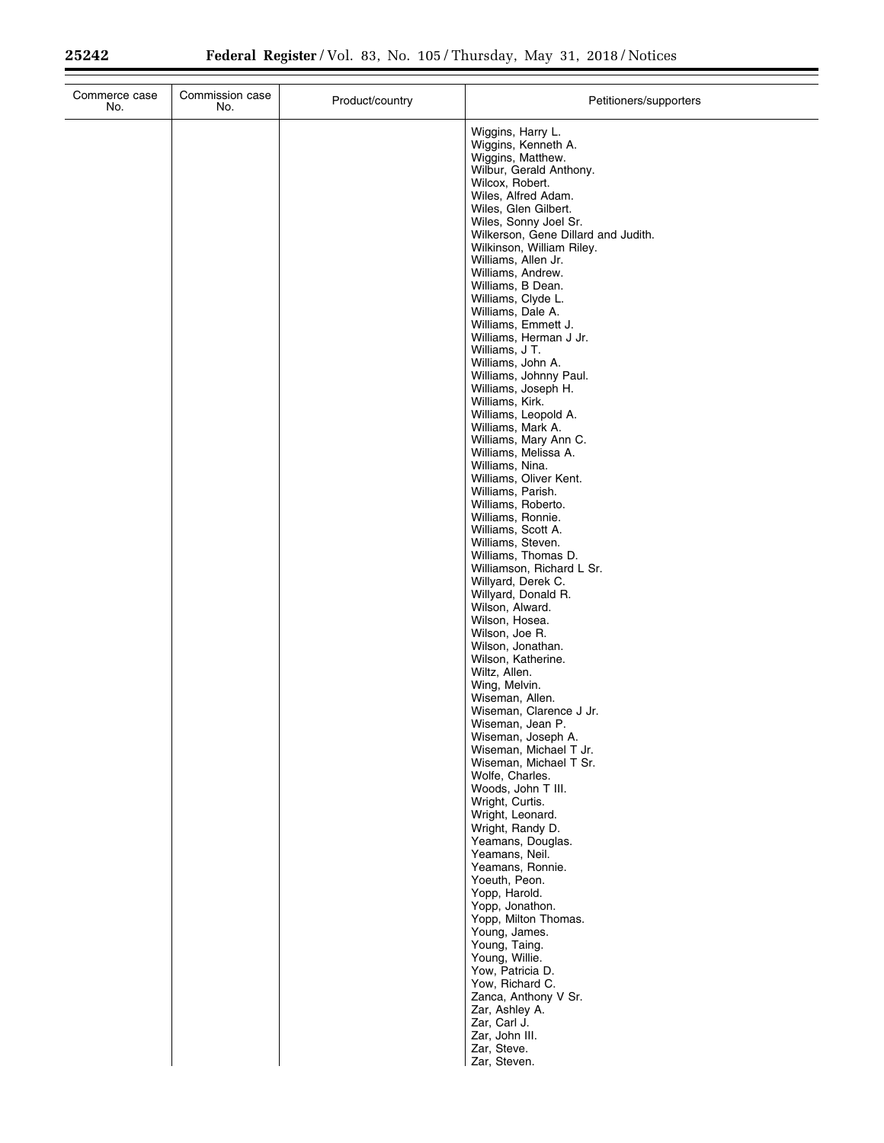$\equiv$ 

| Commerce case<br>No. | Commission case<br>No. | Product/country | Petitioners/supporters                                                                                                                                                                                                                                                                                                                                                                                                                                                                                                                                                                                                                                                                                                                                                                                                                                          |
|----------------------|------------------------|-----------------|-----------------------------------------------------------------------------------------------------------------------------------------------------------------------------------------------------------------------------------------------------------------------------------------------------------------------------------------------------------------------------------------------------------------------------------------------------------------------------------------------------------------------------------------------------------------------------------------------------------------------------------------------------------------------------------------------------------------------------------------------------------------------------------------------------------------------------------------------------------------|
|                      |                        |                 | Wiggins, Harry L.<br>Wiggins, Kenneth A.<br>Wiggins, Matthew.<br>Wilbur, Gerald Anthony.<br>Wilcox, Robert.<br>Wiles, Alfred Adam.<br>Wiles, Glen Gilbert.<br>Wiles, Sonny Joel Sr.<br>Wilkerson, Gene Dillard and Judith.<br>Wilkinson, William Riley.<br>Williams, Allen Jr.<br>Williams, Andrew.<br>Williams, B Dean.<br>Williams, Clyde L.<br>Williams, Dale A.<br>Williams, Emmett J.<br>Williams, Herman J Jr.<br>Williams, J T.<br>Williams, John A.<br>Williams, Johnny Paul.<br>Williams, Joseph H.<br>Williams, Kirk.<br>Williams, Leopold A.<br>Williams, Mark A.<br>Williams, Mary Ann C.<br>Williams, Melissa A.<br>Williams, Nina.<br>Williams, Oliver Kent.<br>Williams, Parish.<br>Williams, Roberto.<br>Williams, Ronnie.<br>Williams, Scott A.<br>Williams, Steven.<br>Williams, Thomas D.<br>Williamson, Richard L Sr.<br>Willyard, Derek C. |
|                      |                        |                 | Willyard, Donald R.<br>Wilson, Alward.<br>Wilson, Hosea.<br>Wilson, Joe R.<br>Wilson, Jonathan.<br>Wilson, Katherine.<br>Wiltz, Allen.<br>Wing, Melvin.<br>Wiseman, Allen.                                                                                                                                                                                                                                                                                                                                                                                                                                                                                                                                                                                                                                                                                      |
|                      |                        |                 | Wiseman, Clarence J Jr.<br>Wiseman, Jean P.<br>Wiseman, Joseph A.<br>Wiseman, Michael T Jr.<br>Wiseman, Michael T Sr.<br>Wolfe, Charles.<br>Woods, John T III.                                                                                                                                                                                                                                                                                                                                                                                                                                                                                                                                                                                                                                                                                                  |
|                      |                        |                 | Wright, Curtis.<br>Wright, Leonard.<br>Wright, Randy D.<br>Yeamans, Douglas.<br>Yeamans, Neil.<br>Yeamans, Ronnie.<br>Yoeuth, Peon.                                                                                                                                                                                                                                                                                                                                                                                                                                                                                                                                                                                                                                                                                                                             |
|                      |                        |                 | Yopp, Harold.<br>Yopp, Jonathon.<br>Yopp, Milton Thomas.<br>Young, James.<br>Young, Taing.<br>Young, Willie.                                                                                                                                                                                                                                                                                                                                                                                                                                                                                                                                                                                                                                                                                                                                                    |
|                      |                        |                 | Yow, Patricia D.<br>Yow, Richard C.<br>Zanca, Anthony V Sr.<br>Zar, Ashley A.<br>Zar, Carl J.<br>Zar, John III.<br>Zar, Steve.                                                                                                                                                                                                                                                                                                                                                                                                                                                                                                                                                                                                                                                                                                                                  |
|                      |                        |                 | Zar, Steven.                                                                                                                                                                                                                                                                                                                                                                                                                                                                                                                                                                                                                                                                                                                                                                                                                                                    |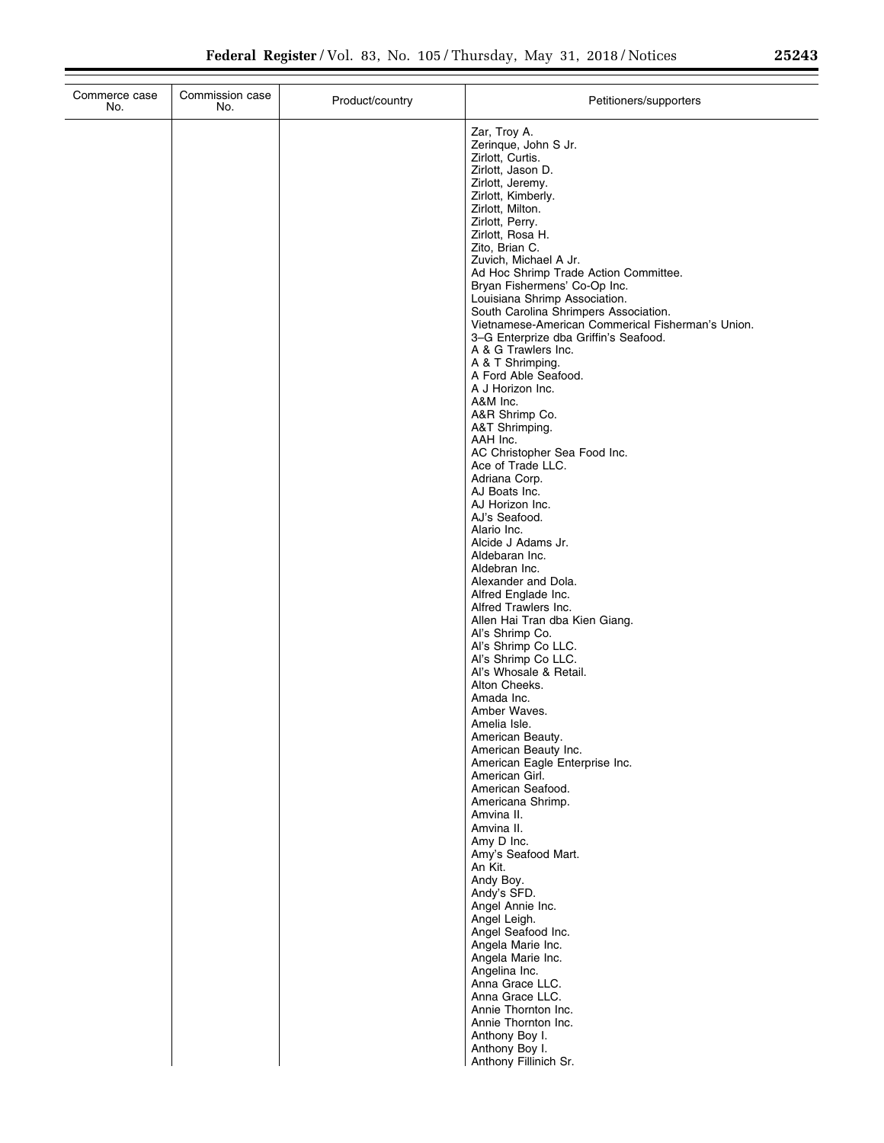÷.

| Commerce case<br>No. | Commission case<br>No. | Product/country | Petitioners/supporters                                                                     |
|----------------------|------------------------|-----------------|--------------------------------------------------------------------------------------------|
|                      |                        |                 | Zar, Troy A.<br>Zerinque, John S Jr.<br>Zirlott, Curtis.                                   |
|                      |                        |                 | Zirlott, Jason D.<br>Zirlott, Jeremy.                                                      |
|                      |                        |                 | Zirlott, Kimberly.<br>Zirlott, Milton.                                                     |
|                      |                        |                 | Zirlott, Perry.<br>Zirlott, Rosa H.                                                        |
|                      |                        |                 | Zito, Brian C.                                                                             |
|                      |                        |                 | Zuvich, Michael A Jr.<br>Ad Hoc Shrimp Trade Action Committee.                             |
|                      |                        |                 | Bryan Fishermens' Co-Op Inc.<br>Louisiana Shrimp Association.                              |
|                      |                        |                 | South Carolina Shrimpers Association.<br>Vietnamese-American Commerical Fisherman's Union. |
|                      |                        |                 | 3-G Enterprize dba Griffin's Seafood.                                                      |
|                      |                        |                 | A & G Trawlers Inc.<br>A & T Shrimping.                                                    |
|                      |                        |                 | A Ford Able Seafood.<br>A J Horizon Inc.                                                   |
|                      |                        |                 | A&M Inc.                                                                                   |
|                      |                        |                 | A&R Shrimp Co.<br>A&T Shrimping.                                                           |
|                      |                        |                 | AAH Inc.<br>AC Christopher Sea Food Inc.                                                   |
|                      |                        |                 | Ace of Trade LLC.<br>Adriana Corp.                                                         |
|                      |                        |                 | AJ Boats Inc.                                                                              |
|                      |                        |                 | AJ Horizon Inc.<br>AJ's Seafood.                                                           |
|                      |                        |                 | Alario Inc.<br>Alcide J Adams Jr.                                                          |
|                      |                        |                 | Aldebaran Inc.<br>Aldebran Inc.                                                            |
|                      |                        |                 | Alexander and Dola.                                                                        |
|                      |                        |                 | Alfred Englade Inc.<br>Alfred Trawlers Inc.                                                |
|                      |                        |                 | Allen Hai Tran dba Kien Giang.<br>Al's Shrimp Co.                                          |
|                      |                        |                 | Al's Shrimp Co LLC.<br>Al's Shrimp Co LLC.                                                 |
|                      |                        |                 | Al's Whosale & Retail.                                                                     |
|                      |                        |                 | Alton Cheeks.<br>Amada Inc.                                                                |
|                      |                        |                 | Amber Waves.<br>Amelia Isle.                                                               |
|                      |                        |                 | American Beauty.<br>American Beauty Inc.                                                   |
|                      |                        |                 | American Eagle Enterprise Inc.                                                             |
|                      |                        |                 | American Girl.<br>American Seafood.                                                        |
|                      |                        |                 | Americana Shrimp.<br>Amvina II.                                                            |
|                      |                        |                 | Amvina II.<br>Amy D Inc.                                                                   |
|                      |                        |                 | Amy's Seafood Mart.                                                                        |
|                      |                        |                 | An Kit.<br>Andy Boy.                                                                       |
|                      |                        |                 | Andy's SFD.<br>Angel Annie Inc.                                                            |
|                      |                        |                 | Angel Leigh.<br>Angel Seafood Inc.                                                         |
|                      |                        |                 | Angela Marie Inc.                                                                          |
|                      |                        |                 | Angela Marie Inc.<br>Angelina Inc.                                                         |
|                      |                        |                 | Anna Grace LLC.<br>Anna Grace LLC.                                                         |
|                      |                        |                 | Annie Thornton Inc.<br>Annie Thornton Inc.                                                 |
|                      |                        |                 | Anthony Boy I.                                                                             |
|                      |                        |                 | Anthony Boy I.<br>Anthony Fillinich Sr.                                                    |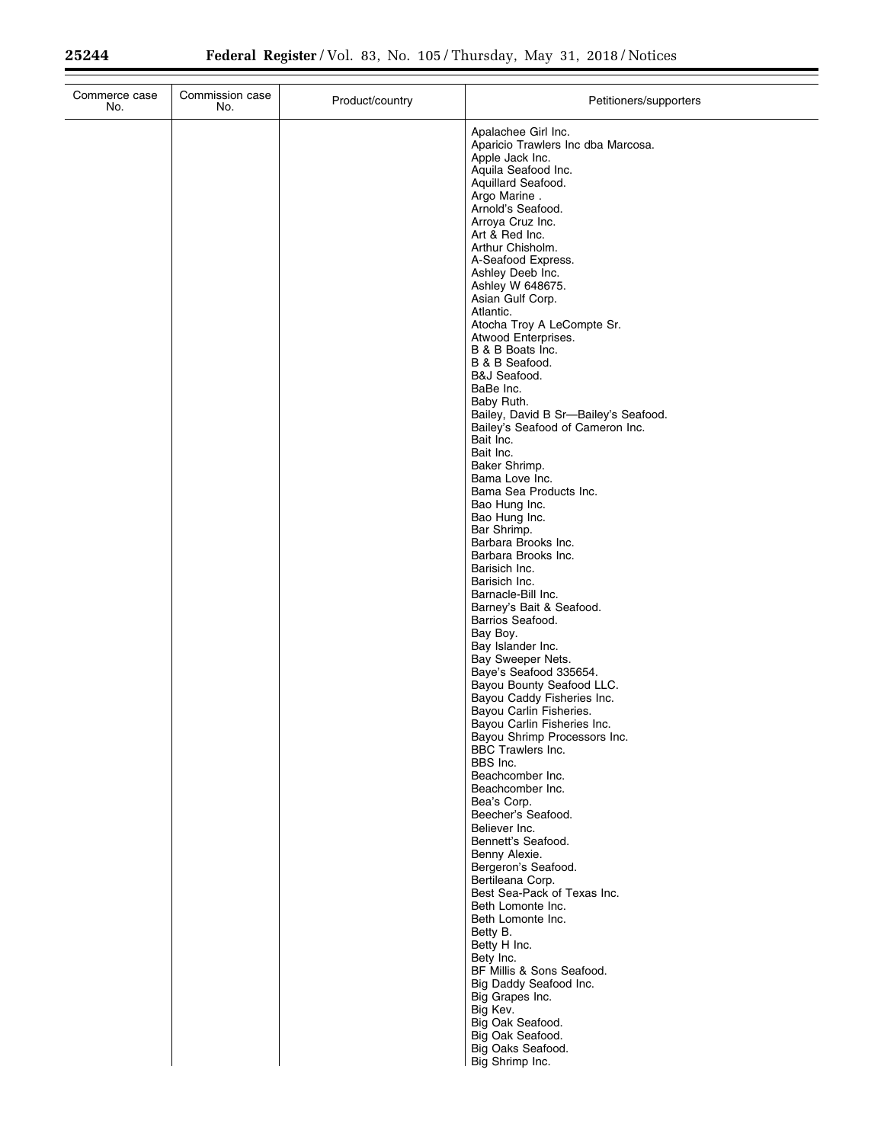$\equiv$ 

| Commerce case<br>No. | Commission case<br>No. | Product/country | Petitioners/supporters                                                                                                                                                                                                                                                                                                                                                                                                                                                                                                                                                               |
|----------------------|------------------------|-----------------|--------------------------------------------------------------------------------------------------------------------------------------------------------------------------------------------------------------------------------------------------------------------------------------------------------------------------------------------------------------------------------------------------------------------------------------------------------------------------------------------------------------------------------------------------------------------------------------|
|                      |                        |                 | Apalachee Girl Inc.<br>Aparicio Trawlers Inc dba Marcosa.<br>Apple Jack Inc.<br>Aquila Seafood Inc.<br>Aquillard Seafood.<br>Argo Marine.<br>Arnold's Seafood.<br>Arroya Cruz Inc.<br>Art & Red Inc.<br>Arthur Chisholm.<br>A-Seafood Express.<br>Ashley Deeb Inc.<br>Ashley W 648675.<br>Asian Gulf Corp.<br>Atlantic.<br>Atocha Troy A LeCompte Sr.<br>Atwood Enterprises.<br>B & B Boats Inc.<br>B & B Seafood.<br>B&J Seafood.<br>BaBe Inc.<br>Baby Ruth.<br>Bailey, David B Sr-Bailey's Seafood.<br>Bailey's Seafood of Cameron Inc.<br>Bait Inc.<br>Bait Inc.<br>Baker Shrimp. |
|                      |                        |                 | Bama Love Inc.<br>Bama Sea Products Inc.<br>Bao Hung Inc.<br>Bao Hung Inc.<br>Bar Shrimp.<br>Barbara Brooks Inc.<br>Barbara Brooks Inc.<br>Barisich Inc.<br>Barisich Inc.<br>Barnacle-Bill Inc.<br>Barney's Bait & Seafood.                                                                                                                                                                                                                                                                                                                                                          |
|                      |                        |                 | Barrios Seafood.<br>Bay Boy.<br>Bay Islander Inc.<br>Bay Sweeper Nets.<br>Baye's Seafood 335654.<br>Bayou Bounty Seafood LLC.<br>Bayou Caddy Fisheries Inc.<br>Bayou Carlin Fisheries.<br>Bayou Carlin Fisheries Inc.<br>Bayou Shrimp Processors Inc.<br><b>BBC Trawlers Inc.</b><br>BBS Inc.<br>Beachcomber Inc.                                                                                                                                                                                                                                                                    |
|                      |                        |                 | Beachcomber Inc.<br>Bea's Corp.<br>Beecher's Seafood.<br>Believer Inc.<br>Bennett's Seafood.<br>Benny Alexie.<br>Bergeron's Seafood.<br>Bertileana Corp.<br>Best Sea-Pack of Texas Inc.<br>Beth Lomonte Inc.<br>Beth Lomonte Inc.<br>Betty B.                                                                                                                                                                                                                                                                                                                                        |
|                      |                        |                 | Betty H Inc.<br>Bety Inc.<br>BF Millis & Sons Seafood.<br>Big Daddy Seafood Inc.<br>Big Grapes Inc.<br>Big Kev.<br>Big Oak Seafood.<br>Big Oak Seafood.<br>Big Oaks Seafood.<br>Big Shrimp Inc.                                                                                                                                                                                                                                                                                                                                                                                      |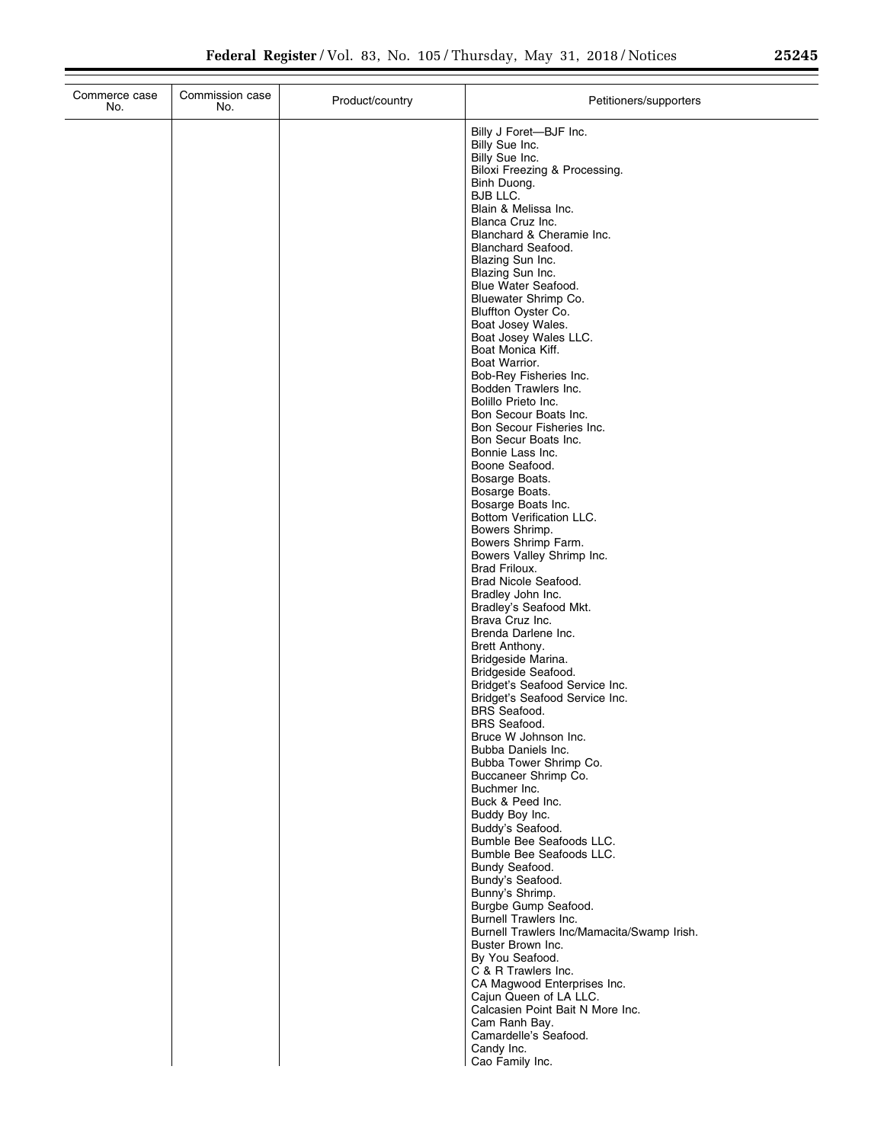| Commerce case<br>No. | Commission case<br>No. | Product/country | Petitioners/supporters                                                                                                                                                                                                                                                                                                                                                                                                                                                                                                                                                                                                                                                                                                                                                                                                                                                                                                                                                                                                                                                                                                                                                             |
|----------------------|------------------------|-----------------|------------------------------------------------------------------------------------------------------------------------------------------------------------------------------------------------------------------------------------------------------------------------------------------------------------------------------------------------------------------------------------------------------------------------------------------------------------------------------------------------------------------------------------------------------------------------------------------------------------------------------------------------------------------------------------------------------------------------------------------------------------------------------------------------------------------------------------------------------------------------------------------------------------------------------------------------------------------------------------------------------------------------------------------------------------------------------------------------------------------------------------------------------------------------------------|
|                      |                        |                 | Billy J Foret-BJF Inc.<br>Billy Sue Inc.<br>Billy Sue Inc.<br>Biloxi Freezing & Processing.<br>Binh Duong.<br>BJB LLC.<br>Blain & Melissa Inc.<br>Blanca Cruz Inc.<br>Blanchard & Cheramie Inc.<br><b>Blanchard Seafood.</b><br>Blazing Sun Inc.<br>Blazing Sun Inc.<br>Blue Water Seafood.<br>Bluewater Shrimp Co.<br>Bluffton Oyster Co.<br>Boat Josey Wales.<br>Boat Josey Wales LLC.<br>Boat Monica Kiff.<br>Boat Warrior.<br>Bob-Rey Fisheries Inc.<br>Bodden Trawlers Inc.<br>Bolillo Prieto Inc.<br>Bon Secour Boats Inc.<br>Bon Secour Fisheries Inc.<br>Bon Secur Boats Inc.<br>Bonnie Lass Inc.<br>Boone Seafood.<br>Bosarge Boats.<br>Bosarge Boats.<br>Bosarge Boats Inc.<br>Bottom Verification LLC.<br>Bowers Shrimp.<br>Bowers Shrimp Farm.<br>Bowers Valley Shrimp Inc.<br>Brad Friloux.<br>Brad Nicole Seafood.<br>Bradley John Inc.<br>Bradley's Seafood Mkt.<br>Brava Cruz Inc.<br>Brenda Darlene Inc.<br>Brett Anthony.<br>Bridgeside Marina.<br>Bridgeside Seafood.<br>Bridget's Seafood Service Inc.<br>Bridget's Seafood Service Inc.<br><b>BRS</b> Seafood.<br><b>BRS</b> Seafood.<br>Bruce W Johnson Inc.<br>Bubba Daniels Inc.<br>Bubba Tower Shrimp Co. |
|                      |                        |                 |                                                                                                                                                                                                                                                                                                                                                                                                                                                                                                                                                                                                                                                                                                                                                                                                                                                                                                                                                                                                                                                                                                                                                                                    |
|                      |                        |                 | Buccaneer Shrimp Co.<br>Buchmer Inc.<br>Buck & Peed Inc.<br>Buddy Boy Inc.<br>Buddy's Seafood.<br>Bumble Bee Seafoods LLC.<br>Bumble Bee Seafoods LLC.<br>Bundy Seafood.<br>Bundy's Seafood.                                                                                                                                                                                                                                                                                                                                                                                                                                                                                                                                                                                                                                                                                                                                                                                                                                                                                                                                                                                       |
|                      |                        |                 | Bunny's Shrimp.<br>Burgbe Gump Seafood.<br>Burnell Trawlers Inc.<br>Burnell Trawlers Inc/Mamacita/Swamp Irish.<br>Buster Brown Inc.<br>By You Seafood.<br>C & R Trawlers Inc.<br>CA Magwood Enterprises Inc.<br>Cajun Queen of LA LLC.<br>Calcasien Point Bait N More Inc.<br>Cam Ranh Bay.<br>Camardelle's Seafood.<br>Candy Inc.                                                                                                                                                                                                                                                                                                                                                                                                                                                                                                                                                                                                                                                                                                                                                                                                                                                 |
|                      |                        |                 | Cao Family Inc.                                                                                                                                                                                                                                                                                                                                                                                                                                                                                                                                                                                                                                                                                                                                                                                                                                                                                                                                                                                                                                                                                                                                                                    |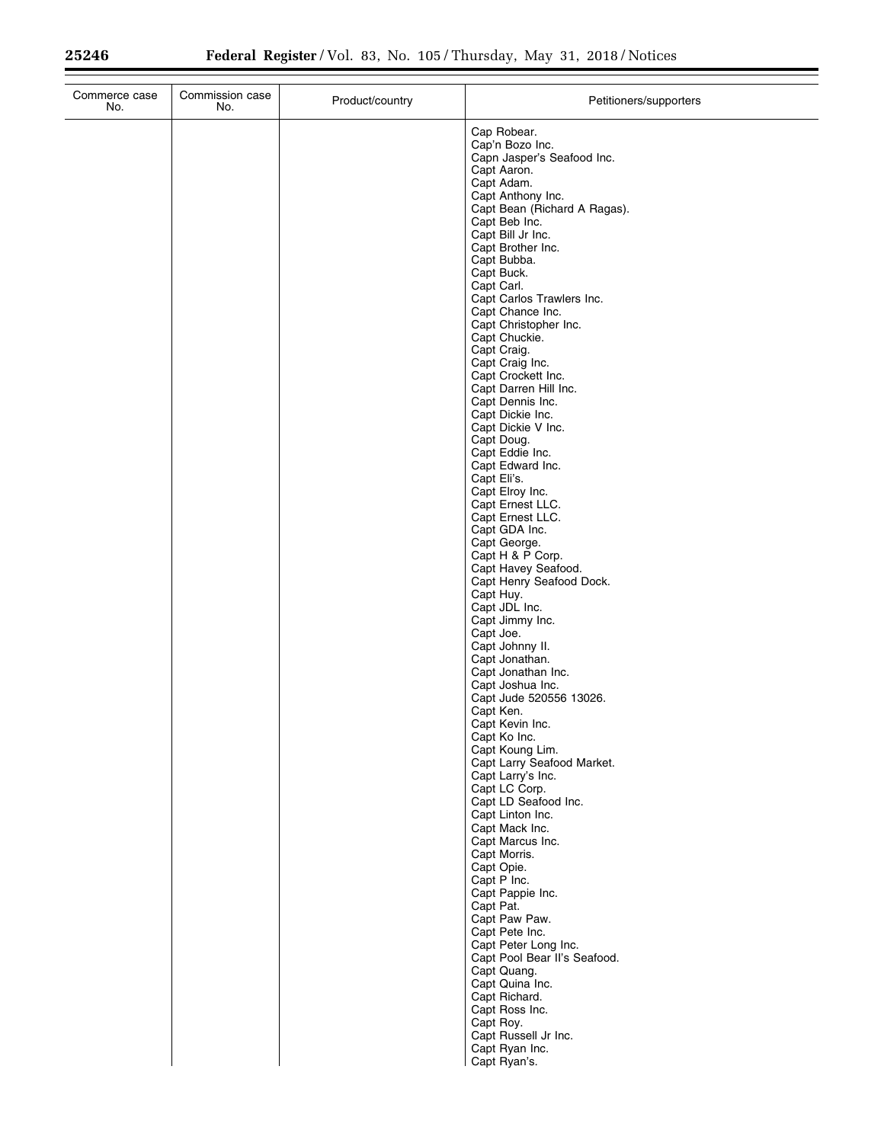| Commerce case<br>No. | Commission case<br>No. | Product/country | Petitioners/supporters                               |
|----------------------|------------------------|-----------------|------------------------------------------------------|
|                      |                        |                 | Cap Robear.                                          |
|                      |                        |                 | Cap'n Bozo Inc.                                      |
|                      |                        |                 | Capn Jasper's Seafood Inc.<br>Capt Aaron.            |
|                      |                        |                 | Capt Adam.                                           |
|                      |                        |                 | Capt Anthony Inc.                                    |
|                      |                        |                 | Capt Bean (Richard A Ragas).<br>Capt Beb Inc.        |
|                      |                        |                 | Capt Bill Jr Inc.                                    |
|                      |                        |                 | Capt Brother Inc.                                    |
|                      |                        |                 | Capt Bubba.<br>Capt Buck.                            |
|                      |                        |                 | Capt Carl.                                           |
|                      |                        |                 | Capt Carlos Trawlers Inc.                            |
|                      |                        |                 | Capt Chance Inc.                                     |
|                      |                        |                 | Capt Christopher Inc.<br>Capt Chuckie.               |
|                      |                        |                 | Capt Craig.                                          |
|                      |                        |                 | Capt Craig Inc.                                      |
|                      |                        |                 | Capt Crockett Inc.                                   |
|                      |                        |                 | Capt Darren Hill Inc.<br>Capt Dennis Inc.            |
|                      |                        |                 | Capt Dickie Inc.                                     |
|                      |                        |                 | Capt Dickie V Inc.                                   |
|                      |                        |                 | Capt Doug.<br>Capt Eddie Inc.                        |
|                      |                        |                 | Capt Edward Inc.                                     |
|                      |                        |                 | Capt Eli's.                                          |
|                      |                        |                 | Capt Elroy Inc.                                      |
|                      |                        |                 | Capt Ernest LLC.<br>Capt Ernest LLC.                 |
|                      |                        |                 | Capt GDA Inc.                                        |
|                      |                        |                 | Capt George.                                         |
|                      |                        |                 | Capt H & P Corp.<br>Capt Havey Seafood.              |
|                      |                        |                 | Capt Henry Seafood Dock.                             |
|                      |                        |                 | Capt Huy.                                            |
|                      |                        |                 | Capt JDL Inc.                                        |
|                      |                        |                 | Capt Jimmy Inc.<br>Capt Joe.                         |
|                      |                        |                 | Capt Johnny II.                                      |
|                      |                        |                 | Capt Jonathan.                                       |
|                      |                        |                 | Capt Jonathan Inc.<br>Capt Joshua Inc.               |
|                      |                        |                 | Capt Jude 520556 13026.                              |
|                      |                        |                 | Capt Ken.                                            |
|                      |                        |                 | Capt Kevin Inc.<br>Capt Ko Inc.                      |
|                      |                        |                 | Capt Koung Lim.                                      |
|                      |                        |                 | Capt Larry Seafood Market.                           |
|                      |                        |                 | Capt Larry's Inc.<br>Capt LC Corp.                   |
|                      |                        |                 | Capt LD Seafood Inc.                                 |
|                      |                        |                 | Capt Linton Inc.                                     |
|                      |                        |                 | Capt Mack Inc.                                       |
|                      |                        |                 | Capt Marcus Inc.<br>Capt Morris.                     |
|                      |                        |                 | Capt Opie.                                           |
|                      |                        |                 | Capt P Inc.                                          |
|                      |                        |                 | Capt Pappie Inc.<br>Capt Pat.                        |
|                      |                        |                 | Capt Paw Paw.                                        |
|                      |                        |                 | Capt Pete Inc.                                       |
|                      |                        |                 | Capt Peter Long Inc.<br>Capt Pool Bear II's Seafood. |
|                      |                        |                 | Capt Quang.                                          |
|                      |                        |                 | Capt Quina Inc.                                      |
|                      |                        |                 | Capt Richard.                                        |
|                      |                        |                 | Capt Ross Inc.<br>Capt Roy.                          |
|                      |                        |                 | Capt Russell Jr Inc.                                 |
|                      |                        |                 | Capt Ryan Inc.                                       |
|                      |                        |                 | Capt Ryan's.                                         |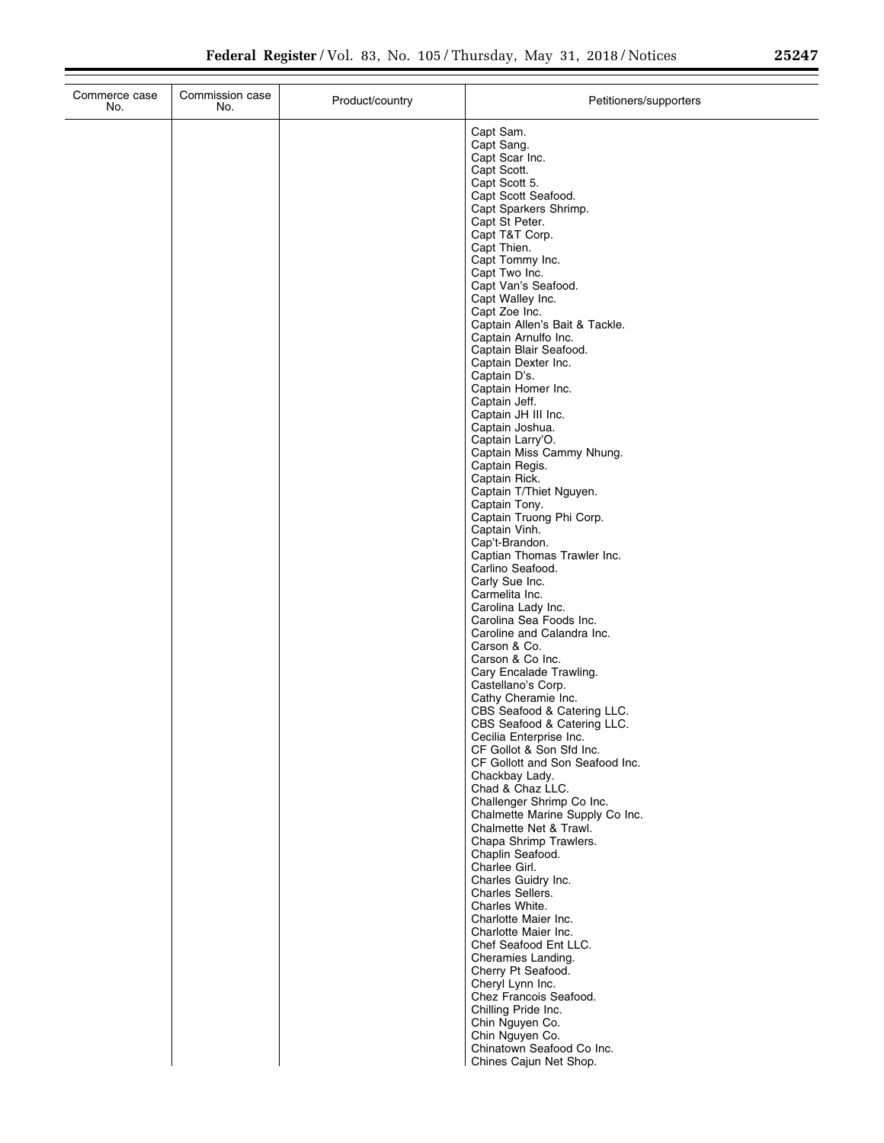| Commerce case<br>No. | Commission case<br>No. | Product/country | Petitioners/supporters                                    |
|----------------------|------------------------|-----------------|-----------------------------------------------------------|
|                      |                        |                 | Capt Sam.                                                 |
|                      |                        |                 | Capt Sang.                                                |
|                      |                        |                 | Capt Scar Inc.<br>Capt Scott.                             |
|                      |                        |                 | Capt Scott 5.                                             |
|                      |                        |                 | Capt Scott Seafood.                                       |
|                      |                        |                 | Capt Sparkers Shrimp.<br>Capt St Peter.                   |
|                      |                        |                 | Capt T&T Corp.                                            |
|                      |                        |                 | Capt Thien.<br>Capt Tommy Inc.                            |
|                      |                        |                 | Capt Two Inc.                                             |
|                      |                        |                 | Capt Van's Seafood.                                       |
|                      |                        |                 | Capt Walley Inc.<br>Capt Zoe Inc.                         |
|                      |                        |                 | Captain Allen's Bait & Tackle.                            |
|                      |                        |                 | Captain Arnulfo Inc.                                      |
|                      |                        |                 | Captain Blair Seafood.<br>Captain Dexter Inc.             |
|                      |                        |                 | Captain D's.                                              |
|                      |                        |                 | Captain Homer Inc.<br>Captain Jeff.                       |
|                      |                        |                 | Captain JH III Inc.                                       |
|                      |                        |                 | Captain Joshua.                                           |
|                      |                        |                 | Captain Larry'O.<br>Captain Miss Cammy Nhung.             |
|                      |                        |                 | Captain Regis.                                            |
|                      |                        |                 | Captain Rick.                                             |
|                      |                        |                 | Captain T/Thiet Nguyen.<br>Captain Tony.                  |
|                      |                        |                 | Captain Truong Phi Corp.                                  |
|                      |                        |                 | Captain Vinh.<br>Cap't-Brandon.                           |
|                      |                        |                 | Captian Thomas Trawler Inc.                               |
|                      |                        |                 | Carlino Seafood.                                          |
|                      |                        |                 | Carly Sue Inc.<br>Carmelita Inc.                          |
|                      |                        |                 | Carolina Lady Inc.                                        |
|                      |                        |                 | Carolina Sea Foods Inc.<br>Caroline and Calandra Inc.     |
|                      |                        |                 | Carson & Co.                                              |
|                      |                        |                 | Carson & Co Inc.                                          |
|                      |                        |                 | Cary Encalade Trawling.<br>Castellano's Corp.             |
|                      |                        |                 | Cathy Cheramie Inc.                                       |
|                      |                        |                 | CBS Seafood & Catering LLC.                               |
|                      |                        |                 | CBS Seafood & Catering LLC.<br>Cecilia Enterprise Inc.    |
|                      |                        |                 | CF Gollot & Son Sfd Inc.                                  |
|                      |                        |                 | CF Gollott and Son Seafood Inc.<br>Chackbay Lady.         |
|                      |                        |                 | Chad & Chaz LLC.                                          |
|                      |                        |                 | Challenger Shrimp Co Inc.                                 |
|                      |                        |                 | Chalmette Marine Supply Co Inc.<br>Chalmette Net & Trawl. |
|                      |                        |                 | Chapa Shrimp Trawlers.                                    |
|                      |                        |                 | Chaplin Seafood.<br>Charlee Girl.                         |
|                      |                        |                 | Charles Guidry Inc.                                       |
|                      |                        |                 | Charles Sellers.                                          |
|                      |                        |                 | Charles White.<br>Charlotte Maier Inc.                    |
|                      |                        |                 | Charlotte Maier Inc.                                      |
|                      |                        |                 | Chef Seafood Ent LLC.                                     |
|                      |                        |                 | Cheramies Landing.<br>Cherry Pt Seafood.                  |
|                      |                        |                 | Cheryl Lynn Inc.                                          |
|                      |                        |                 | Chez Francois Seafood.                                    |
|                      |                        |                 | Chilling Pride Inc.<br>Chin Nguyen Co.                    |
|                      |                        |                 | Chin Nguyen Co.                                           |
|                      |                        |                 | Chinatown Seafood Co Inc.<br>Chines Cajun Net Shop.       |
|                      |                        |                 |                                                           |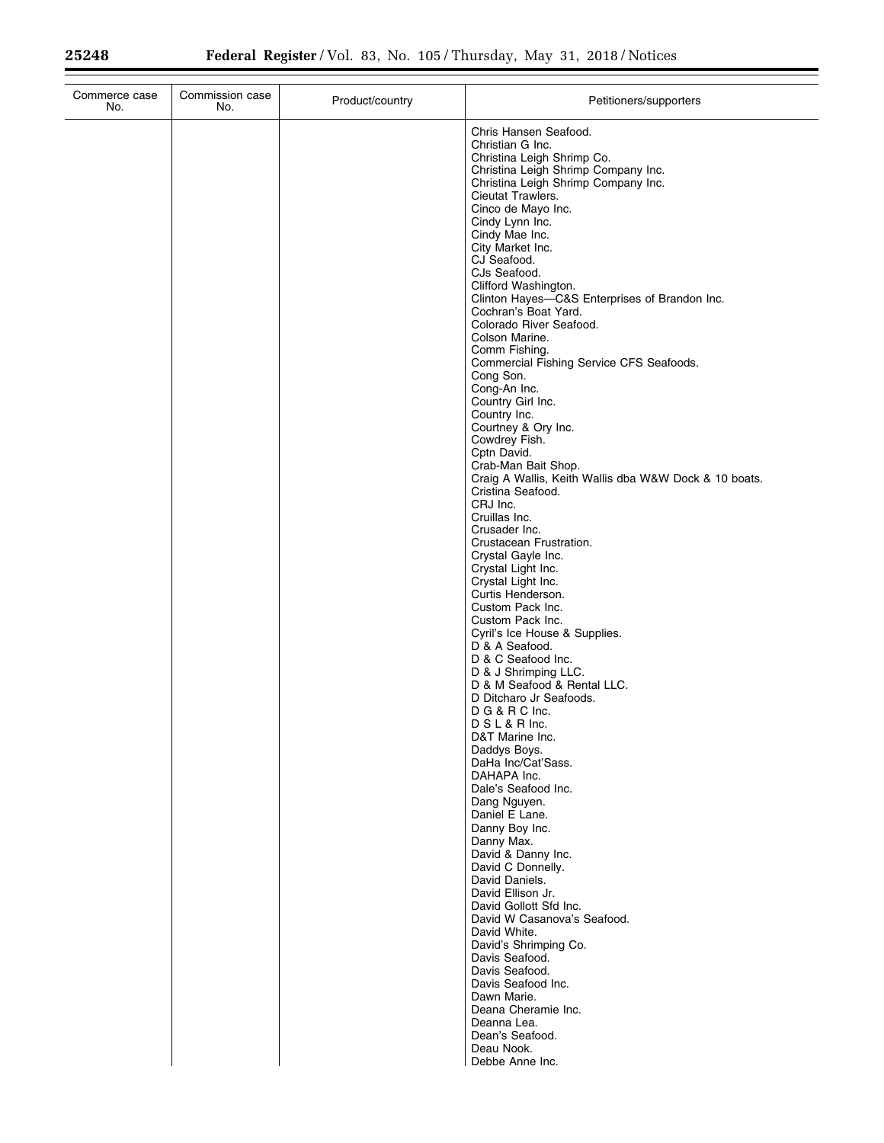| Commerce case<br>No. | Commission case<br>No. | Product/country | Petitioners/supporters                                                |
|----------------------|------------------------|-----------------|-----------------------------------------------------------------------|
|                      |                        |                 | Chris Hansen Seafood.                                                 |
|                      |                        |                 | Christian G Inc.                                                      |
|                      |                        |                 | Christina Leigh Shrimp Co.<br>Christina Leigh Shrimp Company Inc.     |
|                      |                        |                 | Christina Leigh Shrimp Company Inc.                                   |
|                      |                        |                 | Cieutat Trawlers.                                                     |
|                      |                        |                 | Cinco de Mayo Inc.                                                    |
|                      |                        |                 | Cindy Lynn Inc.                                                       |
|                      |                        |                 | Cindy Mae Inc.<br>City Market Inc.                                    |
|                      |                        |                 | CJ Seafood.                                                           |
|                      |                        |                 | CJs Seafood.                                                          |
|                      |                        |                 | Clifford Washington.                                                  |
|                      |                        |                 | Clinton Hayes-C&S Enterprises of Brandon Inc.<br>Cochran's Boat Yard. |
|                      |                        |                 | Colorado River Seafood.                                               |
|                      |                        |                 | Colson Marine.                                                        |
|                      |                        |                 | Comm Fishing.                                                         |
|                      |                        |                 | Commercial Fishing Service CFS Seafoods.<br>Cong Son.                 |
|                      |                        |                 | Cong-An Inc.                                                          |
|                      |                        |                 | Country Girl Inc.                                                     |
|                      |                        |                 | Country Inc.                                                          |
|                      |                        |                 | Courtney & Ory Inc.                                                   |
|                      |                        |                 | Cowdrey Fish.<br>Cptn David.                                          |
|                      |                        |                 | Crab-Man Bait Shop.                                                   |
|                      |                        |                 | Craig A Wallis, Keith Wallis dba W&W Dock & 10 boats.                 |
|                      |                        |                 | Cristina Seafood.                                                     |
|                      |                        |                 | CRJ Inc.<br>Cruillas Inc.                                             |
|                      |                        |                 | Crusader Inc.                                                         |
|                      |                        |                 | Crustacean Frustration.                                               |
|                      |                        |                 | Crystal Gayle Inc.                                                    |
|                      |                        |                 | Crystal Light Inc.<br>Crystal Light Inc.                              |
|                      |                        |                 | Curtis Henderson.                                                     |
|                      |                        |                 | Custom Pack Inc.                                                      |
|                      |                        |                 | Custom Pack Inc.                                                      |
|                      |                        |                 | Cyril's Ice House & Supplies.<br>D & A Seafood.                       |
|                      |                        |                 | D & C Seafood Inc.                                                    |
|                      |                        |                 | D & J Shrimping LLC.                                                  |
|                      |                        |                 | D & M Seafood & Rental LLC.                                           |
|                      |                        |                 | D Ditcharo Jr Seafoods.                                               |
|                      |                        |                 | D G & R C Inc.<br>DSL&RInc.                                           |
|                      |                        |                 | D&T Marine Inc.                                                       |
|                      |                        |                 | Daddys Boys.                                                          |
|                      |                        |                 | DaHa Inc/Cat'Sass.                                                    |
|                      |                        |                 | DAHAPA Inc.<br>Dale's Seafood Inc.                                    |
|                      |                        |                 | Dang Nguyen.                                                          |
|                      |                        |                 | Daniel E Lane.                                                        |
|                      |                        |                 | Danny Boy Inc.                                                        |
|                      |                        |                 | Danny Max.<br>David & Danny Inc.                                      |
|                      |                        |                 | David C Donnelly.                                                     |
|                      |                        |                 | David Daniels.                                                        |
|                      |                        |                 | David Ellison Jr.                                                     |
|                      |                        |                 | David Gollott Sfd Inc.                                                |
|                      |                        |                 | David W Casanova's Seafood.<br>David White.                           |
|                      |                        |                 | David's Shrimping Co.                                                 |
|                      |                        |                 | Davis Seafood.                                                        |
|                      |                        |                 | Davis Seafood.                                                        |
|                      |                        |                 | Davis Seafood Inc.<br>Dawn Marie.                                     |
|                      |                        |                 | Deana Cheramie Inc.                                                   |
|                      |                        |                 | Deanna Lea.                                                           |
|                      |                        |                 | Dean's Seafood.                                                       |
|                      |                        |                 | Deau Nook.                                                            |
|                      |                        |                 | Debbe Anne Inc.                                                       |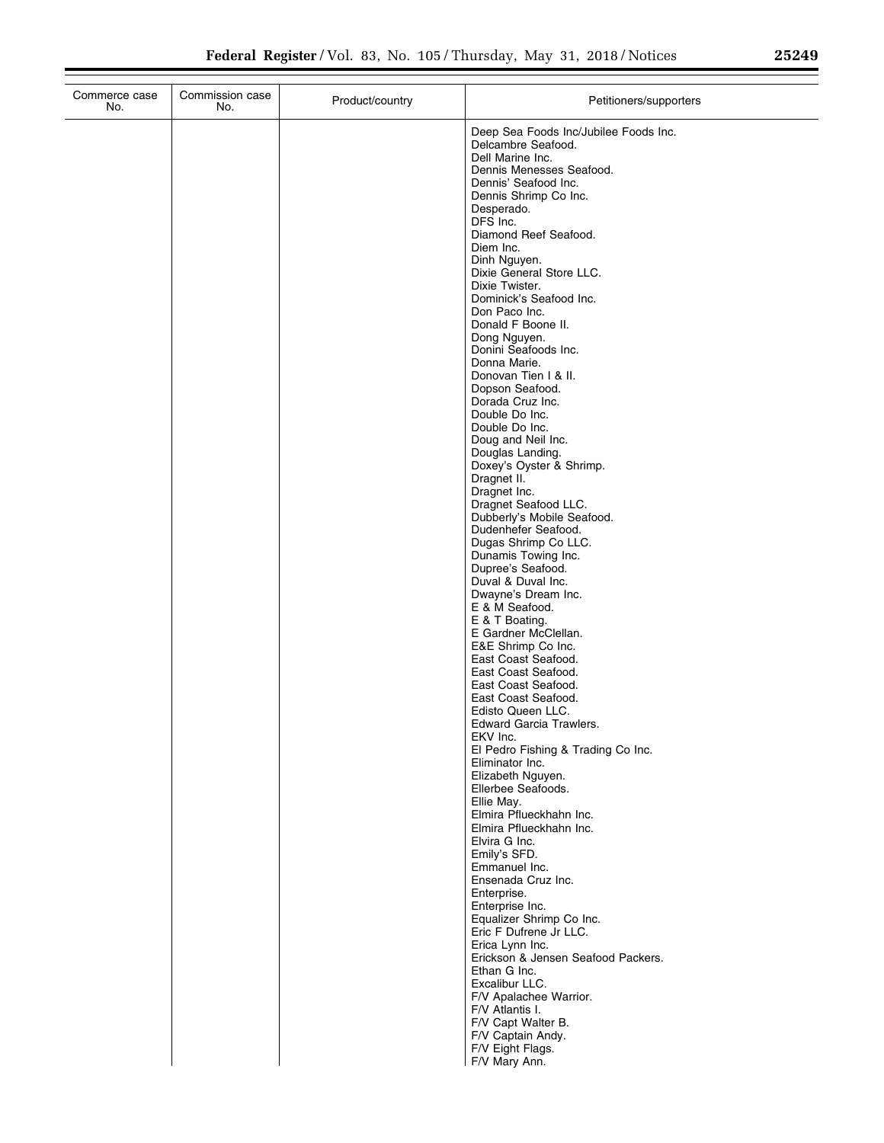| Commerce case<br>No. | Commission case<br>No. | Product/country | Petitioners/supporters                                |
|----------------------|------------------------|-----------------|-------------------------------------------------------|
|                      |                        |                 | Deep Sea Foods Inc/Jubilee Foods Inc.                 |
|                      |                        |                 | Delcambre Seafood.                                    |
|                      |                        |                 | Dell Marine Inc.<br>Dennis Menesses Seafood.          |
|                      |                        |                 | Dennis' Seafood Inc.                                  |
|                      |                        |                 | Dennis Shrimp Co Inc.<br>Desperado.                   |
|                      |                        |                 | DFS Inc.                                              |
|                      |                        |                 | Diamond Reef Seafood.                                 |
|                      |                        |                 | Diem Inc.<br>Dinh Nguyen.                             |
|                      |                        |                 | Dixie General Store LLC.                              |
|                      |                        |                 | Dixie Twister.<br>Dominick's Seafood Inc.             |
|                      |                        |                 | Don Paco Inc.                                         |
|                      |                        |                 | Donald F Boone II.                                    |
|                      |                        |                 | Dong Nguyen.<br>Donini Seafoods Inc.                  |
|                      |                        |                 | Donna Marie.                                          |
|                      |                        |                 | Donovan Tien I & II.                                  |
|                      |                        |                 | Dopson Seafood.<br>Dorada Cruz Inc.                   |
|                      |                        |                 | Double Do Inc.                                        |
|                      |                        |                 | Double Do Inc.<br>Doug and Neil Inc.                  |
|                      |                        |                 | Douglas Landing.                                      |
|                      |                        |                 | Doxey's Oyster & Shrimp.                              |
|                      |                        |                 | Dragnet II.<br>Dragnet Inc.                           |
|                      |                        |                 | Dragnet Seafood LLC.                                  |
|                      |                        |                 | Dubberly's Mobile Seafood.<br>Dudenhefer Seafood.     |
|                      |                        |                 | Dugas Shrimp Co LLC.                                  |
|                      |                        |                 | Dunamis Towing Inc.                                   |
|                      |                        |                 | Dupree's Seafood.<br>Duval & Duval Inc.               |
|                      |                        |                 | Dwayne's Dream Inc.                                   |
|                      |                        |                 | E & M Seafood.<br>E & T Boating.                      |
|                      |                        |                 | E Gardner McClellan.                                  |
|                      |                        |                 | E&E Shrimp Co Inc.                                    |
|                      |                        |                 | East Coast Seafood.<br>East Coast Seafood.            |
|                      |                        |                 | East Coast Seafood.                                   |
|                      |                        |                 | East Coast Seafood.<br>Edisto Queen LLC.              |
|                      |                        |                 | Edward Garcia Trawlers.                               |
|                      |                        |                 | EKV Inc.                                              |
|                      |                        |                 | El Pedro Fishing & Trading Co Inc.<br>Eliminator Inc. |
|                      |                        |                 | Elizabeth Nguyen.                                     |
|                      |                        |                 | Ellerbee Seafoods.<br>Ellie May.                      |
|                      |                        |                 | Elmira Pflueckhahn Inc.                               |
|                      |                        |                 | Elmira Pflueckhahn Inc.                               |
|                      |                        |                 | Elvira G Inc.<br>Emily's SFD.                         |
|                      |                        |                 | Emmanuel Inc.                                         |
|                      |                        |                 | Ensenada Cruz Inc.                                    |
|                      |                        |                 | Enterprise.<br>Enterprise Inc.                        |
|                      |                        |                 | Equalizer Shrimp Co Inc.                              |
|                      |                        |                 | Eric F Dufrene Jr LLC.<br>Erica Lynn Inc.             |
|                      |                        |                 | Erickson & Jensen Seafood Packers.                    |
|                      |                        |                 | Ethan G Inc.                                          |
|                      |                        |                 | Excalibur LLC.<br>F/V Apalachee Warrior.              |
|                      |                        |                 | F/V Atlantis I.                                       |
|                      |                        |                 | F/V Capt Walter B.                                    |
|                      |                        |                 | F/V Captain Andy.<br>F/V Eight Flags.                 |
|                      |                        |                 | F/V Mary Ann.                                         |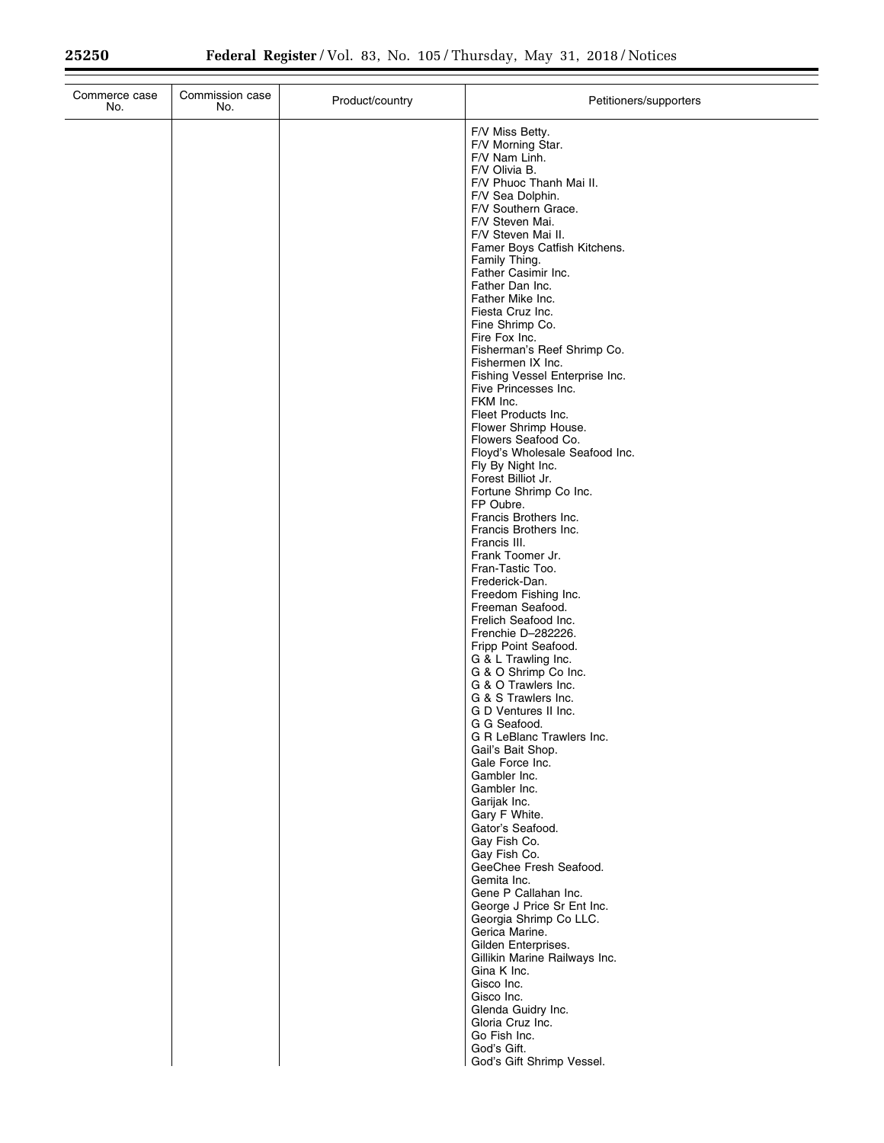$\equiv$ 

| Commerce case<br>No. | Commission case<br>No. | Product/country | Petitioners/supporters                                                                                                                                                                                                                                                                                                                                                                                                                                                                                                                                                                                                                                                                                                                                                                                                                                                                                 |
|----------------------|------------------------|-----------------|--------------------------------------------------------------------------------------------------------------------------------------------------------------------------------------------------------------------------------------------------------------------------------------------------------------------------------------------------------------------------------------------------------------------------------------------------------------------------------------------------------------------------------------------------------------------------------------------------------------------------------------------------------------------------------------------------------------------------------------------------------------------------------------------------------------------------------------------------------------------------------------------------------|
|                      |                        |                 | F/V Miss Betty.<br>F/V Morning Star.<br>F/V Nam Linh.<br>F/V Olivia B.<br>F/V Phuoc Thanh Mai II.<br>F/V Sea Dolphin.<br>F/V Southern Grace.<br>F/V Steven Mai.<br>F/V Steven Mai II.<br>Famer Boys Catfish Kitchens.<br>Family Thing.<br>Father Casimir Inc.<br>Father Dan Inc.<br>Father Mike Inc.<br>Fiesta Cruz Inc.<br>Fine Shrimp Co.<br>Fire Fox Inc.<br>Fisherman's Reef Shrimp Co.<br>Fishermen IX Inc.<br>Fishing Vessel Enterprise Inc.<br>Five Princesses Inc.<br>FKM Inc.<br>Fleet Products Inc.<br>Flower Shrimp House.<br>Flowers Seafood Co.<br>Floyd's Wholesale Seafood Inc.<br>Fly By Night Inc.<br>Forest Billiot Jr.<br>Fortune Shrimp Co Inc.<br>FP Oubre.<br>Francis Brothers Inc.<br>Francis Brothers Inc.<br>Francis III.<br>Frank Toomer Jr.<br>Fran-Tastic Too.<br>Frederick-Dan.<br>Freedom Fishing Inc.<br>Freeman Seafood.<br>Frelich Seafood Inc.<br>Frenchie D-282226. |
|                      |                        |                 | Fripp Point Seafood.<br>G & L Trawling Inc.<br>G & O Shrimp Co Inc.<br>G & O Trawlers Inc.<br>G & S Trawlers Inc.<br>G D Ventures II Inc.<br>G G Seafood.<br>G R LeBlanc Trawlers Inc.<br>Gail's Bait Shop.<br>Gale Force Inc.<br>Gambler Inc.<br>Gambler Inc.<br>Garijak Inc.<br>Gary F White.<br>Gator's Seafood.<br>Gay Fish Co.<br>Gay Fish Co.<br>GeeChee Fresh Seafood.<br>Gemita Inc.<br>Gene P Callahan Inc.<br>George J Price Sr Ent Inc.<br>Georgia Shrimp Co LLC.<br>Gerica Marine.<br>Gilden Enterprises.<br>Gillikin Marine Railways Inc.<br>Gina K Inc.<br>Gisco Inc.<br>Gisco Inc.<br>Glenda Guidry Inc.<br>Gloria Cruz Inc.<br>Go Fish Inc.<br>God's Gift.<br>God's Gift Shrimp Vessel.                                                                                                                                                                                                |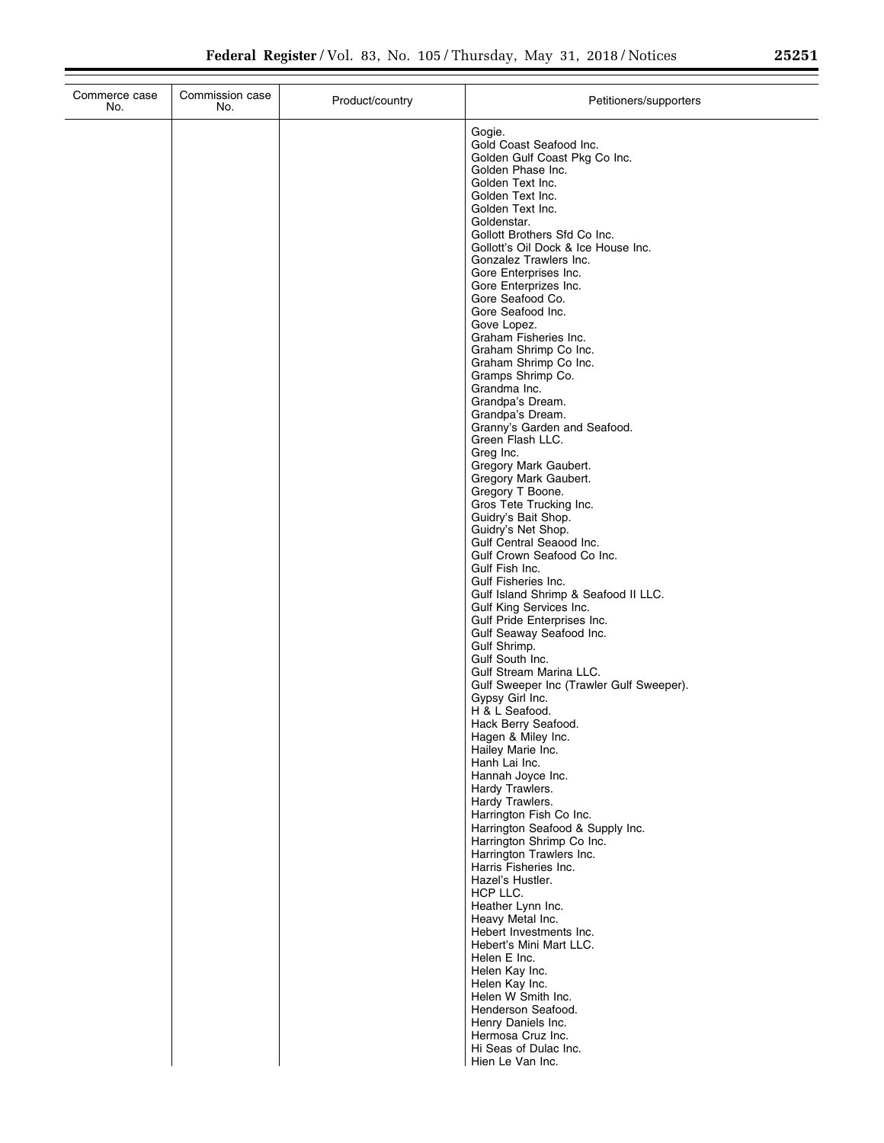| Commerce case<br>No. | Commission case<br>No. | Product/country | Petitioners/supporters                                                                                                                                                                                                                                                                                                                                                                                                                                                                                                                                                                                                                                                                                                                                                                                                                                                                                                                                                                |
|----------------------|------------------------|-----------------|---------------------------------------------------------------------------------------------------------------------------------------------------------------------------------------------------------------------------------------------------------------------------------------------------------------------------------------------------------------------------------------------------------------------------------------------------------------------------------------------------------------------------------------------------------------------------------------------------------------------------------------------------------------------------------------------------------------------------------------------------------------------------------------------------------------------------------------------------------------------------------------------------------------------------------------------------------------------------------------|
|                      |                        |                 | Gogie.<br>Gold Coast Seafood Inc.<br>Golden Gulf Coast Pkg Co Inc.<br>Golden Phase Inc.<br>Golden Text Inc.<br>Golden Text Inc.<br>Golden Text Inc.<br>Goldenstar.<br>Gollott Brothers Sfd Co Inc.<br>Gollott's Oil Dock & Ice House Inc.<br>Gonzalez Trawlers Inc.<br>Gore Enterprises Inc.<br>Gore Enterprizes Inc.<br>Gore Seafood Co.<br>Gore Seafood Inc.<br>Gove Lopez.<br>Graham Fisheries Inc.<br>Graham Shrimp Co Inc.<br>Graham Shrimp Co Inc.<br>Gramps Shrimp Co.<br>Grandma Inc.<br>Grandpa's Dream.<br>Grandpa's Dream.<br>Granny's Garden and Seafood.<br>Green Flash LLC.<br>Greg Inc.<br>Gregory Mark Gaubert.<br>Gregory Mark Gaubert.<br>Gregory T Boone.<br>Gros Tete Trucking Inc.<br>Guidry's Bait Shop.<br>Guidry's Net Shop.<br>Gulf Central Seaood Inc.<br>Gulf Crown Seafood Co Inc.<br>Gulf Fish Inc.<br>Gulf Fisheries Inc.<br>Gulf Island Shrimp & Seafood II LLC.<br>Gulf King Services Inc.<br>Gulf Pride Enterprises Inc.<br>Gulf Seaway Seafood Inc. |
|                      |                        |                 | Gulf Shrimp.<br>Gulf South Inc.<br>Gulf Stream Marina LLC.<br>Gulf Sweeper Inc (Trawler Gulf Sweeper).<br>Gypsy Girl Inc.<br>H & L Seafood.<br>Hack Berry Seafood.<br>Hagen & Miley Inc.<br>Hailey Marie Inc.<br>Hanh Lai Inc.<br>Hannah Joyce Inc.<br>Hardy Trawlers.<br>Hardy Trawlers.<br>Harrington Fish Co Inc.<br>Harrington Seafood & Supply Inc.<br>Harrington Shrimp Co Inc.<br>Harrington Trawlers Inc.<br>Harris Fisheries Inc.<br>Hazel's Hustler.<br>HCP LLC.<br>Heather Lynn Inc.<br>Heavy Metal Inc.<br>Hebert Investments Inc.<br>Hebert's Mini Mart LLC.<br>Helen E Inc.<br>Helen Kay Inc.<br>Helen Kay Inc.<br>Helen W Smith Inc.<br>Henderson Seafood.<br>Henry Daniels Inc.<br>Hermosa Cruz Inc.<br>Hi Seas of Dulac Inc.<br>Hien Le Van Inc.                                                                                                                                                                                                                     |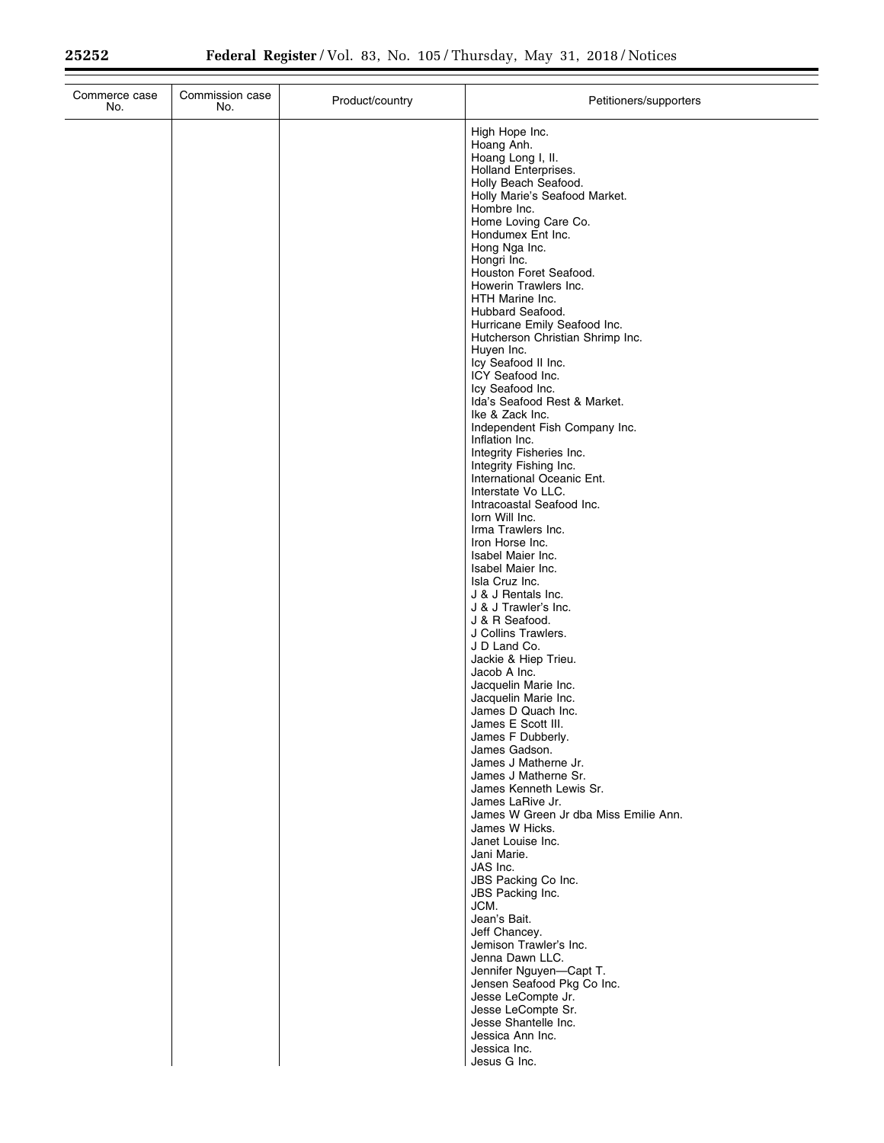| Commerce case<br>No. | Commission case<br>No. | Product/country | Petitioners/supporters                                                                                                                                                                                                                                                                                                                                                                                                                                                                                                                                                                                                                                                                                                                                                                                                                                                                                                                                                                                                                                                                                                                                                                                                                                                                                                                                                                                                                                                                                                                                                                                                     |
|----------------------|------------------------|-----------------|----------------------------------------------------------------------------------------------------------------------------------------------------------------------------------------------------------------------------------------------------------------------------------------------------------------------------------------------------------------------------------------------------------------------------------------------------------------------------------------------------------------------------------------------------------------------------------------------------------------------------------------------------------------------------------------------------------------------------------------------------------------------------------------------------------------------------------------------------------------------------------------------------------------------------------------------------------------------------------------------------------------------------------------------------------------------------------------------------------------------------------------------------------------------------------------------------------------------------------------------------------------------------------------------------------------------------------------------------------------------------------------------------------------------------------------------------------------------------------------------------------------------------------------------------------------------------------------------------------------------------|
|                      |                        |                 | High Hope Inc.<br>Hoang Anh.<br>Hoang Long I, II.<br>Holland Enterprises.<br>Holly Beach Seafood.<br>Holly Marie's Seafood Market.<br>Hombre Inc.<br>Home Loving Care Co.<br>Hondumex Ent Inc.<br>Hong Nga Inc.<br>Hongri Inc.<br>Houston Foret Seafood.<br>Howerin Trawlers Inc.<br>HTH Marine Inc.<br>Hubbard Seafood.<br>Hurricane Emily Seafood Inc.<br>Hutcherson Christian Shrimp Inc.<br>Huyen Inc.<br>Icy Seafood II Inc.<br>ICY Seafood Inc.<br>Icy Seafood Inc.<br>Ida's Seafood Rest & Market.<br>Ike & Zack Inc.<br>Independent Fish Company Inc.<br>Inflation Inc.<br>Integrity Fisheries Inc.<br>Integrity Fishing Inc.<br>International Oceanic Ent.<br>Interstate Vo LLC.<br>Intracoastal Seafood Inc.<br>lorn Will Inc.<br>Irma Trawlers Inc.<br>Iron Horse Inc.<br>Isabel Maier Inc.<br>Isabel Maier Inc.<br>Isla Cruz Inc.<br>J & J Rentals Inc.<br>J & J Trawler's Inc.<br>J & R Seafood.<br>J Collins Trawlers.<br>J D Land Co.<br>Jackie & Hiep Trieu.<br>Jacob A Inc.<br>Jacquelin Marie Inc.<br>Jacquelin Marie Inc.<br>James D Quach Inc.<br>James E Scott III.<br>James F Dubberly.<br>James Gadson.<br>James J Matherne Jr.<br>James J Matherne Sr.<br>James Kenneth Lewis Sr.<br>James LaRive Jr.<br>James W Green Jr dba Miss Emilie Ann.<br>James W Hicks.<br>Janet Louise Inc.<br>Jani Marie.<br>JAS Inc.<br>JBS Packing Co Inc.<br>JBS Packing Inc.<br>JCM.<br>Jean's Bait.<br>Jeff Chancey.<br>Jemison Trawler's Inc.<br>Jenna Dawn LLC.<br>Jennifer Nguyen-Capt T.<br>Jensen Seafood Pkg Co Inc.<br>Jesse LeCompte Jr.<br>Jesse LeCompte Sr.<br>Jesse Shantelle Inc.<br>Jessica Ann Inc. |
|                      |                        |                 | Jessica Inc.<br>Jesus G Inc.                                                                                                                                                                                                                                                                                                                                                                                                                                                                                                                                                                                                                                                                                                                                                                                                                                                                                                                                                                                                                                                                                                                                                                                                                                                                                                                                                                                                                                                                                                                                                                                               |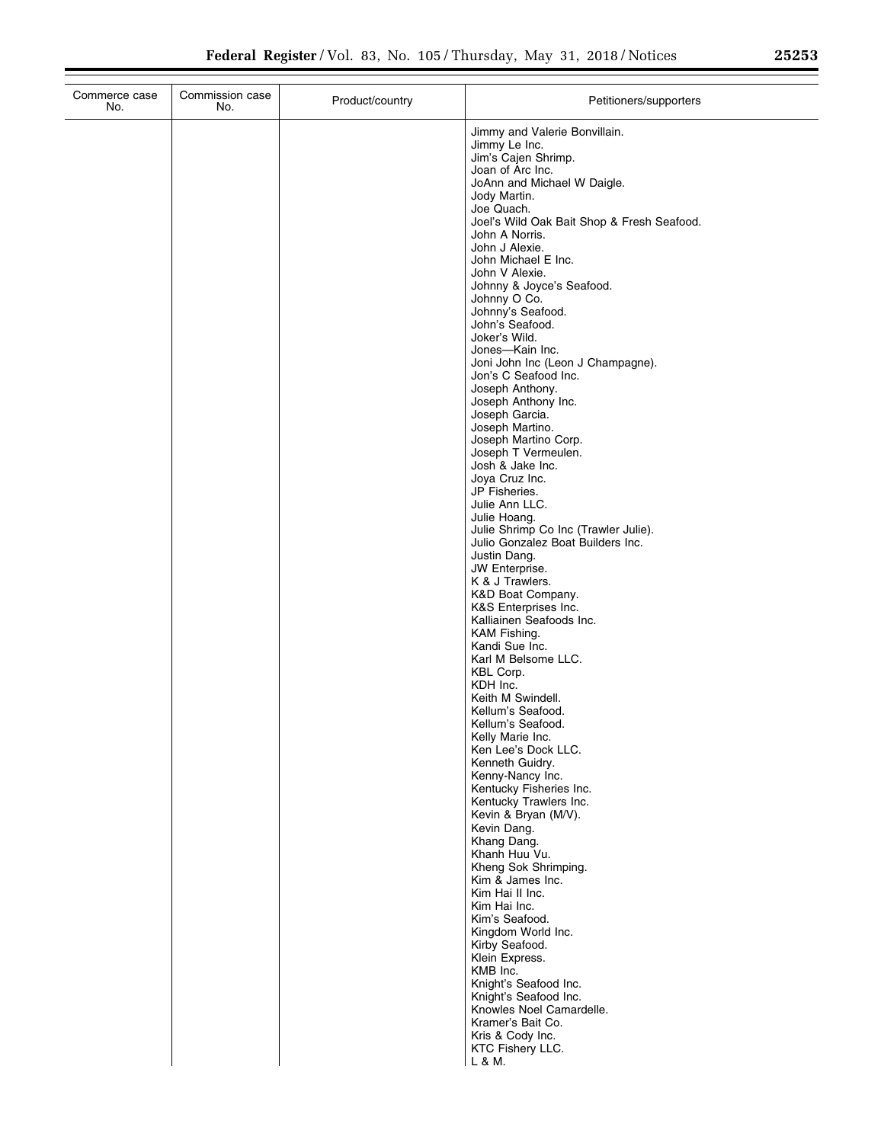| 25253 |  |  |
|-------|--|--|
|       |  |  |

| Jimmy and Valerie Bonvillain.<br>Jimmy Le Inc.<br>Jim's Cajen Shrimp.<br>Joan of Arc Inc.<br>JoAnn and Michael W Daigle.<br>Jody Martin.<br>Joe Quach.<br>Joel's Wild Oak Bait Shop & Fresh Seafood.<br>John A Norris.<br>John J Alexie.<br>John Michael E Inc.<br>John V Alexie.<br>Johnny & Joyce's Seafood.<br>Johnny O Co.<br>Johnny's Seafood.<br>John's Seafood.<br>Joker's Wild.<br>Jones-Kain Inc.<br>Joni John Inc (Leon J Champagne).<br>Jon's C Seafood Inc.<br>Joseph Anthony.<br>Joseph Anthony Inc.<br>Joseph Garcia.<br>Joseph Martino.<br>Joseph Martino Corp.<br>Joseph T Vermeulen.<br>Josh & Jake Inc.<br>Joya Cruz Inc.<br>JP Fisheries.<br>Julie Ann LLC. | Commerce case<br>No. | Commission case<br>No. | Product/country | Petitioners/supporters |
|--------------------------------------------------------------------------------------------------------------------------------------------------------------------------------------------------------------------------------------------------------------------------------------------------------------------------------------------------------------------------------------------------------------------------------------------------------------------------------------------------------------------------------------------------------------------------------------------------------------------------------------------------------------------------------|----------------------|------------------------|-----------------|------------------------|
|                                                                                                                                                                                                                                                                                                                                                                                                                                                                                                                                                                                                                                                                                |                      |                        |                 |                        |
|                                                                                                                                                                                                                                                                                                                                                                                                                                                                                                                                                                                                                                                                                |                      |                        |                 |                        |
|                                                                                                                                                                                                                                                                                                                                                                                                                                                                                                                                                                                                                                                                                |                      |                        |                 |                        |
|                                                                                                                                                                                                                                                                                                                                                                                                                                                                                                                                                                                                                                                                                |                      |                        |                 |                        |
|                                                                                                                                                                                                                                                                                                                                                                                                                                                                                                                                                                                                                                                                                |                      |                        |                 |                        |
|                                                                                                                                                                                                                                                                                                                                                                                                                                                                                                                                                                                                                                                                                |                      |                        |                 |                        |
|                                                                                                                                                                                                                                                                                                                                                                                                                                                                                                                                                                                                                                                                                |                      |                        |                 |                        |
|                                                                                                                                                                                                                                                                                                                                                                                                                                                                                                                                                                                                                                                                                |                      |                        |                 |                        |
|                                                                                                                                                                                                                                                                                                                                                                                                                                                                                                                                                                                                                                                                                |                      |                        |                 |                        |
|                                                                                                                                                                                                                                                                                                                                                                                                                                                                                                                                                                                                                                                                                |                      |                        |                 |                        |
|                                                                                                                                                                                                                                                                                                                                                                                                                                                                                                                                                                                                                                                                                |                      |                        |                 |                        |
|                                                                                                                                                                                                                                                                                                                                                                                                                                                                                                                                                                                                                                                                                |                      |                        |                 |                        |
|                                                                                                                                                                                                                                                                                                                                                                                                                                                                                                                                                                                                                                                                                |                      |                        |                 |                        |
|                                                                                                                                                                                                                                                                                                                                                                                                                                                                                                                                                                                                                                                                                |                      |                        |                 |                        |
|                                                                                                                                                                                                                                                                                                                                                                                                                                                                                                                                                                                                                                                                                |                      |                        |                 |                        |
|                                                                                                                                                                                                                                                                                                                                                                                                                                                                                                                                                                                                                                                                                |                      |                        |                 |                        |
|                                                                                                                                                                                                                                                                                                                                                                                                                                                                                                                                                                                                                                                                                |                      |                        |                 |                        |
|                                                                                                                                                                                                                                                                                                                                                                                                                                                                                                                                                                                                                                                                                |                      |                        |                 |                        |
|                                                                                                                                                                                                                                                                                                                                                                                                                                                                                                                                                                                                                                                                                |                      |                        |                 |                        |
|                                                                                                                                                                                                                                                                                                                                                                                                                                                                                                                                                                                                                                                                                |                      |                        |                 |                        |
|                                                                                                                                                                                                                                                                                                                                                                                                                                                                                                                                                                                                                                                                                |                      |                        |                 |                        |
|                                                                                                                                                                                                                                                                                                                                                                                                                                                                                                                                                                                                                                                                                |                      |                        |                 | Julie Hoang.           |
| Julie Shrimp Co Inc (Trawler Julie).                                                                                                                                                                                                                                                                                                                                                                                                                                                                                                                                                                                                                                           |                      |                        |                 |                        |
| Julio Gonzalez Boat Builders Inc.                                                                                                                                                                                                                                                                                                                                                                                                                                                                                                                                                                                                                                              |                      |                        |                 |                        |
| Justin Dang.<br>JW Enterprise.                                                                                                                                                                                                                                                                                                                                                                                                                                                                                                                                                                                                                                                 |                      |                        |                 |                        |
| K & J Trawlers.                                                                                                                                                                                                                                                                                                                                                                                                                                                                                                                                                                                                                                                                |                      |                        |                 |                        |
| K&D Boat Company.<br>K&S Enterprises Inc.                                                                                                                                                                                                                                                                                                                                                                                                                                                                                                                                                                                                                                      |                      |                        |                 |                        |
| Kalliainen Seafoods Inc.                                                                                                                                                                                                                                                                                                                                                                                                                                                                                                                                                                                                                                                       |                      |                        |                 |                        |
| KAM Fishing.<br>Kandi Sue Inc.                                                                                                                                                                                                                                                                                                                                                                                                                                                                                                                                                                                                                                                 |                      |                        |                 |                        |
| Karl M Belsome LLC.                                                                                                                                                                                                                                                                                                                                                                                                                                                                                                                                                                                                                                                            |                      |                        |                 |                        |
| KBL Corp.                                                                                                                                                                                                                                                                                                                                                                                                                                                                                                                                                                                                                                                                      |                      |                        |                 |                        |
| KDH Inc.<br>Keith M Swindell.                                                                                                                                                                                                                                                                                                                                                                                                                                                                                                                                                                                                                                                  |                      |                        |                 |                        |
| Kellum's Seafood.                                                                                                                                                                                                                                                                                                                                                                                                                                                                                                                                                                                                                                                              |                      |                        |                 |                        |
| Kellum's Seafood.<br>Kelly Marie Inc.                                                                                                                                                                                                                                                                                                                                                                                                                                                                                                                                                                                                                                          |                      |                        |                 |                        |
| Ken Lee's Dock LLC.                                                                                                                                                                                                                                                                                                                                                                                                                                                                                                                                                                                                                                                            |                      |                        |                 |                        |
| Kenneth Guidry.                                                                                                                                                                                                                                                                                                                                                                                                                                                                                                                                                                                                                                                                |                      |                        |                 |                        |
| Kenny-Nancy Inc.<br>Kentucky Fisheries Inc.                                                                                                                                                                                                                                                                                                                                                                                                                                                                                                                                                                                                                                    |                      |                        |                 |                        |
| Kentucky Trawlers Inc.                                                                                                                                                                                                                                                                                                                                                                                                                                                                                                                                                                                                                                                         |                      |                        |                 |                        |
| Kevin & Bryan (M/V).<br>Kevin Dang.                                                                                                                                                                                                                                                                                                                                                                                                                                                                                                                                                                                                                                            |                      |                        |                 |                        |
| Khang Dang.                                                                                                                                                                                                                                                                                                                                                                                                                                                                                                                                                                                                                                                                    |                      |                        |                 |                        |
| Khanh Huu Vu.<br>Kheng Sok Shrimping.                                                                                                                                                                                                                                                                                                                                                                                                                                                                                                                                                                                                                                          |                      |                        |                 |                        |
| Kim & James Inc.                                                                                                                                                                                                                                                                                                                                                                                                                                                                                                                                                                                                                                                               |                      |                        |                 |                        |
| Kim Hai II Inc.                                                                                                                                                                                                                                                                                                                                                                                                                                                                                                                                                                                                                                                                |                      |                        |                 |                        |
| Kim Hai Inc.<br>Kim's Seafood.                                                                                                                                                                                                                                                                                                                                                                                                                                                                                                                                                                                                                                                 |                      |                        |                 |                        |
| Kingdom World Inc.                                                                                                                                                                                                                                                                                                                                                                                                                                                                                                                                                                                                                                                             |                      |                        |                 |                        |
| Kirby Seafood.<br>Klein Express.                                                                                                                                                                                                                                                                                                                                                                                                                                                                                                                                                                                                                                               |                      |                        |                 |                        |
| KMB Inc.                                                                                                                                                                                                                                                                                                                                                                                                                                                                                                                                                                                                                                                                       |                      |                        |                 |                        |
| Knight's Seafood Inc.                                                                                                                                                                                                                                                                                                                                                                                                                                                                                                                                                                                                                                                          |                      |                        |                 |                        |
| Knight's Seafood Inc.<br>Knowles Noel Camardelle.                                                                                                                                                                                                                                                                                                                                                                                                                                                                                                                                                                                                                              |                      |                        |                 |                        |
| Kramer's Bait Co.                                                                                                                                                                                                                                                                                                                                                                                                                                                                                                                                                                                                                                                              |                      |                        |                 |                        |
| Kris & Cody Inc.                                                                                                                                                                                                                                                                                                                                                                                                                                                                                                                                                                                                                                                               |                      |                        |                 |                        |
| KTC Fishery LLC.<br>L & M.                                                                                                                                                                                                                                                                                                                                                                                                                                                                                                                                                                                                                                                     |                      |                        |                 |                        |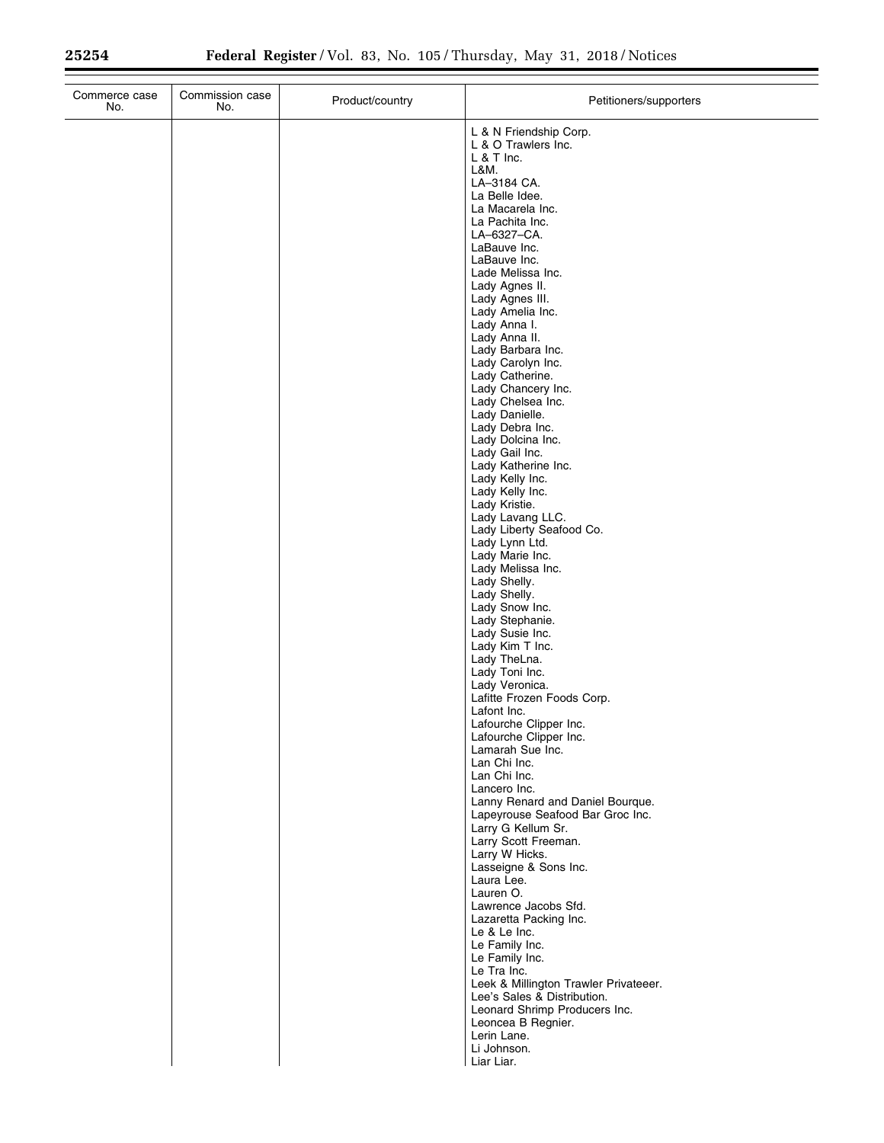| Commerce case<br>No. | Commission case<br>No. | Product/country | Petitioners/supporters                                                                                                                                                                                                                                                                                                                                                                                                                                                                                                                                                                                                                                                                                                                                                                                                                                                                                                        |
|----------------------|------------------------|-----------------|-------------------------------------------------------------------------------------------------------------------------------------------------------------------------------------------------------------------------------------------------------------------------------------------------------------------------------------------------------------------------------------------------------------------------------------------------------------------------------------------------------------------------------------------------------------------------------------------------------------------------------------------------------------------------------------------------------------------------------------------------------------------------------------------------------------------------------------------------------------------------------------------------------------------------------|
|                      |                        |                 | L & N Friendship Corp.<br>L & O Trawlers Inc.<br>$L & T$ Inc.<br>L&M.<br>LA-3184 CA.<br>La Belle Idee.<br>La Macarela Inc.<br>La Pachita Inc.<br>LA-6327-CA.<br>LaBauve Inc.<br>LaBauve Inc.<br>Lade Melissa Inc.<br>Lady Agnes II.<br>Lady Agnes III.<br>Lady Amelia Inc.<br>Lady Anna I.<br>Lady Anna II.<br>Lady Barbara Inc.<br>Lady Carolyn Inc.<br>Lady Catherine.<br>Lady Chancery Inc.<br>Lady Chelsea Inc.<br>Lady Danielle.<br>Lady Debra Inc.<br>Lady Dolcina Inc.<br>Lady Gail Inc.<br>Lady Katherine Inc.<br>Lady Kelly Inc.<br>Lady Kelly Inc.<br>Lady Kristie.<br>Lady Lavang LLC.<br>Lady Liberty Seafood Co.<br>Lady Lynn Ltd.<br>Lady Marie Inc.<br>Lady Melissa Inc.<br>Lady Shelly.<br>Lady Shelly.<br>Lady Snow Inc.<br>Lady Stephanie.<br>Lady Susie Inc.<br>Lady Kim T Inc.<br>Lady TheLna.<br>Lady Toni Inc.<br>Lady Veronica.<br>Lafitte Frozen Foods Corp.<br>Lafont Inc.<br>Lafourche Clipper Inc. |
|                      |                        |                 |                                                                                                                                                                                                                                                                                                                                                                                                                                                                                                                                                                                                                                                                                                                                                                                                                                                                                                                               |
|                      |                        |                 | Lafourche Clipper Inc.<br>Lamarah Sue Inc.<br>Lan Chi Inc.<br>Lan Chi Inc.<br>Lancero Inc.<br>Lanny Renard and Daniel Bourque.<br>Lapeyrouse Seafood Bar Groc Inc.<br>Larry G Kellum Sr.<br>Larry Scott Freeman.<br>Larry W Hicks.<br>Lasseigne & Sons Inc.<br>Laura Lee.<br>Lauren O.<br>Lawrence Jacobs Sfd.<br>Lazaretta Packing Inc.                                                                                                                                                                                                                                                                                                                                                                                                                                                                                                                                                                                      |
|                      |                        |                 | Le & Le Inc.<br>Le Family Inc.<br>Le Family Inc.<br>Le Tra Inc.<br>Leek & Millington Trawler Privateeer.<br>Lee's Sales & Distribution.<br>Leonard Shrimp Producers Inc.<br>Leoncea B Regnier.<br>Lerin Lane.<br>Li Johnson.<br>Liar Liar.                                                                                                                                                                                                                                                                                                                                                                                                                                                                                                                                                                                                                                                                                    |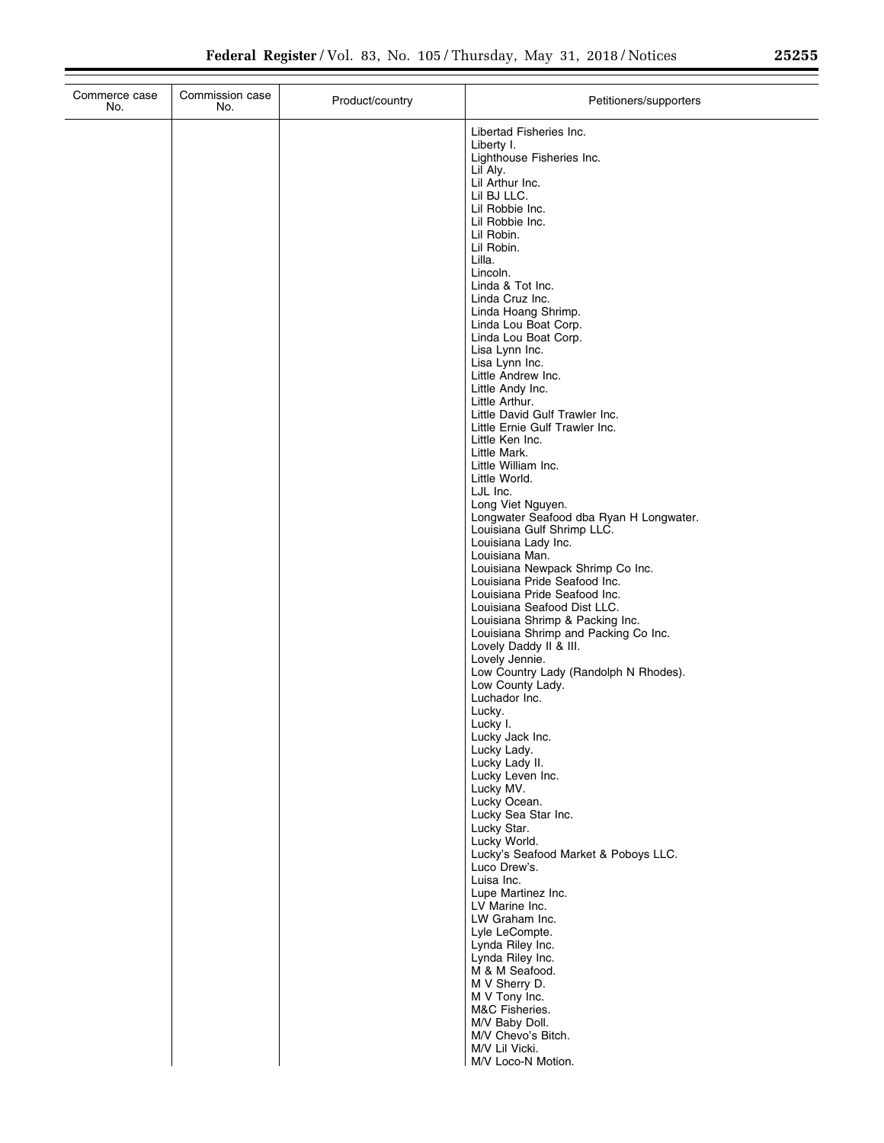| 25255 |  | - |
|-------|--|---|
|       |  |   |

| Commerce case<br>No. | Commission case<br>No. | Product/country | Petitioners/supporters                                                  |
|----------------------|------------------------|-----------------|-------------------------------------------------------------------------|
|                      |                        |                 | Libertad Fisheries Inc.                                                 |
|                      |                        |                 | Liberty I.                                                              |
|                      |                        |                 | Lighthouse Fisheries Inc.<br>Lil Aly.                                   |
|                      |                        |                 | Lil Arthur Inc.                                                         |
|                      |                        |                 | Lil BJ LLC.<br>Lil Robbie Inc.                                          |
|                      |                        |                 | Lil Robbie Inc.                                                         |
|                      |                        |                 | Lil Robin.                                                              |
|                      |                        |                 | Lil Robin.<br>Lilla.                                                    |
|                      |                        |                 | Lincoln.                                                                |
|                      |                        |                 | Linda & Tot Inc.                                                        |
|                      |                        |                 | Linda Cruz Inc.<br>Linda Hoang Shrimp.                                  |
|                      |                        |                 | Linda Lou Boat Corp.                                                    |
|                      |                        |                 | Linda Lou Boat Corp.<br>Lisa Lynn Inc.                                  |
|                      |                        |                 | Lisa Lynn Inc.                                                          |
|                      |                        |                 | Little Andrew Inc.                                                      |
|                      |                        |                 | Little Andy Inc.<br>Little Arthur.                                      |
|                      |                        |                 | Little David Gulf Trawler Inc.                                          |
|                      |                        |                 | Little Ernie Gulf Trawler Inc.                                          |
|                      |                        |                 | Little Ken Inc.<br>Little Mark.                                         |
|                      |                        |                 | Little William Inc.                                                     |
|                      |                        |                 | Little World.<br>LJL Inc.                                               |
|                      |                        |                 | Long Viet Nguyen.                                                       |
|                      |                        |                 | Longwater Seafood dba Ryan H Longwater.                                 |
|                      |                        |                 | Louisiana Gulf Shrimp LLC.<br>Louisiana Lady Inc.                       |
|                      |                        |                 | Louisiana Man.                                                          |
|                      |                        |                 | Louisiana Newpack Shrimp Co Inc.<br>Louisiana Pride Seafood Inc.        |
|                      |                        |                 | Louisiana Pride Seafood Inc.                                            |
|                      |                        |                 | Louisiana Seafood Dist LLC.                                             |
|                      |                        |                 | Louisiana Shrimp & Packing Inc.<br>Louisiana Shrimp and Packing Co Inc. |
|                      |                        |                 | Lovely Daddy II & III.                                                  |
|                      |                        |                 | Lovely Jennie.<br>Low Country Lady (Randolph N Rhodes).                 |
|                      |                        |                 | Low County Lady.                                                        |
|                      |                        |                 | Luchador Inc.                                                           |
|                      |                        |                 | Lucky.<br>Lucky I.                                                      |
|                      |                        |                 | Lucky Jack Inc.                                                         |
|                      |                        |                 | Lucky Lady.                                                             |
|                      |                        |                 | Lucky Lady II.<br>Lucky Leven Inc.                                      |
|                      |                        |                 | Lucky MV.                                                               |
|                      |                        |                 | Lucky Ocean.<br>Lucky Sea Star Inc.                                     |
|                      |                        |                 | Lucky Star.                                                             |
|                      |                        |                 | Lucky World.                                                            |
|                      |                        |                 | Lucky's Seafood Market & Poboys LLC.<br>Luco Drew's.                    |
|                      |                        |                 | Luisa Inc.                                                              |
|                      |                        |                 | Lupe Martinez Inc.<br>LV Marine Inc.                                    |
|                      |                        |                 | LW Graham Inc.                                                          |
|                      |                        |                 | Lyle LeCompte.                                                          |
|                      |                        |                 | Lynda Riley Inc.<br>Lynda Riley Inc.                                    |
|                      |                        |                 | M & M Seafood.                                                          |
|                      |                        |                 | M V Sherry D.                                                           |
|                      |                        |                 | M V Tony Inc.<br>M&C Fisheries.                                         |
|                      |                        |                 | M/V Baby Doll.                                                          |
|                      |                        |                 | M/V Chevo's Bitch.<br>M/V Lil Vicki.                                    |
|                      |                        |                 | M/V Loco-N Motion.                                                      |
|                      |                        |                 |                                                                         |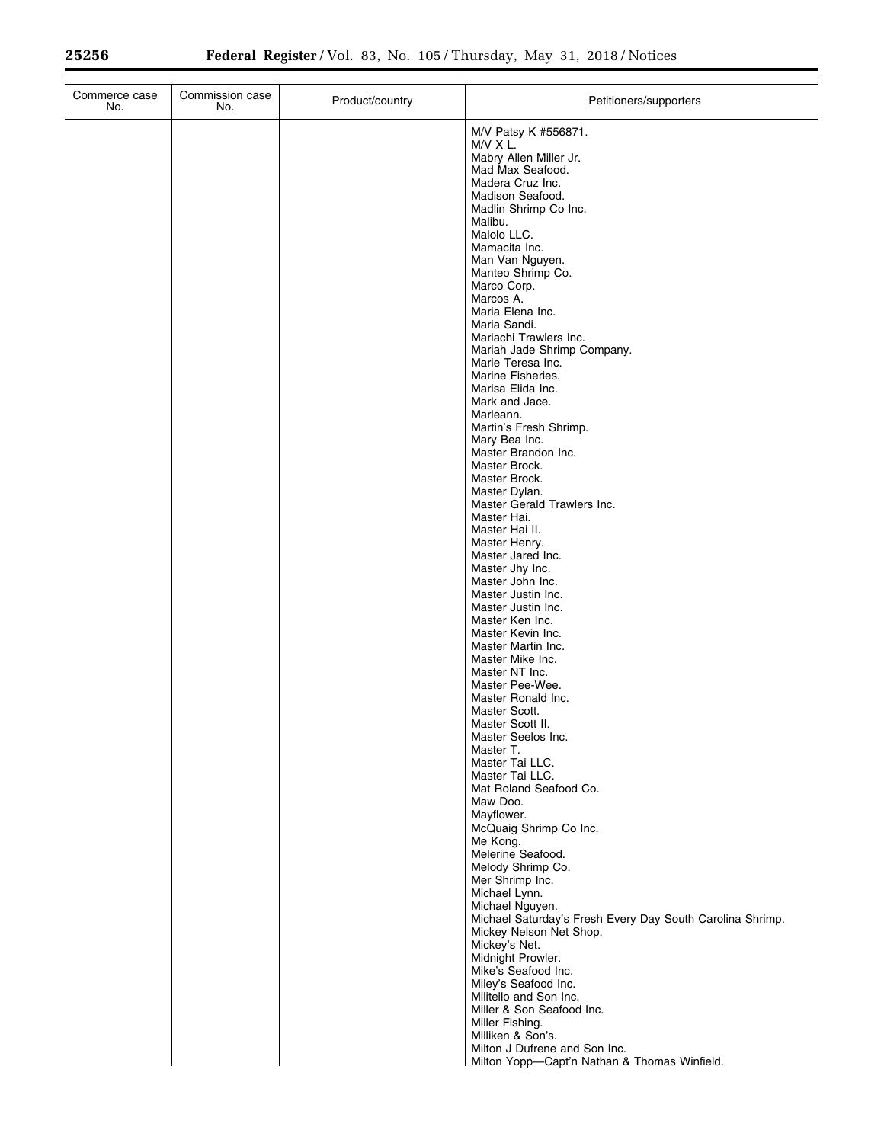| M/V Patsy K #556871.<br>$M/V \times L$ .<br>Mabry Allen Miller Jr.<br>Mad Max Seafood.<br>Madera Cruz Inc.<br>Madison Seafood.<br>Madlin Shrimp Co Inc.<br>Malibu.<br>Malolo LLC.<br>Mamacita Inc.<br>Man Van Nguyen.<br>Manteo Shrimp Co.<br>Marco Corp.<br>Marcos A.<br>Maria Elena Inc.<br>Maria Sandi.<br>Mariachi Trawlers Inc.<br>Mariah Jade Shrimp Company.<br>Marie Teresa Inc.<br>Marine Fisheries.<br>Marisa Elida Inc.<br>Mark and Jace.<br>Marleann.<br>Martin's Fresh Shrimp.<br>Mary Bea Inc.<br>Master Brandon Inc.<br>Master Brock.<br>Master Brock.<br>Master Dylan.<br>Master Gerald Trawlers Inc.<br>Master Hai.<br>Master Hai II.<br>Master Henry.<br>Master Jared Inc.<br>Master Jhy Inc.<br>Master John Inc.<br>Master Justin Inc.<br>Master Justin Inc.<br>Master Ken Inc.<br>Master Kevin Inc.<br>Master Martin Inc.<br>Master Mike Inc.<br>Master NT Inc.<br>Master Pee-Wee.<br>Master Ronald Inc.<br>Master Scott.<br>Master Scott II.<br>Master Seelos Inc.<br>Master T.<br>Master Tai LLC.<br>Master Tai LLC.<br>Mat Roland Seafood Co.<br>Maw Doo.<br>Mayflower.<br>McQuaig Shrimp Co Inc.<br>Me Kong.<br>Melerine Seafood.<br>Melody Shrimp Co.<br>Mer Shrimp Inc.<br>Michael Lynn.<br>Michael Nguyen.<br>Michael Saturday's Fresh Every Day South Carolina Shrimp.<br>Mickey Nelson Net Shop.<br>Mickey's Net.<br>Midnight Prowler.<br>Mike's Seafood Inc.<br>Miley's Seafood Inc.<br>Militello and Son Inc.<br>Miller & Son Seafood Inc.<br>Miller Fishing.<br>Milliken & Son's.<br>Milton J Dufrene and Son Inc. | Commerce case<br>No. | Commission case<br>No. | Product/country | Petitioners/supporters                       |
|----------------------------------------------------------------------------------------------------------------------------------------------------------------------------------------------------------------------------------------------------------------------------------------------------------------------------------------------------------------------------------------------------------------------------------------------------------------------------------------------------------------------------------------------------------------------------------------------------------------------------------------------------------------------------------------------------------------------------------------------------------------------------------------------------------------------------------------------------------------------------------------------------------------------------------------------------------------------------------------------------------------------------------------------------------------------------------------------------------------------------------------------------------------------------------------------------------------------------------------------------------------------------------------------------------------------------------------------------------------------------------------------------------------------------------------------------------------------------------------------------------------------------------------------------|----------------------|------------------------|-----------------|----------------------------------------------|
|                                                                                                                                                                                                                                                                                                                                                                                                                                                                                                                                                                                                                                                                                                                                                                                                                                                                                                                                                                                                                                                                                                                                                                                                                                                                                                                                                                                                                                                                                                                                                    |                      |                        |                 |                                              |
|                                                                                                                                                                                                                                                                                                                                                                                                                                                                                                                                                                                                                                                                                                                                                                                                                                                                                                                                                                                                                                                                                                                                                                                                                                                                                                                                                                                                                                                                                                                                                    |                      |                        |                 |                                              |
|                                                                                                                                                                                                                                                                                                                                                                                                                                                                                                                                                                                                                                                                                                                                                                                                                                                                                                                                                                                                                                                                                                                                                                                                                                                                                                                                                                                                                                                                                                                                                    |                      |                        |                 |                                              |
|                                                                                                                                                                                                                                                                                                                                                                                                                                                                                                                                                                                                                                                                                                                                                                                                                                                                                                                                                                                                                                                                                                                                                                                                                                                                                                                                                                                                                                                                                                                                                    |                      |                        |                 |                                              |
|                                                                                                                                                                                                                                                                                                                                                                                                                                                                                                                                                                                                                                                                                                                                                                                                                                                                                                                                                                                                                                                                                                                                                                                                                                                                                                                                                                                                                                                                                                                                                    |                      |                        |                 |                                              |
|                                                                                                                                                                                                                                                                                                                                                                                                                                                                                                                                                                                                                                                                                                                                                                                                                                                                                                                                                                                                                                                                                                                                                                                                                                                                                                                                                                                                                                                                                                                                                    |                      |                        |                 |                                              |
|                                                                                                                                                                                                                                                                                                                                                                                                                                                                                                                                                                                                                                                                                                                                                                                                                                                                                                                                                                                                                                                                                                                                                                                                                                                                                                                                                                                                                                                                                                                                                    |                      |                        |                 |                                              |
|                                                                                                                                                                                                                                                                                                                                                                                                                                                                                                                                                                                                                                                                                                                                                                                                                                                                                                                                                                                                                                                                                                                                                                                                                                                                                                                                                                                                                                                                                                                                                    |                      |                        |                 |                                              |
|                                                                                                                                                                                                                                                                                                                                                                                                                                                                                                                                                                                                                                                                                                                                                                                                                                                                                                                                                                                                                                                                                                                                                                                                                                                                                                                                                                                                                                                                                                                                                    |                      |                        |                 |                                              |
|                                                                                                                                                                                                                                                                                                                                                                                                                                                                                                                                                                                                                                                                                                                                                                                                                                                                                                                                                                                                                                                                                                                                                                                                                                                                                                                                                                                                                                                                                                                                                    |                      |                        |                 |                                              |
|                                                                                                                                                                                                                                                                                                                                                                                                                                                                                                                                                                                                                                                                                                                                                                                                                                                                                                                                                                                                                                                                                                                                                                                                                                                                                                                                                                                                                                                                                                                                                    |                      |                        |                 |                                              |
|                                                                                                                                                                                                                                                                                                                                                                                                                                                                                                                                                                                                                                                                                                                                                                                                                                                                                                                                                                                                                                                                                                                                                                                                                                                                                                                                                                                                                                                                                                                                                    |                      |                        |                 |                                              |
|                                                                                                                                                                                                                                                                                                                                                                                                                                                                                                                                                                                                                                                                                                                                                                                                                                                                                                                                                                                                                                                                                                                                                                                                                                                                                                                                                                                                                                                                                                                                                    |                      |                        |                 |                                              |
|                                                                                                                                                                                                                                                                                                                                                                                                                                                                                                                                                                                                                                                                                                                                                                                                                                                                                                                                                                                                                                                                                                                                                                                                                                                                                                                                                                                                                                                                                                                                                    |                      |                        |                 |                                              |
|                                                                                                                                                                                                                                                                                                                                                                                                                                                                                                                                                                                                                                                                                                                                                                                                                                                                                                                                                                                                                                                                                                                                                                                                                                                                                                                                                                                                                                                                                                                                                    |                      |                        |                 |                                              |
|                                                                                                                                                                                                                                                                                                                                                                                                                                                                                                                                                                                                                                                                                                                                                                                                                                                                                                                                                                                                                                                                                                                                                                                                                                                                                                                                                                                                                                                                                                                                                    |                      |                        |                 |                                              |
|                                                                                                                                                                                                                                                                                                                                                                                                                                                                                                                                                                                                                                                                                                                                                                                                                                                                                                                                                                                                                                                                                                                                                                                                                                                                                                                                                                                                                                                                                                                                                    |                      |                        |                 |                                              |
|                                                                                                                                                                                                                                                                                                                                                                                                                                                                                                                                                                                                                                                                                                                                                                                                                                                                                                                                                                                                                                                                                                                                                                                                                                                                                                                                                                                                                                                                                                                                                    |                      |                        |                 |                                              |
|                                                                                                                                                                                                                                                                                                                                                                                                                                                                                                                                                                                                                                                                                                                                                                                                                                                                                                                                                                                                                                                                                                                                                                                                                                                                                                                                                                                                                                                                                                                                                    |                      |                        |                 |                                              |
|                                                                                                                                                                                                                                                                                                                                                                                                                                                                                                                                                                                                                                                                                                                                                                                                                                                                                                                                                                                                                                                                                                                                                                                                                                                                                                                                                                                                                                                                                                                                                    |                      |                        |                 |                                              |
|                                                                                                                                                                                                                                                                                                                                                                                                                                                                                                                                                                                                                                                                                                                                                                                                                                                                                                                                                                                                                                                                                                                                                                                                                                                                                                                                                                                                                                                                                                                                                    |                      |                        |                 |                                              |
|                                                                                                                                                                                                                                                                                                                                                                                                                                                                                                                                                                                                                                                                                                                                                                                                                                                                                                                                                                                                                                                                                                                                                                                                                                                                                                                                                                                                                                                                                                                                                    |                      |                        |                 |                                              |
|                                                                                                                                                                                                                                                                                                                                                                                                                                                                                                                                                                                                                                                                                                                                                                                                                                                                                                                                                                                                                                                                                                                                                                                                                                                                                                                                                                                                                                                                                                                                                    |                      |                        |                 |                                              |
|                                                                                                                                                                                                                                                                                                                                                                                                                                                                                                                                                                                                                                                                                                                                                                                                                                                                                                                                                                                                                                                                                                                                                                                                                                                                                                                                                                                                                                                                                                                                                    |                      |                        |                 |                                              |
|                                                                                                                                                                                                                                                                                                                                                                                                                                                                                                                                                                                                                                                                                                                                                                                                                                                                                                                                                                                                                                                                                                                                                                                                                                                                                                                                                                                                                                                                                                                                                    |                      |                        |                 |                                              |
|                                                                                                                                                                                                                                                                                                                                                                                                                                                                                                                                                                                                                                                                                                                                                                                                                                                                                                                                                                                                                                                                                                                                                                                                                                                                                                                                                                                                                                                                                                                                                    |                      |                        |                 |                                              |
|                                                                                                                                                                                                                                                                                                                                                                                                                                                                                                                                                                                                                                                                                                                                                                                                                                                                                                                                                                                                                                                                                                                                                                                                                                                                                                                                                                                                                                                                                                                                                    |                      |                        |                 |                                              |
|                                                                                                                                                                                                                                                                                                                                                                                                                                                                                                                                                                                                                                                                                                                                                                                                                                                                                                                                                                                                                                                                                                                                                                                                                                                                                                                                                                                                                                                                                                                                                    |                      |                        |                 |                                              |
|                                                                                                                                                                                                                                                                                                                                                                                                                                                                                                                                                                                                                                                                                                                                                                                                                                                                                                                                                                                                                                                                                                                                                                                                                                                                                                                                                                                                                                                                                                                                                    |                      |                        |                 |                                              |
|                                                                                                                                                                                                                                                                                                                                                                                                                                                                                                                                                                                                                                                                                                                                                                                                                                                                                                                                                                                                                                                                                                                                                                                                                                                                                                                                                                                                                                                                                                                                                    |                      |                        |                 |                                              |
|                                                                                                                                                                                                                                                                                                                                                                                                                                                                                                                                                                                                                                                                                                                                                                                                                                                                                                                                                                                                                                                                                                                                                                                                                                                                                                                                                                                                                                                                                                                                                    |                      |                        |                 |                                              |
|                                                                                                                                                                                                                                                                                                                                                                                                                                                                                                                                                                                                                                                                                                                                                                                                                                                                                                                                                                                                                                                                                                                                                                                                                                                                                                                                                                                                                                                                                                                                                    |                      |                        |                 |                                              |
|                                                                                                                                                                                                                                                                                                                                                                                                                                                                                                                                                                                                                                                                                                                                                                                                                                                                                                                                                                                                                                                                                                                                                                                                                                                                                                                                                                                                                                                                                                                                                    |                      |                        |                 |                                              |
|                                                                                                                                                                                                                                                                                                                                                                                                                                                                                                                                                                                                                                                                                                                                                                                                                                                                                                                                                                                                                                                                                                                                                                                                                                                                                                                                                                                                                                                                                                                                                    |                      |                        |                 |                                              |
|                                                                                                                                                                                                                                                                                                                                                                                                                                                                                                                                                                                                                                                                                                                                                                                                                                                                                                                                                                                                                                                                                                                                                                                                                                                                                                                                                                                                                                                                                                                                                    |                      |                        |                 |                                              |
|                                                                                                                                                                                                                                                                                                                                                                                                                                                                                                                                                                                                                                                                                                                                                                                                                                                                                                                                                                                                                                                                                                                                                                                                                                                                                                                                                                                                                                                                                                                                                    |                      |                        |                 |                                              |
|                                                                                                                                                                                                                                                                                                                                                                                                                                                                                                                                                                                                                                                                                                                                                                                                                                                                                                                                                                                                                                                                                                                                                                                                                                                                                                                                                                                                                                                                                                                                                    |                      |                        |                 |                                              |
|                                                                                                                                                                                                                                                                                                                                                                                                                                                                                                                                                                                                                                                                                                                                                                                                                                                                                                                                                                                                                                                                                                                                                                                                                                                                                                                                                                                                                                                                                                                                                    |                      |                        |                 |                                              |
|                                                                                                                                                                                                                                                                                                                                                                                                                                                                                                                                                                                                                                                                                                                                                                                                                                                                                                                                                                                                                                                                                                                                                                                                                                                                                                                                                                                                                                                                                                                                                    |                      |                        |                 |                                              |
|                                                                                                                                                                                                                                                                                                                                                                                                                                                                                                                                                                                                                                                                                                                                                                                                                                                                                                                                                                                                                                                                                                                                                                                                                                                                                                                                                                                                                                                                                                                                                    |                      |                        |                 |                                              |
|                                                                                                                                                                                                                                                                                                                                                                                                                                                                                                                                                                                                                                                                                                                                                                                                                                                                                                                                                                                                                                                                                                                                                                                                                                                                                                                                                                                                                                                                                                                                                    |                      |                        |                 |                                              |
|                                                                                                                                                                                                                                                                                                                                                                                                                                                                                                                                                                                                                                                                                                                                                                                                                                                                                                                                                                                                                                                                                                                                                                                                                                                                                                                                                                                                                                                                                                                                                    |                      |                        |                 |                                              |
|                                                                                                                                                                                                                                                                                                                                                                                                                                                                                                                                                                                                                                                                                                                                                                                                                                                                                                                                                                                                                                                                                                                                                                                                                                                                                                                                                                                                                                                                                                                                                    |                      |                        |                 |                                              |
|                                                                                                                                                                                                                                                                                                                                                                                                                                                                                                                                                                                                                                                                                                                                                                                                                                                                                                                                                                                                                                                                                                                                                                                                                                                                                                                                                                                                                                                                                                                                                    |                      |                        |                 |                                              |
|                                                                                                                                                                                                                                                                                                                                                                                                                                                                                                                                                                                                                                                                                                                                                                                                                                                                                                                                                                                                                                                                                                                                                                                                                                                                                                                                                                                                                                                                                                                                                    |                      |                        |                 |                                              |
|                                                                                                                                                                                                                                                                                                                                                                                                                                                                                                                                                                                                                                                                                                                                                                                                                                                                                                                                                                                                                                                                                                                                                                                                                                                                                                                                                                                                                                                                                                                                                    |                      |                        |                 |                                              |
|                                                                                                                                                                                                                                                                                                                                                                                                                                                                                                                                                                                                                                                                                                                                                                                                                                                                                                                                                                                                                                                                                                                                                                                                                                                                                                                                                                                                                                                                                                                                                    |                      |                        |                 |                                              |
|                                                                                                                                                                                                                                                                                                                                                                                                                                                                                                                                                                                                                                                                                                                                                                                                                                                                                                                                                                                                                                                                                                                                                                                                                                                                                                                                                                                                                                                                                                                                                    |                      |                        |                 |                                              |
|                                                                                                                                                                                                                                                                                                                                                                                                                                                                                                                                                                                                                                                                                                                                                                                                                                                                                                                                                                                                                                                                                                                                                                                                                                                                                                                                                                                                                                                                                                                                                    |                      |                        |                 |                                              |
|                                                                                                                                                                                                                                                                                                                                                                                                                                                                                                                                                                                                                                                                                                                                                                                                                                                                                                                                                                                                                                                                                                                                                                                                                                                                                                                                                                                                                                                                                                                                                    |                      |                        |                 |                                              |
|                                                                                                                                                                                                                                                                                                                                                                                                                                                                                                                                                                                                                                                                                                                                                                                                                                                                                                                                                                                                                                                                                                                                                                                                                                                                                                                                                                                                                                                                                                                                                    |                      |                        |                 |                                              |
|                                                                                                                                                                                                                                                                                                                                                                                                                                                                                                                                                                                                                                                                                                                                                                                                                                                                                                                                                                                                                                                                                                                                                                                                                                                                                                                                                                                                                                                                                                                                                    |                      |                        |                 |                                              |
|                                                                                                                                                                                                                                                                                                                                                                                                                                                                                                                                                                                                                                                                                                                                                                                                                                                                                                                                                                                                                                                                                                                                                                                                                                                                                                                                                                                                                                                                                                                                                    |                      |                        |                 |                                              |
|                                                                                                                                                                                                                                                                                                                                                                                                                                                                                                                                                                                                                                                                                                                                                                                                                                                                                                                                                                                                                                                                                                                                                                                                                                                                                                                                                                                                                                                                                                                                                    |                      |                        |                 |                                              |
|                                                                                                                                                                                                                                                                                                                                                                                                                                                                                                                                                                                                                                                                                                                                                                                                                                                                                                                                                                                                                                                                                                                                                                                                                                                                                                                                                                                                                                                                                                                                                    |                      |                        |                 |                                              |
|                                                                                                                                                                                                                                                                                                                                                                                                                                                                                                                                                                                                                                                                                                                                                                                                                                                                                                                                                                                                                                                                                                                                                                                                                                                                                                                                                                                                                                                                                                                                                    |                      |                        |                 | Milton Yopp-Capt'n Nathan & Thomas Winfield. |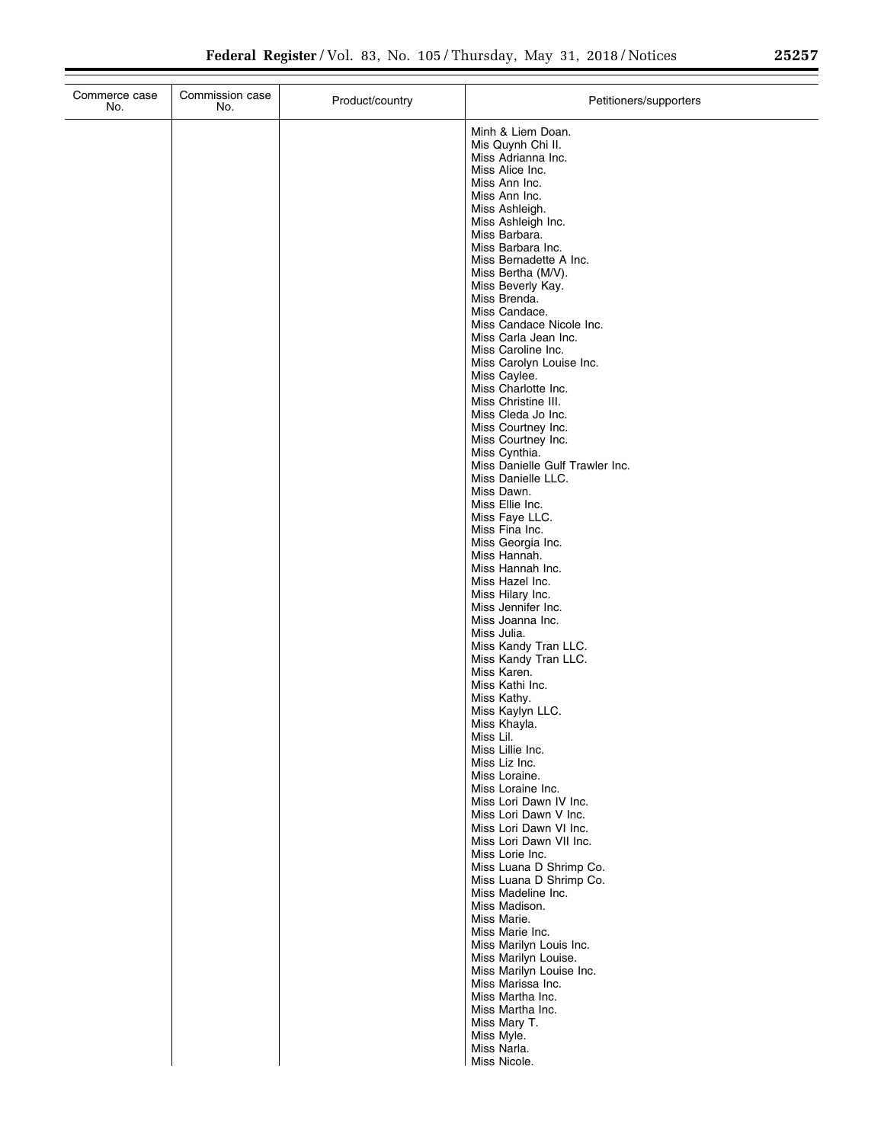| Commerce case<br>No. | Commission case<br>No. | Product/country | Petitioners/supporters                                |
|----------------------|------------------------|-----------------|-------------------------------------------------------|
|                      |                        |                 | Minh & Liem Doan.                                     |
|                      |                        |                 | Mis Quynh Chi II.<br>Miss Adrianna Inc.               |
|                      |                        |                 | Miss Alice Inc.                                       |
|                      |                        |                 | Miss Ann Inc.<br>Miss Ann Inc.                        |
|                      |                        |                 | Miss Ashleigh.                                        |
|                      |                        |                 | Miss Ashleigh Inc.                                    |
|                      |                        |                 | Miss Barbara.<br>Miss Barbara Inc.                    |
|                      |                        |                 | Miss Bernadette A Inc.                                |
|                      |                        |                 | Miss Bertha (M/V).                                    |
|                      |                        |                 | Miss Beverly Kay.<br>Miss Brenda.                     |
|                      |                        |                 | Miss Candace.                                         |
|                      |                        |                 | Miss Candace Nicole Inc.<br>Miss Carla Jean Inc.      |
|                      |                        |                 | Miss Caroline Inc.                                    |
|                      |                        |                 | Miss Carolyn Louise Inc.                              |
|                      |                        |                 | Miss Caylee.<br>Miss Charlotte Inc.                   |
|                      |                        |                 | Miss Christine III.                                   |
|                      |                        |                 | Miss Cleda Jo Inc.                                    |
|                      |                        |                 | Miss Courtney Inc.<br>Miss Courtney Inc.              |
|                      |                        |                 | Miss Cynthia.                                         |
|                      |                        |                 | Miss Danielle Gulf Trawler Inc.<br>Miss Danielle LLC. |
|                      |                        |                 | Miss Dawn.                                            |
|                      |                        |                 | Miss Ellie Inc.                                       |
|                      |                        |                 | Miss Faye LLC.<br>Miss Fina Inc.                      |
|                      |                        |                 | Miss Georgia Inc.                                     |
|                      |                        |                 | Miss Hannah.                                          |
|                      |                        |                 | Miss Hannah Inc.<br>Miss Hazel Inc.                   |
|                      |                        |                 | Miss Hilary Inc.                                      |
|                      |                        |                 | Miss Jennifer Inc.<br>Miss Joanna Inc.                |
|                      |                        |                 | Miss Julia.                                           |
|                      |                        |                 | Miss Kandy Tran LLC.                                  |
|                      |                        |                 | Miss Kandy Tran LLC.<br>Miss Karen.                   |
|                      |                        |                 | Miss Kathi Inc.                                       |
|                      |                        |                 | Miss Kathy.                                           |
|                      |                        |                 | Miss Kaylyn LLC.<br>Miss Khayla.                      |
|                      |                        |                 | Miss Lil.                                             |
|                      |                        |                 | Miss Lillie Inc.<br>Miss Liz Inc.                     |
|                      |                        |                 | Miss Loraine.                                         |
|                      |                        |                 | Miss Loraine Inc.                                     |
|                      |                        |                 | Miss Lori Dawn IV Inc.<br>Miss Lori Dawn V Inc.       |
|                      |                        |                 | Miss Lori Dawn VI Inc.                                |
|                      |                        |                 | Miss Lori Dawn VII Inc.                               |
|                      |                        |                 | Miss Lorie Inc.<br>Miss Luana D Shrimp Co.            |
|                      |                        |                 | Miss Luana D Shrimp Co.                               |
|                      |                        |                 | Miss Madeline Inc.<br>Miss Madison.                   |
|                      |                        |                 | Miss Marie.                                           |
|                      |                        |                 | Miss Marie Inc.                                       |
|                      |                        |                 | Miss Marilyn Louis Inc.<br>Miss Marilyn Louise.       |
|                      |                        |                 | Miss Marilyn Louise Inc.                              |
|                      |                        |                 | Miss Marissa Inc.                                     |
|                      |                        |                 | Miss Martha Inc.<br>Miss Martha Inc.                  |
|                      |                        |                 | Miss Mary T.                                          |
|                      |                        |                 | Miss Myle.                                            |
|                      |                        |                 | Miss Narla.<br>Miss Nicole.                           |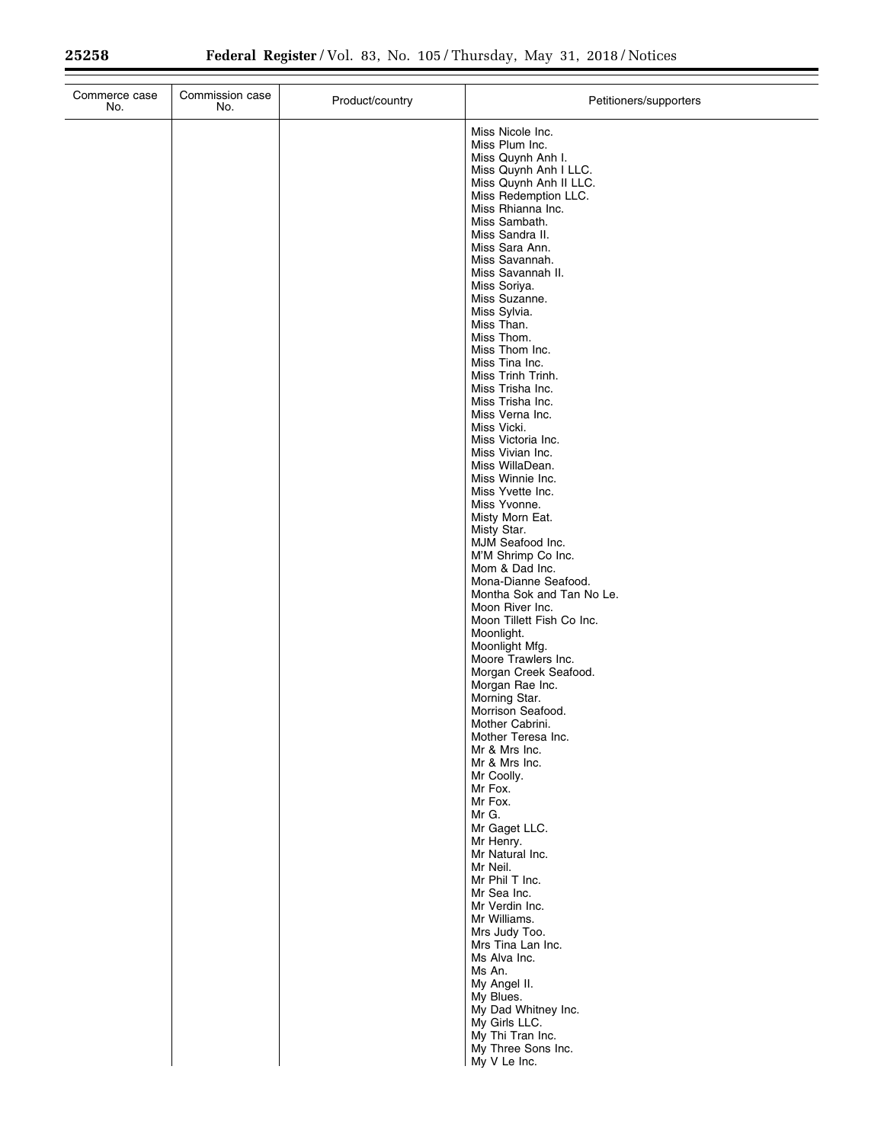| Commerce case<br>No. | Commission case<br>No. | Product/country | Petitioners/supporters                                                                                                                                                                                                                                                                                                                                                                                                                                                                                                                                                                                                                                                                                                                                                                                                                                                                                                                                                                                                                                                         |
|----------------------|------------------------|-----------------|--------------------------------------------------------------------------------------------------------------------------------------------------------------------------------------------------------------------------------------------------------------------------------------------------------------------------------------------------------------------------------------------------------------------------------------------------------------------------------------------------------------------------------------------------------------------------------------------------------------------------------------------------------------------------------------------------------------------------------------------------------------------------------------------------------------------------------------------------------------------------------------------------------------------------------------------------------------------------------------------------------------------------------------------------------------------------------|
|                      |                        |                 | Miss Nicole Inc.<br>Miss Plum Inc.<br>Miss Quynh Anh I.<br>Miss Quynh Anh I LLC.<br>Miss Quynh Anh II LLC.<br>Miss Redemption LLC.<br>Miss Rhianna Inc.<br>Miss Sambath.<br>Miss Sandra II.<br>Miss Sara Ann.<br>Miss Savannah.<br>Miss Savannah II.<br>Miss Soriya.<br>Miss Suzanne.<br>Miss Sylvia.<br>Miss Than.<br>Miss Thom.<br>Miss Thom Inc.<br>Miss Tina Inc.<br>Miss Trinh Trinh.<br>Miss Trisha Inc.<br>Miss Trisha Inc.<br>Miss Verna Inc.<br>Miss Vicki.<br>Miss Victoria Inc.<br>Miss Vivian Inc.<br>Miss WillaDean.<br>Miss Winnie Inc.<br>Miss Yvette Inc.<br>Miss Yvonne.<br>Misty Morn Eat.<br>Misty Star.<br>MJM Seafood Inc.<br>M'M Shrimp Co Inc.<br>Mom & Dad Inc.<br>Mona-Dianne Seafood.<br>Montha Sok and Tan No Le.<br>Moon River Inc.<br>Moon Tillett Fish Co Inc.<br>Moonlight.<br>Moonlight Mfg.<br>Moore Trawlers Inc.<br>Morgan Creek Seafood.<br>Morgan Rae Inc.<br>Morning Star.<br>Morrison Seafood.<br>Mother Cabrini.<br>Mother Teresa Inc.<br>Mr & Mrs Inc.<br>Mr & Mrs Inc.<br>Mr Coolly.<br>Mr Fox.<br>Mr Fox.<br>Mr G.<br>Mr Gaget LLC. |
|                      |                        |                 | Mr Henry.                                                                                                                                                                                                                                                                                                                                                                                                                                                                                                                                                                                                                                                                                                                                                                                                                                                                                                                                                                                                                                                                      |
|                      |                        |                 | Mr Natural Inc.<br>Mr Neil.<br>Mr Phil T Inc.<br>Mr Sea Inc.<br>Mr Verdin Inc.<br>Mr Williams.<br>Mrs Judy Too.<br>Mrs Tina Lan Inc.<br>Ms Alva Inc.<br>Ms An.<br>My Angel II.                                                                                                                                                                                                                                                                                                                                                                                                                                                                                                                                                                                                                                                                                                                                                                                                                                                                                                 |
|                      |                        |                 | My Blues.<br>My Dad Whitney Inc.<br>My Girls LLC.<br>My Thi Tran Inc.<br>My Three Sons Inc.<br>My V Le Inc.                                                                                                                                                                                                                                                                                                                                                                                                                                                                                                                                                                                                                                                                                                                                                                                                                                                                                                                                                                    |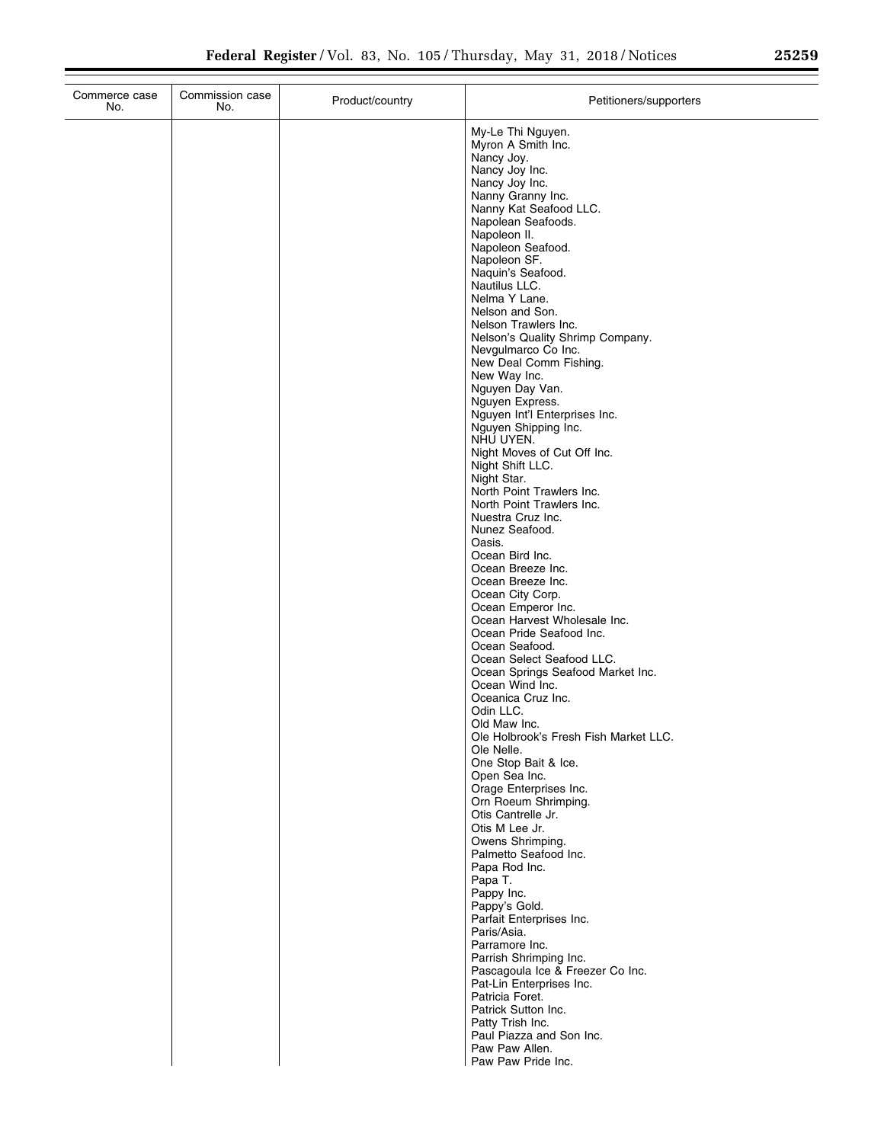| No.           | Commission case<br>No. | Product/country | Petitioners/supporters                                                                                                                                                                                                                                                                                                                                                                                                                                                                                                                                                                                                                                                                                                                                                                                                                                                                                                                                                                                                                                                                                                          |
|---------------|------------------------|-----------------|---------------------------------------------------------------------------------------------------------------------------------------------------------------------------------------------------------------------------------------------------------------------------------------------------------------------------------------------------------------------------------------------------------------------------------------------------------------------------------------------------------------------------------------------------------------------------------------------------------------------------------------------------------------------------------------------------------------------------------------------------------------------------------------------------------------------------------------------------------------------------------------------------------------------------------------------------------------------------------------------------------------------------------------------------------------------------------------------------------------------------------|
| Commerce case |                        |                 | My-Le Thi Nguyen.<br>Myron A Smith Inc.<br>Nancy Joy.<br>Nancy Joy Inc.<br>Nancy Joy Inc.<br>Nanny Granny Inc.<br>Nanny Kat Seafood LLC.<br>Napolean Seafoods.<br>Napoleon II.<br>Napoleon Seafood.<br>Napoleon SF.<br>Naquin's Seafood.<br>Nautilus LLC.<br>Nelma Y Lane.<br>Nelson and Son.<br>Nelson Trawlers Inc.<br>Nelson's Quality Shrimp Company.<br>Nevgulmarco Co Inc.<br>New Deal Comm Fishing.<br>New Way Inc.<br>Nguyen Day Van.<br>Nguyen Express.<br>Nguyen Int'l Enterprises Inc.<br>Nguyen Shipping Inc.<br>NHU UYEN.<br>Night Moves of Cut Off Inc.<br>Night Shift LLC.<br>Night Star.<br>North Point Trawlers Inc.<br>North Point Trawlers Inc.<br>Nuestra Cruz Inc.<br>Nunez Seafood.<br>Oasis.<br>Ocean Bird Inc.<br>Ocean Breeze Inc.<br>Ocean Breeze Inc.<br>Ocean City Corp.<br>Ocean Emperor Inc.<br>Ocean Harvest Wholesale Inc.<br>Ocean Pride Seafood Inc.<br>Ocean Seafood.<br>Ocean Select Seafood LLC.<br>Ocean Springs Seafood Market Inc.<br>Ocean Wind Inc.<br>Oceanica Cruz Inc.<br>Odin LLC.<br>Old Maw Inc.<br>Ole Holbrook's Fresh Fish Market LLC.<br>Ole Nelle.<br>One Stop Bait & Ice. |
|               |                        |                 | Open Sea Inc.<br>Orage Enterprises Inc.<br>Orn Roeum Shrimping.<br>Otis Cantrelle Jr.                                                                                                                                                                                                                                                                                                                                                                                                                                                                                                                                                                                                                                                                                                                                                                                                                                                                                                                                                                                                                                           |
|               |                        |                 | Otis M Lee Jr.<br>Owens Shrimping.<br>Palmetto Seafood Inc.<br>Papa Rod Inc.<br>Papa T.<br>Pappy Inc.<br>Pappy's Gold.<br>Parfait Enterprises Inc.<br>Paris/Asia.                                                                                                                                                                                                                                                                                                                                                                                                                                                                                                                                                                                                                                                                                                                                                                                                                                                                                                                                                               |
|               |                        |                 | Parramore Inc.<br>Parrish Shrimping Inc.<br>Pascagoula Ice & Freezer Co Inc.<br>Pat-Lin Enterprises Inc.<br>Patricia Foret.<br>Patrick Sutton Inc.<br>Patty Trish Inc.<br>Paul Piazza and Son Inc.<br>Paw Paw Allen.<br>Dow Dow Drido Inc.                                                                                                                                                                                                                                                                                                                                                                                                                                                                                                                                                                                                                                                                                                                                                                                                                                                                                      |

Paw Paw Allen. Paw Paw Pride Inc.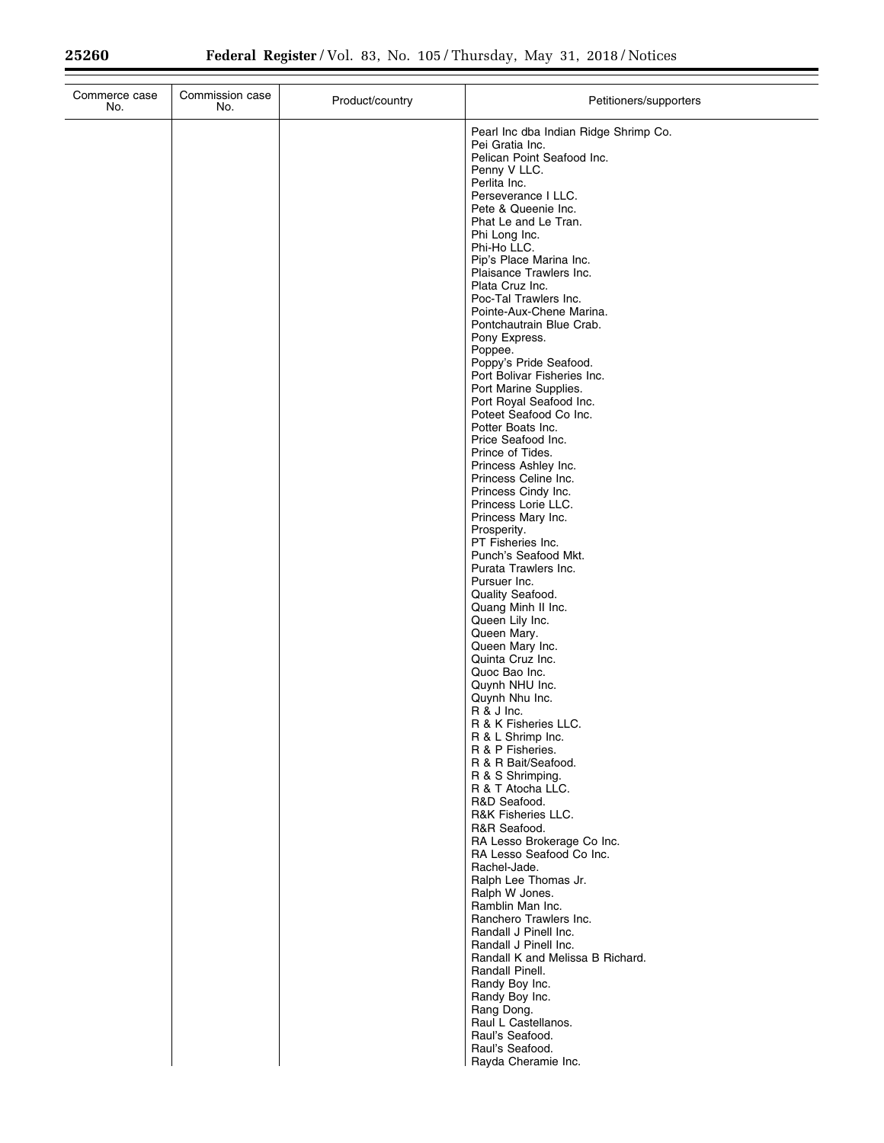| Commerce case<br>No. | Commission case<br>No. | Product/country | Petitioners/supporters                                                                                                                                                                                                                                                                                                                                                                                                                                                                                                                                                                                                                                                                                                                                                                                                                                                                                                                                                                                                                                                                                                                                                                                                                                                                                                                                                                                                                            |
|----------------------|------------------------|-----------------|---------------------------------------------------------------------------------------------------------------------------------------------------------------------------------------------------------------------------------------------------------------------------------------------------------------------------------------------------------------------------------------------------------------------------------------------------------------------------------------------------------------------------------------------------------------------------------------------------------------------------------------------------------------------------------------------------------------------------------------------------------------------------------------------------------------------------------------------------------------------------------------------------------------------------------------------------------------------------------------------------------------------------------------------------------------------------------------------------------------------------------------------------------------------------------------------------------------------------------------------------------------------------------------------------------------------------------------------------------------------------------------------------------------------------------------------------|
|                      |                        |                 | Pearl Inc dba Indian Ridge Shrimp Co.<br>Pei Gratia Inc.<br>Pelican Point Seafood Inc.<br>Penny V LLC.<br>Perlita Inc.<br>Perseverance I LLC.<br>Pete & Queenie Inc.<br>Phat Le and Le Tran.<br>Phi Long Inc.<br>Phi-Ho LLC.<br>Pip's Place Marina Inc.<br>Plaisance Trawlers Inc.<br>Plata Cruz Inc.<br>Poc-Tal Trawlers Inc.<br>Pointe-Aux-Chene Marina.<br>Pontchautrain Blue Crab.<br>Pony Express.<br>Poppee.<br>Poppy's Pride Seafood.<br>Port Bolivar Fisheries Inc.<br>Port Marine Supplies.<br>Port Royal Seafood Inc.<br>Poteet Seafood Co Inc.<br>Potter Boats Inc.<br>Price Seafood Inc.<br>Prince of Tides.<br>Princess Ashley Inc.<br>Princess Celine Inc.<br>Princess Cindy Inc.<br>Princess Lorie LLC.<br>Princess Mary Inc.<br>Prosperity.<br>PT Fisheries Inc.<br>Punch's Seafood Mkt.<br>Purata Trawlers Inc.<br>Pursuer Inc.<br>Quality Seafood.<br>Quang Minh II Inc.<br>Queen Lily Inc.<br>Queen Mary.<br>Queen Mary Inc.<br>Quinta Cruz Inc.<br>Quoc Bao Inc.<br>Quynh NHU Inc.<br>Quynh Nhu Inc.<br>R & J Inc.<br>R & K Fisheries LLC.<br>R & L Shrimp Inc.<br>R & P Fisheries.<br>R & R Bait/Seafood.<br>R & S Shrimping.<br>R & T Atocha LLC.<br>R&D Seafood.<br>R&K Fisheries LLC.<br>R&R Seafood.<br>RA Lesso Brokerage Co Inc.<br>RA Lesso Seafood Co Inc.<br>Rachel-Jade.<br>Ralph Lee Thomas Jr.<br>Ralph W Jones.<br>Ramblin Man Inc.<br>Ranchero Trawlers Inc.<br>Randall J Pinell Inc.<br>Randall J Pinell Inc. |
|                      |                        |                 | Randall K and Melissa B Richard.<br>Randall Pinell.<br>Randy Boy Inc.<br>Randy Boy Inc.<br>Rang Dong.<br>Raul L Castellanos.<br>Raul's Seafood.<br>Raul's Seafood.                                                                                                                                                                                                                                                                                                                                                                                                                                                                                                                                                                                                                                                                                                                                                                                                                                                                                                                                                                                                                                                                                                                                                                                                                                                                                |
|                      |                        |                 | Rayda Cheramie Inc.                                                                                                                                                                                                                                                                                                                                                                                                                                                                                                                                                                                                                                                                                                                                                                                                                                                                                                                                                                                                                                                                                                                                                                                                                                                                                                                                                                                                                               |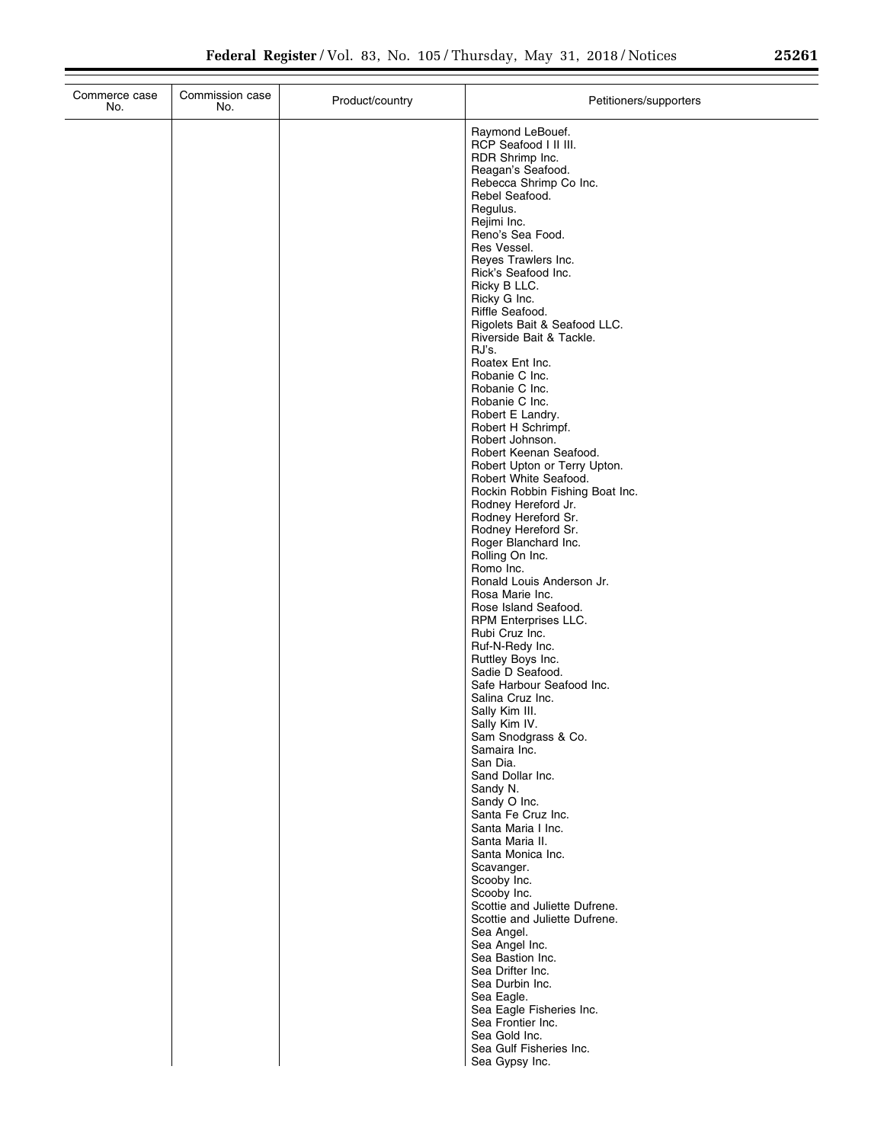| Commerce case<br>No. | Commission case<br>No. | Product/country | Petitioners/supporters                                 |
|----------------------|------------------------|-----------------|--------------------------------------------------------|
|                      |                        |                 | Raymond LeBouef.                                       |
|                      |                        |                 | RCP Seafood I II III.                                  |
|                      |                        |                 | RDR Shrimp Inc.                                        |
|                      |                        |                 | Reagan's Seafood.<br>Rebecca Shrimp Co Inc.            |
|                      |                        |                 | Rebel Seafood.                                         |
|                      |                        |                 | Regulus.                                               |
|                      |                        |                 | Rejimi Inc.                                            |
|                      |                        |                 | Reno's Sea Food.                                       |
|                      |                        |                 | Res Vessel.<br>Reves Trawlers Inc.                     |
|                      |                        |                 | Rick's Seafood Inc.                                    |
|                      |                        |                 | Ricky B LLC.                                           |
|                      |                        |                 | Ricky G Inc.<br>Riffle Seafood.                        |
|                      |                        |                 | Rigolets Bait & Seafood LLC.                           |
|                      |                        |                 | Riverside Bait & Tackle.                               |
|                      |                        |                 | RJ's.                                                  |
|                      |                        |                 | Roatex Ent Inc.<br>Robanie C Inc.                      |
|                      |                        |                 | Robanie C Inc.                                         |
|                      |                        |                 | Robanie C Inc.                                         |
|                      |                        |                 | Robert E Landry.                                       |
|                      |                        |                 | Robert H Schrimpf.<br>Robert Johnson.                  |
|                      |                        |                 | Robert Keenan Seafood.                                 |
|                      |                        |                 | Robert Upton or Terry Upton.                           |
|                      |                        |                 | Robert White Seafood.                                  |
|                      |                        |                 | Rockin Robbin Fishing Boat Inc.<br>Rodney Hereford Jr. |
|                      |                        |                 | Rodney Hereford Sr.                                    |
|                      |                        |                 | Rodney Hereford Sr.                                    |
|                      |                        |                 | Roger Blanchard Inc.<br>Rolling On Inc.                |
|                      |                        |                 | Romo Inc.                                              |
|                      |                        |                 | Ronald Louis Anderson Jr.                              |
|                      |                        |                 | Rosa Marie Inc.<br>Rose Island Seafood.                |
|                      |                        |                 | RPM Enterprises LLC.                                   |
|                      |                        |                 | Rubi Cruz Inc.                                         |
|                      |                        |                 | Ruf-N-Redy Inc.                                        |
|                      |                        |                 | Ruttley Boys Inc.<br>Sadie D Seafood.                  |
|                      |                        |                 | Safe Harbour Seafood Inc.                              |
|                      |                        |                 | Salina Cruz Inc.                                       |
|                      |                        |                 | Sally Kim III.                                         |
|                      |                        |                 | Sally Kim IV.<br>Sam Snodgrass & Co.                   |
|                      |                        |                 | Samaira Inc.                                           |
|                      |                        |                 | San Dia.                                               |
|                      |                        |                 | Sand Dollar Inc.<br>Sandy N.                           |
|                      |                        |                 | Sandy O Inc.                                           |
|                      |                        |                 | Santa Fe Cruz Inc.                                     |
|                      |                        |                 | Santa Maria I Inc.                                     |
|                      |                        |                 | Santa Maria II.<br>Santa Monica Inc.                   |
|                      |                        |                 | Scavanger.                                             |
|                      |                        |                 | Scooby Inc.                                            |
|                      |                        |                 | Scooby Inc.<br>Scottie and Juliette Dufrene.           |
|                      |                        |                 | Scottie and Juliette Dufrene.                          |
|                      |                        |                 | Sea Angel.                                             |
|                      |                        |                 | Sea Angel Inc.                                         |
|                      |                        |                 | Sea Bastion Inc.<br>Sea Drifter Inc.                   |
|                      |                        |                 | Sea Durbin Inc.                                        |
|                      |                        |                 | Sea Eagle.                                             |
|                      |                        |                 | Sea Eagle Fisheries Inc.                               |
|                      |                        |                 | Sea Frontier Inc.<br>Sea Gold Inc.                     |
|                      |                        |                 | Sea Gulf Fisheries Inc.                                |
|                      |                        |                 | Sea Gypsy Inc.                                         |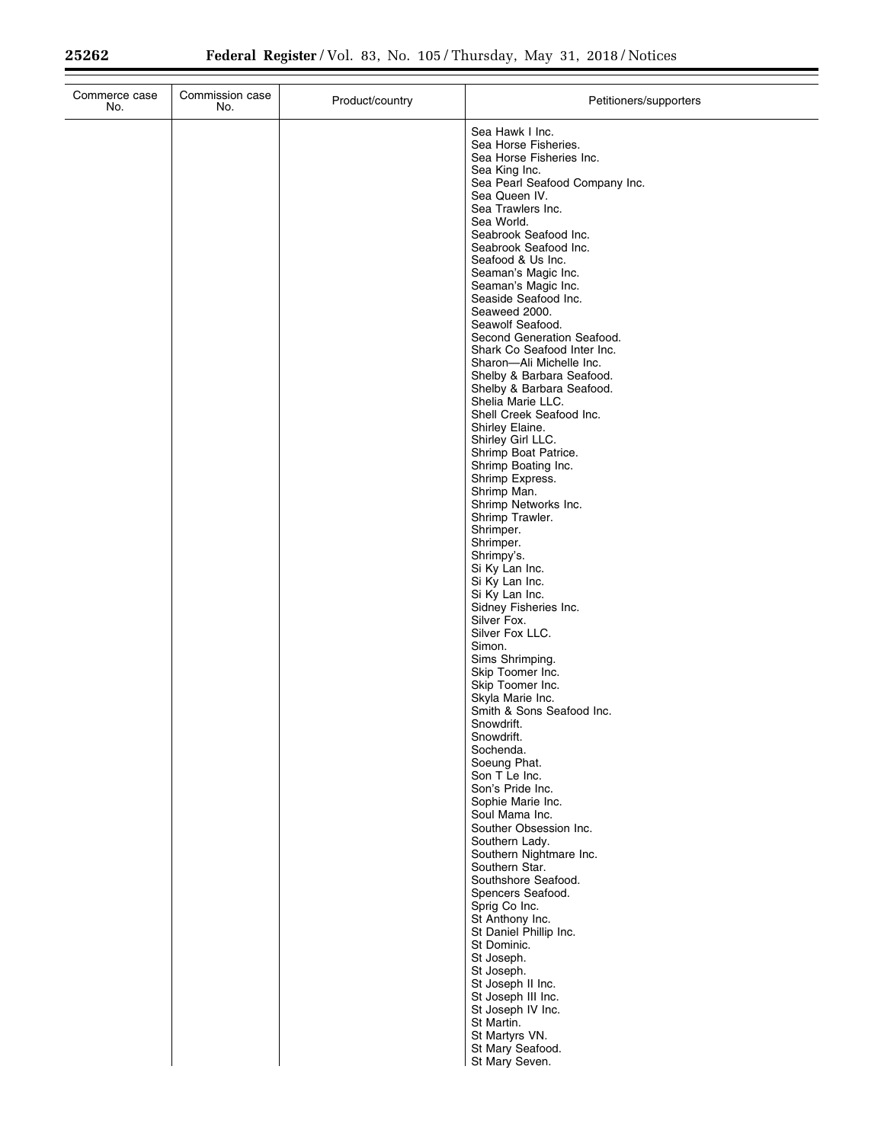| Commerce case<br>No. | Commission case<br>No. | Product/country | Petitioners/supporters                                                                                                                                                                                                                                                                                                                                                                                                                                                                                                                                                                                                                                                                                                                                                                                                                                                                                                                                                                                                                                                                                                                                                                                                                                                                                                                                                                                                                                                               |
|----------------------|------------------------|-----------------|--------------------------------------------------------------------------------------------------------------------------------------------------------------------------------------------------------------------------------------------------------------------------------------------------------------------------------------------------------------------------------------------------------------------------------------------------------------------------------------------------------------------------------------------------------------------------------------------------------------------------------------------------------------------------------------------------------------------------------------------------------------------------------------------------------------------------------------------------------------------------------------------------------------------------------------------------------------------------------------------------------------------------------------------------------------------------------------------------------------------------------------------------------------------------------------------------------------------------------------------------------------------------------------------------------------------------------------------------------------------------------------------------------------------------------------------------------------------------------------|
|                      |                        |                 | Sea Hawk I Inc.<br>Sea Horse Fisheries.<br>Sea Horse Fisheries Inc.<br>Sea King Inc.<br>Sea Pearl Seafood Company Inc.<br>Sea Queen IV.<br>Sea Trawlers Inc.<br>Sea World.<br>Seabrook Seafood Inc.<br>Seabrook Seafood Inc.<br>Seafood & Us Inc.<br>Seaman's Magic Inc.<br>Seaman's Magic Inc.<br>Seaside Seafood Inc.<br>Seaweed 2000.<br>Seawolf Seafood.<br>Second Generation Seafood.<br>Shark Co Seafood Inter Inc.<br>Sharon-Ali Michelle Inc.<br>Shelby & Barbara Seafood.<br>Shelby & Barbara Seafood.<br>Shelia Marie LLC.<br>Shell Creek Seafood Inc.<br>Shirley Elaine.<br>Shirley Girl LLC.<br>Shrimp Boat Patrice.<br>Shrimp Boating Inc.<br>Shrimp Express.<br>Shrimp Man.<br>Shrimp Networks Inc.<br>Shrimp Trawler.<br>Shrimper.<br>Shrimper.<br>Shrimpy's.<br>Si Ky Lan Inc.<br>Si Ky Lan Inc.<br>Si Ky Lan Inc.<br>Sidney Fisheries Inc.<br>Silver Fox.<br>Silver Fox LLC.<br>Simon.<br>Sims Shrimping.<br>Skip Toomer Inc.<br>Skip Toomer Inc.<br>Skyla Marie Inc.<br>Smith & Sons Seafood Inc.<br>Snowdrift.<br>Snowdrift.<br>Sochenda.<br>Soeung Phat.<br>Son T Le Inc.<br>Son's Pride Inc.<br>Sophie Marie Inc.<br>Soul Mama Inc.<br>Souther Obsession Inc.<br>Southern Lady.<br>Southern Nightmare Inc.<br>Southern Star.<br>Southshore Seafood.<br>Spencers Seafood.<br>Sprig Co Inc.<br>St Anthony Inc.<br>St Daniel Phillip Inc.<br>St Dominic.<br>St Joseph.<br>St Joseph.<br>St Joseph II Inc.<br>St Joseph III Inc.<br>St Joseph IV Inc.<br>St Martin. |
|                      |                        |                 | St Martyrs VN.<br>St Mary Seafood.<br>St Mary Seven.                                                                                                                                                                                                                                                                                                                                                                                                                                                                                                                                                                                                                                                                                                                                                                                                                                                                                                                                                                                                                                                                                                                                                                                                                                                                                                                                                                                                                                 |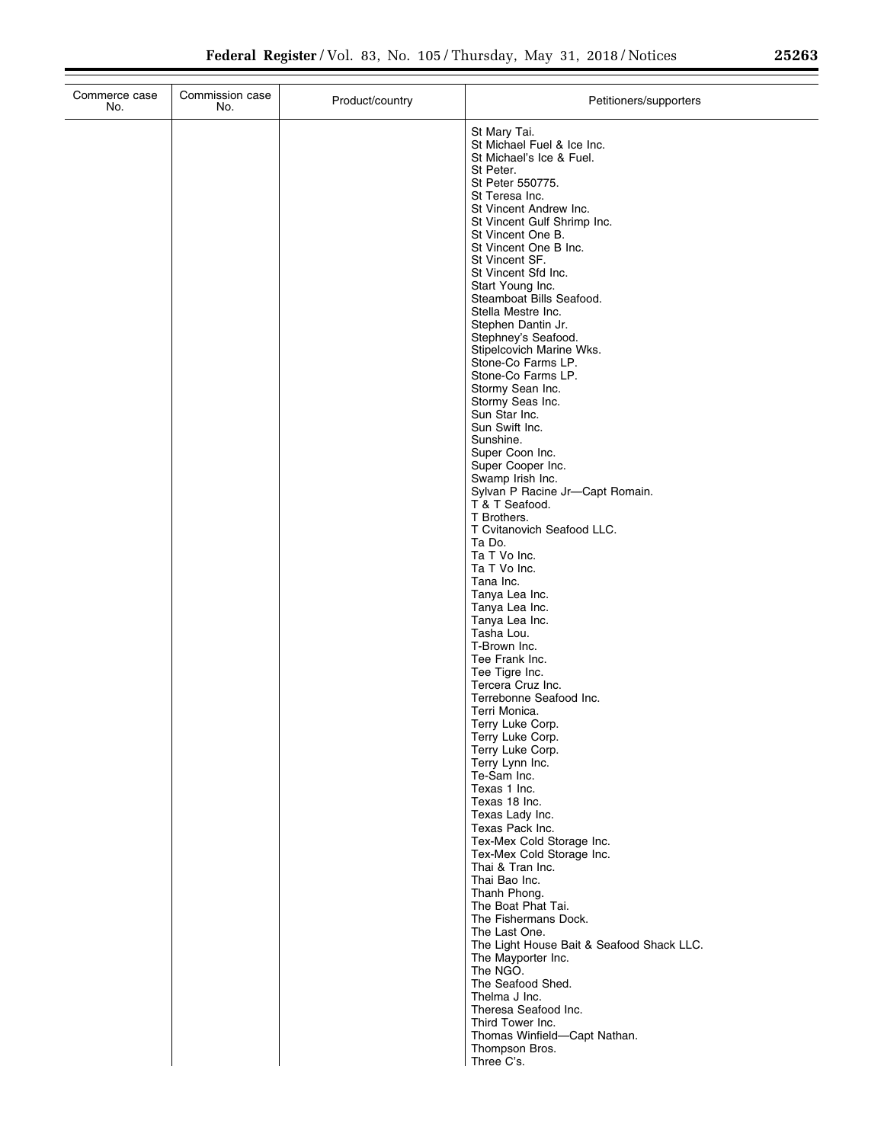| St Mary Tai.<br>St Michael Fuel & Ice Inc.<br>St Michael's Ice & Fuel.<br>St Peter.<br>St Peter 550775.<br>St Teresa Inc.<br>St Vincent Andrew Inc.<br>St Vincent Gulf Shrimp Inc.<br>St Vincent One B.<br>St Vincent One B Inc.<br>St Vincent SF.<br>St Vincent Sfd Inc.<br>Start Young Inc.<br>Steamboat Bills Seafood.<br>Stella Mestre Inc.<br>Stephen Dantin Jr.<br>Stephney's Seafood.<br>Stipelcovich Marine Wks.<br>Stone-Co Farms LP.<br>Stone-Co Farms LP.<br>Stormy Sean Inc.<br>Stormy Seas Inc.<br>Sun Star Inc.<br>Sun Swift Inc.<br>Sunshine.<br>Super Coon Inc.<br>Super Cooper Inc.<br>Swamp Irish Inc.<br>Sylvan P Racine Jr-Capt Romain.<br>T & T Seafood.<br>T Brothers.<br>T Cvitanovich Seafood LLC.<br>Ta Do.<br>Ta T Vo Inc.<br>Ta T Vo Inc.<br>Tana Inc.<br>Tanya Lea Inc.<br>Tanya Lea Inc.<br>Tanya Lea Inc.<br>Tasha Lou.<br>T-Brown Inc.<br>Tee Frank Inc.<br>Tee Tigre Inc.<br>Tercera Cruz Inc.<br>Terrebonne Seafood Inc.<br>Terri Monica.<br>Terry Luke Corp.<br>Terry Luke Corp.<br>Terry Luke Corp.<br>Terry Lynn Inc.<br>Te-Sam Inc.<br>Texas 1 Inc.<br>Texas 18 Inc.<br>Texas Lady Inc.<br>Texas Pack Inc.<br>Tex-Mex Cold Storage Inc.<br>Tex-Mex Cold Storage Inc.<br>Thai & Tran Inc.<br>Thai Bao Inc.<br>Thanh Phong.<br>The Boat Phat Tai.<br>The Fishermans Dock.<br>The Last One.<br>The Light House Bait & Seafood Shack LLC.<br>The Mayporter Inc.<br>The NGO.<br>The Seafood Shed.<br>Thelma J Inc.<br>Theresa Seafood Inc.<br>Third Tower Inc.<br>Thomas Winfield-Capt Nathan.<br>Thompson Bros.<br>Three C's. | Commerce case<br>No. | Commission case<br>No. | Product/country | Petitioners/supporters |
|----------------------------------------------------------------------------------------------------------------------------------------------------------------------------------------------------------------------------------------------------------------------------------------------------------------------------------------------------------------------------------------------------------------------------------------------------------------------------------------------------------------------------------------------------------------------------------------------------------------------------------------------------------------------------------------------------------------------------------------------------------------------------------------------------------------------------------------------------------------------------------------------------------------------------------------------------------------------------------------------------------------------------------------------------------------------------------------------------------------------------------------------------------------------------------------------------------------------------------------------------------------------------------------------------------------------------------------------------------------------------------------------------------------------------------------------------------------------------------------------------------------------------------------------------------------|----------------------|------------------------|-----------------|------------------------|
|                                                                                                                                                                                                                                                                                                                                                                                                                                                                                                                                                                                                                                                                                                                                                                                                                                                                                                                                                                                                                                                                                                                                                                                                                                                                                                                                                                                                                                                                                                                                                                |                      |                        |                 |                        |
|                                                                                                                                                                                                                                                                                                                                                                                                                                                                                                                                                                                                                                                                                                                                                                                                                                                                                                                                                                                                                                                                                                                                                                                                                                                                                                                                                                                                                                                                                                                                                                |                      |                        |                 |                        |
|                                                                                                                                                                                                                                                                                                                                                                                                                                                                                                                                                                                                                                                                                                                                                                                                                                                                                                                                                                                                                                                                                                                                                                                                                                                                                                                                                                                                                                                                                                                                                                |                      |                        |                 |                        |
|                                                                                                                                                                                                                                                                                                                                                                                                                                                                                                                                                                                                                                                                                                                                                                                                                                                                                                                                                                                                                                                                                                                                                                                                                                                                                                                                                                                                                                                                                                                                                                |                      |                        |                 |                        |
|                                                                                                                                                                                                                                                                                                                                                                                                                                                                                                                                                                                                                                                                                                                                                                                                                                                                                                                                                                                                                                                                                                                                                                                                                                                                                                                                                                                                                                                                                                                                                                |                      |                        |                 |                        |
|                                                                                                                                                                                                                                                                                                                                                                                                                                                                                                                                                                                                                                                                                                                                                                                                                                                                                                                                                                                                                                                                                                                                                                                                                                                                                                                                                                                                                                                                                                                                                                |                      |                        |                 |                        |
|                                                                                                                                                                                                                                                                                                                                                                                                                                                                                                                                                                                                                                                                                                                                                                                                                                                                                                                                                                                                                                                                                                                                                                                                                                                                                                                                                                                                                                                                                                                                                                |                      |                        |                 |                        |
|                                                                                                                                                                                                                                                                                                                                                                                                                                                                                                                                                                                                                                                                                                                                                                                                                                                                                                                                                                                                                                                                                                                                                                                                                                                                                                                                                                                                                                                                                                                                                                |                      |                        |                 |                        |
|                                                                                                                                                                                                                                                                                                                                                                                                                                                                                                                                                                                                                                                                                                                                                                                                                                                                                                                                                                                                                                                                                                                                                                                                                                                                                                                                                                                                                                                                                                                                                                |                      |                        |                 |                        |
|                                                                                                                                                                                                                                                                                                                                                                                                                                                                                                                                                                                                                                                                                                                                                                                                                                                                                                                                                                                                                                                                                                                                                                                                                                                                                                                                                                                                                                                                                                                                                                |                      |                        |                 |                        |
|                                                                                                                                                                                                                                                                                                                                                                                                                                                                                                                                                                                                                                                                                                                                                                                                                                                                                                                                                                                                                                                                                                                                                                                                                                                                                                                                                                                                                                                                                                                                                                |                      |                        |                 |                        |
|                                                                                                                                                                                                                                                                                                                                                                                                                                                                                                                                                                                                                                                                                                                                                                                                                                                                                                                                                                                                                                                                                                                                                                                                                                                                                                                                                                                                                                                                                                                                                                |                      |                        |                 |                        |
|                                                                                                                                                                                                                                                                                                                                                                                                                                                                                                                                                                                                                                                                                                                                                                                                                                                                                                                                                                                                                                                                                                                                                                                                                                                                                                                                                                                                                                                                                                                                                                |                      |                        |                 |                        |
|                                                                                                                                                                                                                                                                                                                                                                                                                                                                                                                                                                                                                                                                                                                                                                                                                                                                                                                                                                                                                                                                                                                                                                                                                                                                                                                                                                                                                                                                                                                                                                |                      |                        |                 |                        |
|                                                                                                                                                                                                                                                                                                                                                                                                                                                                                                                                                                                                                                                                                                                                                                                                                                                                                                                                                                                                                                                                                                                                                                                                                                                                                                                                                                                                                                                                                                                                                                |                      |                        |                 |                        |
|                                                                                                                                                                                                                                                                                                                                                                                                                                                                                                                                                                                                                                                                                                                                                                                                                                                                                                                                                                                                                                                                                                                                                                                                                                                                                                                                                                                                                                                                                                                                                                |                      |                        |                 |                        |
|                                                                                                                                                                                                                                                                                                                                                                                                                                                                                                                                                                                                                                                                                                                                                                                                                                                                                                                                                                                                                                                                                                                                                                                                                                                                                                                                                                                                                                                                                                                                                                |                      |                        |                 |                        |
|                                                                                                                                                                                                                                                                                                                                                                                                                                                                                                                                                                                                                                                                                                                                                                                                                                                                                                                                                                                                                                                                                                                                                                                                                                                                                                                                                                                                                                                                                                                                                                |                      |                        |                 |                        |
|                                                                                                                                                                                                                                                                                                                                                                                                                                                                                                                                                                                                                                                                                                                                                                                                                                                                                                                                                                                                                                                                                                                                                                                                                                                                                                                                                                                                                                                                                                                                                                |                      |                        |                 |                        |
|                                                                                                                                                                                                                                                                                                                                                                                                                                                                                                                                                                                                                                                                                                                                                                                                                                                                                                                                                                                                                                                                                                                                                                                                                                                                                                                                                                                                                                                                                                                                                                |                      |                        |                 |                        |
|                                                                                                                                                                                                                                                                                                                                                                                                                                                                                                                                                                                                                                                                                                                                                                                                                                                                                                                                                                                                                                                                                                                                                                                                                                                                                                                                                                                                                                                                                                                                                                |                      |                        |                 |                        |
|                                                                                                                                                                                                                                                                                                                                                                                                                                                                                                                                                                                                                                                                                                                                                                                                                                                                                                                                                                                                                                                                                                                                                                                                                                                                                                                                                                                                                                                                                                                                                                |                      |                        |                 |                        |
|                                                                                                                                                                                                                                                                                                                                                                                                                                                                                                                                                                                                                                                                                                                                                                                                                                                                                                                                                                                                                                                                                                                                                                                                                                                                                                                                                                                                                                                                                                                                                                |                      |                        |                 |                        |
|                                                                                                                                                                                                                                                                                                                                                                                                                                                                                                                                                                                                                                                                                                                                                                                                                                                                                                                                                                                                                                                                                                                                                                                                                                                                                                                                                                                                                                                                                                                                                                |                      |                        |                 |                        |
|                                                                                                                                                                                                                                                                                                                                                                                                                                                                                                                                                                                                                                                                                                                                                                                                                                                                                                                                                                                                                                                                                                                                                                                                                                                                                                                                                                                                                                                                                                                                                                |                      |                        |                 |                        |
|                                                                                                                                                                                                                                                                                                                                                                                                                                                                                                                                                                                                                                                                                                                                                                                                                                                                                                                                                                                                                                                                                                                                                                                                                                                                                                                                                                                                                                                                                                                                                                |                      |                        |                 |                        |
|                                                                                                                                                                                                                                                                                                                                                                                                                                                                                                                                                                                                                                                                                                                                                                                                                                                                                                                                                                                                                                                                                                                                                                                                                                                                                                                                                                                                                                                                                                                                                                |                      |                        |                 |                        |
|                                                                                                                                                                                                                                                                                                                                                                                                                                                                                                                                                                                                                                                                                                                                                                                                                                                                                                                                                                                                                                                                                                                                                                                                                                                                                                                                                                                                                                                                                                                                                                |                      |                        |                 |                        |
|                                                                                                                                                                                                                                                                                                                                                                                                                                                                                                                                                                                                                                                                                                                                                                                                                                                                                                                                                                                                                                                                                                                                                                                                                                                                                                                                                                                                                                                                                                                                                                |                      |                        |                 |                        |
|                                                                                                                                                                                                                                                                                                                                                                                                                                                                                                                                                                                                                                                                                                                                                                                                                                                                                                                                                                                                                                                                                                                                                                                                                                                                                                                                                                                                                                                                                                                                                                |                      |                        |                 |                        |
|                                                                                                                                                                                                                                                                                                                                                                                                                                                                                                                                                                                                                                                                                                                                                                                                                                                                                                                                                                                                                                                                                                                                                                                                                                                                                                                                                                                                                                                                                                                                                                |                      |                        |                 |                        |
|                                                                                                                                                                                                                                                                                                                                                                                                                                                                                                                                                                                                                                                                                                                                                                                                                                                                                                                                                                                                                                                                                                                                                                                                                                                                                                                                                                                                                                                                                                                                                                |                      |                        |                 |                        |
|                                                                                                                                                                                                                                                                                                                                                                                                                                                                                                                                                                                                                                                                                                                                                                                                                                                                                                                                                                                                                                                                                                                                                                                                                                                                                                                                                                                                                                                                                                                                                                |                      |                        |                 |                        |
|                                                                                                                                                                                                                                                                                                                                                                                                                                                                                                                                                                                                                                                                                                                                                                                                                                                                                                                                                                                                                                                                                                                                                                                                                                                                                                                                                                                                                                                                                                                                                                |                      |                        |                 |                        |
|                                                                                                                                                                                                                                                                                                                                                                                                                                                                                                                                                                                                                                                                                                                                                                                                                                                                                                                                                                                                                                                                                                                                                                                                                                                                                                                                                                                                                                                                                                                                                                |                      |                        |                 |                        |
|                                                                                                                                                                                                                                                                                                                                                                                                                                                                                                                                                                                                                                                                                                                                                                                                                                                                                                                                                                                                                                                                                                                                                                                                                                                                                                                                                                                                                                                                                                                                                                |                      |                        |                 |                        |
|                                                                                                                                                                                                                                                                                                                                                                                                                                                                                                                                                                                                                                                                                                                                                                                                                                                                                                                                                                                                                                                                                                                                                                                                                                                                                                                                                                                                                                                                                                                                                                |                      |                        |                 |                        |
|                                                                                                                                                                                                                                                                                                                                                                                                                                                                                                                                                                                                                                                                                                                                                                                                                                                                                                                                                                                                                                                                                                                                                                                                                                                                                                                                                                                                                                                                                                                                                                |                      |                        |                 |                        |
|                                                                                                                                                                                                                                                                                                                                                                                                                                                                                                                                                                                                                                                                                                                                                                                                                                                                                                                                                                                                                                                                                                                                                                                                                                                                                                                                                                                                                                                                                                                                                                |                      |                        |                 |                        |
|                                                                                                                                                                                                                                                                                                                                                                                                                                                                                                                                                                                                                                                                                                                                                                                                                                                                                                                                                                                                                                                                                                                                                                                                                                                                                                                                                                                                                                                                                                                                                                |                      |                        |                 |                        |
|                                                                                                                                                                                                                                                                                                                                                                                                                                                                                                                                                                                                                                                                                                                                                                                                                                                                                                                                                                                                                                                                                                                                                                                                                                                                                                                                                                                                                                                                                                                                                                |                      |                        |                 |                        |
|                                                                                                                                                                                                                                                                                                                                                                                                                                                                                                                                                                                                                                                                                                                                                                                                                                                                                                                                                                                                                                                                                                                                                                                                                                                                                                                                                                                                                                                                                                                                                                |                      |                        |                 |                        |
|                                                                                                                                                                                                                                                                                                                                                                                                                                                                                                                                                                                                                                                                                                                                                                                                                                                                                                                                                                                                                                                                                                                                                                                                                                                                                                                                                                                                                                                                                                                                                                |                      |                        |                 |                        |
|                                                                                                                                                                                                                                                                                                                                                                                                                                                                                                                                                                                                                                                                                                                                                                                                                                                                                                                                                                                                                                                                                                                                                                                                                                                                                                                                                                                                                                                                                                                                                                |                      |                        |                 |                        |
|                                                                                                                                                                                                                                                                                                                                                                                                                                                                                                                                                                                                                                                                                                                                                                                                                                                                                                                                                                                                                                                                                                                                                                                                                                                                                                                                                                                                                                                                                                                                                                |                      |                        |                 |                        |
|                                                                                                                                                                                                                                                                                                                                                                                                                                                                                                                                                                                                                                                                                                                                                                                                                                                                                                                                                                                                                                                                                                                                                                                                                                                                                                                                                                                                                                                                                                                                                                |                      |                        |                 |                        |
|                                                                                                                                                                                                                                                                                                                                                                                                                                                                                                                                                                                                                                                                                                                                                                                                                                                                                                                                                                                                                                                                                                                                                                                                                                                                                                                                                                                                                                                                                                                                                                |                      |                        |                 |                        |
|                                                                                                                                                                                                                                                                                                                                                                                                                                                                                                                                                                                                                                                                                                                                                                                                                                                                                                                                                                                                                                                                                                                                                                                                                                                                                                                                                                                                                                                                                                                                                                |                      |                        |                 |                        |
|                                                                                                                                                                                                                                                                                                                                                                                                                                                                                                                                                                                                                                                                                                                                                                                                                                                                                                                                                                                                                                                                                                                                                                                                                                                                                                                                                                                                                                                                                                                                                                |                      |                        |                 |                        |
|                                                                                                                                                                                                                                                                                                                                                                                                                                                                                                                                                                                                                                                                                                                                                                                                                                                                                                                                                                                                                                                                                                                                                                                                                                                                                                                                                                                                                                                                                                                                                                |                      |                        |                 |                        |
|                                                                                                                                                                                                                                                                                                                                                                                                                                                                                                                                                                                                                                                                                                                                                                                                                                                                                                                                                                                                                                                                                                                                                                                                                                                                                                                                                                                                                                                                                                                                                                |                      |                        |                 |                        |
|                                                                                                                                                                                                                                                                                                                                                                                                                                                                                                                                                                                                                                                                                                                                                                                                                                                                                                                                                                                                                                                                                                                                                                                                                                                                                                                                                                                                                                                                                                                                                                |                      |                        |                 |                        |
|                                                                                                                                                                                                                                                                                                                                                                                                                                                                                                                                                                                                                                                                                                                                                                                                                                                                                                                                                                                                                                                                                                                                                                                                                                                                                                                                                                                                                                                                                                                                                                |                      |                        |                 |                        |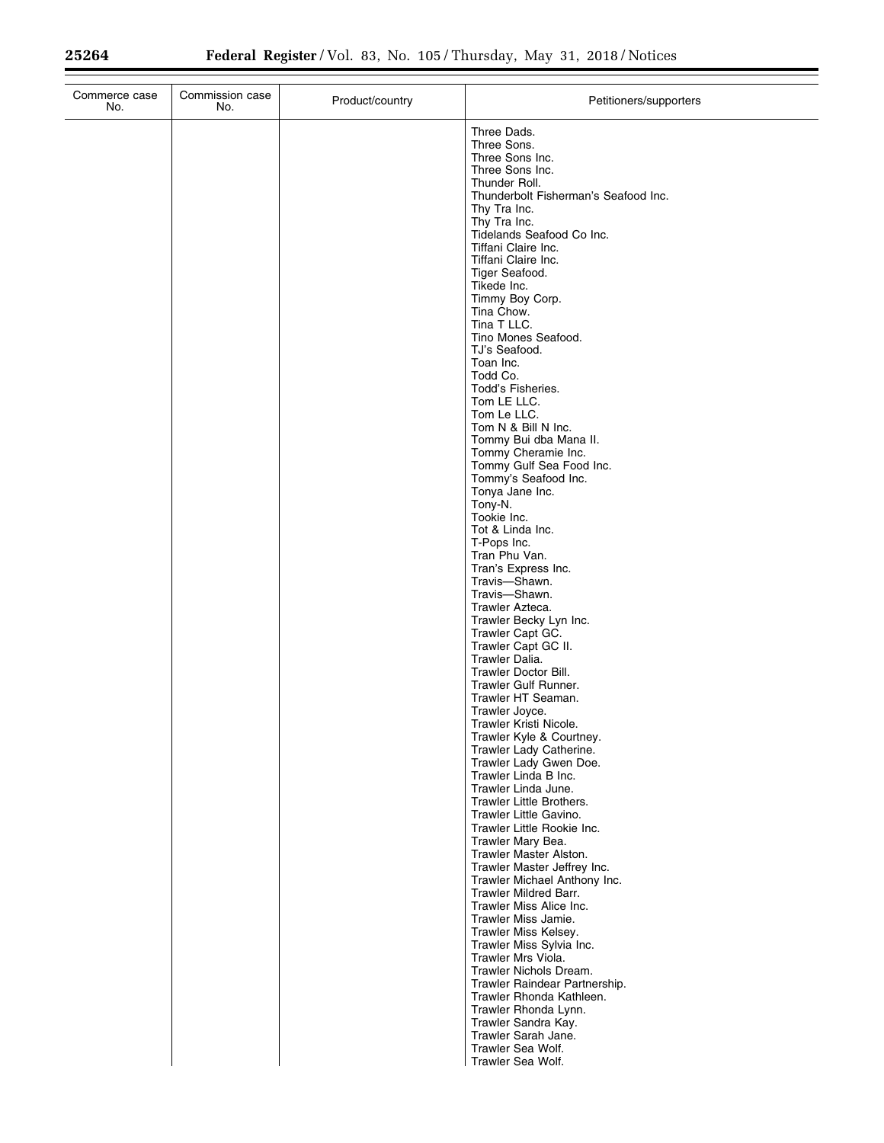$\equiv$ 

| Three Dads.<br>Three Sons.<br>Three Sons Inc.<br>Three Sons Inc.<br>Thunder Roll.<br>Thunderbolt Fisherman's Seafood Inc.<br>Thy Tra Inc.<br>Thy Tra Inc.<br>Tidelands Seafood Co Inc.<br>Tiffani Claire Inc.<br>Tiffani Claire Inc.<br>Tiger Seafood.<br>Tikede Inc.<br>Timmy Boy Corp.<br>Tina Chow.<br>Tina T LLC.<br>Tino Mones Seafood.<br>TJ's Seafood.<br>Toan Inc.<br>Todd Co.<br>Todd's Fisheries.<br>Tom LE LLC.<br>Tom Le LLC.<br>Tom N & Bill N Inc.<br>Tommy Bui dba Mana II.<br>Tommy Cheramie Inc.<br>Tommy Gulf Sea Food Inc.<br>Tommy's Seafood Inc.<br>Tonya Jane Inc.<br>Tony-N.<br>Tookie Inc.<br>Tot & Linda Inc.<br>T-Pops Inc.<br>Tran Phu Van.<br>Tran's Express Inc.<br>Travis-Shawn.<br>Travis-Shawn.<br>Trawler Azteca.<br>Trawler Becky Lyn Inc.<br>Trawler Capt GC.<br>Trawler Capt GC II.<br>Trawler Dalia.<br><b>Trawler Doctor Bill.</b><br>Trawler Gulf Runner.<br>Trawler HT Seaman.<br>Trawler Joyce.<br>Trawler Kristi Nicole.<br>Trawler Kyle & Courtney.<br>Trawler Lady Catherine.<br>Trawler Lady Gwen Doe.<br>Trawler Linda B Inc.<br>Trawler Linda June.<br>Trawler Little Brothers.<br>Trawler Little Gavino.<br>Trawler Little Rookie Inc.<br>Trawler Mary Bea.<br>Trawler Master Alston.<br>Trawler Master Jeffrey Inc.<br>Trawler Michael Anthony Inc.<br>Trawler Mildred Barr.<br>Trawler Miss Alice Inc.<br>Trawler Miss Jamie.<br>Trawler Miss Kelsey.<br>Trawler Miss Sylvia Inc.<br>Trawler Mrs Viola.<br>Trawler Nichols Dream.<br>Trawler Raindear Partnership.<br>Trawler Rhonda Kathleen.<br>Trawler Rhonda Lynn.<br>Trawler Sandra Kay.<br>Trawler Sarah Jane.<br>Trawler Sea Wolf. | Commerce case<br>No. | Commission case<br>No. | Product/country | Petitioners/supporters |
|---------------------------------------------------------------------------------------------------------------------------------------------------------------------------------------------------------------------------------------------------------------------------------------------------------------------------------------------------------------------------------------------------------------------------------------------------------------------------------------------------------------------------------------------------------------------------------------------------------------------------------------------------------------------------------------------------------------------------------------------------------------------------------------------------------------------------------------------------------------------------------------------------------------------------------------------------------------------------------------------------------------------------------------------------------------------------------------------------------------------------------------------------------------------------------------------------------------------------------------------------------------------------------------------------------------------------------------------------------------------------------------------------------------------------------------------------------------------------------------------------------------------------------------------------------------------------------------------------------------------------------------------|----------------------|------------------------|-----------------|------------------------|
|                                                                                                                                                                                                                                                                                                                                                                                                                                                                                                                                                                                                                                                                                                                                                                                                                                                                                                                                                                                                                                                                                                                                                                                                                                                                                                                                                                                                                                                                                                                                                                                                                                             |                      |                        |                 |                        |
|                                                                                                                                                                                                                                                                                                                                                                                                                                                                                                                                                                                                                                                                                                                                                                                                                                                                                                                                                                                                                                                                                                                                                                                                                                                                                                                                                                                                                                                                                                                                                                                                                                             |                      |                        |                 |                        |
|                                                                                                                                                                                                                                                                                                                                                                                                                                                                                                                                                                                                                                                                                                                                                                                                                                                                                                                                                                                                                                                                                                                                                                                                                                                                                                                                                                                                                                                                                                                                                                                                                                             |                      |                        |                 |                        |
|                                                                                                                                                                                                                                                                                                                                                                                                                                                                                                                                                                                                                                                                                                                                                                                                                                                                                                                                                                                                                                                                                                                                                                                                                                                                                                                                                                                                                                                                                                                                                                                                                                             |                      |                        |                 |                        |
|                                                                                                                                                                                                                                                                                                                                                                                                                                                                                                                                                                                                                                                                                                                                                                                                                                                                                                                                                                                                                                                                                                                                                                                                                                                                                                                                                                                                                                                                                                                                                                                                                                             |                      |                        |                 |                        |
|                                                                                                                                                                                                                                                                                                                                                                                                                                                                                                                                                                                                                                                                                                                                                                                                                                                                                                                                                                                                                                                                                                                                                                                                                                                                                                                                                                                                                                                                                                                                                                                                                                             |                      |                        |                 |                        |
|                                                                                                                                                                                                                                                                                                                                                                                                                                                                                                                                                                                                                                                                                                                                                                                                                                                                                                                                                                                                                                                                                                                                                                                                                                                                                                                                                                                                                                                                                                                                                                                                                                             |                      |                        |                 |                        |
|                                                                                                                                                                                                                                                                                                                                                                                                                                                                                                                                                                                                                                                                                                                                                                                                                                                                                                                                                                                                                                                                                                                                                                                                                                                                                                                                                                                                                                                                                                                                                                                                                                             |                      |                        |                 |                        |
|                                                                                                                                                                                                                                                                                                                                                                                                                                                                                                                                                                                                                                                                                                                                                                                                                                                                                                                                                                                                                                                                                                                                                                                                                                                                                                                                                                                                                                                                                                                                                                                                                                             |                      |                        |                 |                        |
|                                                                                                                                                                                                                                                                                                                                                                                                                                                                                                                                                                                                                                                                                                                                                                                                                                                                                                                                                                                                                                                                                                                                                                                                                                                                                                                                                                                                                                                                                                                                                                                                                                             |                      |                        |                 |                        |
|                                                                                                                                                                                                                                                                                                                                                                                                                                                                                                                                                                                                                                                                                                                                                                                                                                                                                                                                                                                                                                                                                                                                                                                                                                                                                                                                                                                                                                                                                                                                                                                                                                             |                      |                        |                 |                        |
|                                                                                                                                                                                                                                                                                                                                                                                                                                                                                                                                                                                                                                                                                                                                                                                                                                                                                                                                                                                                                                                                                                                                                                                                                                                                                                                                                                                                                                                                                                                                                                                                                                             |                      |                        |                 |                        |
|                                                                                                                                                                                                                                                                                                                                                                                                                                                                                                                                                                                                                                                                                                                                                                                                                                                                                                                                                                                                                                                                                                                                                                                                                                                                                                                                                                                                                                                                                                                                                                                                                                             |                      |                        |                 |                        |
|                                                                                                                                                                                                                                                                                                                                                                                                                                                                                                                                                                                                                                                                                                                                                                                                                                                                                                                                                                                                                                                                                                                                                                                                                                                                                                                                                                                                                                                                                                                                                                                                                                             |                      |                        |                 |                        |
|                                                                                                                                                                                                                                                                                                                                                                                                                                                                                                                                                                                                                                                                                                                                                                                                                                                                                                                                                                                                                                                                                                                                                                                                                                                                                                                                                                                                                                                                                                                                                                                                                                             |                      |                        |                 |                        |
|                                                                                                                                                                                                                                                                                                                                                                                                                                                                                                                                                                                                                                                                                                                                                                                                                                                                                                                                                                                                                                                                                                                                                                                                                                                                                                                                                                                                                                                                                                                                                                                                                                             |                      |                        |                 |                        |
|                                                                                                                                                                                                                                                                                                                                                                                                                                                                                                                                                                                                                                                                                                                                                                                                                                                                                                                                                                                                                                                                                                                                                                                                                                                                                                                                                                                                                                                                                                                                                                                                                                             |                      |                        |                 |                        |
|                                                                                                                                                                                                                                                                                                                                                                                                                                                                                                                                                                                                                                                                                                                                                                                                                                                                                                                                                                                                                                                                                                                                                                                                                                                                                                                                                                                                                                                                                                                                                                                                                                             |                      |                        |                 |                        |
|                                                                                                                                                                                                                                                                                                                                                                                                                                                                                                                                                                                                                                                                                                                                                                                                                                                                                                                                                                                                                                                                                                                                                                                                                                                                                                                                                                                                                                                                                                                                                                                                                                             |                      |                        |                 |                        |
|                                                                                                                                                                                                                                                                                                                                                                                                                                                                                                                                                                                                                                                                                                                                                                                                                                                                                                                                                                                                                                                                                                                                                                                                                                                                                                                                                                                                                                                                                                                                                                                                                                             |                      |                        |                 |                        |
|                                                                                                                                                                                                                                                                                                                                                                                                                                                                                                                                                                                                                                                                                                                                                                                                                                                                                                                                                                                                                                                                                                                                                                                                                                                                                                                                                                                                                                                                                                                                                                                                                                             |                      |                        |                 |                        |
|                                                                                                                                                                                                                                                                                                                                                                                                                                                                                                                                                                                                                                                                                                                                                                                                                                                                                                                                                                                                                                                                                                                                                                                                                                                                                                                                                                                                                                                                                                                                                                                                                                             |                      |                        |                 |                        |
|                                                                                                                                                                                                                                                                                                                                                                                                                                                                                                                                                                                                                                                                                                                                                                                                                                                                                                                                                                                                                                                                                                                                                                                                                                                                                                                                                                                                                                                                                                                                                                                                                                             |                      |                        |                 |                        |
|                                                                                                                                                                                                                                                                                                                                                                                                                                                                                                                                                                                                                                                                                                                                                                                                                                                                                                                                                                                                                                                                                                                                                                                                                                                                                                                                                                                                                                                                                                                                                                                                                                             |                      |                        |                 |                        |
|                                                                                                                                                                                                                                                                                                                                                                                                                                                                                                                                                                                                                                                                                                                                                                                                                                                                                                                                                                                                                                                                                                                                                                                                                                                                                                                                                                                                                                                                                                                                                                                                                                             |                      |                        |                 |                        |
|                                                                                                                                                                                                                                                                                                                                                                                                                                                                                                                                                                                                                                                                                                                                                                                                                                                                                                                                                                                                                                                                                                                                                                                                                                                                                                                                                                                                                                                                                                                                                                                                                                             |                      |                        |                 |                        |
|                                                                                                                                                                                                                                                                                                                                                                                                                                                                                                                                                                                                                                                                                                                                                                                                                                                                                                                                                                                                                                                                                                                                                                                                                                                                                                                                                                                                                                                                                                                                                                                                                                             |                      |                        |                 |                        |
|                                                                                                                                                                                                                                                                                                                                                                                                                                                                                                                                                                                                                                                                                                                                                                                                                                                                                                                                                                                                                                                                                                                                                                                                                                                                                                                                                                                                                                                                                                                                                                                                                                             |                      |                        |                 |                        |
|                                                                                                                                                                                                                                                                                                                                                                                                                                                                                                                                                                                                                                                                                                                                                                                                                                                                                                                                                                                                                                                                                                                                                                                                                                                                                                                                                                                                                                                                                                                                                                                                                                             |                      |                        |                 |                        |
|                                                                                                                                                                                                                                                                                                                                                                                                                                                                                                                                                                                                                                                                                                                                                                                                                                                                                                                                                                                                                                                                                                                                                                                                                                                                                                                                                                                                                                                                                                                                                                                                                                             |                      |                        |                 |                        |
|                                                                                                                                                                                                                                                                                                                                                                                                                                                                                                                                                                                                                                                                                                                                                                                                                                                                                                                                                                                                                                                                                                                                                                                                                                                                                                                                                                                                                                                                                                                                                                                                                                             |                      |                        |                 |                        |
|                                                                                                                                                                                                                                                                                                                                                                                                                                                                                                                                                                                                                                                                                                                                                                                                                                                                                                                                                                                                                                                                                                                                                                                                                                                                                                                                                                                                                                                                                                                                                                                                                                             |                      |                        |                 |                        |
|                                                                                                                                                                                                                                                                                                                                                                                                                                                                                                                                                                                                                                                                                                                                                                                                                                                                                                                                                                                                                                                                                                                                                                                                                                                                                                                                                                                                                                                                                                                                                                                                                                             |                      |                        |                 |                        |
|                                                                                                                                                                                                                                                                                                                                                                                                                                                                                                                                                                                                                                                                                                                                                                                                                                                                                                                                                                                                                                                                                                                                                                                                                                                                                                                                                                                                                                                                                                                                                                                                                                             |                      |                        |                 |                        |
|                                                                                                                                                                                                                                                                                                                                                                                                                                                                                                                                                                                                                                                                                                                                                                                                                                                                                                                                                                                                                                                                                                                                                                                                                                                                                                                                                                                                                                                                                                                                                                                                                                             |                      |                        |                 |                        |
|                                                                                                                                                                                                                                                                                                                                                                                                                                                                                                                                                                                                                                                                                                                                                                                                                                                                                                                                                                                                                                                                                                                                                                                                                                                                                                                                                                                                                                                                                                                                                                                                                                             |                      |                        |                 |                        |
|                                                                                                                                                                                                                                                                                                                                                                                                                                                                                                                                                                                                                                                                                                                                                                                                                                                                                                                                                                                                                                                                                                                                                                                                                                                                                                                                                                                                                                                                                                                                                                                                                                             |                      |                        |                 |                        |
|                                                                                                                                                                                                                                                                                                                                                                                                                                                                                                                                                                                                                                                                                                                                                                                                                                                                                                                                                                                                                                                                                                                                                                                                                                                                                                                                                                                                                                                                                                                                                                                                                                             |                      |                        |                 |                        |
|                                                                                                                                                                                                                                                                                                                                                                                                                                                                                                                                                                                                                                                                                                                                                                                                                                                                                                                                                                                                                                                                                                                                                                                                                                                                                                                                                                                                                                                                                                                                                                                                                                             |                      |                        |                 |                        |
|                                                                                                                                                                                                                                                                                                                                                                                                                                                                                                                                                                                                                                                                                                                                                                                                                                                                                                                                                                                                                                                                                                                                                                                                                                                                                                                                                                                                                                                                                                                                                                                                                                             |                      |                        |                 |                        |
|                                                                                                                                                                                                                                                                                                                                                                                                                                                                                                                                                                                                                                                                                                                                                                                                                                                                                                                                                                                                                                                                                                                                                                                                                                                                                                                                                                                                                                                                                                                                                                                                                                             |                      |                        |                 |                        |
|                                                                                                                                                                                                                                                                                                                                                                                                                                                                                                                                                                                                                                                                                                                                                                                                                                                                                                                                                                                                                                                                                                                                                                                                                                                                                                                                                                                                                                                                                                                                                                                                                                             |                      |                        |                 |                        |
|                                                                                                                                                                                                                                                                                                                                                                                                                                                                                                                                                                                                                                                                                                                                                                                                                                                                                                                                                                                                                                                                                                                                                                                                                                                                                                                                                                                                                                                                                                                                                                                                                                             |                      |                        |                 |                        |
|                                                                                                                                                                                                                                                                                                                                                                                                                                                                                                                                                                                                                                                                                                                                                                                                                                                                                                                                                                                                                                                                                                                                                                                                                                                                                                                                                                                                                                                                                                                                                                                                                                             |                      |                        |                 |                        |
|                                                                                                                                                                                                                                                                                                                                                                                                                                                                                                                                                                                                                                                                                                                                                                                                                                                                                                                                                                                                                                                                                                                                                                                                                                                                                                                                                                                                                                                                                                                                                                                                                                             |                      |                        |                 |                        |
|                                                                                                                                                                                                                                                                                                                                                                                                                                                                                                                                                                                                                                                                                                                                                                                                                                                                                                                                                                                                                                                                                                                                                                                                                                                                                                                                                                                                                                                                                                                                                                                                                                             |                      |                        |                 |                        |
|                                                                                                                                                                                                                                                                                                                                                                                                                                                                                                                                                                                                                                                                                                                                                                                                                                                                                                                                                                                                                                                                                                                                                                                                                                                                                                                                                                                                                                                                                                                                                                                                                                             |                      |                        |                 |                        |
|                                                                                                                                                                                                                                                                                                                                                                                                                                                                                                                                                                                                                                                                                                                                                                                                                                                                                                                                                                                                                                                                                                                                                                                                                                                                                                                                                                                                                                                                                                                                                                                                                                             |                      |                        |                 |                        |
|                                                                                                                                                                                                                                                                                                                                                                                                                                                                                                                                                                                                                                                                                                                                                                                                                                                                                                                                                                                                                                                                                                                                                                                                                                                                                                                                                                                                                                                                                                                                                                                                                                             |                      |                        |                 |                        |
|                                                                                                                                                                                                                                                                                                                                                                                                                                                                                                                                                                                                                                                                                                                                                                                                                                                                                                                                                                                                                                                                                                                                                                                                                                                                                                                                                                                                                                                                                                                                                                                                                                             |                      |                        |                 |                        |
|                                                                                                                                                                                                                                                                                                                                                                                                                                                                                                                                                                                                                                                                                                                                                                                                                                                                                                                                                                                                                                                                                                                                                                                                                                                                                                                                                                                                                                                                                                                                                                                                                                             |                      |                        |                 |                        |
|                                                                                                                                                                                                                                                                                                                                                                                                                                                                                                                                                                                                                                                                                                                                                                                                                                                                                                                                                                                                                                                                                                                                                                                                                                                                                                                                                                                                                                                                                                                                                                                                                                             |                      |                        |                 |                        |
|                                                                                                                                                                                                                                                                                                                                                                                                                                                                                                                                                                                                                                                                                                                                                                                                                                                                                                                                                                                                                                                                                                                                                                                                                                                                                                                                                                                                                                                                                                                                                                                                                                             |                      |                        |                 |                        |
|                                                                                                                                                                                                                                                                                                                                                                                                                                                                                                                                                                                                                                                                                                                                                                                                                                                                                                                                                                                                                                                                                                                                                                                                                                                                                                                                                                                                                                                                                                                                                                                                                                             |                      |                        |                 |                        |
|                                                                                                                                                                                                                                                                                                                                                                                                                                                                                                                                                                                                                                                                                                                                                                                                                                                                                                                                                                                                                                                                                                                                                                                                                                                                                                                                                                                                                                                                                                                                                                                                                                             |                      |                        |                 |                        |
|                                                                                                                                                                                                                                                                                                                                                                                                                                                                                                                                                                                                                                                                                                                                                                                                                                                                                                                                                                                                                                                                                                                                                                                                                                                                                                                                                                                                                                                                                                                                                                                                                                             |                      |                        |                 | Trawler Sea Wolf.      |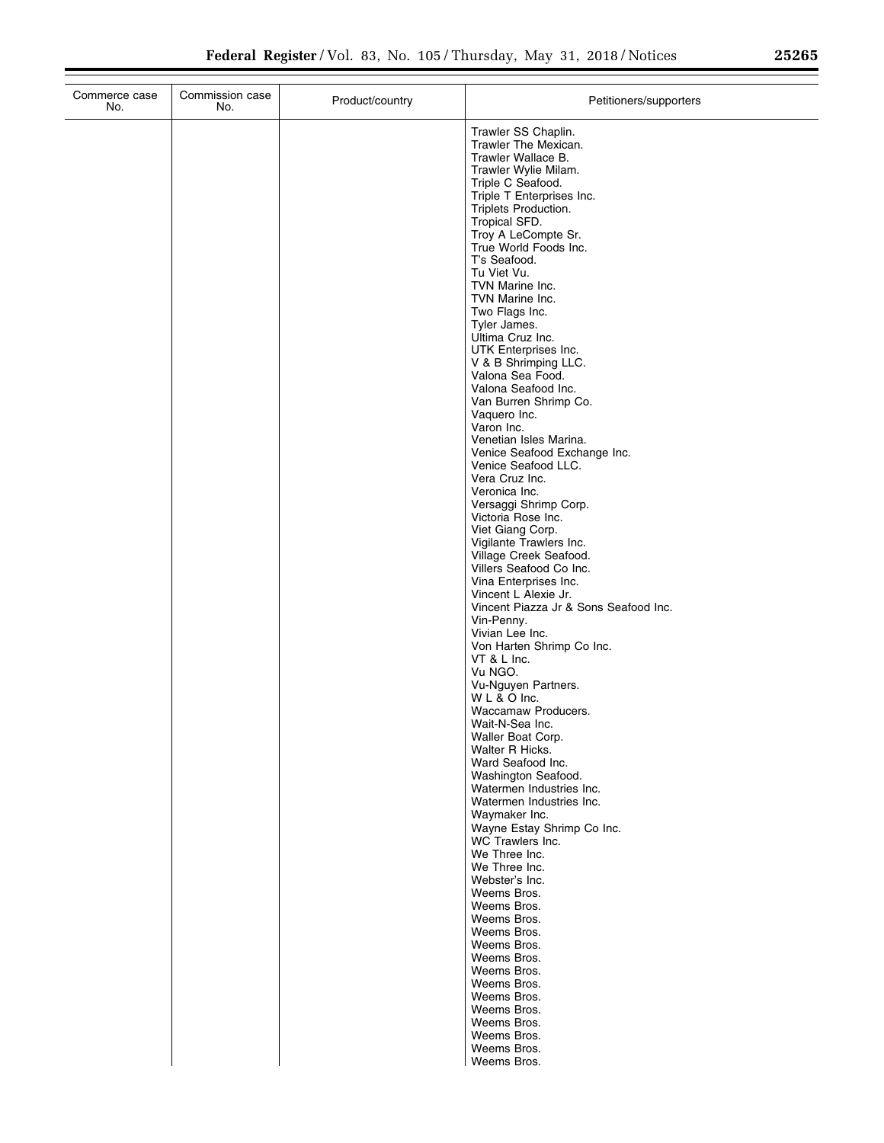| Commerce case<br>No. | Commission case<br>No. | Product/country | Petitioners/supporters                                                                                                                                                                                                                                                                                                                                                                                                                                                                                                                                                                                                                                                                                                                                                                                                                                                                                                                                                                                                                                                                                                                                                                                                                                                                                                                                                                                                                                                                                                           |
|----------------------|------------------------|-----------------|----------------------------------------------------------------------------------------------------------------------------------------------------------------------------------------------------------------------------------------------------------------------------------------------------------------------------------------------------------------------------------------------------------------------------------------------------------------------------------------------------------------------------------------------------------------------------------------------------------------------------------------------------------------------------------------------------------------------------------------------------------------------------------------------------------------------------------------------------------------------------------------------------------------------------------------------------------------------------------------------------------------------------------------------------------------------------------------------------------------------------------------------------------------------------------------------------------------------------------------------------------------------------------------------------------------------------------------------------------------------------------------------------------------------------------------------------------------------------------------------------------------------------------|
|                      |                        |                 | Trawler SS Chaplin.<br>Trawler The Mexican.<br>Trawler Wallace B.<br>Trawler Wylie Milam.<br>Triple C Seafood.<br>Triple T Enterprises Inc.<br>Triplets Production.<br>Tropical SFD.<br>Troy A LeCompte Sr.<br>True World Foods Inc.<br>T's Seafood.<br>Tu Viet Vu.<br>TVN Marine Inc.<br>TVN Marine Inc.<br>Two Flags Inc.<br>Tyler James.<br>Ultima Cruz Inc.<br>UTK Enterprises Inc.<br>V & B Shrimping LLC.<br>Valona Sea Food.<br>Valona Seafood Inc.<br>Van Burren Shrimp Co.<br>Vaquero Inc.<br>Varon Inc.<br>Venetian Isles Marina.<br>Venice Seafood Exchange Inc.<br>Venice Seafood LLC.<br>Vera Cruz Inc.<br>Veronica Inc.<br>Versaggi Shrimp Corp.<br>Victoria Rose Inc.<br>Viet Giang Corp.<br>Vigilante Trawlers Inc.<br>Village Creek Seafood.<br>Villers Seafood Co Inc.<br>Vina Enterprises Inc.<br>Vincent L Alexie Jr.<br>Vincent Piazza Jr & Sons Seafood Inc.<br>Vin-Penny.<br>Vivian Lee Inc.<br>Von Harten Shrimp Co Inc.<br>VT & L Inc.<br>Vu NGO.<br>Vu-Nguyen Partners.<br>WL & O Inc.<br>Waccamaw Producers.<br>Wait-N-Sea Inc.<br>Waller Boat Corp.<br>Walter R Hicks.<br>Ward Seafood Inc.<br>Washington Seafood.<br>Watermen Industries Inc.<br>Watermen Industries Inc.<br>Waymaker Inc.<br>Wayne Estay Shrimp Co Inc.<br>WC Trawlers Inc.<br>We Three Inc.<br>We Three Inc.<br>Webster's Inc.<br>Weems Bros.<br>Weems Bros.<br>Weems Bros.<br>Weems Bros.<br>Weems Bros.<br>Weems Bros.<br>Weems Bros.<br>Weems Bros.<br>Weems Bros.<br>Weems Bros.<br>Weems Bros.<br>Weems Bros.<br>Weems Bros. |
|                      |                        |                 | Weems Bros.                                                                                                                                                                                                                                                                                                                                                                                                                                                                                                                                                                                                                                                                                                                                                                                                                                                                                                                                                                                                                                                                                                                                                                                                                                                                                                                                                                                                                                                                                                                      |

÷.